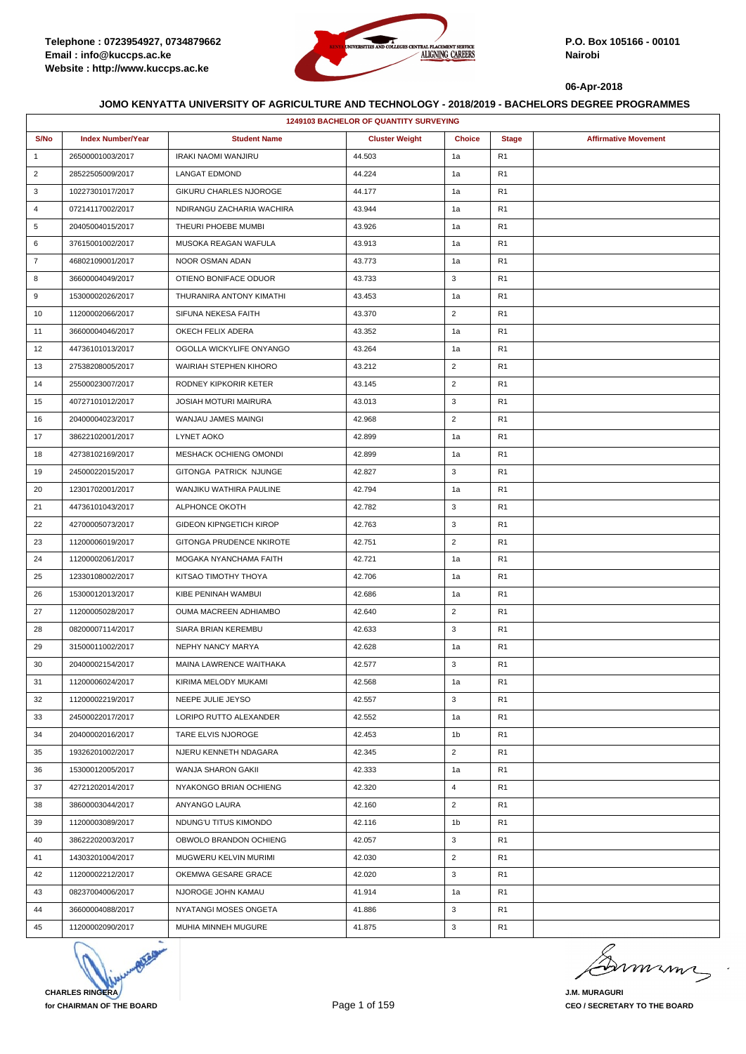

| <b>1249103 BACHELOR OF QUANTITY SURVEYING</b> |                          |                                |                       |                |                |                             |  |  |
|-----------------------------------------------|--------------------------|--------------------------------|-----------------------|----------------|----------------|-----------------------------|--|--|
| S/No                                          | <b>Index Number/Year</b> | <b>Student Name</b>            | <b>Cluster Weight</b> | <b>Choice</b>  | <b>Stage</b>   | <b>Affirmative Movement</b> |  |  |
| $\mathbf{1}$                                  | 26500001003/2017         | IRAKI NAOMI WANJIRU            | 44.503                | 1a             | R <sub>1</sub> |                             |  |  |
| $\overline{2}$                                | 28522505009/2017         | <b>LANGAT EDMOND</b>           | 44.224                | 1a             | R <sub>1</sub> |                             |  |  |
| 3                                             | 10227301017/2017         | GIKURU CHARLES NJOROGE         | 44.177                | 1a             | R <sub>1</sub> |                             |  |  |
| 4                                             | 07214117002/2017         | NDIRANGU ZACHARIA WACHIRA      | 43.944                | 1a             | R <sub>1</sub> |                             |  |  |
| 5                                             | 20405004015/2017         | THEURI PHOEBE MUMBI            | 43.926                | 1a             | R <sub>1</sub> |                             |  |  |
| 6                                             | 37615001002/2017         | MUSOKA REAGAN WAFULA           | 43.913                | 1a             | R <sub>1</sub> |                             |  |  |
| $\overline{7}$                                | 46802109001/2017         | NOOR OSMAN ADAN                | 43.773                | 1a             | R <sub>1</sub> |                             |  |  |
| 8                                             | 36600004049/2017         | OTIENO BONIFACE ODUOR          | 43.733                | 3              | R <sub>1</sub> |                             |  |  |
| 9                                             | 15300002026/2017         | THURANIRA ANTONY KIMATHI       | 43.453                | 1a             | R <sub>1</sub> |                             |  |  |
| 10                                            | 11200002066/2017         | SIFUNA NEKESA FAITH            | 43.370                | $\overline{2}$ | R <sub>1</sub> |                             |  |  |
| 11                                            | 36600004046/2017         | OKECH FELIX ADERA              | 43.352                | 1a             | R <sub>1</sub> |                             |  |  |
| 12                                            | 44736101013/2017         | OGOLLA WICKYLIFE ONYANGO       | 43.264                | 1a             | R <sub>1</sub> |                             |  |  |
| 13                                            | 27538208005/2017         | WAIRIAH STEPHEN KIHORO         | 43.212                | $\overline{2}$ | R <sub>1</sub> |                             |  |  |
| 14                                            | 25500023007/2017         | RODNEY KIPKORIR KETER          | 43.145                | $\overline{2}$ | R <sub>1</sub> |                             |  |  |
| 15                                            | 40727101012/2017         | <b>JOSIAH MOTURI MAIRURA</b>   | 43.013                | 3              | R <sub>1</sub> |                             |  |  |
| 16                                            | 20400004023/2017         | WANJAU JAMES MAINGI            | 42.968                | $\overline{2}$ | R <sub>1</sub> |                             |  |  |
| 17                                            | 38622102001/2017         | LYNET AOKO                     | 42.899                | 1a             | R <sub>1</sub> |                             |  |  |
| 18                                            | 42738102169/2017         | MESHACK OCHIENG OMONDI         | 42.899                | 1a             | R <sub>1</sub> |                             |  |  |
| 19                                            | 24500022015/2017         | GITONGA PATRICK NJUNGE         | 42.827                | 3              | R <sub>1</sub> |                             |  |  |
| 20                                            | 12301702001/2017         | WANJIKU WATHIRA PAULINE        | 42.794                | 1a             | R <sub>1</sub> |                             |  |  |
| 21                                            | 44736101043/2017         | ALPHONCE OKOTH                 | 42.782                | 3              | R <sub>1</sub> |                             |  |  |
| 22                                            | 42700005073/2017         | <b>GIDEON KIPNGETICH KIROP</b> | 42.763                | 3              | R <sub>1</sub> |                             |  |  |
| 23                                            | 11200006019/2017         | GITONGA PRUDENCE NKIROTE       | 42.751                | $\overline{2}$ | R <sub>1</sub> |                             |  |  |
| 24                                            | 11200002061/2017         | MOGAKA NYANCHAMA FAITH         | 42.721                | 1a             | R <sub>1</sub> |                             |  |  |
| 25                                            | 12330108002/2017         | KITSAO TIMOTHY THOYA           | 42.706                | 1a             | R <sub>1</sub> |                             |  |  |
| 26                                            | 15300012013/2017         | KIBE PENINAH WAMBUI            | 42.686                | 1a             | R <sub>1</sub> |                             |  |  |
| 27                                            | 11200005028/2017         | OUMA MACREEN ADHIAMBO          | 42.640                | $\overline{2}$ | R <sub>1</sub> |                             |  |  |
| 28                                            | 08200007114/2017         | SIARA BRIAN KEREMBU            | 42.633                | 3              | R <sub>1</sub> |                             |  |  |
| 29                                            | 31500011002/2017         | NEPHY NANCY MARYA              | 42.628                | 1a             | R <sub>1</sub> |                             |  |  |
| 30                                            | 20400002154/2017         | MAINA LAWRENCE WAITHAKA        | 42.577                | 3              | R <sub>1</sub> |                             |  |  |
| 31                                            | 11200006024/2017         | KIRIMA MELODY MUKAMI           | 42.568                | 1a             | R <sub>1</sub> |                             |  |  |
| 32                                            | 11200002219/2017         | NEEPE JULIE JEYSO              | 42.557                | 3              | R <sub>1</sub> |                             |  |  |
| 33                                            | 24500022017/2017         | LORIPO RUTTO ALEXANDER         | 42.552                | 1a             | R <sub>1</sub> |                             |  |  |
| 34                                            | 20400002016/2017         | TARE ELVIS NJOROGE             | 42.453                | 1b             | R <sub>1</sub> |                             |  |  |
| 35                                            | 19326201002/2017         | NJERU KENNETH NDAGARA          | 42.345                | $\overline{2}$ | R <sub>1</sub> |                             |  |  |
| 36                                            | 15300012005/2017         | WANJA SHARON GAKII             | 42.333                | 1a             | R <sub>1</sub> |                             |  |  |
| 37                                            | 42721202014/2017         | NYAKONGO BRIAN OCHIENG         | 42.320                | 4              | R <sub>1</sub> |                             |  |  |
| 38                                            | 38600003044/2017         | ANYANGO LAURA                  | 42.160                | $\overline{2}$ | R <sub>1</sub> |                             |  |  |
| 39                                            | 11200003089/2017         | NDUNG'U TITUS KIMONDO          | 42.116                | 1b             | R <sub>1</sub> |                             |  |  |
| 40                                            | 38622202003/2017         | OBWOLO BRANDON OCHIENG         | 42.057                | 3              | R <sub>1</sub> |                             |  |  |
| 41                                            | 14303201004/2017         | MUGWERU KELVIN MURIMI          | 42.030                | $\overline{2}$ | R <sub>1</sub> |                             |  |  |
| 42                                            | 11200002212/2017         | OKEMWA GESARE GRACE            | 42.020                | 3              | R <sub>1</sub> |                             |  |  |
| 43                                            | 08237004006/2017         | NJOROGE JOHN KAMAU             | 41.914                | 1a             | R <sub>1</sub> |                             |  |  |
| 44                                            | 36600004088/2017         | NYATANGI MOSES ONGETA          | 41.886                | 3              | R <sub>1</sub> |                             |  |  |
| 45                                            | 11200002090/2017         | MUHIA MINNEH MUGURE            | 41.875                | 3              | R <sub>1</sub> |                             |  |  |

**CHARLES RINGERA for CHAIRMAN OF THE BOARD**

mumi

**J.M. MURAGURI CEO / SECRETARY TO THE BOARD**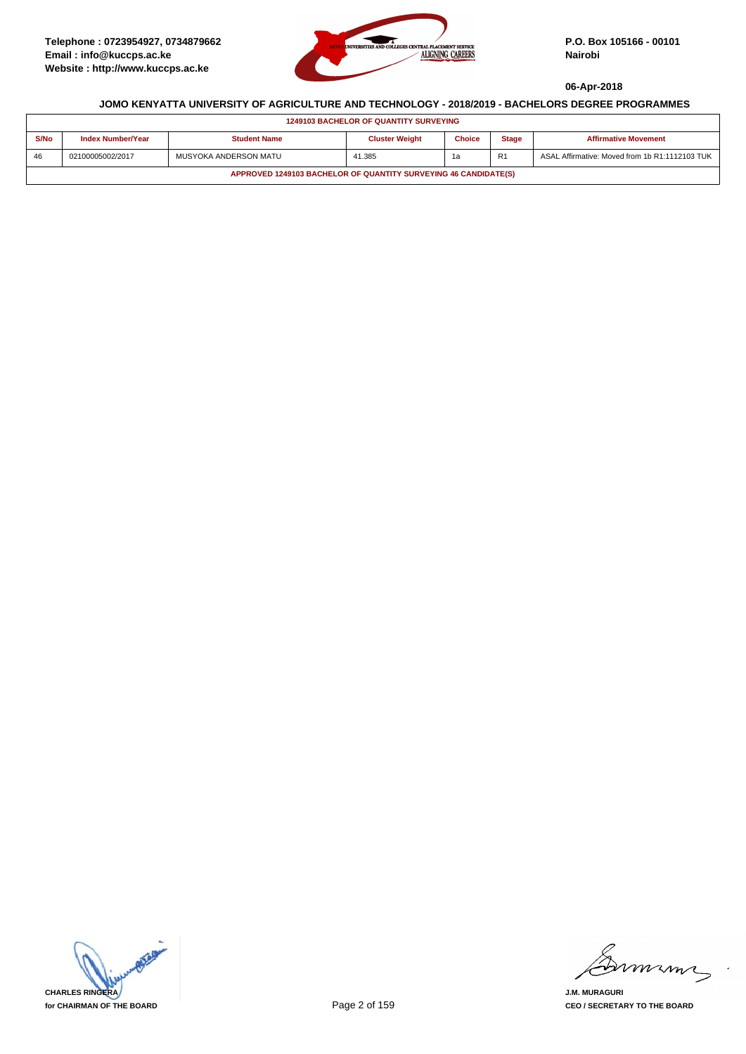

| <b>1249103 BACHELOR OF QUANTITY SURVEYING</b>                   |                                                                                                                                          |                       |        |    |                |                                                |  |  |
|-----------------------------------------------------------------|------------------------------------------------------------------------------------------------------------------------------------------|-----------------------|--------|----|----------------|------------------------------------------------|--|--|
| S/No                                                            | <b>Index Number/Year</b><br><b>Cluster Weight</b><br><b>Choice</b><br><b>Stage</b><br><b>Student Name</b><br><b>Affirmative Movement</b> |                       |        |    |                |                                                |  |  |
| 46                                                              | 02100005002/2017                                                                                                                         | MUSYOKA ANDERSON MATU | 41.385 | 1a | R <sub>1</sub> | ASAL Affirmative: Moved from 1b R1:1112103 TUK |  |  |
| APPROVED 1249103 BACHELOR OF QUANTITY SURVEYING 46 CANDIDATE(S) |                                                                                                                                          |                       |        |    |                |                                                |  |  |



mumi

**J.M. MURAGURI CEO / SECRETARY TO THE BOARD**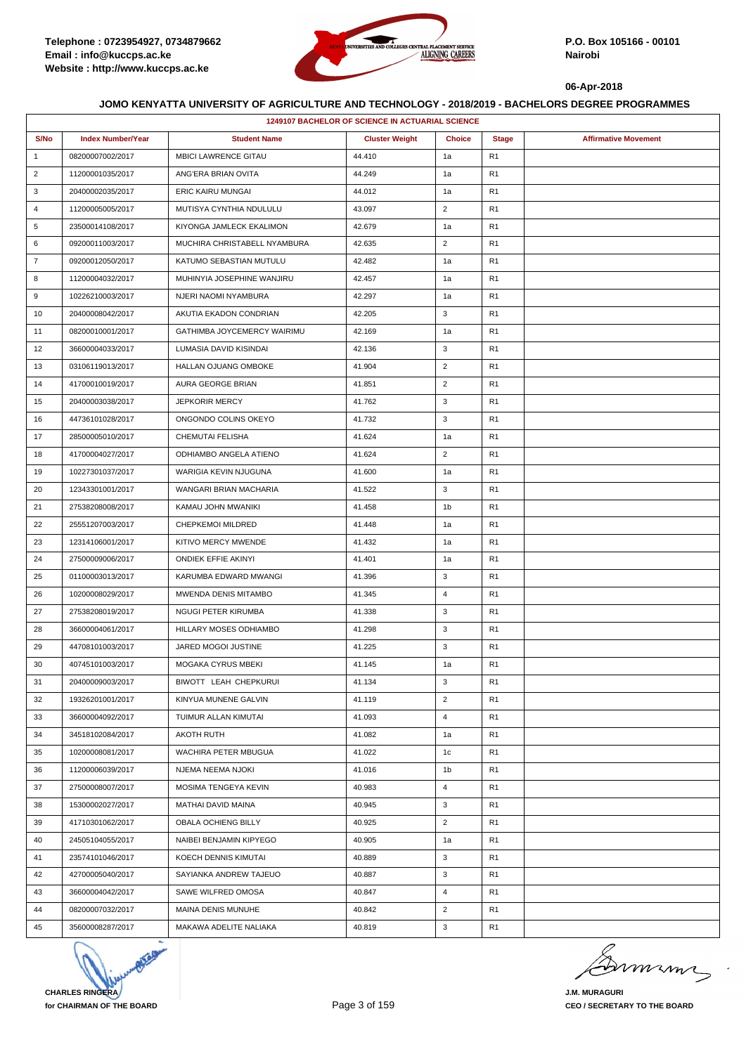

|                | <b>1249107 BACHELOR OF SCIENCE IN ACTUARIAL SCIENCE</b> |                              |                       |                |                |                             |  |  |
|----------------|---------------------------------------------------------|------------------------------|-----------------------|----------------|----------------|-----------------------------|--|--|
| S/No           | <b>Index Number/Year</b>                                | <b>Student Name</b>          | <b>Cluster Weight</b> | <b>Choice</b>  | <b>Stage</b>   | <b>Affirmative Movement</b> |  |  |
| $\mathbf{1}$   | 08200007002/2017                                        | <b>MBICI LAWRENCE GITAU</b>  | 44.410                | 1a             | R <sub>1</sub> |                             |  |  |
| $\overline{2}$ | 11200001035/2017                                        | ANG'ERA BRIAN OVITA          | 44.249                | 1a             | R <sub>1</sub> |                             |  |  |
| 3              | 20400002035/2017                                        | ERIC KAIRU MUNGAI            | 44.012                | 1a             | R <sub>1</sub> |                             |  |  |
| 4              | 11200005005/2017                                        | MUTISYA CYNTHIA NDULULU      | 43.097                | $\overline{2}$ | R <sub>1</sub> |                             |  |  |
| 5              | 23500014108/2017                                        | KIYONGA JAMLECK EKALIMON     | 42.679                | 1a             | R <sub>1</sub> |                             |  |  |
| 6              | 09200011003/2017                                        | MUCHIRA CHRISTABELL NYAMBURA | 42.635                | $\overline{2}$ | R <sub>1</sub> |                             |  |  |
| $\overline{7}$ | 09200012050/2017                                        | KATUMO SEBASTIAN MUTULU      | 42.482                | 1a             | R <sub>1</sub> |                             |  |  |
| 8              | 11200004032/2017                                        | MUHINYIA JOSEPHINE WANJIRU   | 42.457                | 1a             | R <sub>1</sub> |                             |  |  |
| 9              | 10226210003/2017                                        | NJERI NAOMI NYAMBURA         | 42.297                | 1a             | R <sub>1</sub> |                             |  |  |
| 10             | 20400008042/2017                                        | AKUTIA EKADON CONDRIAN       | 42.205                | 3              | R <sub>1</sub> |                             |  |  |
| 11             | 08200010001/2017                                        | GATHIMBA JOYCEMERCY WAIRIMU  | 42.169                | 1a             | R <sub>1</sub> |                             |  |  |
| 12             | 36600004033/2017                                        | LUMASIA DAVID KISINDAI       | 42.136                | 3              | R <sub>1</sub> |                             |  |  |
| 13             | 03106119013/2017                                        | <b>HALLAN OJUANG OMBOKE</b>  | 41.904                | $\overline{2}$ | R <sub>1</sub> |                             |  |  |
| 14             | 41700010019/2017                                        | AURA GEORGE BRIAN            | 41.851                | $\sqrt{2}$     | R <sub>1</sub> |                             |  |  |
| 15             | 20400003038/2017                                        | <b>JEPKORIR MERCY</b>        | 41.762                | 3              | R <sub>1</sub> |                             |  |  |
| 16             | 44736101028/2017                                        | ONGONDO COLINS OKEYO         | 41.732                | 3              | R <sub>1</sub> |                             |  |  |
| 17             | 28500005010/2017                                        | <b>CHEMUTAI FELISHA</b>      | 41.624                | 1a             | R <sub>1</sub> |                             |  |  |
| 18             | 41700004027/2017                                        | ODHIAMBO ANGELA ATIENO       | 41.624                | $\overline{2}$ | R <sub>1</sub> |                             |  |  |
| 19             | 10227301037/2017                                        | WARIGIA KEVIN NJUGUNA        | 41.600                | 1a             | R <sub>1</sub> |                             |  |  |
| 20             | 12343301001/2017                                        | WANGARI BRIAN MACHARIA       | 41.522                | 3              | R <sub>1</sub> |                             |  |  |
| 21             | 27538208008/2017                                        | KAMAU JOHN MWANIKI           | 41.458                | 1b             | R <sub>1</sub> |                             |  |  |
| 22             | 25551207003/2017                                        | <b>CHEPKEMOI MILDRED</b>     | 41.448                | 1a             | R <sub>1</sub> |                             |  |  |
| 23             | 12314106001/2017                                        | KITIVO MERCY MWENDE          | 41.432                | 1a             | R <sub>1</sub> |                             |  |  |
| 24             | 27500009006/2017                                        | ONDIEK EFFIE AKINYI          | 41.401                | 1a             | R <sub>1</sub> |                             |  |  |
| 25             | 01100003013/2017                                        | KARUMBA EDWARD MWANGI        | 41.396                | 3              | R <sub>1</sub> |                             |  |  |
| 26             | 10200008029/2017                                        | MWENDA DENIS MITAMBO         | 41.345                | $\overline{4}$ | R <sub>1</sub> |                             |  |  |
| 27             | 27538208019/2017                                        | NGUGI PETER KIRUMBA          | 41.338                | 3              | R <sub>1</sub> |                             |  |  |
| 28             | 36600004061/2017                                        | HILLARY MOSES ODHIAMBO       | 41.298                | 3              | R <sub>1</sub> |                             |  |  |
| 29             | 44708101003/2017                                        | JARED MOGOI JUSTINE          | 41.225                | 3              | R <sub>1</sub> |                             |  |  |
| 30             | 40745101003/2017                                        | MOGAKA CYRUS MBEKI           | 41.145                | 1a             | R <sub>1</sub> |                             |  |  |
| 31             | 20400009003/2017                                        | BIWOTT LEAH CHEPKURUI        | 41.134                | 3              | R <sub>1</sub> |                             |  |  |
| 32             | 19326201001/2017                                        | KINYUA MUNENE GALVIN         | 41.119                | $\overline{2}$ | R <sub>1</sub> |                             |  |  |
| 33             | 36600004092/2017                                        | TUIMUR ALLAN KIMUTAI         | 41.093                | $\overline{4}$ | R <sub>1</sub> |                             |  |  |
| 34             | 34518102084/2017                                        | <b>AKOTH RUTH</b>            | 41.082                | 1a             | R <sub>1</sub> |                             |  |  |
| 35             | 10200008081/2017                                        | WACHIRA PETER MBUGUA         | 41.022                | 1c             | R <sub>1</sub> |                             |  |  |
| 36             | 11200006039/2017                                        | NJEMA NEEMA NJOKI            | 41.016                | 1b             | R <sub>1</sub> |                             |  |  |
| 37             | 27500008007/2017                                        | MOSIMA TENGEYA KEVIN         | 40.983                | $\overline{4}$ | R <sub>1</sub> |                             |  |  |
| 38             | 15300002027/2017                                        | MATHAI DAVID MAINA           | 40.945                | 3              | R <sub>1</sub> |                             |  |  |
| 39             | 41710301062/2017                                        | OBALA OCHIENG BILLY          | 40.925                | $\overline{2}$ | R <sub>1</sub> |                             |  |  |
| 40             | 24505104055/2017                                        | NAIBEI BENJAMIN KIPYEGO      | 40.905                | 1a             | R <sub>1</sub> |                             |  |  |
| 41             | 23574101046/2017                                        | KOECH DENNIS KIMUTAI         | 40.889                | 3              | R <sub>1</sub> |                             |  |  |
| 42             | 42700005040/2017                                        | SAYIANKA ANDREW TAJEUO       | 40.887                | 3              | R <sub>1</sub> |                             |  |  |
| 43             | 36600004042/2017                                        | SAWE WILFRED OMOSA           | 40.847                | $\overline{4}$ | R <sub>1</sub> |                             |  |  |
| 44             | 08200007032/2017                                        | MAINA DENIS MUNUHE           | 40.842                | $\overline{2}$ | R <sub>1</sub> |                             |  |  |
| 45             | 35600008287/2017                                        | MAKAWA ADELITE NALIAKA       | 40.819                | 3              | R <sub>1</sub> |                             |  |  |

**CHARLES RINGERA for CHAIRMAN OF THE BOARD**

murma

**J.M. MURAGURI CEO / SECRETARY TO THE BOARD**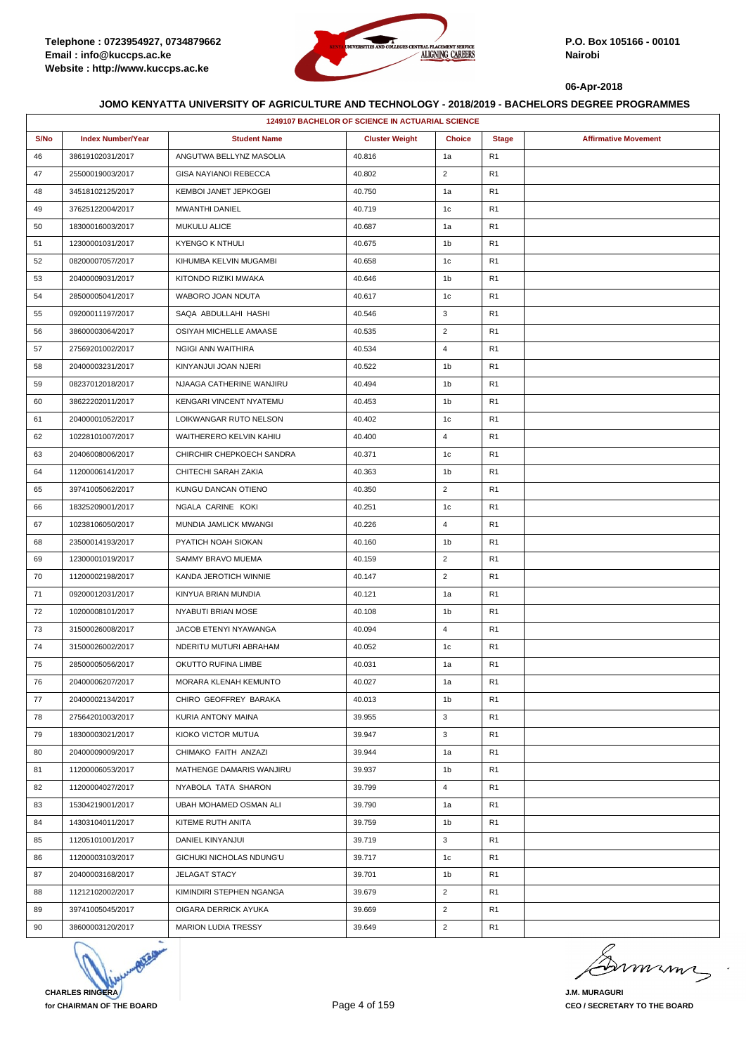

|      | <b>1249107 BACHELOR OF SCIENCE IN ACTUARIAL SCIENCE</b> |                              |                       |                |                |                             |  |  |
|------|---------------------------------------------------------|------------------------------|-----------------------|----------------|----------------|-----------------------------|--|--|
| S/No | <b>Index Number/Year</b>                                | <b>Student Name</b>          | <b>Cluster Weight</b> | <b>Choice</b>  | <b>Stage</b>   | <b>Affirmative Movement</b> |  |  |
| 46   | 38619102031/2017                                        | ANGUTWA BELLYNZ MASOLIA      | 40.816                | 1a             | R <sub>1</sub> |                             |  |  |
| 47   | 25500019003/2017                                        | <b>GISA NAYIANOI REBECCA</b> | 40.802                | $\overline{2}$ | R <sub>1</sub> |                             |  |  |
| 48   | 34518102125/2017                                        | KEMBOI JANET JEPKOGEI        | 40.750                | 1a             | R <sub>1</sub> |                             |  |  |
| 49   | 37625122004/2017                                        | MWANTHI DANIEL               | 40.719                | 1c             | R <sub>1</sub> |                             |  |  |
| 50   | 18300016003/2017                                        | <b>MUKULU ALICE</b>          | 40.687                | 1a             | R <sub>1</sub> |                             |  |  |
| 51   | 12300001031/2017                                        | <b>KYENGO K NTHULI</b>       | 40.675                | 1b             | R <sub>1</sub> |                             |  |  |
| 52   | 08200007057/2017                                        | KIHUMBA KELVIN MUGAMBI       | 40.658                | 1c             | R <sub>1</sub> |                             |  |  |
| 53   | 20400009031/2017                                        | KITONDO RIZIKI MWAKA         | 40.646                | 1b             | R <sub>1</sub> |                             |  |  |
| 54   | 28500005041/2017                                        | WABORO JOAN NDUTA            | 40.617                | 1c             | R <sub>1</sub> |                             |  |  |
| 55   | 09200011197/2017                                        | SAQA ABDULLAHI HASHI         | 40.546                | 3              | R <sub>1</sub> |                             |  |  |
| 56   | 38600003064/2017                                        | OSIYAH MICHELLE AMAASE       | 40.535                | 2              | R <sub>1</sub> |                             |  |  |
| 57   | 27569201002/2017                                        | NGIGI ANN WAITHIRA           | 40.534                | 4              | R <sub>1</sub> |                             |  |  |
| 58   | 20400003231/2017                                        | KINYANJUI JOAN NJERI         | 40.522                | 1 <sub>b</sub> | R <sub>1</sub> |                             |  |  |
| 59   | 08237012018/2017                                        | NJAAGA CATHERINE WANJIRU     | 40.494                | 1b             | R <sub>1</sub> |                             |  |  |
| 60   | 38622202011/2017                                        | KENGARI VINCENT NYATEMU      | 40.453                | 1b             | R <sub>1</sub> |                             |  |  |
| 61   | 20400001052/2017                                        | LOIKWANGAR RUTO NELSON       | 40.402                | 1c             | R <sub>1</sub> |                             |  |  |
| 62   | 10228101007/2017                                        | WAITHERERO KELVIN KAHIU      | 40.400                | $\overline{4}$ | R <sub>1</sub> |                             |  |  |
| 63   | 20406008006/2017                                        | CHIRCHIR CHEPKOECH SANDRA    | 40.371                | 1c             | R <sub>1</sub> |                             |  |  |
| 64   | 11200006141/2017                                        | CHITECHI SARAH ZAKIA         | 40.363                | 1 <sub>b</sub> | R <sub>1</sub> |                             |  |  |
| 65   | 39741005062/2017                                        | KUNGU DANCAN OTIENO          | 40.350                | $\overline{2}$ | R <sub>1</sub> |                             |  |  |
| 66   | 18325209001/2017                                        | NGALA CARINE KOKI            | 40.251                | 1c             | R <sub>1</sub> |                             |  |  |
| 67   | 10238106050/2017                                        | MUNDIA JAMLICK MWANGI        | 40.226                | $\overline{4}$ | R <sub>1</sub> |                             |  |  |
| 68   | 23500014193/2017                                        | PYATICH NOAH SIOKAN          | 40.160                | 1 <sub>b</sub> | R <sub>1</sub> |                             |  |  |
| 69   | 12300001019/2017                                        | SAMMY BRAVO MUEMA            | 40.159                | $\overline{2}$ | R <sub>1</sub> |                             |  |  |
| 70   | 11200002198/2017                                        | KANDA JEROTICH WINNIE        | 40.147                | $\overline{2}$ | R <sub>1</sub> |                             |  |  |
| 71   | 09200012031/2017                                        | KINYUA BRIAN MUNDIA          | 40.121                | 1a             | R <sub>1</sub> |                             |  |  |
| 72   | 10200008101/2017                                        | NYABUTI BRIAN MOSE           | 40.108                | 1b             | R <sub>1</sub> |                             |  |  |
| 73   | 31500026008/2017                                        | JACOB ETENYI NYAWANGA        | 40.094                | $\overline{4}$ | R <sub>1</sub> |                             |  |  |
| 74   | 31500026002/2017                                        | NDERITU MUTURI ABRAHAM       | 40.052                | 1c             | R1             |                             |  |  |
| 75   | 28500005056/2017                                        | OKUTTO RUFINA LIMBE          | 40.031                | 1a             | R1             |                             |  |  |
| 76   | 20400006207/2017                                        | MORARA KLENAH KEMUNTO        | 40.027                | 1a             | R <sub>1</sub> |                             |  |  |
| 77   | 20400002134/2017                                        | CHIRO GEOFFREY BARAKA        | 40.013                | 1b             | R <sub>1</sub> |                             |  |  |
| 78   | 27564201003/2017                                        | KURIA ANTONY MAINA           | 39.955                | 3              | R <sub>1</sub> |                             |  |  |
| 79   | 18300003021/2017                                        | KIOKO VICTOR MUTUA           | 39.947                | 3              | R1             |                             |  |  |
| 80   | 20400009009/2017                                        | CHIMAKO FAITH ANZAZI         | 39.944                | 1a             | R <sub>1</sub> |                             |  |  |
| 81   | 11200006053/2017                                        | MATHENGE DAMARIS WANJIRU     | 39.937                | 1b             | R <sub>1</sub> |                             |  |  |
| 82   | 11200004027/2017                                        | NYABOLA TATA SHARON          | 39.799                | $\overline{4}$ | R <sub>1</sub> |                             |  |  |
| 83   | 15304219001/2017                                        | UBAH MOHAMED OSMAN ALI       | 39.790                | 1a             | R <sub>1</sub> |                             |  |  |
| 84   | 14303104011/2017                                        | KITEME RUTH ANITA            | 39.759                | 1b             | R <sub>1</sub> |                             |  |  |
| 85   | 11205101001/2017                                        | DANIEL KINYANJUI             | 39.719                | 3              | R1             |                             |  |  |
| 86   | 11200003103/2017                                        | GICHUKI NICHOLAS NDUNG'U     | 39.717                | 1c             | R <sub>1</sub> |                             |  |  |
| 87   | 20400003168/2017                                        | JELAGAT STACY                | 39.701                | 1b             | R <sub>1</sub> |                             |  |  |
| 88   | 11212102002/2017                                        | KIMINDIRI STEPHEN NGANGA     | 39.679                | $\overline{2}$ | R <sub>1</sub> |                             |  |  |
| 89   | 39741005045/2017                                        | OIGARA DERRICK AYUKA         | 39.669                | $\overline{2}$ | R <sub>1</sub> |                             |  |  |
| 90   | 38600003120/2017                                        | <b>MARION LUDIA TRESSY</b>   | 39.649                | $\overline{2}$ | R <sub>1</sub> |                             |  |  |



mumi

**J.M. MURAGURI CEO / SECRETARY TO THE BOARD**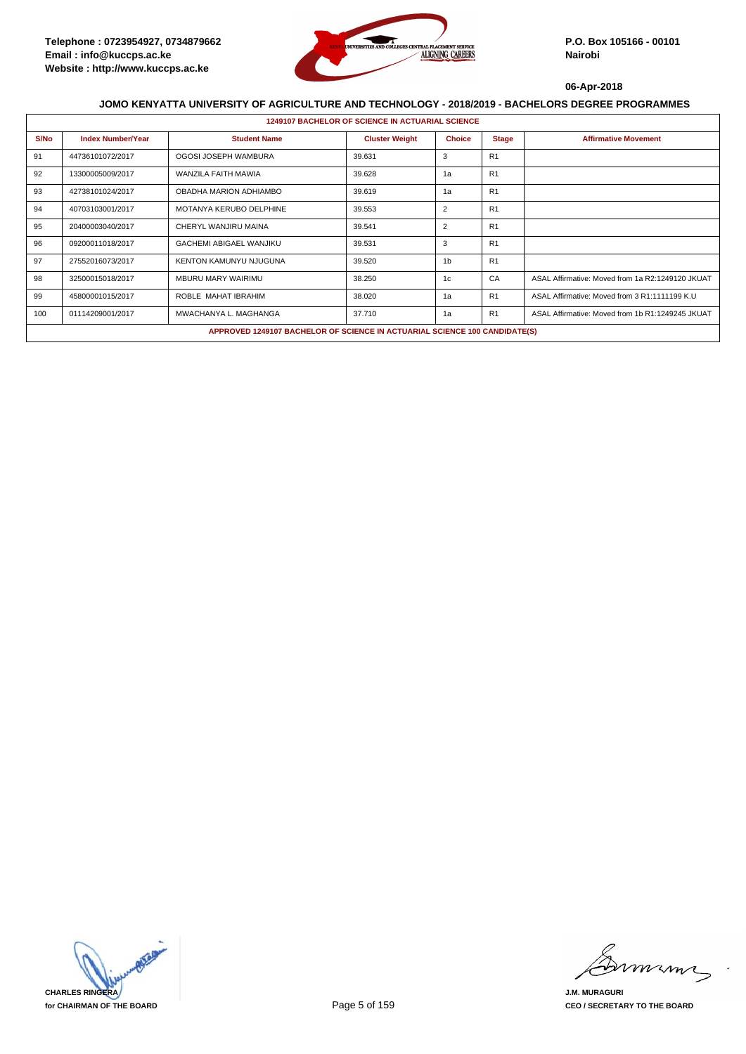

|      | <b>1249107 BACHELOR OF SCIENCE IN ACTUARIAL SCIENCE</b> |                                                                            |                       |                |                |                                                  |  |  |  |
|------|---------------------------------------------------------|----------------------------------------------------------------------------|-----------------------|----------------|----------------|--------------------------------------------------|--|--|--|
| S/No | <b>Index Number/Year</b>                                | <b>Student Name</b>                                                        | <b>Cluster Weight</b> | <b>Choice</b>  | <b>Stage</b>   | <b>Affirmative Movement</b>                      |  |  |  |
| 91   | 44736101072/2017                                        | OGOSI JOSEPH WAMBURA                                                       | 39.631                | 3              | R <sub>1</sub> |                                                  |  |  |  |
| 92   | 13300005009/2017                                        | WANZILA FAITH MAWIA                                                        | 39.628                | 1a             | R <sub>1</sub> |                                                  |  |  |  |
| 93   | 42738101024/2017                                        | OBADHA MARION ADHIAMBO                                                     | 39.619                | 1a             | R <sub>1</sub> |                                                  |  |  |  |
| 94   | 40703103001/2017                                        | MOTANYA KERUBO DELPHINE                                                    | 39.553                | $\overline{2}$ | R1             |                                                  |  |  |  |
| 95   | 20400003040/2017                                        | CHERYL WANJIRU MAINA                                                       | 39.541                | 2              | R <sub>1</sub> |                                                  |  |  |  |
| 96   | 09200011018/2017                                        | <b>GACHEMI ABIGAEL WANJIKU</b>                                             | 39.531                | 3              | R <sub>1</sub> |                                                  |  |  |  |
| 97   | 27552016073/2017                                        | KENTON KAMUNYU NJUGUNA                                                     | 39.520                | 1 <sub>b</sub> | R <sub>1</sub> |                                                  |  |  |  |
| 98   | 32500015018/2017                                        | <b>MBURU MARY WAIRIMU</b>                                                  | 38.250                | 1c             | CA             | ASAL Affirmative: Moved from 1a R2:1249120 JKUAT |  |  |  |
| 99   | 45800001015/2017                                        | ROBLE MAHAT IBRAHIM                                                        | 38.020                | 1a             | R <sub>1</sub> | ASAL Affirmative: Moved from 3 R1:1111199 K.U    |  |  |  |
| 100  | 01114209001/2017                                        | MWACHANYA L. MAGHANGA                                                      | 37.710                | 1a             | R <sub>1</sub> | ASAL Affirmative: Moved from 1b R1:1249245 JKUAT |  |  |  |
|      |                                                         | APPROVED 1249107 BACHELOR OF SCIENCE IN ACTUARIAL SCIENCE 100 CANDIDATE(S) |                       |                |                |                                                  |  |  |  |

**CHARLES RINGERA for CHAIRMAN OF THE BOARD**

mmmn

**J.M. MURAGURI CEO / SECRETARY TO THE BOARD**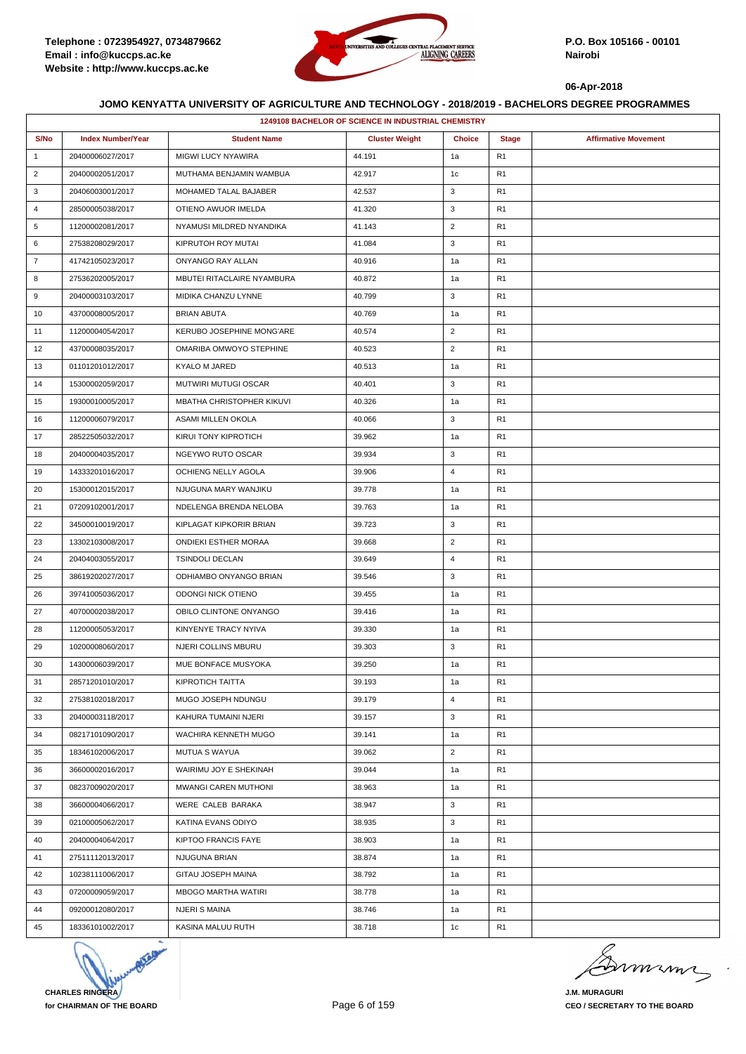

|                | <b>1249108 BACHELOR OF SCIENCE IN INDUSTRIAL CHEMISTRY</b> |                             |                       |                |                |                             |  |  |
|----------------|------------------------------------------------------------|-----------------------------|-----------------------|----------------|----------------|-----------------------------|--|--|
| S/No           | <b>Index Number/Year</b>                                   | <b>Student Name</b>         | <b>Cluster Weight</b> | <b>Choice</b>  | <b>Stage</b>   | <b>Affirmative Movement</b> |  |  |
| $\mathbf{1}$   | 20400006027/2017                                           | MIGWI LUCY NYAWIRA          | 44.191                | 1a             | R <sub>1</sub> |                             |  |  |
| $\overline{2}$ | 20400002051/2017                                           | MUTHAMA BENJAMIN WAMBUA     | 42.917                | 1c             | R <sub>1</sub> |                             |  |  |
| 3              | 20406003001/2017                                           | MOHAMED TALAL BAJABER       | 42.537                | 3              | R <sub>1</sub> |                             |  |  |
| $\overline{4}$ | 28500005038/2017                                           | OTIENO AWUOR IMELDA         | 41.320                | 3              | R <sub>1</sub> |                             |  |  |
| 5              | 11200002081/2017                                           | NYAMUSI MILDRED NYANDIKA    | 41.143                | $\overline{c}$ | R <sub>1</sub> |                             |  |  |
| 6              | 27538208029/2017                                           | KIPRUTOH ROY MUTAI          | 41.084                | 3              | R <sub>1</sub> |                             |  |  |
| $\overline{7}$ | 41742105023/2017                                           | ONYANGO RAY ALLAN           | 40.916                | 1a             | R <sub>1</sub> |                             |  |  |
| 8              | 27536202005/2017                                           | MBUTEI RITACLAIRE NYAMBURA  | 40.872                | 1a             | R <sub>1</sub> |                             |  |  |
| 9              | 20400003103/2017                                           | MIDIKA CHANZU LYNNE         | 40.799                | 3              | R <sub>1</sub> |                             |  |  |
| 10             | 43700008005/2017                                           | <b>BRIAN ABUTA</b>          | 40.769                | 1a             | R <sub>1</sub> |                             |  |  |
| 11             | 11200004054/2017                                           | KERUBO JOSEPHINE MONG'ARE   | 40.574                | $\overline{2}$ | R <sub>1</sub> |                             |  |  |
| 12             | 43700008035/2017                                           | OMARIBA OMWOYO STEPHINE     | 40.523                | $\overline{2}$ | R <sub>1</sub> |                             |  |  |
| 13             | 01101201012/2017                                           | KYALO M JARED               | 40.513                | 1a             | R <sub>1</sub> |                             |  |  |
| 14             | 15300002059/2017                                           | MUTWIRI MUTUGI OSCAR        | 40.401                | 3              | R <sub>1</sub> |                             |  |  |
| 15             | 19300010005/2017                                           | MBATHA CHRISTOPHER KIKUVI   | 40.326                | 1a             | R <sub>1</sub> |                             |  |  |
| 16             | 11200006079/2017                                           | ASAMI MILLEN OKOLA          | 40.066                | 3              | R <sub>1</sub> |                             |  |  |
| 17             | 28522505032/2017                                           | KIRUI TONY KIPROTICH        | 39.962                | 1a             | R <sub>1</sub> |                             |  |  |
| 18             | 20400004035/2017                                           | NGEYWO RUTO OSCAR           | 39.934                | 3              | R <sub>1</sub> |                             |  |  |
| 19             | 14333201016/2017                                           | OCHIENG NELLY AGOLA         | 39.906                | $\overline{4}$ | R <sub>1</sub> |                             |  |  |
| 20             | 15300012015/2017                                           | NJUGUNA MARY WANJIKU        | 39.778                | 1a             | R <sub>1</sub> |                             |  |  |
| 21             | 07209102001/2017                                           | NDELENGA BRENDA NELOBA      | 39.763                | 1a             | R <sub>1</sub> |                             |  |  |
| 22             | 34500010019/2017                                           | KIPLAGAT KIPKORIR BRIAN     | 39.723                | 3              | R <sub>1</sub> |                             |  |  |
| 23             | 13302103008/2017                                           | <b>ONDIEKI ESTHER MORAA</b> | 39.668                | $\overline{c}$ | R <sub>1</sub> |                             |  |  |
| 24             | 20404003055/2017                                           | <b>TSINDOLI DECLAN</b>      | 39.649                | 4              | R <sub>1</sub> |                             |  |  |
| 25             | 38619202027/2017                                           | ODHIAMBO ONYANGO BRIAN      | 39.546                | 3              | R <sub>1</sub> |                             |  |  |
| 26             | 39741005036/2017                                           | ODONGI NICK OTIENO          | 39.455                | 1a             | R <sub>1</sub> |                             |  |  |
| 27             | 40700002038/2017                                           | OBILO CLINTONE ONYANGO      | 39.416                | 1a             | R <sub>1</sub> |                             |  |  |
| 28             | 11200005053/2017                                           | KINYENYE TRACY NYIVA        | 39.330                | 1a             | R <sub>1</sub> |                             |  |  |
| 29             | 10200008060/2017                                           | <b>NJERI COLLINS MBURU</b>  | 39.303                | 3              | R <sub>1</sub> |                             |  |  |
| 30             | 14300006039/2017                                           | MUE BONFACE MUSYOKA         | 39.250                | 1a             | R <sub>1</sub> |                             |  |  |
| 31             | 28571201010/2017                                           | KIPROTICH TAITTA            | 39.193                | 1a             | R <sub>1</sub> |                             |  |  |
| 32             | 27538102018/2017                                           | MUGO JOSEPH NDUNGU          | 39.179                | 4              | R <sub>1</sub> |                             |  |  |
| 33             | 20400003118/2017                                           | KAHURA TUMAINI NJERI        | 39.157                | 3              | R <sub>1</sub> |                             |  |  |
| 34             | 08217101090/2017                                           | WACHIRA KENNETH MUGO        | 39.141                | 1a             | R1             |                             |  |  |
| 35             | 18346102006/2017                                           | <b>MUTUA S WAYUA</b>        | 39.062                | $\overline{2}$ | R1             |                             |  |  |
| 36             | 36600002016/2017                                           | WAIRIMU JOY E SHEKINAH      | 39.044                | 1a             | R <sub>1</sub> |                             |  |  |
| 37             | 08237009020/2017                                           | <b>MWANGI CAREN MUTHONI</b> | 38.963                | 1a             | R <sub>1</sub> |                             |  |  |
| 38             | 36600004066/2017                                           | WERE CALEB BARAKA           | 38.947                | 3              | R <sub>1</sub> |                             |  |  |
| 39             | 02100005062/2017                                           | KATINA EVANS ODIYO          | 38.935                | 3              | R <sub>1</sub> |                             |  |  |
| 40             | 20400004064/2017                                           | KIPTOO FRANCIS FAYE         | 38.903                | 1a             | R1             |                             |  |  |
| 41             | 27511112013/2017                                           | NJUGUNA BRIAN               | 38.874                | 1a             | R1             |                             |  |  |
| 42             | 10238111006/2017                                           | GITAU JOSEPH MAINA          | 38.792                | 1a             | R <sub>1</sub> |                             |  |  |
| 43             | 07200009059/2017                                           | <b>MBOGO MARTHA WATIRI</b>  | 38.778                | 1a             | R <sub>1</sub> |                             |  |  |
| 44             | 09200012080/2017                                           | NJERI S MAINA               | 38.746                | 1a             | R <sub>1</sub> |                             |  |  |
| 45             | 18336101002/2017                                           | KASINA MALUU RUTH           | 38.718                | 1c             | R1             |                             |  |  |



murma

**J.M. MURAGURI CEO / SECRETARY TO THE BOARD**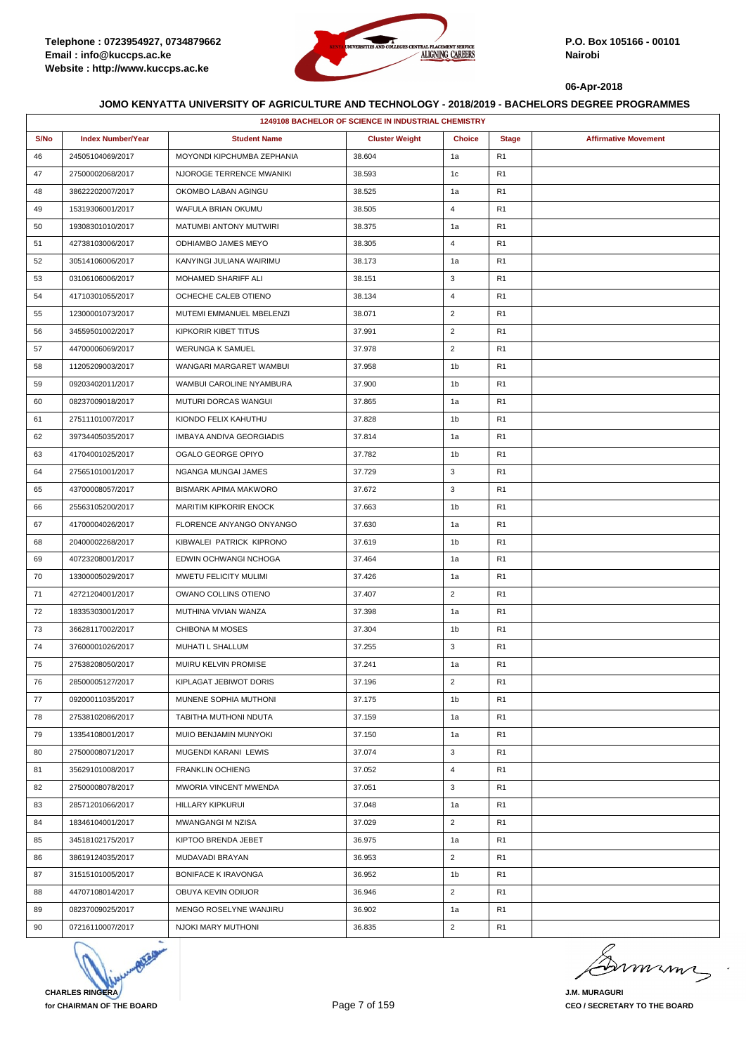

|      | <b>1249108 BACHELOR OF SCIENCE IN INDUSTRIAL CHEMISTRY</b> |                              |                       |                |                |                             |  |  |
|------|------------------------------------------------------------|------------------------------|-----------------------|----------------|----------------|-----------------------------|--|--|
| S/No | <b>Index Number/Year</b>                                   | <b>Student Name</b>          | <b>Cluster Weight</b> | <b>Choice</b>  | <b>Stage</b>   | <b>Affirmative Movement</b> |  |  |
| 46   | 24505104069/2017                                           | MOYONDI KIPCHUMBA ZEPHANIA   | 38.604                | 1a             | R <sub>1</sub> |                             |  |  |
| 47   | 27500002068/2017                                           | NJOROGE TERRENCE MWANIKI     | 38.593                | 1c             | R <sub>1</sub> |                             |  |  |
| 48   | 38622202007/2017                                           | OKOMBO LABAN AGINGU          | 38.525                | 1a             | R <sub>1</sub> |                             |  |  |
| 49   | 15319306001/2017                                           | WAFULA BRIAN OKUMU           | 38.505                | 4              | R <sub>1</sub> |                             |  |  |
| 50   | 19308301010/2017                                           | MATUMBI ANTONY MUTWIRI       | 38.375                | 1a             | R <sub>1</sub> |                             |  |  |
| 51   | 42738103006/2017                                           | ODHIAMBO JAMES MEYO          | 38.305                | 4              | R <sub>1</sub> |                             |  |  |
| 52   | 30514106006/2017                                           | KANYINGI JULIANA WAIRIMU     | 38.173                | 1a             | R <sub>1</sub> |                             |  |  |
| 53   | 03106106006/2017                                           | MOHAMED SHARIFF ALI          | 38.151                | 3              | R <sub>1</sub> |                             |  |  |
| 54   | 41710301055/2017                                           | OCHECHE CALEB OTIENO         | 38.134                | 4              | R <sub>1</sub> |                             |  |  |
| 55   | 12300001073/2017                                           | MUTEMI EMMANUEL MBELENZI     | 38.071                | $\overline{2}$ | R <sub>1</sub> |                             |  |  |
| 56   | 34559501002/2017                                           | KIPKORIR KIBET TITUS         | 37.991                | $\overline{c}$ | R <sub>1</sub> |                             |  |  |
| 57   | 44700006069/2017                                           | <b>WERUNGA K SAMUEL</b>      | 37.978                | $\overline{2}$ | R <sub>1</sub> |                             |  |  |
| 58   | 11205209003/2017                                           | WANGARI MARGARET WAMBUI      | 37.958                | 1b             | R <sub>1</sub> |                             |  |  |
| 59   | 09203402011/2017                                           | WAMBUI CAROLINE NYAMBURA     | 37.900                | 1b             | R <sub>1</sub> |                             |  |  |
| 60   | 08237009018/2017                                           | MUTURI DORCAS WANGUI         | 37.865                | 1a             | R <sub>1</sub> |                             |  |  |
| 61   | 27511101007/2017                                           | KIONDO FELIX KAHUTHU         | 37.828                | 1b             | R <sub>1</sub> |                             |  |  |
| 62   | 39734405035/2017                                           | IMBAYA ANDIVA GEORGIADIS     | 37.814                | 1a             | R <sub>1</sub> |                             |  |  |
| 63   | 41704001025/2017                                           | OGALO GEORGE OPIYO           | 37.782                | 1b             | R <sub>1</sub> |                             |  |  |
| 64   | 27565101001/2017                                           | NGANGA MUNGAI JAMES          | 37.729                | 3              | R <sub>1</sub> |                             |  |  |
| 65   | 43700008057/2017                                           | <b>BISMARK APIMA MAKWORO</b> | 37.672                | 3              | R <sub>1</sub> |                             |  |  |
| 66   | 25563105200/2017                                           | MARITIM KIPKORIR ENOCK       | 37.663                | 1b             | R <sub>1</sub> |                             |  |  |
| 67   | 41700004026/2017                                           | FLORENCE ANYANGO ONYANGO     | 37.630                | 1a             | R <sub>1</sub> |                             |  |  |
| 68   | 20400002268/2017                                           | KIBWALEI PATRICK KIPRONO     | 37.619                | 1b             | R <sub>1</sub> |                             |  |  |
| 69   | 40723208001/2017                                           | EDWIN OCHWANGI NCHOGA        | 37.464                | 1a             | R <sub>1</sub> |                             |  |  |
| 70   | 13300005029/2017                                           | MWETU FELICITY MULIMI        | 37.426                | 1a             | R <sub>1</sub> |                             |  |  |
| 71   | 42721204001/2017                                           | OWANO COLLINS OTIENO         | 37.407                | $\overline{2}$ | R <sub>1</sub> |                             |  |  |
| 72   | 18335303001/2017                                           | MUTHINA VIVIAN WANZA         | 37.398                | 1a             | R <sub>1</sub> |                             |  |  |
| 73   | 36628117002/2017                                           | <b>CHIBONA M MOSES</b>       | 37.304                | 1b             | R <sub>1</sub> |                             |  |  |
| 74   | 37600001026/2017                                           | MUHATI L SHALLUM             | 37.255                | 3              | R <sub>1</sub> |                             |  |  |
| 75   | 27538208050/2017                                           | MUIRU KELVIN PROMISE         | 37.241                | 1a             | R <sub>1</sub> |                             |  |  |
| 76   | 28500005127/2017                                           | KIPLAGAT JEBIWOT DORIS       | 37.196                | $\overline{2}$ | R <sub>1</sub> |                             |  |  |
| 77   | 09200011035/2017                                           | MUNENE SOPHIA MUTHONI        | 37.175                | 1 <sub>b</sub> | R <sub>1</sub> |                             |  |  |
| 78   | 27538102086/2017                                           | TABITHA MUTHONI NDUTA        | 37.159                | 1a             | R <sub>1</sub> |                             |  |  |
| 79   | 13354108001/2017                                           | MUIO BENJAMIN MUNYOKI        | 37.150                | 1a             | R <sub>1</sub> |                             |  |  |
| 80   | 27500008071/2017                                           | MUGENDI KARANI LEWIS         | 37.074                | 3              | R <sub>1</sub> |                             |  |  |
| 81   | 35629101008/2017                                           | <b>FRANKLIN OCHIENG</b>      | 37.052                | 4              | R <sub>1</sub> |                             |  |  |
| 82   | 27500008078/2017                                           | MWORIA VINCENT MWENDA        | 37.051                | 3              | R <sub>1</sub> |                             |  |  |
| 83   | 28571201066/2017                                           | HILLARY KIPKURUI             | 37.048                | 1a             | R <sub>1</sub> |                             |  |  |
| 84   | 18346104001/2017                                           | MWANGANGI M NZISA            | 37.029                | $\overline{2}$ | R <sub>1</sub> |                             |  |  |
| 85   | 34518102175/2017                                           | KIPTOO BRENDA JEBET          | 36.975                | 1a             | R <sub>1</sub> |                             |  |  |
| 86   | 38619124035/2017                                           | MUDAVADI BRAYAN              | 36.953                | $\overline{2}$ | R <sub>1</sub> |                             |  |  |
| 87   | 31515101005/2017                                           | <b>BONIFACE K IRAVONGA</b>   | 36.952                | 1b             | R <sub>1</sub> |                             |  |  |
| 88   | 44707108014/2017                                           | OBUYA KEVIN ODIUOR           | 36.946                | $\overline{2}$ | R <sub>1</sub> |                             |  |  |
| 89   | 08237009025/2017                                           | MENGO ROSELYNE WANJIRU       | 36.902                | 1a             | R <sub>1</sub> |                             |  |  |
| 90   | 07216110007/2017                                           | NJOKI MARY MUTHONI           | 36.835                | $\overline{2}$ | R <sub>1</sub> |                             |  |  |



murma

**J.M. MURAGURI CEO / SECRETARY TO THE BOARD**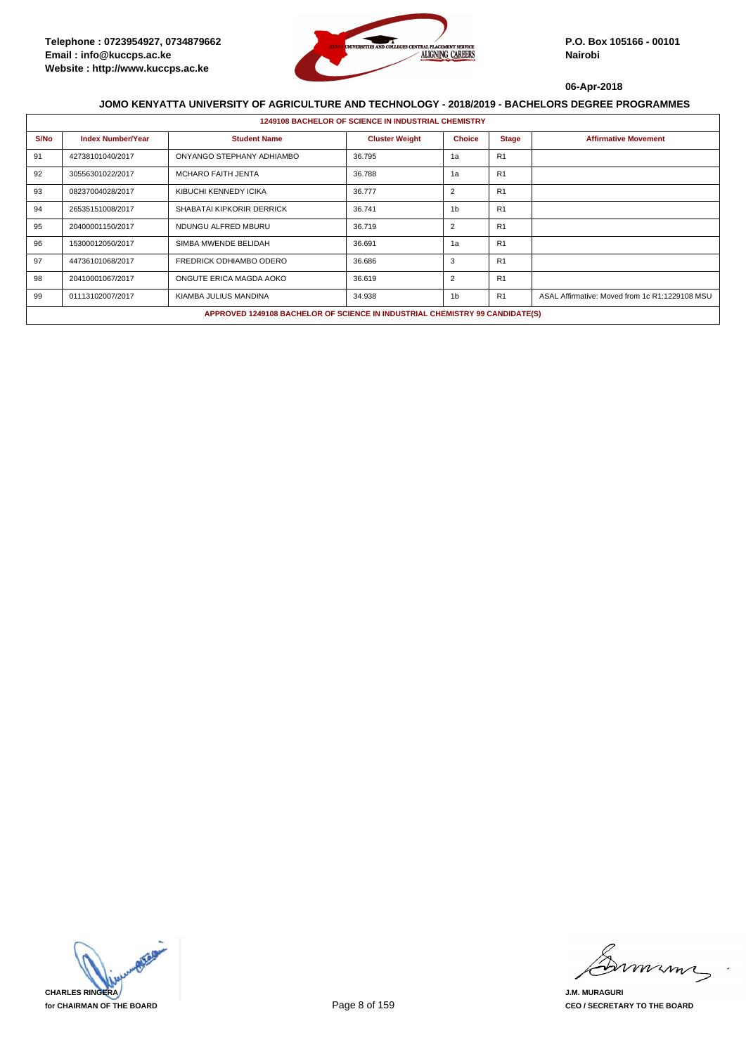

|      | <b>1249108 BACHELOR OF SCIENCE IN INDUSTRIAL CHEMISTRY</b> |                                                                              |                       |                |                |                                                |  |  |  |
|------|------------------------------------------------------------|------------------------------------------------------------------------------|-----------------------|----------------|----------------|------------------------------------------------|--|--|--|
| S/No | <b>Index Number/Year</b>                                   | <b>Student Name</b>                                                          | <b>Cluster Weight</b> | <b>Choice</b>  | <b>Stage</b>   | <b>Affirmative Movement</b>                    |  |  |  |
| 91   | 42738101040/2017                                           | ONYANGO STEPHANY ADHIAMBO                                                    | 36.795                | 1a             | R <sub>1</sub> |                                                |  |  |  |
| 92   | 30556301022/2017                                           | <b>MCHARO FAITH JENTA</b>                                                    | 36.788                | 1a             | R <sub>1</sub> |                                                |  |  |  |
| 93   | 08237004028/2017                                           | KIBUCHI KENNEDY ICIKA                                                        | 36.777                | 2              | R <sub>1</sub> |                                                |  |  |  |
| 94   | 26535151008/2017                                           | SHABATAI KIPKORIR DERRICK                                                    | 36.741                | 1 <sub>b</sub> | R <sub>1</sub> |                                                |  |  |  |
| 95   | 20400001150/2017                                           | NDUNGU ALFRED MBURU                                                          | 36.719                | 2              | R <sub>1</sub> |                                                |  |  |  |
| 96   | 15300012050/2017                                           | SIMBA MWENDE BELIDAH                                                         | 36.691                | 1a             | R <sub>1</sub> |                                                |  |  |  |
| 97   | 44736101068/2017                                           | <b>FREDRICK ODHIAMBO ODERO</b>                                               | 36.686                | 3              | R <sub>1</sub> |                                                |  |  |  |
| 98   | 20410001067/2017                                           | ONGUTE ERICA MAGDA AOKO                                                      | 36.619                | $\overline{2}$ | R <sub>1</sub> |                                                |  |  |  |
| 99   | 01113102007/2017                                           | KIAMBA JULIUS MANDINA                                                        | 34.938                | 1 <sub>b</sub> | R <sub>1</sub> | ASAL Affirmative: Moved from 1c R1:1229108 MSU |  |  |  |
|      |                                                            | APPROVED 1249108 BACHELOR OF SCIENCE IN INDUSTRIAL CHEMISTRY 99 CANDIDATE(S) |                       |                |                |                                                |  |  |  |



miming

**J.M. MURAGURI CEO / SECRETARY TO THE BOARD**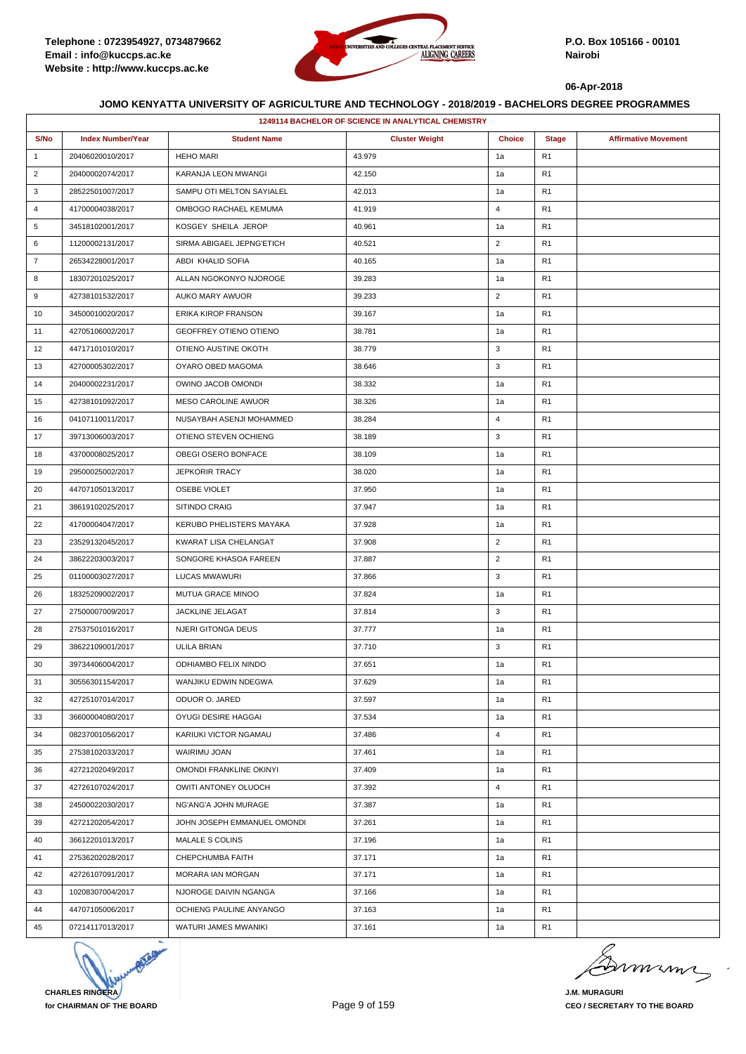

| <b>1249114 BACHELOR OF SCIENCE IN ANALYTICAL CHEMISTRY</b> |                          |                               |                       |                |                |                             |  |
|------------------------------------------------------------|--------------------------|-------------------------------|-----------------------|----------------|----------------|-----------------------------|--|
| S/No                                                       | <b>Index Number/Year</b> | <b>Student Name</b>           | <b>Cluster Weight</b> | <b>Choice</b>  | <b>Stage</b>   | <b>Affirmative Movement</b> |  |
| $\mathbf{1}$                                               | 20406020010/2017         | <b>HEHO MARI</b>              | 43.979                | 1a             | R <sub>1</sub> |                             |  |
| $\overline{2}$                                             | 20400002074/2017         | KARANJA LEON MWANGI           | 42.150                | 1a             | R <sub>1</sub> |                             |  |
| 3                                                          | 28522501007/2017         | SAMPU OTI MELTON SAYIALEL     | 42.013                | 1a             | R <sub>1</sub> |                             |  |
| $\overline{4}$                                             | 41700004038/2017         | OMBOGO RACHAEL KEMUMA         | 41.919                | $\overline{4}$ | R <sub>1</sub> |                             |  |
| 5                                                          | 34518102001/2017         | KOSGEY SHEILA JEROP           | 40.961                | 1a             | R <sub>1</sub> |                             |  |
| 6                                                          | 11200002131/2017         | SIRMA ABIGAEL JEPNG'ETICH     | 40.521                | $\overline{2}$ | R <sub>1</sub> |                             |  |
| $\overline{7}$                                             | 26534228001/2017         | ABDI KHALID SOFIA             | 40.165                | 1a             | R <sub>1</sub> |                             |  |
| 8                                                          | 18307201025/2017         | ALLAN NGOKONYO NJOROGE        | 39.283                | 1a             | R <sub>1</sub> |                             |  |
| 9                                                          | 42738101532/2017         | AUKO MARY AWUOR               | 39.233                | $\overline{2}$ | R <sub>1</sub> |                             |  |
| 10                                                         | 34500010020/2017         | ERIKA KIROP FRANSON           | 39.167                | 1a             | R <sub>1</sub> |                             |  |
| 11                                                         | 42705106002/2017         | <b>GEOFFREY OTIENO OTIENO</b> | 38.781                | 1a             | R <sub>1</sub> |                             |  |
| 12                                                         | 44717101010/2017         | OTIENO AUSTINE OKOTH          | 38.779                | 3              | R <sub>1</sub> |                             |  |
| 13                                                         | 42700005302/2017         | OYARO OBED MAGOMA             | 38.646                | 3              | R <sub>1</sub> |                             |  |
| 14                                                         | 20400002231/2017         | OWINO JACOB OMONDI            | 38.332                | 1a             | R <sub>1</sub> |                             |  |
| 15                                                         | 42738101092/2017         | MESO CAROLINE AWUOR           | 38.326                | 1a             | R <sub>1</sub> |                             |  |
| 16                                                         | 04107110011/2017         | NUSAYBAH ASENJI MOHAMMED      | 38.284                | $\overline{4}$ | R <sub>1</sub> |                             |  |
| 17                                                         | 39713006003/2017         | OTIENO STEVEN OCHIENG         | 38.189                | 3              | R <sub>1</sub> |                             |  |
| 18                                                         | 43700008025/2017         | OBEGI OSERO BONFACE           | 38.109                | 1a             | R <sub>1</sub> |                             |  |
| 19                                                         | 29500025002/2017         | <b>JEPKORIR TRACY</b>         | 38.020                | 1a             | R <sub>1</sub> |                             |  |
| 20                                                         | 44707105013/2017         | <b>OSEBE VIOLET</b>           | 37.950                | 1a             | R <sub>1</sub> |                             |  |
| 21                                                         | 38619102025/2017         | SITINDO CRAIG                 | 37.947                | 1a             | R <sub>1</sub> |                             |  |
| 22                                                         | 41700004047/2017         | KERUBO PHELISTERS MAYAKA      | 37.928                | 1a             | R <sub>1</sub> |                             |  |
| 23                                                         | 23529132045/2017         | KWARAT LISA CHELANGAT         | 37.908                | $\overline{2}$ | R <sub>1</sub> |                             |  |
| 24                                                         | 38622203003/2017         | SONGORE KHASOA FAREEN         | 37.887                | $\overline{2}$ | R <sub>1</sub> |                             |  |
| 25                                                         | 01100003027/2017         | LUCAS MWAWURI                 | 37.866                | 3              | R <sub>1</sub> |                             |  |
| 26                                                         | 18325209002/2017         | <b>MUTUA GRACE MINOO</b>      | 37.824                | 1a             | R <sub>1</sub> |                             |  |
| 27                                                         | 27500007009/2017         | JACKLINE JELAGAT              | 37.814                | 3              | R <sub>1</sub> |                             |  |
| 28                                                         | 27537501016/2017         | <b>NJERI GITONGA DEUS</b>     | 37.777                | 1a             | R <sub>1</sub> |                             |  |
| 29                                                         | 38622109001/2017         | ULILA BRIAN                   | 37.710                | 3              | R <sub>1</sub> |                             |  |
| 30                                                         | 39734406004/2017         | ODHIAMBO FELIX NINDO          | 37.651                | 1a             | R <sub>1</sub> |                             |  |
| 31                                                         | 30556301154/2017         | WANJIKU EDWIN NDEGWA          | 37.629                | 1a             | R <sub>1</sub> |                             |  |
| 32                                                         | 42725107014/2017         | ODUOR O. JARED                | 37.597                | 1a             | R <sub>1</sub> |                             |  |
| 33                                                         | 36600004080/2017         | OYUGI DESIRE HAGGAI           | 37.534                | 1a             | R <sub>1</sub> |                             |  |
| 34                                                         | 08237001056/2017         | KARIUKI VICTOR NGAMAU         | 37.486                | $\overline{4}$ | R <sub>1</sub> |                             |  |
| 35                                                         | 27538102033/2017         | WAIRIMU JOAN                  | 37.461                | 1a             | R <sub>1</sub> |                             |  |
| 36                                                         | 42721202049/2017         | OMONDI FRANKLINE OKINYI       | 37.409                | 1a             | R <sub>1</sub> |                             |  |
| 37                                                         | 42726107024/2017         | OWITI ANTONEY OLUOCH          | 37.392                | $\overline{4}$ | R <sub>1</sub> |                             |  |
| 38                                                         | 24500022030/2017         | NG'ANG'A JOHN MURAGE          | 37.387                | 1a             | R <sub>1</sub> |                             |  |
| 39                                                         | 42721202054/2017         | JOHN JOSEPH EMMANUEL OMONDI   | 37.261                | 1a             | R <sub>1</sub> |                             |  |
| 40                                                         | 36612201013/2017         | MALALE S COLINS               | 37.196                | 1a             | R <sub>1</sub> |                             |  |
| 41                                                         | 27536202028/2017         | CHEPCHUMBA FAITH              | 37.171                | 1a             | R <sub>1</sub> |                             |  |
| 42                                                         | 42726107091/2017         | MORARA IAN MORGAN             | 37.171                | 1a             | R <sub>1</sub> |                             |  |
| 43                                                         | 10208307004/2017         | NJOROGE DAIVIN NGANGA         | 37.166                | 1a             | R <sub>1</sub> |                             |  |
| 44                                                         | 44707105006/2017         | OCHIENG PAULINE ANYANGO       | 37.163                | 1a             | R <sub>1</sub> |                             |  |
| 45                                                         | 07214117013/2017         | WATURI JAMES MWANIKI          | 37.161                | 1a             | R <sub>1</sub> |                             |  |



murma

**J.M. MURAGURI CEO / SECRETARY TO THE BOARD**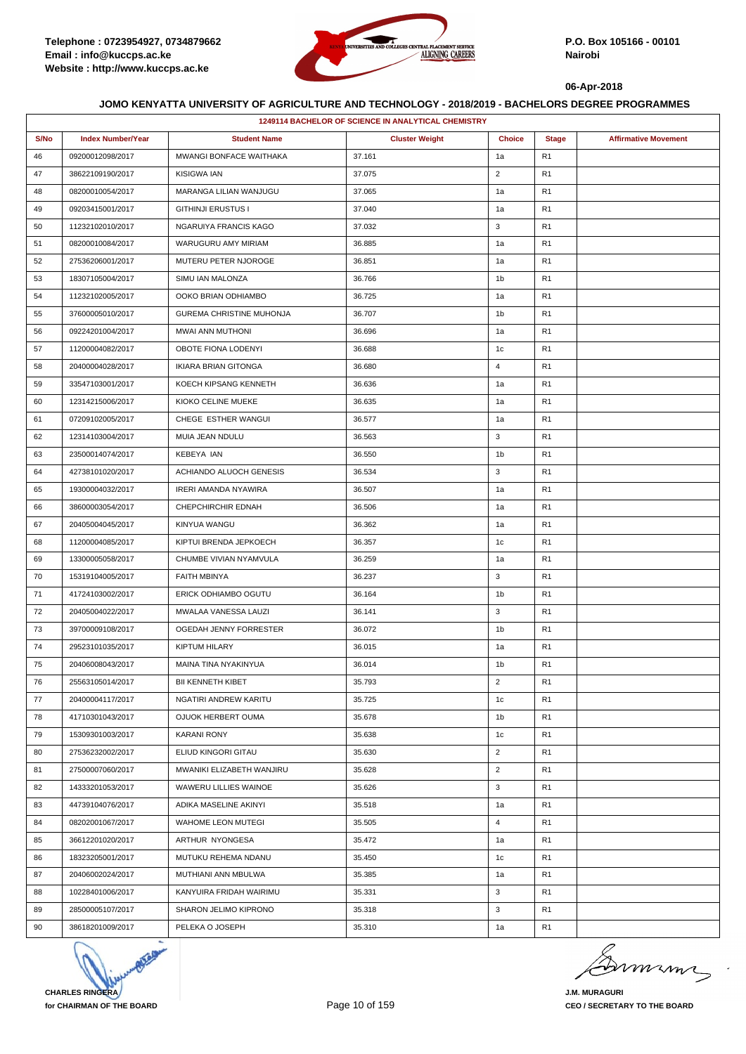

| 1249114 BACHELOR OF SCIENCE IN ANALYTICAL CHEMISTRY |                          |                             |                       |                |                |                             |  |
|-----------------------------------------------------|--------------------------|-----------------------------|-----------------------|----------------|----------------|-----------------------------|--|
| S/No                                                | <b>Index Number/Year</b> | <b>Student Name</b>         | <b>Cluster Weight</b> | <b>Choice</b>  | <b>Stage</b>   | <b>Affirmative Movement</b> |  |
| 46                                                  | 09200012098/2017         | MWANGI BONFACE WAITHAKA     | 37.161                | 1a             | R <sub>1</sub> |                             |  |
| 47                                                  | 38622109190/2017         | KISIGWA IAN                 | 37.075                | $\overline{2}$ | R <sub>1</sub> |                             |  |
| 48                                                  | 08200010054/2017         | MARANGA LILIAN WANJUGU      | 37.065                | 1a             | R <sub>1</sub> |                             |  |
| 49                                                  | 09203415001/2017         | <b>GITHINJI ERUSTUS I</b>   | 37.040                | 1a             | R <sub>1</sub> |                             |  |
| 50                                                  | 11232102010/2017         | NGARUIYA FRANCIS KAGO       | 37.032                | 3              | R <sub>1</sub> |                             |  |
| 51                                                  | 08200010084/2017         | WARUGURU AMY MIRIAM         | 36.885                | 1a             | R <sub>1</sub> |                             |  |
| 52                                                  | 27536206001/2017         | MUTERU PETER NJOROGE        | 36.851                | 1a             | R <sub>1</sub> |                             |  |
| 53                                                  | 18307105004/2017         | SIMU IAN MALONZA            | 36.766                | 1b             | R <sub>1</sub> |                             |  |
| 54                                                  | 11232102005/2017         | OOKO BRIAN ODHIAMBO         | 36.725                | 1a             | R <sub>1</sub> |                             |  |
| 55                                                  | 37600005010/2017         | GUREMA CHRISTINE MUHONJA    | 36.707                | 1 <sub>b</sub> | R <sub>1</sub> |                             |  |
| 56                                                  | 09224201004/2017         | MWAI ANN MUTHONI            | 36.696                | 1a             | R <sub>1</sub> |                             |  |
| 57                                                  | 11200004082/2017         | OBOTE FIONA LODENYI         | 36.688                | 1c             | R <sub>1</sub> |                             |  |
| 58                                                  | 20400004028/2017         | <b>IKIARA BRIAN GITONGA</b> | 36.680                | $\overline{4}$ | R <sub>1</sub> |                             |  |
| 59                                                  | 33547103001/2017         | KOECH KIPSANG KENNETH       | 36.636                | 1a             | R <sub>1</sub> |                             |  |
| 60                                                  | 12314215006/2017         | KIOKO CELINE MUEKE          | 36.635                | 1a             | R <sub>1</sub> |                             |  |
| 61                                                  | 07209102005/2017         | CHEGE ESTHER WANGUI         | 36.577                | 1a             | R <sub>1</sub> |                             |  |
| 62                                                  | 12314103004/2017         | MUIA JEAN NDULU             | 36.563                | 3              | R <sub>1</sub> |                             |  |
| 63                                                  | 23500014074/2017         | <b>KEBEYA IAN</b>           | 36.550                | 1b             | R <sub>1</sub> |                             |  |
| 64                                                  | 42738101020/2017         | ACHIANDO ALUOCH GENESIS     | 36.534                | 3              | R <sub>1</sub> |                             |  |
| 65                                                  | 19300004032/2017         | IRERI AMANDA NYAWIRA        | 36.507                | 1a             | R <sub>1</sub> |                             |  |
| 66                                                  | 38600003054/2017         | CHEPCHIRCHIR EDNAH          | 36.506                | 1a             | R <sub>1</sub> |                             |  |
| 67                                                  | 20405004045/2017         | KINYUA WANGU                | 36.362                | 1a             | R <sub>1</sub> |                             |  |
| 68                                                  | 11200004085/2017         | KIPTUI BRENDA JEPKOECH      | 36.357                | 1c             | R <sub>1</sub> |                             |  |
| 69                                                  | 13300005058/2017         | CHUMBE VIVIAN NYAMVULA      | 36.259                | 1a             | R <sub>1</sub> |                             |  |
| 70                                                  | 15319104005/2017         | FAITH MBINYA                | 36.237                | 3              | R <sub>1</sub> |                             |  |
| 71                                                  | 41724103002/2017         | ERICK ODHIAMBO OGUTU        | 36.164                | 1b             | R <sub>1</sub> |                             |  |
| 72                                                  | 20405004022/2017         | MWALAA VANESSA LAUZI        | 36.141                | 3              | R <sub>1</sub> |                             |  |
| 73                                                  | 39700009108/2017         | OGEDAH JENNY FORRESTER      | 36.072                | 1 <sub>b</sub> | R <sub>1</sub> |                             |  |
| 74                                                  | 29523101035/2017         | <b>KIPTUM HILARY</b>        | 36.015                | 1a             | R <sub>1</sub> |                             |  |
| 75                                                  | 20406008043/2017         | MAINA TINA NYAKINYUA        | 36.014                | 1b             | R <sub>1</sub> |                             |  |
| 76                                                  | 25563105014/2017         | BII KENNETH KIBET           | 35.793                | $\overline{2}$ | R <sub>1</sub> |                             |  |
| 77                                                  | 20400004117/2017         | NGATIRI ANDREW KARITU       | 35.725                | 1c             | R <sub>1</sub> |                             |  |
| 78                                                  | 41710301043/2017         | OJUOK HERBERT OUMA          | 35.678                | 1b             | R <sub>1</sub> |                             |  |
| 79                                                  | 15309301003/2017         | <b>KARANI RONY</b>          | 35.638                | 1c             | R <sub>1</sub> |                             |  |
| 80                                                  | 27536232002/2017         | ELIUD KINGORI GITAU         | 35.630                | $\overline{2}$ | R <sub>1</sub> |                             |  |
| 81                                                  | 27500007060/2017         | MWANIKI ELIZABETH WANJIRU   | 35.628                | $\overline{2}$ | R <sub>1</sub> |                             |  |
| 82                                                  | 14333201053/2017         | WAWERU LILLIES WAINOE       | 35.626                | 3              | R <sub>1</sub> |                             |  |
| 83                                                  | 44739104076/2017         | ADIKA MASELINE AKINYI       | 35.518                | 1a             | R <sub>1</sub> |                             |  |
| 84                                                  | 08202001067/2017         | WAHOME LEON MUTEGI          | 35.505                | $\overline{4}$ | R <sub>1</sub> |                             |  |
| 85                                                  | 36612201020/2017         | ARTHUR NYONGESA             | 35.472                | 1a             | R <sub>1</sub> |                             |  |
| 86                                                  | 18323205001/2017         | MUTUKU REHEMA NDANU         | 35.450                | 1c             | R <sub>1</sub> |                             |  |
| 87                                                  | 20406002024/2017         | MUTHIANI ANN MBULWA         | 35.385                | 1a             | R <sub>1</sub> |                             |  |
| 88                                                  | 10228401006/2017         | KANYUIRA FRIDAH WAIRIMU     | 35.331                | 3              | R <sub>1</sub> |                             |  |
| 89                                                  | 28500005107/2017         | SHARON JELIMO KIPRONO       | 35.318                | 3              | R <sub>1</sub> |                             |  |
| 90                                                  | 38618201009/2017         | PELEKA O JOSEPH             | 35.310                | 1a             | R <sub>1</sub> |                             |  |



mumi

**J.M. MURAGURI CEO / SECRETARY TO THE BOARD**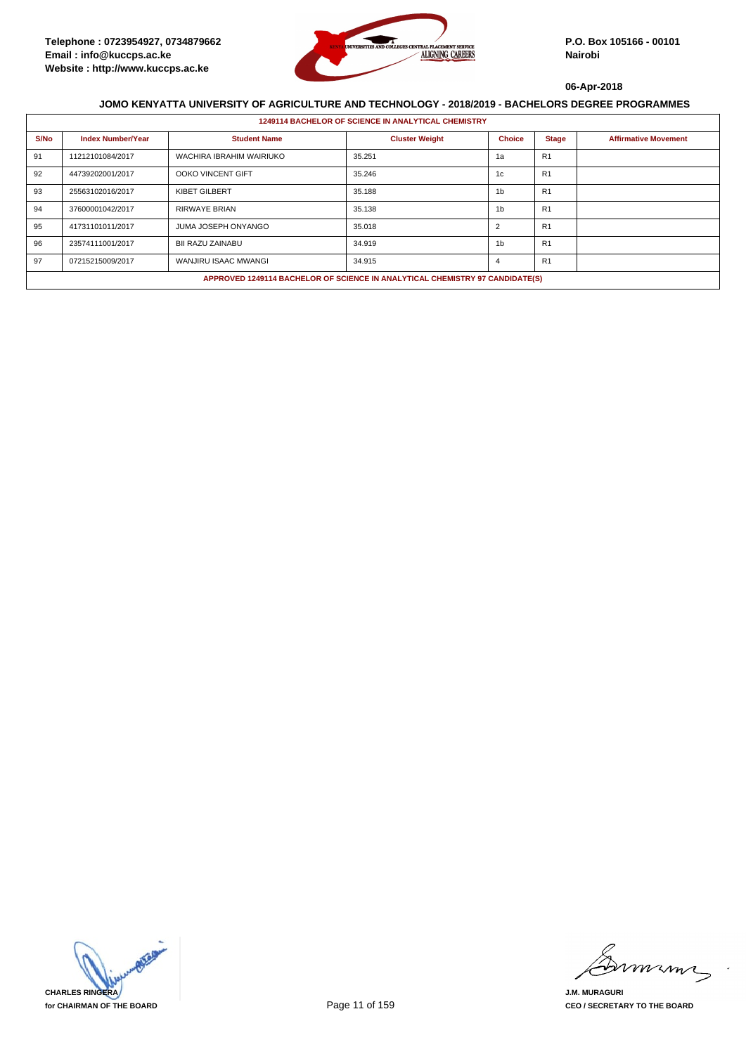

|      | <b>1249114 BACHELOR OF SCIENCE IN ANALYTICAL CHEMISTRY</b> |                                                                              |                       |                |                |                             |  |  |  |
|------|------------------------------------------------------------|------------------------------------------------------------------------------|-----------------------|----------------|----------------|-----------------------------|--|--|--|
| S/No | <b>Index Number/Year</b>                                   | <b>Student Name</b>                                                          | <b>Cluster Weight</b> | <b>Choice</b>  | <b>Stage</b>   | <b>Affirmative Movement</b> |  |  |  |
| 91   | 11212101084/2017                                           | WACHIRA IBRAHIM WAIRIUKO                                                     | 35.251                | 1a             | R <sub>1</sub> |                             |  |  |  |
| 92   | 44739202001/2017                                           | OOKO VINCENT GIFT                                                            | 35.246                | 1c             | R1             |                             |  |  |  |
| 93   | 25563102016/2017                                           | <b>KIBET GILBERT</b>                                                         | 35.188                | 1 <sub>b</sub> | R <sub>1</sub> |                             |  |  |  |
| 94   | 37600001042/2017                                           | <b>RIRWAYE BRIAN</b>                                                         | 35.138                | 1 <sub>b</sub> | R <sub>1</sub> |                             |  |  |  |
| 95   | 41731101011/2017                                           | JUMA JOSEPH ONYANGO                                                          | 35.018                | $\overline{2}$ | R <sub>1</sub> |                             |  |  |  |
| 96   | 23574111001/2017                                           | BII RAZU ZAINABU                                                             | 34.919                | 1 <sub>b</sub> | R <sub>1</sub> |                             |  |  |  |
| 97   | 07215215009/2017                                           | WANJIRU ISAAC MWANGI                                                         | 34.915                | 4              | R <sub>1</sub> |                             |  |  |  |
|      |                                                            | APPROVED 1249114 BACHELOR OF SCIENCE IN ANALYTICAL CHEMISTRY 97 CANDIDATE(S) |                       |                |                |                             |  |  |  |



murma

**J.M. MURAGURI CEO / SECRETARY TO THE BOARD**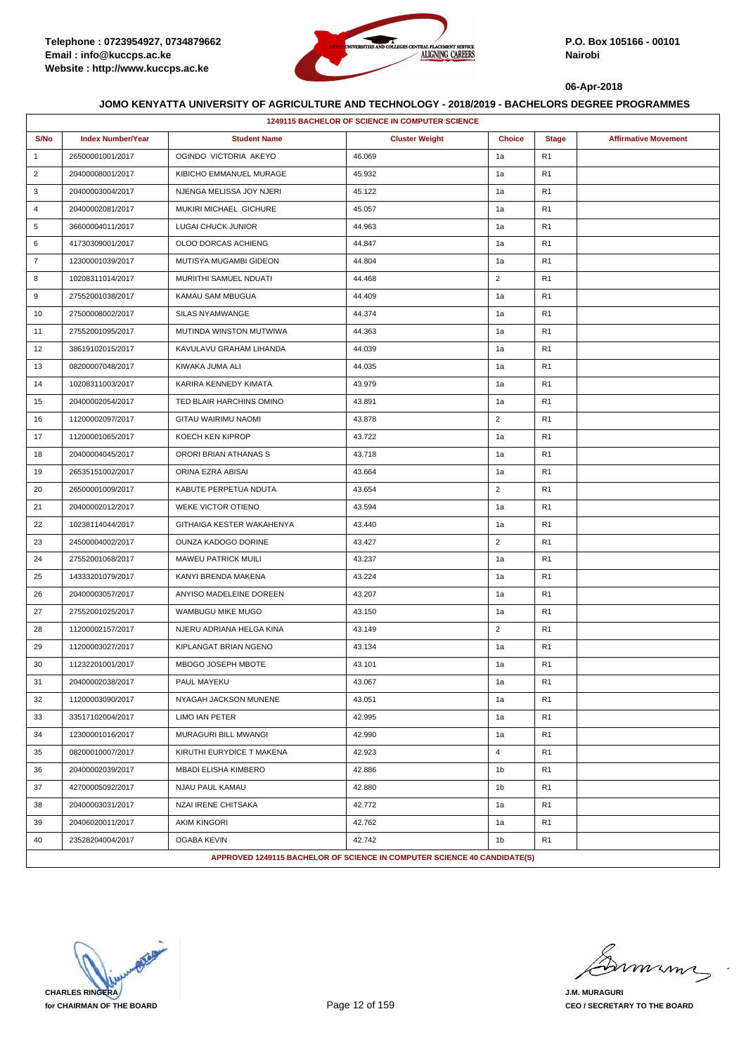

|                | 1249115 BACHELOR OF SCIENCE IN COMPUTER SCIENCE |                            |                                                                          |                |                |                             |  |  |
|----------------|-------------------------------------------------|----------------------------|--------------------------------------------------------------------------|----------------|----------------|-----------------------------|--|--|
| S/No           | <b>Index Number/Year</b>                        | <b>Student Name</b>        | <b>Cluster Weight</b>                                                    | <b>Choice</b>  | <b>Stage</b>   | <b>Affirmative Movement</b> |  |  |
| $\mathbf{1}$   | 26500001001/2017                                | OGINDO VICTORIA AKEYO      | 46.069                                                                   | 1a             | R <sub>1</sub> |                             |  |  |
| $\overline{2}$ | 20400008001/2017                                | KIBICHO EMMANUEL MURAGE    | 45.932                                                                   | 1a             | R <sub>1</sub> |                             |  |  |
| 3              | 20400003004/2017                                | NJENGA MELISSA JOY NJERI   | 45.122                                                                   | 1a             | R <sub>1</sub> |                             |  |  |
| $\overline{4}$ | 20400002081/2017                                | MUKIRI MICHAEL GICHURE     | 45.057                                                                   | 1a             | R <sub>1</sub> |                             |  |  |
| 5              | 36600004011/2017                                | <b>LUGAI CHUCK JUNIOR</b>  | 44.963                                                                   | 1a             | R <sub>1</sub> |                             |  |  |
| 6              | 41730309001/2017                                | OLOO DORCAS ACHIENG        | 44.847                                                                   | 1a             | R <sub>1</sub> |                             |  |  |
| $\overline{7}$ | 12300001039/2017                                | MUTISYA MUGAMBI GIDEON     | 44.804                                                                   | 1a             | R <sub>1</sub> |                             |  |  |
| 8              | 10208311014/2017                                | MURIITHI SAMUEL NDUATI     | 44.468                                                                   | $\overline{2}$ | R <sub>1</sub> |                             |  |  |
| 9              | 27552001038/2017                                | KAMAU SAM MBUGUA           | 44.409                                                                   | 1a             | R <sub>1</sub> |                             |  |  |
| 10             | 27500008002/2017                                | SILAS NYAMWANGE            | 44.374                                                                   | 1a             | R <sub>1</sub> |                             |  |  |
| 11             | 27552001095/2017                                | MUTINDA WINSTON MUTWIWA    | 44.363                                                                   | 1a             | R <sub>1</sub> |                             |  |  |
| 12             | 38619102015/2017                                | KAVULAVU GRAHAM LIHANDA    | 44.039                                                                   | 1a             | R <sub>1</sub> |                             |  |  |
| 13             | 08200007048/2017                                | KIWAKA JUMA ALI            | 44.035                                                                   | 1a             | R <sub>1</sub> |                             |  |  |
| 14             | 10208311003/2017                                | KARIRA KENNEDY KIMATA      | 43.979                                                                   | 1a             | R <sub>1</sub> |                             |  |  |
| 15             | 20400002054/2017                                | TED BLAIR HARCHINS OMINO   | 43.891                                                                   | 1a             | R <sub>1</sub> |                             |  |  |
| 16             | 11200002097/2017                                | GITAU WAIRIMU NAOMI        | 43.878                                                                   | $\overline{2}$ | R <sub>1</sub> |                             |  |  |
| 17             | 11200001065/2017                                | KOECH KEN KIPROP           | 43.722                                                                   | 1a             | R <sub>1</sub> |                             |  |  |
| 18             | 20400004045/2017                                | ORORI BRIAN ATHANAS S      | 43.718                                                                   | 1a             | R <sub>1</sub> |                             |  |  |
| 19             | 26535151002/2017                                | ORINA EZRA ABISAI          | 43.664                                                                   | 1a             | R <sub>1</sub> |                             |  |  |
| 20             | 26500001009/2017                                | KABUTE PERPETUA NDUTA      | 43.654                                                                   | $\overline{2}$ | R <sub>1</sub> |                             |  |  |
| 21             | 20400002012/2017                                | WEKE VICTOR OTIENO         | 43.594                                                                   | 1a             | R <sub>1</sub> |                             |  |  |
| 22             | 10238114044/2017                                | GITHAIGA KESTER WAKAHENYA  | 43.440                                                                   | 1a             | R <sub>1</sub> |                             |  |  |
| 23             | 24500004002/2017                                | OUNZA KADOGO DORINE        | 43.427                                                                   | $\overline{2}$ | R <sub>1</sub> |                             |  |  |
| 24             | 27552001068/2017                                | <b>MAWEU PATRICK MUILI</b> | 43.237                                                                   | 1a             | R <sub>1</sub> |                             |  |  |
| 25             | 14333201079/2017                                | KANYI BRENDA MAKENA        | 43.224                                                                   | 1a             | R <sub>1</sub> |                             |  |  |
| 26             | 20400003057/2017                                | ANYISO MADELEINE DOREEN    | 43.207                                                                   | 1a             | R <sub>1</sub> |                             |  |  |
| 27             | 27552001025/2017                                | <b>WAMBUGU MIKE MUGO</b>   | 43.150                                                                   | 1a             | R <sub>1</sub> |                             |  |  |
| 28             | 11200002157/2017                                | NJERU ADRIANA HELGA KINA   | 43.149                                                                   | 2              | R <sub>1</sub> |                             |  |  |
| 29             | 11200003027/2017                                | KIPLANGAT BRIAN NGENO      | 43.134                                                                   | 1a             | R <sub>1</sub> |                             |  |  |
| 30             | 11232201001/2017                                | MBOGO JOSEPH MBOTE         | 43.101                                                                   | 1a             | R <sub>1</sub> |                             |  |  |
| 31             | 20400002038/2017                                | PAUL MAYEKU                | 43.067                                                                   | 1a             | R <sub>1</sub> |                             |  |  |
| 32             | 11200003090/2017                                | NYAGAH JACKSON MUNENE      | 43.051                                                                   | 1a             | R <sub>1</sub> |                             |  |  |
| 33             | 33517102004/2017                                | LIMO IAN PETER             | 42.995                                                                   | 1a             | R <sub>1</sub> |                             |  |  |
| 34             | 12300001016/2017                                | MURAGURI BILL MWANGI       | 42.990                                                                   | 1a             | R <sub>1</sub> |                             |  |  |
| 35             | 08200010007/2017                                | KIRUTHI EURYDICE T MAKENA  | 42.923                                                                   | $\overline{4}$ | R <sub>1</sub> |                             |  |  |
| 36             | 20400002039/2017                                | MBADI ELISHA KIMBERO       | 42.886                                                                   | 1 <sub>b</sub> | R <sub>1</sub> |                             |  |  |
| 37             | 42700005092/2017                                | NJAU PAUL KAMAU            | 42.880                                                                   | 1b             | R <sub>1</sub> |                             |  |  |
| 38             | 20400003031/2017                                | NZAI IRENE CHITSAKA        | 42.772                                                                   | 1a             | R <sub>1</sub> |                             |  |  |
| 39             | 20406020011/2017                                | <b>AKIM KINGORI</b>        | 42.762                                                                   | 1a             | R <sub>1</sub> |                             |  |  |
| 40             | 23528204004/2017                                | OGABA KEVIN                | 42.742                                                                   | 1b             | R <sub>1</sub> |                             |  |  |
|                |                                                 |                            | APPROVED 1249115 BACHELOR OF SCIENCE IN COMPUTER SCIENCE 40 CANDIDATE(S) |                |                |                             |  |  |

**CHARLES RINGERA for CHAIRMAN OF THE BOARD**

murma

**J.M. MURAGURI CEO / SECRETARY TO THE BOARD**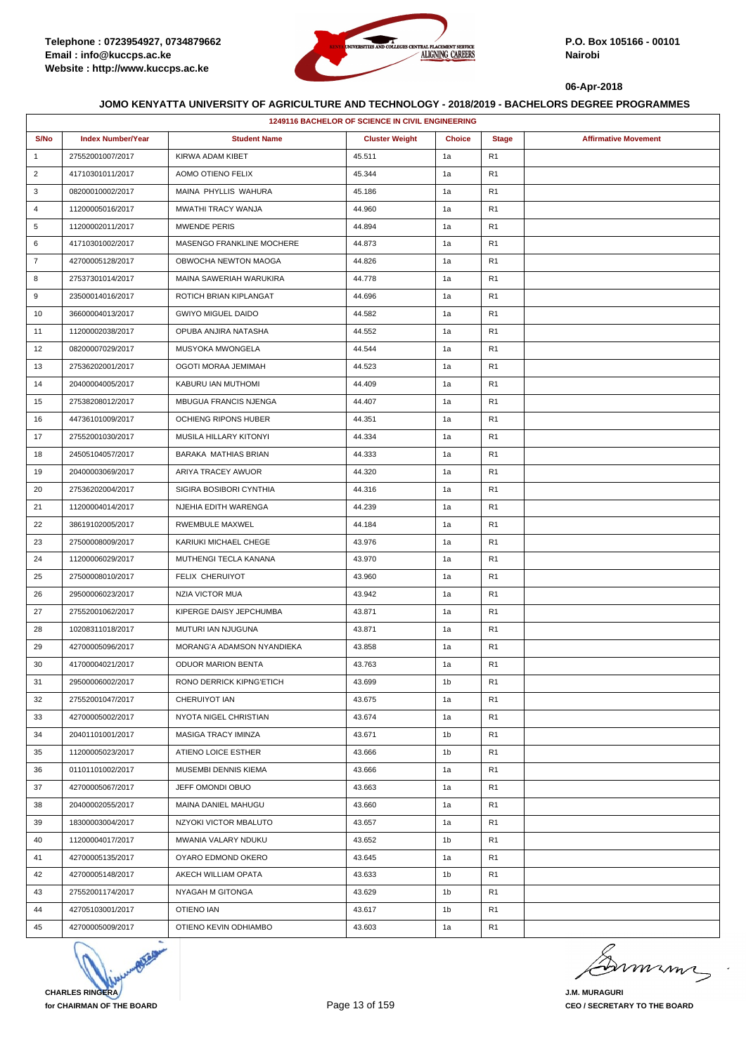

|                | 1249116 BACHELOR OF SCIENCE IN CIVIL ENGINEERING |                              |                       |                |                |                             |  |  |
|----------------|--------------------------------------------------|------------------------------|-----------------------|----------------|----------------|-----------------------------|--|--|
| S/No           | <b>Index Number/Year</b>                         | <b>Student Name</b>          | <b>Cluster Weight</b> | <b>Choice</b>  | <b>Stage</b>   | <b>Affirmative Movement</b> |  |  |
| $\mathbf{1}$   | 27552001007/2017                                 | KIRWA ADAM KIBET             | 45.511                | 1a             | R1             |                             |  |  |
| $\overline{2}$ | 41710301011/2017                                 | AOMO OTIENO FELIX            | 45.344                | 1a             | R <sub>1</sub> |                             |  |  |
| 3              | 08200010002/2017                                 | MAINA PHYLLIS WAHURA         | 45.186                | 1a             | R <sub>1</sub> |                             |  |  |
| 4              | 11200005016/2017                                 | MWATHI TRACY WANJA           | 44.960                | 1a             | R1             |                             |  |  |
| 5              | 11200002011/2017                                 | <b>MWENDE PERIS</b>          | 44.894                | 1a             | R <sub>1</sub> |                             |  |  |
| 6              | 41710301002/2017                                 | MASENGO FRANKLINE MOCHERE    | 44.873                | 1a             | R <sub>1</sub> |                             |  |  |
| $\overline{7}$ | 42700005128/2017                                 | OBWOCHA NEWTON MAOGA         | 44.826                | 1a             | R <sub>1</sub> |                             |  |  |
| 8              | 27537301014/2017                                 | MAINA SAWERIAH WARUKIRA      | 44.778                | 1a             | R <sub>1</sub> |                             |  |  |
| 9              | 23500014016/2017                                 | ROTICH BRIAN KIPLANGAT       | 44.696                | 1a             | R <sub>1</sub> |                             |  |  |
| 10             | 36600004013/2017                                 | <b>GWIYO MIGUEL DAIDO</b>    | 44.582                | 1a             | R <sub>1</sub> |                             |  |  |
| 11             | 11200002038/2017                                 | OPUBA ANJIRA NATASHA         | 44.552                | 1a             | R <sub>1</sub> |                             |  |  |
| 12             | 08200007029/2017                                 | MUSYOKA MWONGELA             | 44.544                | 1a             | R <sub>1</sub> |                             |  |  |
| 13             | 27536202001/2017                                 | OGOTI MORAA JEMIMAH          | 44.523                | 1a             | R1             |                             |  |  |
| 14             | 20400004005/2017                                 | KABURU IAN MUTHOMI           | 44.409                | 1a             | R <sub>1</sub> |                             |  |  |
| 15             | 27538208012/2017                                 | <b>MBUGUA FRANCIS NJENGA</b> | 44.407                | 1a             | R <sub>1</sub> |                             |  |  |
| 16             | 44736101009/2017                                 | OCHIENG RIPONS HUBER         | 44.351                | 1a             | R1             |                             |  |  |
| 17             | 27552001030/2017                                 | MUSILA HILLARY KITONYI       | 44.334                | 1a             | R <sub>1</sub> |                             |  |  |
| 18             | 24505104057/2017                                 | BARAKA MATHIAS BRIAN         | 44.333                | 1a             | R <sub>1</sub> |                             |  |  |
| 19             | 20400003069/2017                                 | ARIYA TRACEY AWUOR           | 44.320                | 1a             | R <sub>1</sub> |                             |  |  |
| 20             | 27536202004/2017                                 | SIGIRA BOSIBORI CYNTHIA      | 44.316                | 1a             | R <sub>1</sub> |                             |  |  |
| 21             | 11200004014/2017                                 | NJEHIA EDITH WARENGA         | 44.239                | 1a             | R <sub>1</sub> |                             |  |  |
| 22             | 38619102005/2017                                 | RWEMBULE MAXWEL              | 44.184                | 1a             | R1             |                             |  |  |
| 23             | 27500008009/2017                                 | KARIUKI MICHAEL CHEGE        | 43.976                | 1a             | R <sub>1</sub> |                             |  |  |
| 24             | 11200006029/2017                                 | MUTHENGI TECLA KANANA        | 43.970                | 1a             | R <sub>1</sub> |                             |  |  |
| 25             | 27500008010/2017                                 | FELIX CHERUIYOT              | 43.960                | 1a             | R1             |                             |  |  |
| 26             | 29500006023/2017                                 | NZIA VICTOR MUA              | 43.942                | 1a             | R <sub>1</sub> |                             |  |  |
| 27             | 27552001062/2017                                 | KIPERGE DAISY JEPCHUMBA      | 43.871                | 1a             | R <sub>1</sub> |                             |  |  |
| 28             | 10208311018/2017                                 | MUTURI IAN NJUGUNA           | 43.871                | 1a             | R <sub>1</sub> |                             |  |  |
| 29             | 42700005096/2017                                 | MORANG'A ADAMSON NYANDIEKA   | 43.858                | 1a             | R <sub>1</sub> |                             |  |  |
| 30             | 41700004021/2017                                 | <b>ODUOR MARION BENTA</b>    | 43.763                | 1a             | R1             |                             |  |  |
| 31             | 29500006002/2017                                 | RONO DERRICK KIPNG'ETICH     | 43.699                | 1b             | R <sub>1</sub> |                             |  |  |
| 32             | 27552001047/2017                                 | CHERUIYOT IAN                | 43.675                | 1a             | R <sub>1</sub> |                             |  |  |
| 33             | 42700005002/2017                                 | NYOTA NIGEL CHRISTIAN        | 43.674                | 1a             | R <sub>1</sub> |                             |  |  |
| 34             | 20401101001/2017                                 | MASIGA TRACY IMINZA          | 43.671                | 1b             | R <sub>1</sub> |                             |  |  |
| 35             | 11200005023/2017                                 | ATIENO LOICE ESTHER          | 43.666                | 1 <sub>b</sub> | R <sub>1</sub> |                             |  |  |
| 36             | 01101101002/2017                                 | MUSEMBI DENNIS KIEMA         | 43.666                | 1a             | R <sub>1</sub> |                             |  |  |
| 37             | 42700005067/2017                                 | JEFF OMONDI OBUO             | 43.663                | 1a             | R <sub>1</sub> |                             |  |  |
| 38             | 20400002055/2017                                 | MAINA DANIEL MAHUGU          | 43.660                | 1a             | R <sub>1</sub> |                             |  |  |
| 39             | 18300003004/2017                                 | NZYOKI VICTOR MBALUTO        | 43.657                | 1a             | R <sub>1</sub> |                             |  |  |
| 40             | 11200004017/2017                                 | MWANIA VALARY NDUKU          | 43.652                | 1b             | R <sub>1</sub> |                             |  |  |
| 41             | 42700005135/2017                                 | OYARO EDMOND OKERO           | 43.645                | 1a             | R <sub>1</sub> |                             |  |  |
| 42             | 42700005148/2017                                 | AKECH WILLIAM OPATA          | 43.633                | 1b             | R <sub>1</sub> |                             |  |  |
| 43             | 27552001174/2017                                 | NYAGAH M GITONGA             | 43.629                | 1b             | R <sub>1</sub> |                             |  |  |
| 44             | 42705103001/2017                                 | OTIENO IAN                   | 43.617                | 1b             | R <sub>1</sub> |                             |  |  |
| 45             | 42700005009/2017                                 | OTIENO KEVIN ODHIAMBO        | 43.603                | 1a             | R <sub>1</sub> |                             |  |  |



murma

**J.M. MURAGURI CEO / SECRETARY TO THE BOARD**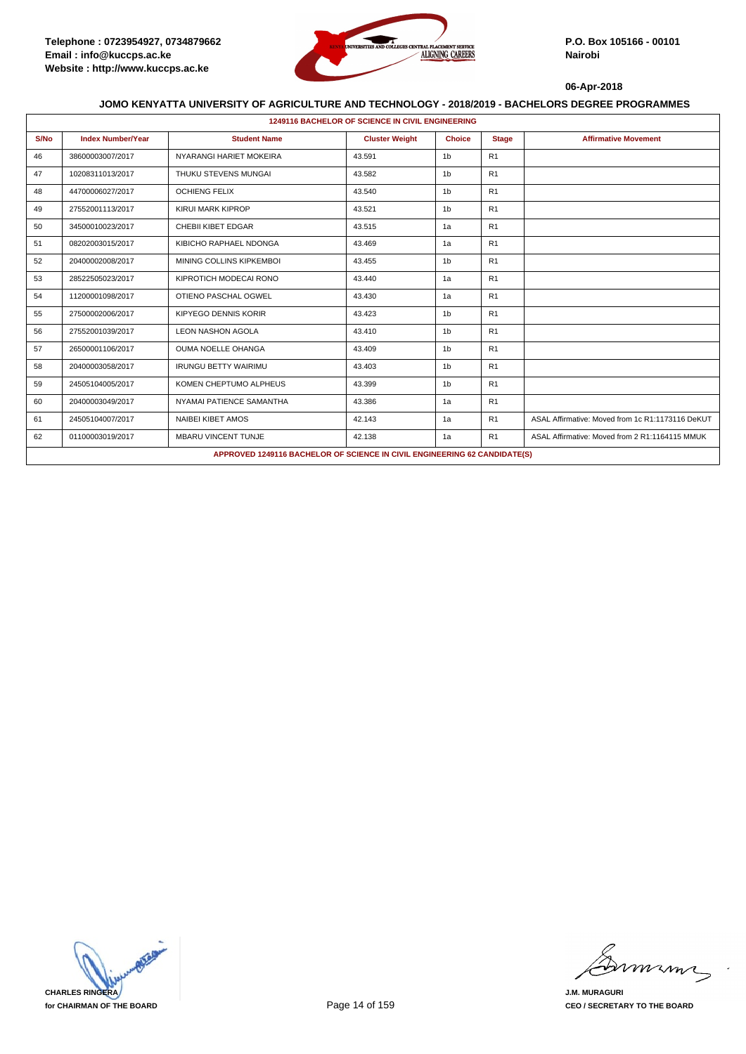

|      | <b>1249116 BACHELOR OF SCIENCE IN CIVIL ENGINEERING</b> |                             |                                                                           |                |                |                                                  |  |  |  |
|------|---------------------------------------------------------|-----------------------------|---------------------------------------------------------------------------|----------------|----------------|--------------------------------------------------|--|--|--|
| S/No | <b>Index Number/Year</b>                                | <b>Student Name</b>         | <b>Cluster Weight</b>                                                     | <b>Choice</b>  | <b>Stage</b>   | <b>Affirmative Movement</b>                      |  |  |  |
| 46   | 38600003007/2017                                        | NYARANGI HARIET MOKEIRA     | 43.591                                                                    | 1 <sub>b</sub> | R <sub>1</sub> |                                                  |  |  |  |
| 47   | 10208311013/2017                                        | THUKU STEVENS MUNGAI        | 43.582                                                                    | 1 <sub>b</sub> | R <sub>1</sub> |                                                  |  |  |  |
| 48   | 44700006027/2017                                        | <b>OCHIENG FELIX</b>        | 43.540                                                                    | 1 <sub>b</sub> | R <sub>1</sub> |                                                  |  |  |  |
| 49   | 27552001113/2017                                        | KIRUI MARK KIPROP           | 43.521                                                                    | 1 <sub>b</sub> | R <sub>1</sub> |                                                  |  |  |  |
| 50   | 34500010023/2017                                        | CHEBII KIBET EDGAR          | 43.515                                                                    | 1a             | R <sub>1</sub> |                                                  |  |  |  |
| 51   | 08202003015/2017                                        | KIBICHO RAPHAEL NDONGA      | 43.469                                                                    | 1a             | R <sub>1</sub> |                                                  |  |  |  |
| 52   | 20400002008/2017                                        | MINING COLLINS KIPKEMBOI    | 43.455                                                                    | 1 <sub>b</sub> | R <sub>1</sub> |                                                  |  |  |  |
| 53   | 28522505023/2017                                        | KIPROTICH MODECAI RONO      | 43.440                                                                    | 1a             | R <sub>1</sub> |                                                  |  |  |  |
| 54   | 11200001098/2017                                        | OTIENO PASCHAL OGWEL        | 43.430                                                                    | 1a             | R <sub>1</sub> |                                                  |  |  |  |
| 55   | 27500002006/2017                                        | <b>KIPYEGO DENNIS KORIR</b> | 43.423                                                                    | 1 <sub>b</sub> | R <sub>1</sub> |                                                  |  |  |  |
| 56   | 27552001039/2017                                        | <b>LEON NASHON AGOLA</b>    | 43.410                                                                    | 1 <sub>b</sub> | R <sub>1</sub> |                                                  |  |  |  |
| 57   | 26500001106/2017                                        | <b>OUMA NOELLE OHANGA</b>   | 43.409                                                                    | 1 <sub>b</sub> | R <sub>1</sub> |                                                  |  |  |  |
| 58   | 20400003058/2017                                        | <b>IRUNGU BETTY WAIRIMU</b> | 43.403                                                                    | 1 <sub>b</sub> | R <sub>1</sub> |                                                  |  |  |  |
| 59   | 24505104005/2017                                        | KOMEN CHEPTUMO ALPHEUS      | 43.399                                                                    | 1 <sub>b</sub> | R <sub>1</sub> |                                                  |  |  |  |
| 60   | 20400003049/2017                                        | NYAMAI PATIENCE SAMANTHA    | 43.386                                                                    | 1a             | R <sub>1</sub> |                                                  |  |  |  |
| 61   | 24505104007/2017                                        | <b>NAIBEI KIBET AMOS</b>    | 42.143                                                                    | 1a             | R <sub>1</sub> | ASAL Affirmative: Moved from 1c R1:1173116 DeKUT |  |  |  |
| 62   | 01100003019/2017                                        | <b>MBARU VINCENT TUNJE</b>  | 42.138                                                                    | 1a             | R <sub>1</sub> | ASAL Affirmative: Moved from 2 R1:1164115 MMUK   |  |  |  |
|      |                                                         |                             | APPROVED 1249116 BACHELOR OF SCIENCE IN CIVIL ENGINEERING 62 CANDIDATE(S) |                |                |                                                  |  |  |  |



mmmn

**J.M. MURAGURI CEO / SECRETARY TO THE BOARD**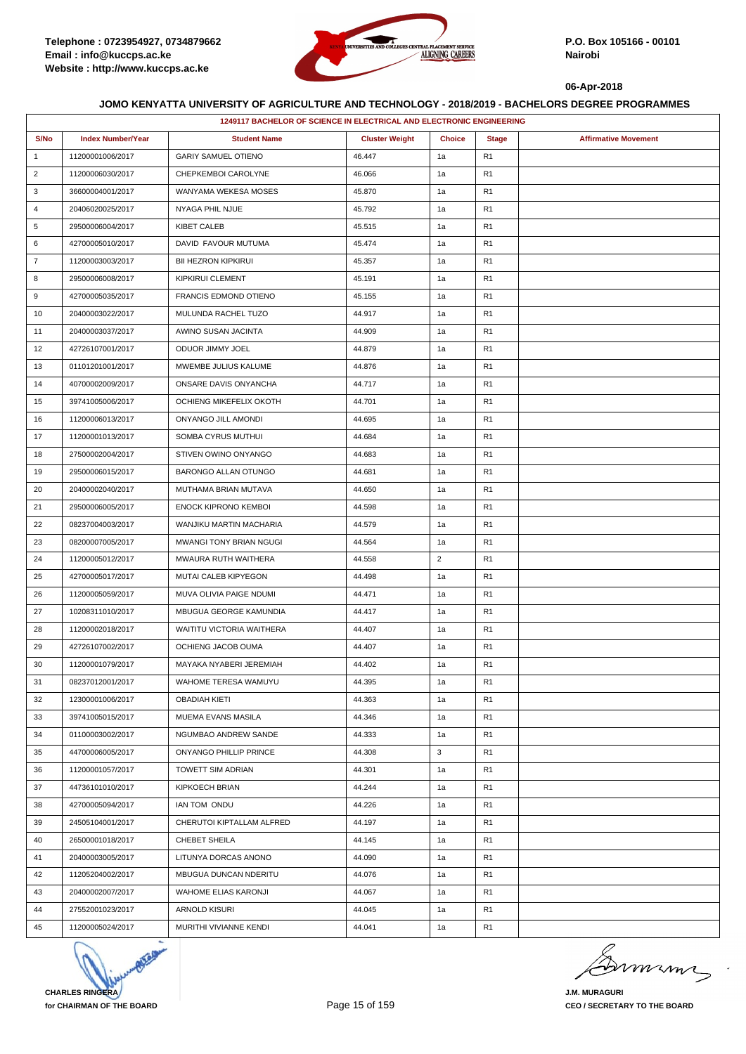

|                | 1249117 BACHELOR OF SCIENCE IN ELECTRICAL AND ELECTRONIC ENGINEERING |                             |                       |                |                |                             |  |
|----------------|----------------------------------------------------------------------|-----------------------------|-----------------------|----------------|----------------|-----------------------------|--|
| S/No           | <b>Index Number/Year</b>                                             | <b>Student Name</b>         | <b>Cluster Weight</b> | <b>Choice</b>  | <b>Stage</b>   | <b>Affirmative Movement</b> |  |
| $\mathbf{1}$   | 11200001006/2017                                                     | <b>GARIY SAMUEL OTIENO</b>  | 46.447                | 1a             | R <sub>1</sub> |                             |  |
| $\overline{2}$ | 11200006030/2017                                                     | CHEPKEMBOI CAROLYNE         | 46.066                | 1a             | R <sub>1</sub> |                             |  |
| 3              | 36600004001/2017                                                     | WANYAMA WEKESA MOSES        | 45.870                | 1a             | R <sub>1</sub> |                             |  |
| 4              | 20406020025/2017                                                     | NYAGA PHIL NJUE             | 45.792                | 1a             | R <sub>1</sub> |                             |  |
| 5              | 29500006004/2017                                                     | <b>KIBET CALEB</b>          | 45.515                | 1a             | R <sub>1</sub> |                             |  |
| 6              | 42700005010/2017                                                     | DAVID FAVOUR MUTUMA         | 45.474                | 1a             | R <sub>1</sub> |                             |  |
| $\overline{7}$ | 11200003003/2017                                                     | <b>BII HEZRON KIPKIRUI</b>  | 45.357                | 1a             | R <sub>1</sub> |                             |  |
| 8              | 29500006008/2017                                                     | KIPKIRUI CLEMENT            | 45.191                | 1a             | R <sub>1</sub> |                             |  |
| 9              | 42700005035/2017                                                     | FRANCIS EDMOND OTIENO       | 45.155                | 1a             | R <sub>1</sub> |                             |  |
| 10             | 20400003022/2017                                                     | MULUNDA RACHEL TUZO         | 44.917                | 1a             | R <sub>1</sub> |                             |  |
| 11             | 20400003037/2017                                                     | AWINO SUSAN JACINTA         | 44.909                | 1a             | R <sub>1</sub> |                             |  |
| 12             | 42726107001/2017                                                     | ODUOR JIMMY JOEL            | 44.879                | 1a             | R <sub>1</sub> |                             |  |
| 13             | 01101201001/2017                                                     | MWEMBE JULIUS KALUME        | 44.876                | 1a             | R <sub>1</sub> |                             |  |
| 14             | 40700002009/2017                                                     | ONSARE DAVIS ONYANCHA       | 44.717                | 1a             | R <sub>1</sub> |                             |  |
| 15             | 39741005006/2017                                                     | OCHIENG MIKEFELIX OKOTH     | 44.701                | 1a             | R <sub>1</sub> |                             |  |
| 16             | 11200006013/2017                                                     | ONYANGO JILL AMONDI         | 44.695                | 1a             | R <sub>1</sub> |                             |  |
| 17             | 11200001013/2017                                                     | SOMBA CYRUS MUTHUI          | 44.684                | 1a             | R <sub>1</sub> |                             |  |
| 18             | 27500002004/2017                                                     | STIVEN OWINO ONYANGO        | 44.683                | 1a             | R <sub>1</sub> |                             |  |
| 19             | 29500006015/2017                                                     | BARONGO ALLAN OTUNGO        | 44.681                | 1a             | R <sub>1</sub> |                             |  |
| 20             | 20400002040/2017                                                     | MUTHAMA BRIAN MUTAVA        | 44.650                | 1a             | R <sub>1</sub> |                             |  |
| 21             | 29500006005/2017                                                     | <b>ENOCK KIPRONO KEMBOI</b> | 44.598                | 1a             | R <sub>1</sub> |                             |  |
| 22             | 08237004003/2017                                                     | WANJIKU MARTIN MACHARIA     | 44.579                | 1a             | R <sub>1</sub> |                             |  |
| 23             | 08200007005/2017                                                     | MWANGI TONY BRIAN NGUGI     | 44.564                | 1a             | R <sub>1</sub> |                             |  |
| 24             | 11200005012/2017                                                     | MWAURA RUTH WAITHERA        | 44.558                | $\overline{2}$ | R <sub>1</sub> |                             |  |
| 25             | 42700005017/2017                                                     | MUTAI CALEB KIPYEGON        | 44.498                | 1a             | R <sub>1</sub> |                             |  |
| 26             | 11200005059/2017                                                     | MUVA OLIVIA PAIGE NDUMI     | 44.471                | 1a             | R <sub>1</sub> |                             |  |
| 27             | 10208311010/2017                                                     | MBUGUA GEORGE KAMUNDIA      | 44.417                | 1a             | R <sub>1</sub> |                             |  |
| 28             | 11200002018/2017                                                     | WAITITU VICTORIA WAITHERA   | 44.407                | 1a             | R <sub>1</sub> |                             |  |
| 29             | 42726107002/2017                                                     | OCHIENG JACOB OUMA          | 44.407                | 1a             | R <sub>1</sub> |                             |  |
| 30             | 11200001079/2017                                                     | MAYAKA NYABERI JEREMIAH     | 44.402                | 1a             | R <sub>1</sub> |                             |  |
| 31             | 08237012001/2017                                                     | WAHOME TERESA WAMUYU        | 44.395                | 1a             | R <sub>1</sub> |                             |  |
| 32             | 12300001006/2017                                                     | <b>OBADIAH KIETI</b>        | 44.363                | 1a             | R <sub>1</sub> |                             |  |
| 33             | 39741005015/2017                                                     | MUEMA EVANS MASILA          | 44.346                | 1a             | R <sub>1</sub> |                             |  |
| 34             | 01100003002/2017                                                     | NGUMBAO ANDREW SANDE        | 44.333                | 1a             | R <sub>1</sub> |                             |  |
| 35             | 44700006005/2017                                                     | ONYANGO PHILLIP PRINCE      | 44.308                | 3              | R <sub>1</sub> |                             |  |
| 36             | 11200001057/2017                                                     | TOWETT SIM ADRIAN           | 44.301                | 1a             | R <sub>1</sub> |                             |  |
| 37             | 44736101010/2017                                                     | KIPKOECH BRIAN              | 44.244                | 1a             | R <sub>1</sub> |                             |  |
| 38             | 42700005094/2017                                                     | IAN TOM ONDU                | 44.226                | 1a             | R <sub>1</sub> |                             |  |
| 39             | 24505104001/2017                                                     | CHERUTOI KIPTALLAM ALFRED   | 44.197                | 1a             | R <sub>1</sub> |                             |  |
| 40             | 26500001018/2017                                                     | CHEBET SHEILA               | 44.145                | 1a             | R <sub>1</sub> |                             |  |
| 41             | 20400003005/2017                                                     | LITUNYA DORCAS ANONO        | 44.090                | 1a             | R <sub>1</sub> |                             |  |
| 42             | 11205204002/2017                                                     | MBUGUA DUNCAN NDERITU       | 44.076                | 1a             | R <sub>1</sub> |                             |  |
| 43             | 20400002007/2017                                                     | WAHOME ELIAS KARONJI        | 44.067                | 1a             | R <sub>1</sub> |                             |  |
| 44             | 27552001023/2017                                                     | ARNOLD KISURI               | 44.045                | 1a             | R <sub>1</sub> |                             |  |
| 45             | 11200005024/2017                                                     | MURITHI VIVIANNE KENDI      | 44.041                | 1a             | R <sub>1</sub> |                             |  |



murma

**J.M. MURAGURI CEO / SECRETARY TO THE BOARD**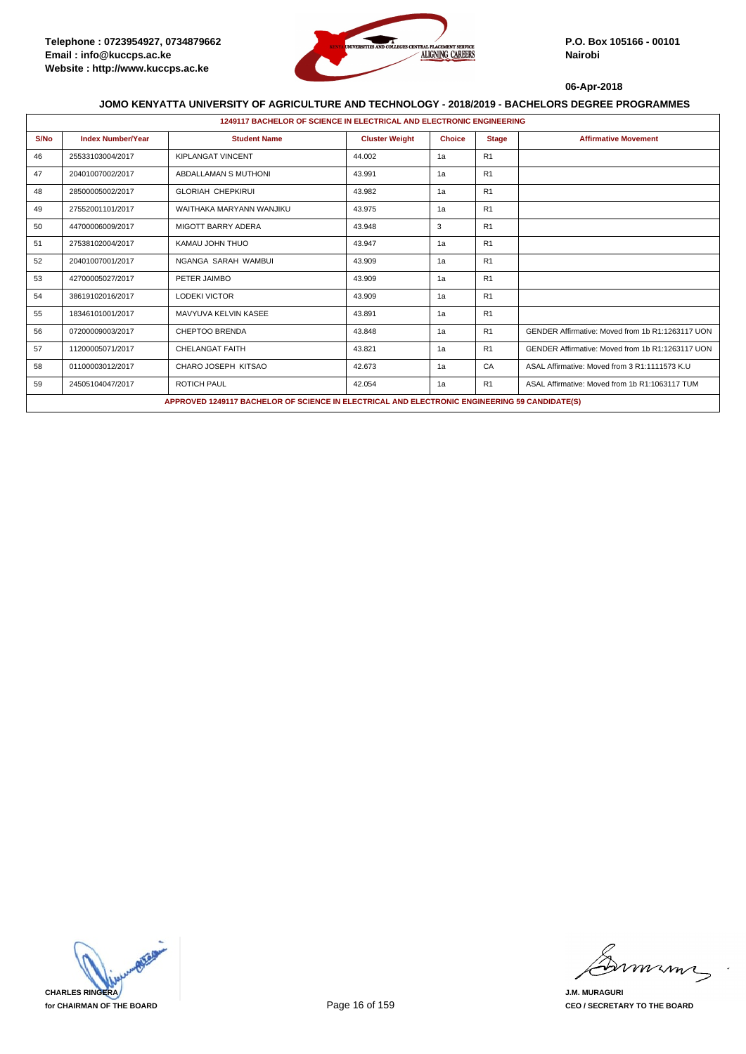

|      | 1249117 BACHELOR OF SCIENCE IN ELECTRICAL AND ELECTRONIC ENGINEERING |                                                                                               |                       |               |                |                                                  |  |  |
|------|----------------------------------------------------------------------|-----------------------------------------------------------------------------------------------|-----------------------|---------------|----------------|--------------------------------------------------|--|--|
| S/No | <b>Index Number/Year</b>                                             | <b>Student Name</b>                                                                           | <b>Cluster Weight</b> | <b>Choice</b> | <b>Stage</b>   | <b>Affirmative Movement</b>                      |  |  |
| 46   | 25533103004/2017                                                     | <b>KIPLANGAT VINCENT</b>                                                                      | 44.002                | 1a            | R1             |                                                  |  |  |
| 47   | 20401007002/2017                                                     | ABDALLAMAN S MUTHONI                                                                          | 43.991                | 1a            | R1             |                                                  |  |  |
| 48   | 28500005002/2017                                                     | <b>GLORIAH CHEPKIRUI</b>                                                                      | 43.982                | 1a            | R1             |                                                  |  |  |
| 49   | 27552001101/2017                                                     | WAITHAKA MARYANN WANJIKU                                                                      | 43.975                | 1a            | R <sub>1</sub> |                                                  |  |  |
| 50   | 44700006009/2017                                                     | <b>MIGOTT BARRY ADERA</b>                                                                     | 43.948                | 3             | R <sub>1</sub> |                                                  |  |  |
| 51   | 27538102004/2017                                                     | KAMAU JOHN THUO                                                                               | 43.947                | 1a            | R1             |                                                  |  |  |
| 52   | 20401007001/2017                                                     | NGANGA SARAH WAMBUI                                                                           | 43.909                | 1a            | R1             |                                                  |  |  |
| 53   | 42700005027/2017                                                     | PETER JAIMBO                                                                                  | 43.909                | 1a            | R <sub>1</sub> |                                                  |  |  |
| 54   | 38619102016/2017                                                     | <b>LODEKI VICTOR</b>                                                                          | 43.909                | 1a            | R1             |                                                  |  |  |
| 55   | 18346101001/2017                                                     | MAVYUVA KELVIN KASEE                                                                          | 43.891                | 1a            | R1             |                                                  |  |  |
| 56   | 07200009003/2017                                                     | CHEPTOO BRENDA                                                                                | 43.848                | 1a            | R1             | GENDER Affirmative: Moved from 1b R1:1263117 UON |  |  |
| 57   | 11200005071/2017                                                     | CHELANGAT FAITH                                                                               | 43.821                | 1a            | R1             | GENDER Affirmative: Moved from 1b R1:1263117 UON |  |  |
| 58   | 01100003012/2017                                                     | CHARO JOSEPH KITSAO                                                                           | 42.673                | 1a            | CA             | ASAL Affirmative: Moved from 3 R1:1111573 K.U    |  |  |
| 59   | 24505104047/2017                                                     | <b>ROTICH PAUL</b>                                                                            | 42.054                | 1a            | R1             | ASAL Affirmative: Moved from 1b R1:1063117 TUM   |  |  |
|      |                                                                      | APPROVED 1249117 BACHELOR OF SCIENCE IN ELECTRICAL AND ELECTRONIC ENGINEERING 59 CANDIDATE(S) |                       |               |                |                                                  |  |  |



miming

**J.M. MURAGURI CEO / SECRETARY TO THE BOARD**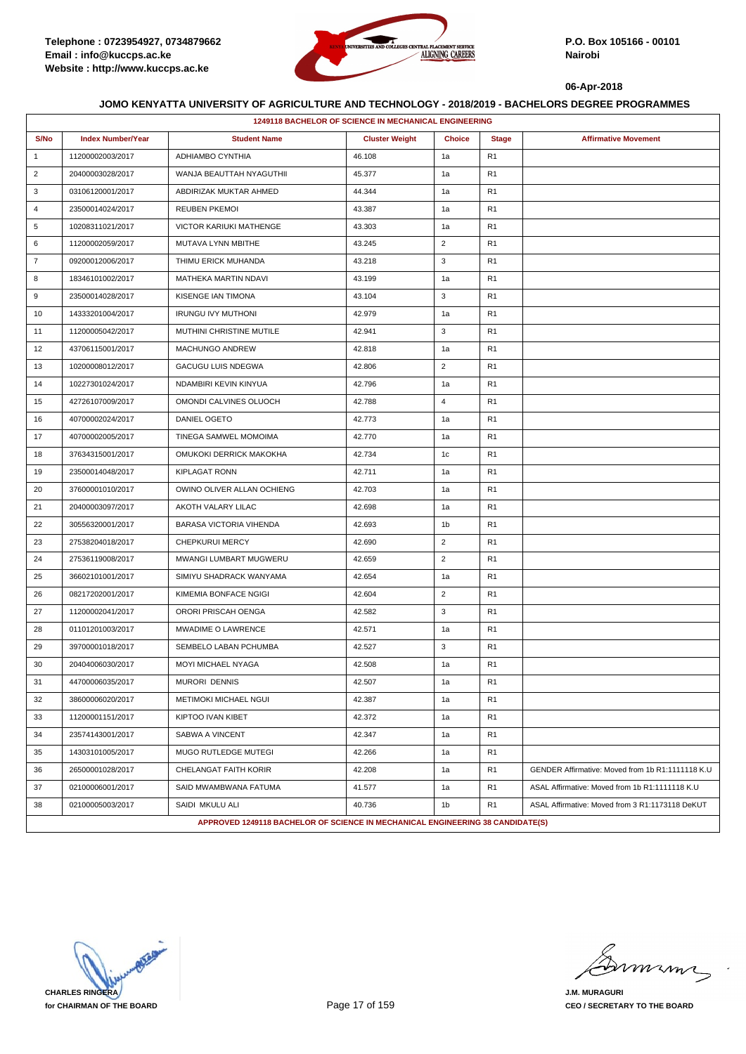

|                | <b>1249118 BACHELOR OF SCIENCE IN MECHANICAL ENGINEERING</b> |                                                                                |                       |                |                |                                                  |  |  |
|----------------|--------------------------------------------------------------|--------------------------------------------------------------------------------|-----------------------|----------------|----------------|--------------------------------------------------|--|--|
| S/No           | <b>Index Number/Year</b>                                     | <b>Student Name</b>                                                            | <b>Cluster Weight</b> | <b>Choice</b>  | <b>Stage</b>   | <b>Affirmative Movement</b>                      |  |  |
| $\mathbf{1}$   | 11200002003/2017                                             | ADHIAMBO CYNTHIA                                                               | 46.108                | 1a             | R <sub>1</sub> |                                                  |  |  |
| $\overline{2}$ | 20400003028/2017                                             | WANJA BEAUTTAH NYAGUTHII                                                       | 45.377                | 1a             | R <sub>1</sub> |                                                  |  |  |
| 3              | 03106120001/2017                                             | ABDIRIZAK MUKTAR AHMED                                                         | 44.344                | 1a             | R <sub>1</sub> |                                                  |  |  |
| 4              | 23500014024/2017                                             | <b>REUBEN PKEMOI</b>                                                           | 43.387                | 1a             | R <sub>1</sub> |                                                  |  |  |
| 5              | 10208311021/2017                                             | VICTOR KARIUKI MATHENGE                                                        | 43.303                | 1a             | R <sub>1</sub> |                                                  |  |  |
| 6              | 11200002059/2017                                             | MUTAVA LYNN MBITHE                                                             | 43.245                | $\overline{2}$ | R <sub>1</sub> |                                                  |  |  |
| $\overline{7}$ | 09200012006/2017                                             | THIMU ERICK MUHANDA                                                            | 43.218                | 3              | R <sub>1</sub> |                                                  |  |  |
| 8              | 18346101002/2017                                             | MATHEKA MARTIN NDAVI                                                           | 43.199                | 1a             | R <sub>1</sub> |                                                  |  |  |
| 9              | 23500014028/2017                                             | KISENGE IAN TIMONA                                                             | 43.104                | 3              | R <sub>1</sub> |                                                  |  |  |
| 10             | 14333201004/2017                                             | <b>IRUNGU IVY MUTHONI</b>                                                      | 42.979                | 1a             | R <sub>1</sub> |                                                  |  |  |
| 11             | 11200005042/2017                                             | MUTHINI CHRISTINE MUTILE                                                       | 42.941                | 3              | R <sub>1</sub> |                                                  |  |  |
| 12             | 43706115001/2017                                             | MACHUNGO ANDREW                                                                | 42.818                | 1a             | R <sub>1</sub> |                                                  |  |  |
| 13             | 10200008012/2017                                             | GACUGU LUIS NDEGWA                                                             | 42.806                | 2              | R <sub>1</sub> |                                                  |  |  |
| 14             | 10227301024/2017                                             | NDAMBIRI KEVIN KINYUA                                                          | 42.796                | 1a             | R <sub>1</sub> |                                                  |  |  |
| 15             | 42726107009/2017                                             | OMONDI CALVINES OLUOCH                                                         | 42.788                | $\overline{4}$ | R <sub>1</sub> |                                                  |  |  |
| 16             | 40700002024/2017                                             | <b>DANIEL OGETO</b>                                                            | 42.773                | 1a             | R <sub>1</sub> |                                                  |  |  |
| 17             | 40700002005/2017                                             | TINEGA SAMWEL MOMOIMA                                                          | 42.770                | 1a             | R <sub>1</sub> |                                                  |  |  |
| 18             | 37634315001/2017                                             | OMUKOKI DERRICK MAKOKHA                                                        | 42.734                | 1c             | R <sub>1</sub> |                                                  |  |  |
| 19             | 23500014048/2017                                             | <b>KIPLAGAT RONN</b>                                                           | 42.711                | 1a             | R <sub>1</sub> |                                                  |  |  |
| 20             | 37600001010/2017                                             | OWINO OLIVER ALLAN OCHIENG                                                     | 42.703                | 1a             | R <sub>1</sub> |                                                  |  |  |
| 21             | 20400003097/2017                                             | AKOTH VALARY LILAC                                                             | 42.698                | 1a             | R <sub>1</sub> |                                                  |  |  |
| 22             | 30556320001/2017                                             | <b>BARASA VICTORIA VIHENDA</b>                                                 | 42.693                | 1b             | R <sub>1</sub> |                                                  |  |  |
| 23             | 27538204018/2017                                             | <b>CHEPKURUI MERCY</b>                                                         | 42.690                | $\overline{2}$ | R <sub>1</sub> |                                                  |  |  |
| 24             | 27536119008/2017                                             | MWANGI LUMBART MUGWERU                                                         | 42.659                | $\overline{2}$ | R <sub>1</sub> |                                                  |  |  |
| 25             | 36602101001/2017                                             | SIMIYU SHADRACK WANYAMA                                                        | 42.654                | 1a             | R <sub>1</sub> |                                                  |  |  |
| 26             | 08217202001/2017                                             | KIMEMIA BONFACE NGIGI                                                          | 42.604                | $\overline{2}$ | R <sub>1</sub> |                                                  |  |  |
| 27             | 11200002041/2017                                             | ORORI PRISCAH OENGA                                                            | 42.582                | 3              | R <sub>1</sub> |                                                  |  |  |
| 28             | 01101201003/2017                                             | MWADIME O LAWRENCE                                                             | 42.571                | 1a             | R <sub>1</sub> |                                                  |  |  |
| 29             | 39700001018/2017                                             | SEMBELO LABAN PCHUMBA                                                          | 42.527                | 3              | R <sub>1</sub> |                                                  |  |  |
| 30             | 20404006030/2017                                             | MOYI MICHAEL NYAGA                                                             | 42.508                | 1a             | R <sub>1</sub> |                                                  |  |  |
| 31             | 44700006035/2017                                             | MURORI DENNIS                                                                  | 42.507                | 1a             | R <sub>1</sub> |                                                  |  |  |
| 32             | 38600006020/2017                                             | METIMOKI MICHAEL NGUI                                                          | 42.387                | 1a             | R <sub>1</sub> |                                                  |  |  |
| 33             | 11200001151/2017                                             | KIPTOO IVAN KIBET                                                              | 42.372                | 1a             | R <sub>1</sub> |                                                  |  |  |
| 34             | 23574143001/2017                                             | SABWA A VINCENT                                                                | 42.347                | 1a             | R <sub>1</sub> |                                                  |  |  |
| 35             | 14303101005/2017                                             | MUGO RUTLEDGE MUTEGI                                                           | 42.266                | 1a             | R <sub>1</sub> |                                                  |  |  |
| 36             | 26500001028/2017                                             | CHELANGAT FAITH KORIR                                                          | 42.208                | 1a             | R <sub>1</sub> | GENDER Affirmative: Moved from 1b R1:1111118 K.U |  |  |
| 37             | 02100006001/2017                                             | SAID MWAMBWANA FATUMA                                                          | 41.577                | 1a             | R <sub>1</sub> | ASAL Affirmative: Moved from 1b R1:1111118 K.U   |  |  |
| 38             | 02100005003/2017                                             | SAIDI MKULU ALI                                                                | 40.736                | 1 <sub>b</sub> | R <sub>1</sub> | ASAL Affirmative: Moved from 3 R1:1173118 DeKUT  |  |  |
|                |                                                              | APPROVED 1249118 BACHELOR OF SCIENCE IN MECHANICAL ENGINEERING 38 CANDIDATE(S) |                       |                |                |                                                  |  |  |

**CHARLES RINGERA for CHAIRMAN OF THE BOARD**

mmmm

**J.M. MURAGURI CEO / SECRETARY TO THE BOARD**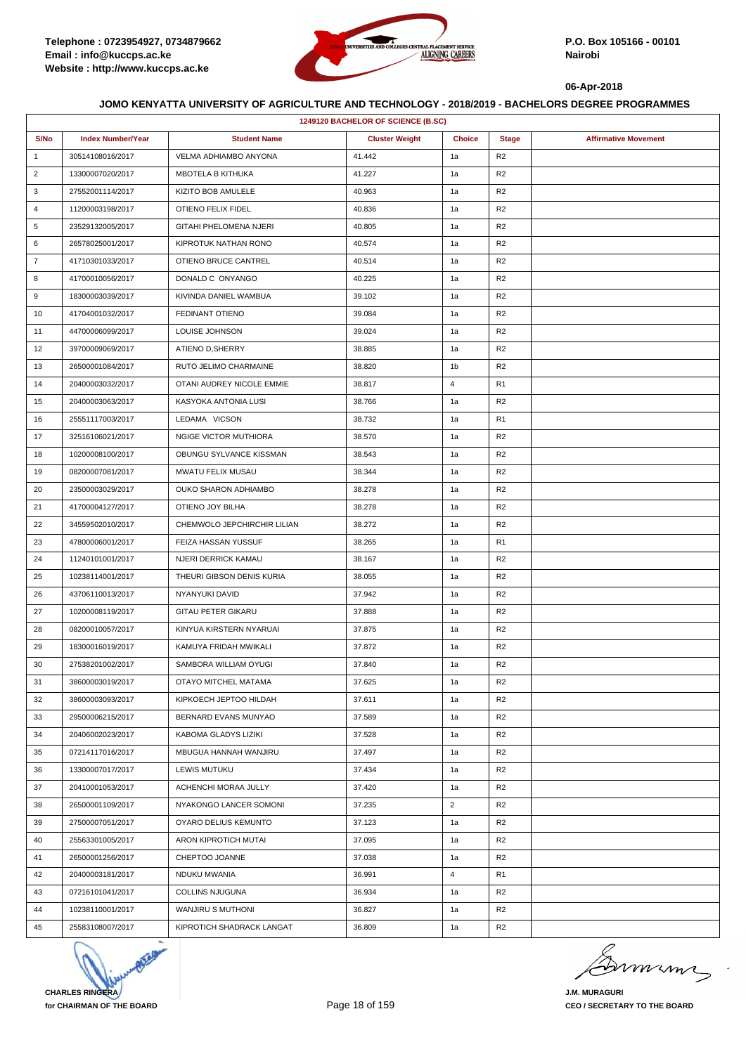

| 1249120 BACHELOR OF SCIENCE (B.SC) |                          |                             |                       |                |                |                             |  |
|------------------------------------|--------------------------|-----------------------------|-----------------------|----------------|----------------|-----------------------------|--|
| S/No                               | <b>Index Number/Year</b> | <b>Student Name</b>         | <b>Cluster Weight</b> | <b>Choice</b>  | <b>Stage</b>   | <b>Affirmative Movement</b> |  |
| $\mathbf{1}$                       | 30514108016/2017         | VELMA ADHIAMBO ANYONA       | 41.442                | 1a             | R <sub>2</sub> |                             |  |
| $\overline{2}$                     | 13300007020/2017         | MBOTELA B KITHUKA           | 41.227                | 1a             | R2             |                             |  |
| 3                                  | 27552001114/2017         | KIZITO BOB AMULELE          | 40.963                | 1a             | R <sub>2</sub> |                             |  |
| 4                                  | 11200003198/2017         | OTIENO FELIX FIDEL          | 40.836                | 1a             | R <sub>2</sub> |                             |  |
| 5                                  | 23529132005/2017         | GITAHI PHELOMENA NJERI      | 40.805                | 1a             | R <sub>2</sub> |                             |  |
| 6                                  | 26578025001/2017         | KIPROTUK NATHAN RONO        | 40.574                | 1a             | R <sub>2</sub> |                             |  |
| $\overline{7}$                     | 41710301033/2017         | OTIENO BRUCE CANTREL        | 40.514                | 1a             | R <sub>2</sub> |                             |  |
| 8                                  | 41700010056/2017         | DONALD C ONYANGO            | 40.225                | 1a             | R <sub>2</sub> |                             |  |
| 9                                  | 18300003039/2017         | KIVINDA DANIEL WAMBUA       | 39.102                | 1a             | R <sub>2</sub> |                             |  |
| 10                                 | 41704001032/2017         | FEDINANT OTIENO             | 39.084                | 1a             | R2             |                             |  |
| 11                                 | 44700006099/2017         | LOUISE JOHNSON              | 39.024                | 1a             | R2             |                             |  |
| 12                                 | 39700009069/2017         | ATIENO D, SHERRY            | 38.885                | 1a             | R <sub>2</sub> |                             |  |
| 13                                 | 26500001084/2017         | RUTO JELIMO CHARMAINE       | 38.820                | 1b             | R <sub>2</sub> |                             |  |
| 14                                 | 20400003032/2017         | OTANI AUDREY NICOLE EMMIE   | 38.817                | 4              | R <sub>1</sub> |                             |  |
| 15                                 | 20400003063/2017         | KASYOKA ANTONIA LUSI        | 38.766                | 1a             | R <sub>2</sub> |                             |  |
| 16                                 | 25551117003/2017         | LEDAMA VICSON               | 38.732                | 1a             | R <sub>1</sub> |                             |  |
| 17                                 | 32516106021/2017         | NGIGE VICTOR MUTHIORA       | 38.570                | 1a             | R <sub>2</sub> |                             |  |
| 18                                 | 10200008100/2017         | OBUNGU SYLVANCE KISSMAN     | 38.543                | 1a             | R <sub>2</sub> |                             |  |
| 19                                 | 08200007081/2017         | MWATU FELIX MUSAU           | 38.344                | 1a             | R <sub>2</sub> |                             |  |
| 20                                 | 23500003029/2017         | OUKO SHARON ADHIAMBO        | 38.278                | 1a             | R2             |                             |  |
| 21                                 | 41700004127/2017         | OTIENO JOY BILHA            | 38.278                | 1a             | R <sub>2</sub> |                             |  |
| 22                                 | 34559502010/2017         | CHEMWOLO JEPCHIRCHIR LILIAN | 38.272                | 1a             | R2             |                             |  |
| 23                                 | 47800006001/2017         | FEIZA HASSAN YUSSUF         | 38.265                | 1a             | R <sub>1</sub> |                             |  |
| 24                                 | 11240101001/2017         | NJERI DERRICK KAMAU         | 38.167                | 1a             | R <sub>2</sub> |                             |  |
| 25                                 | 10238114001/2017         | THEURI GIBSON DENIS KURIA   | 38.055                | 1a             | R <sub>2</sub> |                             |  |
| 26                                 | 43706110013/2017         | NYANYUKI DAVID              | 37.942                | 1a             | R2             |                             |  |
| 27                                 | 10200008119/2017         | <b>GITAU PETER GIKARU</b>   | 37.888                | 1a             | R <sub>2</sub> |                             |  |
| 28                                 | 08200010057/2017         | KINYUA KIRSTERN NYARUAI     | 37.875                | 1a             | R <sub>2</sub> |                             |  |
| 29                                 | 18300016019/2017         | KAMUYA FRIDAH MWIKALI       | 37.872                | 1a             | R <sub>2</sub> |                             |  |
| 30                                 | 27538201002/2017         | SAMBORA WILLIAM OYUGI       | 37.840                | 1a             | R <sub>2</sub> |                             |  |
| 31                                 | 38600003019/2017         | OTAYO MITCHEL MATAMA        | 37.625                | 1a             | R <sub>2</sub> |                             |  |
| 32                                 | 38600003093/2017         | KIPKOECH JEPTOO HILDAH      | 37.611                | 1a             | R <sub>2</sub> |                             |  |
| 33                                 | 29500006215/2017         | BERNARD EVANS MUNYAO        | 37.589                | 1a             | R <sub>2</sub> |                             |  |
| 34                                 | 20406002023/2017         | KABOMA GLADYS LIZIKI        | 37.528                | 1a             | R <sub>2</sub> |                             |  |
| 35                                 | 07214117016/2017         | MBUGUA HANNAH WANJIRU       | 37.497                | 1a             | R2             |                             |  |
| 36                                 | 13300007017/2017         | LEWIS MUTUKU                | 37.434                | 1a             | R <sub>2</sub> |                             |  |
| 37                                 | 20410001053/2017         | ACHENCHI MORAA JULLY        | 37.420                | 1a             | R <sub>2</sub> |                             |  |
| 38                                 | 26500001109/2017         | NYAKONGO LANCER SOMONI      | 37.235                | $\overline{2}$ | R2             |                             |  |
| 39                                 | 27500007051/2017         | OYARO DELIUS KEMUNTO        | 37.123                | 1a             | R <sub>2</sub> |                             |  |
| 40                                 | 25563301005/2017         | ARON KIPROTICH MUTAI        | 37.095                | 1a             | R <sub>2</sub> |                             |  |
| 41                                 | 26500001256/2017         | CHEPTOO JOANNE              | 37.038                | 1a             | R2             |                             |  |
| 42                                 | 20400003181/2017         | NDUKU MWANIA                | 36.991                | 4              | R1             |                             |  |
| 43                                 | 07216101041/2017         | <b>COLLINS NJUGUNA</b>      | 36.934                | 1a             | R <sub>2</sub> |                             |  |
| 44                                 | 10238110001/2017         | WANJIRU S MUTHONI           | 36.827                | 1a             | R <sub>2</sub> |                             |  |
| 45                                 | 25583108007/2017         | KIPROTICH SHADRACK LANGAT   | 36.809                | 1a             | R <sub>2</sub> |                             |  |



minn

**J.M. MURAGURI CEO / SECRETARY TO THE BOARD**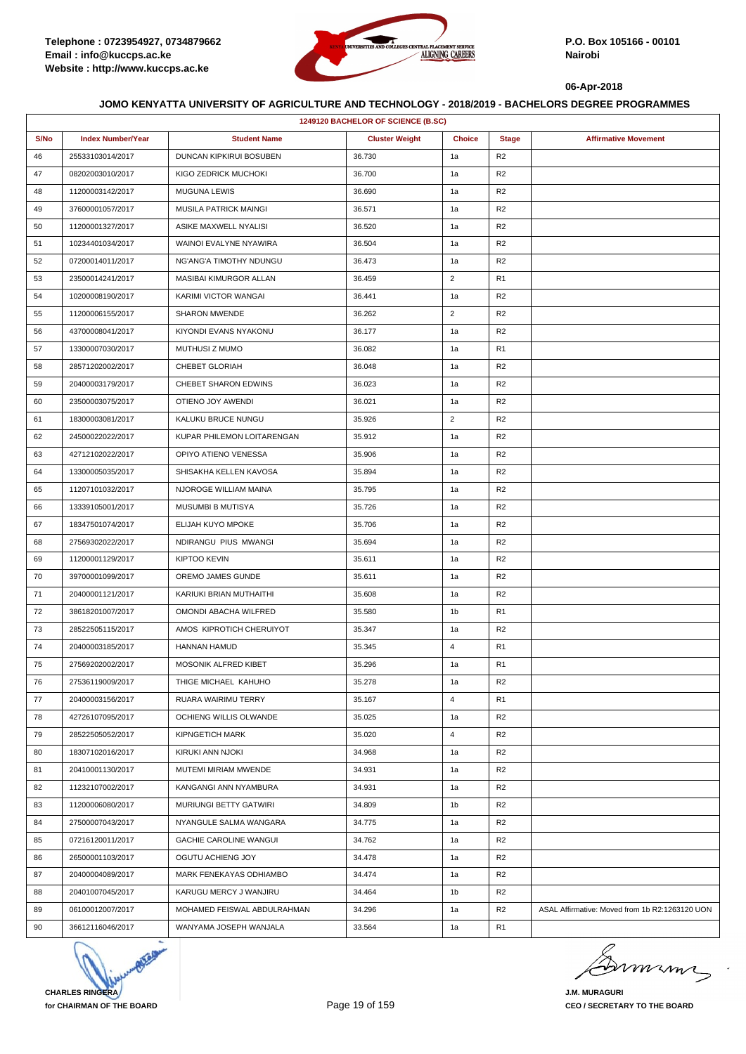

|      | 1249120 BACHELOR OF SCIENCE (B.SC) |                               |                       |                |                |                                                |  |  |
|------|------------------------------------|-------------------------------|-----------------------|----------------|----------------|------------------------------------------------|--|--|
| S/No | <b>Index Number/Year</b>           | <b>Student Name</b>           | <b>Cluster Weight</b> | <b>Choice</b>  | <b>Stage</b>   | <b>Affirmative Movement</b>                    |  |  |
| 46   | 25533103014/2017                   | DUNCAN KIPKIRUI BOSUBEN       | 36.730                | 1a             | R <sub>2</sub> |                                                |  |  |
| 47   | 08202003010/2017                   | KIGO ZEDRICK MUCHOKI          | 36.700                | 1a             | R <sub>2</sub> |                                                |  |  |
| 48   | 11200003142/2017                   | <b>MUGUNA LEWIS</b>           | 36.690                | 1a             | R <sub>2</sub> |                                                |  |  |
| 49   | 37600001057/2017                   | MUSILA PATRICK MAINGI         | 36.571                | 1a             | R2             |                                                |  |  |
| 50   | 11200001327/2017                   | ASIKE MAXWELL NYALISI         | 36.520                | 1a             | R2             |                                                |  |  |
| 51   | 10234401034/2017                   | WAINOI EVALYNE NYAWIRA        | 36.504                | 1a             | R2             |                                                |  |  |
| 52   | 07200014011/2017                   | NG'ANG'A TIMOTHY NDUNGU       | 36.473                | 1a             | R2             |                                                |  |  |
| 53   | 23500014241/2017                   | MASIBAI KIMURGOR ALLAN        | 36.459                | $\overline{2}$ | R <sub>1</sub> |                                                |  |  |
| 54   | 10200008190/2017                   | KARIMI VICTOR WANGAI          | 36.441                | 1a             | R <sub>2</sub> |                                                |  |  |
| 55   | 11200006155/2017                   | SHARON MWENDE                 | 36.262                | $\overline{2}$ | R <sub>2</sub> |                                                |  |  |
| 56   | 43700008041/2017                   | KIYONDI EVANS NYAKONU         | 36.177                | 1a             | R <sub>2</sub> |                                                |  |  |
| 57   | 13300007030/2017                   | MUTHUSI Z MUMO                | 36.082                | 1a             | R <sub>1</sub> |                                                |  |  |
| 58   | 28571202002/2017                   | CHEBET GLORIAH                | 36.048                | 1a             | R2             |                                                |  |  |
| 59   | 20400003179/2017                   | CHEBET SHARON EDWINS          | 36.023                | 1a             | R2             |                                                |  |  |
| 60   | 23500003075/2017                   | OTIENO JOY AWENDI             | 36.021                | 1a             | R <sub>2</sub> |                                                |  |  |
| 61   | 18300003081/2017                   | KALUKU BRUCE NUNGU            | 35.926                | $\overline{2}$ | R2             |                                                |  |  |
| 62   | 24500022022/2017                   | KUPAR PHILEMON LOITARENGAN    | 35.912                | 1a             | R <sub>2</sub> |                                                |  |  |
| 63   | 42712102022/2017                   | OPIYO ATIENO VENESSA          | 35.906                | 1a             | R <sub>2</sub> |                                                |  |  |
| 64   | 13300005035/2017                   | SHISAKHA KELLEN KAVOSA        | 35.894                | 1a             | R <sub>2</sub> |                                                |  |  |
| 65   | 11207101032/2017                   | NJOROGE WILLIAM MAINA         | 35.795                | 1a             | R2             |                                                |  |  |
| 66   | 13339105001/2017                   | MUSUMBI B MUTISYA             | 35.726                | 1a             | R2             |                                                |  |  |
| 67   | 18347501074/2017                   | ELIJAH KUYO MPOKE             | 35.706                | 1a             | R2             |                                                |  |  |
| 68   | 27569302022/2017                   | NDIRANGU PIUS MWANGI          | 35.694                | 1a             | R2             |                                                |  |  |
| 69   | 11200001129/2017                   | <b>KIPTOO KEVIN</b>           | 35.611                | 1a             | R <sub>2</sub> |                                                |  |  |
| 70   | 39700001099/2017                   | OREMO JAMES GUNDE             | 35.611                | 1a             | R <sub>2</sub> |                                                |  |  |
| 71   | 20400001121/2017                   | KARIUKI BRIAN MUTHAITHI       | 35.608                | 1a             | R <sub>2</sub> |                                                |  |  |
| 72   | 38618201007/2017                   | OMONDI ABACHA WILFRED         | 35.580                | 1b             | R <sub>1</sub> |                                                |  |  |
| 73   | 28522505115/2017                   | AMOS KIPROTICH CHERUIYOT      | 35.347                | 1a             | R <sub>2</sub> |                                                |  |  |
| 74   | 20400003185/2017                   | <b>HANNAN HAMUD</b>           | 35.345                | 4              | R <sub>1</sub> |                                                |  |  |
| 75   | 27569202002/2017                   | MOSONIK ALFRED KIBET          | 35.296                | 1a             | R <sub>1</sub> |                                                |  |  |
| 76   | 27536119009/2017                   | THIGE MICHAEL KAHUHO          | 35.278                | 1a             | R <sub>2</sub> |                                                |  |  |
| 77   | 20400003156/2017                   | RUARA WAIRIMU TERRY           | 35.167                | 4              | R <sub>1</sub> |                                                |  |  |
| 78   | 42726107095/2017                   | OCHIENG WILLIS OLWANDE        | 35.025                | 1a             | R <sub>2</sub> |                                                |  |  |
| 79   | 28522505052/2017                   | <b>KIPNGETICH MARK</b>        | 35.020                | 4              | R <sub>2</sub> |                                                |  |  |
| 80   | 18307102016/2017                   | KIRUKI ANN NJOKI              | 34.968                | 1a             | R2             |                                                |  |  |
| 81   | 20410001130/2017                   | MUTEMI MIRIAM MWENDE          | 34.931                | 1a             | R <sub>2</sub> |                                                |  |  |
| 82   | 11232107002/2017                   | KANGANGI ANN NYAMBURA         | 34.931                | 1a             | R <sub>2</sub> |                                                |  |  |
| 83   | 11200006080/2017                   | <b>MURIUNGI BETTY GATWIRI</b> | 34.809                | 1b             | R2             |                                                |  |  |
| 84   | 27500007043/2017                   | NYANGULE SALMA WANGARA        | 34.775                | 1a             | R <sub>2</sub> |                                                |  |  |
| 85   | 07216120011/2017                   | <b>GACHIE CAROLINE WANGUI</b> | 34.762                | 1a             | R <sub>2</sub> |                                                |  |  |
| 86   | 26500001103/2017                   | OGUTU ACHIENG JOY             | 34.478                | 1a             | R <sub>2</sub> |                                                |  |  |
| 87   | 20400004089/2017                   | MARK FENEKAYAS ODHIAMBO       | 34.474                | 1a             | R <sub>2</sub> |                                                |  |  |
| 88   | 20401007045/2017                   | KARUGU MERCY J WANJIRU        | 34.464                | 1b             | R <sub>2</sub> |                                                |  |  |
| 89   | 06100012007/2017                   | MOHAMED FEISWAL ABDULRAHMAN   | 34.296                | 1a             | R <sub>2</sub> | ASAL Affirmative: Moved from 1b R2:1263120 UON |  |  |
| 90   | 36612116046/2017                   | WANYAMA JOSEPH WANJALA        | 33.564                | 1a             | R1             |                                                |  |  |



Dimimi

**J.M. MURAGURI CEO / SECRETARY TO THE BOARD**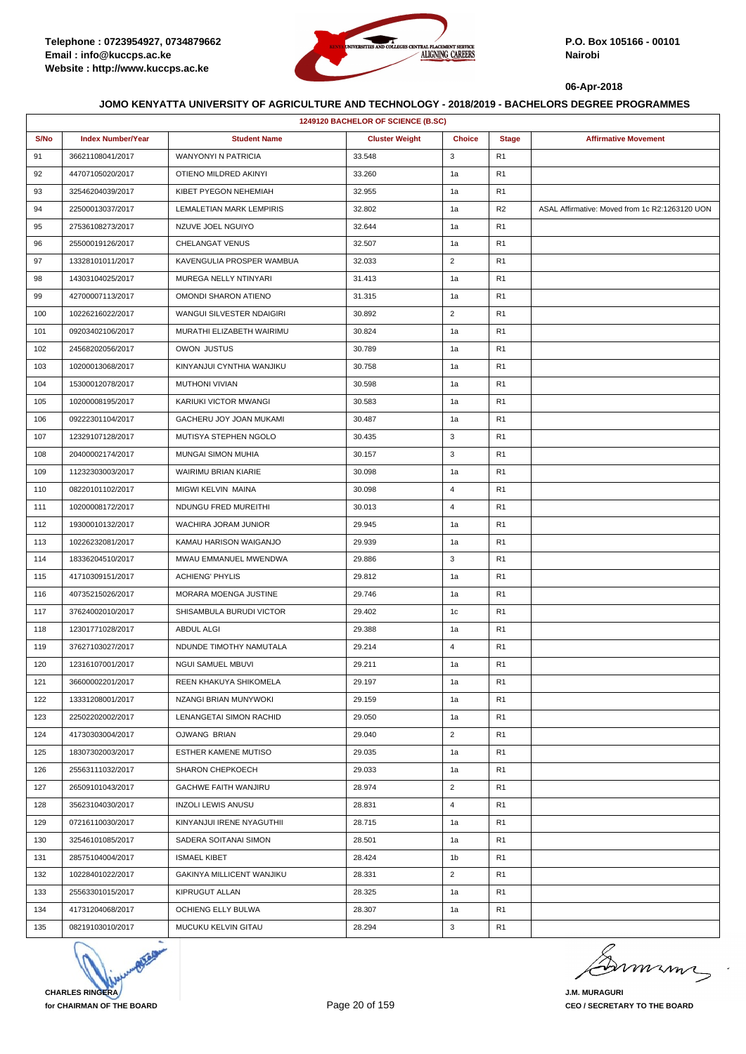

|      | 1249120 BACHELOR OF SCIENCE (B.SC) |                                |                       |                |                |                                                |  |  |
|------|------------------------------------|--------------------------------|-----------------------|----------------|----------------|------------------------------------------------|--|--|
| S/No | <b>Index Number/Year</b>           | <b>Student Name</b>            | <b>Cluster Weight</b> | <b>Choice</b>  | <b>Stage</b>   | <b>Affirmative Movement</b>                    |  |  |
| 91   | 36621108041/2017                   | <b>WANYONYI N PATRICIA</b>     | 33.548                | 3              | R <sub>1</sub> |                                                |  |  |
| 92   | 44707105020/2017                   | OTIENO MILDRED AKINYI          | 33.260                | 1a             | R <sub>1</sub> |                                                |  |  |
| 93   | 32546204039/2017                   | KIBET PYEGON NEHEMIAH          | 32.955                | 1a             | R <sub>1</sub> |                                                |  |  |
| 94   | 22500013037/2017                   | LEMALETIAN MARK LEMPIRIS       | 32.802                | 1a             | R2             | ASAL Affirmative: Moved from 1c R2:1263120 UON |  |  |
| 95   | 27536108273/2017                   | NZUVE JOEL NGUIYO              | 32.644                | 1a             | R <sub>1</sub> |                                                |  |  |
| 96   | 25500019126/2017                   | CHELANGAT VENUS                | 32.507                | 1a             | R1             |                                                |  |  |
| 97   | 13328101011/2017                   | KAVENGULIA PROSPER WAMBUA      | 32.033                | $\overline{2}$ | R1             |                                                |  |  |
| 98   | 14303104025/2017                   | MUREGA NELLY NTINYARI          | 31.413                | 1a             | R <sub>1</sub> |                                                |  |  |
| 99   | 42700007113/2017                   | OMONDI SHARON ATIENO           | 31.315                | 1a             | R <sub>1</sub> |                                                |  |  |
| 100  | 10226216022/2017                   | WANGUI SILVESTER NDAIGIRI      | 30.892                | $\overline{2}$ | R <sub>1</sub> |                                                |  |  |
| 101  | 09203402106/2017                   | MURATHI ELIZABETH WAIRIMU      | 30.824                | 1a             | R <sub>1</sub> |                                                |  |  |
| 102  | 24568202056/2017                   | OWON JUSTUS                    | 30.789                | 1a             | R1             |                                                |  |  |
| 103  | 10200013068/2017                   | KINYANJUI CYNTHIA WANJIKU      | 30.758                | 1a             | R1             |                                                |  |  |
| 104  | 15300012078/2017                   | <b>MUTHONI VIVIAN</b>          | 30.598                | 1a             | R <sub>1</sub> |                                                |  |  |
| 105  | 10200008195/2017                   | KARIUKI VICTOR MWANGI          | 30.583                | 1a             | R <sub>1</sub> |                                                |  |  |
| 106  | 09222301104/2017                   | <b>GACHERU JOY JOAN MUKAMI</b> | 30.487                | 1a             | R <sub>1</sub> |                                                |  |  |
| 107  | 12329107128/2017                   | MUTISYA STEPHEN NGOLO          | 30.435                | 3              | R <sub>1</sub> |                                                |  |  |
| 108  | 20400002174/2017                   | MUNGAI SIMON MUHIA             | 30.157                | 3              | R1             |                                                |  |  |
| 109  | 11232303003/2017                   | <b>WAIRIMU BRIAN KIARIE</b>    | 30.098                | 1a             | R1             |                                                |  |  |
| 110  | 08220101102/2017                   | MIGWI KELVIN MAINA             | 30.098                | $\overline{4}$ | R <sub>1</sub> |                                                |  |  |
| 111  | 10200008172/2017                   | NDUNGU FRED MUREITHI           | 30.013                | $\overline{4}$ | R <sub>1</sub> |                                                |  |  |
| 112  | 19300010132/2017                   | WACHIRA JORAM JUNIOR           | 29.945                | 1a             | R <sub>1</sub> |                                                |  |  |
| 113  | 10226232081/2017                   | KAMAU HARISON WAIGANJO         | 29.939                | 1a             | R <sub>1</sub> |                                                |  |  |
| 114  | 18336204510/2017                   | MWAU EMMANUEL MWENDWA          | 29.886                | 3              | R1             |                                                |  |  |
| 115  | 41710309151/2017                   | <b>ACHIENG' PHYLIS</b>         | 29.812                | 1a             | R1             |                                                |  |  |
| 116  | 40735215026/2017                   | MORARA MOENGA JUSTINE          | 29.746                | 1a             | R <sub>1</sub> |                                                |  |  |
| 117  | 37624002010/2017                   | SHISAMBULA BURUDI VICTOR       | 29.402                | 1c             | R <sub>1</sub> |                                                |  |  |
| 118  | 12301771028/2017                   | ABDUL ALGI                     | 29.388                | 1a             | R1             |                                                |  |  |
| 119  | 37627103027/2017                   | NDUNDE TIMOTHY NAMUTALA        | 29.214                | $\overline{4}$ | R <sub>1</sub> |                                                |  |  |
| 120  | 12316107001/2017                   | NGUI SAMUEL MBUVI              | 29.211                | 1a             | R1             |                                                |  |  |
| 121  | 36600002201/2017                   | REEN KHAKUYA SHIKOMELA         | 29.197                | 1a             | R <sub>1</sub> |                                                |  |  |
| 122  | 13331208001/2017                   | NZANGI BRIAN MUNYWOKI          | 29.159                | 1a             | R <sub>1</sub> |                                                |  |  |
| 123  | 22502202002/2017                   | LENANGETAI SIMON RACHID        | 29.050                | 1a             | R1             |                                                |  |  |
| 124  | 41730303004/2017                   | OJWANG BRIAN                   | 29.040                | $\overline{2}$ | R1             |                                                |  |  |
| 125  | 18307302003/2017                   | ESTHER KAMENE MUTISO           | 29.035                | 1a             | R1             |                                                |  |  |
| 126  | 25563111032/2017                   | SHARON CHEPKOECH               | 29.033                | 1a             | R1             |                                                |  |  |
| 127  | 26509101043/2017                   | GACHWE FAITH WANJIRU           | 28.974                | $\overline{2}$ | R1             |                                                |  |  |
| 128  | 35623104030/2017                   | <b>INZOLI LEWIS ANUSU</b>      | 28.831                | $\overline{4}$ | R1             |                                                |  |  |
| 129  | 07216110030/2017                   | KINYANJUI IRENE NYAGUTHII      | 28.715                | 1a             | R1             |                                                |  |  |
| 130  | 32546101085/2017                   | SADERA SOITANAI SIMON          | 28.501                | 1a             | R1             |                                                |  |  |
| 131  | 28575104004/2017                   | <b>ISMAEL KIBET</b>            | 28.424                | 1 <sub>b</sub> | R1             |                                                |  |  |
| 132  | 10228401022/2017                   | GAKINYA MILLICENT WANJIKU      | 28.331                | $\overline{2}$ | R1             |                                                |  |  |
| 133  | 25563301015/2017                   | KIPRUGUT ALLAN                 | 28.325                | 1a             | R1             |                                                |  |  |
| 134  | 41731204068/2017                   | OCHIENG ELLY BULWA             | 28.307                | 1a             | R1             |                                                |  |  |
| 135  | 08219103010/2017                   | MUCUKU KELVIN GITAU            | 28.294                | 3              | R1             |                                                |  |  |



mumi

**J.M. MURAGURI CEO / SECRETARY TO THE BOARD**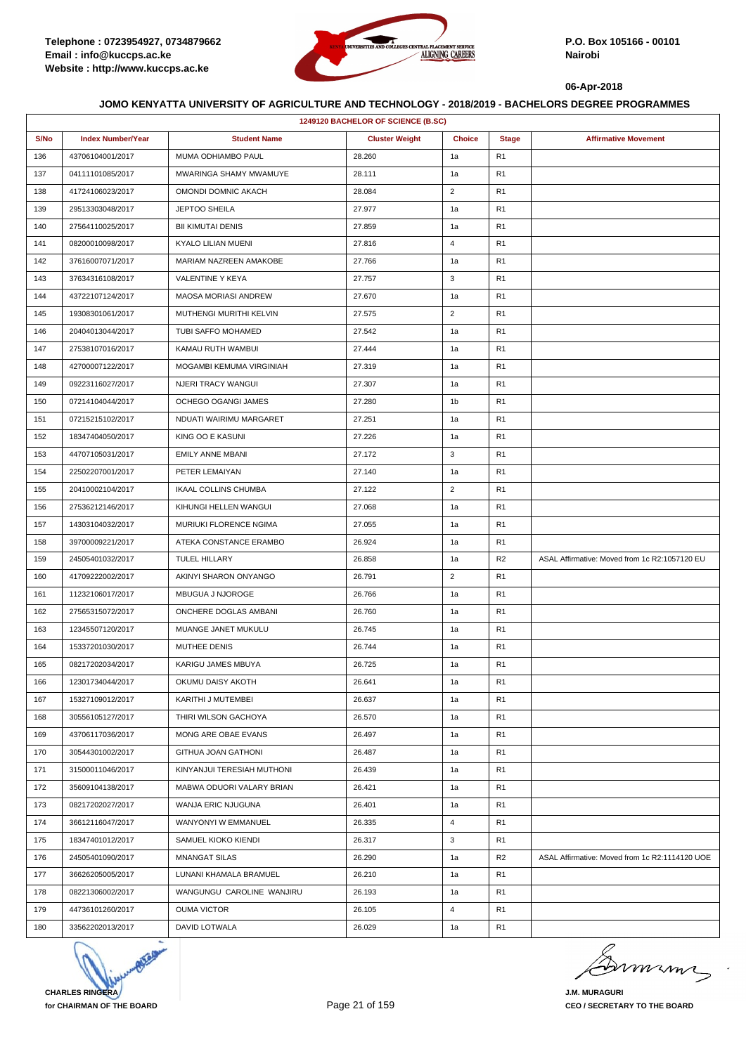

|      | 1249120 BACHELOR OF SCIENCE (B.SC) |                            |                       |                |                |                                                |  |  |
|------|------------------------------------|----------------------------|-----------------------|----------------|----------------|------------------------------------------------|--|--|
| S/No | <b>Index Number/Year</b>           | <b>Student Name</b>        | <b>Cluster Weight</b> | <b>Choice</b>  | <b>Stage</b>   | <b>Affirmative Movement</b>                    |  |  |
| 136  | 43706104001/2017                   | MUMA ODHIAMBO PAUL         | 28.260                | 1a             | R <sub>1</sub> |                                                |  |  |
| 137  | 04111101085/2017                   | MWARINGA SHAMY MWAMUYE     | 28.111                | 1a             | R <sub>1</sub> |                                                |  |  |
| 138  | 41724106023/2017                   | OMONDI DOMNIC AKACH        | 28.084                | $\overline{2}$ | R <sub>1</sub> |                                                |  |  |
| 139  | 29513303048/2017                   | <b>JEPTOO SHEILA</b>       | 27.977                | 1a             | R <sub>1</sub> |                                                |  |  |
| 140  | 27564110025/2017                   | <b>BII KIMUTAI DENIS</b>   | 27.859                | 1a             | R <sub>1</sub> |                                                |  |  |
| 141  | 08200010098/2017                   | KYALO LILIAN MUENI         | 27.816                | 4              | R1             |                                                |  |  |
| 142  | 37616007071/2017                   | MARIAM NAZREEN AMAKOBE     | 27.766                | 1a             | R <sub>1</sub> |                                                |  |  |
| 143  | 37634316108/2017                   | VALENTINE Y KEYA           | 27.757                | 3              | R <sub>1</sub> |                                                |  |  |
| 144  | 43722107124/2017                   | MAOSA MORIASI ANDREW       | 27.670                | 1a             | R <sub>1</sub> |                                                |  |  |
| 145  | 19308301061/2017                   | MUTHENGI MURITHI KELVIN    | 27.575                | $\overline{2}$ | R <sub>1</sub> |                                                |  |  |
| 146  | 20404013044/2017                   | TUBI SAFFO MOHAMED         | 27.542                | 1a             | R <sub>1</sub> |                                                |  |  |
| 147  | 27538107016/2017                   | KAMAU RUTH WAMBUI          | 27.444                | 1a             | R1             |                                                |  |  |
| 148  | 42700007122/2017                   | MOGAMBI KEMUMA VIRGINIAH   | 27.319                | 1a             | R <sub>1</sub> |                                                |  |  |
| 149  | 09223116027/2017                   | <b>NJERI TRACY WANGUI</b>  | 27.307                | 1a             | R <sub>1</sub> |                                                |  |  |
| 150  | 07214104044/2017                   | OCHEGO OGANGI JAMES        | 27.280                | 1 <sub>b</sub> | R <sub>1</sub> |                                                |  |  |
| 151  | 07215215102/2017                   | NDUATI WAIRIMU MARGARET    | 27.251                | 1a             | R <sub>1</sub> |                                                |  |  |
| 152  | 18347404050/2017                   | KING OO E KASUNI           | 27.226                | 1a             | R <sub>1</sub> |                                                |  |  |
| 153  | 44707105031/2017                   | EMILY ANNE MBANI           | 27.172                | 3              | R1             |                                                |  |  |
| 154  | 22502207001/2017                   | PETER LEMAIYAN             | 27.140                | 1a             | R <sub>1</sub> |                                                |  |  |
| 155  | 20410002104/2017                   | IKAAL COLLINS CHUMBA       | 27.122                | $\overline{2}$ | R <sub>1</sub> |                                                |  |  |
| 156  | 27536212146/2017                   | KIHUNGI HELLEN WANGUI      | 27.068                | 1a             | R <sub>1</sub> |                                                |  |  |
| 157  | 14303104032/2017                   | MURIUKI FLORENCE NGIMA     | 27.055                | 1a             | R <sub>1</sub> |                                                |  |  |
| 158  | 39700009221/2017                   | ATEKA CONSTANCE ERAMBO     | 26.924                | 1a             | R <sub>1</sub> |                                                |  |  |
| 159  | 24505401032/2017                   | TULEL HILLARY              | 26.858                | 1a             | R <sub>2</sub> | ASAL Affirmative: Moved from 1c R2:1057120 EU  |  |  |
| 160  | 41709222002/2017                   | AKINYI SHARON ONYANGO      | 26.791                | $\overline{2}$ | R <sub>1</sub> |                                                |  |  |
| 161  | 11232106017/2017                   | MBUGUA J NJOROGE           | 26.766                | 1a             | R <sub>1</sub> |                                                |  |  |
| 162  | 27565315072/2017                   | ONCHERE DOGLAS AMBANI      | 26.760                | 1a             | R1             |                                                |  |  |
| 163  | 12345507120/2017                   | MUANGE JANET MUKULU        | 26.745                | 1a             | R <sub>1</sub> |                                                |  |  |
| 164  | 15337201030/2017                   | MUTHEE DENIS               | 26.744                | 1a             | R <sub>1</sub> |                                                |  |  |
| 165  | 08217202034/2017                   | KARIGU JAMES MBUYA         | 26.725                | 1a             | R <sub>1</sub> |                                                |  |  |
| 166  | 12301734044/2017                   | OKUMU DAISY AKOTH          | 26.641                | 1a             | R <sub>1</sub> |                                                |  |  |
| 167  | 15327109012/2017                   | KARITHI J MUTEMBEI         | 26.637                | 1a             | R <sub>1</sub> |                                                |  |  |
| 168  | 30556105127/2017                   | THIRI WILSON GACHOYA       | 26.570                | 1a             | R1             |                                                |  |  |
| 169  | 43706117036/2017                   | MONG ARE OBAE EVANS        | 26.497                | 1a             | R <sub>1</sub> |                                                |  |  |
| 170  | 30544301002/2017                   | GITHUA JOAN GATHONI        | 26.487                | 1a             | R <sub>1</sub> |                                                |  |  |
| 171  | 31500011046/2017                   | KINYANJUI TERESIAH MUTHONI | 26.439                | 1a             | R1             |                                                |  |  |
| 172  | 35609104138/2017                   | MABWA ODUORI VALARY BRIAN  | 26.421                | 1a             | R <sub>1</sub> |                                                |  |  |
| 173  | 08217202027/2017                   | WANJA ERIC NJUGUNA         | 26.401                | 1a             | R <sub>1</sub> |                                                |  |  |
| 174  | 36612116047/2017                   | WANYONYI W EMMANUEL        | 26.335                | 4              | R1             |                                                |  |  |
| 175  | 18347401012/2017                   | SAMUEL KIOKO KIENDI        | 26.317                | 3              | R <sub>1</sub> |                                                |  |  |
| 176  | 24505401090/2017                   | <b>MNANGAT SILAS</b>       | 26.290                | 1a             | R2             | ASAL Affirmative: Moved from 1c R2:1114120 UOE |  |  |
| 177  | 36626205005/2017                   | LUNANI KHAMALA BRAMUEL     | 26.210                | 1a             | R1             |                                                |  |  |
| 178  | 08221306002/2017                   | WANGUNGU CAROLINE WANJIRU  | 26.193                | 1a             | R <sub>1</sub> |                                                |  |  |
| 179  | 44736101260/2017                   | <b>OUMA VICTOR</b>         | 26.105                | 4              | R <sub>1</sub> |                                                |  |  |
| 180  | 33562202013/2017                   | DAVID LOTWALA              | 26.029                | 1a             | R1             |                                                |  |  |



Dermann

**J.M. MURAGURI CEO / SECRETARY TO THE BOARD**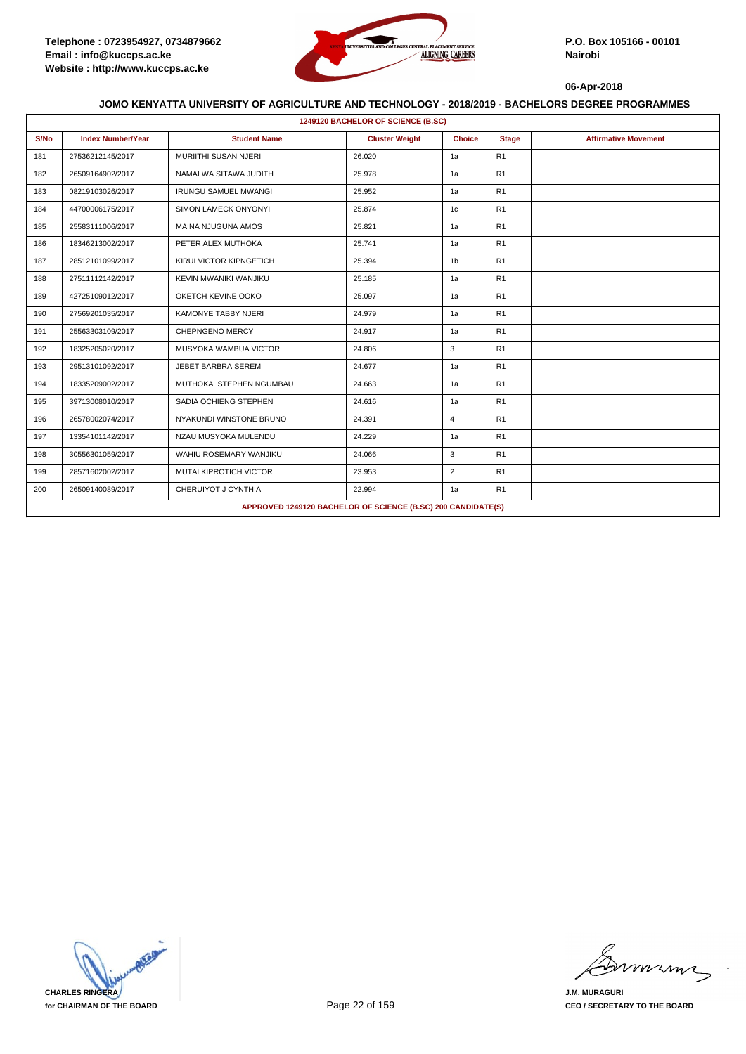

|      | 1249120 BACHELOR OF SCIENCE (B.SC) |                               |                                                              |                |              |                             |  |  |  |
|------|------------------------------------|-------------------------------|--------------------------------------------------------------|----------------|--------------|-----------------------------|--|--|--|
| S/No | <b>Index Number/Year</b>           | <b>Student Name</b>           | <b>Cluster Weight</b>                                        | <b>Choice</b>  | <b>Stage</b> | <b>Affirmative Movement</b> |  |  |  |
| 181  | 27536212145/2017                   | <b>MURIITHI SUSAN NJERI</b>   | 26.020                                                       | 1a             | R1           |                             |  |  |  |
| 182  | 26509164902/2017                   | NAMALWA SITAWA JUDITH         | 25.978                                                       | 1a             | R1           |                             |  |  |  |
| 183  | 08219103026/2017                   | <b>IRUNGU SAMUEL MWANGI</b>   | 25.952                                                       | 1a             | R1           |                             |  |  |  |
| 184  | 44700006175/2017                   | <b>SIMON LAMECK ONYONYI</b>   | 25.874                                                       | 1c             | R1           |                             |  |  |  |
| 185  | 25583111006/2017                   | MAINA NJUGUNA AMOS            | 25.821                                                       | 1a             | R1           |                             |  |  |  |
| 186  | 18346213002/2017                   | PETER ALEX MUTHOKA            | 25.741                                                       | 1a             | R1           |                             |  |  |  |
| 187  | 28512101099/2017                   | KIRUI VICTOR KIPNGETICH       | 25.394                                                       | 1 <sub>b</sub> | R1           |                             |  |  |  |
| 188  | 27511112142/2017                   | KEVIN MWANIKI WANJIKU         | 25.185                                                       | 1a             | R1           |                             |  |  |  |
| 189  | 42725109012/2017                   | OKETCH KEVINE OOKO            | 25.097                                                       | 1a             | R1           |                             |  |  |  |
| 190  | 27569201035/2017                   | <b>KAMONYE TABBY NJERI</b>    | 24.979                                                       | 1a             | R1           |                             |  |  |  |
| 191  | 25563303109/2017                   | <b>CHEPNGENO MERCY</b>        | 24.917                                                       | 1a             | R1           |                             |  |  |  |
| 192  | 18325205020/2017                   | MUSYOKA WAMBUA VICTOR         | 24.806                                                       | 3              | R1           |                             |  |  |  |
| 193  | 29513101092/2017                   | JEBET BARBRA SEREM            | 24.677                                                       | 1a             | R1           |                             |  |  |  |
| 194  | 18335209002/2017                   | MUTHOKA STEPHEN NGUMBAU       | 24.663                                                       | 1a             | R1           |                             |  |  |  |
| 195  | 39713008010/2017                   | SADIA OCHIENG STEPHEN         | 24.616                                                       | 1a             | R1           |                             |  |  |  |
| 196  | 26578002074/2017                   | NYAKUNDI WINSTONE BRUNO       | 24.391                                                       | $\overline{4}$ | R1           |                             |  |  |  |
| 197  | 13354101142/2017                   | NZAU MUSYOKA MULENDU          | 24.229                                                       | 1a             | R1           |                             |  |  |  |
| 198  | 30556301059/2017                   | WAHIU ROSEMARY WANJIKU        | 24.066                                                       | 3              | R1           |                             |  |  |  |
| 199  | 28571602002/2017                   | <b>MUTAI KIPROTICH VICTOR</b> | 23.953                                                       | $\overline{2}$ | R1           |                             |  |  |  |
| 200  | 26509140089/2017                   | CHERUIYOT J CYNTHIA           | 22.994                                                       | 1a             | R1           |                             |  |  |  |
|      |                                    |                               | APPROVED 1249120 BACHELOR OF SCIENCE (B.SC) 200 CANDIDATE(S) |                |              |                             |  |  |  |



mmmn

**J.M. MURAGURI CEO / SECRETARY TO THE BOARD**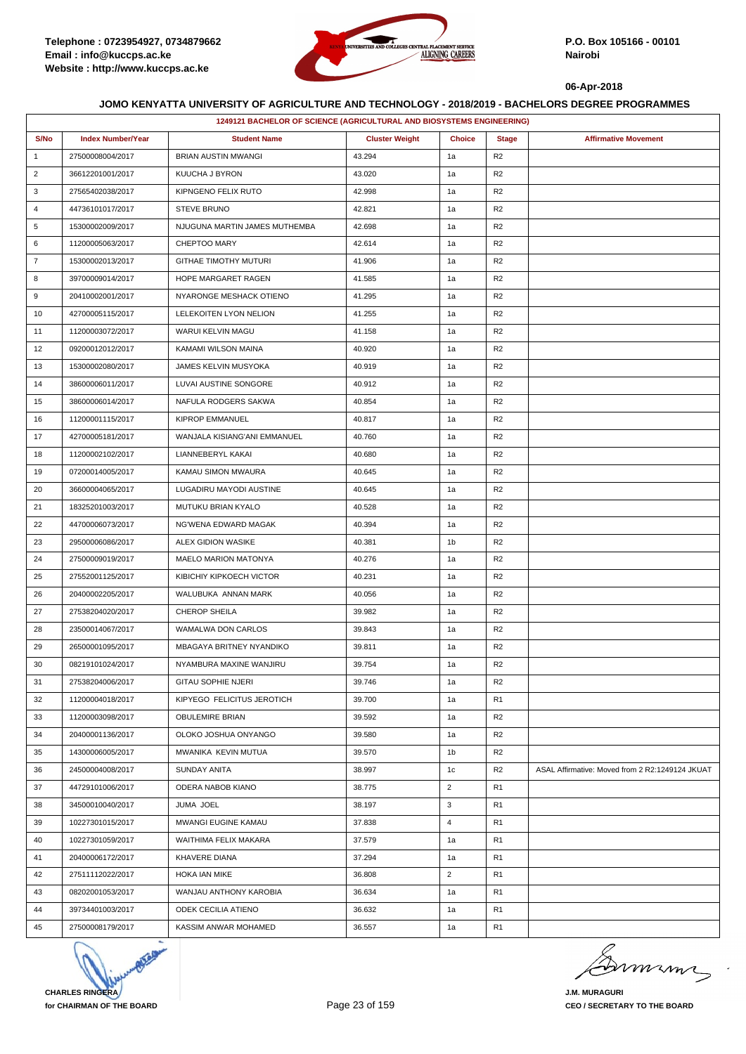

|                | 1249121 BACHELOR OF SCIENCE (AGRICULTURAL AND BIOSYSTEMS ENGINEERING) |                               |                       |                |                |                                                 |  |
|----------------|-----------------------------------------------------------------------|-------------------------------|-----------------------|----------------|----------------|-------------------------------------------------|--|
| S/No           | <b>Index Number/Year</b>                                              | <b>Student Name</b>           | <b>Cluster Weight</b> | <b>Choice</b>  | <b>Stage</b>   | <b>Affirmative Movement</b>                     |  |
| $\mathbf{1}$   | 27500008004/2017                                                      | <b>BRIAN AUSTIN MWANGI</b>    | 43.294                | 1a             | R <sub>2</sub> |                                                 |  |
| $\overline{2}$ | 36612201001/2017                                                      | KUUCHA J BYRON                | 43.020                | 1a             | R <sub>2</sub> |                                                 |  |
| 3              | 27565402038/2017                                                      | KIPNGENO FELIX RUTO           | 42.998                | 1a             | R <sub>2</sub> |                                                 |  |
| 4              | 44736101017/2017                                                      | <b>STEVE BRUNO</b>            | 42.821                | 1a             | R <sub>2</sub> |                                                 |  |
| 5              | 15300002009/2017                                                      | NJUGUNA MARTIN JAMES MUTHEMBA | 42.698                | 1a             | R <sub>2</sub> |                                                 |  |
| 6              | 11200005063/2017                                                      | CHEPTOO MARY                  | 42.614                | 1a             | R <sub>2</sub> |                                                 |  |
| $\overline{7}$ | 15300002013/2017                                                      | GITHAE TIMOTHY MUTURI         | 41.906                | 1a             | R <sub>2</sub> |                                                 |  |
| 8              | 39700009014/2017                                                      | HOPE MARGARET RAGEN           | 41.585                | 1a             | R <sub>2</sub> |                                                 |  |
| 9              | 20410002001/2017                                                      | NYARONGE MESHACK OTIENO       | 41.295                | 1a             | R <sub>2</sub> |                                                 |  |
| 10             | 42700005115/2017                                                      | LELEKOITEN LYON NELION        | 41.255                | 1a             | R <sub>2</sub> |                                                 |  |
| 11             | 11200003072/2017                                                      | WARUI KELVIN MAGU             | 41.158                | 1a             | R <sub>2</sub> |                                                 |  |
| 12             | 09200012012/2017                                                      | KAMAMI WILSON MAINA           | 40.920                | 1a             | R <sub>2</sub> |                                                 |  |
| 13             | 15300002080/2017                                                      | <b>JAMES KELVIN MUSYOKA</b>   | 40.919                | 1a             | R <sub>2</sub> |                                                 |  |
| 14             | 38600006011/2017                                                      | LUVAI AUSTINE SONGORE         | 40.912                | 1a             | R <sub>2</sub> |                                                 |  |
| 15             | 38600006014/2017                                                      | NAFULA RODGERS SAKWA          | 40.854                | 1a             | R <sub>2</sub> |                                                 |  |
| 16             | 11200001115/2017                                                      | <b>KIPROP EMMANUEL</b>        | 40.817                | 1a             | R <sub>2</sub> |                                                 |  |
| 17             | 42700005181/2017                                                      | WANJALA KISIANG'ANI EMMANUEL  | 40.760                | 1a             | R <sub>2</sub> |                                                 |  |
| 18             | 11200002102/2017                                                      | LIANNEBERYL KAKAI             | 40.680                | 1a             | R <sub>2</sub> |                                                 |  |
| 19             | 07200014005/2017                                                      | KAMAU SIMON MWAURA            | 40.645                | 1a             | R <sub>2</sub> |                                                 |  |
| 20             | 36600004065/2017                                                      | LUGADIRU MAYODI AUSTINE       | 40.645                | 1a             | R <sub>2</sub> |                                                 |  |
| 21             | 18325201003/2017                                                      | MUTUKU BRIAN KYALO            | 40.528                | 1a             | R <sub>2</sub> |                                                 |  |
| 22             | 44700006073/2017                                                      | NG'WENA EDWARD MAGAK          | 40.394                | 1a             | R <sub>2</sub> |                                                 |  |
| 23             | 29500006086/2017                                                      | ALEX GIDION WASIKE            | 40.381                | 1 <sub>b</sub> | R <sub>2</sub> |                                                 |  |
| 24             | 27500009019/2017                                                      | MAELO MARION MATONYA          | 40.276                | 1a             | R <sub>2</sub> |                                                 |  |
| 25             | 27552001125/2017                                                      | KIBICHIY KIPKOECH VICTOR      | 40.231                | 1a             | R <sub>2</sub> |                                                 |  |
| 26             | 20400002205/2017                                                      | WALUBUKA ANNAN MARK           | 40.056                | 1a             | R <sub>2</sub> |                                                 |  |
| 27             | 27538204020/2017                                                      | CHEROP SHEILA                 | 39.982                | 1a             | R <sub>2</sub> |                                                 |  |
| 28             | 23500014067/2017                                                      | WAMALWA DON CARLOS            | 39.843                | 1a             | R <sub>2</sub> |                                                 |  |
| 29             | 26500001095/2017                                                      | MBAGAYA BRITNEY NYANDIKO      | 39.811                | 1a             | R <sub>2</sub> |                                                 |  |
| 30             | 08219101024/2017                                                      | NYAMBURA MAXINE WANJIRU       | 39.754                | 1a             | R <sub>2</sub> |                                                 |  |
| 31             | 27538204006/2017                                                      | <b>GITAU SOPHIE NJERI</b>     | 39.746                | 1a             | R <sub>2</sub> |                                                 |  |
| 32             | 11200004018/2017                                                      | KIPYEGO FELICITUS JEROTICH    | 39.700                | 1a             | R <sub>1</sub> |                                                 |  |
| 33             | 11200003098/2017                                                      | <b>OBULEMIRE BRIAN</b>        | 39.592                | 1a             | R <sub>2</sub> |                                                 |  |
| 34             | 20400001136/2017                                                      | OLOKO JOSHUA ONYANGO          | 39.580                | 1a             | R <sub>2</sub> |                                                 |  |
| 35             | 14300006005/2017                                                      | MWANIKA KEVIN MUTUA           | 39.570                | 1 <sub>b</sub> | R <sub>2</sub> |                                                 |  |
| 36             | 24500004008/2017                                                      | SUNDAY ANITA                  | 38.997                | 1c             | R <sub>2</sub> | ASAL Affirmative: Moved from 2 R2:1249124 JKUAT |  |
| 37             | 44729101006/2017                                                      | ODERA NABOB KIANO             | 38.775                | $\overline{2}$ | R <sub>1</sub> |                                                 |  |
| 38             | 34500010040/2017                                                      | JUMA JOEL                     | 38.197                | 3              | R <sub>1</sub> |                                                 |  |
| 39             | 10227301015/2017                                                      | MWANGI EUGINE KAMAU           | 37.838                | $\overline{4}$ | R <sub>1</sub> |                                                 |  |
| 40             | 10227301059/2017                                                      | WAITHIMA FELIX MAKARA         | 37.579                | 1a             | R <sub>1</sub> |                                                 |  |
| 41             | 20400006172/2017                                                      | KHAVERE DIANA                 | 37.294                | 1a             | R <sub>1</sub> |                                                 |  |
| 42             | 27511112022/2017                                                      | HOKA IAN MIKE                 | 36.808                | $\overline{2}$ | R <sub>1</sub> |                                                 |  |
| 43             | 08202001053/2017                                                      | WANJAU ANTHONY KAROBIA        | 36.634                | 1a             | R <sub>1</sub> |                                                 |  |
| 44             | 39734401003/2017                                                      | ODEK CECILIA ATIENO           | 36.632                | 1a             | R <sub>1</sub> |                                                 |  |
| 45             | 27500008179/2017                                                      | KASSIM ANWAR MOHAMED          | 36.557                | 1a             | R <sub>1</sub> |                                                 |  |



murme

**J.M. MURAGURI CEO / SECRETARY TO THE BOARD**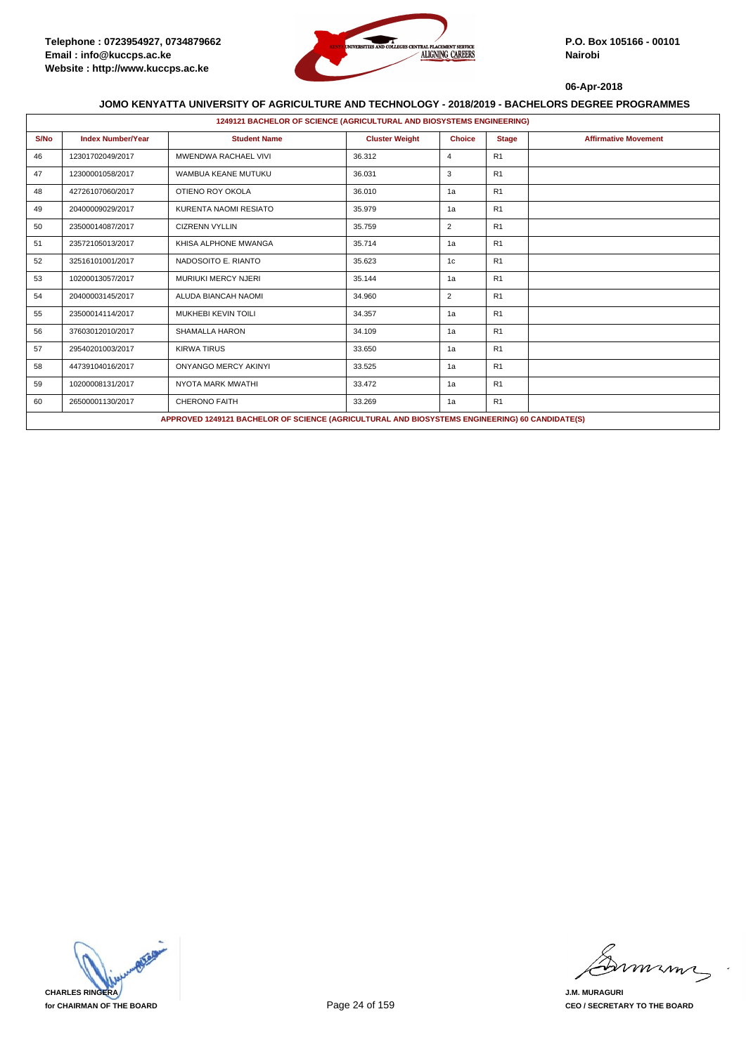

|      | 1249121 BACHELOR OF SCIENCE (AGRICULTURAL AND BIOSYSTEMS ENGINEERING) |                                                                                                |                       |                |                |                             |  |  |  |
|------|-----------------------------------------------------------------------|------------------------------------------------------------------------------------------------|-----------------------|----------------|----------------|-----------------------------|--|--|--|
| S/No | <b>Index Number/Year</b>                                              | <b>Student Name</b>                                                                            | <b>Cluster Weight</b> | <b>Choice</b>  | <b>Stage</b>   | <b>Affirmative Movement</b> |  |  |  |
| 46   | 12301702049/2017                                                      | <b>MWENDWA RACHAEL VIVI</b>                                                                    | 36.312                | 4              | R1             |                             |  |  |  |
| 47   | 12300001058/2017                                                      | WAMBUA KEANE MUTUKU                                                                            | 36.031                | 3              | R1             |                             |  |  |  |
| 48   | 42726107060/2017                                                      | OTIENO ROY OKOLA                                                                               | 36.010                | 1a             | R1             |                             |  |  |  |
| 49   | 20400009029/2017                                                      | KURENTA NAOMI RESIATO                                                                          | 35.979                | 1a             | R1             |                             |  |  |  |
| 50   | 23500014087/2017                                                      | <b>CIZRENN VYLLIN</b>                                                                          | 35.759                | 2              | R <sub>1</sub> |                             |  |  |  |
| 51   | 23572105013/2017                                                      | KHISA ALPHONE MWANGA                                                                           | 35.714                | 1a             | R1             |                             |  |  |  |
| 52   | 32516101001/2017                                                      | NADOSOITO E. RIANTO                                                                            | 35.623                | 1 <sub>c</sub> | R1             |                             |  |  |  |
| 53   | 10200013057/2017                                                      | <b>MURIUKI MERCY NJERI</b>                                                                     | 35.144                | 1a             | R1             |                             |  |  |  |
| 54   | 20400003145/2017                                                      | ALUDA BIANCAH NAOMI                                                                            | 34.960                | $\overline{2}$ | R <sub>1</sub> |                             |  |  |  |
| 55   | 23500014114/2017                                                      | <b>MUKHEBI KEVIN TOILI</b>                                                                     | 34.357                | 1a             | R1             |                             |  |  |  |
| 56   | 37603012010/2017                                                      | SHAMALLA HARON                                                                                 | 34.109                | 1a             | R1             |                             |  |  |  |
| 57   | 29540201003/2017                                                      | <b>KIRWA TIRUS</b>                                                                             | 33.650                | 1a             | R1             |                             |  |  |  |
| 58   | 44739104016/2017                                                      | <b>ONYANGO MERCY AKINYI</b>                                                                    | 33.525                | 1a             | R1             |                             |  |  |  |
| 59   | 10200008131/2017                                                      | NYOTA MARK MWATHI                                                                              | 33.472                | 1a             | R1             |                             |  |  |  |
| 60   | 26500001130/2017                                                      | <b>CHERONO FAITH</b>                                                                           | 33.269                | 1a             | R1             |                             |  |  |  |
|      |                                                                       | APPROVED 1249121 BACHELOR OF SCIENCE (AGRICULTURAL AND BIOSYSTEMS ENGINEERING) 60 CANDIDATE(S) |                       |                |                |                             |  |  |  |

**CHARLES RINGERA for CHAIRMAN OF THE BOARD**

mmmn

**J.M. MURAGURI CEO / SECRETARY TO THE BOARD**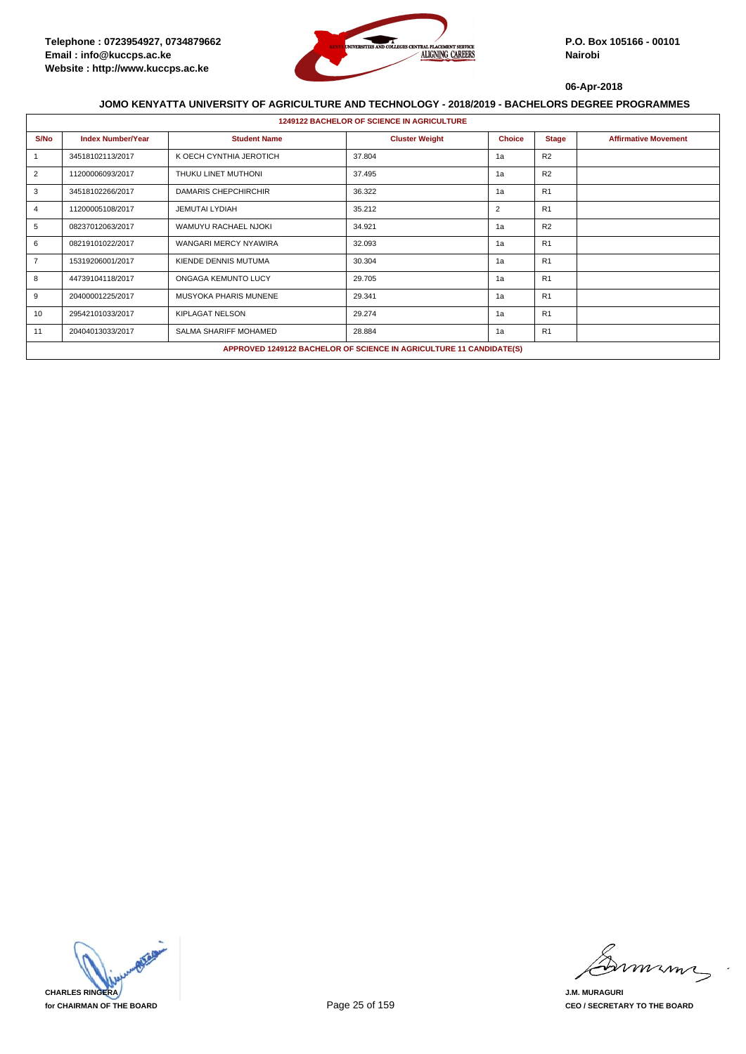

| <b>1249122 BACHELOR OF SCIENCE IN AGRICULTURE</b> |                          |                              |                                                                     |                |                |                             |  |  |
|---------------------------------------------------|--------------------------|------------------------------|---------------------------------------------------------------------|----------------|----------------|-----------------------------|--|--|
| S/No                                              | <b>Index Number/Year</b> | <b>Student Name</b>          | <b>Cluster Weight</b>                                               | <b>Choice</b>  | <b>Stage</b>   | <b>Affirmative Movement</b> |  |  |
|                                                   | 34518102113/2017         | K OECH CYNTHIA JEROTICH      | 37.804                                                              | 1a             | R2             |                             |  |  |
| 2                                                 | 11200006093/2017         | THUKU LINET MUTHONI          | 37.495                                                              | 1a             | R <sub>2</sub> |                             |  |  |
| 3                                                 | 34518102266/2017         | <b>DAMARIS CHEPCHIRCHIR</b>  | 36.322                                                              | 1a             | R1             |                             |  |  |
| 4                                                 | 11200005108/2017         | JEMUTAI LYDIAH               | 35.212                                                              | $\overline{2}$ | R1             |                             |  |  |
| 5                                                 | 08237012063/2017         | WAMUYU RACHAEL NJOKI         | 34.921                                                              | 1a             | R2             |                             |  |  |
| 6                                                 | 08219101022/2017         | <b>WANGARI MERCY NYAWIRA</b> | 32.093                                                              | 1a             | R1             |                             |  |  |
| $\overline{7}$                                    | 15319206001/2017         | KIENDE DENNIS MUTUMA         | 30.304                                                              | 1a             | R1             |                             |  |  |
| 8                                                 | 44739104118/2017         | ONGAGA KEMUNTO LUCY          | 29.705                                                              | 1a             | R1             |                             |  |  |
| 9                                                 | 20400001225/2017         | MUSYOKA PHARIS MUNENE        | 29.341                                                              | 1a             | R1             |                             |  |  |
| 10                                                | 29542101033/2017         | KIPLAGAT NELSON              | 29.274                                                              | 1a             | R1             |                             |  |  |
| 11                                                | 20404013033/2017         | SALMA SHARIFF MOHAMED        | 28.884                                                              | 1a             | R1             |                             |  |  |
|                                                   |                          |                              | APPROVED 1249122 BACHELOR OF SCIENCE IN AGRICULTURE 11 CANDIDATE(S) |                |                |                             |  |  |



mmmm

**J.M. MURAGURI CEO / SECRETARY TO THE BOARD**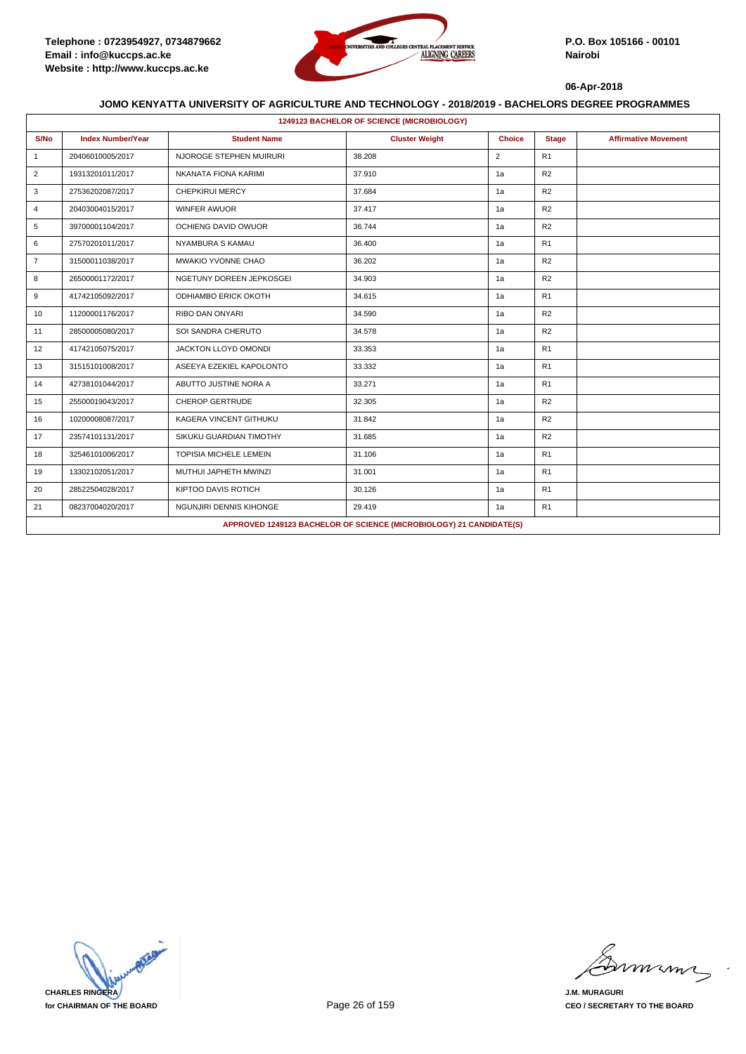

|                | 1249123 BACHELOR OF SCIENCE (MICROBIOLOGY) |                               |                                                                     |                |                |                             |  |  |  |
|----------------|--------------------------------------------|-------------------------------|---------------------------------------------------------------------|----------------|----------------|-----------------------------|--|--|--|
| S/No           | <b>Index Number/Year</b>                   | <b>Student Name</b>           | <b>Cluster Weight</b>                                               | <b>Choice</b>  | <b>Stage</b>   | <b>Affirmative Movement</b> |  |  |  |
| $\mathbf{1}$   | 20406010005/2017                           | NJOROGE STEPHEN MUIRURI       | 38.208                                                              | $\overline{2}$ | R <sub>1</sub> |                             |  |  |  |
| 2              | 19313201011/2017                           | NKANATA FIONA KARIMI          | 37.910                                                              | 1a             | R2             |                             |  |  |  |
| 3              | 27536202087/2017                           | <b>CHEPKIRUI MERCY</b>        | 37.684                                                              | 1a             | R <sub>2</sub> |                             |  |  |  |
| 4              | 20403004015/2017                           | <b>WINFER AWUOR</b>           | 37.417                                                              | 1a             | R <sub>2</sub> |                             |  |  |  |
| 5              | 39700001104/2017                           | OCHIENG DAVID OWUOR           | 36.744                                                              | 1a             | R2             |                             |  |  |  |
| 6              | 27570201011/2017                           | NYAMBURA S KAMAU              | 36.400                                                              | 1a             | R1             |                             |  |  |  |
| $\overline{7}$ | 31500011038/2017                           | MWAKIO YVONNE CHAO            | 36.202                                                              | 1a             | R2             |                             |  |  |  |
| 8              | 26500001172/2017                           | NGETUNY DOREEN JEPKOSGEI      | 34.903                                                              | 1a             | R2             |                             |  |  |  |
| 9              | 41742105092/2017                           | <b>ODHIAMBO ERICK OKOTH</b>   | 34.615                                                              | 1a             | R <sub>1</sub> |                             |  |  |  |
| 10             | 11200001176/2017                           | <b>RIBO DAN ONYARI</b>        | 34.590                                                              | 1a             | R <sub>2</sub> |                             |  |  |  |
| 11             | 28500005080/2017                           | SOI SANDRA CHERUTO            | 34.578                                                              | 1a             | R <sub>2</sub> |                             |  |  |  |
| 12             | 41742105075/2017                           | JACKTON LLOYD OMONDI          | 33.353                                                              | 1a             | R1             |                             |  |  |  |
| 13             | 31515101008/2017                           | ASEEYA EZEKIEL KAPOLONTO      | 33.332                                                              | 1a             | R1             |                             |  |  |  |
| 14             | 42738101044/2017                           | ABUTTO JUSTINE NORA A         | 33.271                                                              | 1a             | R1             |                             |  |  |  |
| 15             | 25500019043/2017                           | <b>CHEROP GERTRUDE</b>        | 32.305                                                              | 1a             | R2             |                             |  |  |  |
| 16             | 10200008087/2017                           | KAGERA VINCENT GITHUKU        | 31.842                                                              | 1a             | R2             |                             |  |  |  |
| 17             | 23574101131/2017                           | SIKUKU GUARDIAN TIMOTHY       | 31.685                                                              | 1a             | R <sub>2</sub> |                             |  |  |  |
| 18             | 32546101006/2017                           | <b>TOPISIA MICHELE LEMEIN</b> | 31.106                                                              | 1a             | R <sub>1</sub> |                             |  |  |  |
| 19             | 13302102051/2017                           | MUTHUI JAPHETH MWINZI         | 31.001                                                              | 1a             | R <sub>1</sub> |                             |  |  |  |
| 20             | 28522504028/2017                           | KIPTOO DAVIS ROTICH           | 30.126                                                              | 1a             | R <sub>1</sub> |                             |  |  |  |
| 21             | 08237004020/2017                           | NGUNJIRI DENNIS KIHONGE       | 29.419                                                              | 1a             | R1             |                             |  |  |  |
|                |                                            |                               | APPROVED 1249123 BACHELOR OF SCIENCE (MICROBIOLOGY) 21 CANDIDATE(S) |                |                |                             |  |  |  |

**CHARLES RINGERA for CHAIRMAN OF THE BOARD**

mmmm

**J.M. MURAGURI CEO / SECRETARY TO THE BOARD**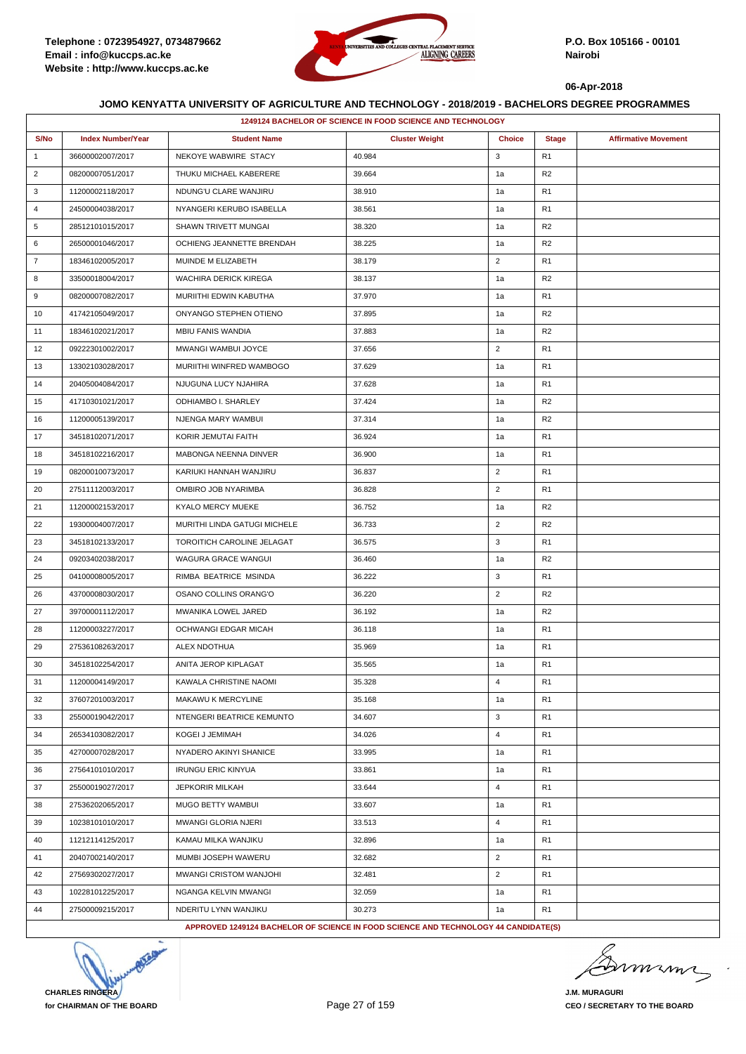

### **JOMO KENYATTA UNIVERSITY OF AGRICULTURE AND TECHNOLOGY - 2018/2019 - BACHELORS DEGREE PROGRAMMES**

|                | 1249124 BACHELOR OF SCIENCE IN FOOD SCIENCE AND TECHNOLOGY |                                                                                     |                       |                |                |                             |  |  |
|----------------|------------------------------------------------------------|-------------------------------------------------------------------------------------|-----------------------|----------------|----------------|-----------------------------|--|--|
| S/No           | <b>Index Number/Year</b>                                   | <b>Student Name</b>                                                                 | <b>Cluster Weight</b> | <b>Choice</b>  | <b>Stage</b>   | <b>Affirmative Movement</b> |  |  |
| $\mathbf{1}$   | 36600002007/2017                                           | NEKOYE WABWIRE STACY                                                                | 40.984                | 3              | R1             |                             |  |  |
| $\overline{2}$ | 08200007051/2017                                           | THUKU MICHAEL KABERERE                                                              | 39.664                | 1a             | R <sub>2</sub> |                             |  |  |
| 3              | 11200002118/2017                                           | NDUNG'U CLARE WANJIRU                                                               | 38.910                | 1a             | R1             |                             |  |  |
| 4              | 24500004038/2017                                           | NYANGERI KERUBO ISABELLA                                                            | 38.561                | 1a             | R1             |                             |  |  |
| 5              | 28512101015/2017                                           | SHAWN TRIVETT MUNGAI                                                                | 38.320                | 1a             | R <sub>2</sub> |                             |  |  |
| 6              | 26500001046/2017                                           | OCHIENG JEANNETTE BRENDAH                                                           | 38.225                | 1a             | R <sub>2</sub> |                             |  |  |
| $\overline{7}$ | 18346102005/2017                                           | MUINDE M ELIZABETH                                                                  | 38.179                | $\overline{2}$ | R1             |                             |  |  |
| 8              | 33500018004/2017                                           | <b>WACHIRA DERICK KIREGA</b>                                                        | 38.137                | 1a             | R <sub>2</sub> |                             |  |  |
| 9              | 08200007082/2017                                           | MURIITHI EDWIN KABUTHA                                                              | 37.970                | 1a             | R1             |                             |  |  |
| 10             | 41742105049/2017                                           | ONYANGO STEPHEN OTIENO                                                              | 37.895                | 1a             | R2             |                             |  |  |
| 11             | 18346102021/2017                                           | <b>MBIU FANIS WANDIA</b>                                                            | 37.883                | 1a             | R <sub>2</sub> |                             |  |  |
| 12             | 09222301002/2017                                           | MWANGI WAMBUI JOYCE                                                                 | 37.656                | $\overline{2}$ | R1             |                             |  |  |
| 13             | 13302103028/2017                                           | MURIITHI WINFRED WAMBOGO                                                            | 37.629                | 1a             | R <sub>1</sub> |                             |  |  |
| 14             | 20405004084/2017                                           | NJUGUNA LUCY NJAHIRA                                                                | 37.628                | 1a             | R1             |                             |  |  |
| 15             | 41710301021/2017                                           | ODHIAMBO I. SHARLEY                                                                 | 37.424                | 1a             | R <sub>2</sub> |                             |  |  |
| 16             | 11200005139/2017                                           | NJENGA MARY WAMBUI                                                                  | 37.314                | 1a             | R <sub>2</sub> |                             |  |  |
| 17             | 34518102071/2017                                           | KORIR JEMUTAI FAITH                                                                 | 36.924                | 1a             | R <sub>1</sub> |                             |  |  |
| 18             | 34518102216/2017                                           | MABONGA NEENNA DINVER                                                               | 36.900                | 1a             | R1             |                             |  |  |
| 19             | 08200010073/2017                                           | KARIUKI HANNAH WANJIRU                                                              | 36.837                | $\overline{2}$ | R1             |                             |  |  |
| 20             | 27511112003/2017                                           | OMBIRO JOB NYARIMBA                                                                 | 36.828                | $\overline{2}$ | R1             |                             |  |  |
| 21             | 11200002153/2017                                           | KYALO MERCY MUEKE                                                                   | 36.752                | 1a             | R <sub>2</sub> |                             |  |  |
| 22             | 19300004007/2017                                           | MURITHI LINDA GATUGI MICHELE                                                        | 36.733                | $\overline{2}$ | R <sub>2</sub> |                             |  |  |
| 23             | 34518102133/2017                                           | TOROITICH CAROLINE JELAGAT                                                          | 36.575                | 3              | R <sub>1</sub> |                             |  |  |
| 24             | 09203402038/2017                                           | WAGURA GRACE WANGUI                                                                 | 36.460                | 1a             | R <sub>2</sub> |                             |  |  |
| 25             | 04100008005/2017                                           | RIMBA BEATRICE MSINDA                                                               | 36.222                | 3              | R <sub>1</sub> |                             |  |  |
| 26             | 43700008030/2017                                           | OSANO COLLINS ORANG'O                                                               | 36.220                | $\overline{2}$ | R <sub>2</sub> |                             |  |  |
| 27             | 39700001112/2017                                           | MWANIKA LOWEL JARED                                                                 | 36.192                | 1a             | R2             |                             |  |  |
| 28             | 11200003227/2017                                           | OCHWANGI EDGAR MICAH                                                                | 36.118                | 1a             | R1             |                             |  |  |
| 29             | 27536108263/2017                                           | ALEX NDOTHUA                                                                        | 35.969                | 1a             | R <sub>1</sub> |                             |  |  |
| 30             | 34518102254/2017                                           | ANITA JEROP KIPLAGAT                                                                | 35.565                | 1a             | R1             |                             |  |  |
| 31             | 11200004149/2017                                           | KAWALA CHRISTINE NAOMI                                                              | 35.328                | $\overline{4}$ | R <sub>1</sub> |                             |  |  |
| 32             | 37607201003/2017                                           | MAKAWU K MERCYLINE                                                                  | 35.168                | 1a             | R <sub>1</sub> |                             |  |  |
| 33             | 25500019042/2017                                           | NTENGERI BEATRICE KEMUNTO                                                           | 34.607                | 3              | R1             |                             |  |  |
| 34             | 26534103082/2017                                           | KOGEI J JEMIMAH                                                                     | 34.026                | $\overline{4}$ | R1             |                             |  |  |
| 35             | 42700007028/2017                                           | NYADERO AKINYI SHANICE                                                              | 33.995                | 1a             | R1             |                             |  |  |
| 36             | 27564101010/2017                                           | <b>IRUNGU ERIC KINYUA</b>                                                           | 33.861                | 1a             | R <sub>1</sub> |                             |  |  |
| 37             | 25500019027/2017                                           | <b>JEPKORIR MILKAH</b>                                                              | 33.644                | $\overline{4}$ | R1             |                             |  |  |
| 38             | 27536202065/2017                                           | MUGO BETTY WAMBUI                                                                   | 33.607                | 1a             | R1             |                             |  |  |
| 39             | 10238101010/2017                                           | MWANGI GLORIA NJERI                                                                 | 33.513                | $\overline{4}$ | R1             |                             |  |  |
| 40             | 11212114125/2017                                           | KAMAU MILKA WANJIKU                                                                 | 32.896                | 1a             | R <sub>1</sub> |                             |  |  |
| 41             | 20407002140/2017                                           | MUMBI JOSEPH WAWERU                                                                 | 32.682                | $\overline{2}$ | R1             |                             |  |  |
| 42             | 27569302027/2017                                           | MWANGI CRISTOM WANJOHI                                                              | 32.481                | $\overline{2}$ | R1             |                             |  |  |
| 43             | 10228101225/2017                                           | NGANGA KELVIN MWANGI                                                                | 32.059                | 1a             | R1             |                             |  |  |
| 44             | 27500009215/2017                                           | NDERITU LYNN WANJIKU                                                                | 30.273                | 1a             | R <sub>1</sub> |                             |  |  |
|                |                                                            | APPROVED 1249124 BACHELOR OF SCIENCE IN FOOD SCIENCE AND TECHNOLOGY 44 CANDIDATE(S) |                       |                |                |                             |  |  |

**CHARLES RINGERA for CHAIRMAN OF THE BOARD**

Dememe

**J.M. MURAGURI CEO / SECRETARY TO THE BOARD**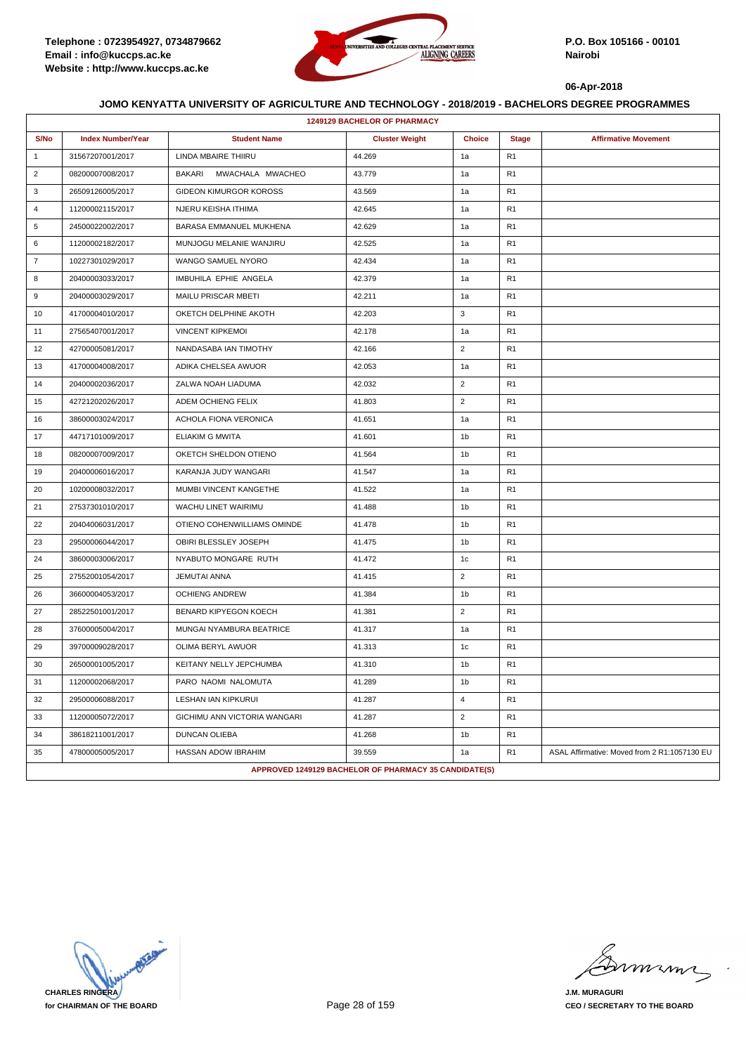

|                | <b>1249129 BACHELOR OF PHARMACY</b> |                                   |                                                       |                |                |                                              |  |  |
|----------------|-------------------------------------|-----------------------------------|-------------------------------------------------------|----------------|----------------|----------------------------------------------|--|--|
| S/No           | <b>Index Number/Year</b>            | <b>Student Name</b>               | <b>Cluster Weight</b>                                 | <b>Choice</b>  | <b>Stage</b>   | <b>Affirmative Movement</b>                  |  |  |
| $\mathbf{1}$   | 31567207001/2017                    | <b>LINDA MBAIRE THIIRU</b>        | 44.269                                                | 1a             | R <sub>1</sub> |                                              |  |  |
| $\overline{2}$ | 08200007008/2017                    | MWACHALA MWACHEO<br><b>BAKARI</b> | 43.779                                                | 1a             | R <sub>1</sub> |                                              |  |  |
| 3              | 26509126005/2017                    | GIDEON KIMURGOR KOROSS            | 43.569                                                | 1a             | R <sub>1</sub> |                                              |  |  |
| $\overline{4}$ | 11200002115/2017                    | NJERU KEISHA ITHIMA               | 42.645                                                | 1a             | R <sub>1</sub> |                                              |  |  |
| 5              | 24500022002/2017                    | BARASA EMMANUEL MUKHENA           | 42.629                                                | 1a             | R <sub>1</sub> |                                              |  |  |
| 6              | 11200002182/2017                    | MUNJOGU MELANIE WANJIRU           | 42.525                                                | 1a             | R <sub>1</sub> |                                              |  |  |
| $\overline{7}$ | 10227301029/2017                    | WANGO SAMUEL NYORO                | 42.434                                                | 1a             | R <sub>1</sub> |                                              |  |  |
| 8              | 20400003033/2017                    | IMBUHILA EPHIE ANGELA             | 42.379                                                | 1a             | R <sub>1</sub> |                                              |  |  |
| 9              | 20400003029/2017                    | MAILU PRISCAR MBETI               | 42.211                                                | 1a             | R <sub>1</sub> |                                              |  |  |
| 10             | 41700004010/2017                    | OKETCH DELPHINE AKOTH             | 42.203                                                | 3              | R <sub>1</sub> |                                              |  |  |
| 11             | 27565407001/2017                    | <b>VINCENT KIPKEMOI</b>           | 42.178                                                | 1a             | R <sub>1</sub> |                                              |  |  |
| 12             | 42700005081/2017                    | NANDASABA IAN TIMOTHY             | 42.166                                                | $\overline{2}$ | R <sub>1</sub> |                                              |  |  |
| 13             | 41700004008/2017                    | ADIKA CHELSEA AWUOR               | 42.053                                                | 1a             | R <sub>1</sub> |                                              |  |  |
| 14             | 20400002036/2017                    | ZALWA NOAH LIADUMA                | 42.032                                                | $\overline{2}$ | R <sub>1</sub> |                                              |  |  |
| 15             | 42721202026/2017                    | ADEM OCHIENG FELIX                | 41.803                                                | $\overline{2}$ | R <sub>1</sub> |                                              |  |  |
| 16             | 38600003024/2017                    | ACHOLA FIONA VERONICA             | 41.651                                                | 1a             | R <sub>1</sub> |                                              |  |  |
| 17             | 44717101009/2017                    | <b>ELIAKIM G MWITA</b>            | 41.601                                                | 1b             | R <sub>1</sub> |                                              |  |  |
| 18             | 08200007009/2017                    | OKETCH SHELDON OTIENO             | 41.564                                                | 1 <sub>b</sub> | R <sub>1</sub> |                                              |  |  |
| 19             | 20400006016/2017                    | KARANJA JUDY WANGARI              | 41.547                                                | 1a             | R <sub>1</sub> |                                              |  |  |
| 20             | 10200008032/2017                    | MUMBI VINCENT KANGETHE            | 41.522                                                | 1a             | R <sub>1</sub> |                                              |  |  |
| 21             | 27537301010/2017                    | WACHU LINET WAIRIMU               | 41.488                                                | 1 <sub>b</sub> | R <sub>1</sub> |                                              |  |  |
| 22             | 20404006031/2017                    | OTIENO COHENWILLIAMS OMINDE       | 41.478                                                | 1b             | R <sub>1</sub> |                                              |  |  |
| 23             | 29500006044/2017                    | OBIRI BLESSLEY JOSEPH             | 41.475                                                | 1b             | R <sub>1</sub> |                                              |  |  |
| 24             | 38600003006/2017                    | NYABUTO MONGARE RUTH              | 41.472                                                | 1c             | R <sub>1</sub> |                                              |  |  |
| 25             | 27552001054/2017                    | <b>JEMUTAI ANNA</b>               | 41.415                                                | $\overline{2}$ | R <sub>1</sub> |                                              |  |  |
| 26             | 36600004053/2017                    | <b>OCHIENG ANDREW</b>             | 41.384                                                | 1b             | R <sub>1</sub> |                                              |  |  |
| 27             | 28522501001/2017                    | BENARD KIPYEGON KOECH             | 41.381                                                | $\overline{2}$ | R <sub>1</sub> |                                              |  |  |
| 28             | 37600005004/2017                    | MUNGAI NYAMBURA BEATRICE          | 41.317                                                | 1a             | R <sub>1</sub> |                                              |  |  |
| 29             | 39700009028/2017                    | OLIMA BERYL AWUOR                 | 41.313                                                | 1c             | R <sub>1</sub> |                                              |  |  |
| 30             | 26500001005/2017                    | KEITANY NELLY JEPCHUMBA           | 41.310                                                | 1 <sub>b</sub> | R <sub>1</sub> |                                              |  |  |
| 31             | 11200002068/2017                    | PARO NAOMI NALOMUTA               | 41.289                                                | 1 <sub>b</sub> | R <sub>1</sub> |                                              |  |  |
| 32             | 29500006088/2017                    | LESHAN IAN KIPKURUI               | 41.287                                                | 4              | R <sub>1</sub> |                                              |  |  |
| 33             | 11200005072/2017                    | GICHIMU ANN VICTORIA WANGARI      | 41.287                                                | $\overline{2}$ | R <sub>1</sub> |                                              |  |  |
| 34             | 38618211001/2017                    | <b>DUNCAN OLIEBA</b>              | 41.268                                                | 1 <sub>b</sub> | R <sub>1</sub> |                                              |  |  |
| 35             | 47800005005/2017                    | HASSAN ADOW IBRAHIM               | 39.559                                                | 1a             | R <sub>1</sub> | ASAL Affirmative: Moved from 2 R1:1057130 EU |  |  |
|                |                                     |                                   | APPROVED 1249129 BACHELOR OF PHARMACY 35 CANDIDATE(S) |                |                |                                              |  |  |

**CHARLES RINGERA for CHAIRMAN OF THE BOARD**

miming

**J.M. MURAGURI CEO / SECRETARY TO THE BOARD**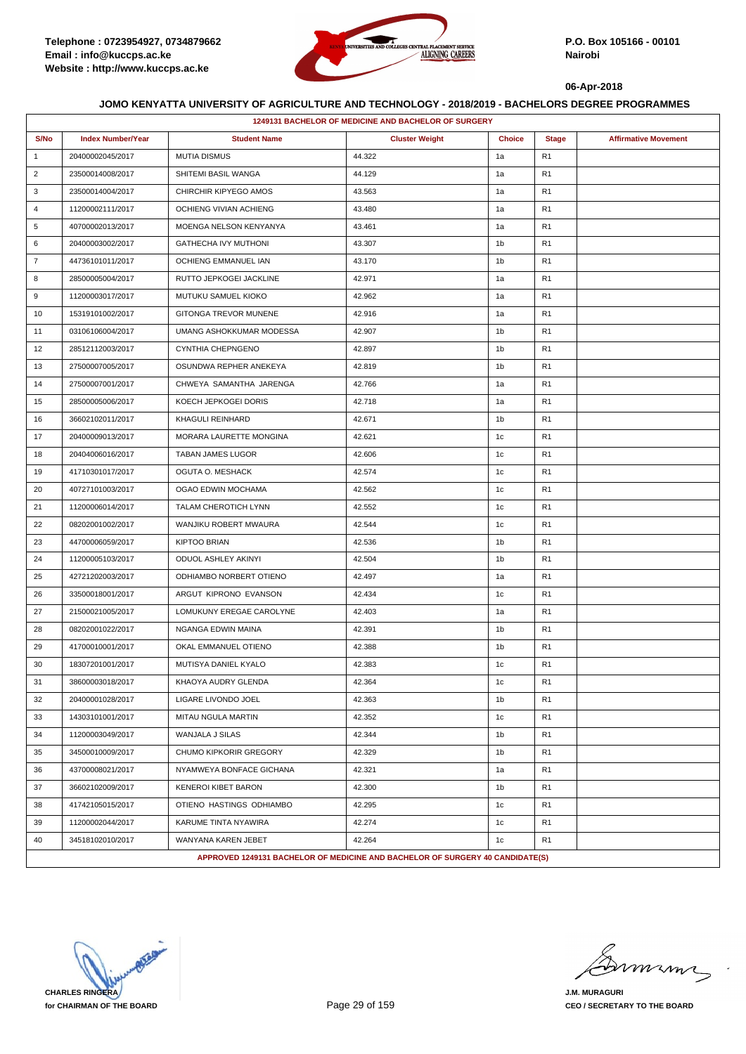

|                | 1249131 BACHELOR OF MEDICINE AND BACHELOR OF SURGERY |                                                                               |                       |                |                |                             |  |  |
|----------------|------------------------------------------------------|-------------------------------------------------------------------------------|-----------------------|----------------|----------------|-----------------------------|--|--|
| S/No           | <b>Index Number/Year</b>                             | <b>Student Name</b>                                                           | <b>Cluster Weight</b> | <b>Choice</b>  | <b>Stage</b>   | <b>Affirmative Movement</b> |  |  |
| $\mathbf{1}$   | 20400002045/2017                                     | <b>MUTIA DISMUS</b>                                                           | 44.322                | 1a             | R1             |                             |  |  |
| $\overline{2}$ | 23500014008/2017                                     | SHITEMI BASIL WANGA                                                           | 44.129                | 1a             | R <sub>1</sub> |                             |  |  |
| 3              | 23500014004/2017                                     | CHIRCHIR KIPYEGO AMOS                                                         | 43.563                | 1a             | R1             |                             |  |  |
| 4              | 11200002111/2017                                     | OCHIENG VIVIAN ACHIENG                                                        | 43.480                | 1a             | R1             |                             |  |  |
| 5              | 40700002013/2017                                     | MOENGA NELSON KENYANYA                                                        | 43.461                | 1a             | R1             |                             |  |  |
| 6              | 20400003002/2017                                     | GATHECHA IVY MUTHONI                                                          | 43.307                | 1 <sub>b</sub> | R <sub>1</sub> |                             |  |  |
| $\overline{7}$ | 44736101011/2017                                     | OCHIENG EMMANUEL IAN                                                          | 43.170                | 1b             | R1             |                             |  |  |
| 8              | 28500005004/2017                                     | RUTTO JEPKOGEI JACKLINE                                                       | 42.971                | 1a             | R1             |                             |  |  |
| 9              | 11200003017/2017                                     | MUTUKU SAMUEL KIOKO                                                           | 42.962                | 1a             | R <sub>1</sub> |                             |  |  |
| 10             | 15319101002/2017                                     | GITONGA TREVOR MUNENE                                                         | 42.916                | 1a             | R1             |                             |  |  |
| 11             | 03106106004/2017                                     | UMANG ASHOKKUMAR MODESSA                                                      | 42.907                | 1b             | R <sub>1</sub> |                             |  |  |
| 12             | 28512112003/2017                                     | CYNTHIA CHEPNGENO                                                             | 42.897                | 1b             | R <sub>1</sub> |                             |  |  |
| 13             | 27500007005/2017                                     | OSUNDWA REPHER ANEKEYA                                                        | 42.819                | 1b             | R1             |                             |  |  |
| 14             | 27500007001/2017                                     | CHWEYA SAMANTHA JARENGA                                                       | 42.766                | 1a             | R1             |                             |  |  |
| 15             | 28500005006/2017                                     | KOECH JEPKOGEI DORIS                                                          | 42.718                | 1a             | R <sub>1</sub> |                             |  |  |
| 16             | 36602102011/2017                                     | KHAGULI REINHARD                                                              | 42.671                | 1b             | R1             |                             |  |  |
| 17             | 20400009013/2017                                     | MORARA LAURETTE MONGINA                                                       | 42.621                | 1c             | R <sub>1</sub> |                             |  |  |
| 18             | 20404006016/2017                                     | TABAN JAMES LUGOR                                                             | 42.606                | 1c             | R <sub>1</sub> |                             |  |  |
| 19             | 41710301017/2017                                     | OGUTA O. MESHACK                                                              | 42.574                | 1c             | R1             |                             |  |  |
| 20             | 40727101003/2017                                     | OGAO EDWIN MOCHAMA                                                            | 42.562                | 1c             | R1             |                             |  |  |
| 21             | 11200006014/2017                                     | TALAM CHEROTICH LYNN                                                          | 42.552                | 1c             | R <sub>1</sub> |                             |  |  |
| 22             | 08202001002/2017                                     | WANJIKU ROBERT MWAURA                                                         | 42.544                | 1c             | R1             |                             |  |  |
| 23             | 44700006059/2017                                     | <b>KIPTOO BRIAN</b>                                                           | 42.536                | 1b             | R <sub>1</sub> |                             |  |  |
| 24             | 11200005103/2017                                     | ODUOL ASHLEY AKINYI                                                           | 42.504                | 1b             | R <sub>1</sub> |                             |  |  |
| 25             | 42721202003/2017                                     | ODHIAMBO NORBERT OTIENO                                                       | 42.497                | 1a             | R1             |                             |  |  |
| 26             | 33500018001/2017                                     | ARGUT KIPRONO EVANSON                                                         | 42.434                | 1c             | R1             |                             |  |  |
| 27             | 21500021005/2017                                     | LOMUKUNY EREGAE CAROLYNE                                                      | 42.403                | 1a             | R1             |                             |  |  |
| 28             | 08202001022/2017                                     | NGANGA EDWIN MAINA                                                            | 42.391                | 1b             | R1             |                             |  |  |
| 29             | 41700010001/2017                                     | OKAL EMMANUEL OTIENO                                                          | 42.388                | 1 <sub>b</sub> | R1             |                             |  |  |
| 30             | 18307201001/2017                                     | MUTISYA DANIEL KYALO                                                          | 42.383                | 1c             | R <sub>1</sub> |                             |  |  |
| 31             | 38600003018/2017                                     | KHAOYA AUDRY GLENDA                                                           | 42.364                | 1c             | R <sub>1</sub> |                             |  |  |
| 32             | 20400001028/2017                                     | LIGARE LIVONDO JOEL                                                           | 42.363                | 1 <sub>b</sub> | R1             |                             |  |  |
| 33             | 14303101001/2017                                     | MITAU NGULA MARTIN                                                            | 42.352                | 1c             | R1             |                             |  |  |
| 34             | 11200003049/2017                                     | WANJALA J SILAS                                                               | 42.344                | 1b             | R <sub>1</sub> |                             |  |  |
| 35             | 34500010009/2017                                     | CHUMO KIPKORIR GREGORY                                                        | 42.329                | 1 <sub>b</sub> | R1             |                             |  |  |
| 36             | 43700008021/2017                                     | NYAMWEYA BONFACE GICHANA                                                      | 42.321                | 1a             | R <sub>1</sub> |                             |  |  |
| 37             | 36602102009/2017                                     | <b>KENEROI KIBET BARON</b>                                                    | 42.300                | 1b             | R <sub>1</sub> |                             |  |  |
| 38             | 41742105015/2017                                     | OTIENO HASTINGS ODHIAMBO                                                      | 42.295                | 1c             | R1             |                             |  |  |
| 39             | 11200002044/2017                                     | KARUME TINTA NYAWIRA                                                          | 42.274                | 1c             | R1             |                             |  |  |
| 40             | 34518102010/2017                                     | WANYANA KAREN JEBET                                                           | 42.264                | 1c             | R <sub>1</sub> |                             |  |  |
|                |                                                      | APPROVED 1249131 BACHELOR OF MEDICINE AND BACHELOR OF SURGERY 40 CANDIDATE(S) |                       |                |                |                             |  |  |

**CHARLES RINGERA for CHAIRMAN OF THE BOARD**

murma

**J.M. MURAGURI CEO / SECRETARY TO THE BOARD**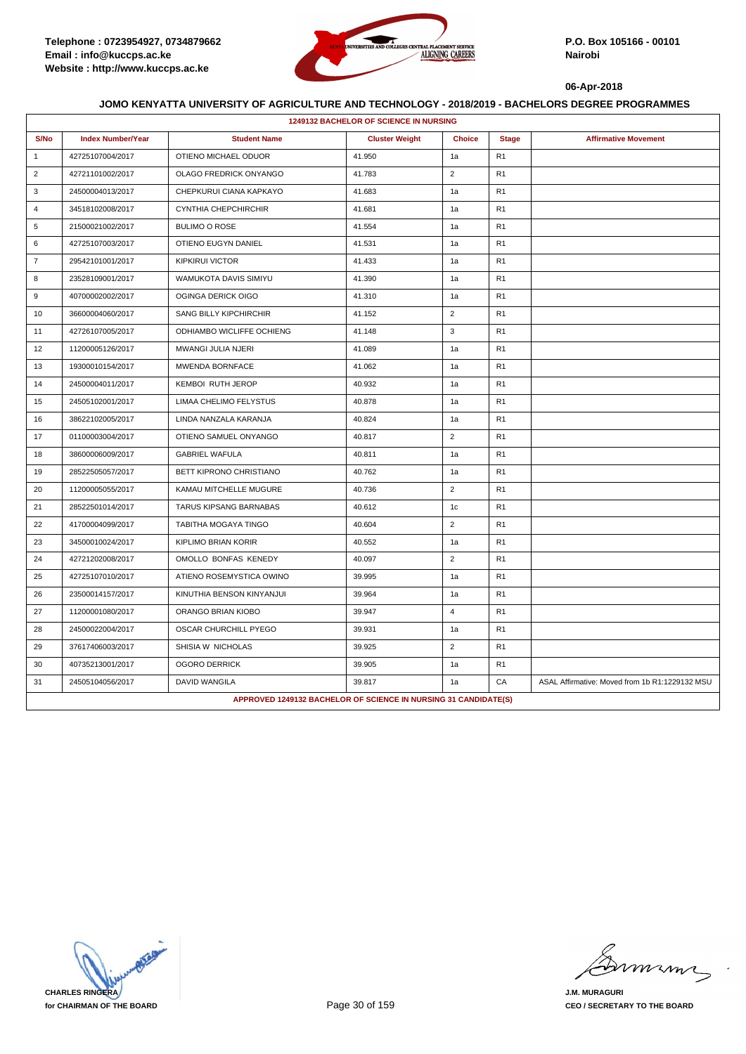

|                | <b>1249132 BACHELOR OF SCIENCE IN NURSING</b> |                                                                 |                       |                |                |                                                |  |  |
|----------------|-----------------------------------------------|-----------------------------------------------------------------|-----------------------|----------------|----------------|------------------------------------------------|--|--|
| S/No           | <b>Index Number/Year</b>                      | <b>Student Name</b>                                             | <b>Cluster Weight</b> | <b>Choice</b>  | <b>Stage</b>   | <b>Affirmative Movement</b>                    |  |  |
| $\overline{1}$ | 42725107004/2017                              | OTIENO MICHAEL ODUOR                                            | 41.950                | 1a             | R1             |                                                |  |  |
| 2              | 42721101002/2017                              | OLAGO FREDRICK ONYANGO                                          | 41.783                | $\overline{2}$ | R <sub>1</sub> |                                                |  |  |
| 3              | 24500004013/2017                              | CHEPKURUI CIANA KAPKAYO                                         | 41.683                | 1a             | R1             |                                                |  |  |
| $\overline{4}$ | 34518102008/2017                              | CYNTHIA CHEPCHIRCHIR                                            | 41.681                | 1a             | R1             |                                                |  |  |
| 5              | 21500021002/2017                              | <b>BULIMO O ROSE</b>                                            | 41.554                | 1a             | R1             |                                                |  |  |
| 6              | 42725107003/2017                              | OTIENO EUGYN DANIEL                                             | 41.531                | 1a             | R1             |                                                |  |  |
| $\overline{7}$ | 29542101001/2017                              | <b>KIPKIRUI VICTOR</b>                                          | 41.433                | 1a             | R <sub>1</sub> |                                                |  |  |
| 8              | 23528109001/2017                              | <b>WAMUKOTA DAVIS SIMIYU</b>                                    | 41.390                | 1a             | R <sub>1</sub> |                                                |  |  |
| 9              | 40700002002/2017                              | OGINGA DERICK OIGO                                              | 41.310                | 1a             | R <sub>1</sub> |                                                |  |  |
| 10             | 36600004060/2017                              | SANG BILLY KIPCHIRCHIR                                          | 41.152                | $\overline{2}$ | R1             |                                                |  |  |
| 11             | 42726107005/2017                              | ODHIAMBO WICLIFFE OCHIENG                                       | 41.148                | 3              | R1             |                                                |  |  |
| 12             | 11200005126/2017                              | MWANGI JULIA NJERI                                              | 41.089                | 1a             | R1             |                                                |  |  |
| 13             | 19300010154/2017                              | MWENDA BORNFACE                                                 | 41.062                | 1a             | R1             |                                                |  |  |
| 14             | 24500004011/2017                              | <b>KEMBOI RUTH JEROP</b>                                        | 40.932                | 1a             | R1             |                                                |  |  |
| 15             | 24505102001/2017                              | LIMAA CHELIMO FELYSTUS                                          | 40.878                | 1a             | R <sub>1</sub> |                                                |  |  |
| 16             | 38622102005/2017                              | LINDA NANZALA KARANJA                                           | 40.824                | 1a             | R <sub>1</sub> |                                                |  |  |
| 17             | 01100003004/2017                              | OTIENO SAMUEL ONYANGO                                           | 40.817                | $\overline{2}$ | R <sub>1</sub> |                                                |  |  |
| 18             | 38600006009/2017                              | <b>GABRIEL WAFULA</b>                                           | 40.811                | 1a             | R <sub>1</sub> |                                                |  |  |
| 19             | 28522505057/2017                              | BETT KIPRONO CHRISTIANO                                         | 40.762                | 1a             | R1             |                                                |  |  |
| 20             | 11200005055/2017                              | KAMAU MITCHELLE MUGURE                                          | 40.736                | $\overline{c}$ | R <sub>1</sub> |                                                |  |  |
| 21             | 28522501014/2017                              | TARUS KIPSANG BARNABAS                                          | 40.612                | 1 <sub>c</sub> | R1             |                                                |  |  |
| 22             | 41700004099/2017                              | TABITHA MOGAYA TINGO                                            | 40.604                | $\overline{2}$ | R <sub>1</sub> |                                                |  |  |
| 23             | 34500010024/2017                              | <b>KIPLIMO BRIAN KORIR</b>                                      | 40.552                | 1a             | R1             |                                                |  |  |
| 24             | 42721202008/2017                              | OMOLLO BONFAS KENEDY                                            | 40.097                | $\overline{c}$ | R <sub>1</sub> |                                                |  |  |
| 25             | 42725107010/2017                              | ATIENO ROSEMYSTICA OWINO                                        | 39.995                | 1a             | R <sub>1</sub> |                                                |  |  |
| 26             | 23500014157/2017                              | KINUTHIA BENSON KINYANJUI                                       | 39.964                | 1a             | R <sub>1</sub> |                                                |  |  |
| 27             | 11200001080/2017                              | ORANGO BRIAN KIOBO                                              | 39.947                | $\overline{4}$ | R <sub>1</sub> |                                                |  |  |
| 28             | 24500022004/2017                              | OSCAR CHURCHILL PYEGO                                           | 39.931                | 1a             | R1             |                                                |  |  |
| 29             | 37617406003/2017                              | SHISIA W NICHOLAS                                               | 39.925                | $\overline{2}$ | R <sub>1</sub> |                                                |  |  |
| 30             | 40735213001/2017                              | <b>OGORO DERRICK</b>                                            | 39.905                | 1a             | R <sub>1</sub> |                                                |  |  |
| 31             | 24505104056/2017                              | <b>DAVID WANGILA</b>                                            | 39.817                | 1a             | CA             | ASAL Affirmative: Moved from 1b R1:1229132 MSU |  |  |
|                |                                               | APPROVED 1249132 BACHELOR OF SCIENCE IN NURSING 31 CANDIDATE(S) |                       |                |                |                                                |  |  |

**CHARLES RINGERA for CHAIRMAN OF THE BOARD**

minn

**J.M. MURAGURI CEO / SECRETARY TO THE BOARD**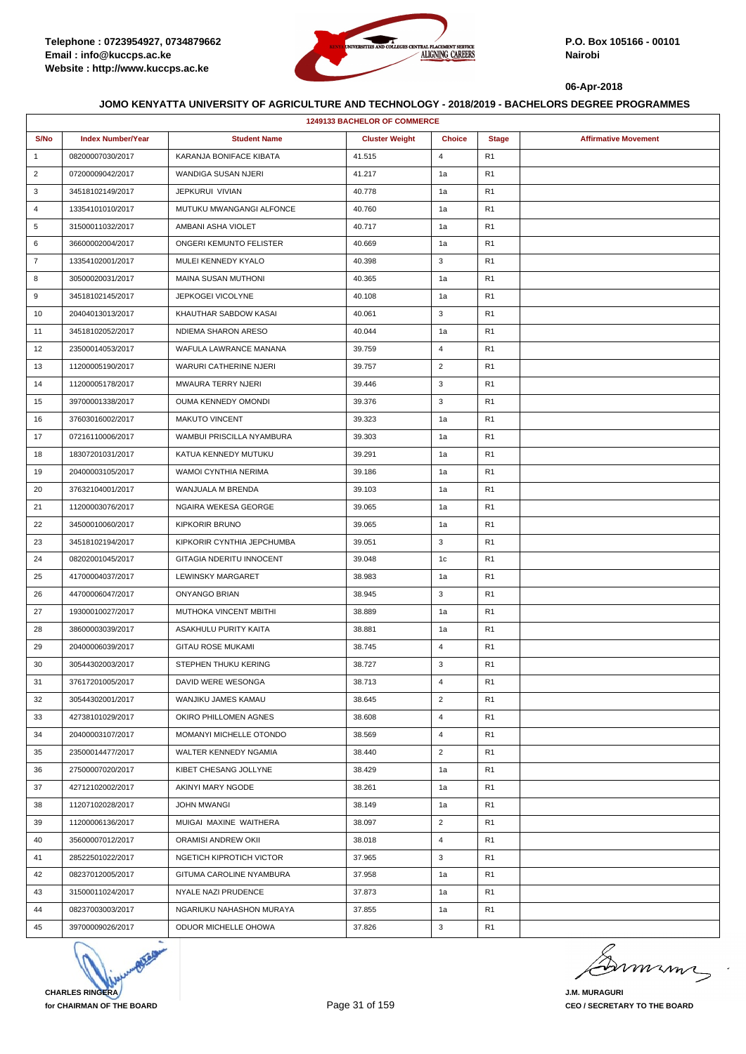

| <b>1249133 BACHELOR OF COMMERCE</b> |                          |                               |                       |                |                |                             |  |
|-------------------------------------|--------------------------|-------------------------------|-----------------------|----------------|----------------|-----------------------------|--|
| S/No                                | <b>Index Number/Year</b> | <b>Student Name</b>           | <b>Cluster Weight</b> | <b>Choice</b>  | <b>Stage</b>   | <b>Affirmative Movement</b> |  |
| $\mathbf{1}$                        | 08200007030/2017         | KARANJA BONIFACE KIBATA       | 41.515                | 4              | R <sub>1</sub> |                             |  |
| $\overline{c}$                      | 07200009042/2017         | WANDIGA SUSAN NJERI           | 41.217                | 1a             | R <sub>1</sub> |                             |  |
| 3                                   | 34518102149/2017         | JEPKURUI VIVIAN               | 40.778                | 1a             | R <sub>1</sub> |                             |  |
| $\overline{4}$                      | 13354101010/2017         | MUTUKU MWANGANGI ALFONCE      | 40.760                | 1a             | R <sub>1</sub> |                             |  |
| 5                                   | 31500011032/2017         | AMBANI ASHA VIOLET            | 40.717                | 1a             | R <sub>1</sub> |                             |  |
| 6                                   | 36600002004/2017         | ONGERI KEMUNTO FELISTER       | 40.669                | 1a             | R <sub>1</sub> |                             |  |
| $\overline{7}$                      | 13354102001/2017         | MULEI KENNEDY KYALO           | 40.398                | 3              | R <sub>1</sub> |                             |  |
| 8                                   | 30500020031/2017         | <b>MAINA SUSAN MUTHONI</b>    | 40.365                | 1a             | R <sub>1</sub> |                             |  |
| 9                                   | 34518102145/2017         | JEPKOGEI VICOLYNE             | 40.108                | 1a             | R <sub>1</sub> |                             |  |
| 10                                  | 20404013013/2017         | KHAUTHAR SABDOW KASAI         | 40.061                | 3              | R <sub>1</sub> |                             |  |
| 11                                  | 34518102052/2017         | NDIEMA SHARON ARESO           | 40.044                | 1a             | R <sub>1</sub> |                             |  |
| 12                                  | 23500014053/2017         | WAFULA LAWRANCE MANANA        | 39.759                | $\overline{4}$ | R <sub>1</sub> |                             |  |
| 13                                  | 11200005190/2017         | <b>WARURI CATHERINE NJERI</b> | 39.757                | $\overline{2}$ | R <sub>1</sub> |                             |  |
| 14                                  | 11200005178/2017         | MWAURA TERRY NJERI            | 39.446                | 3              | R <sub>1</sub> |                             |  |
| 15                                  | 39700001338/2017         | OUMA KENNEDY OMONDI           | 39.376                | 3              | R <sub>1</sub> |                             |  |
| 16                                  | 37603016002/2017         | <b>MAKUTO VINCENT</b>         | 39.323                | 1a             | R <sub>1</sub> |                             |  |
| 17                                  | 07216110006/2017         | WAMBUI PRISCILLA NYAMBURA     | 39.303                | 1a             | R <sub>1</sub> |                             |  |
| 18                                  | 18307201031/2017         | KATUA KENNEDY MUTUKU          | 39.291                | 1a             | R <sub>1</sub> |                             |  |
| 19                                  | 20400003105/2017         | WAMOI CYNTHIA NERIMA          | 39.186                | 1a             | R <sub>1</sub> |                             |  |
| 20                                  | 37632104001/2017         | WANJUALA M BRENDA             | 39.103                | 1a             | R <sub>1</sub> |                             |  |
| 21                                  | 11200003076/2017         | NGAIRA WEKESA GEORGE          | 39.065                | 1a             | R <sub>1</sub> |                             |  |
| 22                                  | 34500010060/2017         | <b>KIPKORIR BRUNO</b>         | 39.065                | 1a             | R <sub>1</sub> |                             |  |
| 23                                  | 34518102194/2017         | KIPKORIR CYNTHIA JEPCHUMBA    | 39.051                | 3              | R <sub>1</sub> |                             |  |
| 24                                  | 08202001045/2017         | GITAGIA NDERITU INNOCENT      | 39.048                | 1c             | R <sub>1</sub> |                             |  |
| 25                                  | 41700004037/2017         | LEWINSKY MARGARET             | 38.983                | 1a             | R <sub>1</sub> |                             |  |
| 26                                  | 44700006047/2017         | ONYANGO BRIAN                 | 38.945                | 3              | R <sub>1</sub> |                             |  |
| 27                                  | 19300010027/2017         | MUTHOKA VINCENT MBITHI        | 38.889                | 1a             | R <sub>1</sub> |                             |  |
| 28                                  | 38600003039/2017         | ASAKHULU PURITY KAITA         | 38.881                | 1a             | R <sub>1</sub> |                             |  |
| 29                                  | 20400006039/2017         | <b>GITAU ROSE MUKAMI</b>      | 38.745                | 4              | R <sub>1</sub> |                             |  |
| 30                                  | 30544302003/2017         | STEPHEN THUKU KERING          | 38.727                | 3              | R <sub>1</sub> |                             |  |
| 31                                  | 37617201005/2017         | DAVID WERE WESONGA            | 38.713                | 4              | R <sub>1</sub> |                             |  |
| 32                                  | 30544302001/2017         | WANJIKU JAMES KAMAU           | 38.645                | $\overline{2}$ | R <sub>1</sub> |                             |  |
| 33                                  | 42738101029/2017         | OKIRO PHILLOMEN AGNES         | 38.608                | $\overline{4}$ | R <sub>1</sub> |                             |  |
| 34                                  | 20400003107/2017         | MOMANYI MICHELLE OTONDO       | 38.569                | 4              | R <sub>1</sub> |                             |  |
| 35                                  | 23500014477/2017         | WALTER KENNEDY NGAMIA         | 38.440                | $\overline{2}$ | R <sub>1</sub> |                             |  |
| 36                                  | 27500007020/2017         | KIBET CHESANG JOLLYNE         | 38.429                | 1a             | R <sub>1</sub> |                             |  |
| 37                                  | 42712102002/2017         | AKINYI MARY NGODE             | 38.261                | 1a             | R <sub>1</sub> |                             |  |
| 38                                  | 11207102028/2017         | <b>JOHN MWANGI</b>            | 38.149                | 1a             | R <sub>1</sub> |                             |  |
| 39                                  | 11200006136/2017         | MUIGAI MAXINE WAITHERA        | 38.097                | $\overline{2}$ | R <sub>1</sub> |                             |  |
| 40                                  | 35600007012/2017         | ORAMISI ANDREW OKII           | 38.018                | 4              | R <sub>1</sub> |                             |  |
| 41                                  | 28522501022/2017         | NGETICH KIPROTICH VICTOR      | 37.965                | 3              | R <sub>1</sub> |                             |  |
| 42                                  | 08237012005/2017         | GITUMA CAROLINE NYAMBURA      | 37.958                | 1a             | R <sub>1</sub> |                             |  |
| 43                                  | 31500011024/2017         | NYALE NAZI PRUDENCE           | 37.873                | 1a             | R <sub>1</sub> |                             |  |
| 44                                  | 08237003003/2017         | NGARIUKU NAHASHON MURAYA      | 37.855                | 1a             | R <sub>1</sub> |                             |  |
| 45                                  | 39700009026/2017         | ODUOR MICHELLE OHOWA          | 37.826                | 3              | R <sub>1</sub> |                             |  |



murma

**J.M. MURAGURI CEO / SECRETARY TO THE BOARD**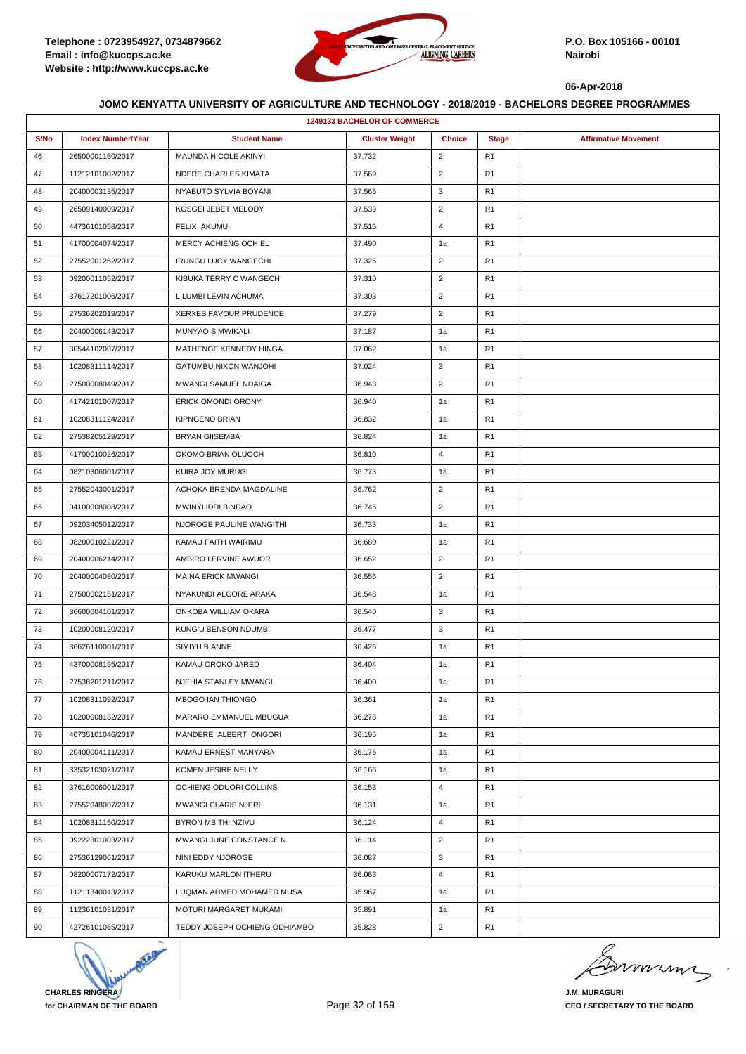

|      | <b>1249133 BACHELOR OF COMMERCE</b> |                               |                       |                |                |                             |  |  |
|------|-------------------------------------|-------------------------------|-----------------------|----------------|----------------|-----------------------------|--|--|
| S/No | <b>Index Number/Year</b>            | <b>Student Name</b>           | <b>Cluster Weight</b> | <b>Choice</b>  | <b>Stage</b>   | <b>Affirmative Movement</b> |  |  |
| 46   | 26500001160/2017                    | MAUNDA NICOLE AKINYI          | 37.732                | $\overline{2}$ | R <sub>1</sub> |                             |  |  |
| 47   | 11212101002/2017                    | NDERE CHARLES KIMATA          | 37.569                | $\overline{c}$ | R <sub>1</sub> |                             |  |  |
| 48   | 20400003135/2017                    | NYABUTO SYLVIA BOYANI         | 37.565                | 3              | R <sub>1</sub> |                             |  |  |
| 49   | 26509140009/2017                    | KOSGEI JEBET MELODY           | 37.539                | $\overline{2}$ | R <sub>1</sub> |                             |  |  |
| 50   | 44736101058/2017                    | FELIX AKUMU                   | 37.515                | 4              | R <sub>1</sub> |                             |  |  |
| 51   | 41700004074/2017                    | MERCY ACHIENG OCHIEL          | 37.490                | 1a             | R1             |                             |  |  |
| 52   | 27552001262/2017                    | <b>IRUNGU LUCY WANGECHI</b>   | 37.326                | $\overline{2}$ | R <sub>1</sub> |                             |  |  |
| 53   | 09200011052/2017                    | KIBUKA TERRY C WANGECHI       | 37.310                | $\overline{2}$ | R <sub>1</sub> |                             |  |  |
| 54   | 37617201006/2017                    | LILUMBI LEVIN ACHUMA          | 37.303                | $\overline{2}$ | R <sub>1</sub> |                             |  |  |
| 55   | 27536202019/2017                    | XERXES FAVOUR PRUDENCE        | 37.279                | $\overline{2}$ | R <sub>1</sub> |                             |  |  |
| 56   | 20400006143/2017                    | <b>MUNYAO S MWIKALI</b>       | 37.187                | 1a             | R <sub>1</sub> |                             |  |  |
| 57   | 30544102007/2017                    | MATHENGE KENNEDY HINGA        | 37.062                | 1a             | R <sub>1</sub> |                             |  |  |
| 58   | 10208311114/2017                    | GATUMBU NIXON WANJOHI         | 37.024                | 3              | R <sub>1</sub> |                             |  |  |
| 59   | 27500008049/2017                    | MWANGI SAMUEL NDAIGA          | 36.943                | $\overline{c}$ | R <sub>1</sub> |                             |  |  |
| 60   | 41742101007/2017                    | <b>ERICK OMONDI ORONY</b>     | 36.940                | 1a             | R <sub>1</sub> |                             |  |  |
| 61   | 10208311124/2017                    | <b>KIPNGENO BRIAN</b>         | 36.832                | 1a             | R <sub>1</sub> |                             |  |  |
| 62   | 27538205129/2017                    | <b>BRYAN GIISEMBA</b>         | 36.824                | 1a             | R <sub>1</sub> |                             |  |  |
| 63   | 41700010026/2017                    | OKOMO BRIAN OLUOCH            | 36.810                | $\overline{4}$ | R1             |                             |  |  |
| 64   | 08210306001/2017                    | KUIRA JOY MURUGI              | 36.773                | 1a             | R <sub>1</sub> |                             |  |  |
| 65   | 27552043001/2017                    | ACHOKA BRENDA MAGDALINE       | 36.762                | $\overline{2}$ | R <sub>1</sub> |                             |  |  |
| 66   | 04100008008/2017                    | MWINYI IDDI BINDAO            | 36.745                | $\overline{2}$ | R <sub>1</sub> |                             |  |  |
| 67   | 09203405012/2017                    | NJOROGE PAULINE WANGITHI      | 36.733                | 1a             | R <sub>1</sub> |                             |  |  |
| 68   | 08200010221/2017                    | KAMAU FAITH WAIRIMU           | 36.680                | 1a             | R <sub>1</sub> |                             |  |  |
| 69   | 20400006214/2017                    | AMBIRO LERVINE AWUOR          | 36.652                | $\overline{2}$ | R <sub>1</sub> |                             |  |  |
| 70   | 20400004080/2017                    | <b>MAINA ERICK MWANGI</b>     | 36.556                | $\overline{2}$ | R <sub>1</sub> |                             |  |  |
| 71   | 27500002151/2017                    | NYAKUNDI ALGORE ARAKA         | 36.548                | 1a             | R <sub>1</sub> |                             |  |  |
| 72   | 36600004101/2017                    | ONKOBA WILLIAM OKARA          | 36.540                | 3              | R <sub>1</sub> |                             |  |  |
| 73   | 10200008120/2017                    | KUNG'U BENSON NDUMBI          | 36.477                | 3              | R <sub>1</sub> |                             |  |  |
| 74   | 36626110001/2017                    | SIMIYU B ANNE                 | 36.426                | 1a             | R <sub>1</sub> |                             |  |  |
| 75   | 43700008195/2017                    | KAMAU OROKO JARED             | 36.404                | 1a             | R <sub>1</sub> |                             |  |  |
| 76   | 27538201211/2017                    | NJEHIA STANLEY MWANGI         | 36.400                | 1a             | R <sub>1</sub> |                             |  |  |
| 77   | 10208311092/2017                    | MBOGO IAN THIONGO             | 36.361                | 1a             | R <sub>1</sub> |                             |  |  |
| 78   | 10200008132/2017                    | MARARO EMMANUEL MBUGUA        | 36.278                | 1a             | R1             |                             |  |  |
| 79   | 40735101046/2017                    | MANDERE ALBERT ONGORI         | 36.195                | 1a             | R <sub>1</sub> |                             |  |  |
| 80   | 20400004111/2017                    | KAMAU ERNEST MANYARA          | 36.175                | 1a             | R <sub>1</sub> |                             |  |  |
| 81   | 33532103021/2017                    | KOMEN JESIRE NELLY            | 36.166                | 1a             | R <sub>1</sub> |                             |  |  |
| 82   | 37616006001/2017                    | OCHIENG ODUORI COLLINS        | 36.153                | $\overline{4}$ | R <sub>1</sub> |                             |  |  |
| 83   | 27552048007/2017                    | MWANGI CLARIS NJERI           | 36.131                | 1a             | R <sub>1</sub> |                             |  |  |
| 84   | 10208311150/2017                    | BYRON MBITHI NZIVU            | 36.124                | $\overline{4}$ | R1             |                             |  |  |
| 85   | 09222301003/2017                    | MWANGI JUNE CONSTANCE N       | 36.114                | $\overline{2}$ | R <sub>1</sub> |                             |  |  |
| 86   | 27536129061/2017                    | NINI EDDY NJOROGE             | 36.087                | 3              | R <sub>1</sub> |                             |  |  |
| 87   | 08200007172/2017                    | KARUKU MARLON ITHERU          | 36.063                | $\overline{4}$ | R <sub>1</sub> |                             |  |  |
| 88   | 11211340013/2017                    | LUQMAN AHMED MOHAMED MUSA     | 35.967                | 1a             | R <sub>1</sub> |                             |  |  |
| 89   | 11236101031/2017                    | MOTURI MARGARET MUKAMI        | 35.891                | 1a             | R1             |                             |  |  |
| 90   | 42726101065/2017                    | TEDDY JOSEPH OCHIENG ODHIAMBO | 35.828                | $\overline{2}$ | R <sub>1</sub> |                             |  |  |



murma

**J.M. MURAGURI CEO / SECRETARY TO THE BOARD**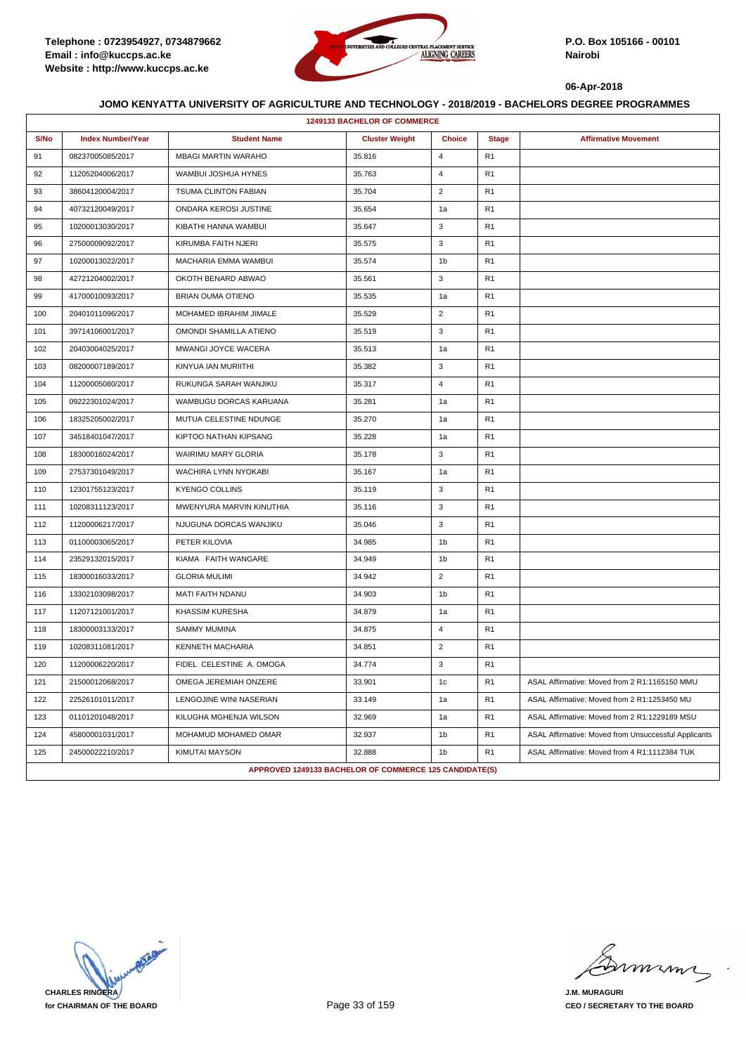

|      | 1249133 BACHELOR OF COMMERCE |                                                        |                       |                |                |                                                      |  |
|------|------------------------------|--------------------------------------------------------|-----------------------|----------------|----------------|------------------------------------------------------|--|
| S/No | <b>Index Number/Year</b>     | <b>Student Name</b>                                    | <b>Cluster Weight</b> | <b>Choice</b>  | <b>Stage</b>   | <b>Affirmative Movement</b>                          |  |
| 91   | 08237005085/2017             | <b>MBAGI MARTIN WARAHO</b>                             | 35.816                | 4              | R1             |                                                      |  |
| 92   | 11205204006/2017             | WAMBUI JOSHUA HYNES                                    | 35.763                | $\overline{4}$ | R <sub>1</sub> |                                                      |  |
| 93   | 38604120004/2017             | <b>TSUMA CLINTON FABIAN</b>                            | 35.704                | $\overline{2}$ | R1             |                                                      |  |
| 94   | 40732120049/2017             | ONDARA KEROSI JUSTINE                                  | 35.654                | 1a             | R1             |                                                      |  |
| 95   | 10200013030/2017             | KIBATHI HANNA WAMBUI                                   | 35.647                | 3              | R <sub>1</sub> |                                                      |  |
| 96   | 27500009092/2017             | KIRUMBA FAITH NJERI                                    | 35.575                | 3              | R <sub>1</sub> |                                                      |  |
| 97   | 10200013022/2017             | MACHARIA EMMA WAMBUI                                   | 35.574                | 1b             | R1             |                                                      |  |
| 98   | 42721204002/2017             | OKOTH BENARD ABWAO                                     | 35.561                | 3              | R <sub>1</sub> |                                                      |  |
| 99   | 41700010093/2017             | <b>BRIAN OUMA OTIENO</b>                               | 35.535                | 1a             | R1             |                                                      |  |
| 100  | 20401011096/2017             | MOHAMED IBRAHIM JIMALE                                 | 35.529                | $\overline{2}$ | R1             |                                                      |  |
| 101  | 39714106001/2017             | OMONDI SHAMILLA ATIENO                                 | 35.519                | 3              | R <sub>1</sub> |                                                      |  |
| 102  | 20403004025/2017             | MWANGI JOYCE WACERA                                    | 35.513                | 1a             | R <sub>1</sub> |                                                      |  |
| 103  | 08200007189/2017             | KINYUA IAN MURIITHI                                    | 35.382                | 3              | R1             |                                                      |  |
| 104  | 11200005080/2017             | RUKUNGA SARAH WANJIKU                                  | 35.317                | $\overline{4}$ | R <sub>1</sub> |                                                      |  |
| 105  | 09222301024/2017             | WAMBUGU DORCAS KARUANA                                 | 35.281                | 1a             | R1             |                                                      |  |
| 106  | 18325205002/2017             | MUTUA CELESTINE NDUNGE                                 | 35.270                | 1a             | R1             |                                                      |  |
| 107  | 34518401047/2017             | KIPTOO NATHAN KIPSANG                                  | 35.228                | 1a             | R <sub>1</sub> |                                                      |  |
| 108  | 18300016024/2017             | WAIRIMU MARY GLORIA                                    | 35.178                | 3              | R1             |                                                      |  |
| 109  | 27537301049/2017             | WACHIRA LYNN NYOKABI                                   | 35.167                | 1a             | R1             |                                                      |  |
| 110  | 12301755123/2017             | <b>KYENGO COLLINS</b>                                  | 35.119                | 3              | R <sub>1</sub> |                                                      |  |
| 111  | 10208311123/2017             | MWENYURA MARVIN KINUTHIA                               | 35.116                | 3              | R1             |                                                      |  |
| 112  | 11200006217/2017             | NJUGUNA DORCAS WANJIKU                                 | 35.046                | 3              | R1             |                                                      |  |
| 113  | 01100003065/2017             | PETER KILOVIA                                          | 34.985                | 1b             | R <sub>1</sub> |                                                      |  |
| 114  | 23529132015/2017             | KIAMA FAITH WANGARE                                    | 34.949                | 1b             | R1             |                                                      |  |
| 115  | 18300016033/2017             | <b>GLORIA MULIMI</b>                                   | 34.942                | $\overline{2}$ | R1             |                                                      |  |
| 116  | 13302103098/2017             | MATI FAITH NDANU                                       | 34.903                | 1 <sub>b</sub> | R <sub>1</sub> |                                                      |  |
| 117  | 11207121001/2017             | <b>KHASSIM KURESHA</b>                                 | 34.879                | 1a             | R1             |                                                      |  |
| 118  | 18300003133/2017             | <b>SAMMY MUMINA</b>                                    | 34.875                | 4              | R1             |                                                      |  |
| 119  | 10208311081/2017             | KENNETH MACHARIA                                       | 34.851                | $\overline{2}$ | R <sub>1</sub> |                                                      |  |
| 120  | 11200006220/2017             | FIDEL CELESTINE A. OMOGA                               | 34.774                | 3              | R1             |                                                      |  |
| 121  | 21500012068/2017             | OMEGA JEREMIAH ONZERE                                  | 33.901                | 1c             | R <sub>1</sub> | ASAL Affirmative: Moved from 2 R1:1165150 MMU        |  |
| 122  | 22526101011/2017             | LENGOJINE WINI NASERIAN                                | 33.149                | 1a             | R <sub>1</sub> | ASAL Affirmative: Moved from 2 R1:1253450 MU         |  |
| 123  | 01101201048/2017             | KILUGHA MGHENJA WILSON                                 | 32.969                | 1a             | R <sub>1</sub> | ASAL Affirmative: Moved from 2 R1:1229189 MSU        |  |
| 124  | 45800001031/2017             | MOHAMUD MOHAMED OMAR                                   | 32.937                | 1b             | R <sub>1</sub> | ASAL Affirmative: Moved from Unsuccessful Applicants |  |
| 125  | 24500022210/2017             | KIMUTAI MAYSON                                         | 32.888                | 1 <sub>b</sub> | R <sub>1</sub> | ASAL Affirmative: Moved from 4 R1:1112384 TUK        |  |
|      |                              | APPROVED 1249133 BACHELOR OF COMMERCE 125 CANDIDATE(S) |                       |                |                |                                                      |  |

**CHARLES RINGERA for CHAIRMAN OF THE BOARD**

miming

**J.M. MURAGURI CEO / SECRETARY TO THE BOARD**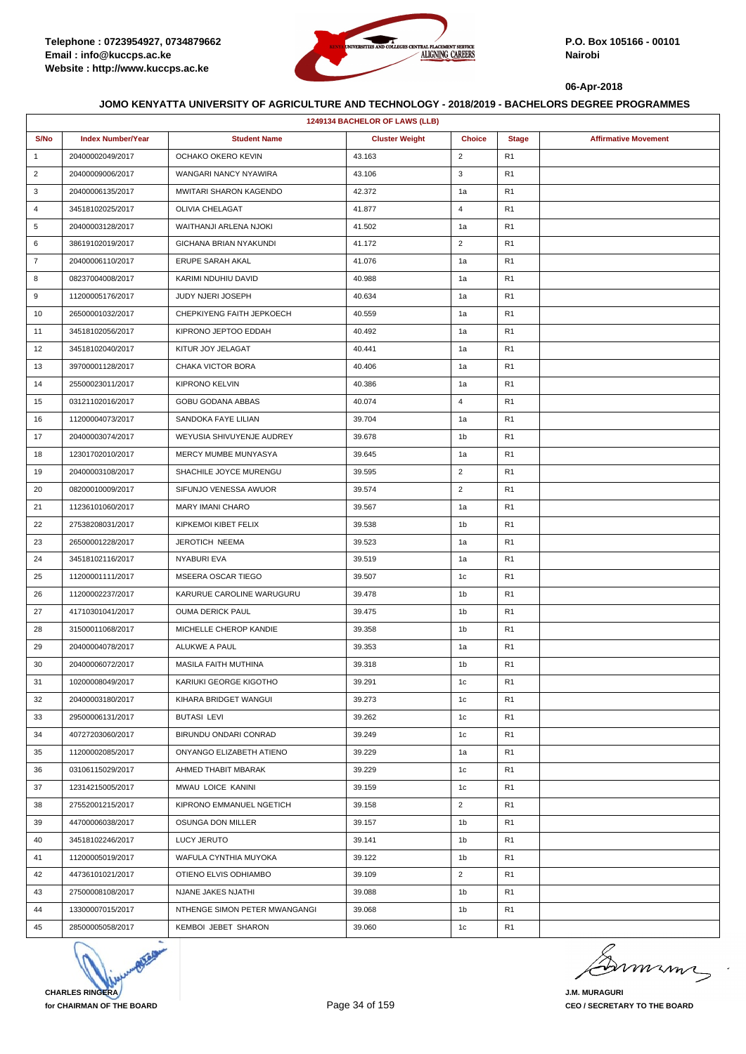

| 1249134 BACHELOR OF LAWS (LLB) |                          |                               |                       |                |                |                             |  |
|--------------------------------|--------------------------|-------------------------------|-----------------------|----------------|----------------|-----------------------------|--|
| S/No                           | <b>Index Number/Year</b> | <b>Student Name</b>           | <b>Cluster Weight</b> | <b>Choice</b>  | <b>Stage</b>   | <b>Affirmative Movement</b> |  |
| $\mathbf{1}$                   | 20400002049/2017         | OCHAKO OKERO KEVIN            | 43.163                | $\overline{2}$ | R <sub>1</sub> |                             |  |
| $\overline{2}$                 | 20400009006/2017         | WANGARI NANCY NYAWIRA         | 43.106                | 3              | R <sub>1</sub> |                             |  |
| 3                              | 20400006135/2017         | <b>MWITARI SHARON KAGENDO</b> | 42.372                | 1a             | R <sub>1</sub> |                             |  |
| $\overline{4}$                 | 34518102025/2017         | OLIVIA CHELAGAT               | 41.877                | $\overline{4}$ | R <sub>1</sub> |                             |  |
| 5                              | 20400003128/2017         | WAITHANJI ARLENA NJOKI        | 41.502                | 1a             | R <sub>1</sub> |                             |  |
| 6                              | 38619102019/2017         | GICHANA BRIAN NYAKUNDI        | 41.172                | $\overline{2}$ | R1             |                             |  |
| $\overline{7}$                 | 20400006110/2017         | ERUPE SARAH AKAL              | 41.076                | 1a             | R <sub>1</sub> |                             |  |
| 8                              | 08237004008/2017         | KARIMI NDUHIU DAVID           | 40.988                | 1a             | R <sub>1</sub> |                             |  |
| 9                              | 11200005176/2017         | <b>JUDY NJERI JOSEPH</b>      | 40.634                | 1a             | R <sub>1</sub> |                             |  |
| 10                             | 26500001032/2017         | CHEPKIYENG FAITH JEPKOECH     | 40.559                | 1a             | R <sub>1</sub> |                             |  |
| 11                             | 34518102056/2017         | KIPRONO JEPTOO EDDAH          | 40.492                | 1a             | R <sub>1</sub> |                             |  |
| 12                             | 34518102040/2017         | KITUR JOY JELAGAT             | 40.441                | 1a             | R1             |                             |  |
| 13                             | 39700001128/2017         | CHAKA VICTOR BORA             | 40.406                | 1a             | R <sub>1</sub> |                             |  |
| 14                             | 25500023011/2017         | <b>KIPRONO KELVIN</b>         | 40.386                | 1a             | R <sub>1</sub> |                             |  |
| 15                             | 03121102016/2017         | GOBU GODANA ABBAS             | 40.074                | 4              | R1             |                             |  |
| 16                             | 11200004073/2017         | SANDOKA FAYE LILIAN           | 39.704                | 1a             | R <sub>1</sub> |                             |  |
| 17                             | 20400003074/2017         | WEYUSIA SHIVUYENJE AUDREY     | 39.678                | 1b             | R <sub>1</sub> |                             |  |
| 18                             | 12301702010/2017         | MERCY MUMBE MUNYASYA          | 39.645                | 1a             | R <sub>1</sub> |                             |  |
| 19                             | 20400003108/2017         | SHACHILE JOYCE MURENGU        | 39.595                | $\overline{2}$ | R <sub>1</sub> |                             |  |
| 20                             | 08200010009/2017         | SIFUNJO VENESSA AWUOR         | 39.574                | $\overline{2}$ | R <sub>1</sub> |                             |  |
| 21                             | 11236101060/2017         | <b>MARY IMANI CHARO</b>       | 39.567                | 1a             | R <sub>1</sub> |                             |  |
| 22                             | 27538208031/2017         | KIPKEMOI KIBET FELIX          | 39.538                | 1b             | R <sub>1</sub> |                             |  |
| 23                             | 26500001228/2017         | JEROTICH NEEMA                | 39.523                | 1a             | R <sub>1</sub> |                             |  |
| 24                             | 34518102116/2017         | NYABURI EVA                   | 39.519                | 1a             | R <sub>1</sub> |                             |  |
| 25                             | 11200001111/2017         | MSEERA OSCAR TIEGO            | 39.507                | 1 <sub>c</sub> | R <sub>1</sub> |                             |  |
| 26                             | 11200002237/2017         | KARURUE CAROLINE WARUGURU     | 39.478                | 1b             | R <sub>1</sub> |                             |  |
| 27                             | 41710301041/2017         | <b>OUMA DERICK PAUL</b>       | 39.475                | 1b             | R1             |                             |  |
| 28                             | 31500011068/2017         | MICHELLE CHEROP KANDIE        | 39.358                | 1b             | R1             |                             |  |
| 29                             | 20400004078/2017         | ALUKWE A PAUL                 | 39.353                | 1a             | R <sub>1</sub> |                             |  |
| 30                             | 20400006072/2017         | <b>MASILA FAITH MUTHINA</b>   | 39.318                | 1b             | R1             |                             |  |
| 31                             | 10200008049/2017         | KARIUKI GEORGE KIGOTHO        | 39.291                | 1c             | R1             |                             |  |
| 32                             | 20400003180/2017         | KIHARA BRIDGET WANGUI         | 39.273                | 1c             | R <sub>1</sub> |                             |  |
| 33                             | 29500006131/2017         | <b>BUTASI LEVI</b>            | 39.262                | 1 <sub>c</sub> | R <sub>1</sub> |                             |  |
| 34                             | 40727203060/2017         | BIRUNDU ONDARI CONRAD         | 39.249                | 1c             | R <sub>1</sub> |                             |  |
| 35                             | 11200002085/2017         | ONYANGO ELIZABETH ATIENO      | 39.229                | 1a             | R <sub>1</sub> |                             |  |
| 36                             | 03106115029/2017         | AHMED THABIT MBARAK           | 39.229                | 1 <sub>c</sub> | R <sub>1</sub> |                             |  |
| 37                             | 12314215005/2017         | MWAU LOICE KANINI             | 39.159                | 1c             | R <sub>1</sub> |                             |  |
| 38                             | 27552001215/2017         | KIPRONO EMMANUEL NGETICH      | 39.158                | $\overline{2}$ | R <sub>1</sub> |                             |  |
| 39                             | 44700006038/2017         | OSUNGA DON MILLER             | 39.157                | 1b             | R1             |                             |  |
| 40                             | 34518102246/2017         | LUCY JERUTO                   | 39.141                | 1b             | R <sub>1</sub> |                             |  |
| 41                             | 11200005019/2017         | WAFULA CYNTHIA MUYOKA         | 39.122                | 1b             | R1             |                             |  |
| 42                             | 44736101021/2017         | OTIENO ELVIS ODHIAMBO         | 39.109                | $\overline{2}$ | R <sub>1</sub> |                             |  |
| 43                             | 27500008108/2017         | NJANE JAKES NJATHI            | 39.088                | 1b             | R <sub>1</sub> |                             |  |
| 44                             | 13300007015/2017         | NTHENGE SIMON PETER MWANGANGI | 39.068                | 1b             | R <sub>1</sub> |                             |  |
| 45                             | 28500005058/2017         | KEMBOI JEBET SHARON           | 39.060                | 1c             | R <sub>1</sub> |                             |  |



minn

**J.M. MURAGURI CEO / SECRETARY TO THE BOARD**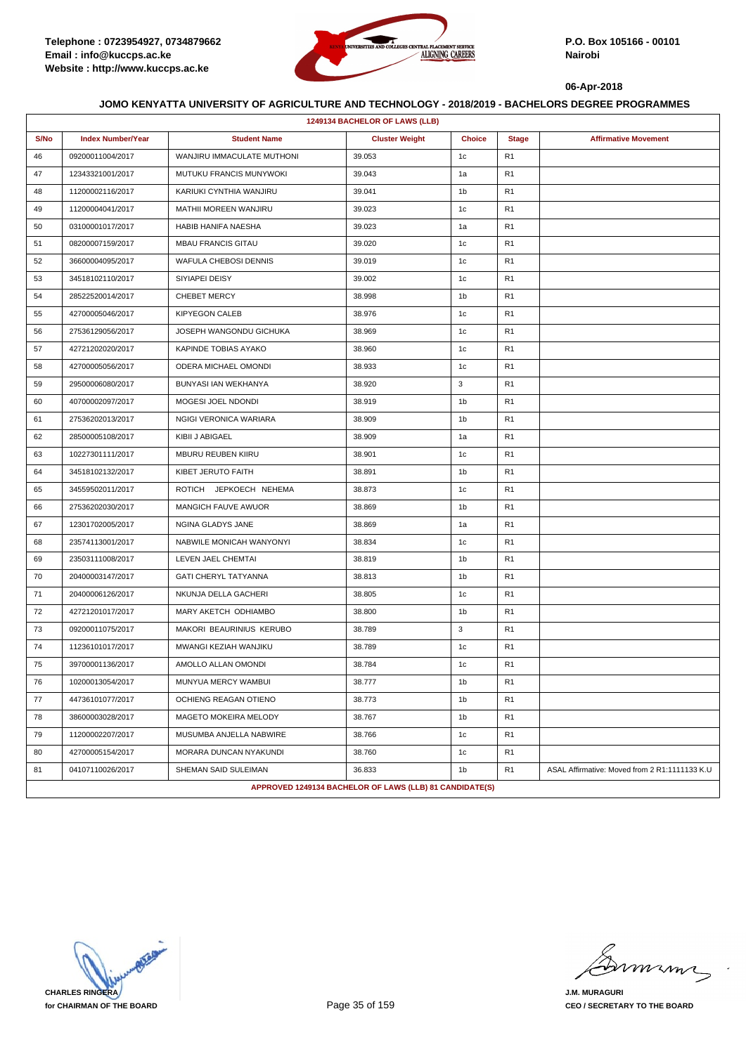

| 1249134 BACHELOR OF LAWS (LLB) |                          |                             |                                                         |                |                |                                               |  |
|--------------------------------|--------------------------|-----------------------------|---------------------------------------------------------|----------------|----------------|-----------------------------------------------|--|
| S/No                           | <b>Index Number/Year</b> | <b>Student Name</b>         | <b>Cluster Weight</b>                                   | <b>Choice</b>  | <b>Stage</b>   | <b>Affirmative Movement</b>                   |  |
| 46                             | 09200011004/2017         | WANJIRU IMMACULATE MUTHONI  | 39.053                                                  | 1c             | R <sub>1</sub> |                                               |  |
| 47                             | 12343321001/2017         | MUTUKU FRANCIS MUNYWOKI     | 39.043                                                  | 1a             | R <sub>1</sub> |                                               |  |
| 48                             | 11200002116/2017         | KARIUKI CYNTHIA WANJIRU     | 39.041                                                  | 1b             | R <sub>1</sub> |                                               |  |
| 49                             | 11200004041/2017         | MATHII MOREEN WANJIRU       | 39.023                                                  | 1c             | R <sub>1</sub> |                                               |  |
| 50                             | 03100001017/2017         | HABIB HANIFA NAESHA         | 39.023                                                  | 1a             | R <sub>1</sub> |                                               |  |
| 51                             | 08200007159/2017         | <b>MBAU FRANCIS GITAU</b>   | 39.020                                                  | 1c             | R <sub>1</sub> |                                               |  |
| 52                             | 36600004095/2017         | WAFULA CHEBOSI DENNIS       | 39.019                                                  | 1c             | R <sub>1</sub> |                                               |  |
| 53                             | 34518102110/2017         | SIYIAPEI DEISY              | 39.002                                                  | 1c             | R <sub>1</sub> |                                               |  |
| 54                             | 28522520014/2017         | <b>CHEBET MERCY</b>         | 38.998                                                  | 1b             | R <sub>1</sub> |                                               |  |
| 55                             | 42700005046/2017         | <b>KIPYEGON CALEB</b>       | 38.976                                                  | 1c             | R <sub>1</sub> |                                               |  |
| 56                             | 27536129056/2017         | JOSEPH WANGONDU GICHUKA     | 38.969                                                  | 1c             | R <sub>1</sub> |                                               |  |
| 57                             | 42721202020/2017         | KAPINDE TOBIAS AYAKO        | 38.960                                                  | 1c             | R <sub>1</sub> |                                               |  |
| 58                             | 42700005056/2017         | ODERA MICHAEL OMONDI        | 38.933                                                  | 1c             | R <sub>1</sub> |                                               |  |
| 59                             | 29500006080/2017         | BUNYASI IAN WEKHANYA        | 38.920                                                  | 3              | R <sub>1</sub> |                                               |  |
| 60                             | 40700002097/2017         | MOGESI JOEL NDONDI          | 38.919                                                  | 1b             | R <sub>1</sub> |                                               |  |
| 61                             | 27536202013/2017         | NGIGI VERONICA WARIARA      | 38.909                                                  | 1b             | R <sub>1</sub> |                                               |  |
| 62                             | 28500005108/2017         | KIBII J ABIGAEL             | 38.909                                                  | 1a             | R <sub>1</sub> |                                               |  |
| 63                             | 10227301111/2017         | <b>MBURU REUBEN KIIRU</b>   | 38.901                                                  | 1c             | R1             |                                               |  |
| 64                             | 34518102132/2017         | KIBET JERUTO FAITH          | 38.891                                                  | 1b             | R <sub>1</sub> |                                               |  |
| 65                             | 34559502011/2017         | ROTICH JEPKOECH NEHEMA      | 38.873                                                  | 1c             | R <sub>1</sub> |                                               |  |
| 66                             | 27536202030/2017         | <b>MANGICH FAUVE AWUOR</b>  | 38.869                                                  | 1b             | R <sub>1</sub> |                                               |  |
| 67                             | 12301702005/2017         | NGINA GLADYS JANE           | 38.869                                                  | 1a             | R <sub>1</sub> |                                               |  |
| 68                             | 23574113001/2017         | NABWILE MONICAH WANYONYI    | 38.834                                                  | 1c             | R <sub>1</sub> |                                               |  |
| 69                             | 23503111008/2017         | LEVEN JAEL CHEMTAI          | 38.819                                                  | 1b             | R1             |                                               |  |
| 70                             | 20400003147/2017         | <b>GATI CHERYL TATYANNA</b> | 38.813                                                  | 1b             | R <sub>1</sub> |                                               |  |
| 71                             | 20400006126/2017         | NKUNJA DELLA GACHERI        | 38.805                                                  | 1c             | R <sub>1</sub> |                                               |  |
| 72                             | 42721201017/2017         | MARY AKETCH ODHIAMBO        | 38.800                                                  | 1b             | R <sub>1</sub> |                                               |  |
| 73                             | 09200011075/2017         | MAKORI BEAURINIUS KERUBO    | 38.789                                                  | 3              | R <sub>1</sub> |                                               |  |
| 74                             | 11236101017/2017         | MWANGI KEZIAH WANJIKU       | 38.789                                                  | 1c             | R <sub>1</sub> |                                               |  |
| 75                             | 39700001136/2017         | AMOLLO ALLAN OMONDI         | 38.784                                                  | 1c             | R1             |                                               |  |
| 76                             | 10200013054/2017         | MUNYUA MERCY WAMBUI         | 38.777                                                  | 1b             | R <sub>1</sub> |                                               |  |
| 77                             | 44736101077/2017         | OCHIENG REAGAN OTIENO       | 38.773                                                  | 1b             | R <sub>1</sub> |                                               |  |
| 78                             | 38600003028/2017         | MAGETO MOKEIRA MELODY       | 38.767                                                  | 1 <sub>b</sub> | R <sub>1</sub> |                                               |  |
| 79                             | 11200002207/2017         | MUSUMBA ANJELLA NABWIRE     | 38.766                                                  | 1c             | R <sub>1</sub> |                                               |  |
| 80                             | 42700005154/2017         | MORARA DUNCAN NYAKUNDI      | 38.760                                                  | 1 <sub>c</sub> | R <sub>1</sub> |                                               |  |
| 81                             | 04107110026/2017         | SHEMAN SAID SULEIMAN        | 36.833                                                  | 1b             | R <sub>1</sub> | ASAL Affirmative: Moved from 2 R1:1111133 K.U |  |
|                                |                          |                             | APPROVED 1249134 BACHELOR OF LAWS (LLB) 81 CANDIDATE(S) |                |                |                                               |  |

**CHARLES RINGERA for CHAIRMAN OF THE BOARD**

mmmn

**J.M. MURAGURI CEO / SECRETARY TO THE BOARD**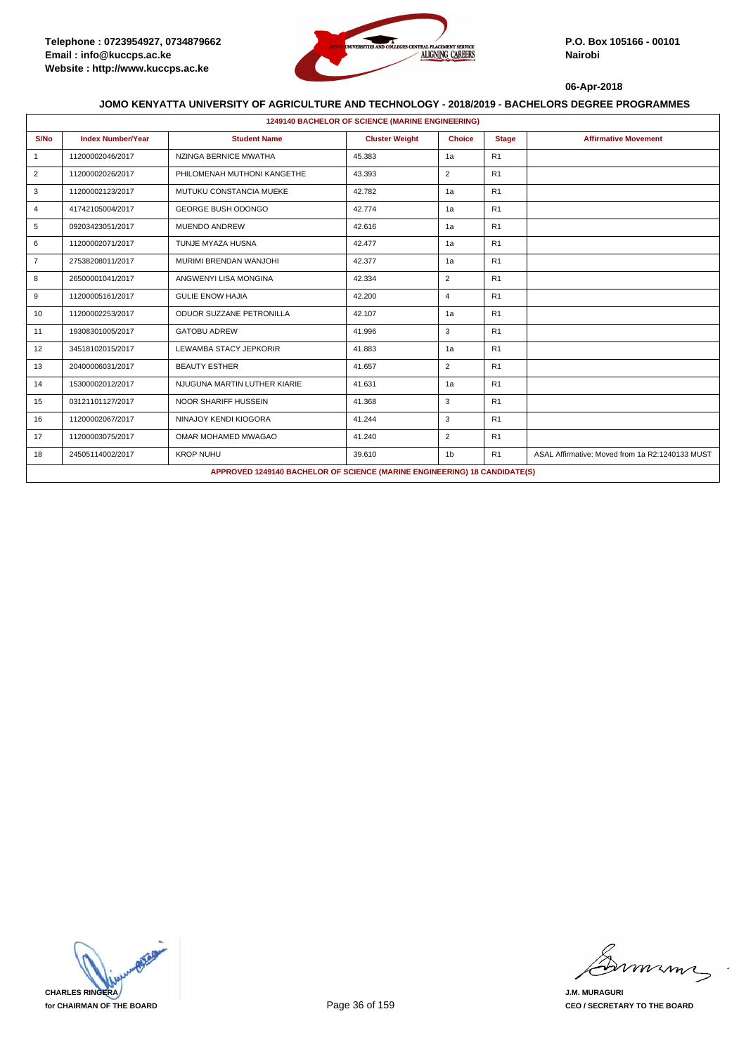

|                | <b>1249140 BACHELOR OF SCIENCE (MARINE ENGINEERING)</b> |                                                                           |                       |                |                |                                                 |  |  |  |
|----------------|---------------------------------------------------------|---------------------------------------------------------------------------|-----------------------|----------------|----------------|-------------------------------------------------|--|--|--|
| S/No           | <b>Index Number/Year</b>                                | <b>Student Name</b>                                                       | <b>Cluster Weight</b> | <b>Choice</b>  | <b>Stage</b>   | <b>Affirmative Movement</b>                     |  |  |  |
| $\mathbf{1}$   | 11200002046/2017                                        | NZINGA BERNICE MWATHA                                                     | 45.383                | 1a             | R1             |                                                 |  |  |  |
| 2              | 11200002026/2017                                        | PHILOMENAH MUTHONI KANGETHE                                               | 43.393                | 2              | R1             |                                                 |  |  |  |
| 3              | 11200002123/2017                                        | MUTUKU CONSTANCIA MUEKE                                                   | 42.782                | 1a             | R <sub>1</sub> |                                                 |  |  |  |
| $\overline{4}$ | 41742105004/2017                                        | GEORGE BUSH ODONGO                                                        | 42.774                | 1a             | R1             |                                                 |  |  |  |
| 5              | 09203423051/2017                                        | <b>MUENDO ANDREW</b>                                                      | 42.616                | 1a             | R <sub>1</sub> |                                                 |  |  |  |
| 6              | 11200002071/2017                                        | TUNJE MYAZA HUSNA                                                         | 42.477                | 1a             | R1             |                                                 |  |  |  |
| $\overline{7}$ | 27538208011/2017                                        | MURIMI BRENDAN WANJOHI                                                    | 42.377                | 1a             | R1             |                                                 |  |  |  |
| 8              | 26500001041/2017                                        | ANGWENYI LISA MONGINA                                                     | 42.334                | $\overline{2}$ | R <sub>1</sub> |                                                 |  |  |  |
| 9              | 11200005161/2017                                        | <b>GULIE ENOW HAJIA</b>                                                   | 42.200                | $\overline{4}$ | R <sub>1</sub> |                                                 |  |  |  |
| 10             | 11200002253/2017                                        | ODUOR SUZZANE PETRONILLA                                                  | 42.107                | 1a             | R1             |                                                 |  |  |  |
| 11             | 19308301005/2017                                        | <b>GATOBU ADREW</b>                                                       | 41.996                | 3              | R <sub>1</sub> |                                                 |  |  |  |
| 12             | 34518102015/2017                                        | LEWAMBA STACY JEPKORIR                                                    | 41.883                | 1a             | R1             |                                                 |  |  |  |
| 13             | 20400006031/2017                                        | <b>BEAUTY ESTHER</b>                                                      | 41.657                | $\overline{2}$ | R1             |                                                 |  |  |  |
| 14             | 15300002012/2017                                        | NJUGUNA MARTIN LUTHER KIARIE                                              | 41.631                | 1a             | R1             |                                                 |  |  |  |
| 15             | 03121101127/2017                                        | <b>NOOR SHARIFF HUSSEIN</b>                                               | 41.368                | 3              | R1             |                                                 |  |  |  |
| 16             | 11200002067/2017                                        | NINAJOY KENDI KIOGORA                                                     | 41.244                | 3              | R1             |                                                 |  |  |  |
| 17             | 11200003075/2017                                        | OMAR MOHAMED MWAGAO                                                       | 41.240                | $\overline{2}$ | R1             |                                                 |  |  |  |
| 18             | 24505114002/2017                                        | <b>KROP NUHU</b>                                                          | 39.610                | 1 <sub>b</sub> | R1             | ASAL Affirmative: Moved from 1a R2:1240133 MUST |  |  |  |
|                |                                                         | APPROVED 1249140 BACHELOR OF SCIENCE (MARINE ENGINEERING) 18 CANDIDATE(S) |                       |                |                |                                                 |  |  |  |



mmmn

**J.M. MURAGURI CEO / SECRETARY TO THE BOARD**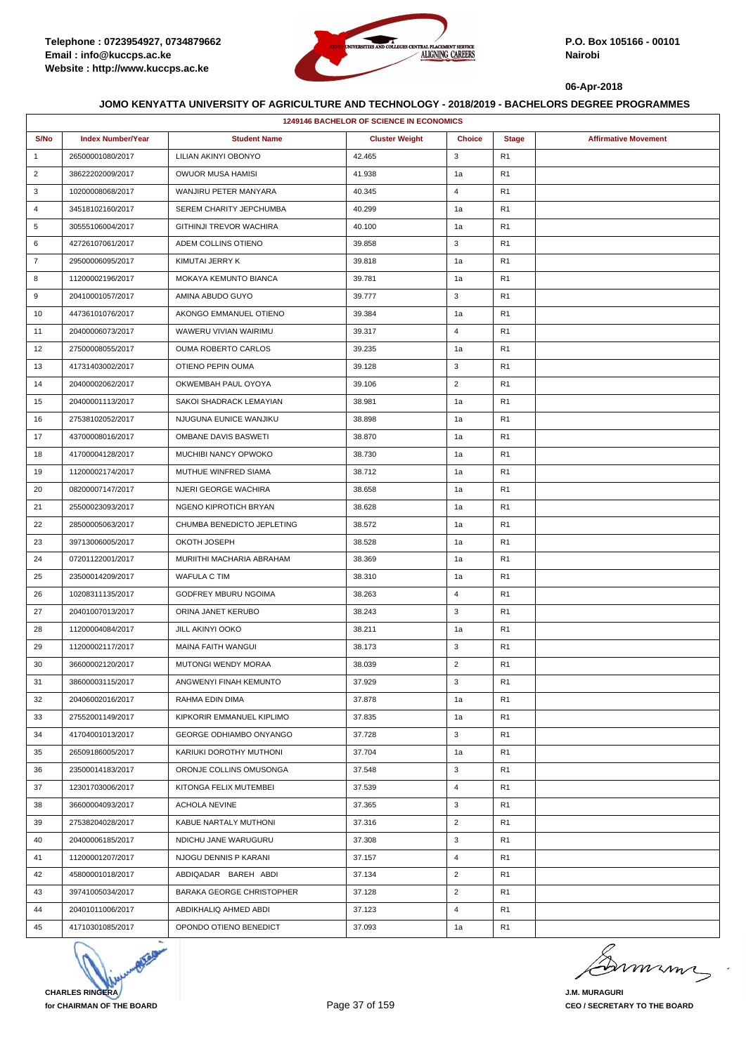

|                | 1249146 BACHELOR OF SCIENCE IN ECONOMICS |                              |                       |                |                |                             |  |  |
|----------------|------------------------------------------|------------------------------|-----------------------|----------------|----------------|-----------------------------|--|--|
| S/No           | <b>Index Number/Year</b>                 | <b>Student Name</b>          | <b>Cluster Weight</b> | <b>Choice</b>  | <b>Stage</b>   | <b>Affirmative Movement</b> |  |  |
| $\mathbf{1}$   | 26500001080/2017                         | LILIAN AKINYI OBONYO         | 42.465                | 3              | R <sub>1</sub> |                             |  |  |
| $\overline{2}$ | 38622202009/2017                         | OWUOR MUSA HAMISI            | 41.938                | 1a             | R <sub>1</sub> |                             |  |  |
| 3              | 10200008068/2017                         | WANJIRU PETER MANYARA        | 40.345                | 4              | R1             |                             |  |  |
| 4              | 34518102160/2017                         | SEREM CHARITY JEPCHUMBA      | 40.299                | 1a             | R <sub>1</sub> |                             |  |  |
| 5              | 30555106004/2017                         | GITHINJI TREVOR WACHIRA      | 40.100                | 1a             | R <sub>1</sub> |                             |  |  |
| 6              | 42726107061/2017                         | ADEM COLLINS OTIENO          | 39.858                | 3              | R1             |                             |  |  |
| $\overline{7}$ | 29500006095/2017                         | KIMUTAI JERRY K              | 39.818                | 1a             | R <sub>1</sub> |                             |  |  |
| 8              | 11200002196/2017                         | <b>MOKAYA KEMUNTO BIANCA</b> | 39.781                | 1a             | R <sub>1</sub> |                             |  |  |
| 9              | 20410001057/2017                         | AMINA ABUDO GUYO             | 39.777                | 3              | R1             |                             |  |  |
| 10             | 44736101076/2017                         | AKONGO EMMANUEL OTIENO       | 39.384                | 1a             | R <sub>1</sub> |                             |  |  |
| 11             | 20400006073/2017                         | WAWERU VIVIAN WAIRIMU        | 39.317                | 4              | R <sub>1</sub> |                             |  |  |
| 12             | 27500008055/2017                         | <b>OUMA ROBERTO CARLOS</b>   | 39.235                | 1a             | R1             |                             |  |  |
| 13             | 41731403002/2017                         | OTIENO PEPIN OUMA            | 39.128                | 3              | R <sub>1</sub> |                             |  |  |
| 14             | 20400002062/2017                         | OKWEMBAH PAUL OYOYA          | 39.106                | $\overline{2}$ | R <sub>1</sub> |                             |  |  |
| 15             | 20400001113/2017                         | SAKOI SHADRACK LEMAYIAN      | 38.981                | 1a             | R1             |                             |  |  |
| 16             | 27538102052/2017                         | NJUGUNA EUNICE WANJIKU       | 38.898                | 1a             | R <sub>1</sub> |                             |  |  |
| 17             | 43700008016/2017                         | OMBANE DAVIS BASWETI         | 38.870                | 1a             | R <sub>1</sub> |                             |  |  |
| 18             | 41700004128/2017                         | MUCHIBI NANCY OPWOKO         | 38.730                | 1a             | R1             |                             |  |  |
| 19             | 11200002174/2017                         | MUTHUE WINFRED SIAMA         | 38.712                | 1a             | R <sub>1</sub> |                             |  |  |
| 20             | 08200007147/2017                         | NJERI GEORGE WACHIRA         | 38.658                | 1a             | R <sub>1</sub> |                             |  |  |
| 21             | 25500023093/2017                         | NGENO KIPROTICH BRYAN        | 38.628                | 1a             | R1             |                             |  |  |
| 22             | 28500005063/2017                         | CHUMBA BENEDICTO JEPLETING   | 38.572                | 1a             | R <sub>1</sub> |                             |  |  |
| 23             | 39713006005/2017                         | OKOTH JOSEPH                 | 38.528                | 1a             | R <sub>1</sub> |                             |  |  |
| 24             | 07201122001/2017                         | MURIITHI MACHARIA ABRAHAM    | 38.369                | 1a             | R1             |                             |  |  |
| 25             | 23500014209/2017                         | WAFULA C TIM                 | 38.310                | 1a             | R <sub>1</sub> |                             |  |  |
| 26             | 10208311135/2017                         | GODFREY MBURU NGOIMA         | 38.263                | 4              | R <sub>1</sub> |                             |  |  |
| 27             | 20401007013/2017                         | ORINA JANET KERUBO           | 38.243                | 3              | R <sub>1</sub> |                             |  |  |
| 28             | 11200004084/2017                         | JILL AKINYI OOKO             | 38.211                | 1a             | R <sub>1</sub> |                             |  |  |
| 29             | 11200002117/2017                         | <b>MAINA FAITH WANGUI</b>    | 38.173                | 3              | R <sub>1</sub> |                             |  |  |
| 30             | 36600002120/2017                         | <b>MUTONGI WENDY MORAA</b>   | 38.039                | $\overline{2}$ | R1             |                             |  |  |
| 31             | 38600003115/2017                         | ANGWENYI FINAH KEMUNTO       | 37.929                | 3              | R <sub>1</sub> |                             |  |  |
| 32             | 20406002016/2017                         | RAHMA EDIN DIMA              | 37.878                | 1a             | R <sub>1</sub> |                             |  |  |
| 33             | 27552001149/2017                         | KIPKORIR EMMANUEL KIPLIMO    | 37.835                | 1a             | R <sub>1</sub> |                             |  |  |
| 34             | 41704001013/2017                         | GEORGE ODHIAMBO ONYANGO      | 37.728                | 3              | R <sub>1</sub> |                             |  |  |
| 35             | 26509186005/2017                         | KARIUKI DOROTHY MUTHONI      | 37.704                | 1a             | R <sub>1</sub> |                             |  |  |
| 36             | 23500014183/2017                         | ORONJE COLLINS OMUSONGA      | 37.548                | 3              | R <sub>1</sub> |                             |  |  |
| 37             | 12301703006/2017                         | KITONGA FELIX MUTEMBEI       | 37.539                | 4              | R <sub>1</sub> |                             |  |  |
| 38             | 36600004093/2017                         | <b>ACHOLA NEVINE</b>         | 37.365                | 3              | R <sub>1</sub> |                             |  |  |
| 39             | 27538204028/2017                         | KABUE NARTALY MUTHONI        | 37.316                | $\overline{2}$ | R <sub>1</sub> |                             |  |  |
| 40             | 20400006185/2017                         | NDICHU JANE WARUGURU         | 37.308                | 3              | R1             |                             |  |  |
| 41             | 11200001207/2017                         | NJOGU DENNIS P KARANI        | 37.157                | 4              | R <sub>1</sub> |                             |  |  |
| 42             | 45800001018/2017                         | ABDIQADAR BAREH ABDI         | 37.134                | $\overline{2}$ | R <sub>1</sub> |                             |  |  |
| 43             | 39741005034/2017                         | BARAKA GEORGE CHRISTOPHER    | 37.128                | $\overline{2}$ | R <sub>1</sub> |                             |  |  |
| 44             | 20401011006/2017                         | ABDIKHALIQ AHMED ABDI        | 37.123                | $\overline{4}$ | R <sub>1</sub> |                             |  |  |
| 45             | 41710301085/2017                         | OPONDO OTIENO BENEDICT       | 37.093                | 1a             | R <sub>1</sub> |                             |  |  |



mmmn

**J.M. MURAGURI CEO / SECRETARY TO THE BOARD**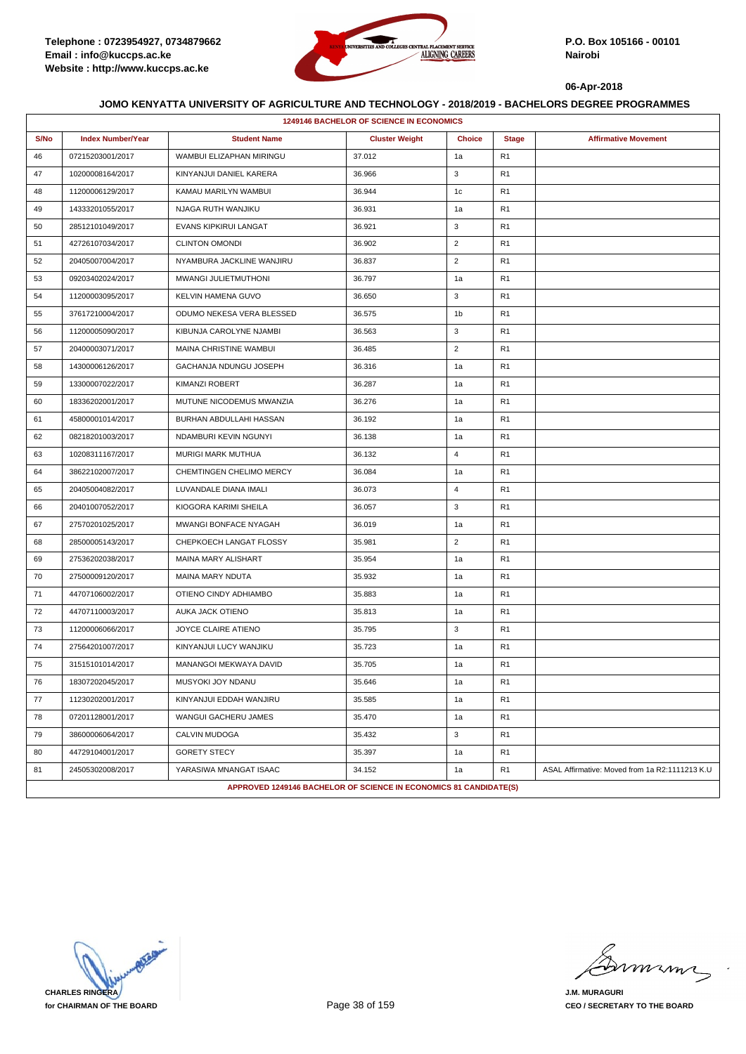

|      | <b>1249146 BACHELOR OF SCIENCE IN ECONOMICS</b> |                                                                   |                       |                |                |                                                |  |  |
|------|-------------------------------------------------|-------------------------------------------------------------------|-----------------------|----------------|----------------|------------------------------------------------|--|--|
| S/No | <b>Index Number/Year</b>                        | <b>Student Name</b>                                               | <b>Cluster Weight</b> | <b>Choice</b>  | <b>Stage</b>   | <b>Affirmative Movement</b>                    |  |  |
| 46   | 07215203001/2017                                | WAMBUI ELIZAPHAN MIRINGU                                          | 37.012                | 1a             | R <sub>1</sub> |                                                |  |  |
| 47   | 10200008164/2017                                | KINYANJUI DANIEL KARERA                                           | 36.966                | 3              | R1             |                                                |  |  |
| 48   | 11200006129/2017                                | KAMAU MARILYN WAMBUI                                              | 36.944                | 1c             | R <sub>1</sub> |                                                |  |  |
| 49   | 14333201055/2017                                | NJAGA RUTH WANJIKU                                                | 36.931                | 1a             | R <sub>1</sub> |                                                |  |  |
| 50   | 28512101049/2017                                | EVANS KIPKIRUI LANGAT                                             | 36.921                | 3              | R <sub>1</sub> |                                                |  |  |
| 51   | 42726107034/2017                                | <b>CLINTON OMONDI</b>                                             | 36.902                | $\overline{2}$ | R <sub>1</sub> |                                                |  |  |
| 52   | 20405007004/2017                                | NYAMBURA JACKLINE WANJIRU                                         | 36.837                | $\overline{2}$ | R <sub>1</sub> |                                                |  |  |
| 53   | 09203402024/2017                                | MWANGI JULIETMUTHONI                                              | 36.797                | 1a             | R1             |                                                |  |  |
| 54   | 11200003095/2017                                | <b>KELVIN HAMENA GUVO</b>                                         | 36.650                | 3              | R <sub>1</sub> |                                                |  |  |
| 55   | 37617210004/2017                                | ODUMO NEKESA VERA BLESSED                                         | 36.575                | 1b             | R <sub>1</sub> |                                                |  |  |
| 56   | 11200005090/2017                                | KIBUNJA CAROLYNE NJAMBI                                           | 36.563                | 3              | R <sub>1</sub> |                                                |  |  |
| 57   | 20400003071/2017                                | MAINA CHRISTINE WAMBUI                                            | 36.485                | $\overline{2}$ | R <sub>1</sub> |                                                |  |  |
| 58   | 14300006126/2017                                | GACHANJA NDUNGU JOSEPH                                            | 36.316                | 1a             | R <sub>1</sub> |                                                |  |  |
| 59   | 13300007022/2017                                | <b>KIMANZI ROBERT</b>                                             | 36.287                | 1a             | R1             |                                                |  |  |
| 60   | 18336202001/2017                                | MUTUNE NICODEMUS MWANZIA                                          | 36.276                | 1a             | R <sub>1</sub> |                                                |  |  |
| 61   | 45800001014/2017                                | BURHAN ABDULLAHI HASSAN                                           | 36.192                | 1a             | R <sub>1</sub> |                                                |  |  |
| 62   | 08218201003/2017                                | NDAMBURI KEVIN NGUNYI                                             | 36.138                | 1a             | R <sub>1</sub> |                                                |  |  |
| 63   | 10208311167/2017                                | <b>MURIGI MARK MUTHUA</b>                                         | 36.132                | $\overline{4}$ | R <sub>1</sub> |                                                |  |  |
| 64   | 38622102007/2017                                | CHEMTINGEN CHELIMO MERCY                                          | 36.084                | 1a             | R <sub>1</sub> |                                                |  |  |
| 65   | 20405004082/2017                                | LUVANDALE DIANA IMALI                                             | 36.073                | $\overline{4}$ | R1             |                                                |  |  |
| 66   | 20401007052/2017                                | KIOGORA KARIMI SHEILA                                             | 36.057                | 3              | R <sub>1</sub> |                                                |  |  |
| 67   | 27570201025/2017                                | MWANGI BONFACE NYAGAH                                             | 36.019                | 1a             | R <sub>1</sub> |                                                |  |  |
| 68   | 28500005143/2017                                | CHEPKOECH LANGAT FLOSSY                                           | 35.981                | $\overline{2}$ | R <sub>1</sub> |                                                |  |  |
| 69   | 27536202038/2017                                | MAINA MARY ALISHART                                               | 35.954                | 1a             | R <sub>1</sub> |                                                |  |  |
| 70   | 27500009120/2017                                | MAINA MARY NDUTA                                                  | 35.932                | 1a             | R <sub>1</sub> |                                                |  |  |
| 71   | 44707106002/2017                                | OTIENO CINDY ADHIAMBO                                             | 35.883                | 1a             | R1             |                                                |  |  |
| 72   | 44707110003/2017                                | AUKA JACK OTIENO                                                  | 35.813                | 1a             | R <sub>1</sub> |                                                |  |  |
| 73   | 11200006066/2017                                | JOYCE CLAIRE ATIENO                                               | 35.795                | 3              | R <sub>1</sub> |                                                |  |  |
| 74   | 27564201007/2017                                | KINYANJUI LUCY WANJIKU                                            | 35.723                | 1a             | R <sub>1</sub> |                                                |  |  |
| 75   | 31515101014/2017                                | MANANGOI MEKWAYA DAVID                                            | 35.705                | 1a             | R <sub>1</sub> |                                                |  |  |
| 76   | 18307202045/2017                                | MUSYOKI JOY NDANU                                                 | 35.646                | 1a             | R <sub>1</sub> |                                                |  |  |
| 77   | 11230202001/2017                                | KINYANJUI EDDAH WANJIRU                                           | 35.585                | 1a             | R <sub>1</sub> |                                                |  |  |
| 78   | 07201128001/2017                                | WANGUI GACHERU JAMES                                              | 35.470                | 1a             | R1             |                                                |  |  |
| 79   | 38600006064/2017                                | CALVIN MUDOGA                                                     | 35.432                | 3              | R1             |                                                |  |  |
| 80   | 44729104001/2017                                | <b>GORETY STECY</b>                                               | 35.397                | 1a             | R <sub>1</sub> |                                                |  |  |
| 81   | 24505302008/2017                                | YARASIWA MNANGAT ISAAC                                            | 34.152                | 1a             | R <sub>1</sub> | ASAL Affirmative: Moved from 1a R2:1111213 K.U |  |  |
|      |                                                 | APPROVED 1249146 BACHELOR OF SCIENCE IN ECONOMICS 81 CANDIDATE(S) |                       |                |                |                                                |  |  |

**CHARLES RINGERA for CHAIRMAN OF THE BOARD**

mmmn

**J.M. MURAGURI CEO / SECRETARY TO THE BOARD**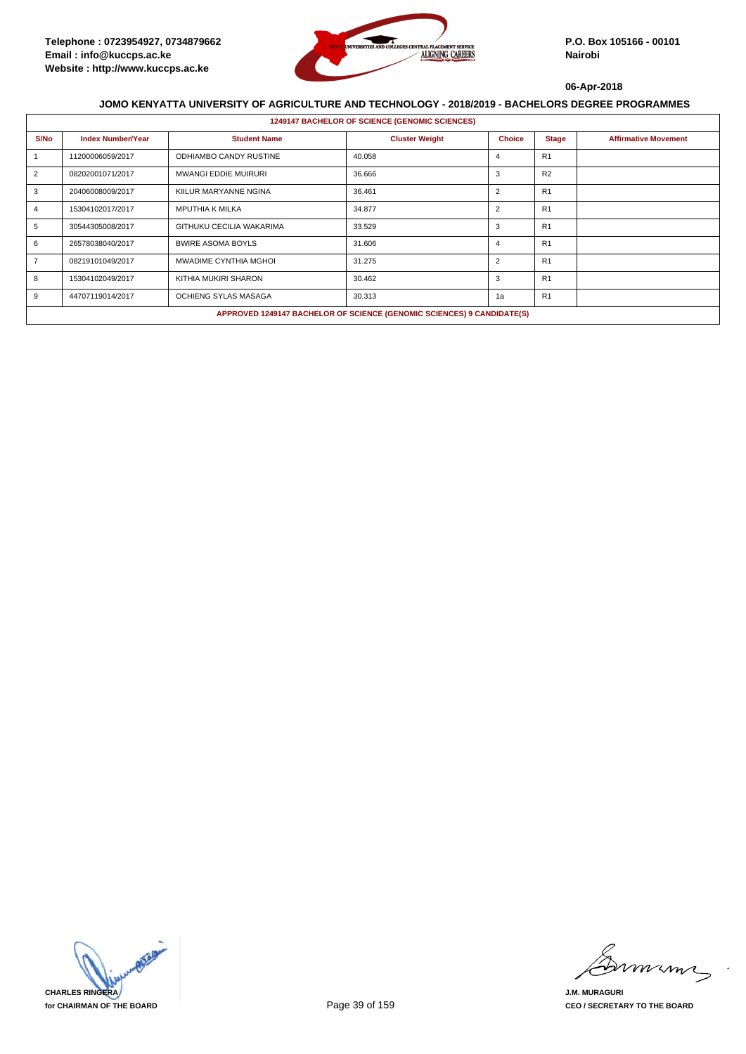

|      | <b>1249147 BACHELOR OF SCIENCE (GENOMIC SCIENCES)</b> |                               |                                                                        |                |                |                             |  |  |  |
|------|-------------------------------------------------------|-------------------------------|------------------------------------------------------------------------|----------------|----------------|-----------------------------|--|--|--|
| S/No | <b>Index Number/Year</b>                              | <b>Student Name</b>           | <b>Cluster Weight</b>                                                  | <b>Choice</b>  | <b>Stage</b>   | <b>Affirmative Movement</b> |  |  |  |
|      | 11200006059/2017                                      | <b>ODHIAMBO CANDY RUSTINE</b> | 40.058                                                                 | $\overline{a}$ | R <sub>1</sub> |                             |  |  |  |
| 2    | 08202001071/2017                                      | <b>MWANGI EDDIE MUIRURI</b>   | 36.666                                                                 | 3              | R2             |                             |  |  |  |
| 3    | 20406008009/2017                                      | KIILUR MARYANNE NGINA         | 36.461                                                                 | $\overline{2}$ | R1             |                             |  |  |  |
|      | 15304102017/2017                                      | <b>MPUTHIA K MILKA</b>        | 34.877                                                                 | $\overline{2}$ | R1             |                             |  |  |  |
| 5    | 30544305008/2017                                      | GITHUKU CECILIA WAKARIMA      | 33.529                                                                 | 3              | R <sub>1</sub> |                             |  |  |  |
| 6    | 26578038040/2017                                      | <b>BWIRE ASOMA BOYLS</b>      | 31.606                                                                 | 4              | R <sub>1</sub> |                             |  |  |  |
|      | 08219101049/2017                                      | MWADIME CYNTHIA MGHOI         | 31.275                                                                 | $\overline{2}$ | R <sub>1</sub> |                             |  |  |  |
| 8    | 15304102049/2017                                      | KITHIA MUKIRI SHARON          | 30.462                                                                 | 3              | R1             |                             |  |  |  |
| 9    | 44707119014/2017                                      | OCHIENG SYLAS MASAGA          | 30.313                                                                 | 1a             | R1             |                             |  |  |  |
|      |                                                       |                               | APPROVED 1249147 BACHELOR OF SCIENCE (GENOMIC SCIENCES) 9 CANDIDATE(S) |                |                |                             |  |  |  |



mmmm

**J.M. MURAGURI CEO / SECRETARY TO THE BOARD**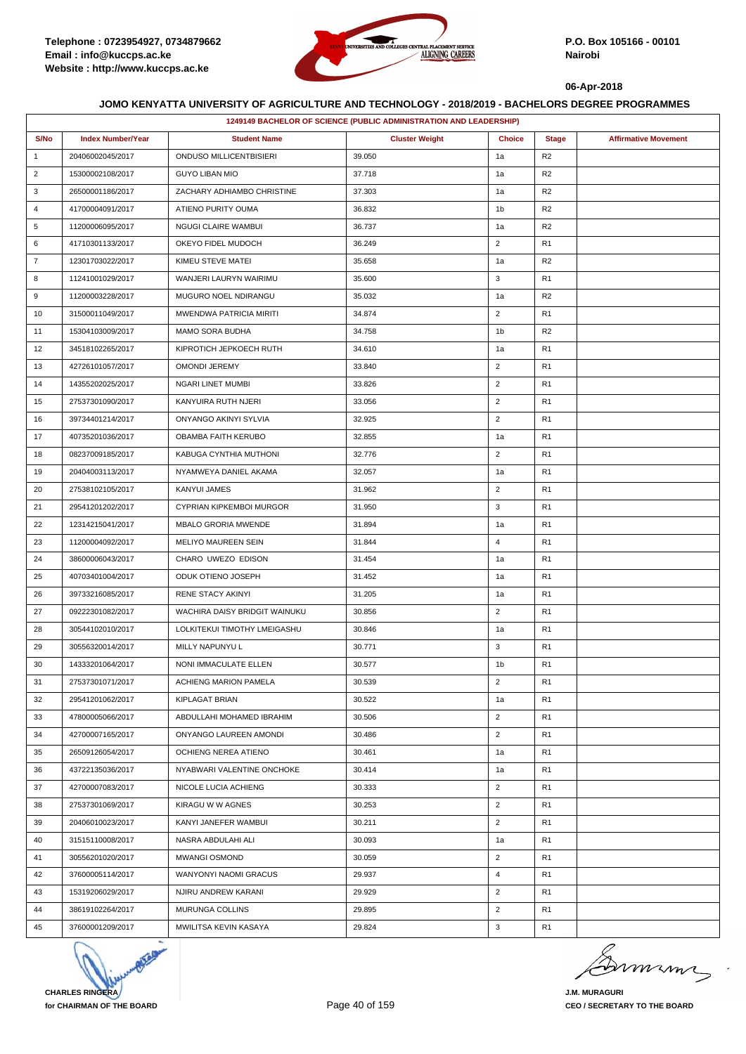

|                | 1249149 BACHELOR OF SCIENCE (PUBLIC ADMINISTRATION AND LEADERSHIP) |                               |                       |                |                |                             |  |
|----------------|--------------------------------------------------------------------|-------------------------------|-----------------------|----------------|----------------|-----------------------------|--|
| S/No           | <b>Index Number/Year</b>                                           | <b>Student Name</b>           | <b>Cluster Weight</b> | <b>Choice</b>  | <b>Stage</b>   | <b>Affirmative Movement</b> |  |
| $\mathbf{1}$   | 20406002045/2017                                                   | ONDUSO MILLICENTBISIERI       | 39.050                | 1a             | R <sub>2</sub> |                             |  |
| $\overline{2}$ | 15300002108/2017                                                   | <b>GUYO LIBAN MIO</b>         | 37.718                | 1a             | R <sub>2</sub> |                             |  |
| 3              | 26500001186/2017                                                   | ZACHARY ADHIAMBO CHRISTINE    | 37.303                | 1a             | R <sub>2</sub> |                             |  |
| 4              | 41700004091/2017                                                   | ATIENO PURITY OUMA            | 36.832                | 1b             | R <sub>2</sub> |                             |  |
| 5              | 11200006095/2017                                                   | <b>NGUGI CLAIRE WAMBUI</b>    | 36.737                | 1a             | R <sub>2</sub> |                             |  |
| 6              | 41710301133/2017                                                   | OKEYO FIDEL MUDOCH            | 36.249                | $\overline{2}$ | R <sub>1</sub> |                             |  |
| $\overline{7}$ | 12301703022/2017                                                   | KIMEU STEVE MATEI             | 35.658                | 1a             | R <sub>2</sub> |                             |  |
| 8              | 11241001029/2017                                                   | WANJERI LAURYN WAIRIMU        | 35.600                | 3              | R <sub>1</sub> |                             |  |
| 9              | 11200003228/2017                                                   | MUGURO NOEL NDIRANGU          | 35.032                | 1a             | R <sub>2</sub> |                             |  |
| 10             | 31500011049/2017                                                   | MWENDWA PATRICIA MIRITI       | 34.874                | $\overline{2}$ | R <sub>1</sub> |                             |  |
| 11             | 15304103009/2017                                                   | <b>MAMO SORA BUDHA</b>        | 34.758                | 1b             | R <sub>2</sub> |                             |  |
| 12             | 34518102265/2017                                                   | KIPROTICH JEPKOECH RUTH       | 34.610                | 1a             | R <sub>1</sub> |                             |  |
| 13             | 42726101057/2017                                                   | OMONDI JEREMY                 | 33.840                | $\overline{2}$ | R <sub>1</sub> |                             |  |
| 14             | 14355202025/2017                                                   | <b>NGARI LINET MUMBI</b>      | 33.826                | $\overline{2}$ | R <sub>1</sub> |                             |  |
| 15             | 27537301090/2017                                                   | KANYUIRA RUTH NJERI           | 33.056                | $\overline{2}$ | R <sub>1</sub> |                             |  |
| 16             | 39734401214/2017                                                   | ONYANGO AKINYI SYLVIA         | 32.925                | $\overline{2}$ | R <sub>1</sub> |                             |  |
| 17             | 40735201036/2017                                                   | OBAMBA FAITH KERUBO           | 32.855                | 1a             | R <sub>1</sub> |                             |  |
| 18             | 08237009185/2017                                                   | KABUGA CYNTHIA MUTHONI        | 32.776                | $\overline{2}$ | R <sub>1</sub> |                             |  |
| 19             | 20404003113/2017                                                   | NYAMWEYA DANIEL AKAMA         | 32.057                | 1a             | R <sub>1</sub> |                             |  |
| 20             | 27538102105/2017                                                   | KANYUI JAMES                  | 31.962                | $\overline{2}$ | R <sub>1</sub> |                             |  |
| 21             | 29541201202/2017                                                   | CYPRIAN KIPKEMBOI MURGOR      | 31.950                | 3              | R <sub>1</sub> |                             |  |
| 22             | 12314215041/2017                                                   | <b>MBALO GRORIA MWENDE</b>    | 31.894                | 1a             | R <sub>1</sub> |                             |  |
| 23             | 11200004092/2017                                                   | MELIYO MAUREEN SEIN           | 31.844                | $\overline{4}$ | R <sub>1</sub> |                             |  |
| 24             | 38600006043/2017                                                   | CHARO UWEZO EDISON            | 31.454                | 1a             | R <sub>1</sub> |                             |  |
| 25             | 40703401004/2017                                                   | ODUK OTIENO JOSEPH            | 31.452                | 1a             | R <sub>1</sub> |                             |  |
| 26             | 39733216085/2017                                                   | RENE STACY AKINYI             | 31.205                | 1a             | R <sub>1</sub> |                             |  |
| 27             | 09222301082/2017                                                   | WACHIRA DAISY BRIDGIT WAINUKU | 30.856                | $\overline{2}$ | R <sub>1</sub> |                             |  |
| 28             | 30544102010/2017                                                   | LOLKITEKUI TIMOTHY LMEIGASHU  | 30.846                | 1a             | R <sub>1</sub> |                             |  |
| 29             | 30556320014/2017                                                   | MILLY NAPUNYU L               | 30.771                | 3              | R <sub>1</sub> |                             |  |
| 30             | 14333201064/2017                                                   | NONI IMMACULATE ELLEN         | 30.577                | 1b             | R <sub>1</sub> |                             |  |
| 31             | 27537301071/2017                                                   | ACHIENG MARION PAMELA         | 30.539                | $\overline{2}$ | R <sub>1</sub> |                             |  |
| 32             | 29541201062/2017                                                   | KIPLAGAT BRIAN                | 30.522                | 1a             | R <sub>1</sub> |                             |  |
| 33             | 47800005066/2017                                                   | ABDULLAHI MOHAMED IBRAHIM     | 30.506                | $\overline{2}$ | R <sub>1</sub> |                             |  |
| 34             | 42700007165/2017                                                   | ONYANGO LAUREEN AMONDI        | 30.486                | $\overline{2}$ | R <sub>1</sub> |                             |  |
| 35             | 26509126054/2017                                                   | OCHIENG NEREA ATIENO          | 30.461                | 1a             | R <sub>1</sub> |                             |  |
| 36             | 43722135036/2017                                                   | NYABWARI VALENTINE ONCHOKE    | 30.414                | 1a             | R <sub>1</sub> |                             |  |
| 37             | 42700007083/2017                                                   | NICOLE LUCIA ACHIENG          | 30.333                | $\overline{2}$ | R <sub>1</sub> |                             |  |
| 38             | 27537301069/2017                                                   | KIRAGU W W AGNES              | 30.253                | $\overline{2}$ | R <sub>1</sub> |                             |  |
| 39             | 20406010023/2017                                                   | KANYI JANEFER WAMBUI          | 30.211                | $\overline{2}$ | R <sub>1</sub> |                             |  |
| 40             | 31515110008/2017                                                   | NASRA ABDULAHI ALI            | 30.093                | 1a             | R <sub>1</sub> |                             |  |
| 41             | 30556201020/2017                                                   | <b>MWANGI OSMOND</b>          | 30.059                | $\overline{2}$ | R <sub>1</sub> |                             |  |
| 42             | 37600005114/2017                                                   | WANYONYI NAOMI GRACUS         | 29.937                | 4              | R <sub>1</sub> |                             |  |
| 43             | 15319206029/2017                                                   | NJIRU ANDREW KARANI           | 29.929                | $\overline{2}$ | R <sub>1</sub> |                             |  |
| 44             | 38619102264/2017                                                   | MURUNGA COLLINS               | 29.895                | $\overline{2}$ | R <sub>1</sub> |                             |  |
| 45             | 37600001209/2017                                                   | MWILITSA KEVIN KASAYA         | 29.824                | 3              | R <sub>1</sub> |                             |  |



mumi

**J.M. MURAGURI CEO / SECRETARY TO THE BOARD**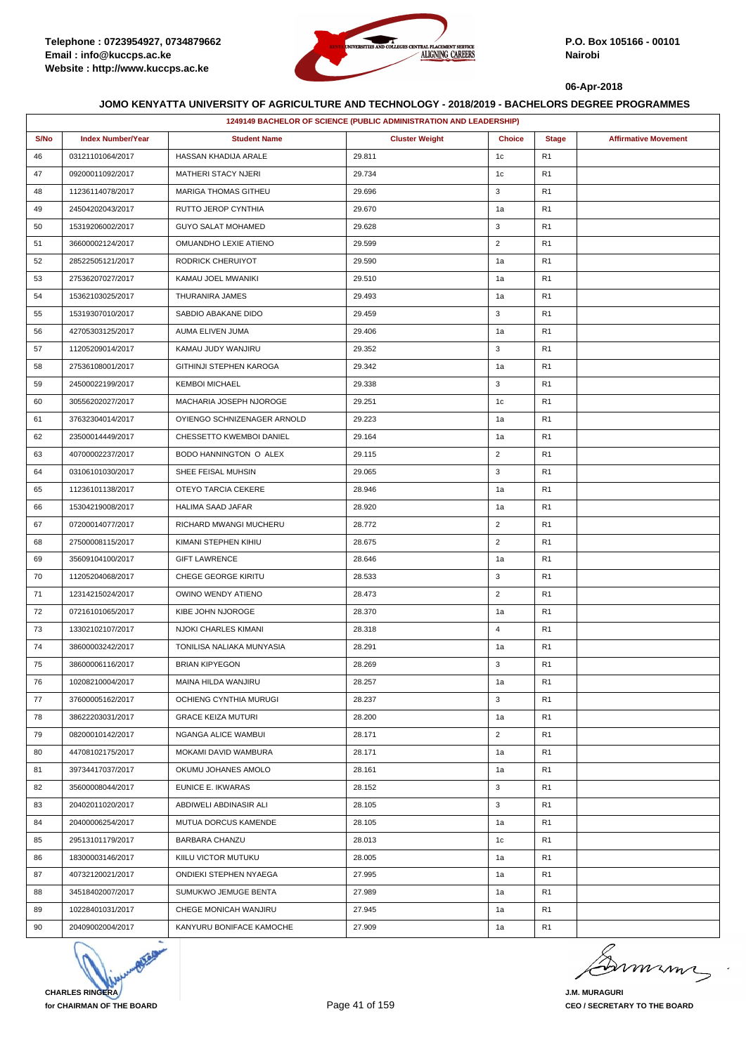

|      | 1249149 BACHELOR OF SCIENCE (PUBLIC ADMINISTRATION AND LEADERSHIP) |                             |                       |                |                |                             |  |  |
|------|--------------------------------------------------------------------|-----------------------------|-----------------------|----------------|----------------|-----------------------------|--|--|
| S/No | <b>Index Number/Year</b>                                           | <b>Student Name</b>         | <b>Cluster Weight</b> | <b>Choice</b>  | <b>Stage</b>   | <b>Affirmative Movement</b> |  |  |
| 46   | 03121101064/2017                                                   | HASSAN KHADIJA ARALE        | 29.811                | 1 <sub>c</sub> | R1             |                             |  |  |
| 47   | 09200011092/2017                                                   | MATHERI STACY NJERI         | 29.734                | 1c             | R1             |                             |  |  |
| 48   | 11236114078/2017                                                   | MARIGA THOMAS GITHEU        | 29.696                | 3              | R1             |                             |  |  |
| 49   | 24504202043/2017                                                   | RUTTO JEROP CYNTHIA         | 29.670                | 1a             | R1             |                             |  |  |
| 50   | 15319206002/2017                                                   | <b>GUYO SALAT MOHAMED</b>   | 29.628                | 3              | R1             |                             |  |  |
| 51   | 36600002124/2017                                                   | OMUANDHO LEXIE ATIENO       | 29.599                | $\overline{2}$ | R <sub>1</sub> |                             |  |  |
| 52   | 28522505121/2017                                                   | RODRICK CHERUIYOT           | 29.590                | 1a             | R1             |                             |  |  |
| 53   | 27536207027/2017                                                   | KAMAU JOEL MWANIKI          | 29.510                | 1a             | R <sub>1</sub> |                             |  |  |
| 54   | 15362103025/2017                                                   | THURANIRA JAMES             | 29.493                | 1a             | R1             |                             |  |  |
| 55   | 15319307010/2017                                                   | SABDIO ABAKANE DIDO         | 29.459                | 3              | R1             |                             |  |  |
| 56   | 42705303125/2017                                                   | AUMA ELIVEN JUMA            | 29.406                | 1a             | R <sub>1</sub> |                             |  |  |
| 57   | 11205209014/2017                                                   | KAMAU JUDY WANJIRU          | 29.352                | 3              | R1             |                             |  |  |
| 58   | 27536108001/2017                                                   | GITHINJI STEPHEN KAROGA     | 29.342                | 1a             | R1             |                             |  |  |
| 59   | 24500022199/2017                                                   | <b>KEMBOI MICHAEL</b>       | 29.338                | 3              | R1             |                             |  |  |
| 60   | 30556202027/2017                                                   | MACHARIA JOSEPH NJOROGE     | 29.251                | 1c             | R1             |                             |  |  |
| 61   | 37632304014/2017                                                   | OYIENGO SCHNIZENAGER ARNOLD | 29.223                | 1a             | R1             |                             |  |  |
| 62   | 23500014449/2017                                                   | CHESSETTO KWEMBOI DANIEL    | 29.164                | 1a             | R1             |                             |  |  |
| 63   | 40700002237/2017                                                   | BODO HANNINGTON O ALEX      | 29.115                | $\overline{2}$ | R <sub>1</sub> |                             |  |  |
| 64   | 03106101030/2017                                                   | SHEE FEISAL MUHSIN          | 29.065                | 3              | R1             |                             |  |  |
| 65   | 11236101138/2017                                                   | OTEYO TARCIA CEKERE         | 28.946                | 1a             | R <sub>1</sub> |                             |  |  |
| 66   | 15304219008/2017                                                   | <b>HALIMA SAAD JAFAR</b>    | 28.920                | 1a             | R1             |                             |  |  |
| 67   | 07200014077/2017                                                   | RICHARD MWANGI MUCHERU      | 28.772                | $\overline{2}$ | R1             |                             |  |  |
| 68   | 27500008115/2017                                                   | KIMANI STEPHEN KIHIU        | 28.675                | $\overline{2}$ | R1             |                             |  |  |
| 69   | 35609104100/2017                                                   | <b>GIFT LAWRENCE</b>        | 28.646                | 1a             | R <sub>1</sub> |                             |  |  |
| 70   | 11205204068/2017                                                   | CHEGE GEORGE KIRITU         | 28.533                | 3              | R1             |                             |  |  |
| 71   | 12314215024/2017                                                   | OWINO WENDY ATIENO          | 28.473                | $\overline{2}$ | R <sub>1</sub> |                             |  |  |
| 72   | 07216101065/2017                                                   | KIBE JOHN NJOROGE           | 28.370                | 1a             | R <sub>1</sub> |                             |  |  |
| 73   | 13302102107/2017                                                   | NJOKI CHARLES KIMANI        | 28.318                | $\overline{4}$ | R1             |                             |  |  |
| 74   | 38600003242/2017                                                   | TONILISA NALIAKA MUNYASIA   | 28.291                | 1a             | R <sub>1</sub> |                             |  |  |
| 75   | 38600006116/2017                                                   | <b>BRIAN KIPYEGON</b>       | 28.269                | 3              | R1             |                             |  |  |
| 76   | 10208210004/2017                                                   | MAINA HILDA WANJIRU         | 28.257                | 1a             | R <sub>1</sub> |                             |  |  |
| 77   | 37600005162/2017                                                   | OCHIENG CYNTHIA MURUGI      | 28.237                | 3              | R1             |                             |  |  |
| 78   | 38622203031/2017                                                   | <b>GRACE KEIZA MUTURI</b>   | 28.200                | 1a             | R1             |                             |  |  |
| 79   | 08200010142/2017                                                   | NGANGA ALICE WAMBUI         | 28.171                | $\overline{2}$ | R1             |                             |  |  |
| 80   | 44708102175/2017                                                   | MOKAMI DAVID WAMBURA        | 28.171                | 1a             | R1             |                             |  |  |
| 81   | 39734417037/2017                                                   | OKUMU JOHANES AMOLO         | 28.161                | 1a             | R1             |                             |  |  |
| 82   | 35600008044/2017                                                   | EUNICE E. IKWARAS           | 28.152                | 3              | R1             |                             |  |  |
| 83   | 20402011020/2017                                                   | ABDIWELI ABDINASIR ALI      | 28.105                | 3              | R1             |                             |  |  |
| 84   | 20400006254/2017                                                   | MUTUA DORCUS KAMENDE        | 28.105                | 1a             | R <sub>1</sub> |                             |  |  |
| 85   | 29513101179/2017                                                   | BARBARA CHANZU              | 28.013                | 1c             | R1             |                             |  |  |
| 86   | 18300003146/2017                                                   | KIILU VICTOR MUTUKU         | 28.005                | 1a             | R1             |                             |  |  |
| 87   | 40732120021/2017                                                   | ONDIEKI STEPHEN NYAEGA      | 27.995                | 1a             | R1             |                             |  |  |
| 88   | 34518402007/2017                                                   | SUMUKWO JEMUGE BENTA        | 27.989                | 1a             | R1             |                             |  |  |
| 89   | 10228401031/2017                                                   | CHEGE MONICAH WANJIRU       | 27.945                | 1a             | R1             |                             |  |  |
| 90   | 20409002004/2017                                                   | KANYURU BONIFACE KAMOCHE    | 27.909                | 1a             | R1             |                             |  |  |



Dimimi  $\Rightarrow$ 

**J.M. MURAGURI CEO / SECRETARY TO THE BOARD**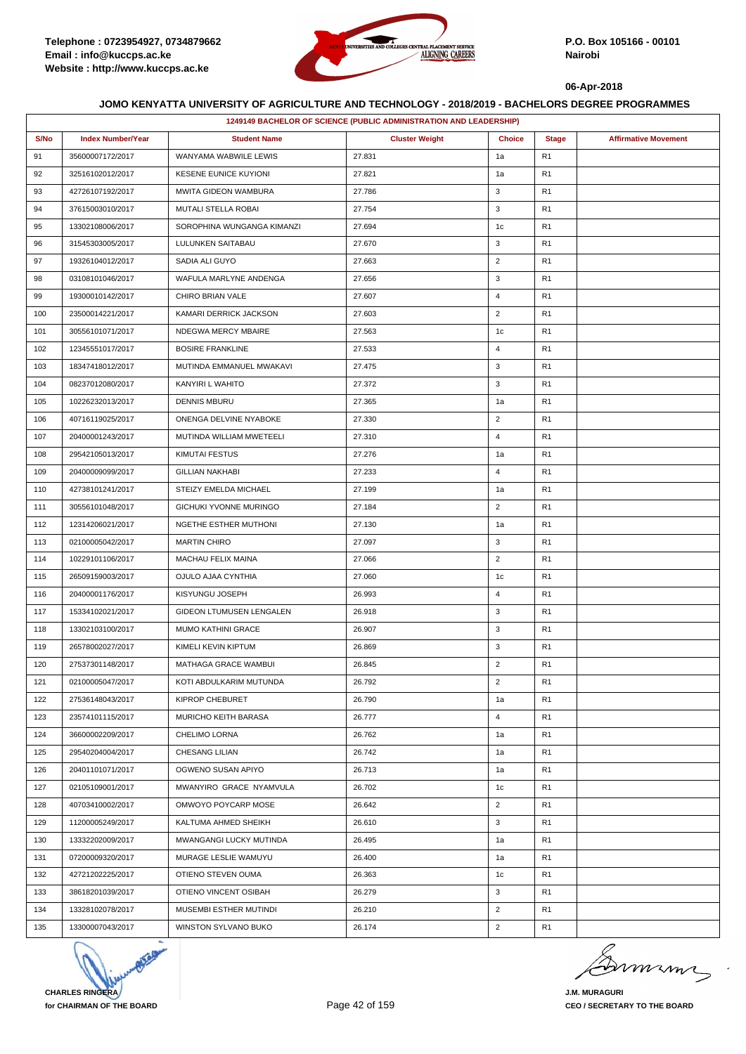

|      | 1249149 BACHELOR OF SCIENCE (PUBLIC ADMINISTRATION AND LEADERSHIP) |                              |                       |                |                |                             |  |  |
|------|--------------------------------------------------------------------|------------------------------|-----------------------|----------------|----------------|-----------------------------|--|--|
| S/No | <b>Index Number/Year</b>                                           | <b>Student Name</b>          | <b>Cluster Weight</b> | <b>Choice</b>  | <b>Stage</b>   | <b>Affirmative Movement</b> |  |  |
| 91   | 35600007172/2017                                                   | WANYAMA WABWILE LEWIS        | 27.831                | 1a             | R <sub>1</sub> |                             |  |  |
| 92   | 32516102012/2017                                                   | <b>KESENE EUNICE KUYIONI</b> | 27.821                | 1a             | R <sub>1</sub> |                             |  |  |
| 93   | 42726107192/2017                                                   | MWITA GIDEON WAMBURA         | 27.786                | 3              | R1             |                             |  |  |
| 94   | 37615003010/2017                                                   | MUTALI STELLA ROBAI          | 27.754                | 3              | R <sub>1</sub> |                             |  |  |
| 95   | 13302108006/2017                                                   | SOROPHINA WUNGANGA KIMANZI   | 27.694                | 1c             | R <sub>1</sub> |                             |  |  |
| 96   | 31545303005/2017                                                   | LULUNKEN SAITABAU            | 27.670                | 3              | R <sub>1</sub> |                             |  |  |
| 97   | 19326104012/2017                                                   | SADIA ALI GUYO               | 27.663                | $\overline{2}$ | R <sub>1</sub> |                             |  |  |
| 98   | 03108101046/2017                                                   | WAFULA MARLYNE ANDENGA       | 27.656                | 3              | R <sub>1</sub> |                             |  |  |
| 99   | 19300010142/2017                                                   | CHIRO BRIAN VALE             | 27.607                | 4              | R1             |                             |  |  |
| 100  | 23500014221/2017                                                   | KAMARI DERRICK JACKSON       | 27.603                | $\overline{2}$ | R <sub>1</sub> |                             |  |  |
| 101  | 30556101071/2017                                                   | NDEGWA MERCY MBAIRE          | 27.563                | 1c             | R <sub>1</sub> |                             |  |  |
| 102  | 12345551017/2017                                                   | <b>BOSIRE FRANKLINE</b>      | 27.533                | 4              | R1             |                             |  |  |
| 103  | 18347418012/2017                                                   | MUTINDA EMMANUEL MWAKAVI     | 27.475                | 3              | R <sub>1</sub> |                             |  |  |
| 104  | 08237012080/2017                                                   | KANYIRI L WAHITO             | 27.372                | 3              | R <sub>1</sub> |                             |  |  |
| 105  | 10226232013/2017                                                   | <b>DENNIS MBURU</b>          | 27.365                | 1a             | R <sub>1</sub> |                             |  |  |
| 106  | 40716119025/2017                                                   | ONENGA DELVINE NYABOKE       | 27.330                | $\overline{2}$ | R <sub>1</sub> |                             |  |  |
| 107  | 20400001243/2017                                                   | MUTINDA WILLIAM MWETEELI     | 27.310                | $\overline{4}$ | R <sub>1</sub> |                             |  |  |
| 108  | 29542105013/2017                                                   | <b>KIMUTAI FESTUS</b>        | 27.276                | 1a             | R <sub>1</sub> |                             |  |  |
| 109  | 20400009099/2017                                                   | <b>GILLIAN NAKHABI</b>       | 27.233                | $\overline{4}$ | R <sub>1</sub> |                             |  |  |
| 110  | 42738101241/2017                                                   | STEIZY EMELDA MICHAEL        | 27.199                | 1a             | R <sub>1</sub> |                             |  |  |
| 111  | 30556101048/2017                                                   | GICHUKI YVONNE MURINGO       | 27.184                | $\overline{2}$ | R1             |                             |  |  |
| 112  | 12314206021/2017                                                   | NGETHE ESTHER MUTHONI        | 27.130                | 1a             | R <sub>1</sub> |                             |  |  |
| 113  | 02100005042/2017                                                   | <b>MARTIN CHIRO</b>          | 27.097                | 3              | R <sub>1</sub> |                             |  |  |
| 114  | 10229101106/2017                                                   | MACHAU FELIX MAINA           | 27.066                | $\overline{2}$ | R1             |                             |  |  |
| 115  | 26509159003/2017                                                   | OJULO AJAA CYNTHIA           | 27.060                | 1c             | R <sub>1</sub> |                             |  |  |
| 116  | 20400001176/2017                                                   | KISYUNGU JOSEPH              | 26.993                | $\overline{4}$ | R1             |                             |  |  |
| 117  | 15334102021/2017                                                   | GIDEON LTUMUSEN LENGALEN     | 26.918                | 3              | R <sub>1</sub> |                             |  |  |
| 118  | 13302103100/2017                                                   | MUMO KATHINI GRACE           | 26.907                | 3              | R <sub>1</sub> |                             |  |  |
| 119  | 26578002027/2017                                                   | KIMELI KEVIN KIPTUM          | 26.869                | 3              | R <sub>1</sub> |                             |  |  |
| 120  | 27537301148/2017                                                   | MATHAGA GRACE WAMBUI         | 26.845                | $\overline{2}$ | R1             |                             |  |  |
| 121  | 02100005047/2017                                                   | KOTI ABDULKARIM MUTUNDA      | 26.792                | $\overline{2}$ | R <sub>1</sub> |                             |  |  |
| 122  | 27536148043/2017                                                   | KIPROP CHEBURET              | 26.790                | 1a             | R <sub>1</sub> |                             |  |  |
| 123  | 23574101115/2017                                                   | MURICHO KEITH BARASA         | 26.777                | 4              | R1             |                             |  |  |
| 124  | 36600002209/2017                                                   | CHELIMO LORNA                | 26.762                | 1a             | R <sub>1</sub> |                             |  |  |
| 125  | 29540204004/2017                                                   | CHESANG LILIAN               | 26.742                | 1a             | R1             |                             |  |  |
| 126  | 20401101071/2017                                                   | OGWENO SUSAN APIYO           | 26.713                | 1a             | R1             |                             |  |  |
| 127  | 02105109001/2017                                                   | MWANYIRO GRACE NYAMVULA      | 26.702                | 1c             | R <sub>1</sub> |                             |  |  |
| 128  | 40703410002/2017                                                   | OMWOYO POYCARP MOSE          | 26.642                | $\overline{2}$ | R1             |                             |  |  |
| 129  | 11200005249/2017                                                   | KALTUMA AHMED SHEIKH         | 26.610                | 3              | R <sub>1</sub> |                             |  |  |
| 130  | 13332202009/2017                                                   | MWANGANGI LUCKY MUTINDA      | 26.495                | 1a             | R <sub>1</sub> |                             |  |  |
| 131  | 07200009320/2017                                                   | MURAGE LESLIE WAMUYU         | 26.400                | 1a             | R1             |                             |  |  |
| 132  | 42721202225/2017                                                   | OTIENO STEVEN OUMA           | 26.363                | 1c             | R1             |                             |  |  |
| 133  | 38618201039/2017                                                   | OTIENO VINCENT OSIBAH        | 26.279                | 3              | R <sub>1</sub> |                             |  |  |
| 134  | 13328102078/2017                                                   | MUSEMBI ESTHER MUTINDI       | 26.210                | $\overline{2}$ | R <sub>1</sub> |                             |  |  |
| 135  | 13300007043/2017                                                   | WINSTON SYLVANO BUKO         | 26.174                | $\overline{2}$ | R <sub>1</sub> |                             |  |  |



murma

**J.M. MURAGURI CEO / SECRETARY TO THE BOARD**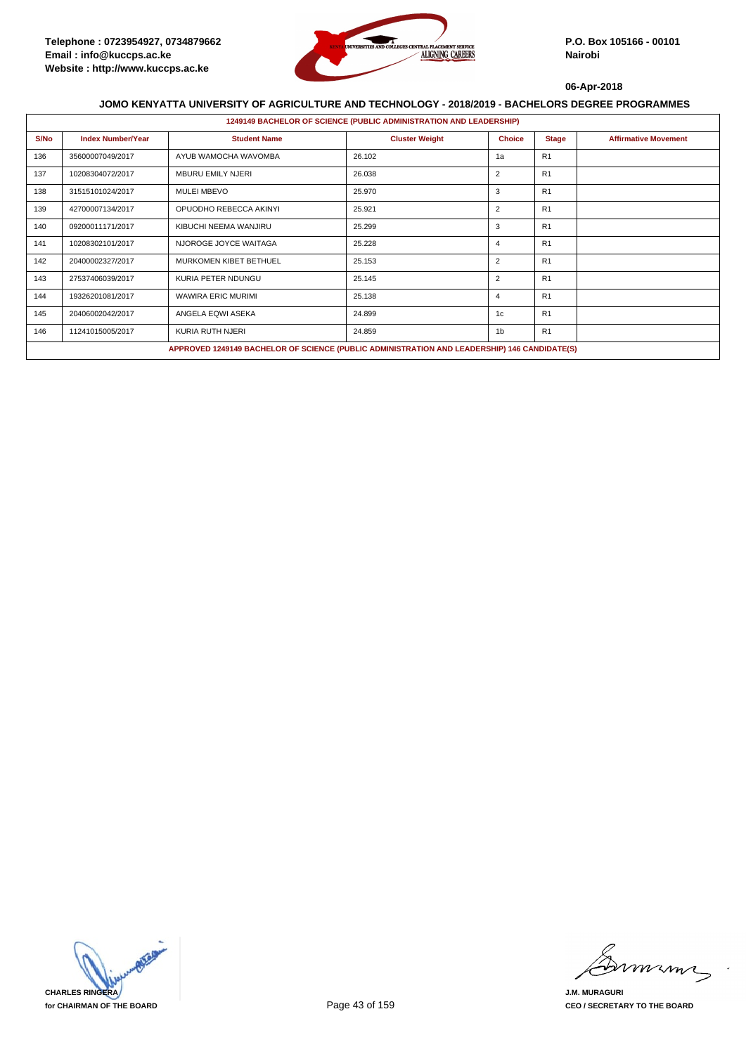

|      | <b>1249149 BACHELOR OF SCIENCE (PUBLIC ADMINISTRATION AND LEADERSHIP)</b> |                                                                                              |                       |                |                |                             |  |  |  |
|------|---------------------------------------------------------------------------|----------------------------------------------------------------------------------------------|-----------------------|----------------|----------------|-----------------------------|--|--|--|
| S/No | <b>Index Number/Year</b>                                                  | <b>Student Name</b>                                                                          | <b>Cluster Weight</b> | <b>Choice</b>  | <b>Stage</b>   | <b>Affirmative Movement</b> |  |  |  |
| 136  | 35600007049/2017                                                          | AYUB WAMOCHA WAVOMBA                                                                         | 26.102                | 1a             | R1             |                             |  |  |  |
| 137  | 10208304072/2017                                                          | <b>MBURU EMILY NJERI</b>                                                                     | 26.038                | $\overline{2}$ | R1             |                             |  |  |  |
| 138  | 31515101024/2017                                                          | <b>MULEI MBEVO</b>                                                                           | 25.970                | 3              | R <sub>1</sub> |                             |  |  |  |
| 139  | 42700007134/2017                                                          | OPUODHO REBECCA AKINYI                                                                       | 25.921                | $\overline{2}$ | R1             |                             |  |  |  |
| 140  | 09200011171/2017                                                          | KIBUCHI NEEMA WANJIRU                                                                        | 25.299                | 3              | R1             |                             |  |  |  |
| 141  | 10208302101/2017                                                          | NJOROGE JOYCE WAITAGA                                                                        | 25.228                | 4              | R1             |                             |  |  |  |
| 142  | 20400002327/2017                                                          | MURKOMEN KIBET BETHUEL                                                                       | 25.153                | $\overline{2}$ | R1             |                             |  |  |  |
| 143  | 27537406039/2017                                                          | KURIA PETER NDUNGU                                                                           | 25.145                | $\overline{2}$ | R1             |                             |  |  |  |
| 144  | 19326201081/2017                                                          | <b>WAWIRA ERIC MURIMI</b>                                                                    | 25.138                | 4              | R1             |                             |  |  |  |
| 145  | 20406002042/2017                                                          | ANGELA EQWI ASEKA                                                                            | 24.899                | 1c             | R1             |                             |  |  |  |
| 146  | 11241015005/2017                                                          | KURIA RUTH NJERI                                                                             | 24.859                | 1 <sub>b</sub> | R1             |                             |  |  |  |
|      |                                                                           | APPROVED 1249149 BACHELOR OF SCIENCE (PUBLIC ADMINISTRATION AND LEADERSHIP) 146 CANDIDATE(S) |                       |                |                |                             |  |  |  |



miming

**J.M. MURAGURI CEO / SECRETARY TO THE BOARD**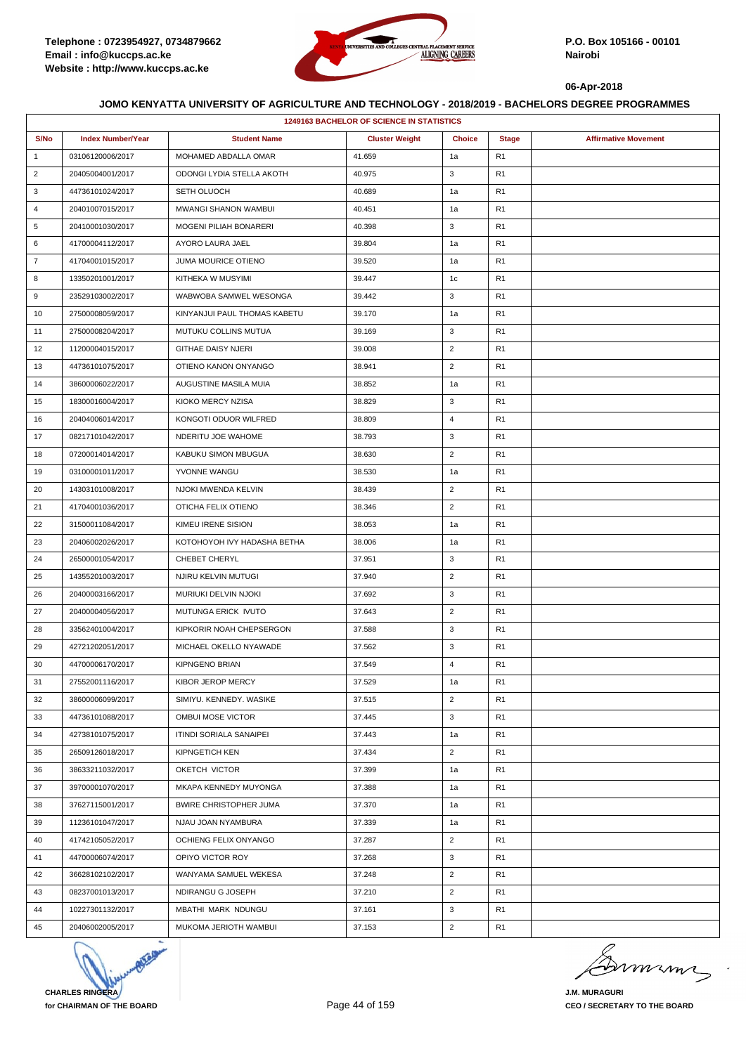

|                | <b>1249163 BACHELOR OF SCIENCE IN STATISTICS</b> |                               |                       |                |                |                             |  |  |
|----------------|--------------------------------------------------|-------------------------------|-----------------------|----------------|----------------|-----------------------------|--|--|
| S/No           | <b>Index Number/Year</b>                         | <b>Student Name</b>           | <b>Cluster Weight</b> | <b>Choice</b>  | <b>Stage</b>   | <b>Affirmative Movement</b> |  |  |
| $\mathbf{1}$   | 03106120006/2017                                 | MOHAMED ABDALLA OMAR          | 41.659                | 1a             | R <sub>1</sub> |                             |  |  |
| $\overline{2}$ | 20405004001/2017                                 | ODONGI LYDIA STELLA AKOTH     | 40.975                | 3              | R <sub>1</sub> |                             |  |  |
| 3              | 44736101024/2017                                 | SETH OLUOCH                   | 40.689                | 1a             | R <sub>1</sub> |                             |  |  |
| 4              | 20401007015/2017                                 | MWANGI SHANON WAMBUI          | 40.451                | 1a             | R <sub>1</sub> |                             |  |  |
| 5              | 20410001030/2017                                 | <b>MOGENI PILIAH BONARERI</b> | 40.398                | 3              | R <sub>1</sub> |                             |  |  |
| 6              | 41700004112/2017                                 | AYORO LAURA JAEL              | 39.804                | 1a             | R <sub>1</sub> |                             |  |  |
| $\overline{7}$ | 41704001015/2017                                 | JUMA MOURICE OTIENO           | 39.520                | 1a             | R <sub>1</sub> |                             |  |  |
| 8              | 13350201001/2017                                 | KITHEKA W MUSYIMI             | 39.447                | 1c             | R <sub>1</sub> |                             |  |  |
| 9              | 23529103002/2017                                 | WABWOBA SAMWEL WESONGA        | 39.442                | 3              | R <sub>1</sub> |                             |  |  |
| 10             | 27500008059/2017                                 | KINYANJUI PAUL THOMAS KABETU  | 39.170                | 1a             | R <sub>1</sub> |                             |  |  |
| 11             | 27500008204/2017                                 | MUTUKU COLLINS MUTUA          | 39.169                | 3              | R <sub>1</sub> |                             |  |  |
| 12             | 11200004015/2017                                 | <b>GITHAE DAISY NJERI</b>     | 39.008                | $\overline{2}$ | R <sub>1</sub> |                             |  |  |
| 13             | 44736101075/2017                                 | OTIENO KANON ONYANGO          | 38.941                | $\overline{2}$ | R <sub>1</sub> |                             |  |  |
| 14             | 38600006022/2017                                 | AUGUSTINE MASILA MUIA         | 38.852                | 1a             | R <sub>1</sub> |                             |  |  |
| 15             | 18300016004/2017                                 | KIOKO MERCY NZISA             | 38.829                | 3              | R <sub>1</sub> |                             |  |  |
| 16             | 20404006014/2017                                 | KONGOTI ODUOR WILFRED         | 38.809                | $\overline{4}$ | R <sub>1</sub> |                             |  |  |
| 17             | 08217101042/2017                                 | NDERITU JOE WAHOME            | 38.793                | 3              | R <sub>1</sub> |                             |  |  |
| 18             | 07200014014/2017                                 | KABUKU SIMON MBUGUA           | 38.630                | $\overline{2}$ | R <sub>1</sub> |                             |  |  |
| 19             | 03100001011/2017                                 | YVONNE WANGU                  | 38.530                | 1a             | R <sub>1</sub> |                             |  |  |
| 20             | 14303101008/2017                                 | NJOKI MWENDA KELVIN           | 38.439                | $\overline{2}$ | R <sub>1</sub> |                             |  |  |
| 21             | 41704001036/2017                                 | OTICHA FELIX OTIENO           | 38.346                | $\overline{2}$ | R <sub>1</sub> |                             |  |  |
| 22             | 31500011084/2017                                 | KIMEU IRENE SISION            | 38.053                | 1a             | R <sub>1</sub> |                             |  |  |
| 23             | 20406002026/2017                                 | KOTOHOYOH IVY HADASHA BETHA   | 38.006                | 1a             | R <sub>1</sub> |                             |  |  |
| 24             | 26500001054/2017                                 | CHEBET CHERYL                 | 37.951                | 3              | R <sub>1</sub> |                             |  |  |
| 25             | 14355201003/2017                                 | NJIRU KELVIN MUTUGI           | 37.940                | $\overline{2}$ | R <sub>1</sub> |                             |  |  |
| 26             | 20400003166/2017                                 | MURIUKI DELVIN NJOKI          | 37.692                | 3              | R <sub>1</sub> |                             |  |  |
| 27             | 20400004056/2017                                 | MUTUNGA ERICK IVUTO           | 37.643                | $\overline{2}$ | R <sub>1</sub> |                             |  |  |
| 28             | 33562401004/2017                                 | KIPKORIR NOAH CHEPSERGON      | 37.588                | 3              | R <sub>1</sub> |                             |  |  |
| 29             | 42721202051/2017                                 | MICHAEL OKELLO NYAWADE        | 37.562                | 3              | R <sub>1</sub> |                             |  |  |
| 30             | 44700006170/2017                                 | <b>KIPNGENO BRIAN</b>         | 37.549                | $\overline{4}$ | R <sub>1</sub> |                             |  |  |
| 31             | 27552001116/2017                                 | KIBOR JEROP MERCY             | 37.529                | 1a             | R <sub>1</sub> |                             |  |  |
| 32             | 38600006099/2017                                 | SIMIYU, KENNEDY, WASIKE       | 37.515                | $\overline{2}$ | R <sub>1</sub> |                             |  |  |
| 33             | 44736101088/2017                                 | OMBUI MOSE VICTOR             | 37.445                | 3              | R <sub>1</sub> |                             |  |  |
| 34             | 42738101075/2017                                 | ITINDI SORIALA SANAIPEI       | 37.443                | 1a             | R <sub>1</sub> |                             |  |  |
| 35             | 26509126018/2017                                 | KIPNGETICH KEN                | 37.434                | $\overline{2}$ | R1             |                             |  |  |
| 36             | 38633211032/2017                                 | OKETCH VICTOR                 | 37.399                | 1a             | R <sub>1</sub> |                             |  |  |
| 37             | 39700001070/2017                                 | MKAPA KENNEDY MUYONGA         | 37.388                | 1a             | R <sub>1</sub> |                             |  |  |
| 38             | 37627115001/2017                                 | <b>BWIRE CHRISTOPHER JUMA</b> | 37.370                | 1a             | R1             |                             |  |  |
| 39             | 11236101047/2017                                 | NJAU JOAN NYAMBURA            | 37.339                | 1a             | R <sub>1</sub> |                             |  |  |
| 40             | 41742105052/2017                                 | OCHIENG FELIX ONYANGO         | 37.287                | $\overline{2}$ | R <sub>1</sub> |                             |  |  |
| 41             | 44700006074/2017                                 | OPIYO VICTOR ROY              | 37.268                | 3              | R1             |                             |  |  |
| 42             | 36628102102/2017                                 | WANYAMA SAMUEL WEKESA         | 37.248                | $\overline{2}$ | R <sub>1</sub> |                             |  |  |
| 43             | 08237001013/2017                                 | NDIRANGU G JOSEPH             | 37.210                | $\overline{2}$ | R <sub>1</sub> |                             |  |  |
| 44             | 10227301132/2017                                 | MBATHI MARK NDUNGU            | 37.161                | 3              | R1             |                             |  |  |
| 45             | 20406002005/2017                                 | MUKOMA JERIOTH WAMBUI         | 37.153                | $\overline{2}$ | R1             |                             |  |  |



murma

**J.M. MURAGURI CEO / SECRETARY TO THE BOARD**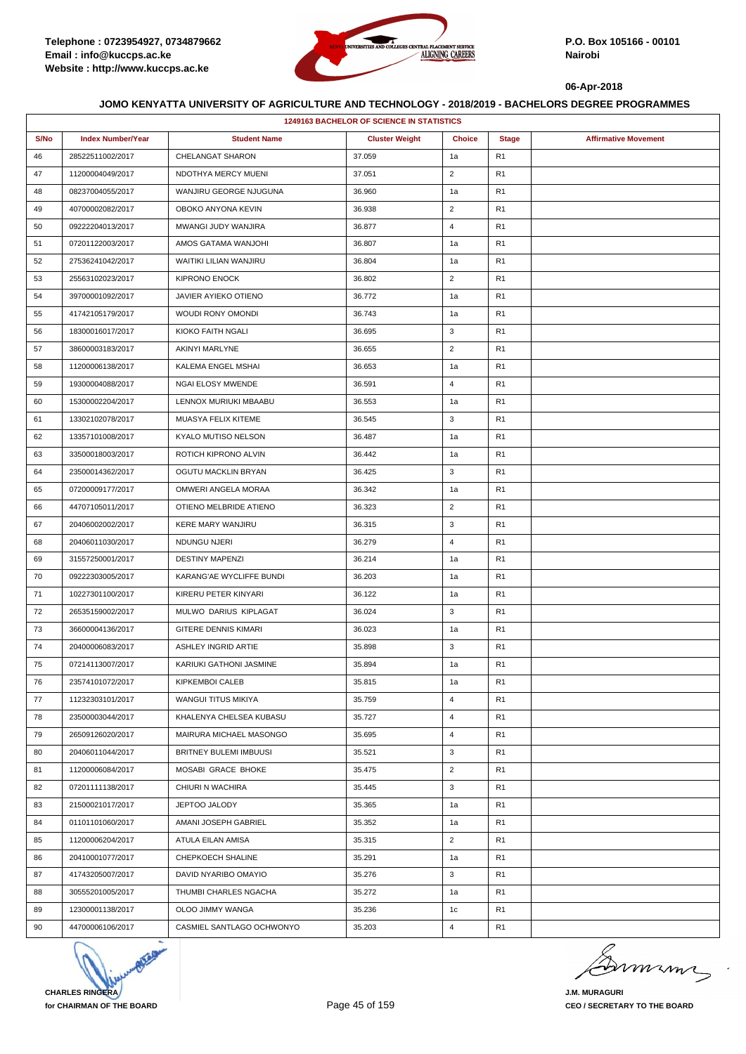

|      | <b>1249163 BACHELOR OF SCIENCE IN STATISTICS</b> |                             |                       |                |                |                             |  |  |
|------|--------------------------------------------------|-----------------------------|-----------------------|----------------|----------------|-----------------------------|--|--|
| S/No | <b>Index Number/Year</b>                         | <b>Student Name</b>         | <b>Cluster Weight</b> | <b>Choice</b>  | <b>Stage</b>   | <b>Affirmative Movement</b> |  |  |
| 46   | 28522511002/2017                                 | CHELANGAT SHARON            | 37.059                | 1a             | R1             |                             |  |  |
| 47   | 11200004049/2017                                 | NDOTHYA MERCY MUENI         | 37.051                | $\overline{2}$ | R <sub>1</sub> |                             |  |  |
| 48   | 08237004055/2017                                 | WANJIRU GEORGE NJUGUNA      | 36.960                | 1a             | R <sub>1</sub> |                             |  |  |
| 49   | 40700002082/2017                                 | OBOKO ANYONA KEVIN          | 36.938                | $\overline{2}$ | R <sub>1</sub> |                             |  |  |
| 50   | 09222204013/2017                                 | MWANGI JUDY WANJIRA         | 36.877                | $\overline{4}$ | R <sub>1</sub> |                             |  |  |
| 51   | 07201122003/2017                                 | AMOS GATAMA WANJOHI         | 36.807                | 1a             | R <sub>1</sub> |                             |  |  |
| 52   | 27536241042/2017                                 | WAITIKI LILIAN WANJIRU      | 36.804                | 1a             | R1             |                             |  |  |
| 53   | 25563102023/2017                                 | <b>KIPRONO ENOCK</b>        | 36.802                | $\overline{2}$ | R <sub>1</sub> |                             |  |  |
| 54   | 39700001092/2017                                 | JAVIER AYIEKO OTIENO        | 36.772                | 1a             | R <sub>1</sub> |                             |  |  |
| 55   | 41742105179/2017                                 | WOUDI RONY OMONDI           | 36.743                | 1a             | R <sub>1</sub> |                             |  |  |
| 56   | 18300016017/2017                                 | KIOKO FAITH NGALI           | 36.695                | 3              | R <sub>1</sub> |                             |  |  |
| 57   | 38600003183/2017                                 | <b>AKINYI MARLYNE</b>       | 36.655                | $\overline{2}$ | R <sub>1</sub> |                             |  |  |
| 58   | 11200006138/2017                                 | KALEMA ENGEL MSHAI          | 36.653                | 1a             | R1             |                             |  |  |
| 59   | 19300004088/2017                                 | NGAI ELOSY MWENDE           | 36.591                | $\overline{4}$ | R <sub>1</sub> |                             |  |  |
| 60   | 15300002204/2017                                 | LENNOX MURIUKI MBAABU       | 36.553                | 1a             | R <sub>1</sub> |                             |  |  |
| 61   | 13302102078/2017                                 | MUASYA FELIX KITEME         | 36.545                | 3              | R1             |                             |  |  |
| 62   | 13357101008/2017                                 | KYALO MUTISO NELSON         | 36.487                | 1a             | R <sub>1</sub> |                             |  |  |
| 63   | 33500018003/2017                                 | ROTICH KIPRONO ALVIN        | 36.442                | 1a             | R <sub>1</sub> |                             |  |  |
| 64   | 23500014362/2017                                 | OGUTU MACKLIN BRYAN         | 36.425                | 3              | R1             |                             |  |  |
| 65   | 07200009177/2017                                 | OMWERI ANGELA MORAA         | 36.342                | 1a             | R <sub>1</sub> |                             |  |  |
| 66   | 44707105011/2017                                 | OTIENO MELBRIDE ATIENO      | 36.323                | $\overline{2}$ | R <sub>1</sub> |                             |  |  |
| 67   | 20406002002/2017                                 | <b>KERE MARY WANJIRU</b>    | 36.315                | 3              | R <sub>1</sub> |                             |  |  |
| 68   | 20406011030/2017                                 | NDUNGU NJERI                | 36.279                | $\overline{4}$ | R <sub>1</sub> |                             |  |  |
| 69   | 31557250001/2017                                 | <b>DESTINY MAPENZI</b>      | 36.214                | 1a             | R <sub>1</sub> |                             |  |  |
| 70   | 09222303005/2017                                 | KARANG'AE WYCLIFFE BUNDI    | 36.203                | 1a             | R1             |                             |  |  |
| 71   | 10227301100/2017                                 | KIRERU PETER KINYARI        | 36.122                | 1a             | R <sub>1</sub> |                             |  |  |
| 72   | 26535159002/2017                                 | MULWO DARIUS KIPLAGAT       | 36.024                | 3              | R <sub>1</sub> |                             |  |  |
| 73   | 36600004136/2017                                 | <b>GITERE DENNIS KIMARI</b> | 36.023                | 1a             | R <sub>1</sub> |                             |  |  |
| 74   | 20400006083/2017                                 | ASHLEY INGRID ARTIE         | 35.898                | 3              | R <sub>1</sub> |                             |  |  |
| 75   | 07214113007/2017                                 | KARIUKI GATHONI JASMINE     | 35.894                | 1a             | R <sub>1</sub> |                             |  |  |
| 76   | 23574101072/2017                                 | KIPKEMBOI CALEB             | 35.815                | 1a             | R <sub>1</sub> |                             |  |  |
| 77   | 11232303101/2017                                 | WANGUI TITUS MIKIYA         | 35.759                | $\overline{4}$ | R <sub>1</sub> |                             |  |  |
| 78   | 23500003044/2017                                 | KHALENYA CHELSEA KUBASU     | 35.727                | $\overline{4}$ | R <sub>1</sub> |                             |  |  |
| 79   | 26509126020/2017                                 | MAIRURA MICHAEL MASONGO     | 35.695                | $\overline{4}$ | R <sub>1</sub> |                             |  |  |
| 80   | 20406011044/2017                                 | BRITNEY BULEMI IMBUUSI      | 35.521                | 3              | R <sub>1</sub> |                             |  |  |
| 81   | 11200006084/2017                                 | MOSABI GRACE BHOKE          | 35.475                | $\overline{2}$ | R <sub>1</sub> |                             |  |  |
| 82   | 07201111138/2017                                 | CHIURI N WACHIRA            | 35.445                | 3              | R <sub>1</sub> |                             |  |  |
| 83   | 21500021017/2017                                 | JEPTOO JALODY               | 35.365                | 1a             | R <sub>1</sub> |                             |  |  |
| 84   | 01101101060/2017                                 | AMANI JOSEPH GABRIEL        | 35.352                | 1a             | R1             |                             |  |  |
| 85   | 11200006204/2017                                 | ATULA EILAN AMISA           | 35.315                | $\overline{2}$ | R1             |                             |  |  |
| 86   | 20410001077/2017                                 | CHEPKOECH SHALINE           | 35.291                | 1a             | R <sub>1</sub> |                             |  |  |
| 87   | 41743205007/2017                                 | DAVID NYARIBO OMAYIO        | 35.276                | 3              | R <sub>1</sub> |                             |  |  |
| 88   | 30555201005/2017                                 | THUMBI CHARLES NGACHA       | 35.272                | 1a             | R <sub>1</sub> |                             |  |  |
| 89   | 12300001138/2017                                 | OLOO JIMMY WANGA            | 35.236                | 1c             | R <sub>1</sub> |                             |  |  |
| 90   | 44700006106/2017                                 | CASMIEL SANTLAGO OCHWONYO   | 35.203                | 4              | R <sub>1</sub> |                             |  |  |



mmmn

**J.M. MURAGURI CEO / SECRETARY TO THE BOARD**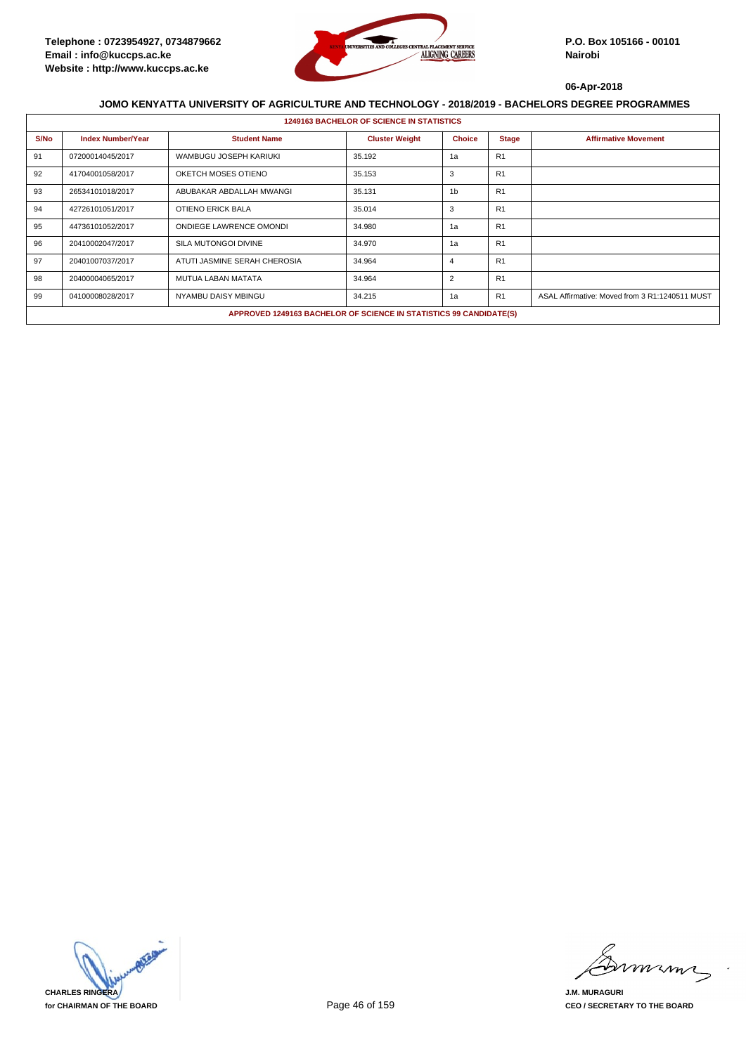

|      | <b>1249163 BACHELOR OF SCIENCE IN STATISTICS</b> |                                |                                                                    |                |                |                                                |  |  |
|------|--------------------------------------------------|--------------------------------|--------------------------------------------------------------------|----------------|----------------|------------------------------------------------|--|--|
| S/No | <b>Index Number/Year</b>                         | <b>Student Name</b>            | <b>Cluster Weight</b>                                              | <b>Choice</b>  | <b>Stage</b>   | <b>Affirmative Movement</b>                    |  |  |
| 91   | 07200014045/2017                                 | WAMBUGU JOSEPH KARIUKI         | 35.192                                                             | 1a             | R <sub>1</sub> |                                                |  |  |
| 92   | 41704001058/2017                                 | OKETCH MOSES OTIENO            | 35.153                                                             | 3              | R <sub>1</sub> |                                                |  |  |
| 93   | 26534101018/2017                                 | ABUBAKAR ABDALLAH MWANGI       | 35.131                                                             | 1 <sub>b</sub> | R <sub>1</sub> |                                                |  |  |
| 94   | 42726101051/2017                                 | OTIENO ERICK BALA              | 35.014                                                             | 3              | R <sub>1</sub> |                                                |  |  |
| 95   | 44736101052/2017                                 | <b>ONDIEGE LAWRENCE OMONDI</b> | 34.980                                                             | 1a             | R <sub>1</sub> |                                                |  |  |
| 96   | 20410002047/2017                                 | SILA MUTONGOI DIVINE           | 34.970                                                             | 1a             | R <sub>1</sub> |                                                |  |  |
| 97   | 20401007037/2017                                 | ATUTI JASMINE SERAH CHEROSIA   | 34.964                                                             | 4              | R <sub>1</sub> |                                                |  |  |
| 98   | 20400004065/2017                                 | <b>MUTUA LABAN MATATA</b>      | 34.964                                                             | 2              | R <sub>1</sub> |                                                |  |  |
| 99   | 04100008028/2017                                 | NYAMBU DAISY MBINGU            | 34.215                                                             | 1a             | R1             | ASAL Affirmative: Moved from 3 R1:1240511 MUST |  |  |
|      |                                                  |                                | APPROVED 1249163 BACHELOR OF SCIENCE IN STATISTICS 99 CANDIDATE(S) |                |                |                                                |  |  |



miming

**J.M. MURAGURI CEO / SECRETARY TO THE BOARD**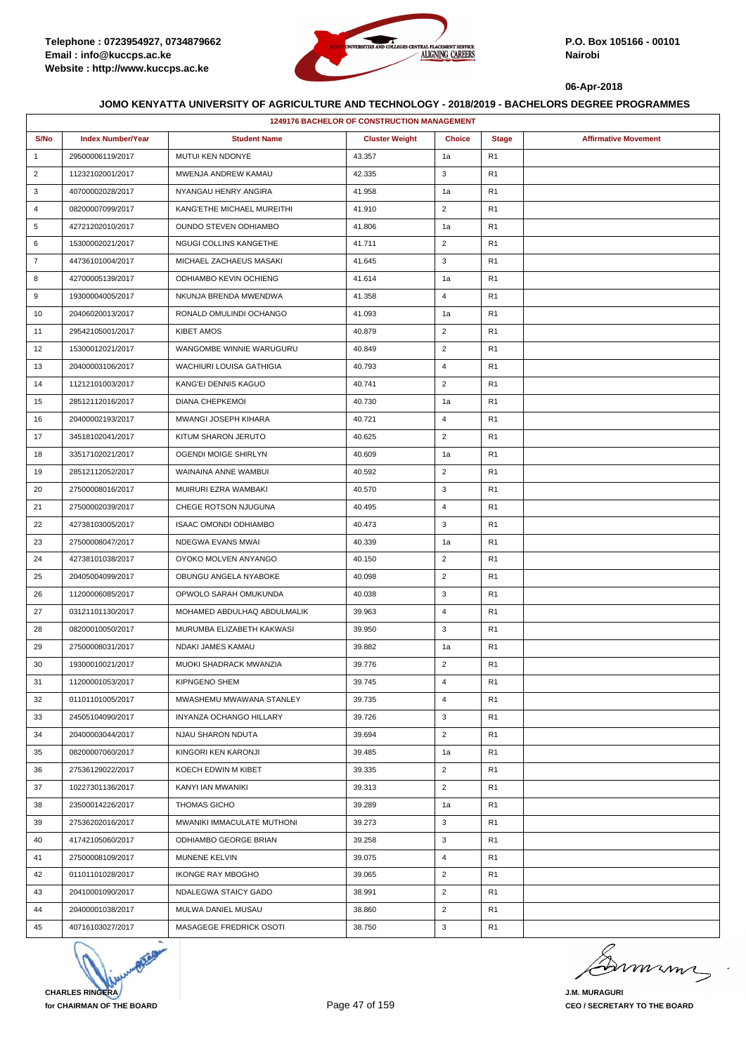

|                | <b>1249176 BACHELOR OF CONSTRUCTION MANAGEMENT</b> |                               |                       |                |                |                             |  |  |
|----------------|----------------------------------------------------|-------------------------------|-----------------------|----------------|----------------|-----------------------------|--|--|
| S/No           | <b>Index Number/Year</b>                           | <b>Student Name</b>           | <b>Cluster Weight</b> | <b>Choice</b>  | <b>Stage</b>   | <b>Affirmative Movement</b> |  |  |
| $\mathbf{1}$   | 29500006119/2017                                   | MUTUI KEN NDONYE              | 43.357                | 1a             | R <sub>1</sub> |                             |  |  |
| $\overline{2}$ | 11232102001/2017                                   | MWENJA ANDREW KAMAU           | 42.335                | 3              | R <sub>1</sub> |                             |  |  |
| 3              | 40700002028/2017                                   | NYANGAU HENRY ANGIRA          | 41.958                | 1a             | R <sub>1</sub> |                             |  |  |
| 4              | 08200007099/2017                                   | KANG'ETHE MICHAEL MUREITHI    | 41.910                | $\overline{2}$ | R <sub>1</sub> |                             |  |  |
| 5              | 42721202010/2017                                   | <b>OUNDO STEVEN ODHIAMBO</b>  | 41.806                | 1a             | R <sub>1</sub> |                             |  |  |
| 6              | 15300002021/2017                                   | NGUGI COLLINS KANGETHE        | 41.711                | $\overline{2}$ | R <sub>1</sub> |                             |  |  |
| $\overline{7}$ | 44736101004/2017                                   | MICHAEL ZACHAEUS MASAKI       | 41.645                | 3              | R <sub>1</sub> |                             |  |  |
| 8              | 42700005139/2017                                   | <b>ODHIAMBO KEVIN OCHIENG</b> | 41.614                | 1a             | R <sub>1</sub> |                             |  |  |
| 9              | 19300004005/2017                                   | NKUNJA BRENDA MWENDWA         | 41.358                | $\overline{4}$ | R <sub>1</sub> |                             |  |  |
| 10             | 20406020013/2017                                   | RONALD OMULINDI OCHANGO       | 41.093                | 1a             | R <sub>1</sub> |                             |  |  |
| 11             | 29542105001/2017                                   | <b>KIBET AMOS</b>             | 40.879                | $\overline{2}$ | R <sub>1</sub> |                             |  |  |
| 12             | 15300012021/2017                                   | WANGOMBE WINNIE WARUGURU      | 40.849                | $\overline{2}$ | R <sub>1</sub> |                             |  |  |
| 13             | 20400003106/2017                                   | WACHIURI LOUISA GATHIGIA      | 40.793                | $\overline{4}$ | R <sub>1</sub> |                             |  |  |
| 14             | 11212101003/2017                                   | KANG'EI DENNIS KAGUO          | 40.741                | $\overline{2}$ | R <sub>1</sub> |                             |  |  |
| 15             | 28512112016/2017                                   | <b>DIANA CHEPKEMOI</b>        | 40.730                | 1a             | R <sub>1</sub> |                             |  |  |
| 16             | 20400002193/2017                                   | MWANGI JOSEPH KIHARA          | 40.721                | $\overline{4}$ | R <sub>1</sub> |                             |  |  |
| 17             | 34518102041/2017                                   | KITUM SHARON JERUTO           | 40.625                | $\overline{2}$ | R <sub>1</sub> |                             |  |  |
| 18             | 33517102021/2017                                   | OGENDI MOIGE SHIRLYN          | 40.609                | 1a             | R <sub>1</sub> |                             |  |  |
| 19             | 28512112052/2017                                   | WAINAINA ANNE WAMBUI          | 40.592                | $\overline{2}$ | R <sub>1</sub> |                             |  |  |
| 20             | 27500008016/2017                                   | MUIRURI EZRA WAMBAKI          | 40.570                | 3              | R <sub>1</sub> |                             |  |  |
| 21             | 27500002039/2017                                   | CHEGE ROTSON NJUGUNA          | 40.495                | $\overline{4}$ | R <sub>1</sub> |                             |  |  |
| 22             | 42738103005/2017                                   | <b>ISAAC OMONDI ODHIAMBO</b>  | 40.473                | 3              | R <sub>1</sub> |                             |  |  |
| 23             | 27500008047/2017                                   | NDEGWA EVANS MWAI             | 40.339                | 1a             | R <sub>1</sub> |                             |  |  |
| 24             | 42738101038/2017                                   | OYOKO MOLVEN ANYANGO          | 40.150                | $\overline{2}$ | R <sub>1</sub> |                             |  |  |
| 25             | 20405004099/2017                                   | OBUNGU ANGELA NYABOKE         | 40.098                | $\overline{2}$ | R <sub>1</sub> |                             |  |  |
| 26             | 11200006085/2017                                   | OPWOLO SARAH OMUKUNDA         | 40.038                | 3              | R <sub>1</sub> |                             |  |  |
| 27             | 03121101130/2017                                   | MOHAMED ABDULHAQ ABDULMALIK   | 39.963                | $\overline{4}$ | R <sub>1</sub> |                             |  |  |
| 28             | 08200010050/2017                                   | MURUMBA ELIZABETH KAKWASI     | 39.950                | 3              | R <sub>1</sub> |                             |  |  |
| 29             | 27500008031/2017                                   | NDAKI JAMES KAMAU             | 39.882                | 1a             | R <sub>1</sub> |                             |  |  |
| 30             | 19300010021/2017                                   | MUOKI SHADRACK MWANZIA        | 39.776                | $\overline{2}$ | R <sub>1</sub> |                             |  |  |
| 31             | 11200001053/2017                                   | KIPNGENO SHEM                 | 39.745                | $\overline{4}$ | R <sub>1</sub> |                             |  |  |
| 32             | 01101101005/2017                                   | MWASHEMU MWAWANA STANLEY      | 39.735                | 4              | R <sub>1</sub> |                             |  |  |
| 33             | 24505104090/2017                                   | INYANZA OCHANGO HILLARY       | 39.726                | 3              | R <sub>1</sub> |                             |  |  |
| 34             | 20400003044/2017                                   | NJAU SHARON NDUTA             | 39.694                | $\overline{2}$ | R <sub>1</sub> |                             |  |  |
| 35             | 08200007060/2017                                   | KINGORI KEN KARONJI           | 39.485                | 1a             | R <sub>1</sub> |                             |  |  |
| 36             | 27536129022/2017                                   | KOECH EDWIN M KIBET           | 39.335                | $\overline{2}$ | R <sub>1</sub> |                             |  |  |
| 37             | 10227301136/2017                                   | KANYI IAN MWANIKI             | 39.313                | $\overline{2}$ | R <sub>1</sub> |                             |  |  |
| 38             | 23500014226/2017                                   | <b>THOMAS GICHO</b>           | 39.289                | 1a             | R <sub>1</sub> |                             |  |  |
| 39             | 27536202016/2017                                   | MWANIKI IMMACULATE MUTHONI    | 39.273                | 3              | R <sub>1</sub> |                             |  |  |
| 40             | 41742105060/2017                                   | ODHIAMBO GEORGE BRIAN         | 39.258                | 3              | R <sub>1</sub> |                             |  |  |
| 41             | 27500008109/2017                                   | MUNENE KELVIN                 | 39.075                | 4              | R <sub>1</sub> |                             |  |  |
| 42             | 01101101028/2017                                   | <b>IKONGE RAY MBOGHO</b>      | 39.065                | $\overline{2}$ | R <sub>1</sub> |                             |  |  |
| 43             | 20410001090/2017                                   | NDALEGWA STAICY GADO          | 38.991                | $\overline{2}$ | R <sub>1</sub> |                             |  |  |
| 44             | 20400001038/2017                                   | MULWA DANIEL MUSAU            | 38.860                | $\overline{2}$ | R <sub>1</sub> |                             |  |  |
| 45             | 40716103027/2017                                   | MASAGEGE FREDRICK OSOTI       | 38.750                | 3              | R <sub>1</sub> |                             |  |  |



murme

**J.M. MURAGURI CEO / SECRETARY TO THE BOARD**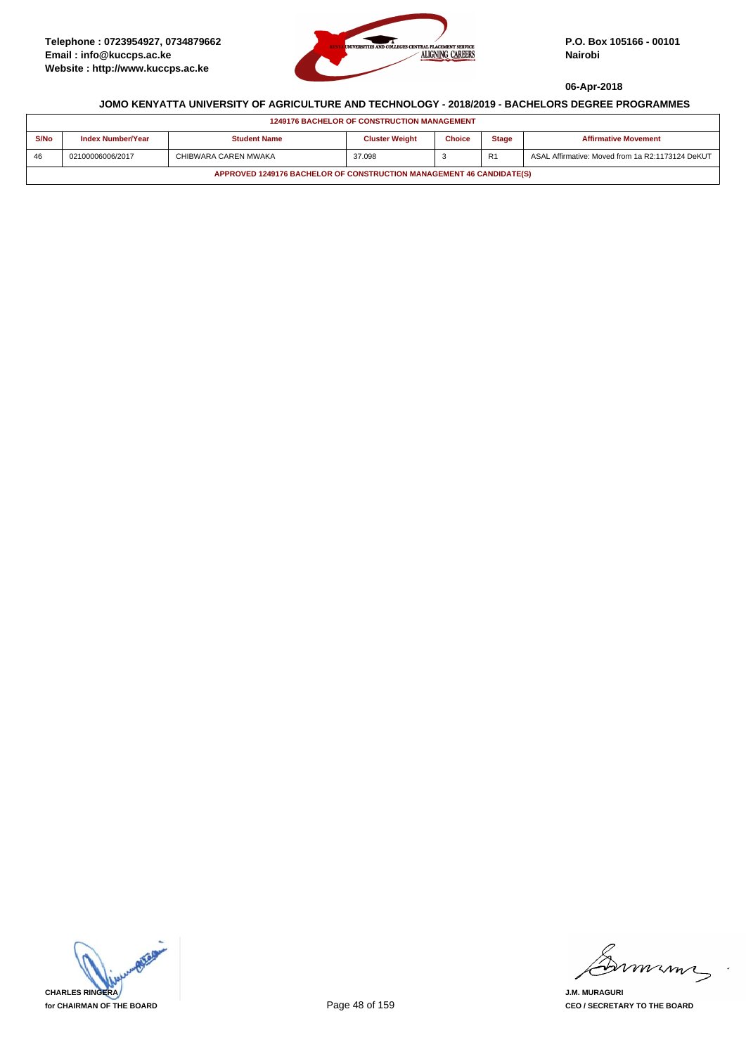

| <b>1249176 BACHELOR OF CONSTRUCTION MANAGEMENT</b>                   |                          |                      |                       |               |                |                                                  |  |
|----------------------------------------------------------------------|--------------------------|----------------------|-----------------------|---------------|----------------|--------------------------------------------------|--|
| S/No                                                                 | <b>Index Number/Year</b> | <b>Student Name</b>  | <b>Cluster Weight</b> | <b>Choice</b> | <b>Stage</b>   | <b>Affirmative Movement</b>                      |  |
| 46                                                                   | 02100006006/2017         | CHIBWARA CAREN MWAKA | 37.098                |               | R <sub>1</sub> | ASAL Affirmative: Moved from 1a R2:1173124 DeKUT |  |
| APPROVED 1249176 BACHELOR OF CONSTRUCTION MANAGEMENT 46 CANDIDATE(S) |                          |                      |                       |               |                |                                                  |  |

**CHARLES RINGERA for CHAIRMAN OF THE BOARD**

mmmn

**J.M. MURAGURI CEO / SECRETARY TO THE BOARD**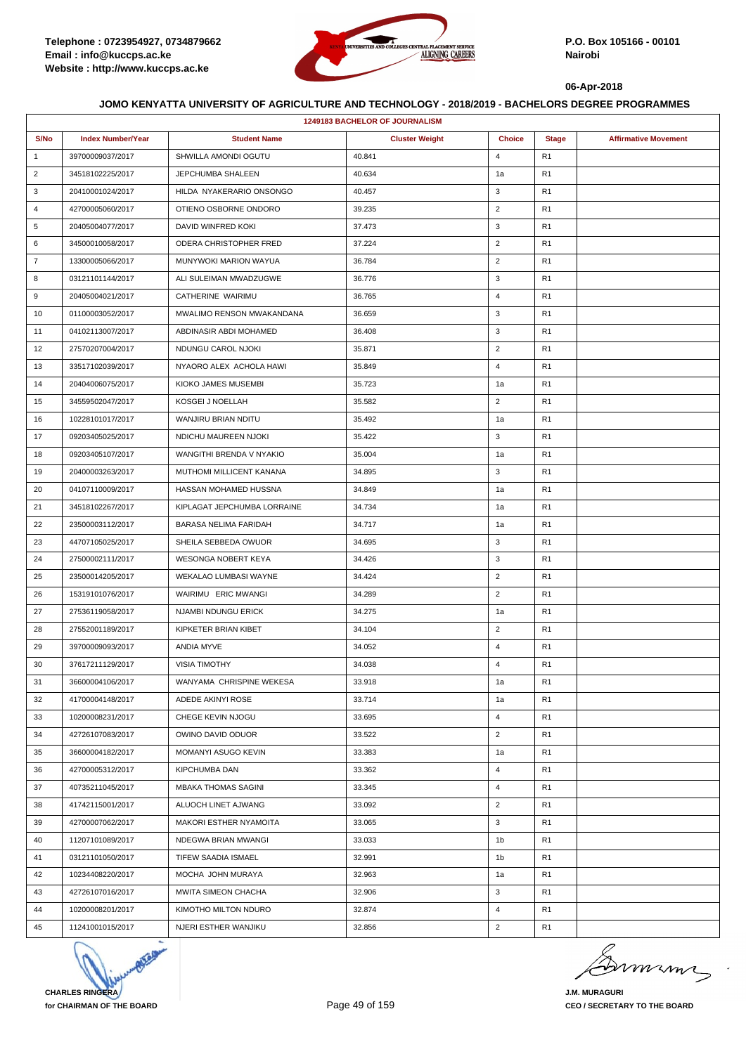

|                | <b>1249183 BACHELOR OF JOURNALISM</b> |                             |                       |                |                |                             |  |  |  |
|----------------|---------------------------------------|-----------------------------|-----------------------|----------------|----------------|-----------------------------|--|--|--|
| S/No           | <b>Index Number/Year</b>              | <b>Student Name</b>         | <b>Cluster Weight</b> | <b>Choice</b>  | <b>Stage</b>   | <b>Affirmative Movement</b> |  |  |  |
| $\mathbf{1}$   | 39700009037/2017                      | SHWILLA AMONDI OGUTU        | 40.841                | $\overline{4}$ | R <sub>1</sub> |                             |  |  |  |
| $\overline{2}$ | 34518102225/2017                      | JEPCHUMBA SHALEEN           | 40.634                | 1a             | R <sub>1</sub> |                             |  |  |  |
| 3              | 20410001024/2017                      | HILDA NYAKERARIO ONSONGO    | 40.457                | 3              | R <sub>1</sub> |                             |  |  |  |
| $\overline{4}$ | 42700005060/2017                      | OTIENO OSBORNE ONDORO       | 39.235                | $\overline{2}$ | R <sub>1</sub> |                             |  |  |  |
| 5              | 20405004077/2017                      | DAVID WINFRED KOKI          | 37.473                | 3              | R <sub>1</sub> |                             |  |  |  |
| 6              | 34500010058/2017                      | ODERA CHRISTOPHER FRED      | 37.224                | $\overline{2}$ | R <sub>1</sub> |                             |  |  |  |
| $\overline{7}$ | 13300005066/2017                      | MUNYWOKI MARION WAYUA       | 36.784                | $\overline{2}$ | R <sub>1</sub> |                             |  |  |  |
| 8              | 03121101144/2017                      | ALI SULEIMAN MWADZUGWE      | 36.776                | 3              | R <sub>1</sub> |                             |  |  |  |
| 9              | 20405004021/2017                      | CATHERINE WAIRIMU           | 36.765                | $\overline{4}$ | R <sub>1</sub> |                             |  |  |  |
| 10             | 01100003052/2017                      | MWALIMO RENSON MWAKANDANA   | 36.659                | 3              | R <sub>1</sub> |                             |  |  |  |
| 11             | 04102113007/2017                      | ABDINASIR ABDI MOHAMED      | 36.408                | 3              | R <sub>1</sub> |                             |  |  |  |
| 12             | 27570207004/2017                      | NDUNGU CAROL NJOKI          | 35.871                | $\overline{2}$ | R <sub>1</sub> |                             |  |  |  |
| 13             | 33517102039/2017                      | NYAORO ALEX ACHOLA HAWI     | 35.849                | $\overline{4}$ | R <sub>1</sub> |                             |  |  |  |
| 14             | 20404006075/2017                      | KIOKO JAMES MUSEMBI         | 35.723                | 1a             | R <sub>1</sub> |                             |  |  |  |
| 15             | 34559502047/2017                      | KOSGEI J NOELLAH            | 35.582                | $\overline{2}$ | R <sub>1</sub> |                             |  |  |  |
| 16             | 10228101017/2017                      | WANJIRU BRIAN NDITU         | 35.492                | 1a             | R <sub>1</sub> |                             |  |  |  |
| 17             | 09203405025/2017                      | NDICHU MAUREEN NJOKI        | 35.422                | 3              | R <sub>1</sub> |                             |  |  |  |
| 18             | 09203405107/2017                      | WANGITHI BRENDA V NYAKIO    | 35.004                | 1a             | R <sub>1</sub> |                             |  |  |  |
| 19             | 20400003263/2017                      | MUTHOMI MILLICENT KANANA    | 34.895                | 3              | R <sub>1</sub> |                             |  |  |  |
| 20             | 04107110009/2017                      | HASSAN MOHAMED HUSSNA       | 34.849                | 1a             | R <sub>1</sub> |                             |  |  |  |
| 21             | 34518102267/2017                      | KIPLAGAT JEPCHUMBA LORRAINE | 34.734                | 1a             | R <sub>1</sub> |                             |  |  |  |
| 22             | 23500003112/2017                      | BARASA NELIMA FARIDAH       | 34.717                | 1a             | R <sub>1</sub> |                             |  |  |  |
| 23             | 44707105025/2017                      | SHEILA SEBBEDA OWUOR        | 34.695                | 3              | R <sub>1</sub> |                             |  |  |  |
| 24             | 27500002111/2017                      | WESONGA NOBERT KEYA         | 34.426                | 3              | R <sub>1</sub> |                             |  |  |  |
| 25             | 23500014205/2017                      | WEKALAO LUMBASI WAYNE       | 34.424                | $\overline{2}$ | R <sub>1</sub> |                             |  |  |  |
| 26             | 15319101076/2017                      | WAIRIMU ERIC MWANGI         | 34.289                | $\overline{2}$ | R <sub>1</sub> |                             |  |  |  |
| 27             | 27536119058/2017                      | NJAMBI NDUNGU ERICK         | 34.275                | 1a             | R <sub>1</sub> |                             |  |  |  |
| 28             | 27552001189/2017                      | KIPKETER BRIAN KIBET        | 34.104                | $\overline{2}$ | R <sub>1</sub> |                             |  |  |  |
| 29             | 39700009093/2017                      | ANDIA MYVE                  | 34.052                | 4              | R <sub>1</sub> |                             |  |  |  |
| 30             | 37617211129/2017                      | <b>VISIA TIMOTHY</b>        | 34.038                | $\overline{4}$ | R <sub>1</sub> |                             |  |  |  |
| 31             | 36600004106/2017                      | WANYAMA CHRISPINE WEKESA    | 33.918                | 1a             | R <sub>1</sub> |                             |  |  |  |
| 32             | 41700004148/2017                      | ADEDE AKINYI ROSE           | 33.714                | 1a             | R <sub>1</sub> |                             |  |  |  |
| 33             | 10200008231/2017                      | CHEGE KEVIN NJOGU           | 33.695                | $\overline{4}$ | R <sub>1</sub> |                             |  |  |  |
| 34             | 42726107083/2017                      | OWINO DAVID ODUOR           | 33.522                | $\overline{2}$ | R <sub>1</sub> |                             |  |  |  |
| 35             | 36600004182/2017                      | MOMANYI ASUGO KEVIN         | 33.383                | 1a             | R <sub>1</sub> |                             |  |  |  |
| 36             | 42700005312/2017                      | KIPCHUMBA DAN               | 33.362                | $\overline{4}$ | R <sub>1</sub> |                             |  |  |  |
| 37             | 40735211045/2017                      | MBAKA THOMAS SAGINI         | 33.345                | $\overline{4}$ | R <sub>1</sub> |                             |  |  |  |
| 38             | 41742115001/2017                      | ALUOCH LINET AJWANG         | 33.092                | $\overline{2}$ | R <sub>1</sub> |                             |  |  |  |
| 39             | 42700007062/2017                      | MAKORI ESTHER NYAMOITA      | 33.065                | 3              | R <sub>1</sub> |                             |  |  |  |
| 40             | 11207101089/2017                      | NDEGWA BRIAN MWANGI         | 33.033                | 1b             | R <sub>1</sub> |                             |  |  |  |
| 41             | 03121101050/2017                      | TIFEW SAADIA ISMAEL         | 32.991                | 1b             | R <sub>1</sub> |                             |  |  |  |
| 42             | 10234408220/2017                      | MOCHA JOHN MURAYA           | 32.963                | 1a             | R <sub>1</sub> |                             |  |  |  |
| 43             | 42726107016/2017                      | MWITA SIMEON CHACHA         | 32.906                | 3              | R <sub>1</sub> |                             |  |  |  |
| 44             | 10200008201/2017                      | KIMOTHO MILTON NDURO        | 32.874                | 4              | R <sub>1</sub> |                             |  |  |  |
| 45             | 11241001015/2017                      | NJERI ESTHER WANJIKU        | 32.856                | $\overline{2}$ | R <sub>1</sub> |                             |  |  |  |



murma

**J.M. MURAGURI CEO / SECRETARY TO THE BOARD**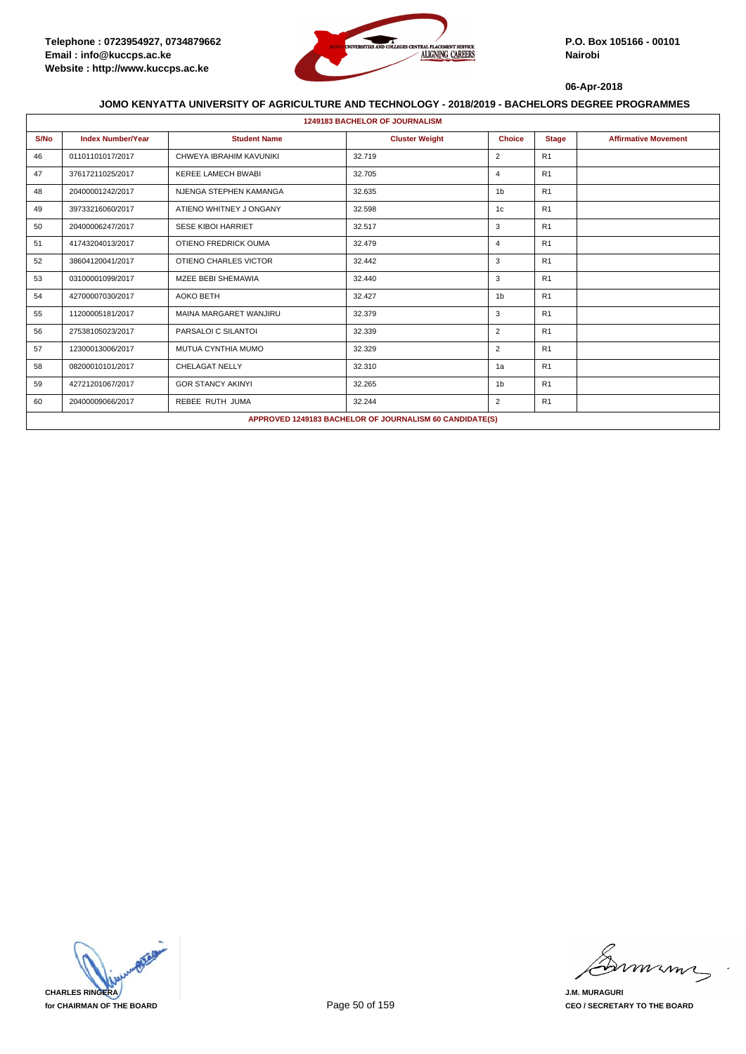

|      | <b>1249183 BACHELOR OF JOURNALISM</b> |                           |                                                         |                |              |                             |  |  |  |
|------|---------------------------------------|---------------------------|---------------------------------------------------------|----------------|--------------|-----------------------------|--|--|--|
| S/No | <b>Index Number/Year</b>              | <b>Student Name</b>       | <b>Cluster Weight</b>                                   | <b>Choice</b>  | <b>Stage</b> | <b>Affirmative Movement</b> |  |  |  |
| 46   | 01101101017/2017                      | CHWEYA IBRAHIM KAVUNIKI   | 32.719                                                  | $\overline{2}$ | R1           |                             |  |  |  |
| 47   | 37617211025/2017                      | <b>KEREE LAMECH BWABI</b> | 32.705                                                  | $\overline{4}$ | R1           |                             |  |  |  |
| 48   | 20400001242/2017                      | NJENGA STEPHEN KAMANGA    | 32.635                                                  | 1 <sub>b</sub> | R1           |                             |  |  |  |
| 49   | 39733216060/2017                      | ATIENO WHITNEY J ONGANY   | 32.598                                                  | 1c             | R1           |                             |  |  |  |
| 50   | 20400006247/2017                      | <b>SESE KIBOI HARRIET</b> | 32.517                                                  | 3              | R1           |                             |  |  |  |
| 51   | 41743204013/2017                      | OTIENO FREDRICK OUMA      | 32.479                                                  | $\overline{4}$ | R1           |                             |  |  |  |
| 52   | 38604120041/2017                      | OTIENO CHARLES VICTOR     | 32.442                                                  | 3              | R1           |                             |  |  |  |
| 53   | 03100001099/2017                      | MZEE BEBI SHEMAWIA        | 32.440                                                  | 3              | R1           |                             |  |  |  |
| 54   | 42700007030/2017                      | <b>AOKO BETH</b>          | 32.427                                                  | 1 <sub>b</sub> | R1           |                             |  |  |  |
| 55   | 11200005181/2017                      | MAINA MARGARET WANJIRU    | 32.379                                                  | 3              | R1           |                             |  |  |  |
| 56   | 27538105023/2017                      | PARSALOI C SILANTOI       | 32.339                                                  | $\overline{2}$ | R1           |                             |  |  |  |
| 57   | 12300013006/2017                      | MUTUA CYNTHIA MUMO        | 32.329                                                  | $\overline{2}$ | R1           |                             |  |  |  |
| 58   | 08200010101/2017                      | <b>CHELAGAT NELLY</b>     | 32.310                                                  | 1a             | R1           |                             |  |  |  |
| 59   | 42721201067/2017                      | <b>GOR STANCY AKINYI</b>  | 32.265                                                  | 1 <sub>b</sub> | R1           |                             |  |  |  |
| 60   | 20400009066/2017                      | REBEE RUTH JUMA           | 32.244                                                  | 2              | R1           |                             |  |  |  |
|      |                                       |                           | APPROVED 1249183 BACHELOR OF JOURNALISM 60 CANDIDATE(S) |                |              |                             |  |  |  |

**CHARLES RINGERA for CHAIRMAN OF THE BOARD**

mmmn

**J.M. MURAGURI CEO / SECRETARY TO THE BOARD**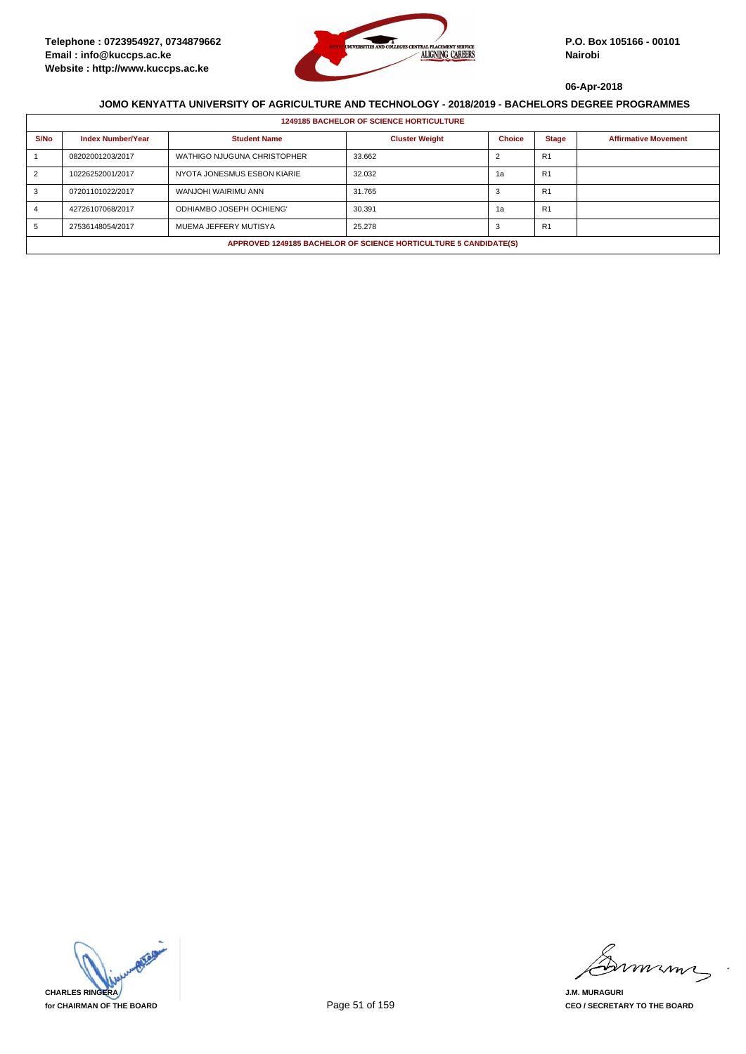

|      | <b>1249185 BACHELOR OF SCIENCE HORTICULTURE</b>                  |                             |                       |               |                |                             |  |  |  |
|------|------------------------------------------------------------------|-----------------------------|-----------------------|---------------|----------------|-----------------------------|--|--|--|
| S/No | <b>Index Number/Year</b>                                         | <b>Student Name</b>         | <b>Cluster Weight</b> | <b>Choice</b> | <b>Stage</b>   | <b>Affirmative Movement</b> |  |  |  |
|      | 08202001203/2017                                                 | WATHIGO NJUGUNA CHRISTOPHER | 33.662                |               | R <sub>1</sub> |                             |  |  |  |
| 2    | 10226252001/2017                                                 | NYOTA JONESMUS ESBON KIARIE | 32.032                | 1а            | R <sub>1</sub> |                             |  |  |  |
|      | 07201101022/2017                                                 | WANJOHI WAIRIMU ANN         | 31.765                | 3             | R <sub>1</sub> |                             |  |  |  |
|      | 42726107068/2017                                                 | ODHIAMBO JOSEPH OCHIENG'    | 30.391                | 1a            | R <sub>1</sub> |                             |  |  |  |
|      | 27536148054/2017                                                 | MUEMA JEFFERY MUTISYA       | 25.278                | 3             | R1             |                             |  |  |  |
|      | APPROVED 1249185 BACHELOR OF SCIENCE HORTICULTURE 5 CANDIDATE(S) |                             |                       |               |                |                             |  |  |  |

**CHARLES RINGERA for CHAIRMAN OF THE BOARD**

mmmn

**J.M. MURAGURI CEO / SECRETARY TO THE BOARD**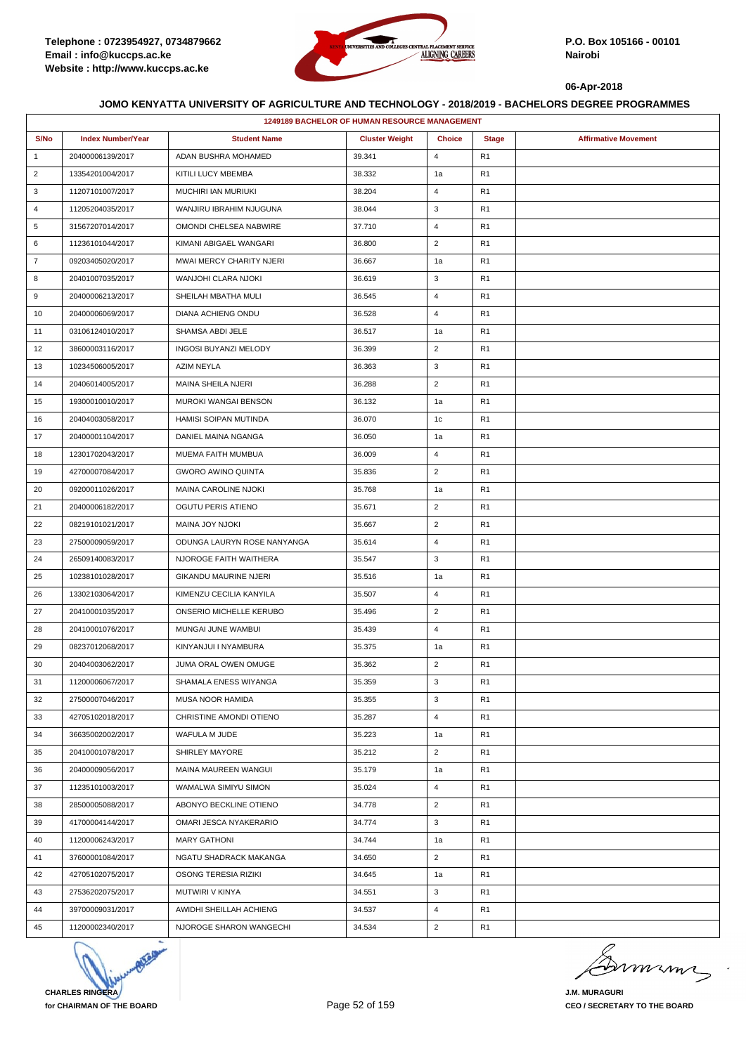

|                | <b>1249189 BACHELOR OF HUMAN RESOURCE MANAGEMENT</b> |                             |                       |                |                |                             |  |  |
|----------------|------------------------------------------------------|-----------------------------|-----------------------|----------------|----------------|-----------------------------|--|--|
| S/No           | <b>Index Number/Year</b>                             | <b>Student Name</b>         | <b>Cluster Weight</b> | <b>Choice</b>  | <b>Stage</b>   | <b>Affirmative Movement</b> |  |  |
| $\mathbf{1}$   | 20400006139/2017                                     | ADAN BUSHRA MOHAMED         | 39.341                | $\overline{4}$ | R1             |                             |  |  |
| $\overline{2}$ | 13354201004/2017                                     | KITILI LUCY MBEMBA          | 38.332                | 1a             | R1             |                             |  |  |
| 3              | 11207101007/2017                                     | MUCHIRI IAN MURIUKI         | 38.204                | $\overline{4}$ | R1             |                             |  |  |
| 4              | 11205204035/2017                                     | WANJIRU IBRAHIM NJUGUNA     | 38.044                | 3              | R1             |                             |  |  |
| 5              | 31567207014/2017                                     | OMONDI CHELSEA NABWIRE      | 37.710                | $\overline{4}$ | R1             |                             |  |  |
| 6              | 11236101044/2017                                     | KIMANI ABIGAEL WANGARI      | 36.800                | $\overline{2}$ | R <sub>1</sub> |                             |  |  |
| $\overline{7}$ | 09203405020/2017                                     | MWAI MERCY CHARITY NJERI    | 36.667                | 1a             | R1             |                             |  |  |
| 8              | 20401007035/2017                                     | WANJOHI CLARA NJOKI         | 36.619                | 3              | R1             |                             |  |  |
| 9              | 20400006213/2017                                     | SHEILAH MBATHA MULI         | 36.545                | $\overline{4}$ | R1             |                             |  |  |
| 10             | 20400006069/2017                                     | DIANA ACHIENG ONDU          | 36.528                | 4              | R1             |                             |  |  |
| 11             | 03106124010/2017                                     | SHAMSA ABDI JELE            | 36.517                | 1a             | R <sub>1</sub> |                             |  |  |
| 12             | 38600003116/2017                                     | INGOSI BUYANZI MELODY       | 36.399                | $\overline{2}$ | R <sub>1</sub> |                             |  |  |
| 13             | 10234506005/2017                                     | AZIM NEYLA                  | 36.363                | 3              | R1             |                             |  |  |
| 14             | 20406014005/2017                                     | <b>MAINA SHEILA NJERI</b>   | 36.288                | $\overline{2}$ | R1             |                             |  |  |
| 15             | 19300010010/2017                                     | MUROKI WANGAI BENSON        | 36.132                | 1a             | R <sub>1</sub> |                             |  |  |
| 16             | 20404003058/2017                                     | HAMISI SOIPAN MUTINDA       | 36.070                | 1c             | R1             |                             |  |  |
| 17             | 20400001104/2017                                     | DANIEL MAINA NGANGA         | 36.050                | 1a             | R1             |                             |  |  |
| 18             | 12301702043/2017                                     | MUEMA FAITH MUMBUA          | 36.009                | $\overline{4}$ | R1             |                             |  |  |
| 19             | 42700007084/2017                                     | <b>GWORO AWINO QUINTA</b>   | 35.836                | $\overline{2}$ | R <sub>1</sub> |                             |  |  |
| 20             | 09200011026/2017                                     | <b>MAINA CAROLINE NJOKI</b> | 35.768                | 1a             | R1             |                             |  |  |
| 21             | 20400006182/2017                                     | OGUTU PERIS ATIENO          | 35.671                | $\overline{2}$ | R <sub>1</sub> |                             |  |  |
| 22             | 08219101021/2017                                     | MAINA JOY NJOKI             | 35.667                | $\overline{2}$ | R1             |                             |  |  |
| 23             | 27500009059/2017                                     | ODUNGA LAURYN ROSE NANYANGA | 35.614                | $\overline{4}$ | R <sub>1</sub> |                             |  |  |
| 24             | 26509140083/2017                                     | NJOROGE FAITH WAITHERA      | 35.547                | 3              | R <sub>1</sub> |                             |  |  |
| 25             | 10238101028/2017                                     | GIKANDU MAURINE NJERI       | 35.516                | 1a             | R1             |                             |  |  |
| 26             | 13302103064/2017                                     | KIMENZU CECILIA KANYILA     | 35.507                | $\overline{4}$ | R1             |                             |  |  |
| 27             | 20410001035/2017                                     | ONSERIO MICHELLE KERUBO     | 35.496                | $\overline{2}$ | R <sub>1</sub> |                             |  |  |
| 28             | 20410001076/2017                                     | MUNGAI JUNE WAMBUI          | 35.439                | 4              | R1             |                             |  |  |
| 29             | 08237012068/2017                                     | KINYANJUI I NYAMBURA        | 35.375                | 1a             | R <sub>1</sub> |                             |  |  |
| 30             | 20404003062/2017                                     | JUMA ORAL OWEN OMUGE        | 35.362                | $\overline{2}$ | R <sub>1</sub> |                             |  |  |
| 31             | 11200006067/2017                                     | SHAMALA ENESS WIYANGA       | 35.359                | 3              | R1             |                             |  |  |
| 32             | 27500007046/2017                                     | MUSA NOOR HAMIDA            | 35.355                | 3              | R1             |                             |  |  |
| 33             | 42705102018/2017                                     | CHRISTINE AMONDI OTIENO     | 35.287                | $\overline{4}$ | R1             |                             |  |  |
| 34             | 36635002002/2017                                     | WAFULA M JUDE               | 35.223                | 1a             | R1             |                             |  |  |
| 35             | 20410001078/2017                                     | SHIRLEY MAYORE              | 35.212                | $\overline{2}$ | R1             |                             |  |  |
| 36             | 20400009056/2017                                     | MAINA MAUREEN WANGUI        | 35.179                | 1a             | R1             |                             |  |  |
| 37             | 11235101003/2017                                     | WAMALWA SIMIYU SIMON        | 35.024                | 4              | R1             |                             |  |  |
| 38             | 28500005088/2017                                     | ABONYO BECKLINE OTIENO      | 34.778                | $\overline{2}$ | R <sub>1</sub> |                             |  |  |
| 39             | 41700004144/2017                                     | OMARI JESCA NYAKERARIO      | 34.774                | 3              | R <sub>1</sub> |                             |  |  |
| 40             | 11200006243/2017                                     | <b>MARY GATHONI</b>         | 34.744                | 1a             | R <sub>1</sub> |                             |  |  |
| 41             | 37600001084/2017                                     | NGATU SHADRACK MAKANGA      | 34.650                | $\overline{2}$ | R1             |                             |  |  |
| 42             | 42705102075/2017                                     | OSONG TERESIA RIZIKI        | 34.645                | 1a             | R <sub>1</sub> |                             |  |  |
| 43             | 27536202075/2017                                     | MUTWIRI V KINYA             | 34.551                | 3              | R <sub>1</sub> |                             |  |  |
| 44             | 39700009031/2017                                     | AWIDHI SHEILLAH ACHIENG     | 34.537                | $\overline{4}$ | R <sub>1</sub> |                             |  |  |
| 45             | 11200002340/2017                                     | NJOROGE SHARON WANGECHI     | 34.534                | $\overline{2}$ | R <sub>1</sub> |                             |  |  |

**CHARLES RINGERA for CHAIRMAN OF THE BOARD**

minn

**J.M. MURAGURI CEO / SECRETARY TO THE BOARD**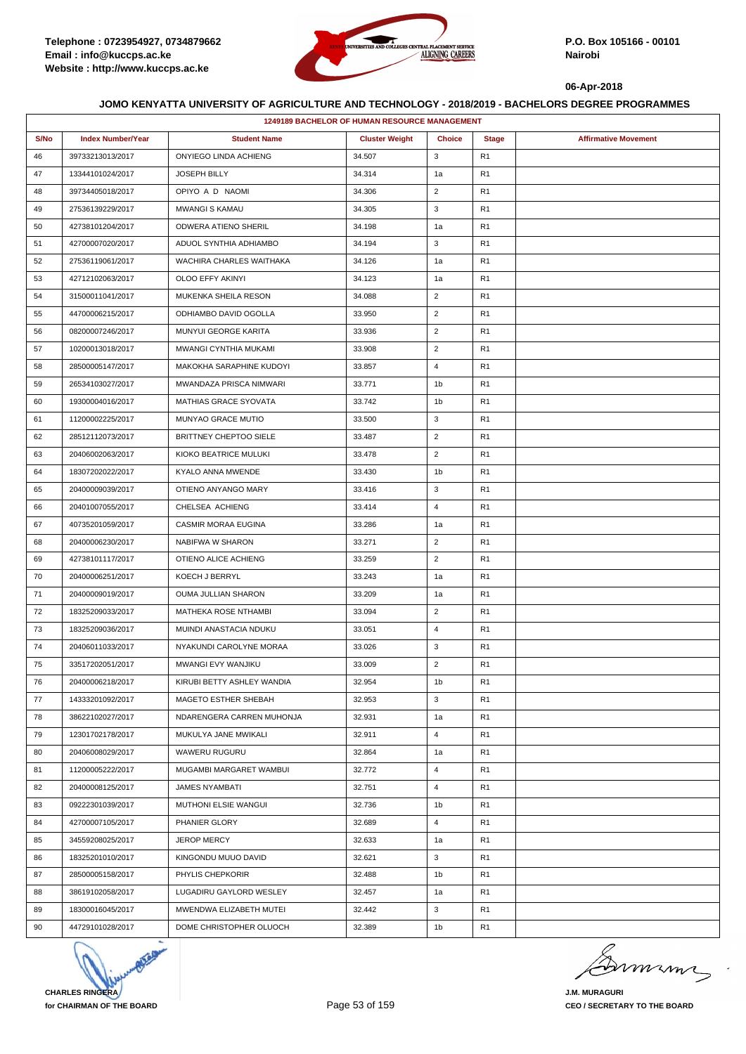

|      | 1249189 BACHELOR OF HUMAN RESOURCE MANAGEMENT |                              |                       |                |                |                             |  |  |  |
|------|-----------------------------------------------|------------------------------|-----------------------|----------------|----------------|-----------------------------|--|--|--|
| S/No | <b>Index Number/Year</b>                      | <b>Student Name</b>          | <b>Cluster Weight</b> | <b>Choice</b>  | <b>Stage</b>   | <b>Affirmative Movement</b> |  |  |  |
| 46   | 39733213013/2017                              | ONYIEGO LINDA ACHIENG        | 34.507                | 3              | R <sub>1</sub> |                             |  |  |  |
| 47   | 13344101024/2017                              | JOSEPH BILLY                 | 34.314                | 1a             | R <sub>1</sub> |                             |  |  |  |
| 48   | 39734405018/2017                              | OPIYO A D NAOMI              | 34.306                | $\overline{2}$ | R <sub>1</sub> |                             |  |  |  |
| 49   | 27536139229/2017                              | <b>MWANGI S KAMAU</b>        | 34.305                | 3              | R <sub>1</sub> |                             |  |  |  |
| 50   | 42738101204/2017                              | ODWERA ATIENO SHERIL         | 34.198                | 1a             | R <sub>1</sub> |                             |  |  |  |
| 51   | 42700007020/2017                              | ADUOL SYNTHIA ADHIAMBO       | 34.194                | 3              | R <sub>1</sub> |                             |  |  |  |
| 52   | 27536119061/2017                              | WACHIRA CHARLES WAITHAKA     | 34.126                | 1a             | R <sub>1</sub> |                             |  |  |  |
| 53   | 42712102063/2017                              | OLOO EFFY AKINYI             | 34.123                | 1a             | R <sub>1</sub> |                             |  |  |  |
| 54   | 31500011041/2017                              | MUKENKA SHEILA RESON         | 34.088                | $\overline{2}$ | R <sub>1</sub> |                             |  |  |  |
| 55   | 44700006215/2017                              | ODHIAMBO DAVID OGOLLA        | 33.950                | $\overline{2}$ | R <sub>1</sub> |                             |  |  |  |
| 56   | 08200007246/2017                              | MUNYUI GEORGE KARITA         | 33.936                | $\overline{2}$ | R <sub>1</sub> |                             |  |  |  |
| 57   | 10200013018/2017                              | MWANGI CYNTHIA MUKAMI        | 33.908                | $\overline{2}$ | R <sub>1</sub> |                             |  |  |  |
| 58   | 28500005147/2017                              | MAKOKHA SARAPHINE KUDOYI     | 33.857                | 4              | R <sub>1</sub> |                             |  |  |  |
| 59   | 26534103027/2017                              | MWANDAZA PRISCA NIMWARI      | 33.771                | 1 <sub>b</sub> | R <sub>1</sub> |                             |  |  |  |
| 60   | 19300004016/2017                              | <b>MATHIAS GRACE SYOVATA</b> | 33.742                | 1b             | R <sub>1</sub> |                             |  |  |  |
| 61   | 11200002225/2017                              | MUNYAO GRACE MUTIO           | 33.500                | 3              | R <sub>1</sub> |                             |  |  |  |
| 62   | 28512112073/2017                              | BRITTNEY CHEPTOO SIELE       | 33.487                | $\overline{2}$ | R <sub>1</sub> |                             |  |  |  |
| 63   | 20406002063/2017                              | KIOKO BEATRICE MULUKI        | 33.478                | $\overline{2}$ | R <sub>1</sub> |                             |  |  |  |
| 64   | 18307202022/2017                              | KYALO ANNA MWENDE            | 33.430                | 1b             | R <sub>1</sub> |                             |  |  |  |
| 65   | 20400009039/2017                              | OTIENO ANYANGO MARY          | 33.416                | 3              | R <sub>1</sub> |                             |  |  |  |
| 66   | 20401007055/2017                              | CHELSEA ACHIENG              | 33.414                | $\overline{4}$ | R <sub>1</sub> |                             |  |  |  |
| 67   | 40735201059/2017                              | CASMIR MORAA EUGINA          | 33.286                | 1a             | R <sub>1</sub> |                             |  |  |  |
| 68   | 20400006230/2017                              | NABIFWA W SHARON             | 33.271                | $\overline{2}$ | R <sub>1</sub> |                             |  |  |  |
| 69   | 42738101117/2017                              | OTIENO ALICE ACHIENG         | 33.259                | $\overline{2}$ | R <sub>1</sub> |                             |  |  |  |
| 70   | 20400006251/2017                              | KOECH J BERRYL               | 33.243                | 1a             | R <sub>1</sub> |                             |  |  |  |
| 71   | 20400009019/2017                              | OUMA JULLIAN SHARON          | 33.209                | 1a             | R <sub>1</sub> |                             |  |  |  |
| 72   | 18325209033/2017                              | MATHEKA ROSE NTHAMBI         | 33.094                | $\overline{2}$ | R <sub>1</sub> |                             |  |  |  |
| 73   | 18325209036/2017                              | MUINDI ANASTACIA NDUKU       | 33.051                | 4              | R <sub>1</sub> |                             |  |  |  |
| 74   | 20406011033/2017                              | NYAKUNDI CAROLYNE MORAA      | 33.026                | 3              | R <sub>1</sub> |                             |  |  |  |
| 75   | 33517202051/2017                              | MWANGI EVY WANJIKU           | 33.009                | $\overline{2}$ | R <sub>1</sub> |                             |  |  |  |
| 76   | 20400006218/2017                              | KIRUBI BETTY ASHLEY WANDIA   | 32.954                | 1b             | R <sub>1</sub> |                             |  |  |  |
| 77   | 14333201092/2017                              | MAGETO ESTHER SHEBAH         | 32.953                | 3              | R <sub>1</sub> |                             |  |  |  |
| 78   | 38622102027/2017                              | NDARENGERA CARREN MUHONJA    | 32.931                | 1a             | R <sub>1</sub> |                             |  |  |  |
| 79   | 12301702178/2017                              | MUKULYA JANE MWIKALI         | 32.911                | $\overline{4}$ | R1             |                             |  |  |  |
| 80   | 20406008029/2017                              | WAWERU RUGURU                | 32.864                | 1a             | R <sub>1</sub> |                             |  |  |  |
| 81   | 11200005222/2017                              | MUGAMBI MARGARET WAMBUI      | 32.772                | $\overline{4}$ | R <sub>1</sub> |                             |  |  |  |
| 82   | 20400008125/2017                              | <b>JAMES NYAMBATI</b>        | 32.751                | $\overline{4}$ | R <sub>1</sub> |                             |  |  |  |
| 83   | 09222301039/2017                              | MUTHONI ELSIE WANGUI         | 32.736                | 1 <sub>b</sub> | R <sub>1</sub> |                             |  |  |  |
| 84   | 42700007105/2017                              | PHANIER GLORY                | 32.689                | $\overline{4}$ | R <sub>1</sub> |                             |  |  |  |
| 85   | 34559208025/2017                              | JEROP MERCY                  | 32.633                | 1a             | R <sub>1</sub> |                             |  |  |  |
| 86   | 18325201010/2017                              | KINGONDU MUUO DAVID          | 32.621                | 3              | R <sub>1</sub> |                             |  |  |  |
| 87   | 28500005158/2017                              | PHYLIS CHEPKORIR             | 32.488                | 1b             | R <sub>1</sub> |                             |  |  |  |
| 88   | 38619102058/2017                              | LUGADIRU GAYLORD WESLEY      | 32.457                | 1a             | R <sub>1</sub> |                             |  |  |  |
| 89   | 18300016045/2017                              | MWENDWA ELIZABETH MUTEI      | 32.442                | 3              | R <sub>1</sub> |                             |  |  |  |
| 90   | 44729101028/2017                              | DOME CHRISTOPHER OLUOCH      | 32.389                | 1b             | R <sub>1</sub> |                             |  |  |  |



murme

**J.M. MURAGURI CEO / SECRETARY TO THE BOARD**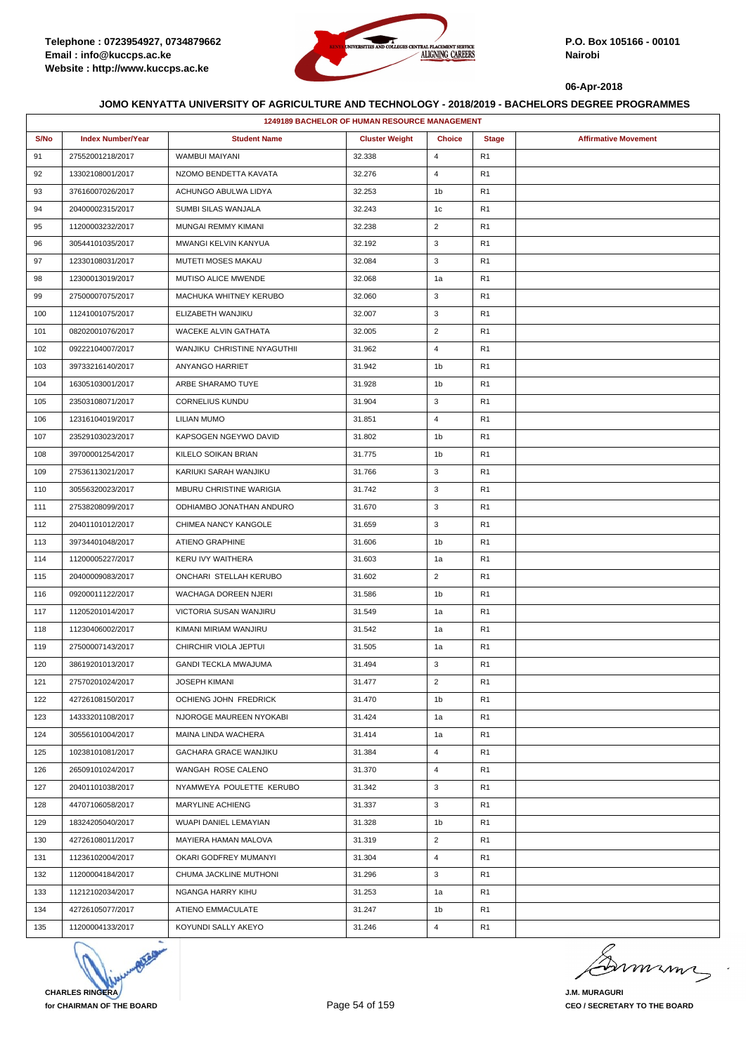

| 1249189 BACHELOR OF HUMAN RESOURCE MANAGEMENT |                          |                             |                       |                |                |                             |  |  |
|-----------------------------------------------|--------------------------|-----------------------------|-----------------------|----------------|----------------|-----------------------------|--|--|
| S/No                                          | <b>Index Number/Year</b> | <b>Student Name</b>         | <b>Cluster Weight</b> | <b>Choice</b>  | <b>Stage</b>   | <b>Affirmative Movement</b> |  |  |
| 91                                            | 27552001218/2017         | <b>WAMBUI MAIYANI</b>       | 32.338                | $\overline{4}$ | R <sub>1</sub> |                             |  |  |
| 92                                            | 13302108001/2017         | NZOMO BENDETTA KAVATA       | 32.276                | $\overline{4}$ | R <sub>1</sub> |                             |  |  |
| 93                                            | 37616007026/2017         | ACHUNGO ABULWA LIDYA        | 32.253                | 1 <sub>b</sub> | R <sub>1</sub> |                             |  |  |
| 94                                            | 20400002315/2017         | SUMBI SILAS WANJALA         | 32.243                | 1c             | R <sub>1</sub> |                             |  |  |
| 95                                            | 11200003232/2017         | MUNGAI REMMY KIMANI         | 32.238                | $\overline{2}$ | R <sub>1</sub> |                             |  |  |
| 96                                            | 30544101035/2017         | MWANGI KELVIN KANYUA        | 32.192                | 3              | R <sub>1</sub> |                             |  |  |
| 97                                            | 12330108031/2017         | MUTETI MOSES MAKAU          | 32.084                | 3              | R <sub>1</sub> |                             |  |  |
| 98                                            | 12300013019/2017         | MUTISO ALICE MWENDE         | 32.068                | 1a             | R <sub>1</sub> |                             |  |  |
| 99                                            | 27500007075/2017         | MACHUKA WHITNEY KERUBO      | 32.060                | 3              | R <sub>1</sub> |                             |  |  |
| 100                                           | 11241001075/2017         | ELIZABETH WANJIKU           | 32.007                | 3              | R <sub>1</sub> |                             |  |  |
| 101                                           | 08202001076/2017         | WACEKE ALVIN GATHATA        | 32.005                | $\overline{2}$ | R <sub>1</sub> |                             |  |  |
| 102                                           | 09222104007/2017         | WANJIKU CHRISTINE NYAGUTHII | 31.962                | $\overline{4}$ | R1             |                             |  |  |
| 103                                           | 39733216140/2017         | ANYANGO HARRIET             | 31.942                | 1b             | R <sub>1</sub> |                             |  |  |
| 104                                           | 16305103001/2017         | ARBE SHARAMO TUYE           | 31.928                | 1b             | R <sub>1</sub> |                             |  |  |
| 105                                           | 23503108071/2017         | <b>CORNELIUS KUNDU</b>      | 31.904                | 3              | R1             |                             |  |  |
| 106                                           | 12316104019/2017         | LILIAN MUMO                 | 31.851                | 4              | R <sub>1</sub> |                             |  |  |
| 107                                           | 23529103023/2017         | KAPSOGEN NGEYWO DAVID       | 31.802                | 1 <sub>b</sub> | R <sub>1</sub> |                             |  |  |
| 108                                           | 39700001254/2017         | KILELO SOIKAN BRIAN         | 31.775                | 1 <sub>b</sub> | R1             |                             |  |  |
| 109                                           | 27536113021/2017         | KARIUKI SARAH WANJIKU       | 31.766                | 3              | R <sub>1</sub> |                             |  |  |
| 110                                           | 30556320023/2017         | MBURU CHRISTINE WARIGIA     | 31.742                | 3              | R <sub>1</sub> |                             |  |  |
| 111                                           | 27538208099/2017         | ODHIAMBO JONATHAN ANDURO    | 31.670                | 3              | R1             |                             |  |  |
| 112                                           | 20401101012/2017         | CHIMEA NANCY KANGOLE        | 31.659                | 3              | R <sub>1</sub> |                             |  |  |
| 113                                           | 39734401048/2017         | ATIENO GRAPHINE             | 31.606                | 1 <sub>b</sub> | R <sub>1</sub> |                             |  |  |
| 114                                           | 11200005227/2017         | KERU IVY WAITHERA           | 31.603                | 1a             | R1             |                             |  |  |
| 115                                           | 20400009083/2017         | ONCHARI STELLAH KERUBO      | 31.602                | $\overline{2}$ | R <sub>1</sub> |                             |  |  |
| 116                                           | 09200011122/2017         | WACHAGA DOREEN NJERI        | 31.586                | 1 <sub>b</sub> | R <sub>1</sub> |                             |  |  |
| 117                                           | 11205201014/2017         | VICTORIA SUSAN WANJIRU      | 31.549                | 1a             | R1             |                             |  |  |
| 118                                           | 11230406002/2017         | KIMANI MIRIAM WANJIRU       | 31.542                | 1a             | R <sub>1</sub> |                             |  |  |
| 119                                           | 27500007143/2017         | CHIRCHIR VIOLA JEPTUI       | 31.505                | 1a             | R <sub>1</sub> |                             |  |  |
| 120                                           | 38619201013/2017         | GANDI TECKLA MWAJUMA        | 31.494                | 3              | R <sub>1</sub> |                             |  |  |
| 121                                           | 27570201024/2017         | JOSEPH KIMANI               | 31.477                | $\overline{2}$ | R <sub>1</sub> |                             |  |  |
| 122                                           | 42726108150/2017         | OCHIENG JOHN FREDRICK       | 31.470                | 1 <sub>b</sub> | R <sub>1</sub> |                             |  |  |
| 123                                           | 14333201108/2017         | NJOROGE MAUREEN NYOKABI     | 31.424                | 1a             | R1             |                             |  |  |
| 124                                           | 30556101004/2017         | MAINA LINDA WACHERA         | 31.414                | 1a             | R <sub>1</sub> |                             |  |  |
| 125                                           | 10238101081/2017         | GACHARA GRACE WANJIKU       | 31.384                | $\overline{4}$ | R <sub>1</sub> |                             |  |  |
| 126                                           | 26509101024/2017         | WANGAH ROSE CALENO          | 31.370                | $\overline{4}$ | R1             |                             |  |  |
| 127                                           | 20401101038/2017         | NYAMWEYA POULETTE KERUBO    | 31.342                | 3              | R <sub>1</sub> |                             |  |  |
| 128                                           | 44707106058/2017         | MARYLINE ACHIENG            | 31.337                | 3              | R <sub>1</sub> |                             |  |  |
| 129                                           | 18324205040/2017         | WUAPI DANIEL LEMAYIAN       | 31.328                | 1 <sub>b</sub> | R <sub>1</sub> |                             |  |  |
| 130                                           | 42726108011/2017         | MAYIERA HAMAN MALOVA        | 31.319                | $\overline{2}$ | R <sub>1</sub> |                             |  |  |
| 131                                           | 11236102004/2017         | OKARI GODFREY MUMANYI       | 31.304                | $\overline{4}$ | R <sub>1</sub> |                             |  |  |
| 132                                           | 11200004184/2017         | CHUMA JACKLINE MUTHONI      | 31.296                | 3              | R1             |                             |  |  |
| 133                                           | 11212102034/2017         | NGANGA HARRY KIHU           | 31.253                | 1a             | R <sub>1</sub> |                             |  |  |
| 134                                           | 42726105077/2017         | ATIENO EMMACULATE           | 31.247                | 1 <sub>b</sub> | R <sub>1</sub> |                             |  |  |
| 135                                           | 11200004133/2017         | KOYUNDI SALLY AKEYO         | 31.246                | $\overline{4}$ | R <sub>1</sub> |                             |  |  |



murme

**J.M. MURAGURI CEO / SECRETARY TO THE BOARD**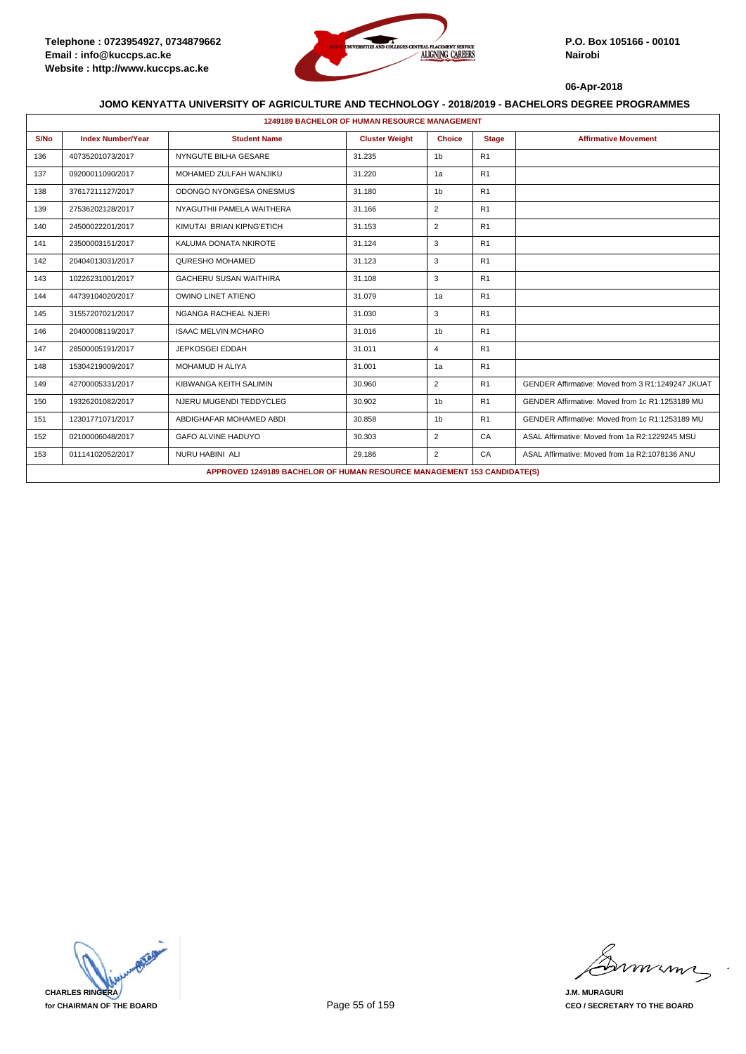

|      | <b>1249189 BACHELOR OF HUMAN RESOURCE MANAGEMENT</b> |                                                                         |                       |                |                |                                                   |  |  |  |  |
|------|------------------------------------------------------|-------------------------------------------------------------------------|-----------------------|----------------|----------------|---------------------------------------------------|--|--|--|--|
| S/No | <b>Index Number/Year</b>                             | <b>Student Name</b>                                                     | <b>Cluster Weight</b> | <b>Choice</b>  | <b>Stage</b>   | <b>Affirmative Movement</b>                       |  |  |  |  |
| 136  | 40735201073/2017                                     | NYNGUTE BILHA GESARE                                                    | 31.235                | 1 <sub>b</sub> | R <sub>1</sub> |                                                   |  |  |  |  |
| 137  | 09200011090/2017                                     | MOHAMED ZULFAH WANJIKU                                                  | 31.220                | 1a             | R1             |                                                   |  |  |  |  |
| 138  | 37617211127/2017                                     | ODONGO NYONGESA ONESMUS                                                 | 31.180                | 1 <sub>b</sub> | R1             |                                                   |  |  |  |  |
| 139  | 27536202128/2017                                     | NYAGUTHII PAMELA WAITHERA                                               | 31.166                | 2              | R1             |                                                   |  |  |  |  |
| 140  | 24500022201/2017                                     | KIMUTAI BRIAN KIPNG'ETICH                                               | 31.153                | $\overline{2}$ | R <sub>1</sub> |                                                   |  |  |  |  |
| 141  | 23500003151/2017                                     | KALUMA DONATA NKIROTE                                                   | 31.124                | 3              | R1             |                                                   |  |  |  |  |
| 142  | 20404013031/2017                                     | QURESHO MOHAMED                                                         | 31.123                | 3              | R <sub>1</sub> |                                                   |  |  |  |  |
| 143  | 10226231001/2017                                     | <b>GACHERU SUSAN WAITHIRA</b>                                           | 31.108                | 3              | R <sub>1</sub> |                                                   |  |  |  |  |
| 144  | 44739104020/2017                                     | <b>OWINO LINET ATIENO</b>                                               | 31.079                | 1a             | R1             |                                                   |  |  |  |  |
| 145  | 31557207021/2017                                     | NGANGA RACHEAL NJERI                                                    | 31.030                | 3              | R1             |                                                   |  |  |  |  |
| 146  | 20400008119/2017                                     | <b>ISAAC MELVIN MCHARO</b>                                              | 31.016                | 1 <sub>b</sub> | R <sub>1</sub> |                                                   |  |  |  |  |
| 147  | 28500005191/2017                                     | <b>JEPKOSGEI EDDAH</b>                                                  | 31.011                | $\overline{4}$ | R1             |                                                   |  |  |  |  |
| 148  | 15304219009/2017                                     | <b>MOHAMUD H ALIYA</b>                                                  | 31.001                | 1a             | R1             |                                                   |  |  |  |  |
| 149  | 42700005331/2017                                     | KIBWANGA KEITH SALIMIN                                                  | 30.960                | $\overline{2}$ | R <sub>1</sub> | GENDER Affirmative: Moved from 3 R1:1249247 JKUAT |  |  |  |  |
| 150  | 19326201082/2017                                     | NJERU MUGENDI TEDDYCLEG                                                 | 30.902                | 1 <sub>b</sub> | R <sub>1</sub> | GENDER Affirmative: Moved from 1c R1:1253189 MU   |  |  |  |  |
| 151  | 12301771071/2017                                     | ABDIGHAFAR MOHAMED ABDI                                                 | 30.858                | 1 <sub>b</sub> | R1             | GENDER Affirmative: Moved from 1c R1:1253189 MU   |  |  |  |  |
| 152  | 02100006048/2017                                     | <b>GAFO ALVINE HADUYO</b>                                               | 30.303                | $\overline{2}$ | CA             | ASAL Affirmative: Moved from 1a R2:1229245 MSU    |  |  |  |  |
| 153  | 01114102052/2017                                     | NURU HABINI ALI                                                         | 29.186                | 2              | CA             | ASAL Affirmative: Moved from 1a R2:1078136 ANU    |  |  |  |  |
|      |                                                      | APPROVED 1249189 BACHELOR OF HUMAN RESOURCE MANAGEMENT 153 CANDIDATE(S) |                       |                |                |                                                   |  |  |  |  |



mmmn

**J.M. MURAGURI CEO / SECRETARY TO THE BOARD**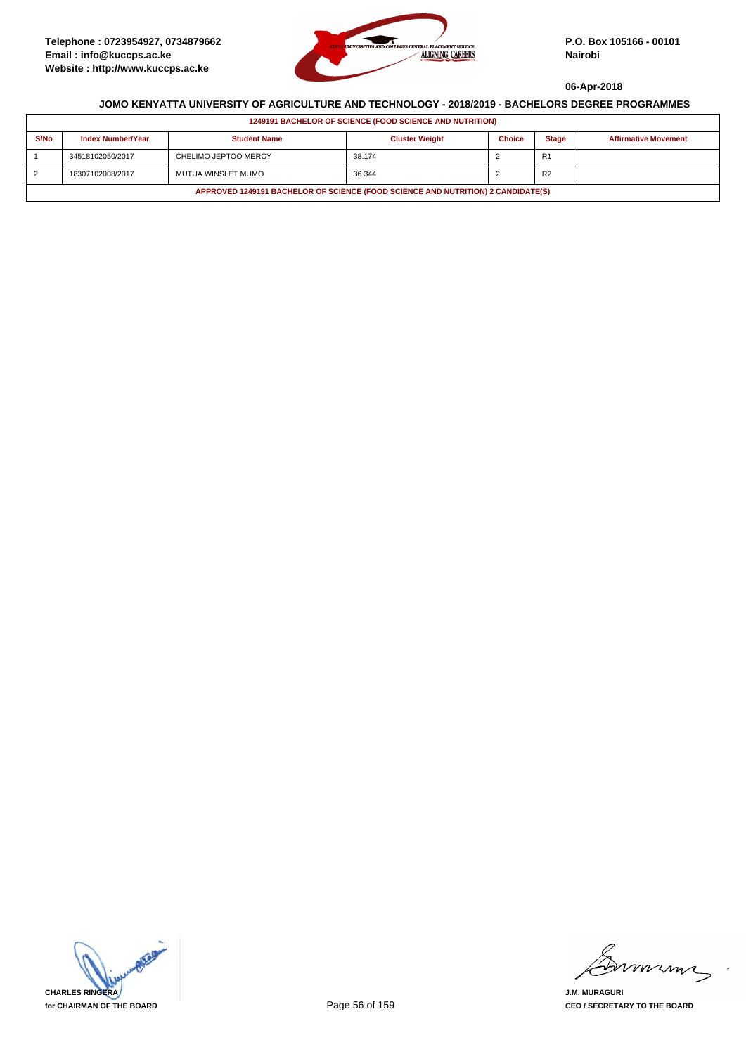

|                | <b>1249191 BACHELOR OF SCIENCE (FOOD SCIENCE AND NUTRITION)</b>                  |                      |                       |               |                |                             |  |  |  |
|----------------|----------------------------------------------------------------------------------|----------------------|-----------------------|---------------|----------------|-----------------------------|--|--|--|
| S/No           | <b>Index Number/Year</b>                                                         | <b>Student Name</b>  | <b>Cluster Weight</b> | <b>Choice</b> | <b>Stage</b>   | <b>Affirmative Movement</b> |  |  |  |
|                | 34518102050/2017                                                                 | CHELIMO JEPTOO MERCY | 38.174                |               | R <sub>1</sub> |                             |  |  |  |
| $\overline{2}$ | 18307102008/2017                                                                 | MUTUA WINSLET MUMO   | 36.344                |               | R <sub>2</sub> |                             |  |  |  |
|                | APPROVED 1249191 BACHELOR OF SCIENCE (FOOD SCIENCE AND NUTRITION) 2 CANDIDATE(S) |                      |                       |               |                |                             |  |  |  |

**CHARLES RINGERA for CHAIRMAN OF THE BOARD**

mimi

**J.M. MURAGURI CEO / SECRETARY TO THE BOARD**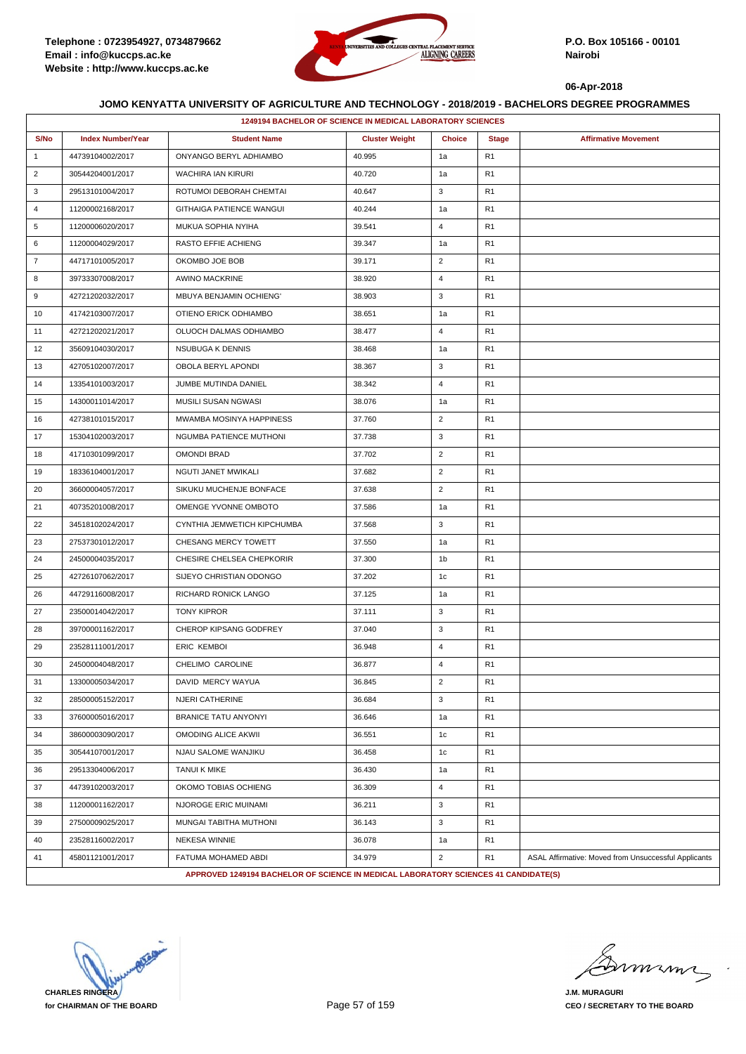

|                | 1249194 BACHELOR OF SCIENCE IN MEDICAL LABORATORY SCIENCES |                                                                                     |                       |                |                |                                                      |  |  |
|----------------|------------------------------------------------------------|-------------------------------------------------------------------------------------|-----------------------|----------------|----------------|------------------------------------------------------|--|--|
| S/No           | <b>Index Number/Year</b>                                   | <b>Student Name</b>                                                                 | <b>Cluster Weight</b> | <b>Choice</b>  | <b>Stage</b>   | <b>Affirmative Movement</b>                          |  |  |
| $\mathbf{1}$   | 44739104002/2017                                           | ONYANGO BERYL ADHIAMBO                                                              | 40.995                | 1a             | R <sub>1</sub> |                                                      |  |  |
| $\overline{2}$ | 30544204001/2017                                           | <b>WACHIRA IAN KIRURI</b>                                                           | 40.720                | 1a             | R1             |                                                      |  |  |
| 3              | 29513101004/2017                                           | ROTUMOI DEBORAH CHEMTAI                                                             | 40.647                | 3              | R <sub>1</sub> |                                                      |  |  |
| 4              | 11200002168/2017                                           | <b>GITHAIGA PATIENCE WANGUI</b>                                                     | 40.244                | 1a             | R <sub>1</sub> |                                                      |  |  |
| 5              | 11200006020/2017                                           | MUKUA SOPHIA NYIHA                                                                  | 39.541                | $\overline{4}$ | R <sub>1</sub> |                                                      |  |  |
| 6              | 11200004029/2017                                           | <b>RASTO EFFIE ACHIENG</b>                                                          | 39.347                | 1a             | R <sub>1</sub> |                                                      |  |  |
| $\overline{7}$ | 44717101005/2017                                           | OKOMBO JOE BOB                                                                      | 39.171                | $\overline{2}$ | R <sub>1</sub> |                                                      |  |  |
| 8              | 39733307008/2017                                           | <b>AWINO MACKRINE</b>                                                               | 38.920                | $\overline{4}$ | R1             |                                                      |  |  |
| 9              | 42721202032/2017                                           | <b>MBUYA BENJAMIN OCHIENG'</b>                                                      | 38.903                | 3              | R <sub>1</sub> |                                                      |  |  |
| 10             | 41742103007/2017                                           | OTIENO ERICK ODHIAMBO                                                               | 38.651                | 1a             | R <sub>1</sub> |                                                      |  |  |
| 11             | 42721202021/2017                                           | OLUOCH DALMAS ODHIAMBO                                                              | 38.477                | $\overline{4}$ | R <sub>1</sub> |                                                      |  |  |
| 12             | 35609104030/2017                                           | NSUBUGA K DENNIS                                                                    | 38.468                | 1a             | R <sub>1</sub> |                                                      |  |  |
| 13             | 42705102007/2017                                           | OBOLA BERYL APONDI                                                                  | 38.367                | 3              | R <sub>1</sub> |                                                      |  |  |
| 14             | 13354101003/2017                                           | JUMBE MUTINDA DANIEL                                                                | 38.342                | $\overline{4}$ | R1             |                                                      |  |  |
| 15             | 14300011014/2017                                           | MUSILI SUSAN NGWASI                                                                 | 38.076                | 1a             | R <sub>1</sub> |                                                      |  |  |
| 16             | 42738101015/2017                                           | MWAMBA MOSINYA HAPPINESS                                                            | 37.760                | $\overline{2}$ | R <sub>1</sub> |                                                      |  |  |
| 17             | 15304102003/2017                                           | NGUMBA PATIENCE MUTHONI                                                             | 37.738                | 3              | R1             |                                                      |  |  |
| 18             | 41710301099/2017                                           | <b>OMONDI BRAD</b>                                                                  | 37.702                | $\overline{2}$ | R <sub>1</sub> |                                                      |  |  |
| 19             | 18336104001/2017                                           | NGUTI JANET MWIKALI                                                                 | 37.682                | $\overline{2}$ | R <sub>1</sub> |                                                      |  |  |
| 20             | 36600004057/2017                                           | SIKUKU MUCHENJE BONFACE                                                             | 37.638                | $\overline{2}$ | R1             |                                                      |  |  |
| 21             | 40735201008/2017                                           | OMENGE YVONNE OMBOTO                                                                | 37.586                | 1a             | R <sub>1</sub> |                                                      |  |  |
| 22             | 34518102024/2017                                           | CYNTHIA JEMWETICH KIPCHUMBA                                                         | 37.568                | 3              | R <sub>1</sub> |                                                      |  |  |
| 23             | 27537301012/2017                                           | CHESANG MERCY TOWETT                                                                | 37.550                | 1a             | R <sub>1</sub> |                                                      |  |  |
| 24             | 24500004035/2017                                           | CHESIRE CHELSEA CHEPKORIR                                                           | 37.300                | 1b             | R <sub>1</sub> |                                                      |  |  |
| 25             | 42726107062/2017                                           | SIJEYO CHRISTIAN ODONGO                                                             | 37.202                | 1c             | R <sub>1</sub> |                                                      |  |  |
| 26             | 44729116008/2017                                           | RICHARD RONICK LANGO                                                                | 37.125                | 1a             | R1             |                                                      |  |  |
| 27             | 23500014042/2017                                           | <b>TONY KIPROR</b>                                                                  | 37.111                | 3              | R <sub>1</sub> |                                                      |  |  |
| 28             | 39700001162/2017                                           | CHEROP KIPSANG GODFREY                                                              | 37.040                | 3              | R <sub>1</sub> |                                                      |  |  |
| 29             | 23528111001/2017                                           | <b>ERIC KEMBOI</b>                                                                  | 36.948                | $\overline{4}$ | R <sub>1</sub> |                                                      |  |  |
| 30             | 24500004048/2017                                           | CHELIMO CAROLINE                                                                    | 36.877                | $\overline{4}$ | R <sub>1</sub> |                                                      |  |  |
| 31             | 13300005034/2017                                           | DAVID MERCY WAYUA                                                                   | 36.845                | 2              | R1             |                                                      |  |  |
| 32             | 28500005152/2017                                           | NJERI CATHERINE                                                                     | 36.684                | 3              | R <sub>1</sub> |                                                      |  |  |
| 33             | 37600005016/2017                                           | <b>BRANICE TATU ANYONYI</b>                                                         | 36.646                | 1a             | R <sub>1</sub> |                                                      |  |  |
| 34             | 38600003090/2017                                           | OMODING ALICE AKWII                                                                 | 36.551                | 1c             | R1             |                                                      |  |  |
| 35             | 30544107001/2017                                           | NJAU SALOME WANJIKU                                                                 | 36.458                | 1c             | R1             |                                                      |  |  |
| 36             | 29513304006/2017                                           | <b>TANUI K MIKE</b>                                                                 | 36.430                | 1a             | R <sub>1</sub> |                                                      |  |  |
| 37             | 44739102003/2017                                           | OKOMO TOBIAS OCHIENG                                                                | 36.309                | $\overline{4}$ | R <sub>1</sub> |                                                      |  |  |
| 38             | 11200001162/2017                                           | NJOROGE ERIC MUINAMI                                                                | 36.211                | $\mathbf{3}$   | R <sub>1</sub> |                                                      |  |  |
| 39             | 27500009025/2017                                           | MUNGAI TABITHA MUTHONI                                                              | 36.143                | 3              | R <sub>1</sub> |                                                      |  |  |
| 40             | 23528116002/2017                                           | <b>NEKESA WINNIE</b>                                                                | 36.078                | 1a             | R1             |                                                      |  |  |
| 41             | 45801121001/2017                                           | FATUMA MOHAMED ABDI                                                                 | 34.979                | $\overline{2}$ | R1             | ASAL Affirmative: Moved from Unsuccessful Applicants |  |  |
|                |                                                            | APPROVED 1249194 BACHELOR OF SCIENCE IN MEDICAL LABORATORY SCIENCES 41 CANDIDATE(S) |                       |                |                |                                                      |  |  |

**CHARLES RINGERA for CHAIRMAN OF THE BOARD**

murme

**J.M. MURAGURI CEO / SECRETARY TO THE BOARD**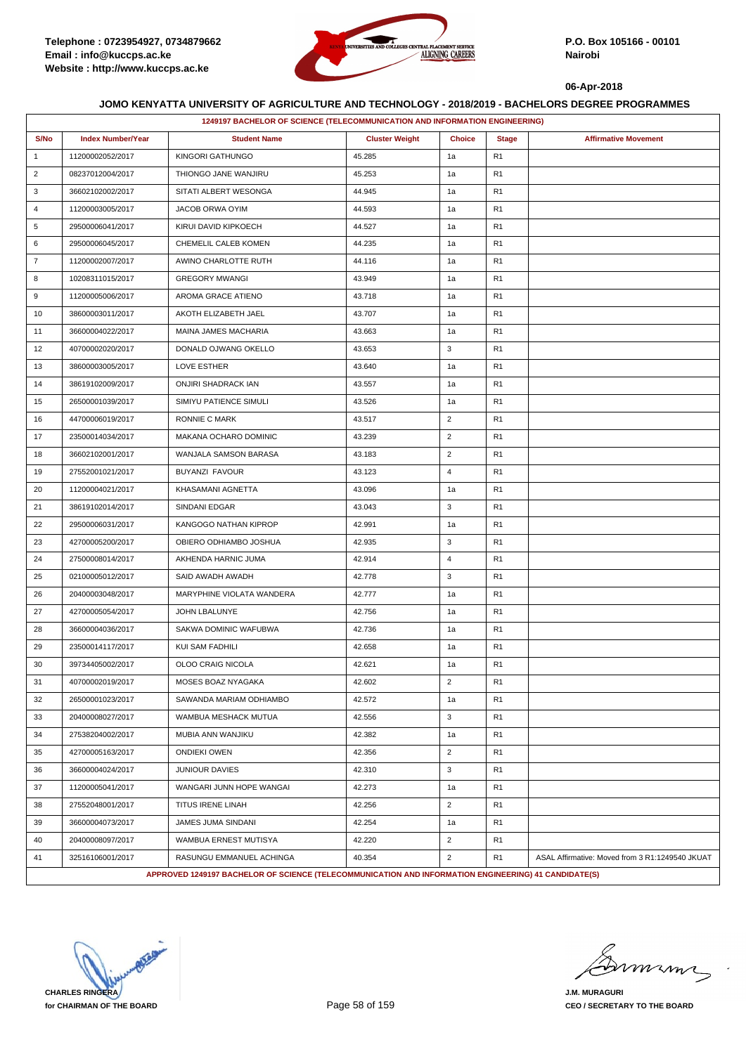

|                |                          | 1249197 BACHELOR OF SCIENCE (TELECOMMUNICATION AND INFORMATION ENGINEERING)                          |                       |                |                |                                                 |
|----------------|--------------------------|------------------------------------------------------------------------------------------------------|-----------------------|----------------|----------------|-------------------------------------------------|
| S/No           | <b>Index Number/Year</b> | <b>Student Name</b>                                                                                  | <b>Cluster Weight</b> | <b>Choice</b>  | <b>Stage</b>   | <b>Affirmative Movement</b>                     |
| $\mathbf{1}$   | 11200002052/2017         | KINGORI GATHUNGO                                                                                     | 45.285                | 1a             | R <sub>1</sub> |                                                 |
| $\overline{2}$ | 08237012004/2017         | THIONGO JANE WANJIRU                                                                                 | 45.253                | 1a             | R <sub>1</sub> |                                                 |
| 3              | 36602102002/2017         | SITATI ALBERT WESONGA                                                                                | 44.945                | 1a             | R <sub>1</sub> |                                                 |
| 4              | 11200003005/2017         | JACOB ORWA OYIM                                                                                      | 44.593                | 1a             | R <sub>1</sub> |                                                 |
| 5              | 29500006041/2017         | KIRUI DAVID KIPKOECH                                                                                 | 44.527                | 1a             | R <sub>1</sub> |                                                 |
| 6              | 29500006045/2017         | CHEMELIL CALEB KOMEN                                                                                 | 44.235                | 1a             | R <sub>1</sub> |                                                 |
| $\overline{7}$ | 11200002007/2017         | AWINO CHARLOTTE RUTH                                                                                 | 44.116                | 1a             | R <sub>1</sub> |                                                 |
| 8              | 10208311015/2017         | <b>GREGORY MWANGI</b>                                                                                | 43.949                | 1a             | R <sub>1</sub> |                                                 |
| 9              | 11200005006/2017         | AROMA GRACE ATIENO                                                                                   | 43.718                | 1a             | R <sub>1</sub> |                                                 |
| 10             | 38600003011/2017         | AKOTH ELIZABETH JAEL                                                                                 | 43.707                | 1a             | R <sub>1</sub> |                                                 |
| 11             | 36600004022/2017         | MAINA JAMES MACHARIA                                                                                 | 43.663                | 1a             | R <sub>1</sub> |                                                 |
| 12             | 40700002020/2017         | DONALD OJWANG OKELLO                                                                                 | 43.653                | 3              | R <sub>1</sub> |                                                 |
| 13             | 38600003005/2017         | <b>LOVE ESTHER</b>                                                                                   | 43.640                | 1a             | R <sub>1</sub> |                                                 |
| 14             | 38619102009/2017         | ONJIRI SHADRACK IAN                                                                                  | 43.557                | 1a             | R <sub>1</sub> |                                                 |
| 15             | 26500001039/2017         | SIMIYU PATIENCE SIMULI                                                                               | 43.526                | 1a             | R <sub>1</sub> |                                                 |
| 16             | 44700006019/2017         | <b>RONNIE C MARK</b>                                                                                 | 43.517                | $\overline{2}$ | R <sub>1</sub> |                                                 |
| 17             | 23500014034/2017         | MAKANA OCHARO DOMINIC                                                                                | 43.239                | $\overline{2}$ | R <sub>1</sub> |                                                 |
| 18             | 36602102001/2017         | WANJALA SAMSON BARASA                                                                                | 43.183                | $\overline{2}$ | R <sub>1</sub> |                                                 |
| 19             | 27552001021/2017         | <b>BUYANZI FAVOUR</b>                                                                                | 43.123                | $\overline{4}$ | R <sub>1</sub> |                                                 |
| 20             | 11200004021/2017         | KHASAMANI AGNETTA                                                                                    | 43.096                | 1a             | R <sub>1</sub> |                                                 |
| 21             | 38619102014/2017         | SINDANI EDGAR                                                                                        | 43.043                | 3              | R <sub>1</sub> |                                                 |
| 22             | 29500006031/2017         | KANGOGO NATHAN KIPROP                                                                                | 42.991                | 1a             | R <sub>1</sub> |                                                 |
| 23             | 42700005200/2017         | OBIERO ODHIAMBO JOSHUA                                                                               | 42.935                | 3              | R <sub>1</sub> |                                                 |
| 24             | 27500008014/2017         | AKHENDA HARNIC JUMA                                                                                  | 42.914                | $\overline{4}$ | R <sub>1</sub> |                                                 |
| 25             | 02100005012/2017         | SAID AWADH AWADH                                                                                     | 42.778                | 3              | R <sub>1</sub> |                                                 |
| 26             | 20400003048/2017         | MARYPHINE VIOLATA WANDERA                                                                            | 42.777                | 1a             | R <sub>1</sub> |                                                 |
| 27             | 42700005054/2017         | JOHN LBALUNYE                                                                                        | 42.756                | 1a             | R <sub>1</sub> |                                                 |
| 28             | 36600004036/2017         | SAKWA DOMINIC WAFUBWA                                                                                | 42.736                | 1a             | R <sub>1</sub> |                                                 |
| 29             | 23500014117/2017         | KUI SAM FADHILI                                                                                      | 42.658                | 1a             | R <sub>1</sub> |                                                 |
| 30             | 39734405002/2017         | OLOO CRAIG NICOLA                                                                                    | 42.621                | 1a             | R <sub>1</sub> |                                                 |
| 31             | 40700002019/2017         | MOSES BOAZ NYAGAKA                                                                                   | 42.602                | 2              | R1             |                                                 |
| 32             | 26500001023/2017         | SAWANDA MARIAM ODHIAMBO                                                                              | 42.572                | 1a             | R <sub>1</sub> |                                                 |
| 33             | 20400008027/2017         | WAMBUA MESHACK MUTUA                                                                                 | 42.556                | 3              | R <sub>1</sub> |                                                 |
| 34             | 27538204002/2017         | MUBIA ANN WANJIKU                                                                                    | 42.382                | 1a             | R <sub>1</sub> |                                                 |
| 35             | 42700005163/2017         | <b>ONDIEKI OWEN</b>                                                                                  | 42.356                | $\overline{2}$ | R <sub>1</sub> |                                                 |
| 36             | 36600004024/2017         | <b>JUNIOUR DAVIES</b>                                                                                | 42.310                | 3              | R <sub>1</sub> |                                                 |
| 37             | 11200005041/2017         | WANGARI JUNN HOPE WANGAI                                                                             | 42.273                | 1a             | R <sub>1</sub> |                                                 |
| 38             | 27552048001/2017         | TITUS IRENE LINAH                                                                                    | 42.256                | $\overline{2}$ | R <sub>1</sub> |                                                 |
| 39             | 36600004073/2017         | JAMES JUMA SINDANI                                                                                   | 42.254                | 1a             | R <sub>1</sub> |                                                 |
| 40             | 20400008097/2017         | WAMBUA ERNEST MUTISYA                                                                                | 42.220                | $\overline{2}$ | R1             |                                                 |
| 41             | 32516106001/2017         | RASUNGU EMMANUEL ACHINGA                                                                             | 40.354                | $\overline{2}$ | R <sub>1</sub> | ASAL Affirmative: Moved from 3 R1:1249540 JKUAT |
|                |                          | APPROVED 1249197 BACHELOR OF SCIENCE (TELECOMMUNICATION AND INFORMATION ENGINEERING) 41 CANDIDATE(S) |                       |                |                |                                                 |

**CHARLES RINGERA for CHAIRMAN OF THE BOARD**

murme

**J.M. MURAGURI CEO / SECRETARY TO THE BOARD**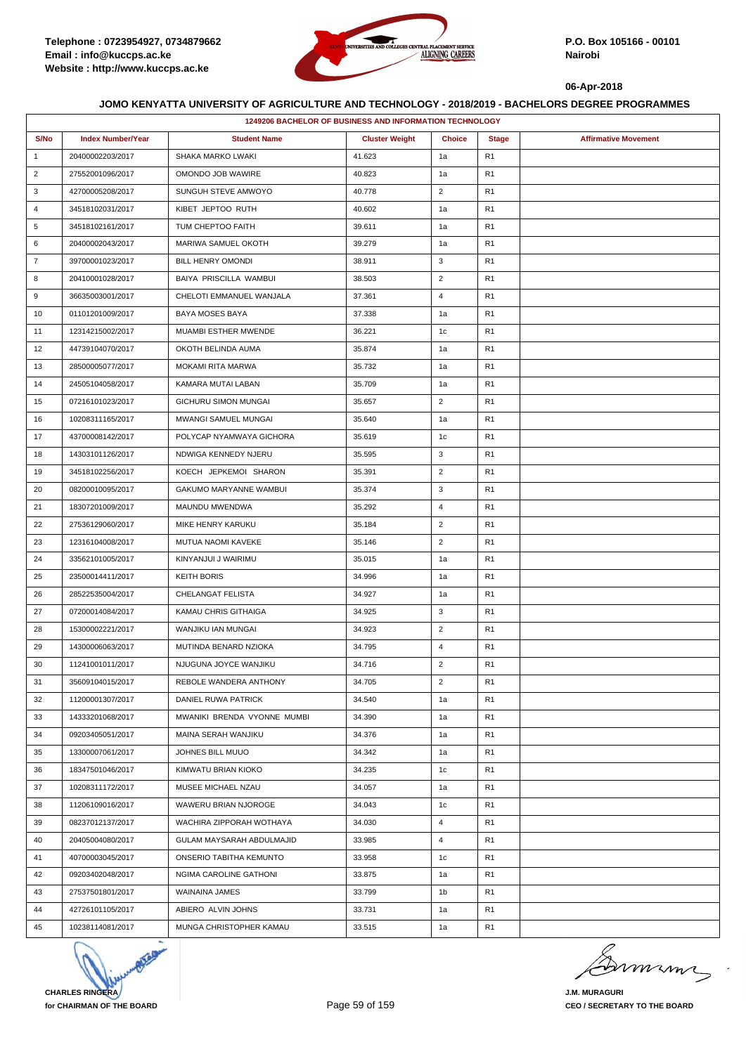

|                | 1249206 BACHELOR OF BUSINESS AND INFORMATION TECHNOLOGY |                             |                       |                |                |                             |  |  |  |
|----------------|---------------------------------------------------------|-----------------------------|-----------------------|----------------|----------------|-----------------------------|--|--|--|
| S/No           | <b>Index Number/Year</b>                                | <b>Student Name</b>         | <b>Cluster Weight</b> | <b>Choice</b>  | <b>Stage</b>   | <b>Affirmative Movement</b> |  |  |  |
| $\mathbf{1}$   | 20400002203/2017                                        | SHAKA MARKO LWAKI           | 41.623                | 1a             | R <sub>1</sub> |                             |  |  |  |
| $\overline{2}$ | 27552001096/2017                                        | OMONDO JOB WAWIRE           | 40.823                | 1a             | R <sub>1</sub> |                             |  |  |  |
| 3              | 42700005208/2017                                        | SUNGUH STEVE AMWOYO         | 40.778                | $\overline{2}$ | R <sub>1</sub> |                             |  |  |  |
| 4              | 34518102031/2017                                        | KIBET JEPTOO RUTH           | 40.602                | 1a             | R <sub>1</sub> |                             |  |  |  |
| 5              | 34518102161/2017                                        | TUM CHEPTOO FAITH           | 39.611                | 1a             | R <sub>1</sub> |                             |  |  |  |
| 6              | 20400002043/2017                                        | MARIWA SAMUEL OKOTH         | 39.279                | 1a             | R1             |                             |  |  |  |
| $\overline{7}$ | 39700001023/2017                                        | BILL HENRY OMONDI           | 38.911                | 3              | R <sub>1</sub> |                             |  |  |  |
| 8              | 20410001028/2017                                        | BAIYA PRISCILLA WAMBUI      | 38.503                | $\overline{2}$ | R <sub>1</sub> |                             |  |  |  |
| 9              | 36635003001/2017                                        | CHELOTI EMMANUEL WANJALA    | 37.361                | $\overline{4}$ | R <sub>1</sub> |                             |  |  |  |
| 10             | 01101201009/2017                                        | BAYA MOSES BAYA             | 37.338                | 1a             | R <sub>1</sub> |                             |  |  |  |
| 11             | 12314215002/2017                                        | MUAMBI ESTHER MWENDE        | 36.221                | 1c             | R <sub>1</sub> |                             |  |  |  |
| 12             | 44739104070/2017                                        | OKOTH BELINDA AUMA          | 35.874                | 1a             | R <sub>1</sub> |                             |  |  |  |
| 13             | 28500005077/2017                                        | MOKAMI RITA MARWA           | 35.732                | 1a             | R <sub>1</sub> |                             |  |  |  |
| 14             | 24505104058/2017                                        | KAMARA MUTAI LABAN          | 35.709                | 1a             | R <sub>1</sub> |                             |  |  |  |
| 15             | 07216101023/2017                                        | GICHURU SIMON MUNGAI        | 35.657                | $\overline{2}$ | R <sub>1</sub> |                             |  |  |  |
| 16             | 10208311165/2017                                        | MWANGI SAMUEL MUNGAI        | 35.640                | 1a             | R <sub>1</sub> |                             |  |  |  |
| 17             | 43700008142/2017                                        | POLYCAP NYAMWAYA GICHORA    | 35.619                | 1c             | R <sub>1</sub> |                             |  |  |  |
| 18             | 14303101126/2017                                        | NDWIGA KENNEDY NJERU        | 35.595                | 3              | R1             |                             |  |  |  |
| 19             | 34518102256/2017                                        | KOECH JEPKEMOI SHARON       | 35.391                | $\overline{2}$ | R <sub>1</sub> |                             |  |  |  |
| 20             | 08200010095/2017                                        | GAKUMO MARYANNE WAMBUI      | 35.374                | 3              | R <sub>1</sub> |                             |  |  |  |
| 21             | 18307201009/2017                                        | MAUNDU MWENDWA              | 35.292                | $\overline{4}$ | R <sub>1</sub> |                             |  |  |  |
| 22             | 27536129060/2017                                        | MIKE HENRY KARUKU           | 35.184                | $\overline{2}$ | R <sub>1</sub> |                             |  |  |  |
| 23             | 12316104008/2017                                        | MUTUA NAOMI KAVEKE          | 35.146                | $\overline{2}$ | R <sub>1</sub> |                             |  |  |  |
| 24             | 33562101005/2017                                        | KINYANJUI J WAIRIMU         | 35.015                | 1a             | R <sub>1</sub> |                             |  |  |  |
| 25             | 23500014411/2017                                        | <b>KEITH BORIS</b>          | 34.996                | 1a             | R <sub>1</sub> |                             |  |  |  |
| 26             | 28522535004/2017                                        | CHELANGAT FELISTA           | 34.927                | 1a             | R <sub>1</sub> |                             |  |  |  |
| 27             | 07200014084/2017                                        | KAMAU CHRIS GITHAIGA        | 34.925                | 3              | R <sub>1</sub> |                             |  |  |  |
| 28             | 15300002221/2017                                        | WANJIKU IAN MUNGAI          | 34.923                | $\overline{2}$ | R <sub>1</sub> |                             |  |  |  |
| 29             | 14300006063/2017                                        | MUTINDA BENARD NZIOKA       | 34.795                | 4              | R <sub>1</sub> |                             |  |  |  |
| 30             | 11241001011/2017                                        | NJUGUNA JOYCE WANJIKU       | 34.716                | $\overline{2}$ | R <sub>1</sub> |                             |  |  |  |
| 31             | 35609104015/2017                                        | REBOLE WANDERA ANTHONY      | 34.705                | $\overline{2}$ | R <sub>1</sub> |                             |  |  |  |
| 32             | 11200001307/2017                                        | DANIEL RUWA PATRICK         | 34.540                | 1a             | R <sub>1</sub> |                             |  |  |  |
| 33             | 14333201068/2017                                        | MWANIKI BRENDA VYONNE MUMBI | 34.390                | 1a             | R1             |                             |  |  |  |
| 34             | 09203405051/2017                                        | MAINA SERAH WANJIKU         | 34.376                | 1a             | R <sub>1</sub> |                             |  |  |  |
| 35             | 13300007061/2017                                        | JOHNES BILL MUUO            | 34.342                | 1a             | R <sub>1</sub> |                             |  |  |  |
| 36             | 18347501046/2017                                        | KIMWATU BRIAN KIOKO         | 34.235                | 1c             | R <sub>1</sub> |                             |  |  |  |
| 37             | 10208311172/2017                                        | MUSEE MICHAEL NZAU          | 34.057                | 1a             | R <sub>1</sub> |                             |  |  |  |
| 38             | 11206109016/2017                                        | WAWERU BRIAN NJOROGE        | 34.043                | 1c             | R <sub>1</sub> |                             |  |  |  |
| 39             | 08237012137/2017                                        | WACHIRA ZIPPORAH WOTHAYA    | 34.030                | $\overline{4}$ | R1             |                             |  |  |  |
| 40             | 20405004080/2017                                        | GULAM MAYSARAH ABDULMAJID   | 33.985                | $\overline{4}$ | R <sub>1</sub> |                             |  |  |  |
| 41             | 40700003045/2017                                        | ONSERIO TABITHA KEMUNTO     | 33.958                | 1c             | R <sub>1</sub> |                             |  |  |  |
| 42             | 09203402048/2017                                        | NGIMA CAROLINE GATHONI      | 33.875                | 1a             | R <sub>1</sub> |                             |  |  |  |
| 43             | 27537501801/2017                                        | WAINAINA JAMES              | 33.799                | 1b             | R <sub>1</sub> |                             |  |  |  |
| 44             | 42726101105/2017                                        | ABIERO ALVIN JOHNS          | 33.731                | 1a             | R1             |                             |  |  |  |
| 45             | 10238114081/2017                                        | MUNGA CHRISTOPHER KAMAU     | 33.515                | 1a             | R <sub>1</sub> |                             |  |  |  |



Dimimi  $\Rightarrow$ 

**J.M. MURAGURI CEO / SECRETARY TO THE BOARD**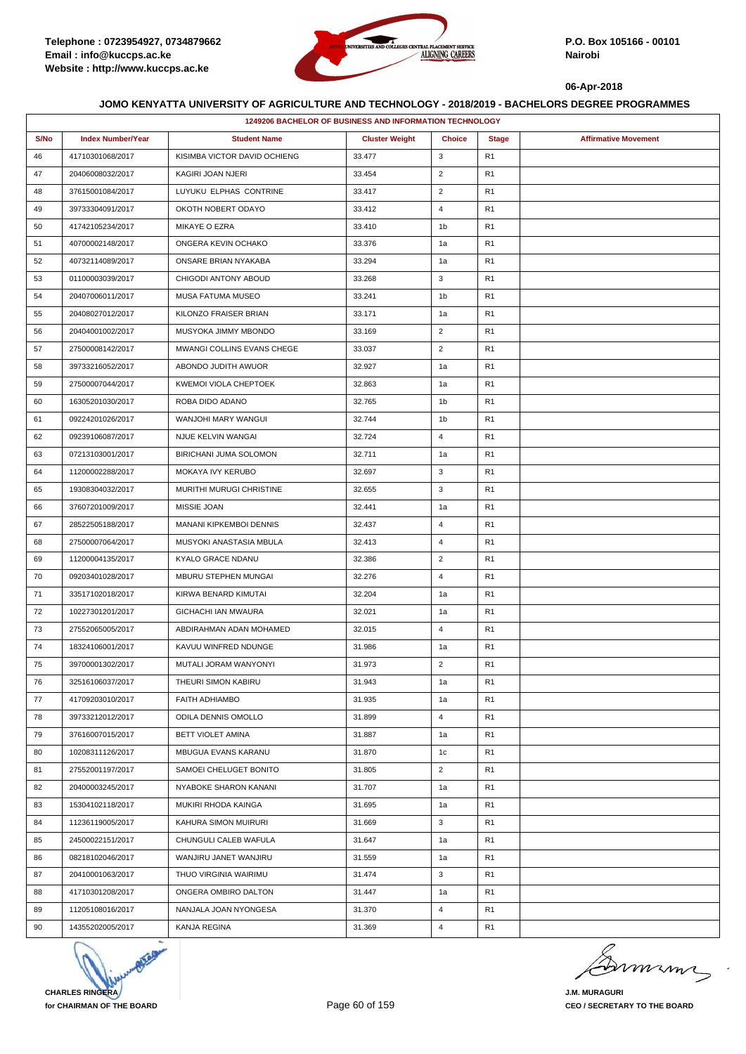

|      | 1249206 BACHELOR OF BUSINESS AND INFORMATION TECHNOLOGY |                              |                       |                |                |                             |  |  |  |
|------|---------------------------------------------------------|------------------------------|-----------------------|----------------|----------------|-----------------------------|--|--|--|
| S/No | <b>Index Number/Year</b>                                | <b>Student Name</b>          | <b>Cluster Weight</b> | <b>Choice</b>  | <b>Stage</b>   | <b>Affirmative Movement</b> |  |  |  |
| 46   | 41710301068/2017                                        | KISIMBA VICTOR DAVID OCHIENG | 33.477                | 3              | R <sub>1</sub> |                             |  |  |  |
| 47   | 20406008032/2017                                        | KAGIRI JOAN NJERI            | 33.454                | $\overline{2}$ | R <sub>1</sub> |                             |  |  |  |
| 48   | 37615001084/2017                                        | LUYUKU ELPHAS CONTRINE       | 33.417                | $\overline{2}$ | R <sub>1</sub> |                             |  |  |  |
| 49   | 39733304091/2017                                        | OKOTH NOBERT ODAYO           | 33.412                | $\overline{4}$ | R <sub>1</sub> |                             |  |  |  |
| 50   | 41742105234/2017                                        | MIKAYE O EZRA                | 33.410                | 1b             | R <sub>1</sub> |                             |  |  |  |
| 51   | 40700002148/2017                                        | ONGERA KEVIN OCHAKO          | 33.376                | 1a             | R <sub>1</sub> |                             |  |  |  |
| 52   | 40732114089/2017                                        | ONSARE BRIAN NYAKABA         | 33.294                | 1a             | R <sub>1</sub> |                             |  |  |  |
| 53   | 01100003039/2017                                        | CHIGODI ANTONY ABOUD         | 33.268                | 3              | R <sub>1</sub> |                             |  |  |  |
| 54   | 20407006011/2017                                        | MUSA FATUMA MUSEO            | 33.241                | 1b             | R <sub>1</sub> |                             |  |  |  |
| 55   | 20408027012/2017                                        | KILONZO FRAISER BRIAN        | 33.171                | 1a             | R <sub>1</sub> |                             |  |  |  |
| 56   | 20404001002/2017                                        | MUSYOKA JIMMY MBONDO         | 33.169                | $\overline{2}$ | R <sub>1</sub> |                             |  |  |  |
| 57   | 27500008142/2017                                        | MWANGI COLLINS EVANS CHEGE   | 33.037                | $\overline{2}$ | R <sub>1</sub> |                             |  |  |  |
| 58   | 39733216052/2017                                        | ABONDO JUDITH AWUOR          | 32.927                | 1a             | R <sub>1</sub> |                             |  |  |  |
| 59   | 27500007044/2017                                        | KWEMOI VIOLA CHEPTOEK        | 32.863                | 1a             | R <sub>1</sub> |                             |  |  |  |
| 60   | 16305201030/2017                                        | ROBA DIDO ADANO              | 32.765                | 1b             | R <sub>1</sub> |                             |  |  |  |
| 61   | 09224201026/2017                                        | WANJOHI MARY WANGUI          | 32.744                | 1b             | R <sub>1</sub> |                             |  |  |  |
| 62   | 09239106087/2017                                        | NJUE KELVIN WANGAI           | 32.724                | 4              | R <sub>1</sub> |                             |  |  |  |
| 63   | 07213103001/2017                                        | BIRICHANI JUMA SOLOMON       | 32.711                | 1a             | R <sub>1</sub> |                             |  |  |  |
| 64   | 11200002288/2017                                        | MOKAYA IVY KERUBO            | 32.697                | 3              | R <sub>1</sub> |                             |  |  |  |
| 65   | 19308304032/2017                                        | MURITHI MURUGI CHRISTINE     | 32.655                | 3              | R <sub>1</sub> |                             |  |  |  |
| 66   | 37607201009/2017                                        | MISSIE JOAN                  | 32.441                | 1a             | R <sub>1</sub> |                             |  |  |  |
| 67   | 28522505188/2017                                        | MANANI KIPKEMBOI DENNIS      | 32.437                | 4              | R <sub>1</sub> |                             |  |  |  |
| 68   | 27500007064/2017                                        | MUSYOKI ANASTASIA MBULA      | 32.413                | 4              | R <sub>1</sub> |                             |  |  |  |
| 69   | 11200004135/2017                                        | KYALO GRACE NDANU            | 32.386                | $\overline{2}$ | R <sub>1</sub> |                             |  |  |  |
| 70   | 09203401028/2017                                        | MBURU STEPHEN MUNGAI         | 32.276                | $\overline{4}$ | R <sub>1</sub> |                             |  |  |  |
| 71   | 33517102018/2017                                        | KIRWA BENARD KIMUTAI         | 32.204                | 1a             | R <sub>1</sub> |                             |  |  |  |
| 72   | 10227301201/2017                                        | <b>GICHACHI IAN MWAURA</b>   | 32.021                | 1a             | R <sub>1</sub> |                             |  |  |  |
| 73   | 27552065005/2017                                        | ABDIRAHMAN ADAN MOHAMED      | 32.015                | $\overline{4}$ | R <sub>1</sub> |                             |  |  |  |
| 74   | 18324106001/2017                                        | KAVUU WINFRED NDUNGE         | 31.986                | 1a             | R <sub>1</sub> |                             |  |  |  |
| 75   | 39700001302/2017                                        | MUTALI JORAM WANYONYI        | 31.973                | $\overline{2}$ | R <sub>1</sub> |                             |  |  |  |
| 76   | 32516106037/2017                                        | THEURI SIMON KABIRU          | 31.943                | 1a             | R <sub>1</sub> |                             |  |  |  |
| 77   | 41709203010/2017                                        | <b>FAITH ADHIAMBO</b>        | 31.935                | 1a             | R <sub>1</sub> |                             |  |  |  |
| 78   | 39733212012/2017                                        | ODILA DENNIS OMOLLO          | 31.899                | $\overline{4}$ | R <sub>1</sub> |                             |  |  |  |
| 79   | 37616007015/2017                                        | BETT VIOLET AMINA            | 31.887                | 1a             | R <sub>1</sub> |                             |  |  |  |
| 80   | 10208311126/2017                                        | MBUGUA EVANS KARANU          | 31.870                | 1c             | R <sub>1</sub> |                             |  |  |  |
| 81   | 27552001197/2017                                        | SAMOEI CHELUGET BONITO       | 31.805                | $\overline{2}$ | R <sub>1</sub> |                             |  |  |  |
| 82   | 20400003245/2017                                        | NYABOKE SHARON KANANI        | 31.707                | 1a             | R <sub>1</sub> |                             |  |  |  |
| 83   | 15304102118/2017                                        | MUKIRI RHODA KAINGA          | 31.695                | 1a             | R <sub>1</sub> |                             |  |  |  |
| 84   | 11236119005/2017                                        | KAHURA SIMON MUIRURI         | 31.669                | 3              | R <sub>1</sub> |                             |  |  |  |
| 85   | 24500022151/2017                                        | CHUNGULI CALEB WAFULA        | 31.647                | 1a             | R <sub>1</sub> |                             |  |  |  |
| 86   | 08218102046/2017                                        | WANJIRU JANET WANJIRU        | 31.559                | 1a             | R <sub>1</sub> |                             |  |  |  |
| 87   | 20410001063/2017                                        | THUO VIRGINIA WAIRIMU        | 31.474                | 3              | R <sub>1</sub> |                             |  |  |  |
| 88   | 41710301208/2017                                        | ONGERA OMBIRO DALTON         | 31.447                | 1a             | R <sub>1</sub> |                             |  |  |  |
| 89   | 11205108016/2017                                        | NANJALA JOAN NYONGESA        | 31.370                | 4              | R <sub>1</sub> |                             |  |  |  |
| 90   | 14355202005/2017                                        | KANJA REGINA                 | 31.369                | $\overline{4}$ | R <sub>1</sub> |                             |  |  |  |



Dimimi  $\Rightarrow$ 

**J.M. MURAGURI CEO / SECRETARY TO THE BOARD**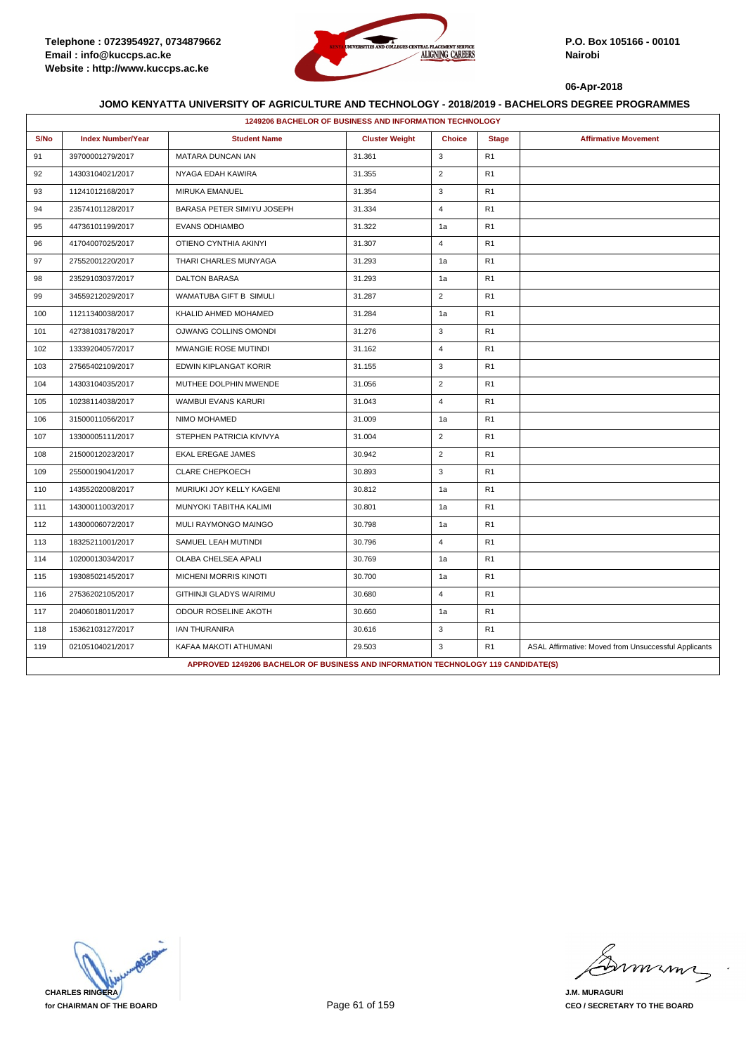

|      |                                                                                   | 1249206 BACHELOR OF BUSINESS AND INFORMATION TECHNOLOGY |                       |                |                |                                                      |  |  |
|------|-----------------------------------------------------------------------------------|---------------------------------------------------------|-----------------------|----------------|----------------|------------------------------------------------------|--|--|
| S/No | <b>Index Number/Year</b>                                                          | <b>Student Name</b>                                     | <b>Cluster Weight</b> | <b>Choice</b>  | <b>Stage</b>   | <b>Affirmative Movement</b>                          |  |  |
| 91   | 39700001279/2017                                                                  | MATARA DUNCAN IAN                                       | 31.361                | 3              | R1             |                                                      |  |  |
| 92   | 14303104021/2017                                                                  | NYAGA EDAH KAWIRA                                       | 31.355                | $\overline{2}$ | R1             |                                                      |  |  |
| 93   | 11241012168/2017                                                                  | MIRUKA EMANUEL                                          | 31.354                | 3              | R <sub>1</sub> |                                                      |  |  |
| 94   | 23574101128/2017                                                                  | BARASA PETER SIMIYU JOSEPH                              | 31.334                | 4              | R1             |                                                      |  |  |
| 95   | 44736101199/2017                                                                  | <b>EVANS ODHIAMBO</b>                                   | 31.322                | 1a             | R <sub>1</sub> |                                                      |  |  |
| 96   | 41704007025/2017                                                                  | OTIENO CYNTHIA AKINYI                                   | 31.307                | $\overline{4}$ | R1             |                                                      |  |  |
| 97   | 27552001220/2017                                                                  | THARI CHARLES MUNYAGA                                   | 31.293                | 1a             | R <sub>1</sub> |                                                      |  |  |
| 98   | 23529103037/2017                                                                  | <b>DALTON BARASA</b>                                    | 31.293                | 1a             | R1             |                                                      |  |  |
| 99   | 34559212029/2017                                                                  | WAMATUBA GIFT B SIMULI                                  | 31.287                | $\overline{2}$ | R1             |                                                      |  |  |
| 100  | 11211340038/2017                                                                  | KHALID AHMED MOHAMED                                    | 31.284                | 1a             | R1             |                                                      |  |  |
| 101  | 42738103178/2017                                                                  | OJWANG COLLINS OMONDI                                   | 31.276                | 3              | R <sub>1</sub> |                                                      |  |  |
| 102  | 13339204057/2017                                                                  | MWANGIE ROSE MUTINDI                                    | 31.162                | $\overline{4}$ | R1             |                                                      |  |  |
| 103  | 27565402109/2017                                                                  | EDWIN KIPLANGAT KORIR                                   | 31.155                | 3              | R <sub>1</sub> |                                                      |  |  |
| 104  | 14303104035/2017                                                                  | MUTHEE DOLPHIN MWENDE                                   | 31.056                | $\overline{2}$ | R1             |                                                      |  |  |
| 105  | 10238114038/2017                                                                  | WAMBUI EVANS KARURI                                     | 31.043                | $\overline{4}$ | R <sub>1</sub> |                                                      |  |  |
| 106  | 31500011056/2017                                                                  | NIMO MOHAMED                                            | 31.009                | 1a             | R <sub>1</sub> |                                                      |  |  |
| 107  | 13300005111/2017                                                                  | STEPHEN PATRICIA KIVIVYA                                | 31.004                | $\overline{2}$ | R1             |                                                      |  |  |
| 108  | 21500012023/2017                                                                  | <b>EKAL EREGAE JAMES</b>                                | 30.942                | $\overline{2}$ | R <sub>1</sub> |                                                      |  |  |
| 109  | 25500019041/2017                                                                  | CLARE CHEPKOECH                                         | 30.893                | 3              | R1             |                                                      |  |  |
| 110  | 14355202008/2017                                                                  | MURIUKI JOY KELLY KAGENI                                | 30.812                | 1a             | R <sub>1</sub> |                                                      |  |  |
| 111  | 14300011003/2017                                                                  | MUNYOKI TABITHA KALIMI                                  | 30.801                | 1a             | R1             |                                                      |  |  |
| 112  | 14300006072/2017                                                                  | MULI RAYMONGO MAINGO                                    | 30.798                | 1a             | R <sub>1</sub> |                                                      |  |  |
| 113  | 18325211001/2017                                                                  | SAMUEL LEAH MUTINDI                                     | 30.796                | $\overline{4}$ | R1             |                                                      |  |  |
| 114  | 10200013034/2017                                                                  | OLABA CHELSEA APALI                                     | 30.769                | 1a             | R <sub>1</sub> |                                                      |  |  |
| 115  | 19308502145/2017                                                                  | MICHENI MORRIS KINOTI                                   | 30.700                | 1a             | R <sub>1</sub> |                                                      |  |  |
| 116  | 27536202105/2017                                                                  | GITHINJI GLADYS WAIRIMU                                 | 30.680                | $\overline{4}$ | R <sub>1</sub> |                                                      |  |  |
| 117  | 20406018011/2017                                                                  | ODOUR ROSELINE AKOTH                                    | 30.660                | 1a             | R1             |                                                      |  |  |
| 118  | 15362103127/2017                                                                  | <b>IAN THURANIRA</b>                                    | 30.616                | 3              | R <sub>1</sub> |                                                      |  |  |
| 119  | 02105104021/2017                                                                  | KAFAA MAKOTI ATHUMANI                                   | 29.503                | 3              | R1             | ASAL Affirmative: Moved from Unsuccessful Applicants |  |  |
|      | APPROVED 1249206 BACHELOR OF BUSINESS AND INFORMATION TECHNOLOGY 119 CANDIDATE(S) |                                                         |                       |                |                |                                                      |  |  |

**CHARLES RINGERA for CHAIRMAN OF THE BOARD**

mmmn

**J.M. MURAGURI CEO / SECRETARY TO THE BOARD**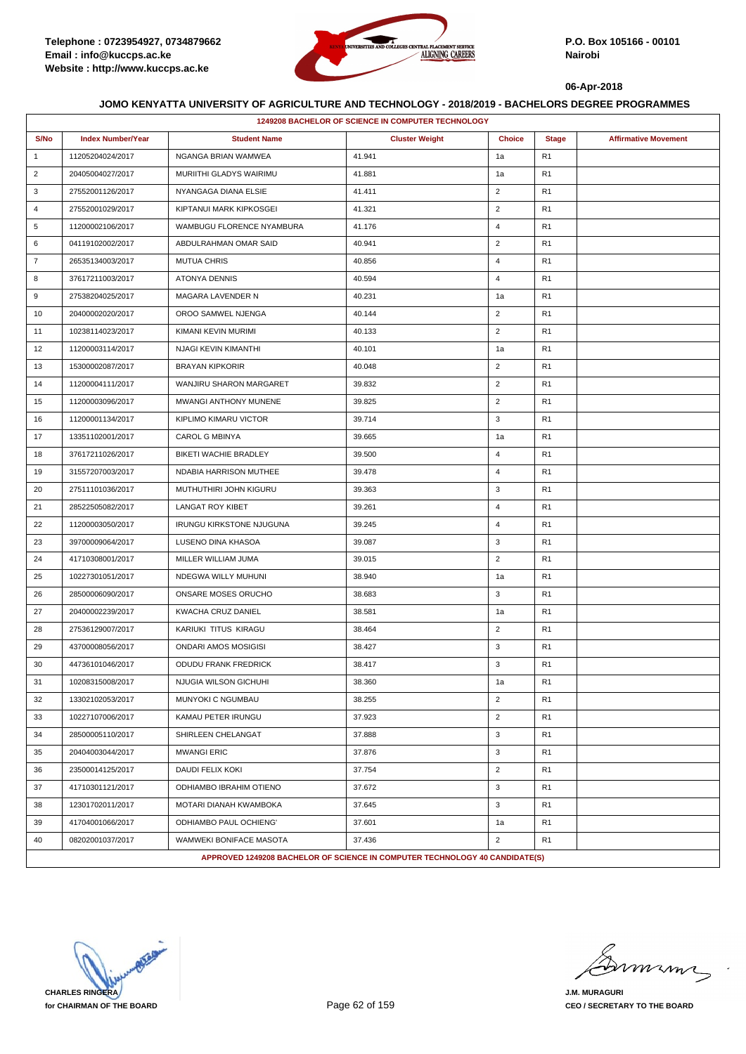

|                | 1249208 BACHELOR OF SCIENCE IN COMPUTER TECHNOLOGY |                                                                             |                       |                |                |                             |  |
|----------------|----------------------------------------------------|-----------------------------------------------------------------------------|-----------------------|----------------|----------------|-----------------------------|--|
| S/No           | <b>Index Number/Year</b>                           | <b>Student Name</b>                                                         | <b>Cluster Weight</b> | <b>Choice</b>  | <b>Stage</b>   | <b>Affirmative Movement</b> |  |
| $\mathbf{1}$   | 11205204024/2017                                   | NGANGA BRIAN WAMWEA                                                         | 41.941                | 1a             | R <sub>1</sub> |                             |  |
| $\overline{2}$ | 20405004027/2017                                   | MURIITHI GLADYS WAIRIMU                                                     | 41.881                | 1a             | R <sub>1</sub> |                             |  |
| 3              | 27552001126/2017                                   | NYANGAGA DIANA ELSIE                                                        | 41.411                | $\overline{2}$ | R <sub>1</sub> |                             |  |
| $\overline{4}$ | 27552001029/2017                                   | KIPTANUI MARK KIPKOSGEI                                                     | 41.321                | $\overline{2}$ | R <sub>1</sub> |                             |  |
| 5              | 11200002106/2017                                   | WAMBUGU FLORENCE NYAMBURA                                                   | 41.176                | $\overline{4}$ | R <sub>1</sub> |                             |  |
| 6              | 04119102002/2017                                   | ABDULRAHMAN OMAR SAID                                                       | 40.941                | $\overline{2}$ | R <sub>1</sub> |                             |  |
| $\overline{7}$ | 26535134003/2017                                   | <b>MUTUA CHRIS</b>                                                          | 40.856                | $\overline{4}$ | R <sub>1</sub> |                             |  |
| 8              | 37617211003/2017                                   | <b>ATONYA DENNIS</b>                                                        | 40.594                | $\overline{4}$ | R <sub>1</sub> |                             |  |
| 9              | 27538204025/2017                                   | MAGARA LAVENDER N                                                           | 40.231                | 1a             | R <sub>1</sub> |                             |  |
| 10             | 20400002020/2017                                   | OROO SAMWEL NJENGA                                                          | 40.144                | $\overline{2}$ | R <sub>1</sub> |                             |  |
| 11             | 10238114023/2017                                   | KIMANI KEVIN MURIMI                                                         | 40.133                | $\overline{2}$ | R <sub>1</sub> |                             |  |
| 12             | 11200003114/2017                                   | NJAGI KEVIN KIMANTHI                                                        | 40.101                | 1a             | R <sub>1</sub> |                             |  |
| 13             | 15300002087/2017                                   | <b>BRAYAN KIPKORIR</b>                                                      | 40.048                | $\overline{2}$ | R <sub>1</sub> |                             |  |
| 14             | 11200004111/2017                                   | WANJIRU SHARON MARGARET                                                     | 39.832                | $\overline{2}$ | R <sub>1</sub> |                             |  |
| 15             | 11200003096/2017                                   | MWANGI ANTHONY MUNENE                                                       | 39.825                | $\overline{2}$ | R <sub>1</sub> |                             |  |
| 16             | 11200001134/2017                                   | KIPLIMO KIMARU VICTOR                                                       | 39.714                | 3              | R <sub>1</sub> |                             |  |
| 17             | 13351102001/2017                                   | <b>CAROL G MBINYA</b>                                                       | 39.665                | 1a             | R <sub>1</sub> |                             |  |
| 18             | 37617211026/2017                                   | BIKETI WACHIE BRADLEY                                                       | 39.500                | $\overline{4}$ | R <sub>1</sub> |                             |  |
| 19             | 31557207003/2017                                   | NDABIA HARRISON MUTHEE                                                      | 39.478                | $\overline{4}$ | R <sub>1</sub> |                             |  |
| 20             | 27511101036/2017                                   | MUTHUTHIRI JOHN KIGURU                                                      | 39.363                | 3              | R <sub>1</sub> |                             |  |
| 21             | 28522505082/2017                                   | LANGAT ROY KIBET                                                            | 39.261                | $\overline{4}$ | R <sub>1</sub> |                             |  |
| 22             | 11200003050/2017                                   | <b>IRUNGU KIRKSTONE NJUGUNA</b>                                             | 39.245                | $\overline{4}$ | R <sub>1</sub> |                             |  |
| 23             | 39700009064/2017                                   | LUSENO DINA KHASOA                                                          | 39.087                | 3              | R <sub>1</sub> |                             |  |
| 24             | 41710308001/2017                                   | MILLER WILLIAM JUMA                                                         | 39.015                | $\overline{2}$ | R <sub>1</sub> |                             |  |
| 25             | 10227301051/2017                                   | NDEGWA WILLY MUHUNI                                                         | 38.940                | 1a             | R <sub>1</sub> |                             |  |
| 26             | 28500006090/2017                                   | ONSARE MOSES ORUCHO                                                         | 38.683                | 3              | R <sub>1</sub> |                             |  |
| 27             | 20400002239/2017                                   | KWACHA CRUZ DANIEL                                                          | 38.581                | 1a             | R <sub>1</sub> |                             |  |
| 28             | 27536129007/2017                                   | KARIUKI TITUS KIRAGU                                                        | 38.464                | $\overline{2}$ | R <sub>1</sub> |                             |  |
| 29             | 43700008056/2017                                   | <b>ONDARI AMOS MOSIGISI</b>                                                 | 38.427                | 3              | R <sub>1</sub> |                             |  |
| 30             | 44736101046/2017                                   | ODUDU FRANK FREDRICK                                                        | 38.417                | 3              | R <sub>1</sub> |                             |  |
| 31             | 10208315008/2017                                   | NJUGIA WILSON GICHUHI                                                       | 38.360                | 1a             | R <sub>1</sub> |                             |  |
| 32             | 13302102053/2017                                   | <b>MUNYOKI C NGUMBAU</b>                                                    | 38.255                | $\overline{2}$ | R <sub>1</sub> |                             |  |
| 33             | 10227107006/2017                                   | KAMAU PETER IRUNGU                                                          | 37.923                | $\overline{2}$ | R <sub>1</sub> |                             |  |
| 34             | 28500005110/2017                                   | SHIRLEEN CHELANGAT                                                          | 37.888                | 3              | R <sub>1</sub> |                             |  |
| 35             | 20404003044/2017                                   | <b>MWANGI ERIC</b>                                                          | 37.876                | 3              | R <sub>1</sub> |                             |  |
| 36             | 23500014125/2017                                   | DAUDI FELIX KOKI                                                            | 37.754                | $\overline{2}$ | R <sub>1</sub> |                             |  |
| 37             | 41710301121/2017                                   | ODHIAMBO IBRAHIM OTIENO                                                     | 37.672                | 3              | R <sub>1</sub> |                             |  |
| 38             | 12301702011/2017                                   | MOTARI DIANAH KWAMBOKA                                                      | 37.645                | 3              | R <sub>1</sub> |                             |  |
| 39             | 41704001066/2017                                   | ODHIAMBO PAUL OCHIENG'                                                      | 37.601                | 1a             | R <sub>1</sub> |                             |  |
| 40             | 08202001037/2017                                   | WAMWEKI BONIFACE MASOTA                                                     | 37.436                | $\overline{2}$ | R <sub>1</sub> |                             |  |
|                |                                                    | APPROVED 1249208 BACHELOR OF SCIENCE IN COMPUTER TECHNOLOGY 40 CANDIDATE(S) |                       |                |                |                             |  |

**CHARLES RINGERA for CHAIRMAN OF THE BOARD**

murma

**J.M. MURAGURI CEO / SECRETARY TO THE BOARD**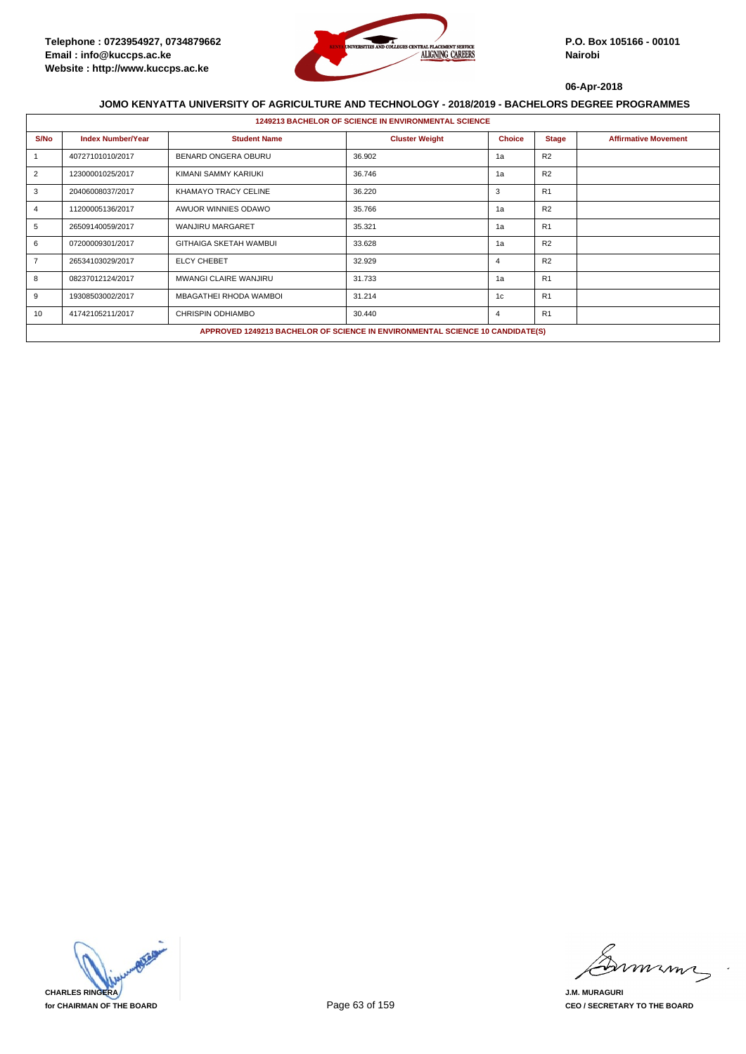

|                | <b>1249213 BACHELOR OF SCIENCE IN ENVIRONMENTAL SCIENCE</b> |                                                                               |                       |               |                |                             |  |  |
|----------------|-------------------------------------------------------------|-------------------------------------------------------------------------------|-----------------------|---------------|----------------|-----------------------------|--|--|
| S/No           | <b>Index Number/Year</b>                                    | <b>Student Name</b>                                                           | <b>Cluster Weight</b> | <b>Choice</b> | <b>Stage</b>   | <b>Affirmative Movement</b> |  |  |
|                | 40727101010/2017                                            | BENARD ONGERA OBURU                                                           | 36.902                | 1a            | R2             |                             |  |  |
| 2              | 12300001025/2017                                            | KIMANI SAMMY KARIUKI                                                          | 36.746                | 1a            | R2             |                             |  |  |
| 3              | 20406008037/2017                                            | KHAMAYO TRACY CELINE                                                          | 36.220                | 3             | R <sub>1</sub> |                             |  |  |
| 4              | 11200005136/2017                                            | AWUOR WINNIES ODAWO                                                           | 35.766                | 1a            | R <sub>2</sub> |                             |  |  |
| 5              | 26509140059/2017                                            | WANJIRU MARGARET                                                              | 35.321                | 1a            | R1             |                             |  |  |
| 6              | 07200009301/2017                                            | <b>GITHAIGA SKETAH WAMBUI</b>                                                 | 33.628                | 1a            | R <sub>2</sub> |                             |  |  |
| $\overline{7}$ | 26534103029/2017                                            | <b>ELCY CHEBET</b>                                                            | 32.929                | 4             | R <sub>2</sub> |                             |  |  |
| 8              | 08237012124/2017                                            | MWANGI CLAIRE WANJIRU                                                         | 31.733                | 1a            | R1             |                             |  |  |
| 9              | 19308503002/2017                                            | MBAGATHEI RHODA WAMBOI                                                        | 31.214                | 1c            | R1             |                             |  |  |
| 10             | 41742105211/2017                                            | CHRISPIN ODHIAMBO                                                             | 30.440                | 4             | R1             |                             |  |  |
|                |                                                             | APPROVED 1249213 BACHELOR OF SCIENCE IN ENVIRONMENTAL SCIENCE 10 CANDIDATE(S) |                       |               |                |                             |  |  |

**CHARLES RINGERA for CHAIRMAN OF THE BOARD**

mmmn

**J.M. MURAGURI CEO / SECRETARY TO THE BOARD**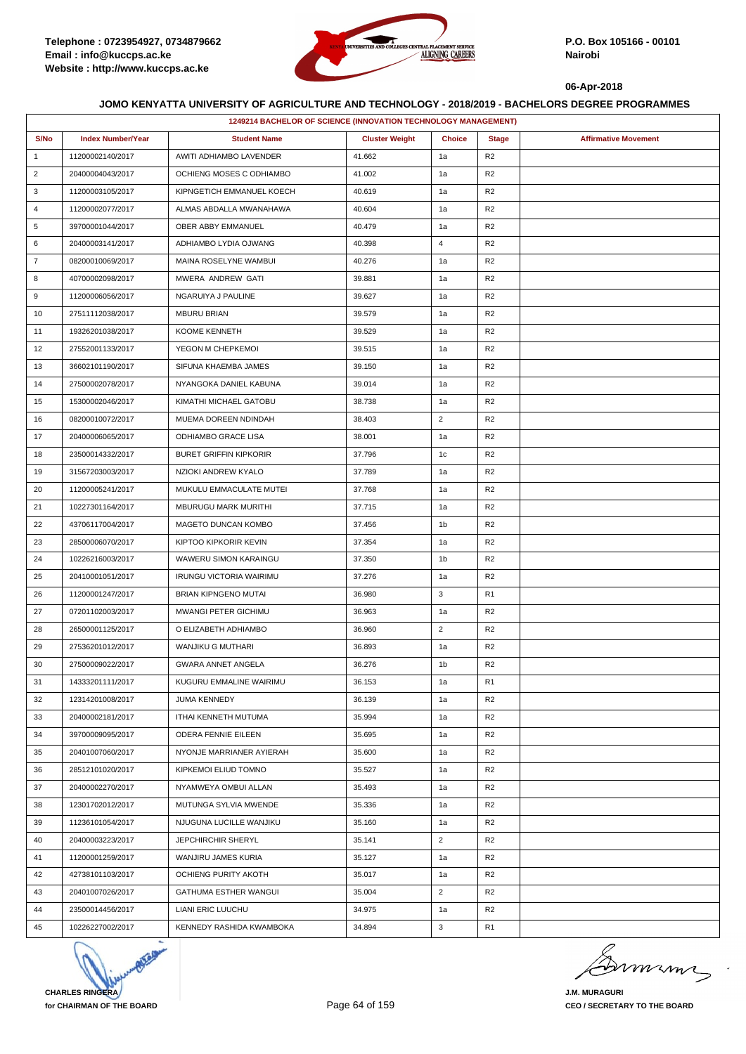

|                | 1249214 BACHELOR OF SCIENCE (INNOVATION TECHNOLOGY MANAGEMENT) |                                |                       |                |                |                             |  |  |
|----------------|----------------------------------------------------------------|--------------------------------|-----------------------|----------------|----------------|-----------------------------|--|--|
| S/No           | <b>Index Number/Year</b>                                       | <b>Student Name</b>            | <b>Cluster Weight</b> | <b>Choice</b>  | <b>Stage</b>   | <b>Affirmative Movement</b> |  |  |
| $\mathbf{1}$   | 11200002140/2017                                               | AWITI ADHIAMBO LAVENDER        | 41.662                | 1a             | R <sub>2</sub> |                             |  |  |
| $\overline{2}$ | 20400004043/2017                                               | OCHIENG MOSES C ODHIAMBO       | 41.002                | 1a             | R <sub>2</sub> |                             |  |  |
| 3              | 11200003105/2017                                               | KIPNGETICH EMMANUEL KOECH      | 40.619                | 1a             | R <sub>2</sub> |                             |  |  |
| 4              | 11200002077/2017                                               | ALMAS ABDALLA MWANAHAWA        | 40.604                | 1a             | R <sub>2</sub> |                             |  |  |
| 5              | 39700001044/2017                                               | OBER ABBY EMMANUEL             | 40.479                | 1a             | R <sub>2</sub> |                             |  |  |
| 6              | 20400003141/2017                                               | ADHIAMBO LYDIA OJWANG          | 40.398                | $\overline{4}$ | R <sub>2</sub> |                             |  |  |
| $\overline{7}$ | 08200010069/2017                                               | MAINA ROSELYNE WAMBUI          | 40.276                | 1a             | R <sub>2</sub> |                             |  |  |
| 8              | 40700002098/2017                                               | MWERA ANDREW GATI              | 39.881                | 1a             | R <sub>2</sub> |                             |  |  |
| 9              | 11200006056/2017                                               | NGARUIYA J PAULINE             | 39.627                | 1a             | R <sub>2</sub> |                             |  |  |
| 10             | 27511112038/2017                                               | <b>MBURU BRIAN</b>             | 39.579                | 1a             | R <sub>2</sub> |                             |  |  |
| 11             | 19326201038/2017                                               | KOOME KENNETH                  | 39.529                | 1a             | R <sub>2</sub> |                             |  |  |
| 12             | 27552001133/2017                                               | YEGON M CHEPKEMOI              | 39.515                | 1a             | R <sub>2</sub> |                             |  |  |
| 13             | 36602101190/2017                                               | SIFUNA KHAEMBA JAMES           | 39.150                | 1a             | R <sub>2</sub> |                             |  |  |
| 14             | 27500002078/2017                                               | NYANGOKA DANIEL KABUNA         | 39.014                | 1a             | R <sub>2</sub> |                             |  |  |
| 15             | 15300002046/2017                                               | KIMATHI MICHAEL GATOBU         | 38.738                | 1a             | R <sub>2</sub> |                             |  |  |
| 16             | 08200010072/2017                                               | MUEMA DOREEN NDINDAH           | 38.403                | $\overline{2}$ | R <sub>2</sub> |                             |  |  |
| 17             | 20400006065/2017                                               | ODHIAMBO GRACE LISA            | 38.001                | 1a             | R <sub>2</sub> |                             |  |  |
| 18             | 23500014332/2017                                               | <b>BURET GRIFFIN KIPKORIR</b>  | 37.796                | 1c             | R <sub>2</sub> |                             |  |  |
| 19             | 31567203003/2017                                               | NZIOKI ANDREW KYALO            | 37.789                | 1a             | R <sub>2</sub> |                             |  |  |
| 20             | 11200005241/2017                                               | MUKULU EMMACULATE MUTEI        | 37.768                | 1a             | R <sub>2</sub> |                             |  |  |
| 21             | 10227301164/2017                                               | MBURUGU MARK MURITHI           | 37.715                | 1a             | R <sub>2</sub> |                             |  |  |
| 22             | 43706117004/2017                                               | MAGETO DUNCAN KOMBO            | 37.456                | 1b             | R <sub>2</sub> |                             |  |  |
| 23             | 28500006070/2017                                               | KIPTOO KIPKORIR KEVIN          | 37.354                | 1a             | R <sub>2</sub> |                             |  |  |
| 24             | 10226216003/2017                                               | WAWERU SIMON KARAINGU          | 37.350                | 1b             | R <sub>2</sub> |                             |  |  |
| 25             | 20410001051/2017                                               | <b>IRUNGU VICTORIA WAIRIMU</b> | 37.276                | 1a             | R <sub>2</sub> |                             |  |  |
| 26             | 11200001247/2017                                               | <b>BRIAN KIPNGENO MUTAI</b>    | 36.980                | 3              | R <sub>1</sub> |                             |  |  |
| 27             | 07201102003/2017                                               | MWANGI PETER GICHIMU           | 36.963                | 1a             | R <sub>2</sub> |                             |  |  |
| 28             | 26500001125/2017                                               | O ELIZABETH ADHIAMBO           | 36.960                | $\overline{2}$ | R <sub>2</sub> |                             |  |  |
| 29             | 27536201012/2017                                               | WANJIKU G MUTHARI              | 36.893                | 1a             | R <sub>2</sub> |                             |  |  |
| 30             | 27500009022/2017                                               | <b>GWARA ANNET ANGELA</b>      | 36.276                | 1b             | R <sub>2</sub> |                             |  |  |
| 31             | 14333201111/2017                                               | KUGURU EMMALINE WAIRIMU        | 36.153                | 1a             | R <sub>1</sub> |                             |  |  |
| 32             | 12314201008/2017                                               | <b>JUMA KENNEDY</b>            | 36.139                | 1a             | R <sub>2</sub> |                             |  |  |
| 33             | 20400002181/2017                                               | ITHAI KENNETH MUTUMA           | 35.994                | 1a             | R <sub>2</sub> |                             |  |  |
| 34             | 39700009095/2017                                               | ODERA FENNIE EILEEN            | 35.695                | 1a             | R <sub>2</sub> |                             |  |  |
| 35             | 20401007060/2017                                               | NYONJE MARRIANER AYIERAH       | 35.600                | 1a             | R <sub>2</sub> |                             |  |  |
| 36             | 28512101020/2017                                               | KIPKEMOI ELIUD TOMNO           | 35.527                | 1a             | R <sub>2</sub> |                             |  |  |
| 37             | 20400002270/2017                                               | NYAMWEYA OMBUI ALLAN           | 35.493                | 1a             | R <sub>2</sub> |                             |  |  |
| 38             | 12301702012/2017                                               | MUTUNGA SYLVIA MWENDE          | 35.336                | 1a             | R <sub>2</sub> |                             |  |  |
| 39             | 11236101054/2017                                               | NJUGUNA LUCILLE WANJIKU        | 35.160                | 1a             | R <sub>2</sub> |                             |  |  |
| 40             | 20400003223/2017                                               | JEPCHIRCHIR SHERYL             | 35.141                | $\overline{2}$ | R <sub>2</sub> |                             |  |  |
| 41             | 11200001259/2017                                               | WANJIRU JAMES KURIA            | 35.127                | 1a             | R <sub>2</sub> |                             |  |  |
| 42             | 42738101103/2017                                               | OCHIENG PURITY AKOTH           | 35.017                | 1a             | R <sub>2</sub> |                             |  |  |
| 43             | 20401007026/2017                                               | GATHUMA ESTHER WANGUI          | 35.004                | $\overline{2}$ | R <sub>2</sub> |                             |  |  |
| 44             | 23500014456/2017                                               | LIANI ERIC LUUCHU              | 34.975                | 1a             | R <sub>2</sub> |                             |  |  |
| 45             | 10226227002/2017                                               | KENNEDY RASHIDA KWAMBOKA       | 34.894                | 3              | R <sub>1</sub> |                             |  |  |



murme

**J.M. MURAGURI CEO / SECRETARY TO THE BOARD**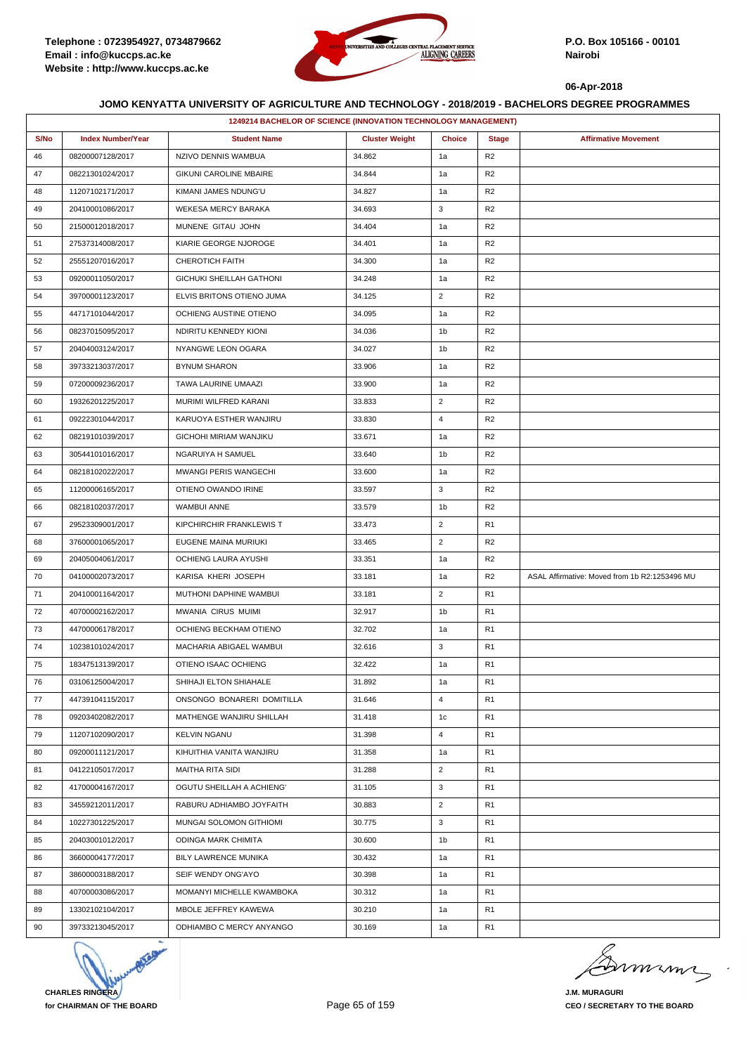

|      | 1249214 BACHELOR OF SCIENCE (INNOVATION TECHNOLOGY MANAGEMENT) |                                 |                       |                |                |                                               |  |  |
|------|----------------------------------------------------------------|---------------------------------|-----------------------|----------------|----------------|-----------------------------------------------|--|--|
| S/No | <b>Index Number/Year</b>                                       | <b>Student Name</b>             | <b>Cluster Weight</b> | <b>Choice</b>  | <b>Stage</b>   | <b>Affirmative Movement</b>                   |  |  |
| 46   | 08200007128/2017                                               | NZIVO DENNIS WAMBUA             | 34.862                | 1a             | R <sub>2</sub> |                                               |  |  |
| 47   | 08221301024/2017                                               | <b>GIKUNI CAROLINE MBAIRE</b>   | 34.844                | 1a             | R <sub>2</sub> |                                               |  |  |
| 48   | 11207102171/2017                                               | KIMANI JAMES NDUNG'U            | 34.827                | 1a             | R <sub>2</sub> |                                               |  |  |
| 49   | 20410001086/2017                                               | WEKESA MERCY BARAKA             | 34.693                | 3              | R <sub>2</sub> |                                               |  |  |
| 50   | 21500012018/2017                                               | MUNENE GITAU JOHN               | 34.404                | 1a             | R <sub>2</sub> |                                               |  |  |
| 51   | 27537314008/2017                                               | KIARIE GEORGE NJOROGE           | 34.401                | 1a             | R <sub>2</sub> |                                               |  |  |
| 52   | 25551207016/2017                                               | CHEROTICH FAITH                 | 34.300                | 1a             | R <sub>2</sub> |                                               |  |  |
| 53   | 09200011050/2017                                               | <b>GICHUKI SHEILLAH GATHONI</b> | 34.248                | 1a             | R <sub>2</sub> |                                               |  |  |
| 54   | 39700001123/2017                                               | ELVIS BRITONS OTIENO JUMA       | 34.125                | $\overline{2}$ | R <sub>2</sub> |                                               |  |  |
| 55   | 44717101044/2017                                               | OCHIENG AUSTINE OTIENO          | 34.095                | 1a             | R <sub>2</sub> |                                               |  |  |
| 56   | 08237015095/2017                                               | NDIRITU KENNEDY KIONI           | 34.036                | 1b             | R <sub>2</sub> |                                               |  |  |
| 57   | 20404003124/2017                                               | NYANGWE LEON OGARA              | 34.027                | 1b             | R <sub>2</sub> |                                               |  |  |
| 58   | 39733213037/2017                                               | <b>BYNUM SHARON</b>             | 33.906                | 1a             | R <sub>2</sub> |                                               |  |  |
| 59   | 07200009236/2017                                               | TAWA LAURINE UMAAZI             | 33.900                | 1a             | R <sub>2</sub> |                                               |  |  |
| 60   | 19326201225/2017                                               | MURIMI WILFRED KARANI           | 33.833                | $\overline{2}$ | R <sub>2</sub> |                                               |  |  |
| 61   | 09222301044/2017                                               | KARUOYA ESTHER WANJIRU          | 33.830                | $\overline{4}$ | R <sub>2</sub> |                                               |  |  |
| 62   | 08219101039/2017                                               | <b>GICHOHI MIRIAM WANJIKU</b>   | 33.671                | 1a             | R <sub>2</sub> |                                               |  |  |
| 63   | 30544101016/2017                                               | NGARUIYA H SAMUEL               | 33.640                | 1b             | R <sub>2</sub> |                                               |  |  |
| 64   | 08218102022/2017                                               | <b>MWANGI PERIS WANGECHI</b>    | 33.600                | 1a             | R <sub>2</sub> |                                               |  |  |
| 65   | 11200006165/2017                                               | OTIENO OWANDO IRINE             | 33.597                | 3              | R <sub>2</sub> |                                               |  |  |
| 66   | 08218102037/2017                                               | <b>WAMBUI ANNE</b>              | 33.579                | 1 <sub>b</sub> | R <sub>2</sub> |                                               |  |  |
| 67   | 29523309001/2017                                               | KIPCHIRCHIR FRANKLEWIS T        | 33.473                | $\overline{2}$ | R <sub>1</sub> |                                               |  |  |
| 68   | 37600001065/2017                                               | EUGENE MAINA MURIUKI            | 33.465                | $\overline{2}$ | R <sub>2</sub> |                                               |  |  |
| 69   | 20405004061/2017                                               | OCHIENG LAURA AYUSHI            | 33.351                | 1a             | R <sub>2</sub> |                                               |  |  |
| 70   | 04100002073/2017                                               | KARISA KHERI JOSEPH             | 33.181                | 1a             | R <sub>2</sub> | ASAL Affirmative: Moved from 1b R2:1253496 MU |  |  |
| 71   | 20410001164/2017                                               | MUTHONI DAPHINE WAMBUI          | 33.181                | $\overline{2}$ | R <sub>1</sub> |                                               |  |  |
| 72   | 40700002162/2017                                               | MWANIA CIRUS MUIMI              | 32.917                | 1b             | R1             |                                               |  |  |
| 73   | 44700006178/2017                                               | OCHIENG BECKHAM OTIENO          | 32.702                | 1a             | R1             |                                               |  |  |
| 74   | 10238101024/2017                                               | MACHARIA ABIGAEL WAMBUI         | 32.616                | 3              | R <sub>1</sub> |                                               |  |  |
| 75   | 18347513139/2017                                               | OTIENO ISAAC OCHIENG            | 32.422                | 1a             | R <sub>1</sub> |                                               |  |  |
| 76   | 03106125004/2017                                               | SHIHAJI ELTON SHIAHALE          | 31.892                | 1a             | R1             |                                               |  |  |
| 77   | 44739104115/2017                                               | ONSONGO BONARERI DOMITILLA      | 31.646                | $\overline{4}$ | R <sub>1</sub> |                                               |  |  |
| 78   | 09203402082/2017                                               | MATHENGE WANJIRU SHILLAH        | 31.418                | 1c             | R <sub>1</sub> |                                               |  |  |
| 79   | 11207102090/2017                                               | <b>KELVIN NGANU</b>             | 31.398                | $\overline{4}$ | R <sub>1</sub> |                                               |  |  |
| 80   | 09200011121/2017                                               | KIHUITHIA VANITA WANJIRU        | 31.358                | 1a             | R <sub>1</sub> |                                               |  |  |
| 81   | 04122105017/2017                                               | MAITHA RITA SIDI                | 31.288                | $\overline{2}$ | R <sub>1</sub> |                                               |  |  |
| 82   | 41700004167/2017                                               | OGUTU SHEILLAH A ACHIENG'       | 31.105                | 3              | R <sub>1</sub> |                                               |  |  |
| 83   | 34559212011/2017                                               | RABURU ADHIAMBO JOYFAITH        | 30.883                | $\overline{2}$ | R <sub>1</sub> |                                               |  |  |
| 84   | 10227301225/2017                                               | MUNGAI SOLOMON GITHIOMI         | 30.775                | 3              | R <sub>1</sub> |                                               |  |  |
| 85   | 20403001012/2017                                               | ODINGA MARK CHIMITA             | 30.600                | 1b             | R <sub>1</sub> |                                               |  |  |
| 86   | 36600004177/2017                                               | BILY LAWRENCE MUNIKA            | 30.432                | 1a             | R <sub>1</sub> |                                               |  |  |
| 87   | 38600003188/2017                                               | SEIF WENDY ONG'AYO              | 30.398                | 1a             | R <sub>1</sub> |                                               |  |  |
| 88   | 40700003086/2017                                               | MOMANYI MICHELLE KWAMBOKA       | 30.312                | 1a             | R <sub>1</sub> |                                               |  |  |
| 89   | 13302102104/2017                                               | MBOLE JEFFREY KAWEWA            | 30.210                | 1a             | R <sub>1</sub> |                                               |  |  |
| 90   | 39733213045/2017                                               | ODHIAMBO C MERCY ANYANGO        | 30.169                | 1a             | R <sub>1</sub> |                                               |  |  |



murma

**J.M. MURAGURI CEO / SECRETARY TO THE BOARD**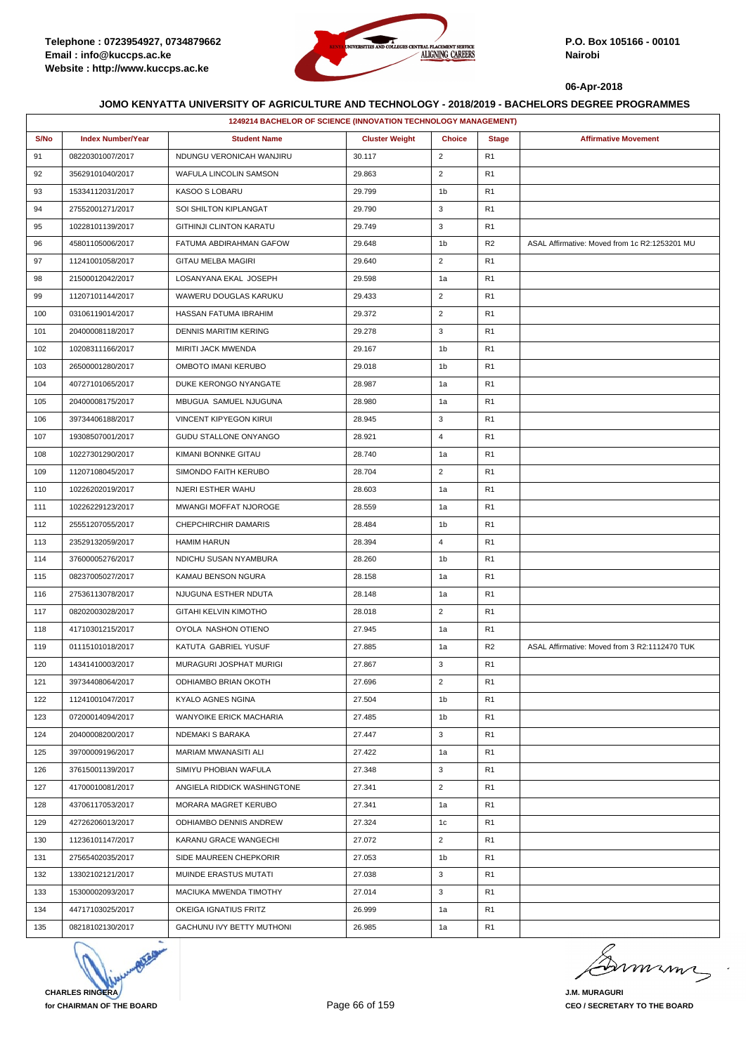

|      | 1249214 BACHELOR OF SCIENCE (INNOVATION TECHNOLOGY MANAGEMENT) |                                |                       |                |                |                                               |
|------|----------------------------------------------------------------|--------------------------------|-----------------------|----------------|----------------|-----------------------------------------------|
| S/No | <b>Index Number/Year</b>                                       | <b>Student Name</b>            | <b>Cluster Weight</b> | <b>Choice</b>  | <b>Stage</b>   | <b>Affirmative Movement</b>                   |
| 91   | 08220301007/2017                                               | NDUNGU VERONICAH WANJIRU       | 30.117                | $\overline{2}$ | R <sub>1</sub> |                                               |
| 92   | 35629101040/2017                                               | WAFULA LINCOLIN SAMSON         | 29.863                | $\overline{c}$ | R <sub>1</sub> |                                               |
| 93   | 15334112031/2017                                               | KASOO S LOBARU                 | 29.799                | 1b             | R <sub>1</sub> |                                               |
| 94   | 27552001271/2017                                               | SOI SHILTON KIPLANGAT          | 29.790                | 3              | R <sub>1</sub> |                                               |
| 95   | 10228101139/2017                                               | <b>GITHINJI CLINTON KARATU</b> | 29.749                | 3              | R <sub>1</sub> |                                               |
| 96   | 45801105006/2017                                               | FATUMA ABDIRAHMAN GAFOW        | 29.648                | 1b             | R <sub>2</sub> | ASAL Affirmative: Moved from 1c R2:1253201 MU |
| 97   | 11241001058/2017                                               | GITAU MELBA MAGIRI             | 29.640                | $\overline{2}$ | R <sub>1</sub> |                                               |
| 98   | 21500012042/2017                                               | LOSANYANA EKAL JOSEPH          | 29.598                | 1a             | R <sub>1</sub> |                                               |
| 99   | 11207101144/2017                                               | WAWERU DOUGLAS KARUKU          | 29.433                | $\overline{2}$ | R <sub>1</sub> |                                               |
| 100  | 03106119014/2017                                               | HASSAN FATUMA IBRAHIM          | 29.372                | $\overline{2}$ | R <sub>1</sub> |                                               |
| 101  | 20400008118/2017                                               | <b>DENNIS MARITIM KERING</b>   | 29.278                | 3              | R <sub>1</sub> |                                               |
| 102  | 10208311166/2017                                               | MIRITI JACK MWENDA             | 29.167                | 1b             | R <sub>1</sub> |                                               |
| 103  | 26500001280/2017                                               | OMBOTO IMANI KERUBO            | 29.018                | 1b             | R <sub>1</sub> |                                               |
| 104  | 40727101065/2017                                               | DUKE KERONGO NYANGATE          | 28.987                | 1a             | R <sub>1</sub> |                                               |
| 105  | 20400008175/2017                                               | MBUGUA SAMUEL NJUGUNA          | 28.980                | 1a             | R <sub>1</sub> |                                               |
| 106  | 39734406188/2017                                               | <b>VINCENT KIPYEGON KIRUI</b>  | 28.945                | 3              | R <sub>1</sub> |                                               |
| 107  | 19308507001/2017                                               | <b>GUDU STALLONE ONYANGO</b>   | 28.921                | $\overline{4}$ | R <sub>1</sub> |                                               |
| 108  | 10227301290/2017                                               | KIMANI BONNKE GITAU            | 28.740                | 1a             | R <sub>1</sub> |                                               |
| 109  | 11207108045/2017                                               | SIMONDO FAITH KERUBO           | 28.704                | $\overline{2}$ | R <sub>1</sub> |                                               |
| 110  | 10226202019/2017                                               | NJERI ESTHER WAHU              | 28.603                | 1a             | R <sub>1</sub> |                                               |
| 111  | 10226229123/2017                                               | MWANGI MOFFAT NJOROGE          | 28.559                | 1a             | R <sub>1</sub> |                                               |
| 112  | 25551207055/2017                                               | CHEPCHIRCHIR DAMARIS           | 28.484                | 1b             | R <sub>1</sub> |                                               |
| 113  | 23529132059/2017                                               | <b>HAMIM HARUN</b>             | 28.394                | 4              | R <sub>1</sub> |                                               |
| 114  | 37600005276/2017                                               | NDICHU SUSAN NYAMBURA          | 28.260                | 1b             | R <sub>1</sub> |                                               |
| 115  | 08237005027/2017                                               | KAMAU BENSON NGURA             | 28.158                | 1a             | R <sub>1</sub> |                                               |
| 116  | 27536113078/2017                                               | NJUGUNA ESTHER NDUTA           | 28.148                | 1a             | R <sub>1</sub> |                                               |
| 117  | 08202003028/2017                                               | GITAHI KELVIN KIMOTHO          | 28.018                | $\overline{2}$ | R <sub>1</sub> |                                               |
| 118  | 41710301215/2017                                               | OYOLA NASHON OTIENO            | 27.945                | 1a             | R <sub>1</sub> |                                               |
| 119  | 01115101018/2017                                               | KATUTA GABRIEL YUSUF           | 27.885                | 1a             | R <sub>2</sub> | ASAL Affirmative: Moved from 3 R2:1112470 TUK |
| 120  | 14341410003/2017                                               | MURAGURI JOSPHAT MURIGI        | 27.867                | 3              | R <sub>1</sub> |                                               |
| 121  | 39734408064/2017                                               | ODHIAMBO BRIAN OKOTH           | 27.696                | $\overline{2}$ | R <sub>1</sub> |                                               |
| 122  | 11241001047/2017                                               | KYALO AGNES NGINA              | 27.504                | 1 <sub>b</sub> | R <sub>1</sub> |                                               |
| 123  | 07200014094/2017                                               | WANYOIKE ERICK MACHARIA        | 27.485                | 1b             | R <sub>1</sub> |                                               |
| 124  | 20400008200/2017                                               | NDEMAKI S BARAKA               | 27.447                | 3              | R <sub>1</sub> |                                               |
| 125  | 39700009196/2017                                               | MARIAM MWANASITI ALI           | 27.422                | 1a             | R <sub>1</sub> |                                               |
| 126  | 37615001139/2017                                               | SIMIYU PHOBIAN WAFULA          | 27.348                | 3              | R <sub>1</sub> |                                               |
| 127  | 41700010081/2017                                               | ANGIELA RIDDICK WASHINGTONE    | 27.341                | $\overline{2}$ | R <sub>1</sub> |                                               |
| 128  | 43706117053/2017                                               | MORARA MAGRET KERUBO           | 27.341                | 1a             | R <sub>1</sub> |                                               |
| 129  | 42726206013/2017                                               | ODHIAMBO DENNIS ANDREW         | 27.324                | 1c             | R <sub>1</sub> |                                               |
| 130  | 11236101147/2017                                               | KARANU GRACE WANGECHI          | 27.072                | $\overline{2}$ | R <sub>1</sub> |                                               |
| 131  | 27565402035/2017                                               | SIDE MAUREEN CHEPKORIR         | 27.053                | 1b             | R <sub>1</sub> |                                               |
| 132  | 13302102121/2017                                               | MUINDE ERASTUS MUTATI          | 27.038                | 3              | R <sub>1</sub> |                                               |
| 133  | 15300002093/2017                                               | MACIUKA MWENDA TIMOTHY         | 27.014                | 3              | R <sub>1</sub> |                                               |
| 134  | 44717103025/2017                                               | OKEIGA IGNATIUS FRITZ          | 26.999                | 1a             | R <sub>1</sub> |                                               |
| 135  | 08218102130/2017                                               | GACHUNU IVY BETTY MUTHONI      | 26.985                | 1a             | R <sub>1</sub> |                                               |



Dumimi

**J.M. MURAGURI CEO / SECRETARY TO THE BOARD**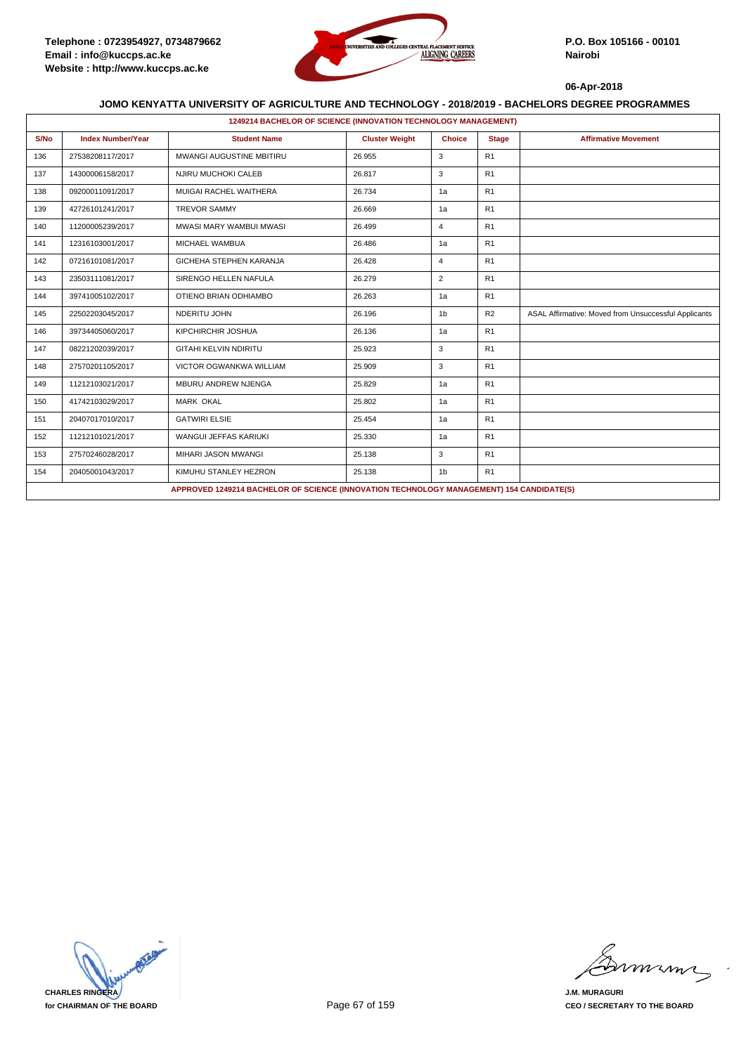

|      | 1249214 BACHELOR OF SCIENCE (INNOVATION TECHNOLOGY MANAGEMENT)                           |                                |                       |                |                |                                                      |  |  |  |
|------|------------------------------------------------------------------------------------------|--------------------------------|-----------------------|----------------|----------------|------------------------------------------------------|--|--|--|
| S/No | <b>Index Number/Year</b>                                                                 | <b>Student Name</b>            | <b>Cluster Weight</b> | <b>Choice</b>  | <b>Stage</b>   | <b>Affirmative Movement</b>                          |  |  |  |
| 136  | 27538208117/2017                                                                         | MWANGI AUGUSTINE MBITIRU       | 26.955                | 3              | R1             |                                                      |  |  |  |
| 137  | 14300006158/2017                                                                         | NJIRU MUCHOKI CALEB            | 26.817                | 3              | R1             |                                                      |  |  |  |
| 138  | 09200011091/2017                                                                         | MUIGAI RACHEL WAITHERA         | 26.734                | 1a             | R1             |                                                      |  |  |  |
| 139  | 42726101241/2017                                                                         | <b>TREVOR SAMMY</b>            | 26.669                | 1a             | R <sub>1</sub> |                                                      |  |  |  |
| 140  | 11200005239/2017                                                                         | MWASI MARY WAMBUI MWASI        | 26.499                | 4              | R1             |                                                      |  |  |  |
| 141  | 12316103001/2017                                                                         | MICHAEL WAMBUA                 | 26.486                | 1a             | R1             |                                                      |  |  |  |
| 142  | 07216101081/2017                                                                         | GICHEHA STEPHEN KARANJA        | 26.428                | $\overline{4}$ | R1             |                                                      |  |  |  |
| 143  | 23503111081/2017                                                                         | SIRENGO HELLEN NAFULA          | 26.279                | $\overline{2}$ | R1             |                                                      |  |  |  |
| 144  | 39741005102/2017                                                                         | OTIENO BRIAN ODHIAMBO          | 26.263                | 1a             | R <sub>1</sub> |                                                      |  |  |  |
| 145  | 22502203045/2017                                                                         | NDERITU JOHN                   | 26.196                | 1 <sub>b</sub> | R2             | ASAL Affirmative: Moved from Unsuccessful Applicants |  |  |  |
| 146  | 39734405060/2017                                                                         | KIPCHIRCHIR JOSHUA             | 26.136                | 1a             | R1             |                                                      |  |  |  |
| 147  | 08221202039/2017                                                                         | <b>GITAHI KELVIN NDIRITU</b>   | 25.923                | 3              | R1             |                                                      |  |  |  |
| 148  | 27570201105/2017                                                                         | <b>VICTOR OGWANKWA WILLIAM</b> | 25.909                | 3              | R1             |                                                      |  |  |  |
| 149  | 11212103021/2017                                                                         | MBURU ANDREW NJENGA            | 25.829                | 1a             | R <sub>1</sub> |                                                      |  |  |  |
| 150  | 41742103029/2017                                                                         | <b>MARK OKAL</b>               | 25.802                | 1a             | R1             |                                                      |  |  |  |
| 151  | 20407017010/2017                                                                         | <b>GATWIRI ELSIE</b>           | 25.454                | 1a             | R <sub>1</sub> |                                                      |  |  |  |
| 152  | 11212101021/2017                                                                         | WANGUI JEFFAS KARIUKI          | 25.330                | 1a             | R <sub>1</sub> |                                                      |  |  |  |
| 153  | 27570246028/2017                                                                         | MIHARI JASON MWANGI            | 25.138                | 3              | R <sub>1</sub> |                                                      |  |  |  |
| 154  | 20405001043/2017                                                                         | KIMUHU STANLEY HEZRON          | 25.138                | 1 <sub>b</sub> | R1             |                                                      |  |  |  |
|      | APPROVED 1249214 BACHELOR OF SCIENCE (INNOVATION TECHNOLOGY MANAGEMENT) 154 CANDIDATE(S) |                                |                       |                |                |                                                      |  |  |  |



miming

**J.M. MURAGURI CEO / SECRETARY TO THE BOARD**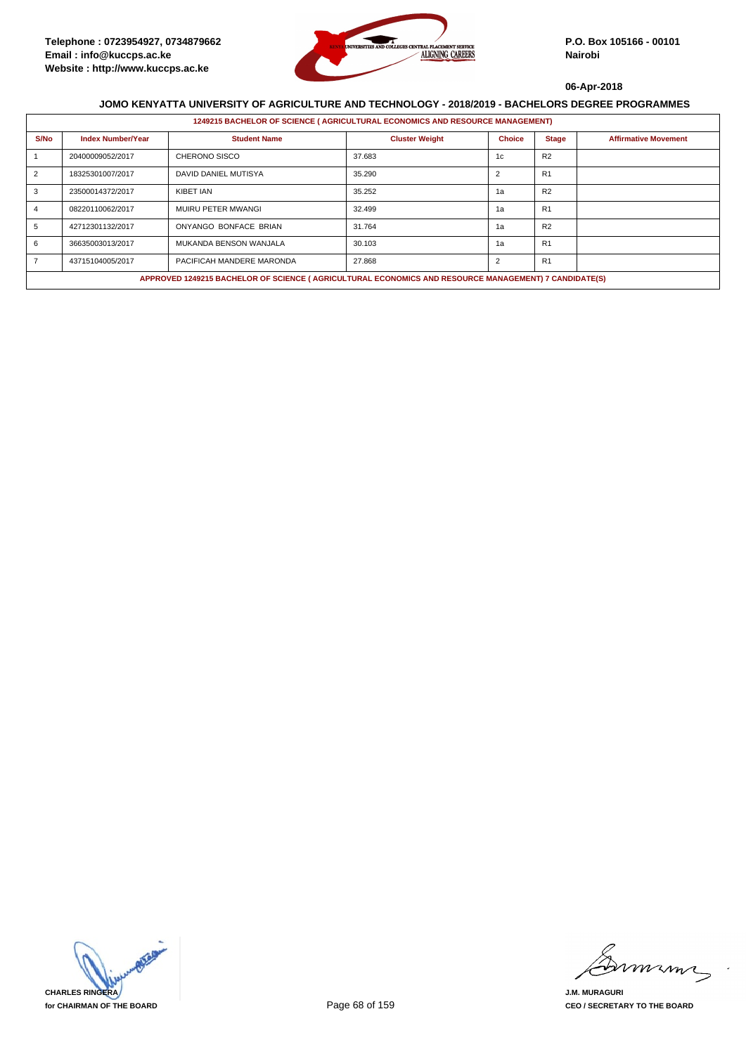

|      | 1249215 BACHELOR OF SCIENCE (AGRICULTURAL ECONOMICS AND RESOURCE MANAGEMENT)                         |                           |                       |                |                |                             |  |  |  |
|------|------------------------------------------------------------------------------------------------------|---------------------------|-----------------------|----------------|----------------|-----------------------------|--|--|--|
| S/No | <b>Index Number/Year</b>                                                                             | <b>Student Name</b>       | <b>Cluster Weight</b> | <b>Choice</b>  | <b>Stage</b>   | <b>Affirmative Movement</b> |  |  |  |
|      | 20400009052/2017                                                                                     | CHERONO SISCO             | 37.683                | 1c             | R <sub>2</sub> |                             |  |  |  |
| 2    | 18325301007/2017                                                                                     | DAVID DANIEL MUTISYA      | 35.290                | $\overline{2}$ | R <sub>1</sub> |                             |  |  |  |
|      | 23500014372/2017                                                                                     | KIBET IAN                 | 35.252                | 1a             | R <sub>2</sub> |                             |  |  |  |
|      | 08220110062/2017                                                                                     | MUIRU PETER MWANGI        | 32.499                | 1a             | R1             |                             |  |  |  |
| 5    | 42712301132/2017                                                                                     | ONYANGO BONFACE BRIAN     | 31.764                | 1a             | R <sub>2</sub> |                             |  |  |  |
|      | 36635003013/2017                                                                                     | MUKANDA BENSON WANJALA    | 30.103                | 1a             | R <sub>1</sub> |                             |  |  |  |
|      | 43715104005/2017                                                                                     | PACIFICAH MANDERE MARONDA | 27.868                | $\overline{2}$ | R1             |                             |  |  |  |
|      | APPROVED 1249215 BACHELOR OF SCIENCE (AGRICULTURAL ECONOMICS AND RESOURCE MANAGEMENT) 7 CANDIDATE(S) |                           |                       |                |                |                             |  |  |  |



mmmn

**J.M. MURAGURI CEO / SECRETARY TO THE BOARD**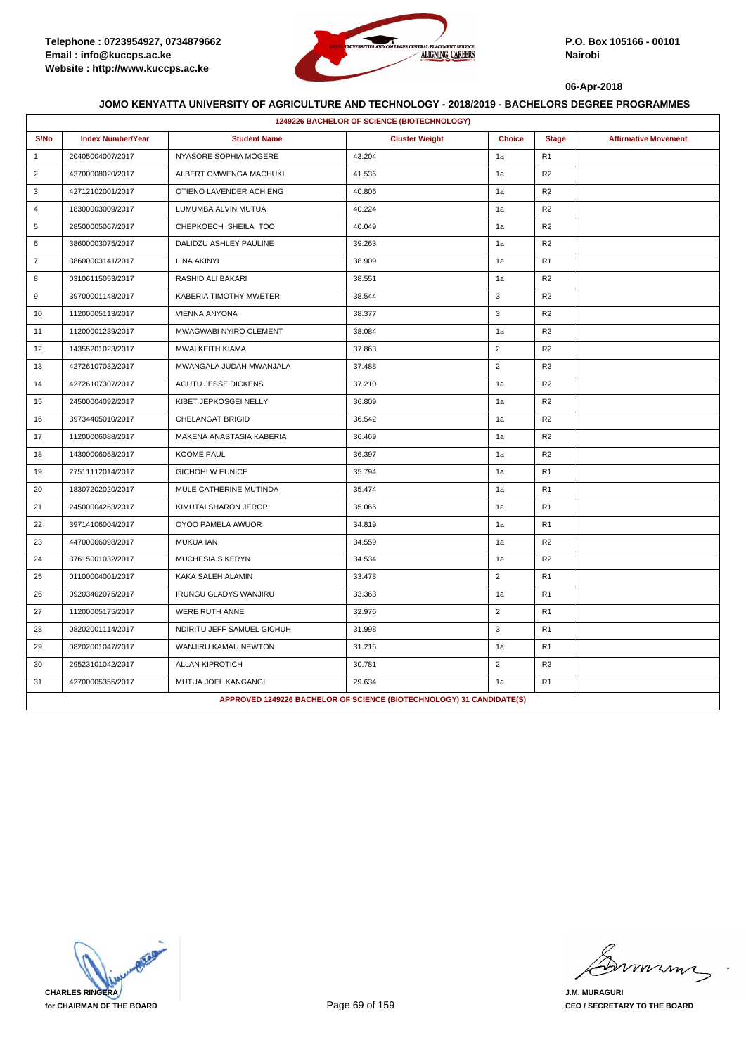

|                | 1249226 BACHELOR OF SCIENCE (BIOTECHNOLOGY) |                              |                                                                      |                |                |                             |  |  |  |
|----------------|---------------------------------------------|------------------------------|----------------------------------------------------------------------|----------------|----------------|-----------------------------|--|--|--|
| S/No           | <b>Index Number/Year</b>                    | <b>Student Name</b>          | <b>Cluster Weight</b>                                                | <b>Choice</b>  | <b>Stage</b>   | <b>Affirmative Movement</b> |  |  |  |
| $\mathbf{1}$   | 20405004007/2017                            | NYASORE SOPHIA MOGERE        | 43.204                                                               | 1a             | R <sub>1</sub> |                             |  |  |  |
| $\overline{2}$ | 43700008020/2017                            | ALBERT OMWENGA MACHUKI       | 41.536                                                               | 1a             | R <sub>2</sub> |                             |  |  |  |
| 3              | 42712102001/2017                            | OTIENO LAVENDER ACHIENG      | 40.806                                                               | 1a             | R <sub>2</sub> |                             |  |  |  |
| $\overline{4}$ | 18300003009/2017                            | LUMUMBA ALVIN MUTUA          | 40.224                                                               | 1a             | R <sub>2</sub> |                             |  |  |  |
| 5              | 28500005067/2017                            | CHEPKOECH SHEILA TOO         | 40.049                                                               | 1a             | R <sub>2</sub> |                             |  |  |  |
| 6              | 38600003075/2017                            | DALIDZU ASHLEY PAULINE       | 39.263                                                               | 1a             | R <sub>2</sub> |                             |  |  |  |
| $\overline{7}$ | 38600003141/2017                            | LINA AKINYI                  | 38.909                                                               | 1a             | R <sub>1</sub> |                             |  |  |  |
| 8              | 03106115053/2017                            | RASHID ALI BAKARI            | 38.551                                                               | 1a             | R <sub>2</sub> |                             |  |  |  |
| 9              | 39700001148/2017                            | KABERIA TIMOTHY MWETERI      | 38.544                                                               | 3              | R <sub>2</sub> |                             |  |  |  |
| 10             | 11200005113/2017                            | <b>VIENNA ANYONA</b>         | 38.377                                                               | 3              | R <sub>2</sub> |                             |  |  |  |
| 11             | 11200001239/2017                            | MWAGWABI NYIRO CLEMENT       | 38.084                                                               | 1a             | R <sub>2</sub> |                             |  |  |  |
| 12             | 14355201023/2017                            | MWAI KEITH KIAMA             | 37.863                                                               | $\overline{2}$ | R <sub>2</sub> |                             |  |  |  |
| 13             | 42726107032/2017                            | MWANGALA JUDAH MWANJALA      | 37.488                                                               | $\overline{2}$ | R <sub>2</sub> |                             |  |  |  |
| 14             | 42726107307/2017                            | AGUTU JESSE DICKENS          | 37.210                                                               | 1a             | R <sub>2</sub> |                             |  |  |  |
| 15             | 24500004092/2017                            | KIBET JEPKOSGEI NELLY        | 36.809                                                               | 1a             | R2             |                             |  |  |  |
| 16             | 39734405010/2017                            | CHELANGAT BRIGID             | 36.542                                                               | 1a             | R <sub>2</sub> |                             |  |  |  |
| 17             | 11200006088/2017                            | MAKENA ANASTASIA KABERIA     | 36.469                                                               | 1a             | R <sub>2</sub> |                             |  |  |  |
| 18             | 14300006058/2017                            | <b>KOOME PAUL</b>            | 36.397                                                               | 1a             | R <sub>2</sub> |                             |  |  |  |
| 19             | 27511112014/2017                            | <b>GICHOHI W EUNICE</b>      | 35.794                                                               | 1a             | R <sub>1</sub> |                             |  |  |  |
| 20             | 18307202020/2017                            | MULE CATHERINE MUTINDA       | 35.474                                                               | 1a             | R1             |                             |  |  |  |
| 21             | 24500004263/2017                            | KIMUTAI SHARON JEROP         | 35.066                                                               | 1a             | R <sub>1</sub> |                             |  |  |  |
| 22             | 39714106004/2017                            | OYOO PAMELA AWUOR            | 34.819                                                               | 1a             | R <sub>1</sub> |                             |  |  |  |
| 23             | 44700006098/2017                            | <b>MUKUA IAN</b>             | 34.559                                                               | 1a             | R <sub>2</sub> |                             |  |  |  |
| 24             | 37615001032/2017                            | <b>MUCHESIA S KERYN</b>      | 34.534                                                               | 1a             | R <sub>2</sub> |                             |  |  |  |
| 25             | 01100004001/2017                            | KAKA SALEH ALAMIN            | 33.478                                                               | $\overline{2}$ | R1             |                             |  |  |  |
| 26             | 09203402075/2017                            | <b>IRUNGU GLADYS WANJIRU</b> | 33.363                                                               | 1a             | R <sub>1</sub> |                             |  |  |  |
| 27             | 11200005175/2017                            | WERE RUTH ANNE               | 32.976                                                               | $\overline{2}$ | R <sub>1</sub> |                             |  |  |  |
| 28             | 08202001114/2017                            | NDIRITU JEFF SAMUEL GICHUHI  | 31.998                                                               | 3              | R <sub>1</sub> |                             |  |  |  |
| 29             | 08202001047/2017                            | WANJIRU KAMAU NEWTON         | 31.216                                                               | 1a             | R <sub>1</sub> |                             |  |  |  |
| 30             | 29523101042/2017                            | <b>ALLAN KIPROTICH</b>       | 30.781                                                               | $\overline{2}$ | R2             |                             |  |  |  |
| 31             | 42700005355/2017                            | MUTUA JOEL KANGANGI          | 29.634                                                               | 1a             | R1             |                             |  |  |  |
|                |                                             |                              | APPROVED 1249226 BACHELOR OF SCIENCE (BIOTECHNOLOGY) 31 CANDIDATE(S) |                |                |                             |  |  |  |

**CHARLES RINGERA for CHAIRMAN OF THE BOARD**

minn

**J.M. MURAGURI CEO / SECRETARY TO THE BOARD**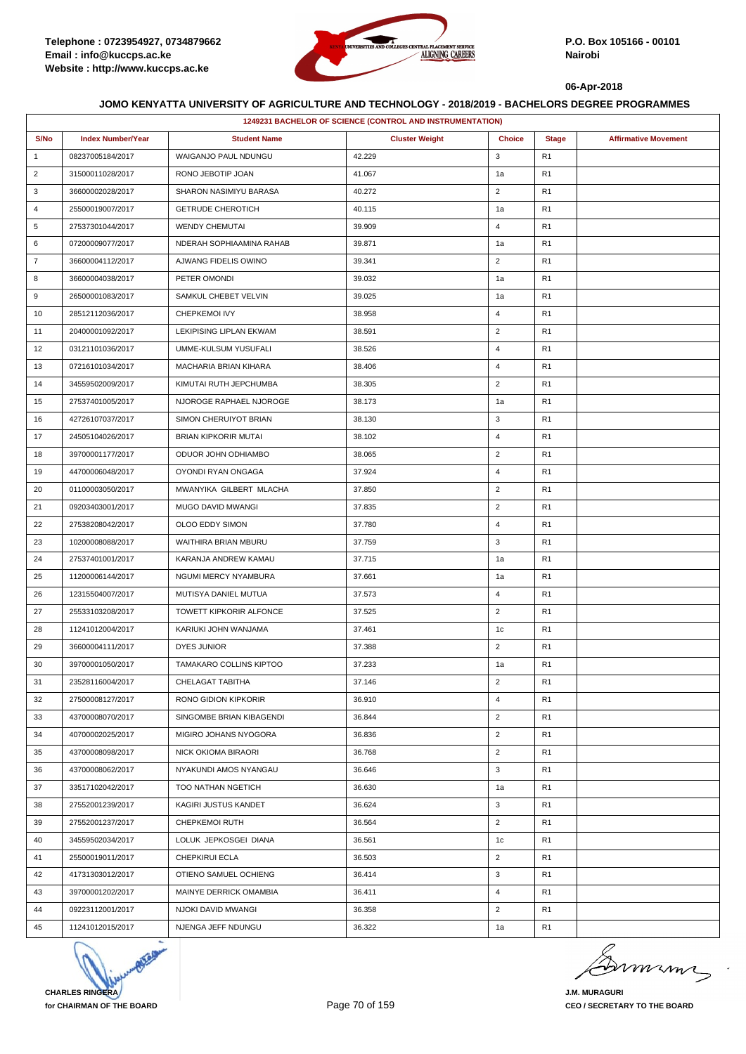

|                | 1249231 BACHELOR OF SCIENCE (CONTROL AND INSTRUMENTATION) |                             |                       |                |                |                             |  |
|----------------|-----------------------------------------------------------|-----------------------------|-----------------------|----------------|----------------|-----------------------------|--|
| S/No           | <b>Index Number/Year</b>                                  | <b>Student Name</b>         | <b>Cluster Weight</b> | <b>Choice</b>  | <b>Stage</b>   | <b>Affirmative Movement</b> |  |
| $\mathbf{1}$   | 08237005184/2017                                          | WAIGANJO PAUL NDUNGU        | 42.229                | 3              | R1             |                             |  |
| $\overline{2}$ | 31500011028/2017                                          | RONO JEBOTIP JOAN           | 41.067                | 1a             | R1             |                             |  |
| 3              | 36600002028/2017                                          | SHARON NASIMIYU BARASA      | 40.272                | $\overline{2}$ | R1             |                             |  |
| 4              | 25500019007/2017                                          | <b>GETRUDE CHEROTICH</b>    | 40.115                | 1a             | R1             |                             |  |
| 5              | 27537301044/2017                                          | <b>WENDY CHEMUTAI</b>       | 39.909                | $\overline{4}$ | R <sub>1</sub> |                             |  |
| 6              | 07200009077/2017                                          | NDERAH SOPHIAAMINA RAHAB    | 39.871                | 1a             | R1             |                             |  |
| $\overline{7}$ | 36600004112/2017                                          | AJWANG FIDELIS OWINO        | 39.341                | $\overline{2}$ | R1             |                             |  |
| 8              | 36600004038/2017                                          | PETER OMONDI                | 39.032                | 1a             | R1             |                             |  |
| 9              | 26500001083/2017                                          | SAMKUL CHEBET VELVIN        | 39.025                | 1a             | R1             |                             |  |
| 10             | 28512112036/2017                                          | CHEPKEMOI IVY               | 38.958                | $\overline{4}$ | R1             |                             |  |
| 11             | 20400001092/2017                                          | LEKIPISING LIPLAN EKWAM     | 38.591                | $\overline{2}$ | R <sub>1</sub> |                             |  |
| 12             | 03121101036/2017                                          | UMME-KULSUM YUSUFALI        | 38.526                | $\overline{4}$ | R1             |                             |  |
| 13             | 07216101034/2017                                          | MACHARIA BRIAN KIHARA       | 38.406                | $\overline{4}$ | R <sub>1</sub> |                             |  |
| 14             | 34559502009/2017                                          | KIMUTAI RUTH JEPCHUMBA      | 38.305                | $\overline{2}$ | R1             |                             |  |
| 15             | 27537401005/2017                                          | NJOROGE RAPHAEL NJOROGE     | 38.173                | 1a             | R1             |                             |  |
| 16             | 42726107037/2017                                          | SIMON CHERUIYOT BRIAN       | 38.130                | 3              | R1             |                             |  |
| 17             | 24505104026/2017                                          | <b>BRIAN KIPKORIR MUTAI</b> | 38.102                | $\overline{4}$ | R1             |                             |  |
| 18             | 39700001177/2017                                          | ODUOR JOHN ODHIAMBO         | 38.065                | $\overline{2}$ | R1             |                             |  |
| 19             | 44700006048/2017                                          | OYONDI RYAN ONGAGA          | 37.924                | $\overline{4}$ | R1             |                             |  |
| 20             | 01100003050/2017                                          | MWANYIKA GILBERT MLACHA     | 37.850                | $\overline{2}$ | R1             |                             |  |
| 21             | 09203403001/2017                                          | MUGO DAVID MWANGI           | 37.835                | $\overline{2}$ | R1             |                             |  |
| 22             | 27538208042/2017                                          | OLOO EDDY SIMON             | 37.780                | $\overline{4}$ | R1             |                             |  |
| 23             | 10200008088/2017                                          | WAITHIRA BRIAN MBURU        | 37.759                | 3              | R1             |                             |  |
| 24             | 27537401001/2017                                          | KARANJA ANDREW KAMAU        | 37.715                | 1a             | R1             |                             |  |
| 25             | 11200006144/2017                                          | NGUMI MERCY NYAMBURA        | 37.661                | 1a             | R1             |                             |  |
| 26             | 12315504007/2017                                          | MUTISYA DANIEL MUTUA        | 37.573                | $\overline{4}$ | R1             |                             |  |
| 27             | 25533103208/2017                                          | TOWETT KIPKORIR ALFONCE     | 37.525                | $\overline{2}$ | R1             |                             |  |
| 28             | 11241012004/2017                                          | KARIUKI JOHN WANJAMA        | 37.461                | 1c             | R1             |                             |  |
| 29             | 36600004111/2017                                          | DYES JUNIOR                 | 37.388                | $\overline{2}$ | R1             |                             |  |
| 30             | 39700001050/2017                                          | TAMAKARO COLLINS KIPTOO     | 37.233                | 1a             | R <sub>1</sub> |                             |  |
| 31             | 23528116004/2017                                          | CHELAGAT TABITHA            | 37.146                | $\overline{2}$ | R <sub>1</sub> |                             |  |
| 32             | 27500008127/2017                                          | RONO GIDION KIPKORIR        | 36.910                | $\overline{4}$ | R1             |                             |  |
| 33             | 43700008070/2017                                          | SINGOMBE BRIAN KIBAGENDI    | 36.844                | $\overline{2}$ | R1             |                             |  |
| 34             | 40700002025/2017                                          | MIGIRO JOHANS NYOGORA       | 36.836                | $\overline{2}$ | R <sub>1</sub> |                             |  |
| 35             | 43700008098/2017                                          | NICK OKIOMA BIRAORI         | 36.768                | $\overline{2}$ | R1             |                             |  |
| 36             | 43700008062/2017                                          | NYAKUNDI AMOS NYANGAU       | 36.646                | 3              | R <sub>1</sub> |                             |  |
| 37             | 33517102042/2017                                          | TOO NATHAN NGETICH          | 36.630                | 1a             | R1             |                             |  |
| 38             | 27552001239/2017                                          | KAGIRI JUSTUS KANDET        | 36.624                | 3              | R1             |                             |  |
| 39             | 27552001237/2017                                          | CHEPKEMOI RUTH              | 36.564                | $\overline{2}$ | R1             |                             |  |
| 40             | 34559502034/2017                                          | LOLUK JEPKOSGEI DIANA       | 36.561                | 1c             | R1             |                             |  |
| 41             | 25500019011/2017                                          | CHEPKIRUI ECLA              | 36.503                | $\overline{2}$ | R1             |                             |  |
| 42             | 41731303012/2017                                          | OTIENO SAMUEL OCHIENG       | 36.414                | 3              | R <sub>1</sub> |                             |  |
| 43             | 39700001202/2017                                          | MAINYE DERRICK OMAMBIA      | 36.411                | $\overline{4}$ | R1             |                             |  |
| 44             | 09223112001/2017                                          | NJOKI DAVID MWANGI          | 36.358                | $\overline{2}$ | R1             |                             |  |
| 45             | 11241012015/2017                                          | NJENGA JEFF NDUNGU          | 36.322                | 1a             | R <sub>1</sub> |                             |  |
|                |                                                           |                             |                       |                |                |                             |  |



murma

**J.M. MURAGURI CEO / SECRETARY TO THE BOARD**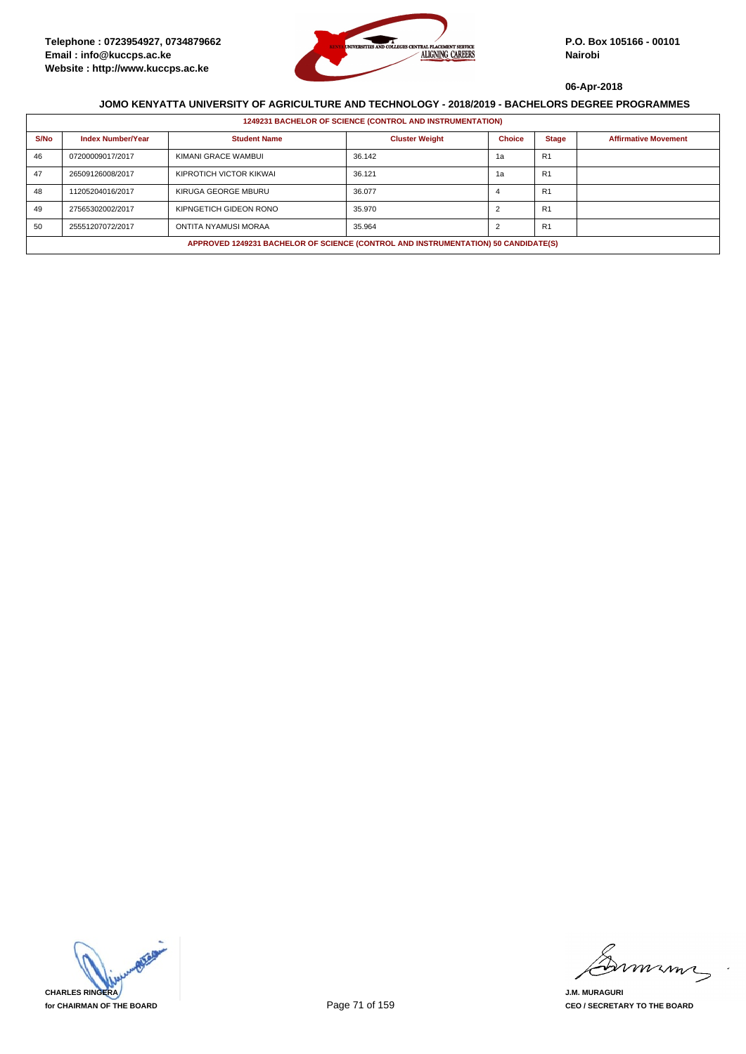

|      | <b>1249231 BACHELOR OF SCIENCE (CONTROL AND INSTRUMENTATION)</b>                   |                         |                       |               |                |                             |  |  |  |
|------|------------------------------------------------------------------------------------|-------------------------|-----------------------|---------------|----------------|-----------------------------|--|--|--|
| S/No | <b>Index Number/Year</b>                                                           | <b>Student Name</b>     | <b>Cluster Weight</b> | <b>Choice</b> | <b>Stage</b>   | <b>Affirmative Movement</b> |  |  |  |
| 46   | 07200009017/2017                                                                   | KIMANI GRACE WAMBUI     | 36.142                | 1a            | R <sub>1</sub> |                             |  |  |  |
| 47   | 26509126008/2017                                                                   | KIPROTICH VICTOR KIKWAI | 36.121                | 1а            | R <sub>1</sub> |                             |  |  |  |
| 48   | 11205204016/2017                                                                   | KIRUGA GEORGE MBURU     | 36.077                |               | R <sub>1</sub> |                             |  |  |  |
| 49   | 27565302002/2017                                                                   | KIPNGETICH GIDEON RONO  | 35.970                |               | R <sub>1</sub> |                             |  |  |  |
| 50   | 25551207072/2017                                                                   | ONTITA NYAMUSI MORAA    | 35.964                |               | R <sub>1</sub> |                             |  |  |  |
|      | APPROVED 1249231 BACHELOR OF SCIENCE (CONTROL AND INSTRUMENTATION) 50 CANDIDATE(S) |                         |                       |               |                |                             |  |  |  |



mmmn

**J.M. MURAGURI CEO / SECRETARY TO THE BOARD**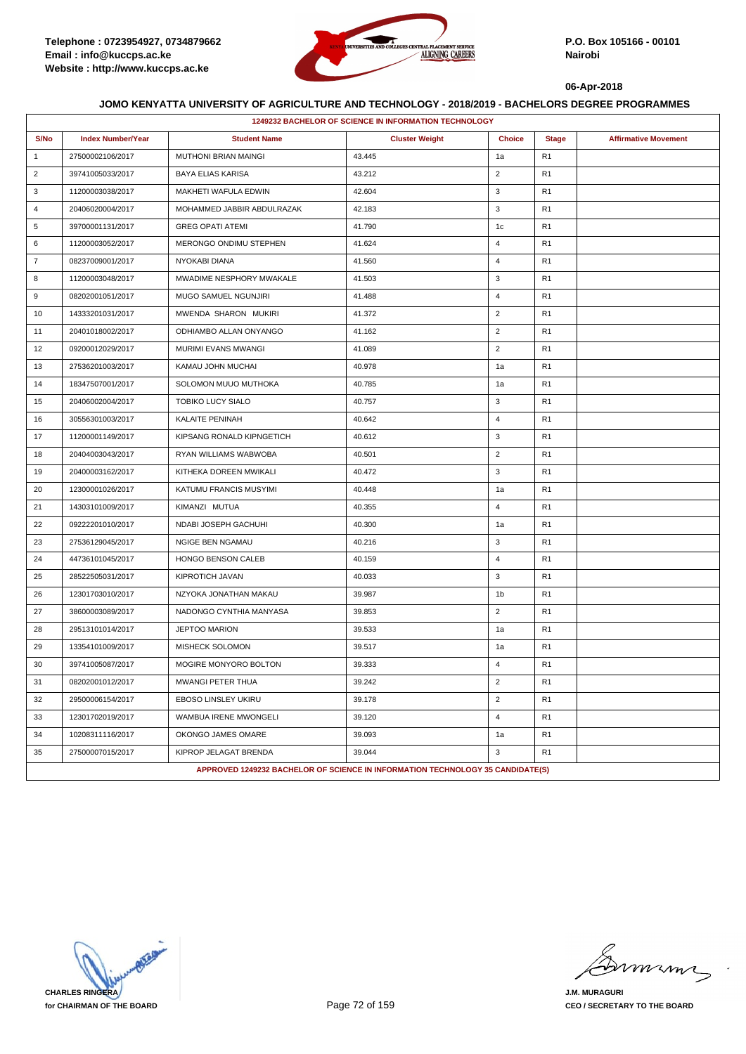

|                | 1249232 BACHELOR OF SCIENCE IN INFORMATION TECHNOLOGY |                                                                                |                       |                |                |                             |  |  |  |
|----------------|-------------------------------------------------------|--------------------------------------------------------------------------------|-----------------------|----------------|----------------|-----------------------------|--|--|--|
| S/No           | <b>Index Number/Year</b>                              | <b>Student Name</b>                                                            | <b>Cluster Weight</b> | <b>Choice</b>  | <b>Stage</b>   | <b>Affirmative Movement</b> |  |  |  |
| $\mathbf{1}$   | 27500002106/2017                                      | MUTHONI BRIAN MAINGI                                                           | 43.445                | 1a             | R <sub>1</sub> |                             |  |  |  |
| $\overline{2}$ | 39741005033/2017                                      | <b>BAYA ELIAS KARISA</b>                                                       | 43.212                | $\overline{2}$ | R <sub>1</sub> |                             |  |  |  |
| 3              | 11200003038/2017                                      | MAKHETI WAFULA EDWIN                                                           | 42.604                | 3              | R <sub>1</sub> |                             |  |  |  |
| $\overline{4}$ | 20406020004/2017                                      | MOHAMMED JABBIR ABDULRAZAK                                                     | 42.183                | 3              | R <sub>1</sub> |                             |  |  |  |
| 5              | 39700001131/2017                                      | <b>GREG OPATI ATEMI</b>                                                        | 41.790                | 1c             | R <sub>1</sub> |                             |  |  |  |
| 6              | 11200003052/2017                                      | MERONGO ONDIMU STEPHEN                                                         | 41.624                | $\overline{4}$ | R <sub>1</sub> |                             |  |  |  |
| $\overline{7}$ | 08237009001/2017                                      | NYOKABI DIANA                                                                  | 41.560                | $\overline{4}$ | R <sub>1</sub> |                             |  |  |  |
| 8              | 11200003048/2017                                      | MWADIME NESPHORY MWAKALE                                                       | 41.503                | 3              | R <sub>1</sub> |                             |  |  |  |
| 9              | 08202001051/2017                                      | MUGO SAMUEL NGUNJIRI                                                           | 41.488                | $\overline{4}$ | R <sub>1</sub> |                             |  |  |  |
| 10             | 14333201031/2017                                      | MWENDA SHARON MUKIRI                                                           | 41.372                | $\overline{2}$ | R <sub>1</sub> |                             |  |  |  |
| 11             | 20401018002/2017                                      | ODHIAMBO ALLAN ONYANGO                                                         | 41.162                | $\overline{2}$ | R <sub>1</sub> |                             |  |  |  |
| 12             | 09200012029/2017                                      | MURIMI EVANS MWANGI                                                            | 41.089                | $\overline{2}$ | R <sub>1</sub> |                             |  |  |  |
| 13             | 27536201003/2017                                      | KAMAU JOHN MUCHAI                                                              | 40.978                | 1a             | R <sub>1</sub> |                             |  |  |  |
| 14             | 18347507001/2017                                      | SOLOMON MUUO MUTHOKA                                                           | 40.785                | 1a             | R <sub>1</sub> |                             |  |  |  |
| 15             | 20406002004/2017                                      | <b>TOBIKO LUCY SIALO</b>                                                       | 40.757                | 3              | R <sub>1</sub> |                             |  |  |  |
| 16             | 30556301003/2017                                      | KALAITE PENINAH                                                                | 40.642                | $\overline{4}$ | R <sub>1</sub> |                             |  |  |  |
| 17             | 11200001149/2017                                      | KIPSANG RONALD KIPNGETICH                                                      | 40.612                | 3              | R <sub>1</sub> |                             |  |  |  |
| 18             | 20404003043/2017                                      | RYAN WILLIAMS WABWOBA                                                          | 40.501                | $\overline{2}$ | R <sub>1</sub> |                             |  |  |  |
| 19             | 20400003162/2017                                      | KITHEKA DOREEN MWIKALI                                                         | 40.472                | 3              | R <sub>1</sub> |                             |  |  |  |
| 20             | 12300001026/2017                                      | KATUMU FRANCIS MUSYIMI                                                         | 40.448                | 1a             | R <sub>1</sub> |                             |  |  |  |
| 21             | 14303101009/2017                                      | KIMANZI MUTUA                                                                  | 40.355                | $\overline{4}$ | R <sub>1</sub> |                             |  |  |  |
| 22             | 09222201010/2017                                      | NDABI JOSEPH GACHUHI                                                           | 40.300                | 1a             | R <sub>1</sub> |                             |  |  |  |
| 23             | 27536129045/2017                                      | <b>NGIGE BEN NGAMAU</b>                                                        | 40.216                | 3              | R <sub>1</sub> |                             |  |  |  |
| 24             | 44736101045/2017                                      | HONGO BENSON CALEB                                                             | 40.159                | $\overline{4}$ | R <sub>1</sub> |                             |  |  |  |
| 25             | 28522505031/2017                                      | KIPROTICH JAVAN                                                                | 40.033                | 3              | R <sub>1</sub> |                             |  |  |  |
| 26             | 12301703010/2017                                      | NZYOKA JONATHAN MAKAU                                                          | 39.987                | 1b             | R <sub>1</sub> |                             |  |  |  |
| 27             | 38600003089/2017                                      | NADONGO CYNTHIA MANYASA                                                        | 39.853                | $\overline{2}$ | R <sub>1</sub> |                             |  |  |  |
| 28             | 29513101014/2017                                      | <b>JEPTOO MARION</b>                                                           | 39.533                | 1a             | R <sub>1</sub> |                             |  |  |  |
| 29             | 13354101009/2017                                      | <b>MISHECK SOLOMON</b>                                                         | 39.517                | 1a             | R <sub>1</sub> |                             |  |  |  |
| 30             | 39741005087/2017                                      | MOGIRE MONYORO BOLTON                                                          | 39.333                | $\overline{4}$ | R <sub>1</sub> |                             |  |  |  |
| 31             | 08202001012/2017                                      | MWANGI PETER THUA                                                              | 39.242                | $\overline{2}$ | R <sub>1</sub> |                             |  |  |  |
| 32             | 29500006154/2017                                      | <b>EBOSO LINSLEY UKIRU</b>                                                     | 39.178                | $\overline{2}$ | R <sub>1</sub> |                             |  |  |  |
| 33             | 12301702019/2017                                      | WAMBUA IRENE MWONGELI                                                          | 39.120                | $\overline{4}$ | R <sub>1</sub> |                             |  |  |  |
| 34             | 10208311116/2017                                      | OKONGO JAMES OMARE                                                             | 39.093                | 1a             | R <sub>1</sub> |                             |  |  |  |
| 35             | 27500007015/2017                                      | KIPROP JELAGAT BRENDA                                                          | 39.044                | 3              | R <sub>1</sub> |                             |  |  |  |
|                |                                                       | APPROVED 1249232 BACHELOR OF SCIENCE IN INFORMATION TECHNOLOGY 35 CANDIDATE(S) |                       |                |                |                             |  |  |  |

**CHARLES RINGERA for CHAIRMAN OF THE BOARD**

miming

**J.M. MURAGURI CEO / SECRETARY TO THE BOARD**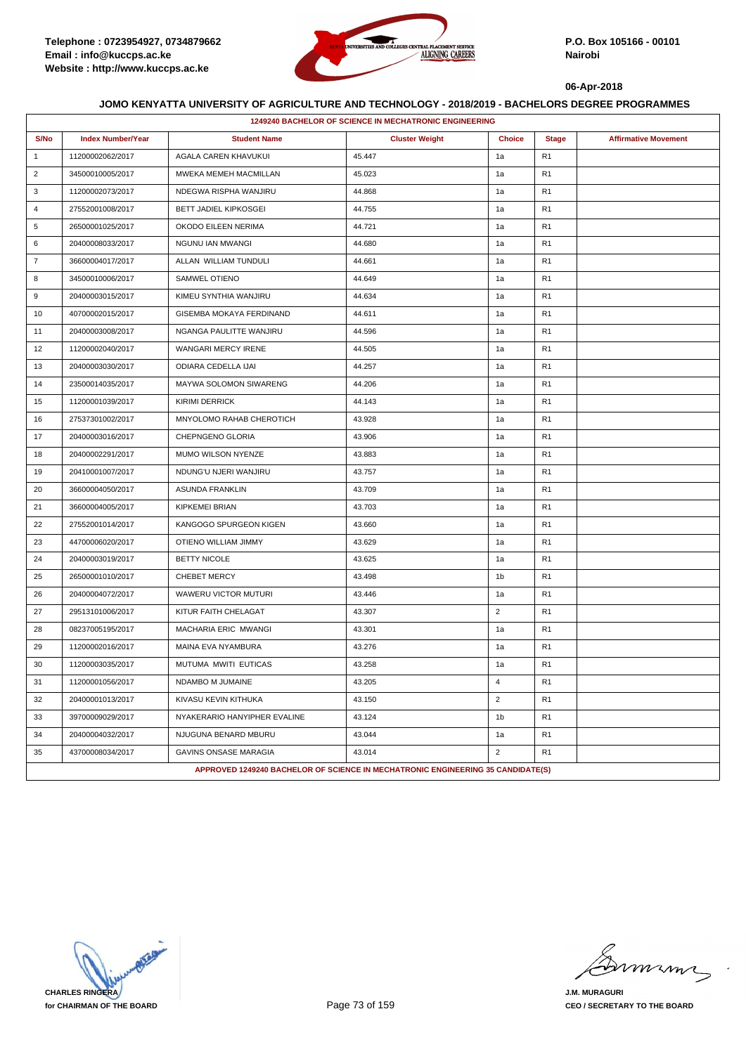

|                | 1249240 BACHELOR OF SCIENCE IN MECHATRONIC ENGINEERING |                                                                                 |                       |                |                |                             |  |  |
|----------------|--------------------------------------------------------|---------------------------------------------------------------------------------|-----------------------|----------------|----------------|-----------------------------|--|--|
| S/No           | <b>Index Number/Year</b>                               | <b>Student Name</b>                                                             | <b>Cluster Weight</b> | <b>Choice</b>  | <b>Stage</b>   | <b>Affirmative Movement</b> |  |  |
| $\overline{1}$ | 11200002062/2017                                       | AGALA CAREN KHAVUKUI                                                            | 45.447                | 1a             | R <sub>1</sub> |                             |  |  |
| $\overline{2}$ | 34500010005/2017                                       | MWEKA MEMEH MACMILLAN                                                           | 45.023                | 1a             | R <sub>1</sub> |                             |  |  |
| 3              | 11200002073/2017                                       | NDEGWA RISPHA WANJIRU                                                           | 44.868                | 1a             | R1             |                             |  |  |
| $\overline{4}$ | 27552001008/2017                                       | <b>BETT JADIEL KIPKOSGEI</b>                                                    | 44.755                | 1a             | R <sub>1</sub> |                             |  |  |
| 5              | 26500001025/2017                                       | OKODO EILEEN NERIMA                                                             | 44.721                | 1a             | R <sub>1</sub> |                             |  |  |
| 6              | 20400008033/2017                                       | NGUNU IAN MWANGI                                                                | 44.680                | 1a             | R <sub>1</sub> |                             |  |  |
| $\overline{7}$ | 36600004017/2017                                       | ALLAN WILLIAM TUNDULI                                                           | 44.661                | 1a             | R <sub>1</sub> |                             |  |  |
| 8              | 34500010006/2017                                       | SAMWEL OTIENO                                                                   | 44.649                | 1a             | R <sub>1</sub> |                             |  |  |
| 9              | 20400003015/2017                                       | KIMEU SYNTHIA WANJIRU                                                           | 44.634                | 1a             | R1             |                             |  |  |
| 10             | 40700002015/2017                                       | GISEMBA MOKAYA FERDINAND                                                        | 44.611                | 1a             | R <sub>1</sub> |                             |  |  |
| 11             | 20400003008/2017                                       | NGANGA PAULITTE WANJIRU                                                         | 44.596                | 1a             | R <sub>1</sub> |                             |  |  |
| 12             | 11200002040/2017                                       | WANGARI MERCY IRENE                                                             | 44.505                | 1a             | R <sub>1</sub> |                             |  |  |
| 13             | 20400003030/2017                                       | ODIARA CEDELLA IJAI                                                             | 44.257                | 1a             | R <sub>1</sub> |                             |  |  |
| 14             | 23500014035/2017                                       | 44.206<br>MAYWA SOLOMON SIWARENG                                                |                       | 1a             | R <sub>1</sub> |                             |  |  |
| 15             | 11200001039/2017                                       | <b>KIRIMI DERRICK</b>                                                           | 44.143                | 1a             | R <sub>1</sub> |                             |  |  |
| 16             | 27537301002/2017<br>MNYOLOMO RAHAB CHEROTICH<br>43.928 |                                                                                 |                       | 1a             | R <sub>1</sub> |                             |  |  |
| 17             | 20400003016/2017                                       | CHEPNGENO GLORIA                                                                | 43.906                |                | R <sub>1</sub> |                             |  |  |
| 18             | 20400002291/2017                                       | MUMO WILSON NYENZE                                                              | 43.883                | 1a             | R <sub>1</sub> |                             |  |  |
| 19             | 20410001007/2017                                       | NDUNG'U NJERI WANJIRU                                                           | 43.757                | 1a             | R <sub>1</sub> |                             |  |  |
| 20             | 36600004050/2017                                       | <b>ASUNDA FRANKLIN</b>                                                          | 43.709                | 1a             | R <sub>1</sub> |                             |  |  |
| 21             | 36600004005/2017                                       | <b>KIPKEMEI BRIAN</b>                                                           | 43.703                | 1a             | R <sub>1</sub> |                             |  |  |
| 22             | 27552001014/2017                                       | KANGOGO SPURGEON KIGEN                                                          | 43.660                | 1a             | R <sub>1</sub> |                             |  |  |
| 23             | 44700006020/2017                                       | OTIENO WILLIAM JIMMY                                                            | 43.629                | 1a             | R <sub>1</sub> |                             |  |  |
| 24             | 20400003019/2017                                       | <b>BETTY NICOLE</b>                                                             | 43.625                | 1a             | R <sub>1</sub> |                             |  |  |
| 25             | 26500001010/2017                                       | <b>CHEBET MERCY</b>                                                             | 43.498                | 1b             | R <sub>1</sub> |                             |  |  |
| 26             | 20400004072/2017                                       | WAWERU VICTOR MUTURI                                                            | 43.446                | 1a             | R <sub>1</sub> |                             |  |  |
| 27             | 29513101006/2017                                       | KITUR FAITH CHELAGAT                                                            | 43.307                | $\overline{2}$ | R <sub>1</sub> |                             |  |  |
| 28             | 08237005195/2017                                       | MACHARIA ERIC MWANGI                                                            | 43.301                | 1a             | R <sub>1</sub> |                             |  |  |
| 29             | 11200002016/2017                                       | MAINA EVA NYAMBURA                                                              | 43.276                | 1a             | R <sub>1</sub> |                             |  |  |
| 30             | 11200003035/2017                                       | MUTUMA MWITI EUTICAS                                                            | 43.258                | 1a             | R1             |                             |  |  |
| 31             | 11200001056/2017                                       | NDAMBO M JUMAINE                                                                | 43.205                | 4              | R1             |                             |  |  |
| 32             | 20400001013/2017                                       | KIVASU KEVIN KITHUKA                                                            | 43.150                | $\overline{2}$ | R <sub>1</sub> |                             |  |  |
| 33             | 39700009029/2017                                       | NYAKERARIO HANYIPHER EVALINE                                                    | 43.124                | 1 <sub>b</sub> | R <sub>1</sub> |                             |  |  |
| 34             | 20400004032/2017                                       | NJUGUNA BENARD MBURU                                                            | 43.044                | 1a             | R <sub>1</sub> |                             |  |  |
| 35             | 43700008034/2017                                       | GAVINS ONSASE MARAGIA                                                           | 43.014                | $\overline{2}$ | R <sub>1</sub> |                             |  |  |
|                |                                                        | APPROVED 1249240 BACHELOR OF SCIENCE IN MECHATRONIC ENGINEERING 35 CANDIDATE(S) |                       |                |                |                             |  |  |

**CHARLES RINGERA for CHAIRMAN OF THE BOARD**

miming

**J.M. MURAGURI CEO / SECRETARY TO THE BOARD**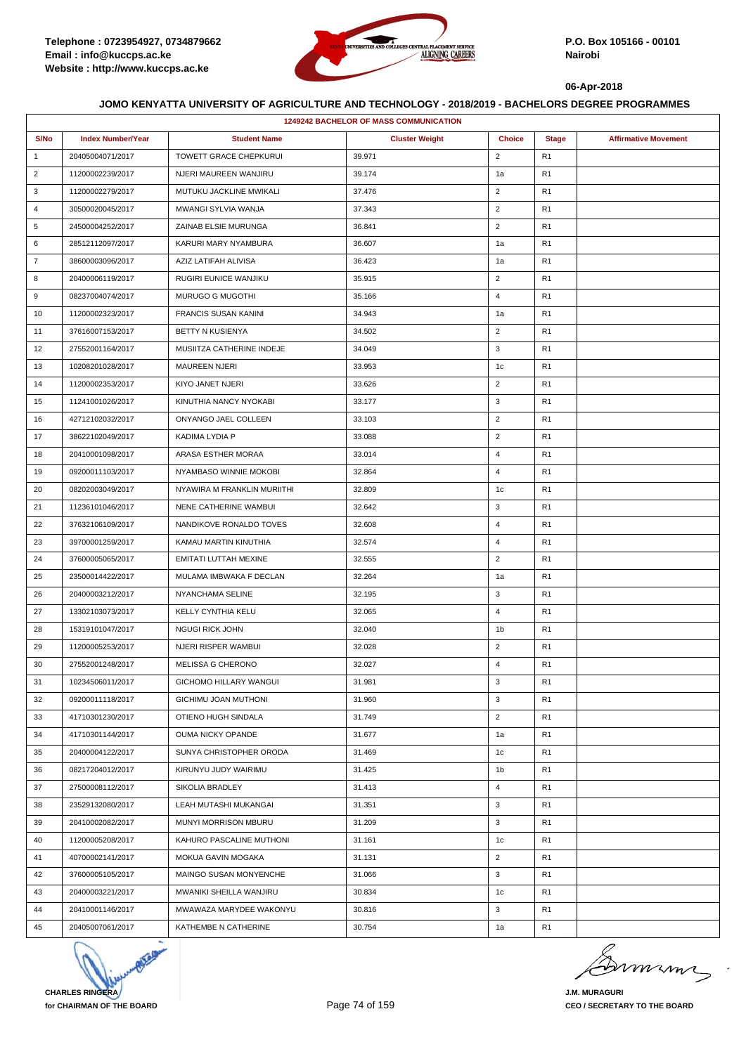

|                | 1249242 BACHELOR OF MASS COMMUNICATION |                             |                       |                |                |                             |  |  |
|----------------|----------------------------------------|-----------------------------|-----------------------|----------------|----------------|-----------------------------|--|--|
| S/No           | <b>Index Number/Year</b>               | <b>Student Name</b>         | <b>Cluster Weight</b> | <b>Choice</b>  | <b>Stage</b>   | <b>Affirmative Movement</b> |  |  |
| $\mathbf{1}$   | 20405004071/2017                       | TOWETT GRACE CHEPKURUI      | 39.971                | $\overline{2}$ | R <sub>1</sub> |                             |  |  |
| $\overline{2}$ | 11200002239/2017                       | NJERI MAUREEN WANJIRU       | 39.174                | 1a             | R <sub>1</sub> |                             |  |  |
| 3              | 11200002279/2017                       | MUTUKU JACKLINE MWIKALI     | 37.476                | $\overline{2}$ | R <sub>1</sub> |                             |  |  |
| 4              | 30500020045/2017                       | MWANGI SYLVIA WANJA         | 37.343                | $\overline{2}$ | R <sub>1</sub> |                             |  |  |
| 5              | 24500004252/2017                       | ZAINAB ELSIE MURUNGA        | 36.841                | $\overline{2}$ | R <sub>1</sub> |                             |  |  |
| 6              | 28512112097/2017                       | KARURI MARY NYAMBURA        | 36.607                | 1a             | R <sub>1</sub> |                             |  |  |
| $\overline{7}$ | 38600003096/2017                       | AZIZ LATIFAH ALIVISA        | 36.423                | 1a             | R <sub>1</sub> |                             |  |  |
| 8              | 20400006119/2017                       | RUGIRI EUNICE WANJIKU       | 35.915                | $\overline{2}$ | R <sub>1</sub> |                             |  |  |
| 9              | 08237004074/2017                       | MURUGO G MUGOTHI            | 35.166                | 4              | R <sub>1</sub> |                             |  |  |
| 10             | 11200002323/2017                       | <b>FRANCIS SUSAN KANINI</b> | 34.943                | 1a             | R <sub>1</sub> |                             |  |  |
| 11             | 37616007153/2017                       | BETTY N KUSIENYA            | 34.502                | $\overline{2}$ | R <sub>1</sub> |                             |  |  |
| 12             | 27552001164/2017                       | MUSIITZA CATHERINE INDEJE   | 34.049                | 3              | R <sub>1</sub> |                             |  |  |
| 13             | 10208201028/2017                       | <b>MAUREEN NJERI</b>        | 33.953                | 1c             | R <sub>1</sub> |                             |  |  |
| 14             | 11200002353/2017                       | KIYO JANET NJERI            | 33.626                | $\overline{2}$ | R <sub>1</sub> |                             |  |  |
| 15             | 11241001026/2017                       | KINUTHIA NANCY NYOKABI      | 33.177                | 3              | R <sub>1</sub> |                             |  |  |
| 16             | 42712102032/2017                       | ONYANGO JAEL COLLEEN        | 33.103                | $\overline{2}$ | R <sub>1</sub> |                             |  |  |
| 17             | 38622102049/2017                       | KADIMA LYDIA P              | 33.088                | $\overline{2}$ | R <sub>1</sub> |                             |  |  |
| 18             | 20410001098/2017                       | ARASA ESTHER MORAA          | 33.014                | $\overline{4}$ | R <sub>1</sub> |                             |  |  |
| 19             | 09200011103/2017                       | NYAMBASO WINNIE MOKOBI      | 32.864                | $\overline{4}$ | R <sub>1</sub> |                             |  |  |
| 20             | 08202003049/2017                       | NYAWIRA M FRANKLIN MURIITHI | 32.809                | 1c             | R <sub>1</sub> |                             |  |  |
| 21             | 11236101046/2017                       | NENE CATHERINE WAMBUI       | 32.642                | 3              | R <sub>1</sub> |                             |  |  |
| 22             | 37632106109/2017                       | NANDIKOVE RONALDO TOVES     | 32.608                | $\overline{4}$ | R <sub>1</sub> |                             |  |  |
| 23             | 39700001259/2017                       | KAMAU MARTIN KINUTHIA       | 32.574                | $\overline{4}$ | R <sub>1</sub> |                             |  |  |
| 24             | 37600005065/2017                       | EMITATI LUTTAH MEXINE       | 32.555                | $\overline{2}$ | R <sub>1</sub> |                             |  |  |
| 25             | 23500014422/2017                       | MULAMA IMBWAKA F DECLAN     | 32.264                | 1a             | R <sub>1</sub> |                             |  |  |
| 26             | 20400003212/2017                       | NYANCHAMA SELINE            | 32.195                | 3              | R <sub>1</sub> |                             |  |  |
| 27             | 13302103073/2017                       | <b>KELLY CYNTHIA KELU</b>   | 32.065                | 4              | R <sub>1</sub> |                             |  |  |
| 28             | 15319101047/2017                       | <b>NGUGI RICK JOHN</b>      | 32.040                | 1b             | R <sub>1</sub> |                             |  |  |
| 29             | 11200005253/2017                       | NJERI RISPER WAMBUI         | 32.028                | $\overline{2}$ | R <sub>1</sub> |                             |  |  |
| 30             | 27552001248/2017                       | <b>MELISSA G CHERONO</b>    | 32.027                | $\overline{4}$ | R <sub>1</sub> |                             |  |  |
| 31             | 10234506011/2017                       | GICHOMO HILLARY WANGUI      | 31.981                | 3              | R <sub>1</sub> |                             |  |  |
| 32             | 09200011118/2017                       | <b>GICHIMU JOAN MUTHONI</b> | 31.960                | 3              | R <sub>1</sub> |                             |  |  |
| 33             | 41710301230/2017                       | OTIENO HUGH SINDALA         | 31.749                | $\overline{2}$ | R <sub>1</sub> |                             |  |  |
| 34             | 41710301144/2017                       | OUMA NICKY OPANDE           | 31.677                | 1a             | R <sub>1</sub> |                             |  |  |
| 35             | 20400004122/2017                       | SUNYA CHRISTOPHER ORODA     | 31.469                | 1c             | R <sub>1</sub> |                             |  |  |
| 36             | 08217204012/2017                       | KIRUNYU JUDY WAIRIMU        | 31.425                | 1b             | R <sub>1</sub> |                             |  |  |
| 37             | 27500008112/2017                       | SIKOLIA BRADLEY             | 31.413                | $\overline{4}$ | R <sub>1</sub> |                             |  |  |
| 38             | 23529132080/2017                       | LEAH MUTASHI MUKANGAI       | 31.351                | 3              | R <sub>1</sub> |                             |  |  |
| 39             | 20410002082/2017                       | MUNYI MORRISON MBURU        | 31.209                | 3              | R <sub>1</sub> |                             |  |  |
| 40             | 11200005208/2017                       | KAHURO PASCALINE MUTHONI    | 31.161                | 1c             | R <sub>1</sub> |                             |  |  |
| 41             | 40700002141/2017                       | MOKUA GAVIN MOGAKA          | 31.131                | $\overline{2}$ | R <sub>1</sub> |                             |  |  |
| 42             | 37600005105/2017                       | MAINGO SUSAN MONYENCHE      | 31.066                | 3              | R <sub>1</sub> |                             |  |  |
| 43             | 20400003221/2017                       | MWANIKI SHEILLA WANJIRU     | 30.834                | 1c             | R <sub>1</sub> |                             |  |  |
| 44             | 20410001146/2017                       | MWAWAZA MARYDEE WAKONYU     | 30.816                | 3              | R <sub>1</sub> |                             |  |  |
| 45             | 20405007061/2017                       | KATHEMBE N CATHERINE        | 30.754                | 1a             | R <sub>1</sub> |                             |  |  |



minn

**J.M. MURAGURI CEO / SECRETARY TO THE BOARD**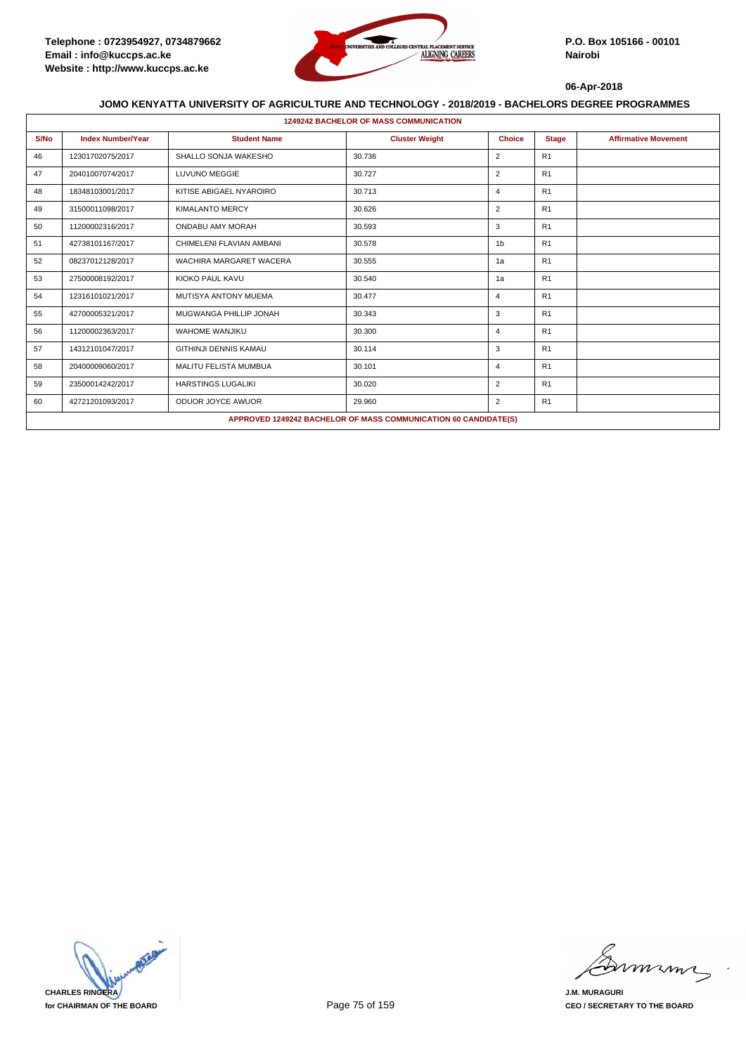

|      | <b>1249242 BACHELOR OF MASS COMMUNICATION</b>          |                                   |                                                                 |                |              |                             |  |  |  |  |
|------|--------------------------------------------------------|-----------------------------------|-----------------------------------------------------------------|----------------|--------------|-----------------------------|--|--|--|--|
| S/No | <b>Index Number/Year</b>                               | <b>Student Name</b>               | <b>Cluster Weight</b>                                           | <b>Choice</b>  | <b>Stage</b> | <b>Affirmative Movement</b> |  |  |  |  |
| 46   | 12301702075/2017                                       | SHALLO SONJA WAKESHO              | 30.736                                                          | $\overline{2}$ | R1           |                             |  |  |  |  |
| 47   | 20401007074/2017                                       | <b>LUVUNO MEGGIE</b>              | 30.727                                                          | 2              | R1           |                             |  |  |  |  |
| 48   | 18348103001/2017                                       | KITISE ABIGAEL NYAROIRO           | 30.713                                                          | $\overline{4}$ | R1           |                             |  |  |  |  |
| 49   | 31500011098/2017                                       | <b>KIMALANTO MERCY</b>            | 30.626                                                          | 2              | R1           |                             |  |  |  |  |
| 50   | 11200002316/2017                                       | ONDABU AMY MORAH                  | 30.593                                                          | 3              | R1           |                             |  |  |  |  |
| 51   | CHIMELENI FLAVIAN AMBANI<br>30.578<br>42738101167/2017 |                                   | 1 <sub>b</sub>                                                  | R1             |              |                             |  |  |  |  |
| 52   | 08237012128/2017                                       | 30.555<br>WACHIRA MARGARET WACERA |                                                                 | 1a             | R1           |                             |  |  |  |  |
| 53   | 27500008192/2017                                       | KIOKO PAUL KAVU                   | 30.540                                                          | 1a             | R1           |                             |  |  |  |  |
| 54   | 12316101021/2017                                       | MUTISYA ANTONY MUEMA              | 30.477                                                          | 4              | R1           |                             |  |  |  |  |
| 55   | 42700005321/2017                                       | MUGWANGA PHILLIP JONAH            | 30.343                                                          | 3              | R1           |                             |  |  |  |  |
| 56   | 11200002363/2017                                       | <b>WAHOME WANJIKU</b>             | 30.300                                                          | $\overline{4}$ | R1           |                             |  |  |  |  |
| 57   | 14312101047/2017                                       | <b>GITHINJI DENNIS KAMAU</b>      | 30.114                                                          | 3              | R1           |                             |  |  |  |  |
| 58   | 20400009060/2017                                       | <b>MALITU FELISTA MUMBUA</b>      | 30.101                                                          | 4              | R1           |                             |  |  |  |  |
| 59   | 23500014242/2017                                       | <b>HARSTINGS LUGALIKI</b>         | 30.020                                                          | $\overline{2}$ | R1           |                             |  |  |  |  |
| 60   | 42721201093/2017                                       | ODUOR JOYCE AWUOR                 | 29.960                                                          | $\overline{2}$ | R1           |                             |  |  |  |  |
|      |                                                        |                                   | APPROVED 1249242 BACHELOR OF MASS COMMUNICATION 60 CANDIDATE(S) |                |              |                             |  |  |  |  |

**CHARLES RINGERA for CHAIRMAN OF THE BOARD**

mmmn

**J.M. MURAGURI CEO / SECRETARY TO THE BOARD**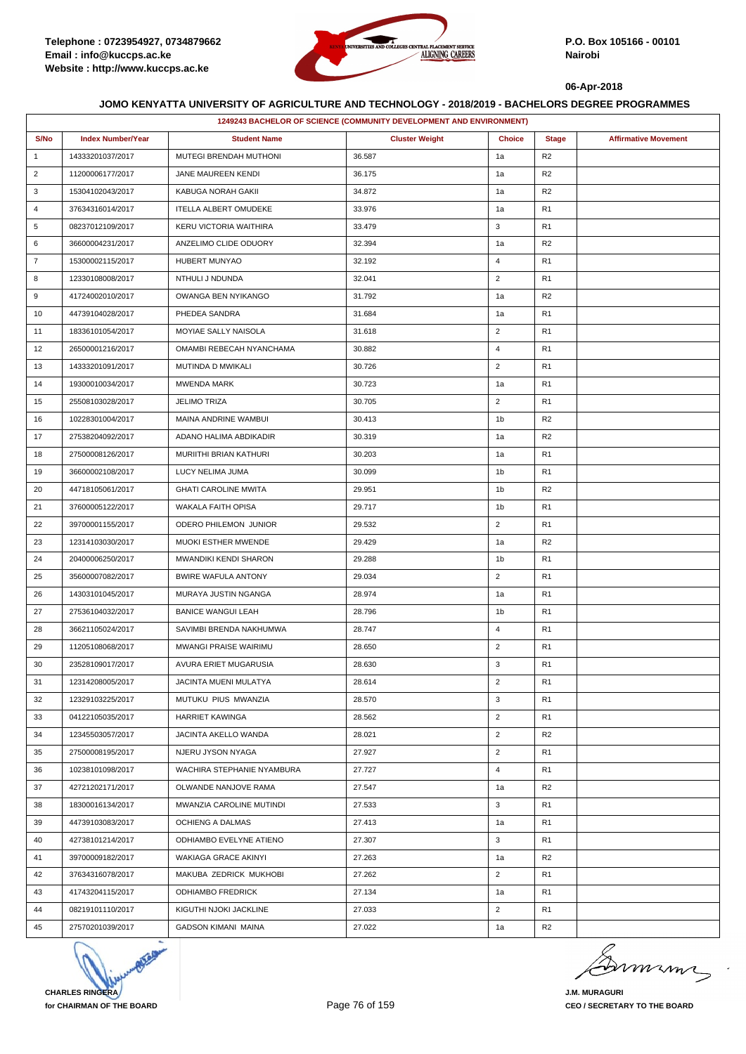

|                | 1249243 BACHELOR OF SCIENCE (COMMUNITY DEVELOPMENT AND ENVIRONMENT) |                              |                       |                |                |                             |  |  |
|----------------|---------------------------------------------------------------------|------------------------------|-----------------------|----------------|----------------|-----------------------------|--|--|
| S/No           | <b>Index Number/Year</b>                                            | <b>Student Name</b>          | <b>Cluster Weight</b> | <b>Choice</b>  | <b>Stage</b>   | <b>Affirmative Movement</b> |  |  |
| $\mathbf{1}$   | 14333201037/2017                                                    | MUTEGI BRENDAH MUTHONI       | 36.587                | 1a             | R <sub>2</sub> |                             |  |  |
| $\overline{2}$ | 11200006177/2017                                                    | JANE MAUREEN KENDI           | 36.175                | 1a             | R <sub>2</sub> |                             |  |  |
| 3              | 15304102043/2017                                                    | KABUGA NORAH GAKII           | 34.872                | 1a             | R <sub>2</sub> |                             |  |  |
| 4              | 37634316014/2017                                                    | <b>ITELLA ALBERT OMUDEKE</b> | 33.976                | 1a             | R <sub>1</sub> |                             |  |  |
| 5              | 08237012109/2017                                                    | KERU VICTORIA WAITHIRA       | 33.479                | 3              | R <sub>1</sub> |                             |  |  |
| 6              | 36600004231/2017                                                    | ANZELIMO CLIDE ODUORY        | 32.394                | 1a             | R <sub>2</sub> |                             |  |  |
| $\overline{7}$ | 15300002115/2017                                                    | <b>HUBERT MUNYAO</b>         | 32.192                | 4              | R <sub>1</sub> |                             |  |  |
| 8              | 12330108008/2017                                                    | NTHULI J NDUNDA              | 32.041                | $\overline{2}$ | R <sub>1</sub> |                             |  |  |
| 9              | 41724002010/2017                                                    | OWANGA BEN NYIKANGO          | 31.792                | 1a             | R <sub>2</sub> |                             |  |  |
| 10             | 44739104028/2017                                                    | PHEDEA SANDRA                | 31.684                | 1a             | R <sub>1</sub> |                             |  |  |
| 11             | 18336101054/2017                                                    | MOYIAE SALLY NAISOLA         | 31.618                | $\overline{2}$ | R <sub>1</sub> |                             |  |  |
| 12             | 26500001216/2017                                                    | OMAMBI REBECAH NYANCHAMA     | 30.882                | 4              | R <sub>1</sub> |                             |  |  |
| 13             | 14333201091/2017                                                    | MUTINDA D MWIKALI            | 30.726                | $\overline{2}$ | R <sub>1</sub> |                             |  |  |
| 14             | 19300010034/2017                                                    | MWENDA MARK                  | 30.723                | 1a             | R <sub>1</sub> |                             |  |  |
| 15             | 25508103028/2017                                                    | <b>JELIMO TRIZA</b>          | 30.705                | $\overline{2}$ | R <sub>1</sub> |                             |  |  |
| 16             | 10228301004/2017                                                    | MAINA ANDRINE WAMBUI         | 30.413                | 1b             | R <sub>2</sub> |                             |  |  |
| 17             | 27538204092/2017                                                    | ADANO HALIMA ABDIKADIR       | 30.319                | 1a             | R <sub>2</sub> |                             |  |  |
| 18             | 27500008126/2017                                                    | MURIITHI BRIAN KATHURI       | 30.203                | 1a             | R <sub>1</sub> |                             |  |  |
| 19             | 36600002108/2017                                                    | LUCY NELIMA JUMA             | 30.099                | 1b             | R <sub>1</sub> |                             |  |  |
| 20             | 44718105061/2017                                                    | <b>GHATI CAROLINE MWITA</b>  | 29.951                | 1b             | R <sub>2</sub> |                             |  |  |
| 21             | 37600005122/2017                                                    | WAKALA FAITH OPISA           | 29.717                | 1b             | R <sub>1</sub> |                             |  |  |
| 22             | 39700001155/2017                                                    | ODERO PHILEMON JUNIOR        | 29.532                | $\overline{2}$ | R <sub>1</sub> |                             |  |  |
| 23             | 12314103030/2017                                                    | MUOKI ESTHER MWENDE          | 29.429                | 1a             | R <sub>2</sub> |                             |  |  |
| 24             | 20400006250/2017                                                    | MWANDIKI KENDI SHARON        | 29.288                | 1b             | R <sub>1</sub> |                             |  |  |
| 25             | 35600007082/2017                                                    | <b>BWIRE WAFULA ANTONY</b>   | 29.034                | $\overline{2}$ | R <sub>1</sub> |                             |  |  |
| 26             | 14303101045/2017                                                    | MURAYA JUSTIN NGANGA         | 28.974                | 1a             | R <sub>1</sub> |                             |  |  |
| 27             | 27536104032/2017                                                    | <b>BANICE WANGUI LEAH</b>    | 28.796                | 1b             | R <sub>1</sub> |                             |  |  |
| 28             | 36621105024/2017                                                    | SAVIMBI BRENDA NAKHUMWA      | 28.747                | $\overline{4}$ | R <sub>1</sub> |                             |  |  |
| 29             | 11205108068/2017                                                    | MWANGI PRAISE WAIRIMU        | 28.650                | $\overline{2}$ | R <sub>1</sub> |                             |  |  |
| 30             | 23528109017/2017                                                    | AVURA ERIET MUGARUSIA        | 28.630                | 3              | R <sub>1</sub> |                             |  |  |
| 31             | 12314208005/2017                                                    | JACINTA MUENI MULATYA        | 28.614                | $\overline{2}$ | R <sub>1</sub> |                             |  |  |
| 32             | 12329103225/2017                                                    | MUTUKU PIUS MWANZIA          | 28.570                | 3              | R <sub>1</sub> |                             |  |  |
| 33             | 04122105035/2017                                                    | <b>HARRIET KAWINGA</b>       | 28.562                | $\overline{2}$ | R <sub>1</sub> |                             |  |  |
| 34             | 12345503057/2017                                                    | JACINTA AKELLO WANDA         | 28.021                | $\overline{2}$ | R <sub>2</sub> |                             |  |  |
| 35             | 27500008195/2017                                                    | NJERU JYSON NYAGA            | 27.927                | $\overline{2}$ | R <sub>1</sub> |                             |  |  |
| 36             | 10238101098/2017                                                    | WACHIRA STEPHANIE NYAMBURA   | 27.727                | 4              | R <sub>1</sub> |                             |  |  |
| 37             | 42721202171/2017                                                    | OLWANDE NANJOVE RAMA         | 27.547                | 1a             | R <sub>2</sub> |                             |  |  |
| 38             | 18300016134/2017                                                    | MWANZIA CAROLINE MUTINDI     | 27.533                | 3              | R <sub>1</sub> |                             |  |  |
| 39             | 44739103083/2017                                                    | OCHIENG A DALMAS             | 27.413                | 1a             | R <sub>1</sub> |                             |  |  |
| 40             | 42738101214/2017                                                    | ODHIAMBO EVELYNE ATIENO      | 27.307                | 3              | R <sub>1</sub> |                             |  |  |
| 41             | 39700009182/2017                                                    | WAKIAGA GRACE AKINYI         | 27.263                | 1a             | R <sub>2</sub> |                             |  |  |
| 42             | 37634316078/2017                                                    | MAKUBA ZEDRICK MUKHOBI       | 27.262                | $\overline{2}$ | R <sub>1</sub> |                             |  |  |
| 43             | 41743204115/2017                                                    | <b>ODHIAMBO FREDRICK</b>     | 27.134                | 1a             | R <sub>1</sub> |                             |  |  |
| 44             | 08219101110/2017                                                    | KIGUTHI NJOKI JACKLINE       | 27.033                | $\overline{2}$ | R <sub>1</sub> |                             |  |  |
| 45             | 27570201039/2017                                                    | <b>GADSON KIMANI MAINA</b>   | 27.022                | 1a             | R <sub>2</sub> |                             |  |  |

**CHARLES RINGERA for CHAIRMAN OF THE BOARD**

mumi

**J.M. MURAGURI CEO / SECRETARY TO THE BOARD**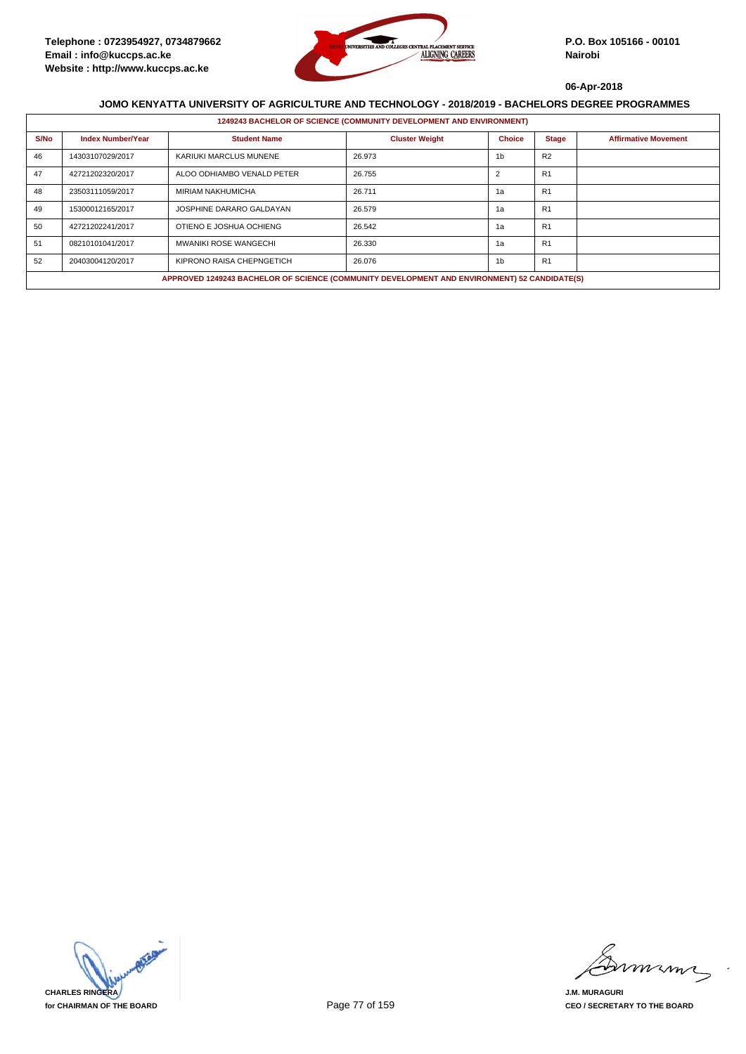

|      | 1249243 BACHELOR OF SCIENCE (COMMUNITY DEVELOPMENT AND ENVIRONMENT) |                                                                                              |                       |                |                |                             |  |  |  |
|------|---------------------------------------------------------------------|----------------------------------------------------------------------------------------------|-----------------------|----------------|----------------|-----------------------------|--|--|--|
| S/No | <b>Index Number/Year</b>                                            | <b>Student Name</b>                                                                          | <b>Cluster Weight</b> | <b>Choice</b>  | <b>Stage</b>   | <b>Affirmative Movement</b> |  |  |  |
| 46   | 14303107029/2017                                                    | KARIUKI MARCLUS MUNENE                                                                       | 26.973                | 1 <sub>b</sub> | R <sub>2</sub> |                             |  |  |  |
| 47   | 42721202320/2017                                                    | ALOO ODHIAMBO VENALD PETER                                                                   | 26.755                | $\overline{2}$ | R <sub>1</sub> |                             |  |  |  |
| 48   | 23503111059/2017                                                    | <b>MIRIAM NAKHUMICHA</b>                                                                     | 26.711                | 1a             | R1             |                             |  |  |  |
| 49   | 15300012165/2017                                                    | JOSPHINE DARARO GALDAYAN                                                                     | 26.579                | 1a             | R <sub>1</sub> |                             |  |  |  |
| 50   | 42721202241/2017                                                    | OTIENO E JOSHUA OCHIENG                                                                      | 26.542                | 1a             | R <sub>1</sub> |                             |  |  |  |
| 51   | 08210101041/2017                                                    | <b>MWANIKI ROSE WANGECHI</b>                                                                 | 26.330                | 1a             | R <sub>1</sub> |                             |  |  |  |
| 52   | 20403004120/2017                                                    | KIPRONO RAISA CHEPNGETICH                                                                    | 26.076                | 1 <sub>b</sub> | R1             |                             |  |  |  |
|      |                                                                     | APPROVED 1249243 BACHELOR OF SCIENCE (COMMUNITY DEVELOPMENT AND ENVIRONMENT) 52 CANDIDATE(S) |                       |                |                |                             |  |  |  |



mmmn

**J.M. MURAGURI CEO / SECRETARY TO THE BOARD**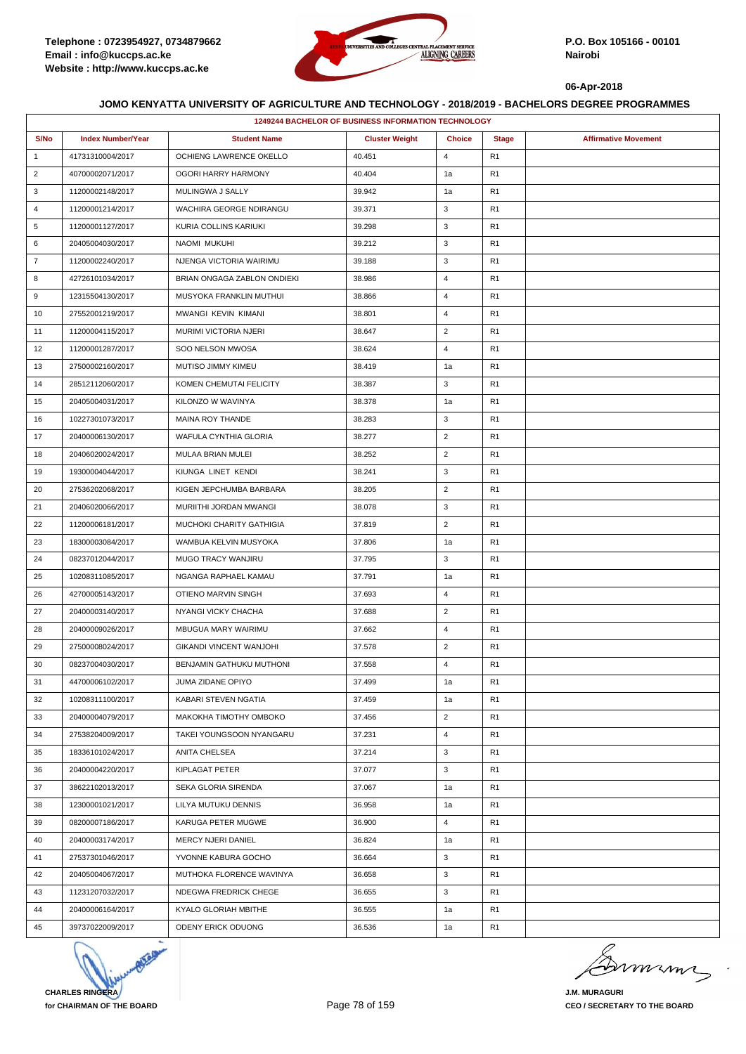

|                | 1249244 BACHELOR OF BUSINESS INFORMATION TECHNOLOGY |                                 |                       |                |                |                             |  |  |
|----------------|-----------------------------------------------------|---------------------------------|-----------------------|----------------|----------------|-----------------------------|--|--|
| S/No           | <b>Index Number/Year</b>                            | <b>Student Name</b>             | <b>Cluster Weight</b> | <b>Choice</b>  | <b>Stage</b>   | <b>Affirmative Movement</b> |  |  |
| $\mathbf{1}$   | 41731310004/2017                                    | OCHIENG LAWRENCE OKELLO         | 40.451                | $\overline{4}$ | R <sub>1</sub> |                             |  |  |
| $\overline{2}$ | 40700002071/2017                                    | OGORI HARRY HARMONY             | 40.404                | 1a             | R <sub>1</sub> |                             |  |  |
| 3              | 11200002148/2017                                    | MULINGWA J SALLY                | 39.942                | 1a             | R <sub>1</sub> |                             |  |  |
| 4              | 11200001214/2017                                    | WACHIRA GEORGE NDIRANGU         | 39.371                | 3              | R <sub>1</sub> |                             |  |  |
| 5              | 11200001127/2017                                    | KURIA COLLINS KARIUKI           | 39.298                | 3              | R <sub>1</sub> |                             |  |  |
| 6              | 20405004030/2017                                    | NAOMI MUKUHI                    | 39.212                | 3              | R <sub>1</sub> |                             |  |  |
| 7              | 11200002240/2017                                    | NJENGA VICTORIA WAIRIMU         | 39.188                | 3              | R <sub>1</sub> |                             |  |  |
| 8              | 42726101034/2017                                    | BRIAN ONGAGA ZABLON ONDIEKI     | 38.986                | 4              | R <sub>1</sub> |                             |  |  |
| 9              | 12315504130/2017                                    | MUSYOKA FRANKLIN MUTHUI         | 38.866                | 4              | R <sub>1</sub> |                             |  |  |
| 10             | 27552001219/2017                                    | MWANGI KEVIN KIMANI             | 38.801                | 4              | R <sub>1</sub> |                             |  |  |
| 11             | 11200004115/2017                                    | MURIMI VICTORIA NJERI           | 38.647                | $\overline{2}$ | R <sub>1</sub> |                             |  |  |
| 12             | 11200001287/2017                                    | SOO NELSON MWOSA                | 38.624                | $\overline{4}$ | R <sub>1</sub> |                             |  |  |
| 13             | 27500002160/2017                                    | MUTISO JIMMY KIMEU              | 38.419                | 1a             | R <sub>1</sub> |                             |  |  |
| 14             | 28512112060/2017                                    | KOMEN CHEMUTAI FELICITY         | 38.387                | 3              | R <sub>1</sub> |                             |  |  |
| 15             | 20405004031/2017                                    | KILONZO W WAVINYA               | 38.378                | 1a             | R <sub>1</sub> |                             |  |  |
| 16             | 10227301073/2017                                    | MAINA ROY THANDE                | 38.283                | 3              | R <sub>1</sub> |                             |  |  |
| 17             | 20400006130/2017                                    | WAFULA CYNTHIA GLORIA           | 38.277                | $\overline{2}$ | R <sub>1</sub> |                             |  |  |
| 18             | 20406020024/2017                                    | MULAA BRIAN MULEI               | 38.252                | $\overline{2}$ | R <sub>1</sub> |                             |  |  |
| 19             | 19300004044/2017                                    | KIUNGA LINET KENDI              | 38.241                | 3              | R <sub>1</sub> |                             |  |  |
| 20             | 27536202068/2017                                    | KIGEN JEPCHUMBA BARBARA         | 38.205                | $\overline{2}$ | R <sub>1</sub> |                             |  |  |
| 21             | 20406020066/2017                                    | MURIITHI JORDAN MWANGI          | 38.078                | 3              | R <sub>1</sub> |                             |  |  |
| 22             | 11200006181/2017                                    | MUCHOKI CHARITY GATHIGIA        | 37.819                | $\overline{2}$ | R <sub>1</sub> |                             |  |  |
| 23             | 18300003084/2017                                    | WAMBUA KELVIN MUSYOKA           | 37.806                | 1a             | R <sub>1</sub> |                             |  |  |
| 24             | 08237012044/2017                                    | MUGO TRACY WANJIRU              | 37.795                | 3              | R <sub>1</sub> |                             |  |  |
| 25             | 10208311085/2017                                    | NGANGA RAPHAEL KAMAU            | 37.791                | 1a             | R <sub>1</sub> |                             |  |  |
| 26             | 42700005143/2017                                    | OTIENO MARVIN SINGH             | 37.693                | $\overline{4}$ | R <sub>1</sub> |                             |  |  |
| 27             | 20400003140/2017                                    | NYANGI VICKY CHACHA             | 37.688                | $\overline{2}$ | R <sub>1</sub> |                             |  |  |
| 28             | 20400009026/2017                                    | MBUGUA MARY WAIRIMU             | 37.662                | 4              | R <sub>1</sub> |                             |  |  |
| 29             | 27500008024/2017                                    | <b>GIKANDI VINCENT WANJOHI</b>  | 37.578                | $\overline{2}$ | R <sub>1</sub> |                             |  |  |
| 30             | 08237004030/2017                                    | <b>BENJAMIN GATHUKU MUTHONI</b> | 37.558                | $\overline{4}$ | R <sub>1</sub> |                             |  |  |
| 31             | 44700006102/2017                                    | JUMA ZIDANE OPIYO               | 37.499                | 1a             | R <sub>1</sub> |                             |  |  |
| 32             | 10208311100/2017                                    | KABARI STEVEN NGATIA            | 37.459                | 1a             | R <sub>1</sub> |                             |  |  |
| 33             | 20400004079/2017                                    | MAKOKHA TIMOTHY OMBOKO          | 37.456                | $\overline{2}$ | R <sub>1</sub> |                             |  |  |
| 34             | 27538204009/2017                                    | TAKEI YOUNGSOON NYANGARU        | 37.231                | 4              | R <sub>1</sub> |                             |  |  |
| 35             | 18336101024/2017                                    | ANITA CHELSEA                   | 37.214                | 3              | R <sub>1</sub> |                             |  |  |
| 36             | 20400004220/2017                                    | KIPLAGAT PETER                  | 37.077                | 3              | R <sub>1</sub> |                             |  |  |
| 37             | 38622102013/2017                                    | SEKA GLORIA SIRENDA             | 37.067                | 1a             | R <sub>1</sub> |                             |  |  |
| 38             | 12300001021/2017                                    | LILYA MUTUKU DENNIS             | 36.958                | 1a             | R <sub>1</sub> |                             |  |  |
| 39             | 08200007186/2017                                    | KARUGA PETER MUGWE              | 36.900                | $\overline{4}$ | R <sub>1</sub> |                             |  |  |
| 40             | 20400003174/2017                                    | MERCY NJERI DANIEL              | 36.824                | 1a             | R <sub>1</sub> |                             |  |  |
| 41             | 27537301046/2017                                    | YVONNE KABURA GOCHO             | 36.664                | 3              | R <sub>1</sub> |                             |  |  |
| 42             | 20405004067/2017                                    | MUTHOKA FLORENCE WAVINYA        | 36.658                | 3              | R <sub>1</sub> |                             |  |  |
| 43             | 11231207032/2017                                    | NDEGWA FREDRICK CHEGE           | 36.655                | 3              | R <sub>1</sub> |                             |  |  |
| 44             | 20400006164/2017                                    | KYALO GLORIAH MBITHE            | 36.555                | 1a             | R <sub>1</sub> |                             |  |  |
| 45             | 39737022009/2017                                    | ODENY ERICK ODUONG              | 36.536                | 1a             | R <sub>1</sub> |                             |  |  |
|                |                                                     |                                 |                       |                |                |                             |  |  |



murme

**J.M. MURAGURI CEO / SECRETARY TO THE BOARD**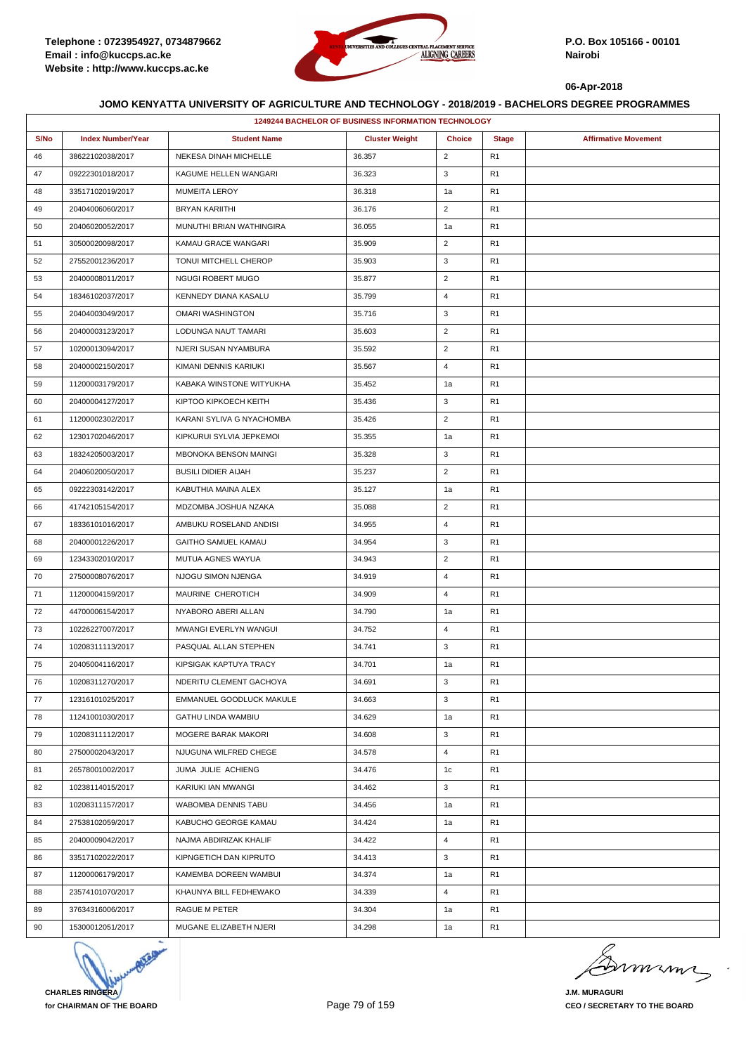

|      |                          | 1249244 BACHELOR OF BUSINESS INFORMATION TECHNOLOGY |                       |                |                |                             |
|------|--------------------------|-----------------------------------------------------|-----------------------|----------------|----------------|-----------------------------|
| S/No | <b>Index Number/Year</b> | <b>Student Name</b>                                 | <b>Cluster Weight</b> | <b>Choice</b>  | <b>Stage</b>   | <b>Affirmative Movement</b> |
| 46   | 38622102038/2017         | NEKESA DINAH MICHELLE                               | 36.357                | $\overline{2}$ | R1             |                             |
| 47   | 09222301018/2017         | KAGUME HELLEN WANGARI                               | 36.323                | 3              | R1             |                             |
| 48   | 33517102019/2017         | <b>MUMEITA LEROY</b>                                | 36.318                | 1a             | R <sub>1</sub> |                             |
| 49   | 20404006060/2017         | <b>BRYAN KARIITHI</b>                               | 36.176                | $\overline{2}$ | R1             |                             |
| 50   | 20406020052/2017         | MUNUTHI BRIAN WATHINGIRA                            | 36.055                | 1a             | R1             |                             |
| 51   | 30500020098/2017         | KAMAU GRACE WANGARI                                 | 35.909                | $\overline{2}$ | R <sub>1</sub> |                             |
| 52   | 27552001236/2017         | TONUI MITCHELL CHEROP                               | 35.903                | 3              | R <sub>1</sub> |                             |
| 53   | 20400008011/2017         | NGUGI ROBERT MUGO                                   | 35.877                | $\overline{2}$ | R1             |                             |
| 54   | 18346102037/2017         | KENNEDY DIANA KASALU                                | 35.799                | 4              | R <sub>1</sub> |                             |
| 55   | 20404003049/2017         | <b>OMARI WASHINGTON</b>                             | 35.716                | 3              | R1             |                             |
| 56   | 20400003123/2017         | LODUNGA NAUT TAMARI                                 | 35.603                | $\overline{2}$ | R1             |                             |
| 57   | 10200013094/2017         | NJERI SUSAN NYAMBURA                                | 35.592                | $\overline{2}$ | R <sub>1</sub> |                             |
| 58   | 20400002150/2017         | KIMANI DENNIS KARIUKI                               | 35.567                | 4              | R1             |                             |
| 59   | 11200003179/2017         | KABAKA WINSTONE WITYUKHA                            | 35.452                | 1a             | R1             |                             |
| 60   | 20400004127/2017         | KIPTOO KIPKOECH KEITH                               | 35.436                | 3              | R1             |                             |
| 61   | 11200002302/2017         | KARANI SYLIVA G NYACHOMBA                           | 35.426                | $\overline{2}$ | R <sub>1</sub> |                             |
| 62   | 12301702046/2017         | KIPKURUI SYLVIA JEPKEMOI                            | 35.355                | 1a             | R1             |                             |
| 63   | 18324205003/2017         | <b>MBONOKA BENSON MAINGI</b>                        | 35.328                | 3              | R <sub>1</sub> |                             |
| 64   | 20406020050/2017         | <b>BUSILI DIDIER AIJAH</b>                          | 35.237                | $\overline{2}$ | R <sub>1</sub> |                             |
| 65   | 09222303142/2017         | KABUTHIA MAINA ALEX                                 | 35.127                | 1a             | R1             |                             |
| 66   | 41742105154/2017         | MDZOMBA JOSHUA NZAKA                                | 35.088                | $\overline{2}$ | R <sub>1</sub> |                             |
| 67   | 18336101016/2017         | AMBUKU ROSELAND ANDISI                              | 34.955                | 4              | R1             |                             |
| 68   | 20400001226/2017         | <b>GAITHO SAMUEL KAMAU</b>                          | 34.954                | 3              | R1             |                             |
| 69   | 12343302010/2017         | MUTUA AGNES WAYUA                                   | 34.943                | $\overline{2}$ | R <sub>1</sub> |                             |
| 70   | 27500008076/2017         | NJOGU SIMON NJENGA                                  | 34.919                | 4              | R1             |                             |
| 71   | 11200004159/2017         | MAURINE CHEROTICH                                   | 34.909                | $\overline{4}$ | R1             |                             |
| 72   | 44700006154/2017         | NYABORO ABERI ALLAN                                 | 34.790                | 1a             | R <sub>1</sub> |                             |
| 73   | 10226227007/2017         | <b>MWANGI EVERLYN WANGUI</b>                        | 34.752                | 4              | R <sub>1</sub> |                             |
| 74   | 10208311113/2017         | PASQUAL ALLAN STEPHEN                               | 34.741                | 3              | R <sub>1</sub> |                             |
| 75   | 20405004116/2017         | KIPSIGAK KAPTUYA TRACY                              | 34.701                | 1a             | R <sub>1</sub> |                             |
| 76   | 10208311270/2017         | NDERITU CLEMENT GACHOYA                             | 34.691                | 3              | R <sub>1</sub> |                             |
| 77   | 12316101025/2017         | EMMANUEL GOODLUCK MAKULE                            | 34.663                | 3              | R1             |                             |
| 78   | 11241001030/2017         | GATHU LINDA WAMBIU                                  | 34.629                | 1a             | R1             |                             |
| 79   | 10208311112/2017         | MOGERE BARAK MAKORI                                 | 34.608                | 3              | R1             |                             |
| 80   | 27500002043/2017         | NJUGUNA WILFRED CHEGE                               | 34.578                | $\overline{4}$ | R1             |                             |
| 81   | 26578001002/2017         | JUMA JULIE ACHIENG                                  | 34.476                | 1 <sub>c</sub> | R <sub>1</sub> |                             |
| 82   | 10238114015/2017         | KARIUKI IAN MWANGI                                  | 34.462                | 3              | R1             |                             |
| 83   | 10208311157/2017         | WABOMBA DENNIS TABU                                 | 34.456                | 1a             | R1             |                             |
| 84   | 27538102059/2017         | KABUCHO GEORGE KAMAU                                | 34.424                | 1a             | R <sub>1</sub> |                             |
| 85   | 20400009042/2017         | NAJMA ABDIRIZAK KHALIF                              | 34.422                | 4              | R1             |                             |
| 86   | 33517102022/2017         | KIPNGETICH DAN KIPRUTO                              | 34.413                | 3              | R1             |                             |
| 87   | 11200006179/2017         | KAMEMBA DOREEN WAMBUI                               | 34.374                | 1a             | R <sub>1</sub> |                             |
| 88   | 23574101070/2017         | KHAUNYA BILL FEDHEWAKO                              | 34.339                | 4              | R1             |                             |
| 89   | 37634316006/2017         | RAGUE M PETER                                       | 34.304                | 1a             | R1             |                             |
| 90   | 15300012051/2017         | MUGANE ELIZABETH NJERI                              | 34.298                | 1a             | R <sub>1</sub> |                             |
|      |                          |                                                     |                       |                |                |                             |



Dimimi  $\Rightarrow$ 

**J.M. MURAGURI CEO / SECRETARY TO THE BOARD**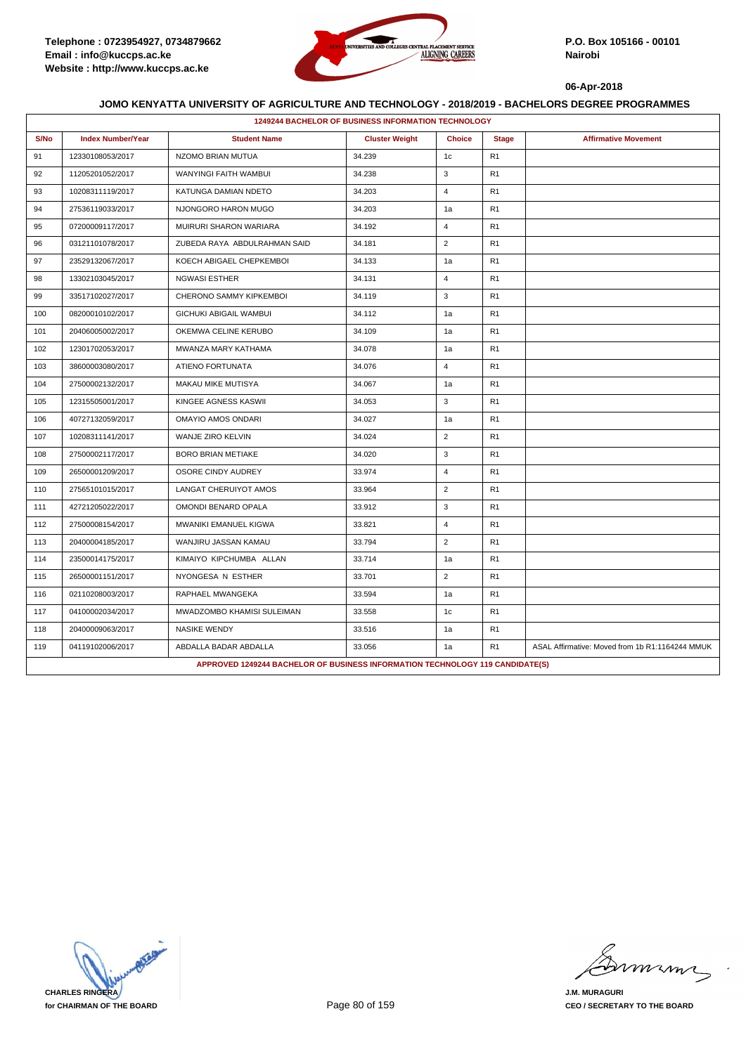

|      | 1249244 BACHELOR OF BUSINESS INFORMATION TECHNOLOGY |                                                                               |                       |                |                |                                                 |  |  |
|------|-----------------------------------------------------|-------------------------------------------------------------------------------|-----------------------|----------------|----------------|-------------------------------------------------|--|--|
| S/No | <b>Index Number/Year</b>                            | <b>Student Name</b>                                                           | <b>Cluster Weight</b> | <b>Choice</b>  | <b>Stage</b>   | <b>Affirmative Movement</b>                     |  |  |
| 91   | 12330108053/2017                                    | NZOMO BRIAN MUTUA                                                             | 34.239                | 1c             | R <sub>1</sub> |                                                 |  |  |
| 92   | 11205201052/2017                                    | WANYINGI FAITH WAMBUI                                                         | 34.238                | 3              | R1             |                                                 |  |  |
| 93   | 10208311119/2017                                    | KATUNGA DAMIAN NDETO                                                          | 34.203                | $\overline{4}$ | R <sub>1</sub> |                                                 |  |  |
| 94   | 27536119033/2017                                    | NJONGORO HARON MUGO                                                           | 34.203                | 1a             | R1             |                                                 |  |  |
| 95   | 07200009117/2017                                    | MUIRURI SHARON WARIARA                                                        | 34.192                | $\overline{4}$ | R <sub>1</sub> |                                                 |  |  |
| 96   | 03121101078/2017                                    | ZUBEDA RAYA ABDULRAHMAN SAID                                                  | 34.181                | $\overline{2}$ | R <sub>1</sub> |                                                 |  |  |
| 97   | 23529132067/2017                                    | KOECH ABIGAEL CHEPKEMBOI                                                      | 34.133                | 1a             | R <sub>1</sub> |                                                 |  |  |
| 98   | 13302103045/2017                                    | <b>NGWASI ESTHER</b>                                                          | 34.131                | $\overline{4}$ | R <sub>1</sub> |                                                 |  |  |
| 99   | 33517102027/2017                                    | CHERONO SAMMY KIPKEMBOI                                                       | 34.119                | 3              | R1             |                                                 |  |  |
| 100  | 08200010102/2017                                    | GICHUKI ABIGAIL WAMBUI                                                        | 34.112                | 1a             | R1             |                                                 |  |  |
| 101  | 20406005002/2017                                    | OKEMWA CELINE KERUBO                                                          | 34.109                | 1a             | R1             |                                                 |  |  |
| 102  | 12301702053/2017                                    | MWANZA MARY KATHAMA                                                           | 34.078                | 1a             | R1             |                                                 |  |  |
| 103  | 38600003080/2017                                    | ATIENO FORTUNATA                                                              | 34.076                | $\overline{4}$ | R <sub>1</sub> |                                                 |  |  |
| 104  | 27500002132/2017                                    | MAKAU MIKE MUTISYA                                                            | 34.067                | 1a             | R <sub>1</sub> |                                                 |  |  |
| 105  | 12315505001/2017                                    | KINGEE AGNESS KASWII                                                          | 34.053                | 3              | R <sub>1</sub> |                                                 |  |  |
| 106  | 40727132059/2017                                    | OMAYIO AMOS ONDARI                                                            | 34.027                | 1a             | R1             |                                                 |  |  |
| 107  | 10208311141/2017                                    | WANJE ZIRO KELVIN                                                             | 34.024                | $\overline{2}$ | R <sub>1</sub> |                                                 |  |  |
| 108  | 27500002117/2017                                    | <b>BORO BRIAN METIAKE</b>                                                     | 34.020                | 3              | R1             |                                                 |  |  |
| 109  | 26500001209/2017                                    | OSORE CINDY AUDREY                                                            | 33.974                | $\overline{4}$ | R1             |                                                 |  |  |
| 110  | 27565101015/2017                                    | LANGAT CHERUIYOT AMOS                                                         | 33.964                | $\overline{2}$ | R <sub>1</sub> |                                                 |  |  |
| 111  | 42721205022/2017                                    | OMONDI BENARD OPALA                                                           | 33.912                | 3              | R1             |                                                 |  |  |
| 112  | 27500008154/2017                                    | MWANIKI EMANUEL KIGWA                                                         | 33.821                | $\overline{4}$ | R1             |                                                 |  |  |
| 113  | 20400004185/2017                                    | WANJIRU JASSAN KAMAU                                                          | 33.794                | $\overline{2}$ | R <sub>1</sub> |                                                 |  |  |
| 114  | 23500014175/2017                                    | KIMAIYO KIPCHUMBA ALLAN                                                       | 33.714                | 1a             | R1             |                                                 |  |  |
| 115  | 26500001151/2017                                    | NYONGESA N ESTHER                                                             | 33.701                | $\overline{2}$ | R <sub>1</sub> |                                                 |  |  |
| 116  | 02110208003/2017                                    | RAPHAEL MWANGEKA                                                              | 33.594                | 1a             | R1             |                                                 |  |  |
| 117  | 04100002034/2017                                    | MWADZOMBO KHAMISI SULEIMAN                                                    | 33.558                | 1c             | R <sub>1</sub> |                                                 |  |  |
| 118  | 20400009063/2017                                    | <b>NASIKE WENDY</b>                                                           | 33.516                | 1a             | R <sub>1</sub> |                                                 |  |  |
| 119  | 04119102006/2017                                    | ABDALLA BADAR ABDALLA                                                         | 33.056                | 1a             | R1             | ASAL Affirmative: Moved from 1b R1:1164244 MMUK |  |  |
|      |                                                     | APPROVED 1249244 BACHELOR OF BUSINESS INFORMATION TECHNOLOGY 119 CANDIDATE(S) |                       |                |                |                                                 |  |  |

**CHARLES RINGERA for CHAIRMAN OF THE BOARD**

mmmn

**J.M. MURAGURI CEO / SECRETARY TO THE BOARD**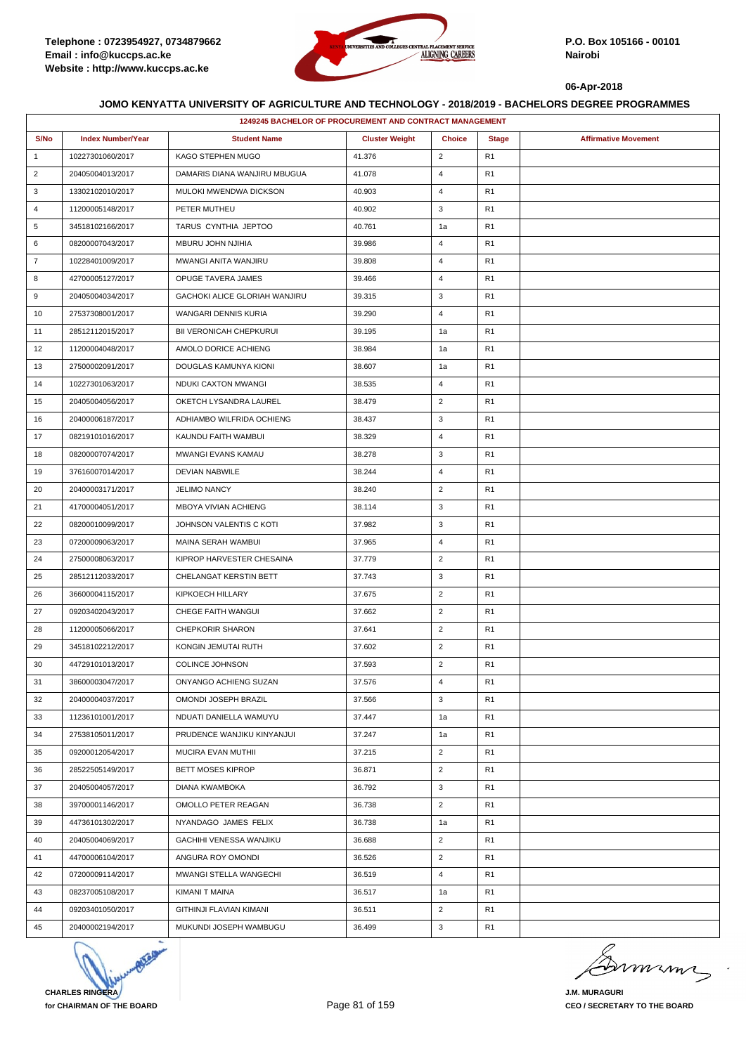

|                | 1249245 BACHELOR OF PROCUREMENT AND CONTRACT MANAGEMENT |                                |                       |                |                |                             |  |  |
|----------------|---------------------------------------------------------|--------------------------------|-----------------------|----------------|----------------|-----------------------------|--|--|
| S/No           | <b>Index Number/Year</b>                                | <b>Student Name</b>            | <b>Cluster Weight</b> | <b>Choice</b>  | <b>Stage</b>   | <b>Affirmative Movement</b> |  |  |
| $\mathbf{1}$   | 10227301060/2017                                        | KAGO STEPHEN MUGO              | 41.376                | $\overline{2}$ | R <sub>1</sub> |                             |  |  |
| $\overline{2}$ | 20405004013/2017                                        | DAMARIS DIANA WANJIRU MBUGUA   | 41.078                | 4              | R <sub>1</sub> |                             |  |  |
| 3              | 13302102010/2017                                        | MULOKI MWENDWA DICKSON         | 40.903                | 4              | R <sub>1</sub> |                             |  |  |
| $\overline{4}$ | 11200005148/2017                                        | PETER MUTHEU                   | 40.902                | 3              | R <sub>1</sub> |                             |  |  |
| 5              | 34518102166/2017                                        | TARUS CYNTHIA JEPTOO           | 40.761                | 1a             | R <sub>1</sub> |                             |  |  |
| 6              | 08200007043/2017                                        | MBURU JOHN NJIHIA              | 39.986                | 4              | R <sub>1</sub> |                             |  |  |
| $\overline{7}$ | 10228401009/2017                                        | MWANGI ANITA WANJIRU           | 39.808                | 4              | R <sub>1</sub> |                             |  |  |
| 8              | 42700005127/2017                                        | <b>OPUGE TAVERA JAMES</b>      | 39.466                | $\overline{4}$ | R <sub>1</sub> |                             |  |  |
| 9              | 20405004034/2017                                        | GACHOKI ALICE GLORIAH WANJIRU  | 39.315                | 3              | R <sub>1</sub> |                             |  |  |
| 10             | 27537308001/2017                                        | WANGARI DENNIS KURIA           | 39.290                | 4              | R <sub>1</sub> |                             |  |  |
| 11             | 28512112015/2017                                        | <b>BII VERONICAH CHEPKURUI</b> | 39.195                | 1a             | R <sub>1</sub> |                             |  |  |
| 12             | 11200004048/2017                                        | AMOLO DORICE ACHIENG           | 38.984                | 1a             | R <sub>1</sub> |                             |  |  |
| 13             | 27500002091/2017                                        | DOUGLAS KAMUNYA KIONI          | 38.607                | 1a             | R <sub>1</sub> |                             |  |  |
| 14             | 10227301063/2017                                        | NDUKI CAXTON MWANGI            | 38.535                | $\overline{4}$ | R <sub>1</sub> |                             |  |  |
| 15             | 20405004056/2017                                        | OKETCH LYSANDRA LAUREL         | 38.479                | $\overline{2}$ | R <sub>1</sub> |                             |  |  |
| 16             | 20400006187/2017                                        | ADHIAMBO WILFRIDA OCHIENG      | 38.437                | 3              | R <sub>1</sub> |                             |  |  |
| 17             | 08219101016/2017                                        | KAUNDU FAITH WAMBUI            | 38.329                | 4              | R <sub>1</sub> |                             |  |  |
| 18             | 08200007074/2017                                        | MWANGI EVANS KAMAU             | 38.278                | 3              | R <sub>1</sub> |                             |  |  |
| 19             | 37616007014/2017                                        | <b>DEVIAN NABWILE</b>          | 38.244                | 4              | R <sub>1</sub> |                             |  |  |
| 20             | 20400003171/2017                                        | <b>JELIMO NANCY</b>            | 38.240                | $\overline{2}$ | R <sub>1</sub> |                             |  |  |
| 21             | 41700004051/2017                                        | MBOYA VIVIAN ACHIENG           | 38.114                | 3              | R <sub>1</sub> |                             |  |  |
| 22             | 08200010099/2017                                        | JOHNSON VALENTIS C KOTI        | 37.982                | 3              | R <sub>1</sub> |                             |  |  |
| 23             | 07200009063/2017                                        | MAINA SERAH WAMBUI             | 37.965                | $\overline{4}$ | R <sub>1</sub> |                             |  |  |
| 24             | 27500008063/2017                                        | KIPROP HARVESTER CHESAINA      | 37.779                | $\overline{2}$ | R <sub>1</sub> |                             |  |  |
| 25             | 28512112033/2017                                        | CHELANGAT KERSTIN BETT         | 37.743                | 3              | R <sub>1</sub> |                             |  |  |
| 26             | 36600004115/2017                                        | KIPKOECH HILLARY               | 37.675                | $\overline{2}$ | R <sub>1</sub> |                             |  |  |
| 27             | 09203402043/2017                                        | CHEGE FAITH WANGUI             | 37.662                | $\overline{2}$ | R <sub>1</sub> |                             |  |  |
| 28             | 11200005066/2017                                        | <b>CHEPKORIR SHARON</b>        | 37.641                | $\overline{2}$ | R <sub>1</sub> |                             |  |  |
| 29             | 34518102212/2017                                        | KONGIN JEMUTAI RUTH            | 37.602                | $\overline{2}$ | R <sub>1</sub> |                             |  |  |
| 30             | 44729101013/2017                                        | <b>COLINCE JOHNSON</b>         | 37.593                | $\overline{2}$ | R <sub>1</sub> |                             |  |  |
| 31             | 38600003047/2017                                        | ONYANGO ACHIENG SUZAN          | 37.576                | 4              | R <sub>1</sub> |                             |  |  |
| 32             | 20400004037/2017                                        | OMONDI JOSEPH BRAZIL           | 37.566                | 3              | R <sub>1</sub> |                             |  |  |
| 33             | 11236101001/2017                                        | NDUATI DANIELLA WAMUYU         | 37.447                | 1a             | R <sub>1</sub> |                             |  |  |
| 34             | 27538105011/2017                                        | PRUDENCE WANJIKU KINYANJUI     | 37.247                | 1a             | R <sub>1</sub> |                             |  |  |
| 35             | 09200012054/2017                                        | MUCIRA EVAN MUTHII             | 37.215                | $\overline{2}$ | R <sub>1</sub> |                             |  |  |
| 36             | 28522505149/2017                                        | <b>BETT MOSES KIPROP</b>       | 36.871                | $\overline{2}$ | R <sub>1</sub> |                             |  |  |
| 37             | 20405004057/2017                                        | <b>DIANA KWAMBOKA</b>          | 36.792                | 3              | R <sub>1</sub> |                             |  |  |
| 38             | 39700001146/2017                                        | OMOLLO PETER REAGAN            | 36.738                | $\overline{2}$ | R <sub>1</sub> |                             |  |  |
| 39             | 44736101302/2017                                        | NYANDAGO JAMES FELIX           | 36.738                | 1a             | R <sub>1</sub> |                             |  |  |
| 40             | 20405004069/2017                                        | GACHIHI VENESSA WANJIKU        | 36.688                | $\overline{2}$ | R <sub>1</sub> |                             |  |  |
| 41             | 44700006104/2017                                        | ANGURA ROY OMONDI              | 36.526                | $\overline{2}$ | R <sub>1</sub> |                             |  |  |
| 42             | 07200009114/2017                                        | MWANGI STELLA WANGECHI         | 36.519                | $\overline{4}$ | R <sub>1</sub> |                             |  |  |
| 43             | 08237005108/2017                                        | KIMANI T MAINA                 | 36.517                | 1a             | R <sub>1</sub> |                             |  |  |
| 44             | 09203401050/2017                                        | GITHINJI FLAVIAN KIMANI        | 36.511                | $\overline{2}$ | R <sub>1</sub> |                             |  |  |
| 45             | 20400002194/2017                                        | MUKUNDI JOSEPH WAMBUGU         | 36.499                | 3              | R <sub>1</sub> |                             |  |  |



murma

**J.M. MURAGURI CEO / SECRETARY TO THE BOARD**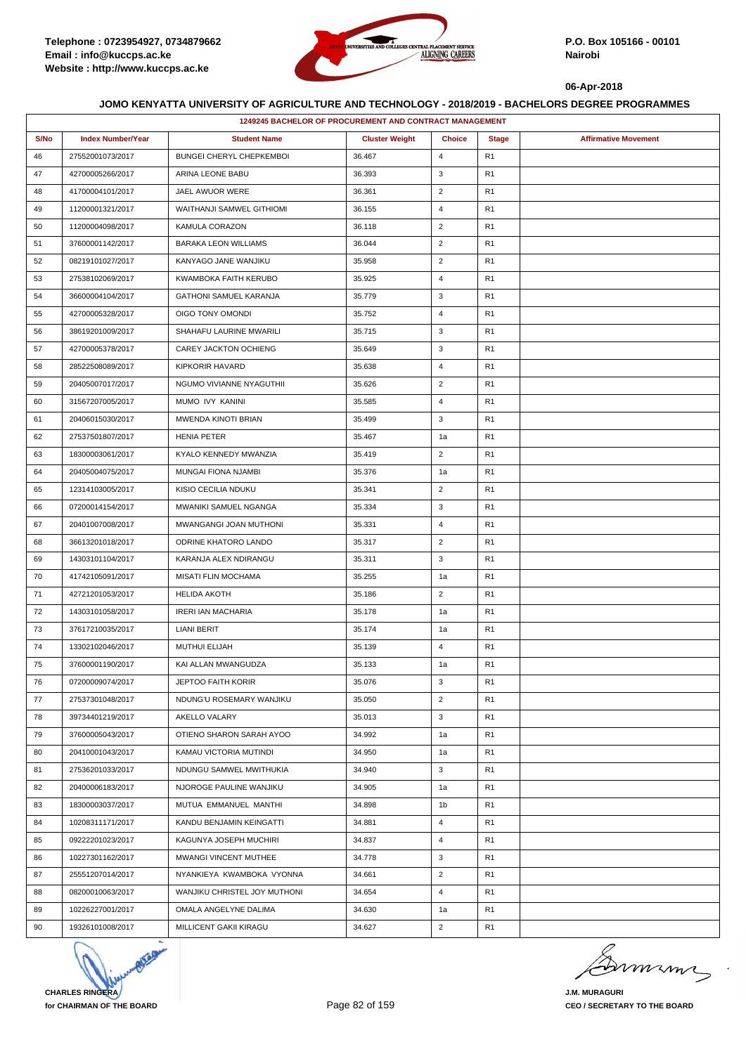

|      | 1249245 BACHELOR OF PROCUREMENT AND CONTRACT MANAGEMENT |                               |                       |                |                |                             |  |  |
|------|---------------------------------------------------------|-------------------------------|-----------------------|----------------|----------------|-----------------------------|--|--|
| S/No | <b>Index Number/Year</b>                                | <b>Student Name</b>           | <b>Cluster Weight</b> | <b>Choice</b>  | <b>Stage</b>   | <b>Affirmative Movement</b> |  |  |
| 46   | 27552001073/2017                                        | BUNGEI CHERYL CHEPKEMBOI      | 36.467                | 4              | R <sub>1</sub> |                             |  |  |
| 47   | 42700005266/2017                                        | ARINA LEONE BABU              | 36.393                | 3              | R <sub>1</sub> |                             |  |  |
| 48   | 41700004101/2017                                        | JAEL AWUOR WERE               | 36.361                | $\overline{2}$ | R <sub>1</sub> |                             |  |  |
| 49   | 11200001321/2017                                        | WAITHANJI SAMWEL GITHIOMI     | 36.155                | $\overline{4}$ | R <sub>1</sub> |                             |  |  |
| 50   | 11200004098/2017                                        | KAMULA CORAZON                | 36.118                | $\overline{2}$ | R <sub>1</sub> |                             |  |  |
| 51   | 37600001142/2017                                        | <b>BARAKA LEON WILLIAMS</b>   | 36.044                | $\overline{2}$ | R <sub>1</sub> |                             |  |  |
| 52   | 08219101027/2017                                        | KANYAGO JANE WANJIKU          | 35.958                | $\overline{2}$ | R <sub>1</sub> |                             |  |  |
| 53   | 27538102069/2017                                        | KWAMBOKA FAITH KERUBO         | 35.925                | 4              | R <sub>1</sub> |                             |  |  |
| 54   | 36600004104/2017                                        | <b>GATHONI SAMUEL KARANJA</b> | 35.779                | 3              | R <sub>1</sub> |                             |  |  |
| 55   | 42700005328/2017                                        | OIGO TONY OMONDI              | 35.752                | 4              | R <sub>1</sub> |                             |  |  |
| 56   | 38619201009/2017                                        | SHAHAFU LAURINE MWARILI       | 35.715                | 3              | R <sub>1</sub> |                             |  |  |
| 57   | 42700005378/2017                                        | CAREY JACKTON OCHIENG         | 35.649                | 3              | R <sub>1</sub> |                             |  |  |
| 58   | 28522508089/2017                                        | KIPKORIR HAVARD               | 35.638                | 4              | R <sub>1</sub> |                             |  |  |
| 59   | 20405007017/2017                                        | NGUMO VIVIANNE NYAGUTHII      | 35.626                | $\overline{2}$ | R <sub>1</sub> |                             |  |  |
| 60   | 31567207005/2017                                        | MUMO IVY KANINI               | 35.585                | 4              | R <sub>1</sub> |                             |  |  |
| 61   | 20406015030/2017                                        | MWENDA KINOTI BRIAN           | 35.499                | 3              | R <sub>1</sub> |                             |  |  |
| 62   | 27537501807/2017                                        | <b>HENIA PETER</b>            | 35.467                | 1a             | R <sub>1</sub> |                             |  |  |
| 63   | 18300003061/2017                                        | KYALO KENNEDY MWANZIA         | 35.419                | $\overline{2}$ | R <sub>1</sub> |                             |  |  |
| 64   | 20405004075/2017                                        | MUNGAI FIONA NJAMBI           | 35.376                | 1a             | R <sub>1</sub> |                             |  |  |
| 65   | 12314103005/2017                                        | KISIO CECILIA NDUKU           | 35.341                | $\overline{2}$ | R <sub>1</sub> |                             |  |  |
| 66   | 07200014154/2017                                        | MWANIKI SAMUEL NGANGA         | 35.334                | 3              | R <sub>1</sub> |                             |  |  |
| 67   | 20401007008/2017                                        | MWANGANGI JOAN MUTHONI        | 35.331                | $\overline{4}$ | R <sub>1</sub> |                             |  |  |
| 68   | 36613201018/2017                                        | ODRINE KHATORO LANDO          | 35.317                | $\overline{2}$ | R <sub>1</sub> |                             |  |  |
| 69   | 14303101104/2017                                        | KARANJA ALEX NDIRANGU         | 35.311                | 3              | R <sub>1</sub> |                             |  |  |
| 70   | 41742105091/2017                                        | <b>MISATI FLIN MOCHAMA</b>    | 35.255                | 1a             | R <sub>1</sub> |                             |  |  |
| 71   | 42721201053/2017                                        | <b>HELIDA AKOTH</b>           | 35.186                | $\overline{2}$ | R <sub>1</sub> |                             |  |  |
| 72   | 14303101058/2017                                        | <b>IRERI IAN MACHARIA</b>     | 35.178                | 1a             | R <sub>1</sub> |                             |  |  |
| 73   | 37617210035/2017                                        | LIANI BERIT                   | 35.174                | 1a             | R <sub>1</sub> |                             |  |  |
| 74   | 13302102046/2017                                        | <b>MUTHUI ELIJAH</b>          | 35.139                | $\overline{4}$ | R1             |                             |  |  |
| 75   | 37600001190/2017                                        | KAI ALLAN MWANGUDZA           | 35.133                | 1a             | R1             |                             |  |  |
| 76   | 07200009074/2017                                        | JEPTOO FAITH KORIR            | 35.076                | 3              | R1             |                             |  |  |
| 77   | 27537301048/2017                                        | NDUNG'U ROSEMARY WANJIKU      | 35.050                | $\overline{2}$ | R1             |                             |  |  |
| 78   | 39734401219/2017                                        | AKELLO VALARY                 | 35.013                | 3              | R <sub>1</sub> |                             |  |  |
| 79   | 37600005043/2017                                        | OTIENO SHARON SARAH AYOO      | 34.992                | 1a             | R <sub>1</sub> |                             |  |  |
| 80   | 20410001043/2017                                        | KAMAU VICTORIA MUTINDI        | 34.950                | 1a             | R <sub>1</sub> |                             |  |  |
| 81   | 27536201033/2017                                        | NDUNGU SAMWEL MWITHUKIA       | 34.940                | 3              | R1             |                             |  |  |
| 82   | 20400006183/2017                                        | NJOROGE PAULINE WANJIKU       | 34.905                | 1a             | R <sub>1</sub> |                             |  |  |
| 83   | 18300003037/2017                                        | MUTUA EMMANUEL MANTHI         | 34.898                | 1b             | R <sub>1</sub> |                             |  |  |
| 84   | 10208311171/2017                                        | KANDU BENJAMIN KEINGATTI      | 34.881                | 4              | R <sub>1</sub> |                             |  |  |
| 85   | 09222201023/2017                                        | KAGUNYA JOSEPH MUCHIRI        | 34.837                | $\overline{4}$ | R1             |                             |  |  |
| 86   | 10227301162/2017                                        | MWANGI VINCENT MUTHEE         | 34.778                | 3              | R <sub>1</sub> |                             |  |  |
| 87   | 25551207014/2017                                        | NYANKIEYA KWAMBOKA VYONNA     | 34.661                | $\overline{2}$ | R <sub>1</sub> |                             |  |  |
| 88   | 08200010063/2017                                        | WANJIKU CHRISTEL JOY MUTHONI  | 34.654                | $\overline{4}$ | R <sub>1</sub> |                             |  |  |
| 89   | 10226227001/2017                                        | OMALA ANGELYNE DALIMA         | 34.630                | 1a             | R1             |                             |  |  |
| 90   | 19326101008/2017                                        | MILLICENT GAKII KIRAGU        | 34.627                | $\overline{2}$ | R1             |                             |  |  |



murma

**J.M. MURAGURI CEO / SECRETARY TO THE BOARD**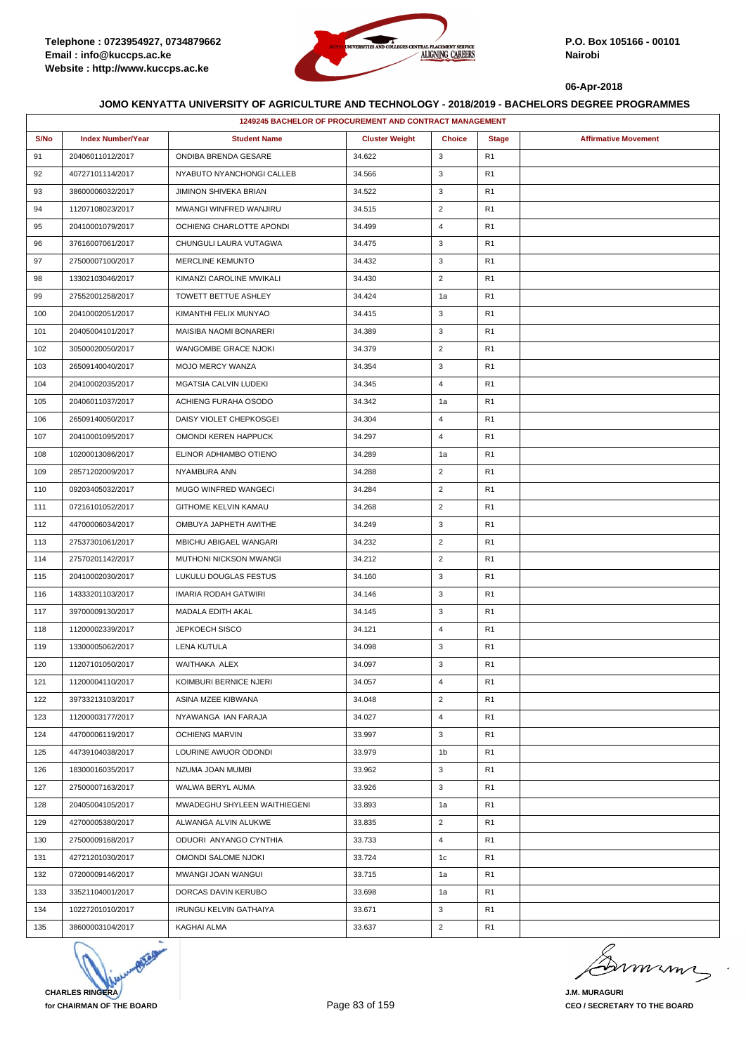

|      | 1249245 BACHELOR OF PROCUREMENT AND CONTRACT MANAGEMENT |                              |                       |                |                |                             |  |  |
|------|---------------------------------------------------------|------------------------------|-----------------------|----------------|----------------|-----------------------------|--|--|
| S/No | <b>Index Number/Year</b>                                | <b>Student Name</b>          | <b>Cluster Weight</b> | <b>Choice</b>  | <b>Stage</b>   | <b>Affirmative Movement</b> |  |  |
| 91   | 20406011012/2017                                        | ONDIBA BRENDA GESARE         | 34.622                | 3              | R <sub>1</sub> |                             |  |  |
| 92   | 40727101114/2017                                        | NYABUTO NYANCHONGI CALLEB    | 34.566                | 3              | R <sub>1</sub> |                             |  |  |
| 93   | 38600006032/2017                                        | JIMINON SHIVEKA BRIAN        | 34.522                | 3              | R <sub>1</sub> |                             |  |  |
| 94   | 11207108023/2017                                        | MWANGI WINFRED WANJIRU       | 34.515                | $\overline{2}$ | R <sub>1</sub> |                             |  |  |
| 95   | 20410001079/2017                                        | OCHIENG CHARLOTTE APONDI     | 34.499                | 4              | R <sub>1</sub> |                             |  |  |
| 96   | 37616007061/2017                                        | CHUNGULI LAURA VUTAGWA       | 34.475                | 3              | R1             |                             |  |  |
| 97   | 27500007100/2017                                        | <b>MERCLINE KEMUNTO</b>      | 34.432                | 3              | R <sub>1</sub> |                             |  |  |
| 98   | 13302103046/2017                                        | KIMANZI CAROLINE MWIKALI     | 34.430                | $\overline{2}$ | R <sub>1</sub> |                             |  |  |
| 99   | 27552001258/2017                                        | TOWETT BETTUE ASHLEY         | 34.424                | 1a             | R <sub>1</sub> |                             |  |  |
| 100  | 20410002051/2017                                        | KIMANTHI FELIX MUNYAO        | 34.415                | 3              | R <sub>1</sub> |                             |  |  |
| 101  | 20405004101/2017                                        | MAISIBA NAOMI BONARERI       | 34.389                | 3              | R <sub>1</sub> |                             |  |  |
| 102  | 30500020050/2017                                        | WANGOMBE GRACE NJOKI         | 34.379                | $\overline{2}$ | R <sub>1</sub> |                             |  |  |
| 103  | 26509140040/2017                                        | MOJO MERCY WANZA             | 34.354                | 3              | R <sub>1</sub> |                             |  |  |
| 104  | 20410002035/2017                                        | MGATSIA CALVIN LUDEKI        | 34.345                | $\overline{4}$ | R <sub>1</sub> |                             |  |  |
| 105  | 20406011037/2017                                        | ACHIENG FURAHA OSODO         | 34.342                | 1a             | R <sub>1</sub> |                             |  |  |
| 106  | 26509140050/2017                                        | DAISY VIOLET CHEPKOSGEI      | 34.304                | $\overline{4}$ | R <sub>1</sub> |                             |  |  |
| 107  | 20410001095/2017                                        | OMONDI KEREN HAPPUCK         | 34.297                | $\overline{4}$ | R <sub>1</sub> |                             |  |  |
| 108  | 10200013086/2017                                        | ELINOR ADHIAMBO OTIENO       | 34.289                | 1a             | R <sub>1</sub> |                             |  |  |
| 109  | 28571202009/2017                                        | NYAMBURA ANN                 | 34.288                | $\overline{2}$ | R <sub>1</sub> |                             |  |  |
| 110  | 09203405032/2017                                        | <b>MUGO WINFRED WANGECI</b>  | 34.284                | $\overline{2}$ | R <sub>1</sub> |                             |  |  |
| 111  | 07216101052/2017                                        | GITHOME KELVIN KAMAU         | 34.268                | $\overline{2}$ | R <sub>1</sub> |                             |  |  |
| 112  | 44700006034/2017                                        | OMBUYA JAPHETH AWITHE        | 34.249                | 3              | R <sub>1</sub> |                             |  |  |
| 113  | 27537301061/2017                                        | MBICHU ABIGAEL WANGARI       | 34.232                | $\overline{2}$ | R <sub>1</sub> |                             |  |  |
| 114  | 27570201142/2017                                        | MUTHONI NICKSON MWANGI       | 34.212                | $\overline{2}$ | R <sub>1</sub> |                             |  |  |
| 115  | 20410002030/2017                                        | LUKULU DOUGLAS FESTUS        | 34.160                | 3              | R <sub>1</sub> |                             |  |  |
| 116  | 14333201103/2017                                        | IMARIA RODAH GATWIRI         | 34.146                | 3              | R <sub>1</sub> |                             |  |  |
| 117  | 39700009130/2017                                        | MADALA EDITH AKAL            | 34.145                | 3              | R <sub>1</sub> |                             |  |  |
| 118  | 11200002339/2017                                        | <b>JEPKOECH SISCO</b>        | 34.121                | $\overline{4}$ | R <sub>1</sub> |                             |  |  |
| 119  | 13300005062/2017                                        | <b>LENA KUTULA</b>           | 34.098                | 3              | R <sub>1</sub> |                             |  |  |
| 120  | 11207101050/2017                                        | WAITHAKA ALEX                | 34.097                | 3              | R <sub>1</sub> |                             |  |  |
| 121  | 11200004110/2017                                        | KOIMBURI BERNICE NJERI       | 34.057                | $\overline{4}$ | R <sub>1</sub> |                             |  |  |
| 122  | 39733213103/2017                                        | ASINA MZEE KIBWANA           | 34.048                | $\overline{2}$ | R <sub>1</sub> |                             |  |  |
| 123  | 11200003177/2017                                        | NYAWANGA IAN FARAJA          | 34.027                | $\overline{4}$ | R1             |                             |  |  |
| 124  | 44700006119/2017                                        | <b>OCHIENG MARVIN</b>        | 33.997                | 3              | R <sub>1</sub> |                             |  |  |
| 125  | 44739104038/2017                                        | LOURINE AWUOR ODONDI         | 33.979                | 1 <sub>b</sub> | R <sub>1</sub> |                             |  |  |
| 126  | 18300016035/2017                                        | NZUMA JOAN MUMBI             | 33.962                | 3              | R <sub>1</sub> |                             |  |  |
| 127  | 27500007163/2017                                        | WALWA BERYL AUMA             | 33.926                | 3              | R <sub>1</sub> |                             |  |  |
| 128  | 20405004105/2017                                        | MWADEGHU SHYLEEN WAITHIEGENI | 33.893                | 1a             | R <sub>1</sub> |                             |  |  |
| 129  | 42700005380/2017                                        | ALWANGA ALVIN ALUKWE         | 33.835                | $\overline{2}$ | R1             |                             |  |  |
| 130  | 27500009168/2017                                        | ODUORI ANYANGO CYNTHIA       | 33.733                | $\overline{4}$ | R <sub>1</sub> |                             |  |  |
| 131  | 42721201030/2017                                        | OMONDI SALOME NJOKI          | 33.724                | 1c             | R1             |                             |  |  |
| 132  | 07200009146/2017                                        | MWANGI JOAN WANGUI           | 33.715                | 1a             | R <sub>1</sub> |                             |  |  |
| 133  | 33521104001/2017                                        | DORCAS DAVIN KERUBO          | 33.698                | 1a             | R <sub>1</sub> |                             |  |  |
| 134  | 10227201010/2017                                        | IRUNGU KELVIN GATHAIYA       | 33.671                | 3              | R1             |                             |  |  |
| 135  | 38600003104/2017                                        | KAGHAI ALMA                  | 33.637                | $\overline{2}$ | R <sub>1</sub> |                             |  |  |



murme

**J.M. MURAGURI CEO / SECRETARY TO THE BOARD**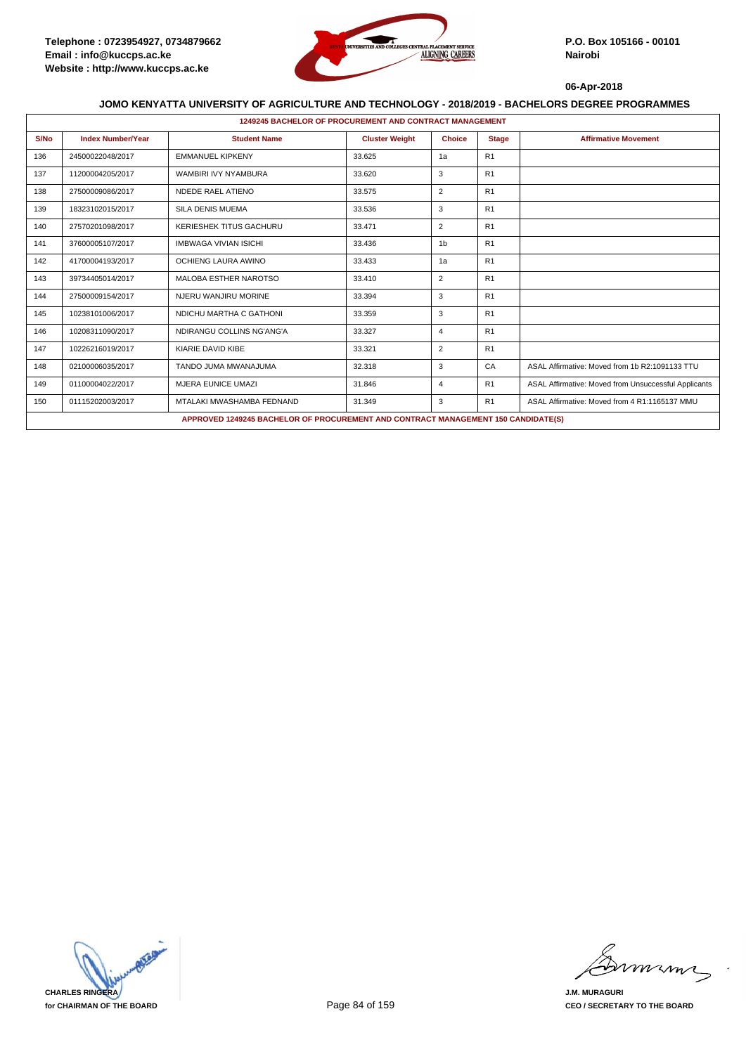

|      | <b>1249245 BACHELOR OF PROCUREMENT AND CONTRACT MANAGEMENT</b> |                                                                                   |                       |                |                |                                                      |  |  |  |
|------|----------------------------------------------------------------|-----------------------------------------------------------------------------------|-----------------------|----------------|----------------|------------------------------------------------------|--|--|--|
| S/No | <b>Index Number/Year</b>                                       | <b>Student Name</b>                                                               | <b>Cluster Weight</b> | <b>Choice</b>  | <b>Stage</b>   | <b>Affirmative Movement</b>                          |  |  |  |
| 136  | 24500022048/2017                                               | <b>EMMANUEL KIPKENY</b>                                                           | 33.625                | 1a             | R <sub>1</sub> |                                                      |  |  |  |
| 137  | 11200004205/2017                                               | WAMBIRI IVY NYAMBURA                                                              | 33.620                | 3              | R <sub>1</sub> |                                                      |  |  |  |
| 138  | 27500009086/2017                                               | NDEDE RAEL ATIENO                                                                 | 33.575                | 2              | R <sub>1</sub> |                                                      |  |  |  |
| 139  | 18323102015/2017                                               | <b>SILA DENIS MUEMA</b>                                                           | 33.536                | 3              | R <sub>1</sub> |                                                      |  |  |  |
| 140  | 27570201098/2017                                               | <b>KERIESHEK TITUS GACHURU</b>                                                    | 33.471                | 2              | R <sub>1</sub> |                                                      |  |  |  |
| 141  | 37600005107/2017                                               | <b>IMBWAGA VIVIAN ISICHI</b>                                                      | 33.436                | 1 <sub>b</sub> | R <sub>1</sub> |                                                      |  |  |  |
| 142  | 41700004193/2017                                               | OCHIENG LAURA AWINO                                                               | 33.433                | 1a             | R <sub>1</sub> |                                                      |  |  |  |
| 143  | 39734405014/2017                                               | <b>MALOBA ESTHER NAROTSO</b>                                                      | 33.410                | 2              | R <sub>1</sub> |                                                      |  |  |  |
| 144  | 27500009154/2017                                               | NJERU WANJIRU MORINE                                                              | 33.394                | 3              | R <sub>1</sub> |                                                      |  |  |  |
| 145  | 10238101006/2017                                               | NDICHU MARTHA C GATHONI                                                           | 33.359                | 3              | R <sub>1</sub> |                                                      |  |  |  |
| 146  | 10208311090/2017                                               | NDIRANGU COLLINS NG'ANG'A                                                         | 33.327                | $\overline{4}$ | R <sub>1</sub> |                                                      |  |  |  |
| 147  | 10226216019/2017                                               | KIARIE DAVID KIBE                                                                 | 33.321                | $\overline{2}$ | R <sub>1</sub> |                                                      |  |  |  |
| 148  | 02100006035/2017                                               | TANDO JUMA MWANAJUMA                                                              | 32.318                | 3              | CA             | ASAL Affirmative: Moved from 1b R2:1091133 TTU       |  |  |  |
| 149  | 01100004022/2017                                               | <b>MJERA EUNICE UMAZI</b>                                                         | 31.846                | $\overline{4}$ | R <sub>1</sub> | ASAL Affirmative: Moved from Unsuccessful Applicants |  |  |  |
| 150  | 01115202003/2017                                               | MTALAKI MWASHAMBA FEDNAND                                                         | 31.349                | 3              | R <sub>1</sub> | ASAL Affirmative: Moved from 4 R1:1165137 MMU        |  |  |  |
|      |                                                                | APPROVED 1249245 BACHELOR OF PROCUREMENT AND CONTRACT MANAGEMENT 150 CANDIDATE(S) |                       |                |                |                                                      |  |  |  |



mmmn

**J.M. MURAGURI CEO / SECRETARY TO THE BOARD**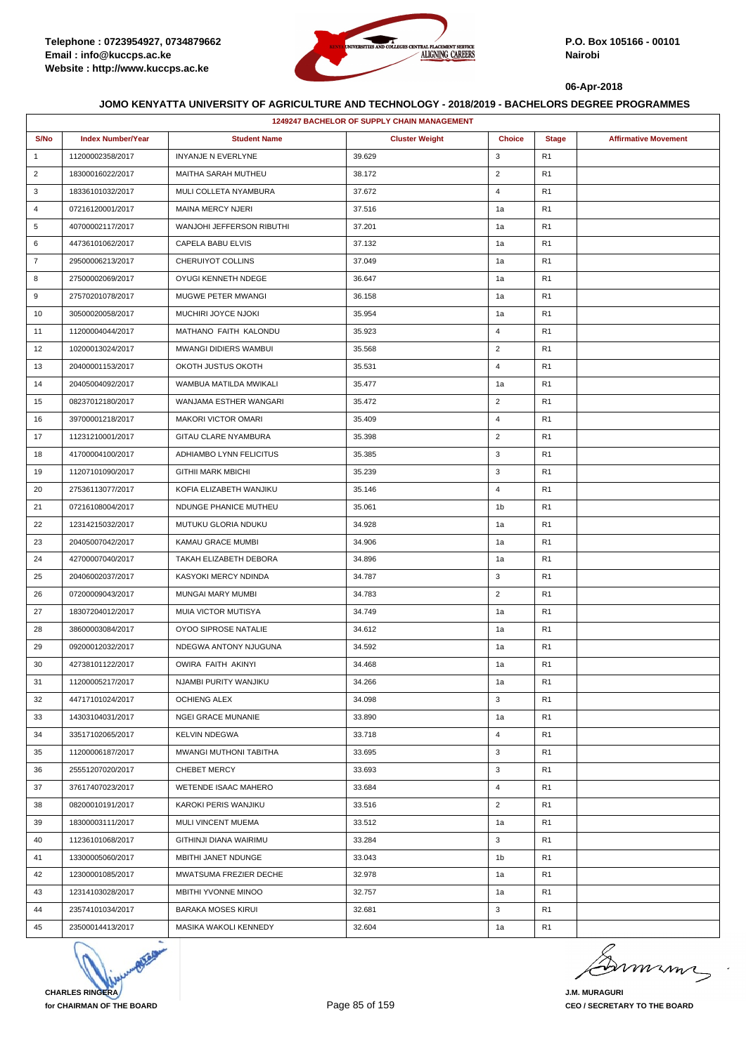

|                | 1249247 BACHELOR OF SUPPLY CHAIN MANAGEMENT |                            |                       |                |                |                             |  |
|----------------|---------------------------------------------|----------------------------|-----------------------|----------------|----------------|-----------------------------|--|
| S/No           | <b>Index Number/Year</b>                    | <b>Student Name</b>        | <b>Cluster Weight</b> | <b>Choice</b>  | <b>Stage</b>   | <b>Affirmative Movement</b> |  |
| $\mathbf{1}$   | 11200002358/2017                            | INYANJE N EVERLYNE         | 39.629                | 3              | R <sub>1</sub> |                             |  |
| $\overline{2}$ | 18300016022/2017                            | MAITHA SARAH MUTHEU        | 38.172                | $\overline{2}$ | R <sub>1</sub> |                             |  |
| 3              | 18336101032/2017                            | MULI COLLETA NYAMBURA      | 37.672                | 4              | R <sub>1</sub> |                             |  |
| 4              | 07216120001/2017                            | MAINA MERCY NJERI          | 37.516                | 1a             | R <sub>1</sub> |                             |  |
| 5              | 40700002117/2017                            | WANJOHI JEFFERSON RIBUTHI  | 37.201                | 1a             | R <sub>1</sub> |                             |  |
| 6              | 44736101062/2017                            | CAPELA BABU ELVIS          | 37.132                | 1a             | R <sub>1</sub> |                             |  |
| $\overline{7}$ | 29500006213/2017                            | CHERUIYOT COLLINS          | 37.049                | 1a             | R <sub>1</sub> |                             |  |
| 8              | 27500002069/2017                            | OYUGI KENNETH NDEGE        | 36.647                | 1a             | R <sub>1</sub> |                             |  |
| 9              | 27570201078/2017                            | <b>MUGWE PETER MWANGI</b>  | 36.158                | 1a             | R1             |                             |  |
| 10             | 30500020058/2017                            | MUCHIRI JOYCE NJOKI        | 35.954                | 1a             | R <sub>1</sub> |                             |  |
| 11             | 11200004044/2017                            | MATHANO FAITH KALONDU      | 35.923                | $\overline{4}$ | R <sub>1</sub> |                             |  |
| 12             | 10200013024/2017                            | MWANGI DIDIERS WAMBUI      | 35.568                | $\overline{2}$ | R <sub>1</sub> |                             |  |
| 13             | 20400001153/2017                            | OKOTH JUSTUS OKOTH         | 35.531                | $\overline{4}$ | R <sub>1</sub> |                             |  |
| 14             | 20405004092/2017                            | WAMBUA MATILDA MWIKALI     | 35.477                | 1a             | R <sub>1</sub> |                             |  |
| 15             | 08237012180/2017                            | WANJAMA ESTHER WANGARI     | 35.472                | $\overline{2}$ | R1             |                             |  |
| 16             | 39700001218/2017                            | <b>MAKORI VICTOR OMARI</b> | 35.409                | $\overline{4}$ | R <sub>1</sub> |                             |  |
| 17             | 11231210001/2017                            | GITAU CLARE NYAMBURA       | 35.398                | $\overline{2}$ | R <sub>1</sub> |                             |  |
| 18             | 41700004100/2017                            | ADHIAMBO LYNN FELICITUS    | 35.385                | 3              | R1             |                             |  |
| 19             | 11207101090/2017                            | <b>GITHII MARK MBICHI</b>  | 35.239                | 3              | R <sub>1</sub> |                             |  |
| 20             | 27536113077/2017                            | KOFIA ELIZABETH WANJIKU    | 35.146                | $\overline{4}$ | R <sub>1</sub> |                             |  |
| 21             | 07216108004/2017                            | NDUNGE PHANICE MUTHEU      | 35.061                | 1b             | R1             |                             |  |
| 22             | 12314215032/2017                            | MUTUKU GLORIA NDUKU        | 34.928                | 1a             | R <sub>1</sub> |                             |  |
| 23             | 20405007042/2017                            | KAMAU GRACE MUMBI          | 34.906                | 1a             | R <sub>1</sub> |                             |  |
| 24             | 42700007040/2017                            | TAKAH ELIZABETH DEBORA     | 34.896                | 1a             | R1             |                             |  |
| 25             | 20406002037/2017                            | KASYOKI MERCY NDINDA       | 34.787                | 3              | R <sub>1</sub> |                             |  |
| 26             | 07200009043/2017                            | MUNGAI MARY MUMBI          | 34.783                | $\overline{2}$ | R <sub>1</sub> |                             |  |
| 27             | 18307204012/2017                            | MUIA VICTOR MUTISYA        | 34.749                | 1a             | R1             |                             |  |
| 28             | 38600003084/2017                            | OYOO SIPROSE NATALIE       | 34.612                | 1a             | R <sub>1</sub> |                             |  |
| 29             | 09200012032/2017                            | NDEGWA ANTONY NJUGUNA      | 34.592                | 1a             | R <sub>1</sub> |                             |  |
| 30             | 42738101122/2017                            | OWIRA FAITH AKINYI         | 34.468                | 1a             | R <sub>1</sub> |                             |  |
| 31             | 11200005217/2017                            | NJAMBI PURITY WANJIKU      | 34.266                | 1a             | R <sub>1</sub> |                             |  |
| 32             | 44717101024/2017                            | <b>OCHIENG ALEX</b>        | 34.098                | 3              | R <sub>1</sub> |                             |  |
| 33             | 14303104031/2017                            | <b>NGEI GRACE MUNANIE</b>  | 33.890                | 1a             | R <sub>1</sub> |                             |  |
| 34             | 33517102065/2017                            | <b>KELVIN NDEGWA</b>       | 33.718                | $\overline{4}$ | R <sub>1</sub> |                             |  |
| 35             | 11200006187/2017                            | MWANGI MUTHONI TABITHA     | 33.695                | 3              | R <sub>1</sub> |                             |  |
| 36             | 25551207020/2017                            | <b>CHEBET MERCY</b>        | 33.693                | 3              | R1             |                             |  |
| 37             | 37617407023/2017                            | WETENDE ISAAC MAHERO       | 33.684                | $\overline{4}$ | R <sub>1</sub> |                             |  |
| 38             | 08200010191/2017                            | KAROKI PERIS WANJIKU       | 33.516                | $\overline{2}$ | R <sub>1</sub> |                             |  |
| 39             | 18300003111/2017                            | MULI VINCENT MUEMA         | 33.512                | 1a             | R1             |                             |  |
| 40             | 11236101068/2017                            | GITHINJI DIANA WAIRIMU     | 33.284                | 3              | R1             |                             |  |
| 41             | 13300005060/2017                            | MBITHI JANET NDUNGE        | 33.043                | 1b             | R <sub>1</sub> |                             |  |
| 42             | 12300001085/2017                            | MWATSUMA FREZIER DECHE     | 32.978                | 1a             | R1             |                             |  |
| 43             | 12314103028/2017                            | <b>MBITHI YVONNE MINOO</b> | 32.757                | 1a             | R <sub>1</sub> |                             |  |
| 44             | 23574101034/2017                            | <b>BARAKA MOSES KIRUI</b>  | 32.681                | 3              | R <sub>1</sub> |                             |  |
| 45             | 23500014413/2017                            | MASIKA WAKOLI KENNEDY      | 32.604                | 1a             | R <sub>1</sub> |                             |  |



mmmn

**J.M. MURAGURI CEO / SECRETARY TO THE BOARD**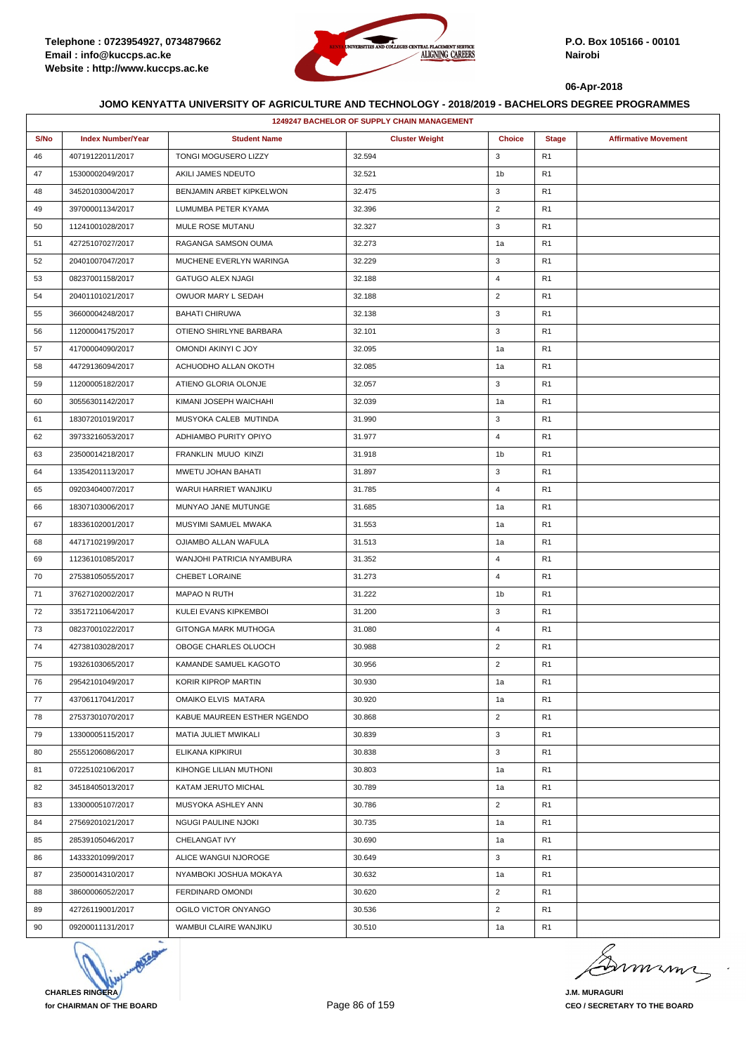

|      | <b>1249247 BACHELOR OF SUPPLY CHAIN MANAGEMENT</b> |                             |                       |                |                |                             |
|------|----------------------------------------------------|-----------------------------|-----------------------|----------------|----------------|-----------------------------|
| S/No | <b>Index Number/Year</b>                           | <b>Student Name</b>         | <b>Cluster Weight</b> | <b>Choice</b>  | <b>Stage</b>   | <b>Affirmative Movement</b> |
| 46   | 40719122011/2017                                   | TONGI MOGUSERO LIZZY        | 32.594                | 3              | R <sub>1</sub> |                             |
| 47   | 15300002049/2017                                   | AKILI JAMES NDEUTO          | 32.521                | 1b             | R <sub>1</sub> |                             |
| 48   | 34520103004/2017                                   | BENJAMIN ARBET KIPKELWON    | 32.475                | 3              | R <sub>1</sub> |                             |
| 49   | 39700001134/2017                                   | LUMUMBA PETER KYAMA         | 32.396                | $\overline{2}$ | R <sub>1</sub> |                             |
| 50   | 11241001028/2017                                   | MULE ROSE MUTANU            | 32.327                | 3              | R <sub>1</sub> |                             |
| 51   | 42725107027/2017                                   | RAGANGA SAMSON OUMA         | 32.273                | 1a             | R <sub>1</sub> |                             |
| 52   | 20401007047/2017                                   | MUCHENE EVERLYN WARINGA     | 32.229                | 3              | R <sub>1</sub> |                             |
| 53   | 08237001158/2017                                   | GATUGO ALEX NJAGI           | 32.188                | 4              | R <sub>1</sub> |                             |
| 54   | 20401101021/2017                                   | OWUOR MARY L SEDAH          | 32.188                | $\overline{2}$ | R <sub>1</sub> |                             |
| 55   | 36600004248/2017                                   | <b>BAHATI CHIRUWA</b>       | 32.138                | 3              | R <sub>1</sub> |                             |
| 56   | 11200004175/2017                                   | OTIENO SHIRLYNE BARBARA     | 32.101                | 3              | R <sub>1</sub> |                             |
| 57   | 41700004090/2017                                   | OMONDI AKINYI C JOY         | 32.095                | 1a             | R <sub>1</sub> |                             |
| 58   | 44729136094/2017                                   | ACHUODHO ALLAN OKOTH        | 32.085                | 1a             | R <sub>1</sub> |                             |
| 59   | 11200005182/2017                                   | ATIENO GLORIA OLONJE        | 32.057                | 3              | R <sub>1</sub> |                             |
| 60   | 30556301142/2017                                   | KIMANI JOSEPH WAICHAHI      | 32.039                | 1a             | R <sub>1</sub> |                             |
| 61   | 18307201019/2017                                   | MUSYOKA CALEB MUTINDA       | 31.990                | 3              | R <sub>1</sub> |                             |
| 62   | 39733216053/2017                                   | ADHIAMBO PURITY OPIYO       | 31.977                | $\overline{4}$ | R <sub>1</sub> |                             |
| 63   | 23500014218/2017                                   | FRANKLIN MUUO KINZI         | 31.918                | 1b             | R <sub>1</sub> |                             |
| 64   | 13354201113/2017                                   | MWETU JOHAN BAHATI          | 31.897                | 3              | R <sub>1</sub> |                             |
| 65   | 09203404007/2017                                   | WARUI HARRIET WANJIKU       | 31.785                | 4              | R <sub>1</sub> |                             |
| 66   | 18307103006/2017                                   | MUNYAO JANE MUTUNGE         | 31.685                | 1a             | R <sub>1</sub> |                             |
| 67   | 18336102001/2017                                   | MUSYIMI SAMUEL MWAKA        | 31.553                | 1a             | R <sub>1</sub> |                             |
| 68   | 44717102199/2017                                   | OJIAMBO ALLAN WAFULA        | 31.513                | 1a             | R <sub>1</sub> |                             |
| 69   | 11236101085/2017                                   | WANJOHI PATRICIA NYAMBURA   | 31.352                | $\overline{4}$ | R <sub>1</sub> |                             |
| 70   | 27538105055/2017                                   | CHEBET LORAINE              | 31.273                | $\overline{4}$ | R <sub>1</sub> |                             |
| 71   | 37627102002/2017                                   | <b>MAPAO N RUTH</b>         | 31.222                | 1b             | R <sub>1</sub> |                             |
| 72   | 33517211064/2017                                   | KULEI EVANS KIPKEMBOI       | 31.200                | 3              | R <sub>1</sub> |                             |
| 73   | 08237001022/2017                                   | GITONGA MARK MUTHOGA        | 31.080                | $\overline{4}$ | R <sub>1</sub> |                             |
| 74   | 42738103028/2017                                   | OBOGE CHARLES OLUOCH        | 30.988                | $\overline{2}$ | R <sub>1</sub> |                             |
| 75   | 19326103065/2017                                   | KAMANDE SAMUEL KAGOTO       | 30.956                | $\overline{2}$ | R <sub>1</sub> |                             |
| 76   | 29542101049/2017                                   | KORIR KIPROP MARTIN         | 30.930                | 1a             | R <sub>1</sub> |                             |
| 77   | 43706117041/2017                                   | <b>OMAIKO ELVIS MATARA</b>  | 30.920                | 1a             | R <sub>1</sub> |                             |
| 78   | 27537301070/2017                                   | KABUE MAUREEN ESTHER NGENDO | 30.868                | $\overline{2}$ | R <sub>1</sub> |                             |
| 79   | 13300005115/2017                                   | MATIA JULIET MWIKALI        | 30.839                | 3              | R <sub>1</sub> |                             |
| 80   | 25551206086/2017                                   | ELIKANA KIPKIRUI            | 30.838                | 3              | R <sub>1</sub> |                             |
| 81   | 07225102106/2017                                   | KIHONGE LILIAN MUTHONI      | 30.803                | 1a             | R <sub>1</sub> |                             |
| 82   | 34518405013/2017                                   | KATAM JERUTO MICHAL         | 30.789                | 1a             | R <sub>1</sub> |                             |
| 83   | 13300005107/2017                                   | MUSYOKA ASHLEY ANN          | 30.786                | $\overline{2}$ | R <sub>1</sub> |                             |
| 84   | 27569201021/2017                                   | <b>NGUGI PAULINE NJOKI</b>  | 30.735                | 1a             | R <sub>1</sub> |                             |
| 85   | 28539105046/2017                                   | CHELANGAT IVY               | 30.690                | 1a             | R <sub>1</sub> |                             |
| 86   | 14333201099/2017                                   | ALICE WANGUI NJOROGE        | 30.649                | 3              | R <sub>1</sub> |                             |
| 87   | 23500014310/2017                                   | NYAMBOKI JOSHUA MOKAYA      | 30.632                | 1a             | R <sub>1</sub> |                             |
| 88   | 38600006052/2017                                   | FERDINARD OMONDI            | 30.620                | $\overline{2}$ | R <sub>1</sub> |                             |
| 89   | 42726119001/2017                                   | OGILO VICTOR ONYANGO        | 30.536                | $\overline{2}$ | R <sub>1</sub> |                             |
| 90   | 09200011131/2017                                   | WAMBUI CLAIRE WANJIKU       | 30.510                | 1a             | R <sub>1</sub> |                             |



murma

**J.M. MURAGURI CEO / SECRETARY TO THE BOARD**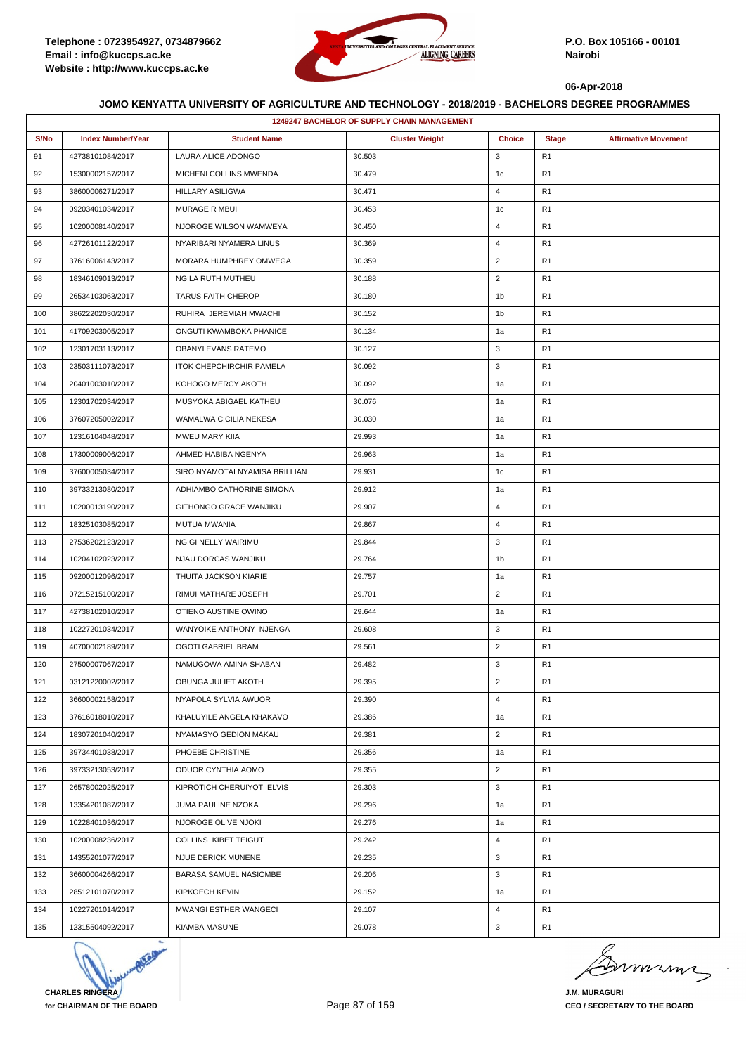

|      | <b>1249247 BACHELOR OF SUPPLY CHAIN MANAGEMENT</b> |                                 |                       |                |                |                             |  |
|------|----------------------------------------------------|---------------------------------|-----------------------|----------------|----------------|-----------------------------|--|
| S/No | <b>Index Number/Year</b>                           | <b>Student Name</b>             | <b>Cluster Weight</b> | <b>Choice</b>  | <b>Stage</b>   | <b>Affirmative Movement</b> |  |
| 91   | 42738101084/2017                                   | LAURA ALICE ADONGO              | 30.503                | 3              | R <sub>1</sub> |                             |  |
| 92   | 15300002157/2017                                   | MICHENI COLLINS MWENDA          | 30.479                | 1c             | R <sub>1</sub> |                             |  |
| 93   | 38600006271/2017                                   | HILLARY ASILIGWA                | 30.471                | $\overline{4}$ | R <sub>1</sub> |                             |  |
| 94   | 09203401034/2017                                   | MURAGE R MBUI                   | 30.453                | 1 <sub>c</sub> | R <sub>1</sub> |                             |  |
| 95   | 10200008140/2017                                   | NJOROGE WILSON WAMWEYA          | 30.450                | $\overline{4}$ | R <sub>1</sub> |                             |  |
| 96   | 42726101122/2017                                   | NYARIBARI NYAMERA LINUS         | 30.369                | $\overline{4}$ | R <sub>1</sub> |                             |  |
| 97   | 37616006143/2017                                   | MORARA HUMPHREY OMWEGA          | 30.359                | $\overline{2}$ | R <sub>1</sub> |                             |  |
| 98   | 18346109013/2017                                   | NGILA RUTH MUTHEU               | 30.188                | $\overline{2}$ | R <sub>1</sub> |                             |  |
| 99   | 26534103063/2017                                   | <b>TARUS FAITH CHEROP</b>       | 30.180                | 1b             | R <sub>1</sub> |                             |  |
| 100  | 38622202030/2017                                   | RUHIRA JEREMIAH MWACHI          | 30.152                | 1 <sub>b</sub> | R <sub>1</sub> |                             |  |
| 101  | 41709203005/2017                                   | ONGUTI KWAMBOKA PHANICE         | 30.134                | 1a             | R <sub>1</sub> |                             |  |
| 102  | 12301703113/2017                                   | OBANYI EVANS RATEMO             | 30.127                | 3              | R <sub>1</sub> |                             |  |
| 103  | 23503111073/2017                                   | <b>ITOK CHEPCHIRCHIR PAMELA</b> | 30.092                | 3              | R <sub>1</sub> |                             |  |
| 104  | 20401003010/2017                                   | KOHOGO MERCY AKOTH              | 30.092                | 1a             | R <sub>1</sub> |                             |  |
| 105  | 12301702034/2017                                   | MUSYOKA ABIGAEL KATHEU          | 30.076                | 1a             | R <sub>1</sub> |                             |  |
| 106  | 37607205002/2017                                   | WAMALWA CICILIA NEKESA          | 30.030                | 1a             | R <sub>1</sub> |                             |  |
| 107  | 12316104048/2017                                   | MWEU MARY KIIA                  | 29.993                | 1a             | R <sub>1</sub> |                             |  |
| 108  | 17300009006/2017                                   | AHMED HABIBA NGENYA             | 29.963                | 1a             | R <sub>1</sub> |                             |  |
| 109  | 37600005034/2017                                   | SIRO NYAMOTAI NYAMISA BRILLIAN  | 29.931                | 1c             | R <sub>1</sub> |                             |  |
| 110  | 39733213080/2017                                   | ADHIAMBO CATHORINE SIMONA       | 29.912                | 1a             | R <sub>1</sub> |                             |  |
| 111  | 10200013190/2017                                   | GITHONGO GRACE WANJIKU          | 29.907                | $\overline{4}$ | R <sub>1</sub> |                             |  |
| 112  | 18325103085/2017                                   | MUTUA MWANIA                    | 29.867                | $\overline{4}$ | R <sub>1</sub> |                             |  |
| 113  | 27536202123/2017                                   | NGIGI NELLY WAIRIMU             | 29.844                | 3              | R <sub>1</sub> |                             |  |
| 114  | 10204102023/2017                                   | NJAU DORCAS WANJIKU             | 29.764                | 1b             | R <sub>1</sub> |                             |  |
| 115  | 09200012096/2017                                   | THUITA JACKSON KIARIE           | 29.757                | 1a             | R <sub>1</sub> |                             |  |
| 116  | 07215215100/2017                                   | RIMUI MATHARE JOSEPH            | 29.701                | $\overline{2}$ | R <sub>1</sub> |                             |  |
| 117  | 42738102010/2017                                   | OTIENO AUSTINE OWINO            | 29.644                | 1a             | R <sub>1</sub> |                             |  |
| 118  | 10227201034/2017                                   | WANYOIKE ANTHONY NJENGA         | 29.608                | 3              | R <sub>1</sub> |                             |  |
| 119  | 40700002189/2017                                   | <b>OGOTI GABRIEL BRAM</b>       | 29.561                | $\overline{2}$ | R <sub>1</sub> |                             |  |
| 120  | 27500007067/2017                                   | NAMUGOWA AMINA SHABAN           | 29.482                | 3              | R <sub>1</sub> |                             |  |
| 121  | 03121220002/2017                                   | OBUNGA JULIET AKOTH             | 29.395                | $\overline{2}$ | R <sub>1</sub> |                             |  |
| 122  | 36600002158/2017                                   | NYAPOLA SYLVIA AWUOR            | 29.390                | $\overline{4}$ | R <sub>1</sub> |                             |  |
| 123  | 37616018010/2017                                   | KHALUYILE ANGELA KHAKAVO        | 29.386                | 1a             | R <sub>1</sub> |                             |  |
| 124  | 18307201040/2017                                   | NYAMASYO GEDION MAKAU           | 29.381                | $\overline{2}$ | R1             |                             |  |
| 125  | 39734401038/2017                                   | PHOEBE CHRISTINE                | 29.356                | 1a             | R <sub>1</sub> |                             |  |
| 126  | 39733213053/2017                                   | ODUOR CYNTHIA AOMO              | 29.355                | $\overline{2}$ | R <sub>1</sub> |                             |  |
| 127  | 26578002025/2017                                   | KIPROTICH CHERUIYOT ELVIS       | 29.303                | 3              | R <sub>1</sub> |                             |  |
| 128  | 13354201087/2017                                   | JUMA PAULINE NZOKA              | 29.296                | 1a             | R <sub>1</sub> |                             |  |
| 129  | 10228401036/2017                                   | NJOROGE OLIVE NJOKI             | 29.276                | 1a             | R <sub>1</sub> |                             |  |
| 130  | 10200008236/2017                                   | COLLINS KIBET TEIGUT            | 29.242                | $\overline{4}$ | R <sub>1</sub> |                             |  |
| 131  | 14355201077/2017                                   | NJUE DERICK MUNENE              | 29.235                | 3              | R <sub>1</sub> |                             |  |
| 132  | 36600004266/2017                                   | BARASA SAMUEL NASIOMBE          | 29.206                | 3              | R <sub>1</sub> |                             |  |
| 133  | 28512101070/2017                                   | KIPKOECH KEVIN                  | 29.152                | 1a             | R <sub>1</sub> |                             |  |
| 134  | 10227201014/2017                                   | <b>MWANGI ESTHER WANGECI</b>    | 29.107                | 4              | R <sub>1</sub> |                             |  |
| 135  | 12315504092/2017                                   | <b>KIAMBA MASUNE</b>            | 29.078                | 3              | R <sub>1</sub> |                             |  |



murma

**J.M. MURAGURI CEO / SECRETARY TO THE BOARD**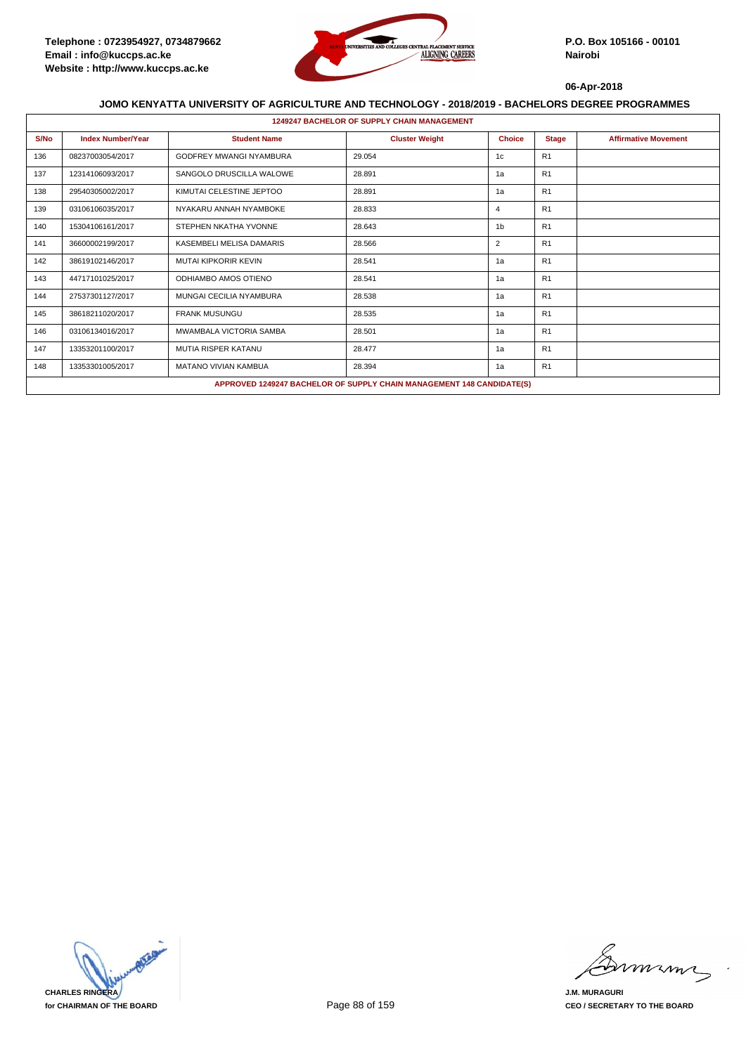

|      | <b>1249247 BACHELOR OF SUPPLY CHAIN MANAGEMENT</b>           |                             |                                                                       |                |              |                             |  |  |  |
|------|--------------------------------------------------------------|-----------------------------|-----------------------------------------------------------------------|----------------|--------------|-----------------------------|--|--|--|
| S/No | <b>Index Number/Year</b>                                     | <b>Student Name</b>         | <b>Cluster Weight</b>                                                 | <b>Choice</b>  | <b>Stage</b> | <b>Affirmative Movement</b> |  |  |  |
| 136  | <b>GODFREY MWANGI NYAMBURA</b><br>29.054<br>08237003054/2017 |                             | 1c                                                                    | R1             |              |                             |  |  |  |
| 137  | SANGOLO DRUSCILLA WALOWE<br>28.891<br>12314106093/2017       |                             | 1a                                                                    | R1             |              |                             |  |  |  |
| 138  | 29540305002/2017                                             | KIMUTAI CELESTINE JEPTOO    | 28.891                                                                | 1a             | R1           |                             |  |  |  |
| 139  | 03106106035/2017                                             | NYAKARU ANNAH NYAMBOKE      | 28.833                                                                | $\overline{4}$ | R1           |                             |  |  |  |
| 140  | 15304106161/2017                                             | STEPHEN NKATHA YVONNE       | 28.643                                                                | 1 <sub>b</sub> | R1           |                             |  |  |  |
| 141  | 36600002199/2017                                             | KASEMBELI MELISA DAMARIS    | 28.566                                                                | $\overline{2}$ | R1           |                             |  |  |  |
| 142  | 38619102146/2017                                             | <b>MUTAI KIPKORIR KEVIN</b> | 28.541                                                                | 1a             | R1           |                             |  |  |  |
| 143  | 44717101025/2017                                             | ODHIAMBO AMOS OTIENO        | 28.541                                                                | 1a             | R1           |                             |  |  |  |
| 144  | 27537301127/2017                                             | MUNGAI CECILIA NYAMBURA     | 28.538                                                                | 1a             | R1           |                             |  |  |  |
| 145  | 38618211020/2017                                             | <b>FRANK MUSUNGU</b>        | 28.535                                                                | 1a             | R1           |                             |  |  |  |
| 146  | 03106134016/2017                                             | MWAMBALA VICTORIA SAMBA     | 28.501                                                                | 1a             | R1           |                             |  |  |  |
| 147  | 13353201100/2017                                             | <b>MUTIA RISPER KATANU</b>  | 28.477                                                                | 1a             | R1           |                             |  |  |  |
| 148  | 13353301005/2017                                             | <b>MATANO VIVIAN KAMBUA</b> | 28.394                                                                | 1a             | R1           |                             |  |  |  |
|      |                                                              |                             | APPROVED 1249247 BACHELOR OF SUPPLY CHAIN MANAGEMENT 148 CANDIDATE(S) |                |              |                             |  |  |  |

**CHARLES RINGERA for CHAIRMAN OF THE BOARD**

murma

**J.M. MURAGURI CEO / SECRETARY TO THE BOARD**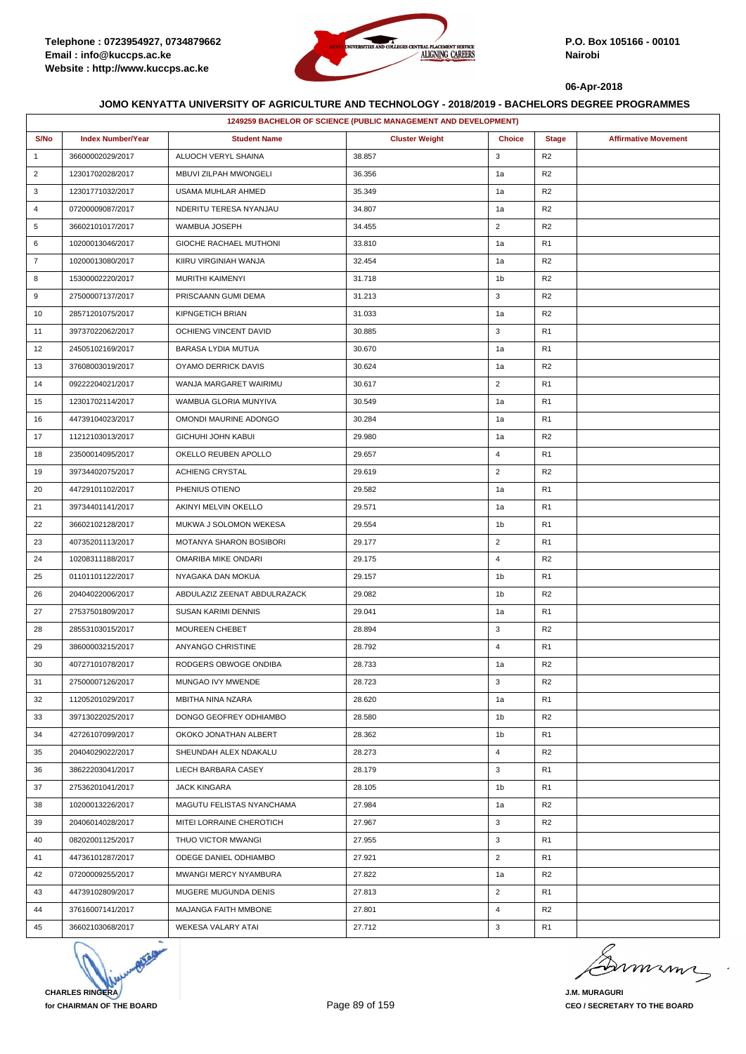

|                | 1249259 BACHELOR OF SCIENCE (PUBLIC MANAGEMENT AND DEVELOPMENT) |                              |                       |                |                |                             |
|----------------|-----------------------------------------------------------------|------------------------------|-----------------------|----------------|----------------|-----------------------------|
| S/No           | <b>Index Number/Year</b>                                        | <b>Student Name</b>          | <b>Cluster Weight</b> | <b>Choice</b>  | <b>Stage</b>   | <b>Affirmative Movement</b> |
| $\mathbf{1}$   | 36600002029/2017                                                | ALUOCH VERYL SHAINA          | 38.857                | 3              | R <sub>2</sub> |                             |
| $\overline{2}$ | 12301702028/2017                                                | MBUVI ZILPAH MWONGELI        | 36.356                | 1a             | R <sub>2</sub> |                             |
| 3              | 12301771032/2017                                                | USAMA MUHLAR AHMED           | 35.349                | 1a             | R <sub>2</sub> |                             |
| 4              | 07200009087/2017                                                | NDERITU TERESA NYANJAU       | 34.807                | 1a             | R <sub>2</sub> |                             |
| 5              | 36602101017/2017                                                | WAMBUA JOSEPH                | 34.455                | $\overline{2}$ | R <sub>2</sub> |                             |
| 6              | 10200013046/2017                                                | GIOCHE RACHAEL MUTHONI       | 33.810                | 1a             | R <sub>1</sub> |                             |
| $\overline{7}$ | 10200013080/2017                                                | KIIRU VIRGINIAH WANJA        | 32.454                | 1a             | R <sub>2</sub> |                             |
| 8              | 15300002220/2017                                                | MURITHI KAIMENYI             | 31.718                | 1b             | R <sub>2</sub> |                             |
| 9              | 27500007137/2017                                                | PRISCAANN GUMI DEMA          | 31.213                | 3              | R <sub>2</sub> |                             |
| 10             | 28571201075/2017                                                | <b>KIPNGETICH BRIAN</b>      | 31.033                | 1a             | R <sub>2</sub> |                             |
| 11             | 39737022062/2017                                                | OCHIENG VINCENT DAVID        | 30.885                | 3              | R <sub>1</sub> |                             |
| 12             | 24505102169/2017                                                | BARASA LYDIA MUTUA           | 30.670                | 1a             | R <sub>1</sub> |                             |
| 13             | 37608003019/2017                                                | OYAMO DERRICK DAVIS          | 30.624                | 1a             | R <sub>2</sub> |                             |
| 14             | 09222204021/2017                                                | WANJA MARGARET WAIRIMU       | 30.617                | $\overline{2}$ | R <sub>1</sub> |                             |
| 15             | 12301702114/2017                                                | WAMBUA GLORIA MUNYIVA        | 30.549                | 1a             | R <sub>1</sub> |                             |
| 16             | 44739104023/2017                                                | OMONDI MAURINE ADONGO        | 30.284                | 1a             | R <sub>1</sub> |                             |
| 17             | 11212103013/2017                                                | <b>GICHUHI JOHN KABUI</b>    | 29.980                | 1a             | R <sub>2</sub> |                             |
| 18             | 23500014095/2017                                                | OKELLO REUBEN APOLLO         | 29.657                | $\overline{4}$ | R <sub>1</sub> |                             |
| 19             | 39734402075/2017                                                | ACHIENG CRYSTAL              | 29.619                | $\overline{2}$ | R <sub>2</sub> |                             |
| 20             | 44729101102/2017                                                | PHENIUS OTIENO               | 29.582                | 1a             | R <sub>1</sub> |                             |
| 21             | 39734401141/2017                                                | AKINYI MELVIN OKELLO         | 29.571                | 1a             | R <sub>1</sub> |                             |
| 22             | 36602102128/2017                                                | MUKWA J SOLOMON WEKESA       | 29.554                | 1b             | R <sub>1</sub> |                             |
| 23             | 40735201113/2017                                                | MOTANYA SHARON BOSIBORI      | 29.177                | $\overline{2}$ | R <sub>1</sub> |                             |
| 24             | 10208311188/2017                                                | OMARIBA MIKE ONDARI          | 29.175                | 4              | R <sub>2</sub> |                             |
| 25             | 01101101122/2017                                                | NYAGAKA DAN MOKUA            | 29.157                | 1b             | R <sub>1</sub> |                             |
| 26             | 20404022006/2017                                                | ABDULAZIZ ZEENAT ABDULRAZACK | 29.082                | 1b             | R <sub>2</sub> |                             |
| 27             | 27537501809/2017                                                | SUSAN KARIMI DENNIS          | 29.041                | 1a             | R <sub>1</sub> |                             |
| 28             | 28553103015/2017                                                | MOUREEN CHEBET               | 28.894                | 3              | R <sub>2</sub> |                             |
| 29             | 38600003215/2017                                                | ANYANGO CHRISTINE            | 28.792                | $\overline{4}$ | R <sub>1</sub> |                             |
| 30             | 40727101078/2017                                                | RODGERS OBWOGE ONDIBA        | 28.733                | 1a             | R <sub>2</sub> |                             |
| 31             | 27500007126/2017                                                | MUNGAO IVY MWENDE            | 28.723                | 3              | R <sub>2</sub> |                             |
| 32             | 11205201029/2017                                                | MBITHA NINA NZARA            | 28.620                | 1a             | R <sub>1</sub> |                             |
| 33             | 39713022025/2017                                                | DONGO GEOFREY ODHIAMBO       | 28.580                | 1b             | R <sub>2</sub> |                             |
| 34             | 42726107099/2017                                                | OKOKO JONATHAN ALBERT        | 28.362                | 1b             | R <sub>1</sub> |                             |
| 35             | 20404029022/2017                                                | SHEUNDAH ALEX NDAKALU        | 28.273                | $\overline{4}$ | R <sub>2</sub> |                             |
| 36             | 38622203041/2017                                                | LIECH BARBARA CASEY          | 28.179                | 3              | R <sub>1</sub> |                             |
| 37             | 27536201041/2017                                                | <b>JACK KINGARA</b>          | 28.105                | 1b             | R <sub>1</sub> |                             |
| 38             | 10200013226/2017                                                | MAGUTU FELISTAS NYANCHAMA    | 27.984                | 1a             | R <sub>2</sub> |                             |
| 39             | 20406014028/2017                                                | MITEI LORRAINE CHEROTICH     | 27.967                | 3              | R <sub>2</sub> |                             |
| 40             | 08202001125/2017                                                | THUO VICTOR MWANGI           | 27.955                | 3              | R <sub>1</sub> |                             |
| 41             | 44736101287/2017                                                | ODEGE DANIEL ODHIAMBO        | 27.921                | $\overline{2}$ | R <sub>1</sub> |                             |
| 42             | 07200009255/2017                                                | MWANGI MERCY NYAMBURA        | 27.822                | 1a             | R <sub>2</sub> |                             |
| 43             | 44739102809/2017                                                | MUGERE MUGUNDA DENIS         | 27.813                | $\overline{2}$ | R <sub>1</sub> |                             |
| 44             | 37616007141/2017                                                | MAJANGA FAITH MMBONE         | 27.801                | $\overline{4}$ | R <sub>2</sub> |                             |
| 45             | 36602103068/2017                                                | WEKESA VALARY ATAI           | 27.712                | 3              | R <sub>1</sub> |                             |



Dimimi

**J.M. MURAGURI CEO / SECRETARY TO THE BOARD**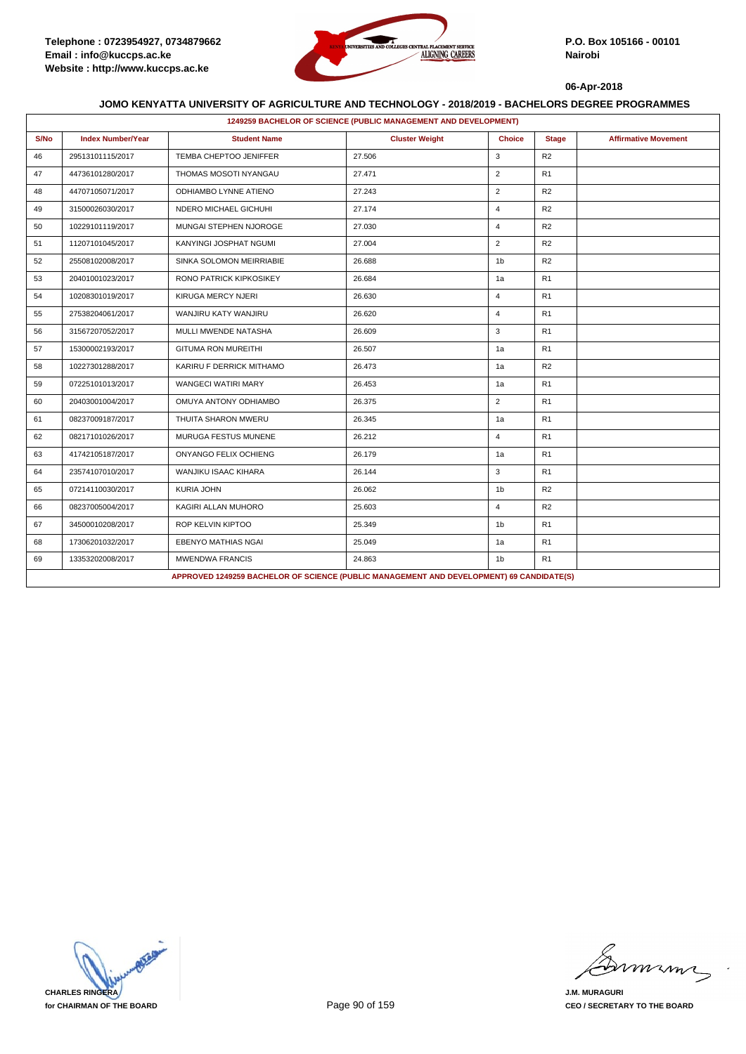

|      | 1249259 BACHELOR OF SCIENCE (PUBLIC MANAGEMENT AND DEVELOPMENT) |                                                                                          |                       |                |                |                             |  |  |  |
|------|-----------------------------------------------------------------|------------------------------------------------------------------------------------------|-----------------------|----------------|----------------|-----------------------------|--|--|--|
| S/No | <b>Index Number/Year</b>                                        | <b>Student Name</b>                                                                      | <b>Cluster Weight</b> | <b>Choice</b>  | <b>Stage</b>   | <b>Affirmative Movement</b> |  |  |  |
| 46   | 29513101115/2017                                                | TEMBA CHEPTOO JENIFFER                                                                   | 27.506                | 3              | R2             |                             |  |  |  |
| 47   | 44736101280/2017                                                | THOMAS MOSOTI NYANGAU                                                                    | 27.471                | $\overline{2}$ | R1             |                             |  |  |  |
| 48   | 44707105071/2017                                                | ODHIAMBO LYNNE ATIENO                                                                    | 27.243                | $\overline{2}$ | R2             |                             |  |  |  |
| 49   | 31500026030/2017                                                | NDERO MICHAEL GICHUHI                                                                    | 27.174                | $\overline{4}$ | R2             |                             |  |  |  |
| 50   | 10229101119/2017                                                | MUNGAI STEPHEN NJOROGE                                                                   | 27.030                | $\overline{4}$ | R <sub>2</sub> |                             |  |  |  |
| 51   | 11207101045/2017                                                | KANYINGI JOSPHAT NGUMI                                                                   | 27.004                | $\overline{2}$ | R <sub>2</sub> |                             |  |  |  |
| 52   | 25508102008/2017                                                | SINKA SOLOMON MEIRRIABIE                                                                 | 26.688                | 1 <sub>b</sub> | R <sub>2</sub> |                             |  |  |  |
| 53   | 20401001023/2017                                                | RONO PATRICK KIPKOSIKEY                                                                  | 26.684                | 1a             | R1             |                             |  |  |  |
| 54   | 10208301019/2017                                                | KIRUGA MERCY NJERI                                                                       | 26.630                | $\overline{4}$ | R <sub>1</sub> |                             |  |  |  |
| 55   | 27538204061/2017                                                | WANJIRU KATY WANJIRU                                                                     | 26.620                | $\overline{4}$ | R1             |                             |  |  |  |
| 56   | 31567207052/2017                                                | MULLI MWENDE NATASHA                                                                     | 26.609                | 3              | R <sub>1</sub> |                             |  |  |  |
| 57   | 15300002193/2017                                                | <b>GITUMA RON MUREITHI</b>                                                               | 26.507                | 1a             | R1             |                             |  |  |  |
| 58   | 10227301288/2017                                                | KARIRU F DERRICK MITHAMO                                                                 | 26.473                | 1a             | R2             |                             |  |  |  |
| 59   | 07225101013/2017                                                | <b>WANGECI WATIRI MARY</b>                                                               | 26.453                | 1a             | R <sub>1</sub> |                             |  |  |  |
| 60   | 20403001004/2017                                                | OMUYA ANTONY ODHIAMBO                                                                    | 26.375                | $\overline{2}$ | R <sub>1</sub> |                             |  |  |  |
| 61   | 08237009187/2017                                                | THUITA SHARON MWERU                                                                      | 26.345                | 1a             | R <sub>1</sub> |                             |  |  |  |
| 62   | 08217101026/2017                                                | MURUGA FESTUS MUNENE                                                                     | 26.212                | $\overline{4}$ | R <sub>1</sub> |                             |  |  |  |
| 63   | 41742105187/2017                                                | <b>ONYANGO FELIX OCHIENG</b>                                                             | 26.179                | 1a             | R1             |                             |  |  |  |
| 64   | 23574107010/2017                                                | <b>WANJIKU ISAAC KIHARA</b>                                                              | 26.144                | 3              | R <sub>1</sub> |                             |  |  |  |
| 65   | 07214110030/2017                                                | <b>KURIA JOHN</b>                                                                        | 26.062                | 1 <sub>b</sub> | R2             |                             |  |  |  |
| 66   | 08237005004/2017                                                | KAGIRI ALLAN MUHORO                                                                      | 25.603                | $\overline{4}$ | R2             |                             |  |  |  |
| 67   | 34500010208/2017                                                | ROP KELVIN KIPTOO                                                                        | 25.349                | 1 <sub>b</sub> | R <sub>1</sub> |                             |  |  |  |
| 68   | 17306201032/2017                                                | EBENYO MATHIAS NGAI                                                                      | 25.049                | 1a             | R <sub>1</sub> |                             |  |  |  |
| 69   | 13353202008/2017                                                | <b>MWENDWA FRANCIS</b>                                                                   | 24.863                | 1 <sub>b</sub> | R <sub>1</sub> |                             |  |  |  |
|      |                                                                 | APPROVED 1249259 BACHELOR OF SCIENCE (PUBLIC MANAGEMENT AND DEVELOPMENT) 69 CANDIDATE(S) |                       |                |                |                             |  |  |  |



mmmn

**J.M. MURAGURI CEO / SECRETARY TO THE BOARD**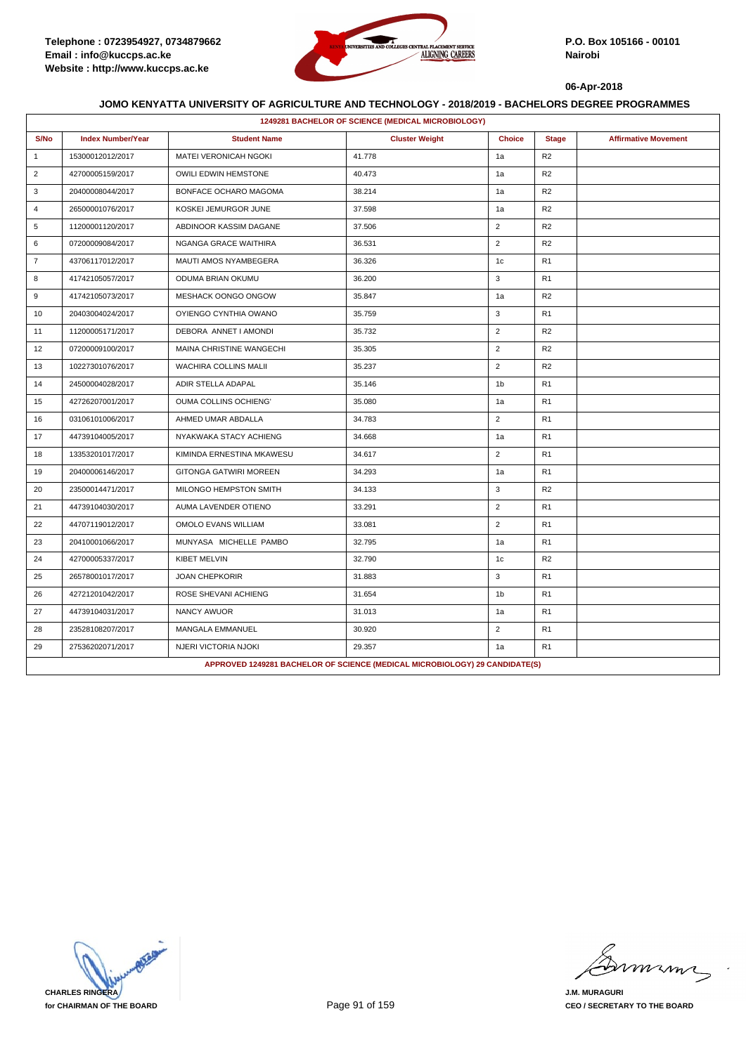

|                | 1249281 BACHELOR OF SCIENCE (MEDICAL MICROBIOLOGY) |                               |                                                                             |                |                |                             |  |  |
|----------------|----------------------------------------------------|-------------------------------|-----------------------------------------------------------------------------|----------------|----------------|-----------------------------|--|--|
| S/No           | <b>Index Number/Year</b>                           | <b>Student Name</b>           | <b>Cluster Weight</b>                                                       | <b>Choice</b>  | <b>Stage</b>   | <b>Affirmative Movement</b> |  |  |
| $\mathbf{1}$   | 15300012012/2017                                   | <b>MATEI VERONICAH NGOKI</b>  | 41.778                                                                      | 1a             | R2             |                             |  |  |
| $\overline{2}$ | 42700005159/2017                                   | OWILI EDWIN HEMSTONE          | 40.473                                                                      | 1a             | R <sub>2</sub> |                             |  |  |
| 3              | 20400008044/2017                                   | BONFACE OCHARO MAGOMA         | 38.214                                                                      | 1a             | R <sub>2</sub> |                             |  |  |
| $\overline{4}$ | 26500001076/2017                                   | KOSKEI JEMURGOR JUNE          | 37.598                                                                      | 1a             | R <sub>2</sub> |                             |  |  |
| 5              | 11200001120/2017                                   | ABDINOOR KASSIM DAGANE        | 37.506                                                                      | $\overline{2}$ | R <sub>2</sub> |                             |  |  |
| 6              | 07200009084/2017                                   | NGANGA GRACE WAITHIRA         | 36.531                                                                      | $\overline{2}$ | R2             |                             |  |  |
| $\overline{7}$ | 43706117012/2017                                   | MAUTI AMOS NYAMBEGERA         | 36.326                                                                      | 1 <sub>c</sub> | R <sub>1</sub> |                             |  |  |
| 8              | 41742105057/2017                                   | ODUMA BRIAN OKUMU             | 36.200                                                                      | 3              | R1             |                             |  |  |
| 9              | 41742105073/2017                                   | MESHACK OONGO ONGOW           | 35.847                                                                      | 1a             | R2             |                             |  |  |
| 10             | 20403004024/2017                                   | OYIENGO CYNTHIA OWANO         | 35.759                                                                      | 3              | R <sub>1</sub> |                             |  |  |
| 11             | 11200005171/2017                                   | DEBORA ANNET I AMONDI         | 35.732                                                                      | $\overline{2}$ | R <sub>2</sub> |                             |  |  |
| 12             | 07200009100/2017                                   | MAINA CHRISTINE WANGECHI      | 35.305                                                                      | $\overline{2}$ | R <sub>2</sub> |                             |  |  |
| 13             | 10227301076/2017                                   | <b>WACHIRA COLLINS MALII</b>  | 35.237                                                                      | $\overline{2}$ | R <sub>2</sub> |                             |  |  |
| 14             | 24500004028/2017                                   | ADIR STELLA ADAPAL            | 35.146                                                                      | 1 <sub>b</sub> | R <sub>1</sub> |                             |  |  |
| 15             | 42726207001/2017                                   | <b>OUMA COLLINS OCHIENG'</b>  | 35.080                                                                      | 1a             | R1             |                             |  |  |
| 16             | 03106101006/2017                                   | AHMED UMAR ABDALLA            | 34.783                                                                      | $\overline{2}$ | R <sub>1</sub> |                             |  |  |
| 17             | 44739104005/2017                                   | NYAKWAKA STACY ACHIENG        | 34.668                                                                      | 1a             | R1             |                             |  |  |
| 18             | 13353201017/2017                                   | KIMINDA ERNESTINA MKAWESU     | 34.617                                                                      | $\overline{2}$ | R <sub>1</sub> |                             |  |  |
| 19             | 20400006146/2017                                   | <b>GITONGA GATWIRI MOREEN</b> | 34.293                                                                      | 1a             | R <sub>1</sub> |                             |  |  |
| 20             | 23500014471/2017                                   | MILONGO HEMPSTON SMITH        | 34.133                                                                      | 3              | R2             |                             |  |  |
| 21             | 44739104030/2017                                   | AUMA LAVENDER OTIENO          | 33.291                                                                      | $\overline{2}$ | R <sub>1</sub> |                             |  |  |
| 22             | 44707119012/2017                                   | OMOLO EVANS WILLIAM           | 33.081                                                                      | $\overline{2}$ | R <sub>1</sub> |                             |  |  |
| 23             | 20410001066/2017                                   | MUNYASA MICHELLE PAMBO        | 32.795                                                                      | 1a             | R <sub>1</sub> |                             |  |  |
| 24             | 42700005337/2017                                   | <b>KIBET MELVIN</b>           | 32.790                                                                      | 1c             | R <sub>2</sub> |                             |  |  |
| 25             | 26578001017/2017                                   | <b>JOAN CHEPKORIR</b>         | 31.883                                                                      | 3              | R <sub>1</sub> |                             |  |  |
| 26             | 42721201042/2017                                   | ROSE SHEVANI ACHIENG          | 31.654                                                                      | 1 <sub>b</sub> | R <sub>1</sub> |                             |  |  |
| 27             | 44739104031/2017                                   | NANCY AWUOR                   | 31.013                                                                      | 1a             | R <sub>1</sub> |                             |  |  |
| 28             | 23528108207/2017                                   | MANGALA EMMANUEL              | 30.920                                                                      | $\overline{2}$ | R <sub>1</sub> |                             |  |  |
| 29             | 27536202071/2017                                   | NJERI VICTORIA NJOKI          | 29.357                                                                      | 1a             | R <sub>1</sub> |                             |  |  |
|                |                                                    |                               | APPROVED 1249281 BACHELOR OF SCIENCE (MEDICAL MICROBIOLOGY) 29 CANDIDATE(S) |                |                |                             |  |  |

**CHARLES RINGERA for CHAIRMAN OF THE BOARD**

mmmn

**J.M. MURAGURI CEO / SECRETARY TO THE BOARD**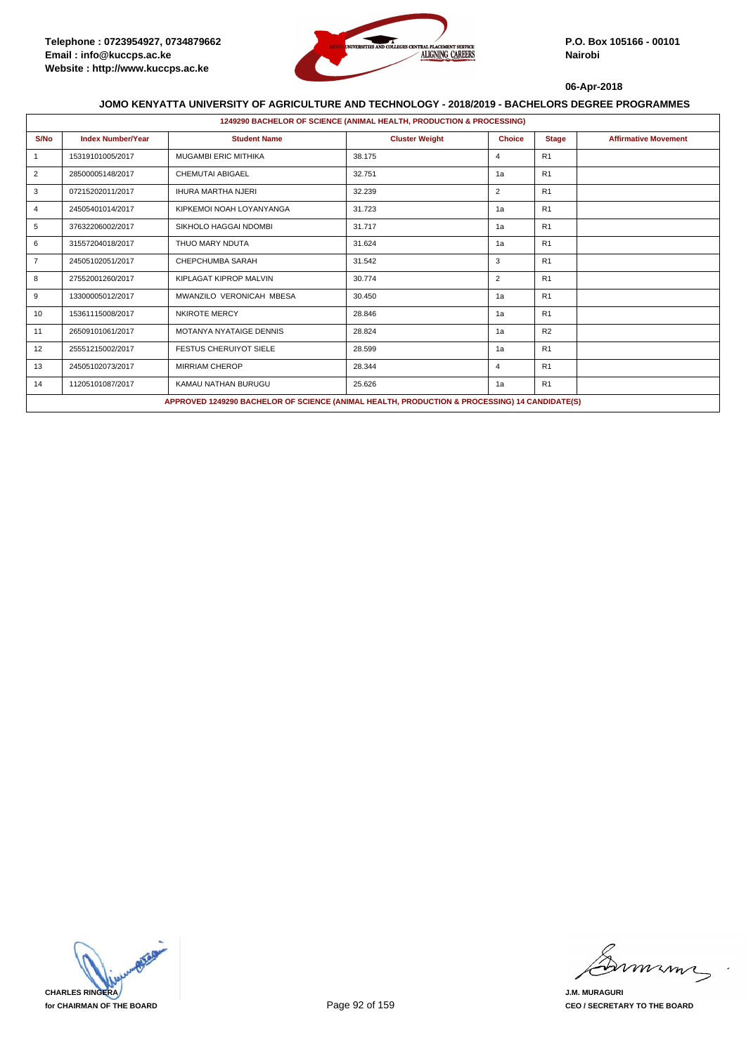

|                       | 1249290 BACHELOR OF SCIENCE (ANIMAL HEALTH, PRODUCTION & PROCESSING) |                                                                                               |                       |                |                |                             |  |  |  |
|-----------------------|----------------------------------------------------------------------|-----------------------------------------------------------------------------------------------|-----------------------|----------------|----------------|-----------------------------|--|--|--|
| S/No                  | <b>Index Number/Year</b>                                             | <b>Student Name</b>                                                                           | <b>Cluster Weight</b> | <b>Choice</b>  | <b>Stage</b>   | <b>Affirmative Movement</b> |  |  |  |
|                       | 15319101005/2017                                                     | <b>MUGAMBI ERIC MITHIKA</b>                                                                   | 38.175                | $\overline{4}$ | R1             |                             |  |  |  |
| 2                     | 28500005148/2017                                                     | <b>CHEMUTAI ABIGAEL</b>                                                                       | 32.751                | 1a             | R1             |                             |  |  |  |
| 3                     | 07215202011/2017                                                     | <b>IHURA MARTHA NJERI</b>                                                                     | 32.239                | 2              | R1             |                             |  |  |  |
| 4                     | 24505401014/2017                                                     | KIPKEMOI NOAH LOYANYANGA                                                                      | 31.723                | 1a             | R1             |                             |  |  |  |
| 5                     | 37632206002/2017                                                     | SIKHOLO HAGGAI NDOMBI                                                                         | 31.717                | 1a             | R <sub>1</sub> |                             |  |  |  |
| 6<br>31557204018/2017 |                                                                      | THUO MARY NDUTA                                                                               | 31.624                | 1a             | R1             |                             |  |  |  |
| $\overline{7}$        | 24505102051/2017                                                     | CHEPCHUMBA SARAH                                                                              | 31.542                | 3              | R1             |                             |  |  |  |
| 8                     | 27552001260/2017                                                     | KIPLAGAT KIPROP MALVIN                                                                        | 30.774                | 2              | R1             |                             |  |  |  |
| 9                     | 13300005012/2017                                                     | MWANZILO VERONICAH MBESA                                                                      | 30.450                | 1a             | R <sub>1</sub> |                             |  |  |  |
| 10                    | 15361115008/2017                                                     | <b>NKIROTE MERCY</b>                                                                          | 28.846                | 1a             | R1             |                             |  |  |  |
| 11                    | 26509101061/2017                                                     | <b>MOTANYA NYATAIGE DENNIS</b>                                                                | 28.824                | 1a             | R <sub>2</sub> |                             |  |  |  |
| 12                    | 25551215002/2017                                                     | <b>FESTUS CHERUIYOT SIELE</b>                                                                 | 28.599                | 1a             | R1             |                             |  |  |  |
| 13                    | 24505102073/2017                                                     | <b>MIRRIAM CHEROP</b>                                                                         | 28.344                | $\overline{4}$ | R1             |                             |  |  |  |
| 14                    | 11205101087/2017                                                     | KAMAU NATHAN BURUGU                                                                           | 25.626                | 1a             | R1             |                             |  |  |  |
|                       |                                                                      | APPROVED 1249290 BACHELOR OF SCIENCE (ANIMAL HEALTH, PRODUCTION & PROCESSING) 14 CANDIDATE(S) |                       |                |                |                             |  |  |  |



miming

**J.M. MURAGURI CEO / SECRETARY TO THE BOARD**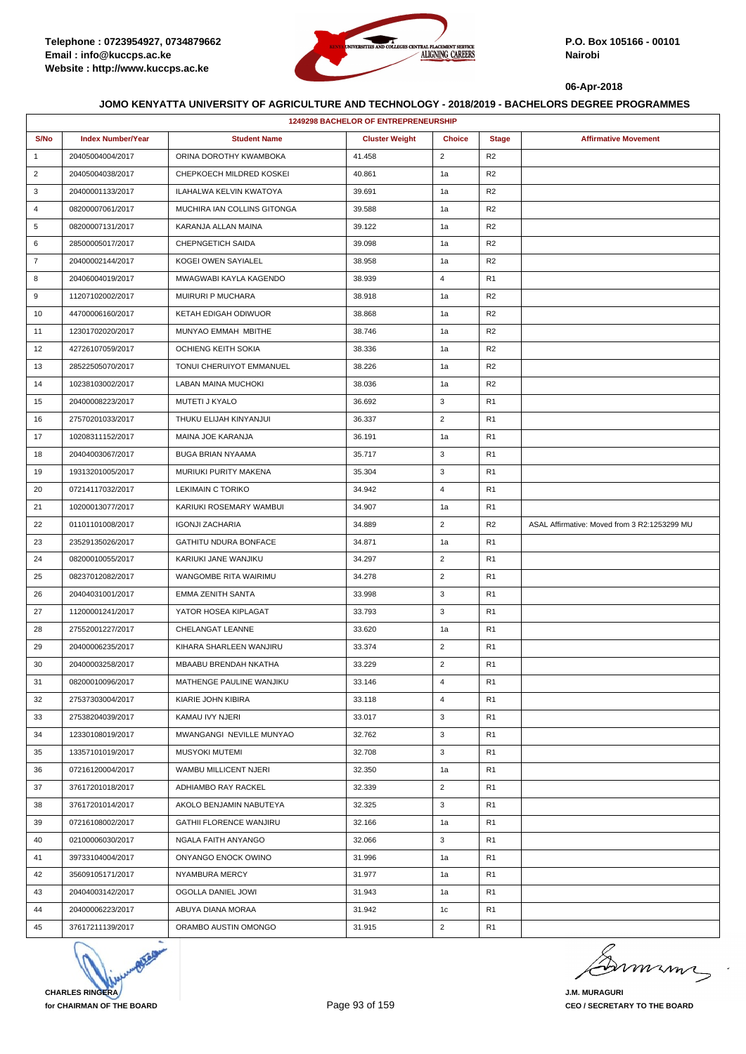

|                | <b>1249298 BACHELOR OF ENTREPRENEURSHIP</b> |                              |                       |                |                |                                              |  |  |
|----------------|---------------------------------------------|------------------------------|-----------------------|----------------|----------------|----------------------------------------------|--|--|
| S/No           | <b>Index Number/Year</b>                    | <b>Student Name</b>          | <b>Cluster Weight</b> | <b>Choice</b>  | <b>Stage</b>   | <b>Affirmative Movement</b>                  |  |  |
| $\mathbf{1}$   | 20405004004/2017                            | ORINA DOROTHY KWAMBOKA       | 41.458                | $\overline{2}$ | R <sub>2</sub> |                                              |  |  |
| $\overline{2}$ | 20405004038/2017                            | CHEPKOECH MILDRED KOSKEI     | 40.861                | 1a             | R <sub>2</sub> |                                              |  |  |
| 3              | 20400001133/2017                            | ILAHALWA KELVIN KWATOYA      | 39.691                | 1a             | R <sub>2</sub> |                                              |  |  |
| 4              | 08200007061/2017                            | MUCHIRA IAN COLLINS GITONGA  | 39.588                | 1a             | R <sub>2</sub> |                                              |  |  |
| 5              | 08200007131/2017                            | KARANJA ALLAN MAINA          | 39.122                | 1a             | R <sub>2</sub> |                                              |  |  |
| 6              | 28500005017/2017                            | CHEPNGETICH SAIDA            | 39.098                | 1a             | R <sub>2</sub> |                                              |  |  |
| $\overline{7}$ | 20400002144/2017                            | KOGEI OWEN SAYIALEL          | 38.958                | 1a             | R <sub>2</sub> |                                              |  |  |
| 8              | 20406004019/2017                            | MWAGWABI KAYLA KAGENDO       | 38.939                | $\overline{4}$ | R <sub>1</sub> |                                              |  |  |
| 9              | 11207102002/2017                            | MUIRURI P MUCHARA            | 38.918                | 1a             | R <sub>2</sub> |                                              |  |  |
| 10             | 44700006160/2017                            | KETAH EDIGAH ODIWUOR         | 38.868                | 1a             | R <sub>2</sub> |                                              |  |  |
| 11             | 12301702020/2017                            | MUNYAO EMMAH MBITHE          | 38.746                | 1a             | R <sub>2</sub> |                                              |  |  |
| 12             | 42726107059/2017                            | OCHIENG KEITH SOKIA          | 38.336                | 1a             | R <sub>2</sub> |                                              |  |  |
| 13             | 28522505070/2017                            | TONUI CHERUIYOT EMMANUEL     | 38.226                | 1a             | R <sub>2</sub> |                                              |  |  |
| 14             | 10238103002/2017                            | LABAN MAINA MUCHOKI          | 38.036                | 1a             | R <sub>2</sub> |                                              |  |  |
| 15             | 20400008223/2017                            | MUTETI J KYALO               | 36.692                | 3              | R <sub>1</sub> |                                              |  |  |
| 16             | 27570201033/2017                            | THUKU ELIJAH KINYANJUI       | 36.337                | $\overline{2}$ | R <sub>1</sub> |                                              |  |  |
| 17             | 10208311152/2017                            | <b>MAINA JOE KARANJA</b>     | 36.191                | 1a             | R <sub>1</sub> |                                              |  |  |
| 18             | 20404003067/2017                            | <b>BUGA BRIAN NYAAMA</b>     | 35.717                | 3              | R <sub>1</sub> |                                              |  |  |
| 19             | 19313201005/2017                            | MURIUKI PURITY MAKENA        | 35.304                | 3              | R <sub>1</sub> |                                              |  |  |
| 20             | 07214117032/2017                            | <b>LEKIMAIN C TORIKO</b>     | 34.942                | 4              | R <sub>1</sub> |                                              |  |  |
| 21             | 10200013077/2017                            | KARIUKI ROSEMARY WAMBUI      | 34.907                | 1a             | R <sub>1</sub> |                                              |  |  |
| 22             | 01101101008/2017                            | <b>IGONJI ZACHARIA</b>       | 34.889                | $\overline{2}$ | R <sub>2</sub> | ASAL Affirmative: Moved from 3 R2:1253299 MU |  |  |
| 23             | 23529135026/2017                            | <b>GATHITU NDURA BONFACE</b> | 34.871                | 1a             | R <sub>1</sub> |                                              |  |  |
| 24             | 08200010055/2017                            | KARIUKI JANE WANJIKU         | 34.297                | $\overline{2}$ | R <sub>1</sub> |                                              |  |  |
| 25             | 08237012082/2017                            | WANGOMBE RITA WAIRIMU        | 34.278                | $\overline{2}$ | R1             |                                              |  |  |
| 26             | 20404031001/2017                            | <b>EMMA ZENITH SANTA</b>     | 33.998                | 3              | R <sub>1</sub> |                                              |  |  |
| 27             | 11200001241/2017                            | YATOR HOSEA KIPLAGAT         | 33.793                | 3              | R <sub>1</sub> |                                              |  |  |
| 28             | 27552001227/2017                            | CHELANGAT LEANNE             | 33.620                | 1a             | R <sub>1</sub> |                                              |  |  |
| 29             | 20400006235/2017                            | KIHARA SHARLEEN WANJIRU      | 33.374                | $\overline{2}$ | R <sub>1</sub> |                                              |  |  |
| 30             | 20400003258/2017                            | MBAABU BRENDAH NKATHA        | 33.229                | $\overline{2}$ | R <sub>1</sub> |                                              |  |  |
| 31             | 08200010096/2017                            | MATHENGE PAULINE WANJIKU     | 33.146                | $\overline{4}$ | R <sub>1</sub> |                                              |  |  |
| 32             | 27537303004/2017                            | KIARIE JOHN KIBIRA           | 33.118                | $\overline{4}$ | R <sub>1</sub> |                                              |  |  |
| 33             | 27538204039/2017                            | KAMAU IVY NJERI              | 33.017                | 3              | R1             |                                              |  |  |
| 34             | 12330108019/2017                            | MWANGANGI NEVILLE MUNYAO     | 32.762                | 3              | R <sub>1</sub> |                                              |  |  |
| 35             | 13357101019/2017                            | MUSYOKI MUTEMI               | 32.708                | 3              | R <sub>1</sub> |                                              |  |  |
| 36             | 07216120004/2017                            | WAMBU MILLICENT NJERI        | 32.350                | 1a             | R1             |                                              |  |  |
| 37             | 37617201018/2017                            | ADHIAMBO RAY RACKEL          | 32.339                | $\overline{2}$ | R <sub>1</sub> |                                              |  |  |
| 38             | 37617201014/2017                            | AKOLO BENJAMIN NABUTEYA      | 32.325                | 3              | R <sub>1</sub> |                                              |  |  |
| 39             | 07216108002/2017                            | GATHII FLORENCE WANJIRU      | 32.166                | 1a             | R <sub>1</sub> |                                              |  |  |
| 40             | 02100006030/2017                            | NGALA FAITH ANYANGO          | 32.066                | 3              | R1             |                                              |  |  |
| 41             | 39733104004/2017                            | ONYANGO ENOCK OWINO          | 31.996                | 1a             | R <sub>1</sub> |                                              |  |  |
| 42             | 35609105171/2017                            | NYAMBURA MERCY               | 31.977                | 1a             | R1             |                                              |  |  |
| 43             | 20404003142/2017                            | OGOLLA DANIEL JOWI           | 31.943                | 1a             | R <sub>1</sub> |                                              |  |  |
| 44             | 20400006223/2017                            | ABUYA DIANA MORAA            | 31.942                | 1c             | R <sub>1</sub> |                                              |  |  |
| 45             | 37617211139/2017                            | ORAMBO AUSTIN OMONGO         | 31.915                | $\overline{2}$ | R <sub>1</sub> |                                              |  |  |



murma

**J.M. MURAGURI CEO / SECRETARY TO THE BOARD**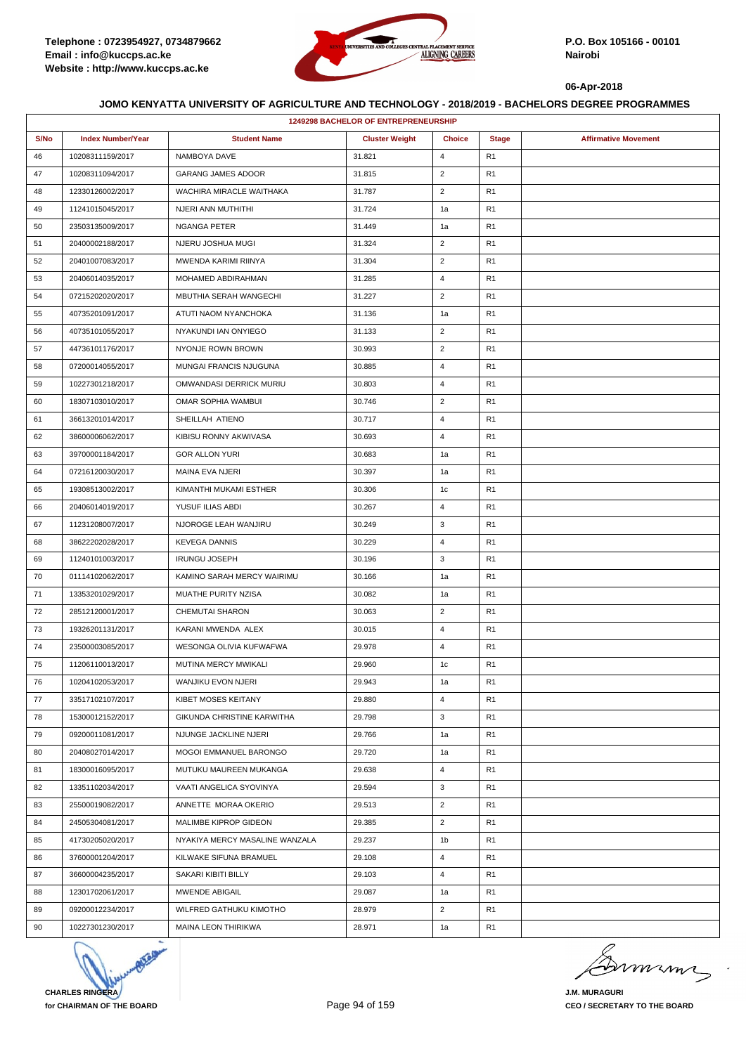

|      |                          |                                | <b>1249298 BACHELOR OF ENTREPRENEURSHIP</b> |                |                |                             |
|------|--------------------------|--------------------------------|---------------------------------------------|----------------|----------------|-----------------------------|
| S/No | <b>Index Number/Year</b> | <b>Student Name</b>            | <b>Cluster Weight</b>                       | <b>Choice</b>  | <b>Stage</b>   | <b>Affirmative Movement</b> |
| 46   | 10208311159/2017         | NAMBOYA DAVE                   | 31.821                                      | $\overline{4}$ | R1             |                             |
| 47   | 10208311094/2017         | <b>GARANG JAMES ADOOR</b>      | 31.815                                      | $\overline{2}$ | R1             |                             |
| 48   | 12330126002/2017         | WACHIRA MIRACLE WAITHAKA       | 31.787                                      | $\overline{2}$ | R <sub>1</sub> |                             |
| 49   | 11241015045/2017         | NJERI ANN MUTHITHI             | 31.724                                      | 1a             | R1             |                             |
| 50   | 23503135009/2017         | NGANGA PETER                   | 31.449                                      | 1a             | R1             |                             |
| 51   | 20400002188/2017         | NJERU JOSHUA MUGI              | 31.324                                      | $\overline{2}$ | R <sub>1</sub> |                             |
| 52   | 20401007083/2017         | MWENDA KARIMI RIINYA           | 31.304                                      | $\overline{2}$ | R1             |                             |
| 53   | 20406014035/2017         | MOHAMED ABDIRAHMAN             | 31.285                                      | $\overline{4}$ | R1             |                             |
| 54   | 07215202020/2017         | MBUTHIA SERAH WANGECHI         | 31.227                                      | $\overline{2}$ | R <sub>1</sub> |                             |
| 55   | 40735201091/2017         | ATUTI NAOM NYANCHOKA           | 31.136                                      | 1a             | R1             |                             |
| 56   | 40735101055/2017         | NYAKUNDI IAN ONYIEGO           | 31.133                                      | $\overline{2}$ | R <sub>1</sub> |                             |
| 57   | 44736101176/2017         | NYONJE ROWN BROWN              | 30.993                                      | $\overline{2}$ | R <sub>1</sub> |                             |
| 58   | 07200014055/2017         | MUNGAI FRANCIS NJUGUNA         | 30.885                                      | $\overline{4}$ | R1             |                             |
| 59   | 10227301218/2017         | OMWANDASI DERRICK MURIU        | 30.803                                      | $\overline{4}$ | R1             |                             |
| 60   | 18307103010/2017         | OMAR SOPHIA WAMBUI             | 30.746                                      | $\overline{2}$ | R <sub>1</sub> |                             |
| 61   | 36613201014/2017         | SHEILLAH ATIENO                | 30.717                                      | $\overline{4}$ | R1             |                             |
| 62   | 38600006062/2017         | KIBISU RONNY AKWIVASA          | 30.693                                      | $\overline{4}$ | R <sub>1</sub> |                             |
| 63   | 39700001184/2017         | <b>GOR ALLON YURI</b>          | 30.683                                      | 1a             | R <sub>1</sub> |                             |
| 64   | 07216120030/2017         | MAINA EVA NJERI                | 30.397                                      | 1a             | R1             |                             |
| 65   | 19308513002/2017         | KIMANTHI MUKAMI ESTHER         | 30.306                                      | 1c             | R1             |                             |
| 66   | 20406014019/2017         | YUSUF ILIAS ABDI               | 30.267                                      | $\overline{4}$ | R <sub>1</sub> |                             |
| 67   | 11231208007/2017         | NJOROGE LEAH WANJIRU           | 30.249                                      | 3              | R1             |                             |
| 68   | 38622202028/2017         | <b>KEVEGA DANNIS</b>           | 30.229                                      | $\overline{4}$ | R <sub>1</sub> |                             |
| 69   | 11240101003/2017         | <b>IRUNGU JOSEPH</b>           | 30.196                                      | 3              | R <sub>1</sub> |                             |
| 70   | 01114102062/2017         | KAMINO SARAH MERCY WAIRIMU     | 30.166                                      | 1a             | R1             |                             |
| 71   | 13353201029/2017         | MUATHE PURITY NZISA            | 30.082                                      | 1a             | R <sub>1</sub> |                             |
| 72   | 28512120001/2017         | CHEMUTAI SHARON                | 30.063                                      | $\overline{2}$ | R <sub>1</sub> |                             |
| 73   | 19326201131/2017         | KARANI MWENDA ALEX             | 30.015                                      | $\overline{4}$ | R1             |                             |
| 74   | 23500003085/2017         | WESONGA OLIVIA KUFWAFWA        | 29.978                                      | $\overline{4}$ | R <sub>1</sub> |                             |
| 75   | 11206110013/2017         | MUTINA MERCY MWIKALI           | 29.960                                      | 1c             | R <sub>1</sub> |                             |
| 76   | 10204102053/2017         | WANJIKU EVON NJERI             | 29.943                                      | 1a             | R <sub>1</sub> |                             |
| 77   | 33517102107/2017         | KIBET MOSES KEITANY            | 29.880                                      | $\overline{4}$ | R <sub>1</sub> |                             |
| 78   | 15300012152/2017         | GIKUNDA CHRISTINE KARWITHA     | 29.798                                      | 3              | R <sub>1</sub> |                             |
| 79   | 09200011081/2017         | NJUNGE JACKLINE NJERI          | 29.766                                      | 1a             | R1             |                             |
| 80   | 20408027014/2017         | MOGOI EMMANUEL BARONGO         | 29.720                                      | 1a             | R <sub>1</sub> |                             |
| 81   | 18300016095/2017         | MUTUKU MAUREEN MUKANGA         | 29.638                                      | $\overline{4}$ | R1             |                             |
| 82   | 13351102034/2017         | VAATI ANGELICA SYOVINYA        | 29.594                                      | 3              | R1             |                             |
| 83   | 25500019082/2017         | ANNETTE MORAA OKERIO           | 29.513                                      | 2              | R1             |                             |
| 84   | 24505304081/2017         | MALIMBE KIPROP GIDEON          | 29.385                                      | $\overline{2}$ | R <sub>1</sub> |                             |
| 85   | 41730205020/2017         | NYAKIYA MERCY MASALINE WANZALA | 29.237                                      | 1b             | R1             |                             |
| 86   | 37600001204/2017         | KILWAKE SIFUNA BRAMUEL         | 29.108                                      | $\overline{4}$ | R1             |                             |
| 87   | 36600004235/2017         | SAKARI KIBITI BILLY            | 29.103                                      | $\overline{4}$ | R1             |                             |
| 88   | 12301702061/2017         | MWENDE ABIGAIL                 | 29.087                                      | 1a             | R1             |                             |
| 89   | 09200012234/2017         | WILFRED GATHUKU KIMOTHO        | 28.979                                      | $\overline{2}$ | R1             |                             |
| 90   | 10227301230/2017         | MAINA LEON THIRIKWA            | 28.971                                      | 1a             | R <sub>1</sub> |                             |
|      |                          |                                |                                             |                |                |                             |



murme

**J.M. MURAGURI CEO / SECRETARY TO THE BOARD**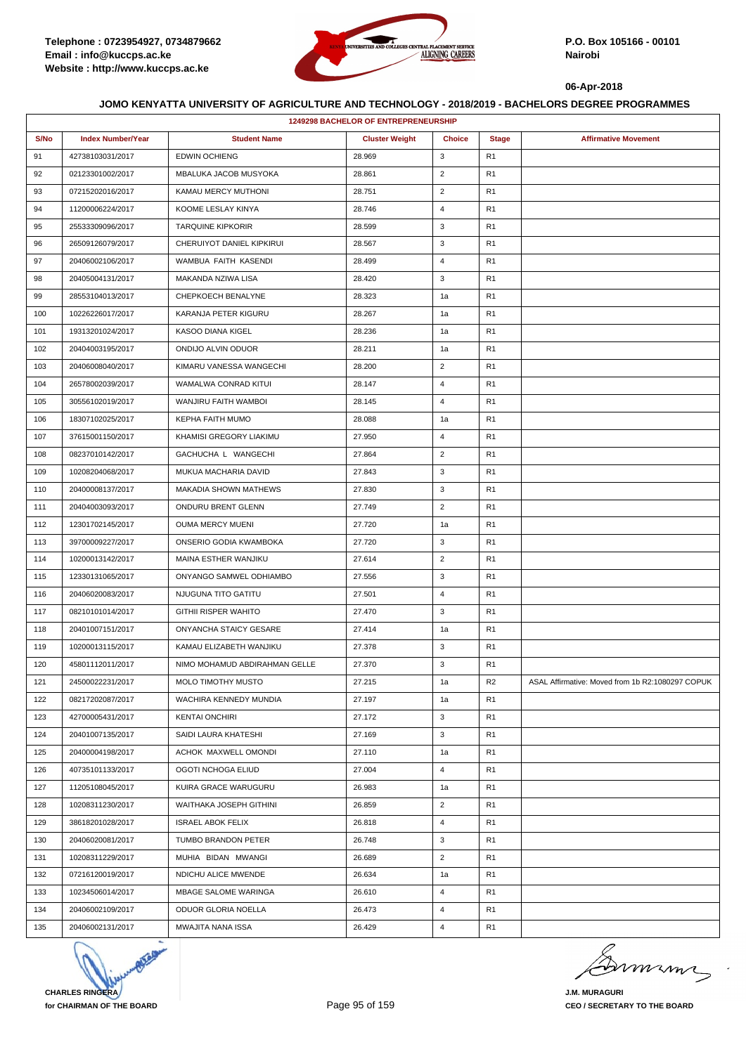

|      |                          |                               | 1249298 BACHELOR OF ENTREPRENEURSHIP |                |                |                                                  |
|------|--------------------------|-------------------------------|--------------------------------------|----------------|----------------|--------------------------------------------------|
| S/No | <b>Index Number/Year</b> | <b>Student Name</b>           | <b>Cluster Weight</b>                | <b>Choice</b>  | <b>Stage</b>   | <b>Affirmative Movement</b>                      |
| 91   | 42738103031/2017         | <b>EDWIN OCHIENG</b>          | 28.969                               | 3              | R1             |                                                  |
| 92   | 02123301002/2017         | MBALUKA JACOB MUSYOKA         | 28.861                               | $\overline{2}$ | R1             |                                                  |
| 93   | 07215202016/2017         | KAMAU MERCY MUTHONI           | 28.751                               | 2              | R1             |                                                  |
| 94   | 11200006224/2017         | KOOME LESLAY KINYA            | 28.746                               | $\overline{4}$ | R <sub>1</sub> |                                                  |
| 95   | 25533309096/2017         | <b>TARQUINE KIPKORIR</b>      | 28.599                               | 3              | R <sub>1</sub> |                                                  |
| 96   | 26509126079/2017         | CHERUIYOT DANIEL KIPKIRUI     | 28.567                               | 3              | R1             |                                                  |
| 97   | 20406002106/2017         | WAMBUA FAITH KASENDI          | 28.499                               | $\overline{4}$ | R <sub>1</sub> |                                                  |
| 98   | 20405004131/2017         | MAKANDA NZIWA LISA            | 28.420                               | 3              | R <sub>1</sub> |                                                  |
| 99   | 28553104013/2017         | CHEPKOECH BENALYNE            | 28.323                               | 1a             | R1             |                                                  |
| 100  | 10226226017/2017         | KARANJA PETER KIGURU          | 28.267                               | 1a             | R1             |                                                  |
| 101  | 19313201024/2017         | KASOO DIANA KIGEL             | 28.236                               | 1a             | R <sub>1</sub> |                                                  |
| 102  | 20404003195/2017         | ONDIJO ALVIN ODUOR            | 28.211                               | 1a             | R1             |                                                  |
| 103  | 20406008040/2017         | KIMARU VANESSA WANGECHI       | 28.200                               | $\overline{2}$ | R <sub>1</sub> |                                                  |
| 104  | 26578002039/2017         | WAMALWA CONRAD KITUI          | 28.147                               | 4              | R1             |                                                  |
| 105  | 30556102019/2017         | WANJIRU FAITH WAMBOI          | 28.145                               | 4              | R1             |                                                  |
| 106  | 18307102025/2017         | KEPHA FAITH MUMO              | 28.088                               | 1a             | R <sub>1</sub> |                                                  |
| 107  | 37615001150/2017         | KHAMISI GREGORY LIAKIMU       | 27.950                               | 4              | R <sub>1</sub> |                                                  |
| 108  | 08237010142/2017         | GACHUCHA L WANGECHI           | 27.864                               | $\overline{2}$ | R1             |                                                  |
| 109  | 10208204068/2017         | MUKUA MACHARIA DAVID          | 27.843                               | 3              | R <sub>1</sub> |                                                  |
| 110  | 20400008137/2017         | MAKADIA SHOWN MATHEWS         | 27.830                               | 3              | R1             |                                                  |
| 111  | 20404003093/2017         | ONDURU BRENT GLENN            | 27.749                               | $\overline{2}$ | R1             |                                                  |
| 112  | 12301702145/2017         | OUMA MERCY MUENI              | 27.720                               | 1a             | R1             |                                                  |
| 113  | 39700009227/2017         | ONSERIO GODIA KWAMBOKA        | 27.720                               | 3              | R <sub>1</sub> |                                                  |
| 114  | 10200013142/2017         | MAINA ESTHER WANJIKU          | 27.614                               | $\overline{2}$ | R1             |                                                  |
| 115  | 12330131065/2017         | ONYANGO SAMWEL ODHIAMBO       | 27.556                               | 3              | R <sub>1</sub> |                                                  |
| 116  | 20406020083/2017         | NJUGUNA TITO GATITU           | 27.501                               | 4              | R1             |                                                  |
| 117  | 08210101014/2017         | <b>GITHII RISPER WAHITO</b>   | 27.470                               | 3              | R1             |                                                  |
| 118  | 20401007151/2017         | ONYANCHA STAICY GESARE        | 27.414                               | 1a             | R <sub>1</sub> |                                                  |
| 119  | 10200013115/2017         | KAMAU ELIZABETH WANJIKU       | 27.378                               | 3              | R1             |                                                  |
| 120  | 45801112011/2017         | NIMO MOHAMUD ABDIRAHMAN GELLE | 27.370                               | 3              | R1             |                                                  |
| 121  | 24500022231/2017         | MOLO TIMOTHY MUSTO            | 27.215                               | 1a             | R <sub>2</sub> | ASAL Affirmative: Moved from 1b R2:1080297 COPUK |
| 122  | 08217202087/2017         | WACHIRA KENNEDY MUNDIA        | 27.197                               | 1a             | R <sub>1</sub> |                                                  |
| 123  | 42700005431/2017         | <b>KENTAI ONCHIRI</b>         | 27.172                               | 3              | R <sub>1</sub> |                                                  |
| 124  | 20401007135/2017         | SAIDI LAURA KHATESHI          | 27.169                               | 3              | R <sub>1</sub> |                                                  |
| 125  | 20400004198/2017         | ACHOK MAXWELL OMONDI          | 27.110                               | 1a             | R1             |                                                  |
| 126  | 40735101133/2017         | OGOTI NCHOGA ELIUD            | 27.004                               | 4              | R <sub>1</sub> |                                                  |
| 127  | 11205108045/2017         | KUIRA GRACE WARUGURU          | 26.983                               | 1a             | R <sub>1</sub> |                                                  |
| 128  | 10208311230/2017         | WAITHAKA JOSEPH GITHINI       | 26.859                               | $\overline{2}$ | R1             |                                                  |
| 129  | 38618201028/2017         | <b>ISRAEL ABOK FELIX</b>      | 26.818                               | 4              | R <sub>1</sub> |                                                  |
| 130  | 20406020081/2017         | TUMBO BRANDON PETER           | 26.748                               | 3              | R <sub>1</sub> |                                                  |
| 131  | 10208311229/2017         | MUHIA BIDAN MWANGI            | 26.689                               | $\overline{2}$ | R1             |                                                  |
| 132  | 07216120019/2017         | NDICHU ALICE MWENDE           | 26.634                               | 1a             | R1             |                                                  |
| 133  | 10234506014/2017         | MBAGE SALOME WARINGA          | 26.610                               | $\overline{4}$ | R1             |                                                  |
| 134  | 20406002109/2017         | ODUOR GLORIA NOELLA           | 26.473                               | 4              | R <sub>1</sub> |                                                  |
| 135  | 20406002131/2017         | MWAJITA NANA ISSA             | 26.429                               | 4              | R <sub>1</sub> |                                                  |



mmmn

**J.M. MURAGURI CEO / SECRETARY TO THE BOARD**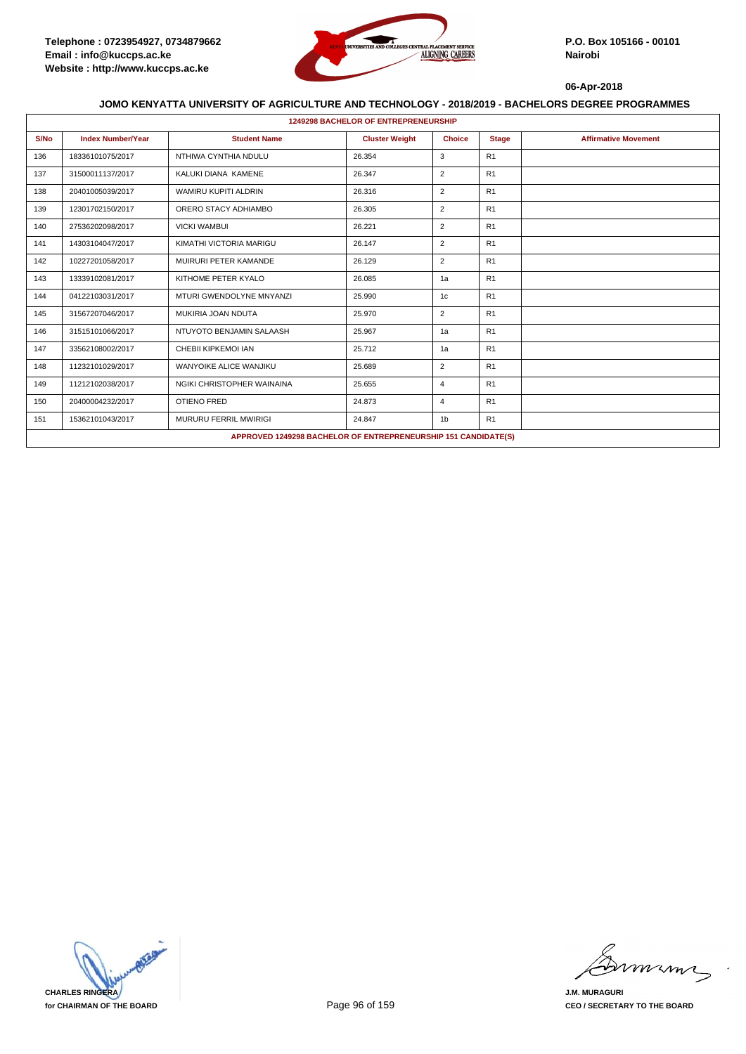

|      | <b>1249298 BACHELOR OF ENTREPRENEURSHIP</b> |                              |                                                                |                |              |                             |  |  |  |
|------|---------------------------------------------|------------------------------|----------------------------------------------------------------|----------------|--------------|-----------------------------|--|--|--|
| S/No | <b>Index Number/Year</b>                    | <b>Student Name</b>          | <b>Cluster Weight</b>                                          | <b>Choice</b>  | <b>Stage</b> | <b>Affirmative Movement</b> |  |  |  |
| 136  | 18336101075/2017                            | NTHIWA CYNTHIA NDULU         | 26.354                                                         | 3              | R1           |                             |  |  |  |
| 137  | 31500011137/2017                            | KALUKI DIANA KAMENE          | 26.347                                                         | $\overline{2}$ | R1           |                             |  |  |  |
| 138  | 20401005039/2017                            | WAMIRU KUPITI ALDRIN         | 26.316                                                         | $\overline{2}$ | R1           |                             |  |  |  |
| 139  | 12301702150/2017                            | ORERO STACY ADHIAMBO         | 26.305                                                         | $\overline{2}$ | R1           |                             |  |  |  |
| 140  | 27536202098/2017                            | <b>VICKI WAMBUI</b>          | 26.221                                                         | $\overline{2}$ | R1           |                             |  |  |  |
| 141  | 14303104047/2017                            | KIMATHI VICTORIA MARIGU      | 26.147                                                         | $\overline{2}$ | R1           |                             |  |  |  |
| 142  | 10227201058/2017                            | MUIRURI PETER KAMANDE        | 26.129                                                         | $\overline{2}$ | R1           |                             |  |  |  |
| 143  | 13339102081/2017                            | KITHOME PETER KYALO          | 26.085                                                         | 1a             | R1           |                             |  |  |  |
| 144  | 04122103031/2017                            | MTURI GWENDOLYNE MNYANZI     | 25.990                                                         | 1c             | R1           |                             |  |  |  |
| 145  | 31567207046/2017                            | MUKIRIA JOAN NDUTA           | 25.970                                                         | $\overline{2}$ | R1           |                             |  |  |  |
| 146  | 31515101066/2017                            | NTUYOTO BENJAMIN SALAASH     | 25.967                                                         | 1a             | R1           |                             |  |  |  |
| 147  | 33562108002/2017                            | CHEBII KIPKEMOI IAN          | 25.712                                                         | 1a             | R1           |                             |  |  |  |
| 148  | 11232101029/2017                            | WANYOIKE ALICE WANJIKU       | 25.689                                                         | $\overline{2}$ | R1           |                             |  |  |  |
| 149  | 11212102038/2017                            | NGIKI CHRISTOPHER WAINAINA   | 25.655                                                         | $\overline{4}$ | R1           |                             |  |  |  |
| 150  | 20400004232/2017                            | <b>OTIENO FRED</b>           | 24.873                                                         | $\overline{4}$ | R1           |                             |  |  |  |
| 151  | 15362101043/2017                            | <b>MURURU FERRIL MWIRIGI</b> | 24.847                                                         | 1 <sub>b</sub> | R1           |                             |  |  |  |
|      |                                             |                              | APPROVED 1249298 BACHELOR OF ENTREPRENEURSHIP 151 CANDIDATE(S) |                |              |                             |  |  |  |



minn

**J.M. MURAGURI CEO / SECRETARY TO THE BOARD**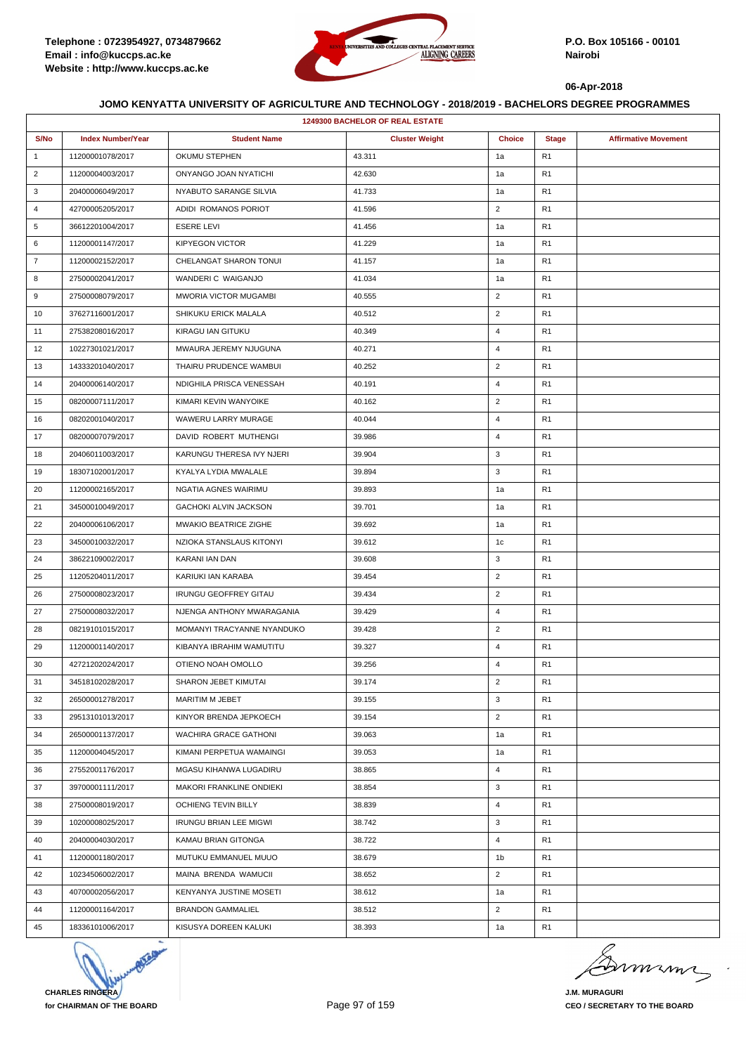

|                | <b>1249300 BACHELOR OF REAL ESTATE</b> |                               |                       |                |                |                             |  |  |  |
|----------------|----------------------------------------|-------------------------------|-----------------------|----------------|----------------|-----------------------------|--|--|--|
| S/No           | <b>Index Number/Year</b>               | <b>Student Name</b>           | <b>Cluster Weight</b> | <b>Choice</b>  | <b>Stage</b>   | <b>Affirmative Movement</b> |  |  |  |
| $\mathbf{1}$   | 11200001078/2017                       | OKUMU STEPHEN                 | 43.311                | 1a             | R <sub>1</sub> |                             |  |  |  |
| $\overline{2}$ | 11200004003/2017                       | ONYANGO JOAN NYATICHI         | 42.630                | 1a             | R <sub>1</sub> |                             |  |  |  |
| 3              | 20400006049/2017                       | NYABUTO SARANGE SILVIA        | 41.733                | 1a             | R <sub>1</sub> |                             |  |  |  |
| 4              | 42700005205/2017                       | ADIDI ROMANOS PORIOT          | 41.596                | $\overline{2}$ | R <sub>1</sub> |                             |  |  |  |
| 5              | 36612201004/2017                       | <b>ESERE LEVI</b>             | 41.456                | 1a             | R <sub>1</sub> |                             |  |  |  |
| 6              | 11200001147/2017                       | <b>KIPYEGON VICTOR</b>        | 41.229                | 1a             | R <sub>1</sub> |                             |  |  |  |
| $\overline{7}$ | 11200002152/2017                       | CHELANGAT SHARON TONUI        | 41.157                | 1a             | R <sub>1</sub> |                             |  |  |  |
| 8              | 27500002041/2017                       | WANDERI C WAIGANJO            | 41.034                | 1a             | R <sub>1</sub> |                             |  |  |  |
| 9              | 27500008079/2017                       | <b>MWORIA VICTOR MUGAMBI</b>  | 40.555                | $\overline{2}$ | R <sub>1</sub> |                             |  |  |  |
| 10             | 37627116001/2017                       | SHIKUKU ERICK MALALA          | 40.512                | $\overline{2}$ | R <sub>1</sub> |                             |  |  |  |
| 11             | 27538208016/2017                       | KIRAGU IAN GITUKU             | 40.349                | $\overline{4}$ | R <sub>1</sub> |                             |  |  |  |
| 12             | 10227301021/2017                       | MWAURA JEREMY NJUGUNA         | 40.271                | 4              | R <sub>1</sub> |                             |  |  |  |
| 13             | 14333201040/2017                       | THAIRU PRUDENCE WAMBUI        | 40.252                | $\overline{2}$ | R <sub>1</sub> |                             |  |  |  |
| 14             | 20400006140/2017                       | NDIGHILA PRISCA VENESSAH      | 40.191                | $\overline{4}$ | R <sub>1</sub> |                             |  |  |  |
| 15             | 08200007111/2017                       | KIMARI KEVIN WANYOIKE         | 40.162                | $\overline{2}$ | R <sub>1</sub> |                             |  |  |  |
| 16             | 08202001040/2017                       | WAWERU LARRY MURAGE           | 40.044                | $\overline{4}$ | R <sub>1</sub> |                             |  |  |  |
| 17             | 08200007079/2017                       | DAVID ROBERT MUTHENGI         | 39.986                | $\overline{4}$ | R <sub>1</sub> |                             |  |  |  |
| 18             | 20406011003/2017                       | KARUNGU THERESA IVY NJERI     | 39.904                | 3              | R <sub>1</sub> |                             |  |  |  |
| 19             | 18307102001/2017                       | KYALYA LYDIA MWALALE          | 39.894                | 3              | R <sub>1</sub> |                             |  |  |  |
| 20             | 11200002165/2017                       | NGATIA AGNES WAIRIMU          | 39.893                | 1a             | R <sub>1</sub> |                             |  |  |  |
| 21             | 34500010049/2017                       | GACHOKI ALVIN JACKSON         | 39.701                | 1a             | R <sub>1</sub> |                             |  |  |  |
| 22             | 20400006106/2017                       | MWAKIO BEATRICE ZIGHE         | 39.692                | 1a             | R <sub>1</sub> |                             |  |  |  |
| 23             | 34500010032/2017                       | NZIOKA STANSLAUS KITONYI      | 39.612                | 1c             | R <sub>1</sub> |                             |  |  |  |
| 24             | 38622109002/2017                       | KARANI IAN DAN                | 39.608                | 3              | R <sub>1</sub> |                             |  |  |  |
| 25             | 11205204011/2017                       | KARIUKI IAN KARABA            | 39.454                | $\overline{2}$ | R <sub>1</sub> |                             |  |  |  |
| 26             | 27500008023/2017                       | <b>IRUNGU GEOFFREY GITAU</b>  | 39.434                | $\overline{2}$ | R <sub>1</sub> |                             |  |  |  |
| 27             | 27500008032/2017                       | NJENGA ANTHONY MWARAGANIA     | 39.429                | 4              | R <sub>1</sub> |                             |  |  |  |
| 28             | 08219101015/2017                       | MOMANYI TRACYANNE NYANDUKO    | 39.428                | $\overline{2}$ | R <sub>1</sub> |                             |  |  |  |
| 29             | 11200001140/2017                       | KIBANYA IBRAHIM WAMUTITU      | 39.327                | 4              | R <sub>1</sub> |                             |  |  |  |
| 30             | 42721202024/2017                       | OTIENO NOAH OMOLLO            | 39.256                | $\overline{4}$ | R <sub>1</sub> |                             |  |  |  |
| 31             | 34518102028/2017                       | SHARON JEBET KIMUTAI          | 39.174                | $\overline{2}$ | R <sub>1</sub> |                             |  |  |  |
| 32             | 26500001278/2017                       | MARITIM M JEBET               | 39.155                | 3              | R <sub>1</sub> |                             |  |  |  |
| 33             | 29513101013/2017                       | KINYOR BRENDA JEPKOECH        | 39.154                | $\overline{2}$ | R <sub>1</sub> |                             |  |  |  |
| 34             | 26500001137/2017                       | WACHIRA GRACE GATHONI         | 39.063                | 1a             | R <sub>1</sub> |                             |  |  |  |
| 35             | 11200004045/2017                       | KIMANI PERPETUA WAMAINGI      | 39.053                | 1a             | R <sub>1</sub> |                             |  |  |  |
| 36             | 27552001176/2017                       | MGASU KIHANWA LUGADIRU        | 38.865                | $\overline{4}$ | R <sub>1</sub> |                             |  |  |  |
| 37             | 39700001111/2017                       | MAKORI FRANKLINE ONDIEKI      | 38.854                | 3              | R <sub>1</sub> |                             |  |  |  |
| 38             | 27500008019/2017                       | OCHIENG TEVIN BILLY           | 38.839                | $\overline{4}$ | R <sub>1</sub> |                             |  |  |  |
| 39             | 10200008025/2017                       | <b>IRUNGU BRIAN LEE MIGWI</b> | 38.742                | 3              | R <sub>1</sub> |                             |  |  |  |
| 40             | 20400004030/2017                       | KAMAU BRIAN GITONGA           | 38.722                | $\overline{4}$ | R <sub>1</sub> |                             |  |  |  |
| 41             | 11200001180/2017                       | MUTUKU EMMANUEL MUUO          | 38.679                | 1b             | R <sub>1</sub> |                             |  |  |  |
| 42             | 10234506002/2017                       | MAINA BRENDA WAMUCII          | 38.652                | $\overline{2}$ | R <sub>1</sub> |                             |  |  |  |
| 43             | 40700002056/2017                       | KENYANYA JUSTINE MOSETI       | 38.612                | 1a             | R <sub>1</sub> |                             |  |  |  |
| 44             | 11200001164/2017                       | <b>BRANDON GAMMALIEL</b>      | 38.512                | $\overline{2}$ | R <sub>1</sub> |                             |  |  |  |
| 45             | 18336101006/2017                       | KISUSYA DOREEN KALUKI         | 38.393                | 1a             | R <sub>1</sub> |                             |  |  |  |



mmmn

**J.M. MURAGURI CEO / SECRETARY TO THE BOARD**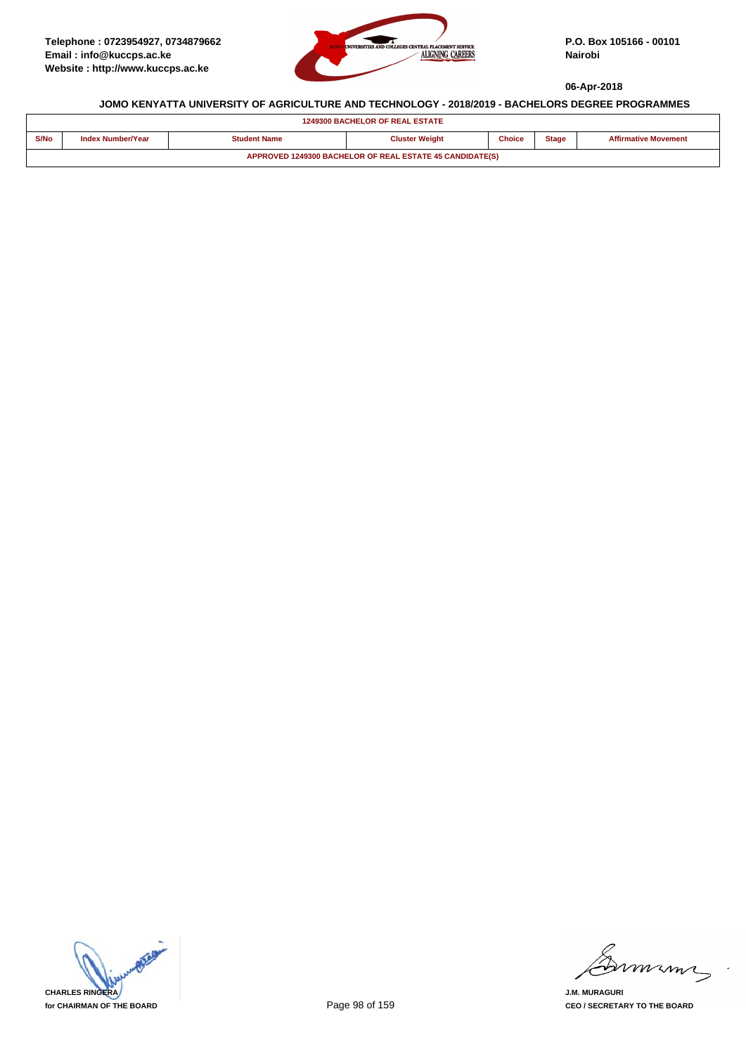

|      | <b>1249300 BACHELOR OF REAL ESTATE</b>                   |                     |                       |               |              |                             |  |  |
|------|----------------------------------------------------------|---------------------|-----------------------|---------------|--------------|-----------------------------|--|--|
| S/No | <b>Index Number/Year</b>                                 | <b>Student Name</b> | <b>Cluster Weight</b> | <b>Choice</b> | <b>Stage</b> | <b>Affirmative Movement</b> |  |  |
|      | APPROVED 1249300 BACHELOR OF REAL ESTATE 45 CANDIDATE(S) |                     |                       |               |              |                             |  |  |

**CHARLES RINGERA for CHAIRMAN OF THE BOARD**

mmmn

**J.M. MURAGURI CEO / SECRETARY TO THE BOARD**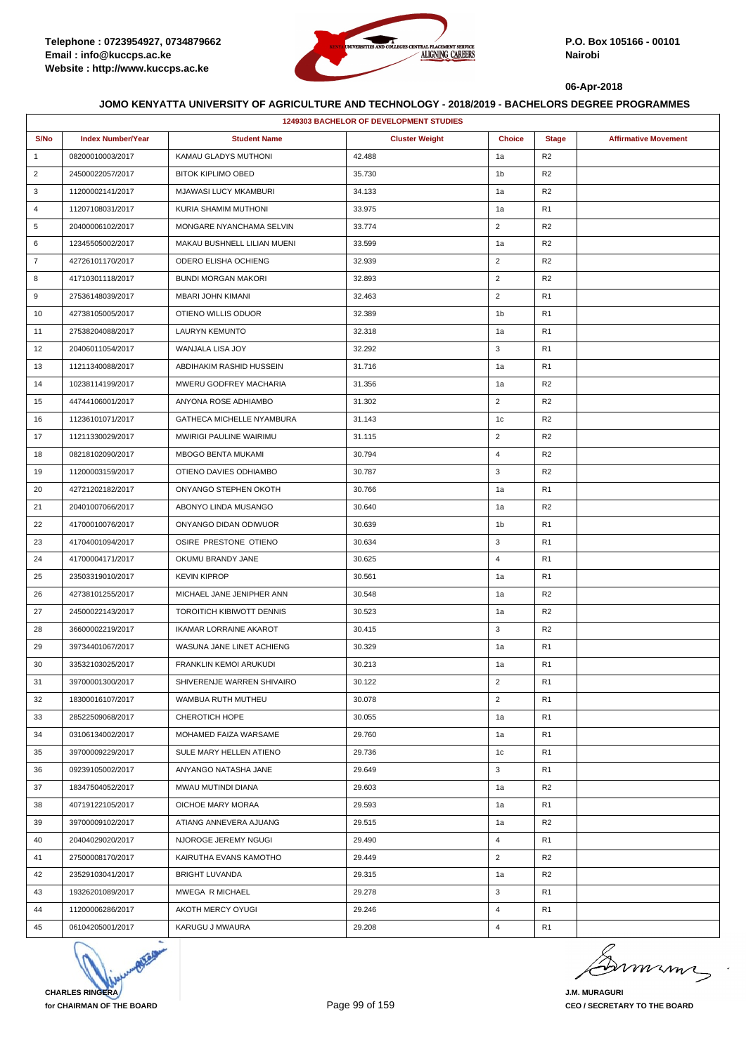

|                | 1249303 BACHELOR OF DEVELOPMENT STUDIES |                               |                       |                |                |                             |  |  |
|----------------|-----------------------------------------|-------------------------------|-----------------------|----------------|----------------|-----------------------------|--|--|
| S/No           | <b>Index Number/Year</b>                | <b>Student Name</b>           | <b>Cluster Weight</b> | <b>Choice</b>  | <b>Stage</b>   | <b>Affirmative Movement</b> |  |  |
| $\mathbf{1}$   | 08200010003/2017                        | KAMAU GLADYS MUTHONI          | 42.488                | 1a             | R <sub>2</sub> |                             |  |  |
| $\overline{2}$ | 24500022057/2017                        | <b>BITOK KIPLIMO OBED</b>     | 35.730                | 1 <sub>b</sub> | R <sub>2</sub> |                             |  |  |
| 3              | 11200002141/2017                        | MJAWASI LUCY MKAMBURI         | 34.133                | 1a             | R <sub>2</sub> |                             |  |  |
| 4              | 11207108031/2017                        | KURIA SHAMIM MUTHONI          | 33.975                | 1a             | R <sub>1</sub> |                             |  |  |
| 5              | 20400006102/2017                        | MONGARE NYANCHAMA SELVIN      | 33.774                | $\overline{2}$ | R <sub>2</sub> |                             |  |  |
| 6              | 12345505002/2017                        | MAKAU BUSHNELL LILIAN MUENI   | 33.599                | 1a             | R <sub>2</sub> |                             |  |  |
| $\overline{7}$ | 42726101170/2017                        | ODERO ELISHA OCHIENG          | 32.939                | $\overline{2}$ | R <sub>2</sub> |                             |  |  |
| 8              | 41710301118/2017                        | <b>BUNDI MORGAN MAKORI</b>    | 32.893                | $\overline{2}$ | R <sub>2</sub> |                             |  |  |
| 9              | 27536148039/2017                        | MBARI JOHN KIMANI             | 32.463                | $\overline{2}$ | R <sub>1</sub> |                             |  |  |
| 10             | 42738105005/2017                        | OTIENO WILLIS ODUOR           | 32.389                | 1b             | R <sub>1</sub> |                             |  |  |
| 11             | 27538204088/2017                        | LAURYN KEMUNTO                | 32.318                | 1a             | R <sub>1</sub> |                             |  |  |
| 12             | 20406011054/2017                        | WANJALA LISA JOY              | 32.292                | 3              | R <sub>1</sub> |                             |  |  |
| 13             | 11211340088/2017                        | ABDIHAKIM RASHID HUSSEIN      | 31.716                | 1a             | R <sub>1</sub> |                             |  |  |
| 14             | 10238114199/2017                        | MWERU GODFREY MACHARIA        | 31.356                | 1a             | R <sub>2</sub> |                             |  |  |
| 15             | 44744106001/2017                        | ANYONA ROSE ADHIAMBO          | 31.302                | $\overline{2}$ | R <sub>2</sub> |                             |  |  |
| 16             | 11236101071/2017                        | GATHECA MICHELLE NYAMBURA     | 31.143                | 1 <sub>c</sub> | R <sub>2</sub> |                             |  |  |
| 17             | 11211330029/2017                        | MWIRIGI PAULINE WAIRIMU       | 31.115                | $\overline{2}$ | R <sub>2</sub> |                             |  |  |
| 18             | 08218102090/2017                        | <b>MBOGO BENTA MUKAMI</b>     | 30.794                | $\overline{4}$ | R <sub>2</sub> |                             |  |  |
| 19             | 11200003159/2017                        | OTIENO DAVIES ODHIAMBO        | 30.787                | 3              | R <sub>2</sub> |                             |  |  |
| 20             | 42721202182/2017                        | ONYANGO STEPHEN OKOTH         | 30.766                | 1a             | R <sub>1</sub> |                             |  |  |
| 21             | 20401007066/2017                        | ABONYO LINDA MUSANGO          | 30.640                | 1a             | R <sub>2</sub> |                             |  |  |
| 22             | 41700010076/2017                        | ONYANGO DIDAN ODIWUOR         | 30.639                | 1b             | R <sub>1</sub> |                             |  |  |
| 23             | 41704001094/2017                        | OSIRE PRESTONE OTIENO         | 30.634                | 3              | R <sub>1</sub> |                             |  |  |
| 24             | 41700004171/2017                        | OKUMU BRANDY JANE             | 30.625                | $\overline{4}$ | R <sub>1</sub> |                             |  |  |
| 25             | 23503319010/2017                        | <b>KEVIN KIPROP</b>           | 30.561                | 1a             | R <sub>1</sub> |                             |  |  |
| 26             | 42738101255/2017                        | MICHAEL JANE JENIPHER ANN     | 30.548                | 1a             | R <sub>2</sub> |                             |  |  |
| 27             | 24500022143/2017                        | TOROITICH KIBIWOTT DENNIS     | 30.523                | 1a             | R <sub>2</sub> |                             |  |  |
| 28             | 36600002219/2017                        | <b>IKAMAR LORRAINE AKAROT</b> | 30.415                | 3              | R <sub>2</sub> |                             |  |  |
| 29             | 39734401067/2017                        | WASUNA JANE LINET ACHIENG     | 30.329                | 1a             | R <sub>1</sub> |                             |  |  |
| 30             | 33532103025/2017                        | FRANKLIN KEMOI ARUKUDI        | 30.213                | 1a             | R <sub>1</sub> |                             |  |  |
| 31             | 39700001300/2017                        | SHIVERENJE WARREN SHIVAIRO    | 30.122                | $\overline{2}$ | R <sub>1</sub> |                             |  |  |
| 32             | 18300016107/2017                        | WAMBUA RUTH MUTHEU            | 30.078                | $\overline{2}$ | R <sub>1</sub> |                             |  |  |
| 33             | 28522509068/2017                        | CHEROTICH HOPE                | 30.055                | 1a             | R <sub>1</sub> |                             |  |  |
| 34             | 03106134002/2017                        | MOHAMED FAIZA WARSAME         | 29.760                | 1a             | R <sub>1</sub> |                             |  |  |
| 35             | 39700009229/2017                        | SULE MARY HELLEN ATIENO       | 29.736                | 1c             | R <sub>1</sub> |                             |  |  |
| 36             | 09239105002/2017                        | ANYANGO NATASHA JANE          | 29.649                | 3              | R <sub>1</sub> |                             |  |  |
| 37             | 18347504052/2017                        | MWAU MUTINDI DIANA            | 29.603                | 1a             | R <sub>2</sub> |                             |  |  |
| 38             | 40719122105/2017                        | OICHOE MARY MORAA             | 29.593                | 1a             | R <sub>1</sub> |                             |  |  |
| 39             | 39700009102/2017                        | ATIANG ANNEVERA AJUANG        | 29.515                | 1a             | R <sub>2</sub> |                             |  |  |
| 40             | 20404029020/2017                        | NJOROGE JEREMY NGUGI          | 29.490                | $\overline{4}$ | R <sub>1</sub> |                             |  |  |
| 41             | 27500008170/2017                        | KAIRUTHA EVANS KAMOTHO        | 29.449                | $\overline{2}$ | R <sub>2</sub> |                             |  |  |
| 42             | 23529103041/2017                        | <b>BRIGHT LUVANDA</b>         | 29.315                | 1a             | R <sub>2</sub> |                             |  |  |
| 43             | 19326201089/2017                        | MWEGA R MICHAEL               | 29.278                | 3              | R <sub>1</sub> |                             |  |  |
| 44             | 11200006286/2017                        | AKOTH MERCY OYUGI             | 29.246                | $\overline{4}$ | R <sub>1</sub> |                             |  |  |
| 45             | 06104205001/2017                        | KARUGU J MWAURA               | 29.208                | $\overline{4}$ | R <sub>1</sub> |                             |  |  |



mmmn

**J.M. MURAGURI CEO / SECRETARY TO THE BOARD**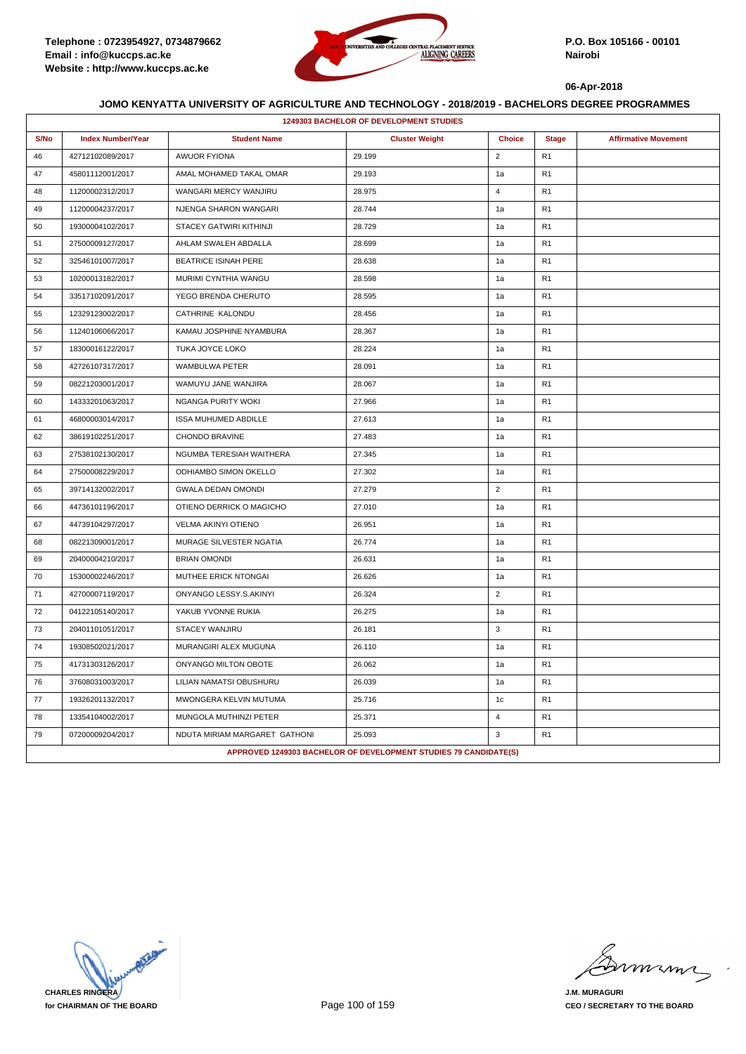

|      | 1249303 BACHELOR OF DEVELOPMENT STUDIES |                               |                                                                  |                |                |                             |  |  |  |
|------|-----------------------------------------|-------------------------------|------------------------------------------------------------------|----------------|----------------|-----------------------------|--|--|--|
| S/No | <b>Index Number/Year</b>                | <b>Student Name</b>           | <b>Cluster Weight</b>                                            | <b>Choice</b>  | <b>Stage</b>   | <b>Affirmative Movement</b> |  |  |  |
| 46   | 42712102089/2017                        | <b>AWUOR FYIONA</b>           | 29.199                                                           | $\mathbf 2$    | R <sub>1</sub> |                             |  |  |  |
| 47   | 45801112001/2017                        | AMAL MOHAMED TAKAL OMAR       | 29.193                                                           | 1a             | R <sub>1</sub> |                             |  |  |  |
| 48   | 11200002312/2017                        | WANGARI MERCY WANJIRU         | 28.975                                                           | $\overline{4}$ | R <sub>1</sub> |                             |  |  |  |
| 49   | 11200004237/2017                        | NJENGA SHARON WANGARI         | 28.744                                                           | 1a             | R <sub>1</sub> |                             |  |  |  |
| 50   | 19300004102/2017                        | STACEY GATWIRI KITHINJI       | 28.729                                                           | 1a             | R <sub>1</sub> |                             |  |  |  |
| 51   | 27500009127/2017                        | AHLAM SWALEH ABDALLA          | 28.699                                                           | 1a             | R <sub>1</sub> |                             |  |  |  |
| 52   | 32546101007/2017                        | <b>BEATRICE ISINAH PERE</b>   | 28.638                                                           | 1a             | R <sub>1</sub> |                             |  |  |  |
| 53   | 10200013182/2017                        | MURIMI CYNTHIA WANGU          | 28.598                                                           | 1a             | R <sub>1</sub> |                             |  |  |  |
| 54   | 33517102091/2017                        | YEGO BRENDA CHERUTO           | 28.595                                                           | 1a             | R <sub>1</sub> |                             |  |  |  |
| 55   | 12329123002/2017                        | CATHRINE KALONDU              | 28.456                                                           | 1a             | R <sub>1</sub> |                             |  |  |  |
| 56   | 11240106066/2017                        | KAMAU JOSPHINE NYAMBURA       | 28.367                                                           | 1a             | R <sub>1</sub> |                             |  |  |  |
| 57   | 18300016122/2017                        | TUKA JOYCE LOKO               | 28.224                                                           | 1a             | R <sub>1</sub> |                             |  |  |  |
| 58   | 42726107317/2017                        | <b>WAMBULWA PETER</b>         | 28.091                                                           | 1a             | R <sub>1</sub> |                             |  |  |  |
| 59   | 08221203001/2017                        | WAMUYU JANE WANJIRA           | 28.067                                                           | 1a             | R <sub>1</sub> |                             |  |  |  |
| 60   | 14333201063/2017                        | <b>NGANGA PURITY WOKI</b>     | 27.966                                                           | 1a             | R <sub>1</sub> |                             |  |  |  |
| 61   | 46800003014/2017                        | <b>ISSA MUHUMED ABDILLE</b>   | 27.613                                                           | 1a             | R <sub>1</sub> |                             |  |  |  |
| 62   | 38619102251/2017                        | CHONDO BRAVINE                | 27.483                                                           | 1a             | R1             |                             |  |  |  |
| 63   | 27538102130/2017                        | NGUMBA TERESIAH WAITHERA      | 27.345                                                           | 1a             | R <sub>1</sub> |                             |  |  |  |
| 64   | 27500008229/2017                        | ODHIAMBO SIMON OKELLO         | 27.302                                                           | 1a             | R <sub>1</sub> |                             |  |  |  |
| 65   | 39714132002/2017                        | <b>GWALA DEDAN OMONDI</b>     | 27.279                                                           | $\overline{2}$ | R <sub>1</sub> |                             |  |  |  |
| 66   | 44736101196/2017                        | OTIENO DERRICK O MAGICHO      | 27.010                                                           | 1a             | R <sub>1</sub> |                             |  |  |  |
| 67   | 44739104297/2017                        | VELMA AKINYI OTIENO           | 26.951                                                           | 1a             | R <sub>1</sub> |                             |  |  |  |
| 68   | 08221309001/2017                        | MURAGE SILVESTER NGATIA       | 26.774                                                           | 1a             | R <sub>1</sub> |                             |  |  |  |
| 69   | 20400004210/2017                        | <b>BRIAN OMONDI</b>           | 26.631                                                           | 1a             | R <sub>1</sub> |                             |  |  |  |
| 70   | 15300002246/2017                        | MUTHEE ERICK NTONGAI          | 26.626                                                           | 1a             | R <sub>1</sub> |                             |  |  |  |
| 71   | 42700007119/2017                        | ONYANGO LESSY.S.AKINYI        | 26.324                                                           | $\overline{2}$ | R <sub>1</sub> |                             |  |  |  |
| 72   | 04122105140/2017                        | YAKUB YVONNE RUKIA            | 26.275                                                           | 1a             | R <sub>1</sub> |                             |  |  |  |
| 73   | 20401101051/2017                        | STACEY WANJIRU                | 26.181                                                           | 3              | R <sub>1</sub> |                             |  |  |  |
| 74   | 19308502021/2017                        | MURANGIRI ALEX MUGUNA         | 26.110                                                           | 1a             | R <sub>1</sub> |                             |  |  |  |
| 75   | 41731303126/2017                        | ONYANGO MILTON OBOTE          | 26.062                                                           | 1a             | R1             |                             |  |  |  |
| 76   | 37608031003/2017                        | LILIAN NAMATSI OBUSHURU       | 26.039                                                           | 1a             | R <sub>1</sub> |                             |  |  |  |
| 77   | 19326201132/2017                        | MWONGERA KELVIN MUTUMA        | 25.716                                                           | 1 <sub>c</sub> | R <sub>1</sub> |                             |  |  |  |
| 78   | 13354104002/2017                        | MUNGOLA MUTHINZI PETER        | 25.371                                                           | $\overline{4}$ | R <sub>1</sub> |                             |  |  |  |
| 79   | 07200009204/2017                        | NDUTA MIRIAM MARGARET GATHONI | 25.093                                                           | 3              | R <sub>1</sub> |                             |  |  |  |
|      |                                         |                               | APPROVED 1249303 BACHELOR OF DEVELOPMENT STUDIES 79 CANDIDATE(S) |                |                |                             |  |  |  |

**CHARLES RINGERA for CHAIRMAN OF THE BOARD**

misma

**J.M. MURAGURI CEO / SECRETARY TO THE BOARD**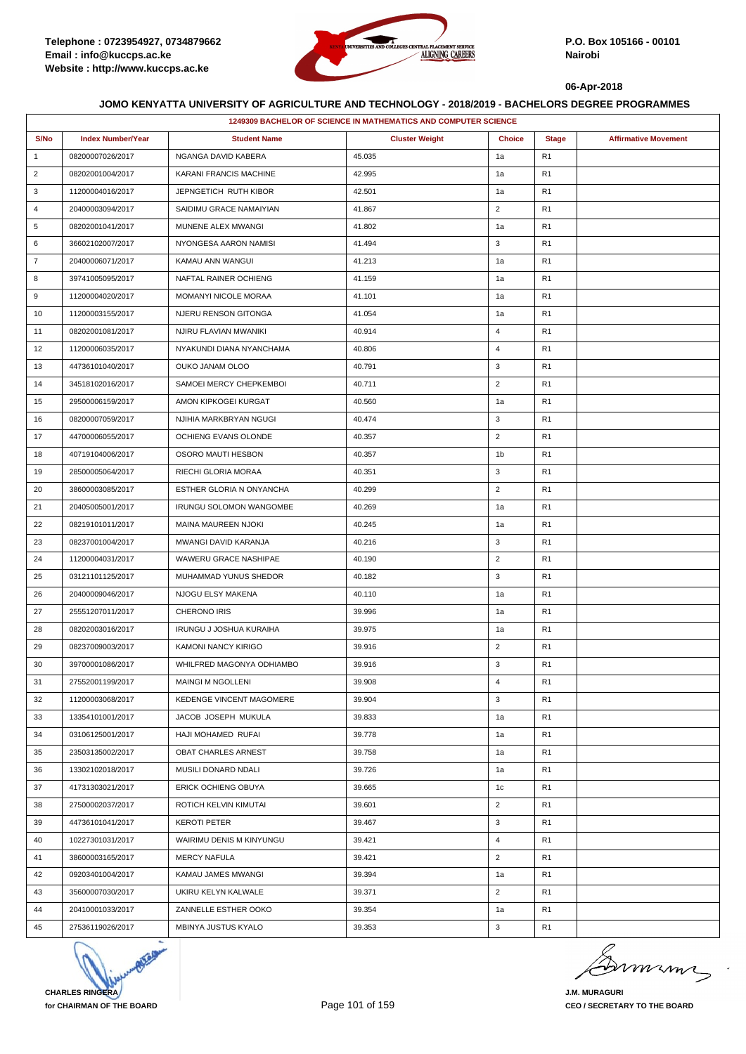

|                |                          |                                | 1249309 BACHELOR OF SCIENCE IN MATHEMATICS AND COMPUTER SCIENCE |                |                |                             |
|----------------|--------------------------|--------------------------------|-----------------------------------------------------------------|----------------|----------------|-----------------------------|
| S/No           | <b>Index Number/Year</b> | <b>Student Name</b>            | <b>Cluster Weight</b>                                           | <b>Choice</b>  | <b>Stage</b>   | <b>Affirmative Movement</b> |
| $\mathbf{1}$   | 08200007026/2017         | NGANGA DAVID KABERA            | 45.035                                                          | 1a             | R1             |                             |
| $\overline{2}$ | 08202001004/2017         | KARANI FRANCIS MACHINE         | 42.995                                                          | 1a             | R <sub>1</sub> |                             |
| 3              | 11200004016/2017         | JEPNGETICH RUTH KIBOR          | 42.501                                                          | 1a             | R1             |                             |
| $\overline{4}$ | 20400003094/2017         | SAIDIMU GRACE NAMAIYIAN        | 41.867                                                          | $\overline{2}$ | R1             |                             |
| 5              | 08202001041/2017         | MUNENE ALEX MWANGI             | 41.802                                                          | 1a             | R <sub>1</sub> |                             |
| 6              | 36602102007/2017         | NYONGESA AARON NAMISI          | 41.494                                                          | 3              | R <sub>1</sub> |                             |
| $\overline{7}$ | 20400006071/2017         | KAMAU ANN WANGUI               | 41.213                                                          | 1a             | R <sub>1</sub> |                             |
| 8              | 39741005095/2017         | NAFTAL RAINER OCHIENG          | 41.159                                                          | 1a             | R1             |                             |
| 9              | 11200004020/2017         | MOMANYI NICOLE MORAA           | 41.101                                                          | 1a             | R1             |                             |
| 10             | 11200003155/2017         | NJERU RENSON GITONGA           | 41.054                                                          | 1a             | R <sub>1</sub> |                             |
| 11             | 08202001081/2017         | NJIRU FLAVIAN MWANIKI          | 40.914                                                          | $\overline{4}$ | R <sub>1</sub> |                             |
| 12             | 11200006035/2017         | NYAKUNDI DIANA NYANCHAMA       | 40.806                                                          | $\overline{4}$ | R1             |                             |
| 13             | 44736101040/2017         | OUKO JANAM OLOO                | 40.791                                                          | 3              | R1             |                             |
| 14             | 34518102016/2017         | SAMOEI MERCY CHEPKEMBOI        | 40.711                                                          | $\overline{2}$ | R <sub>1</sub> |                             |
| 15             | 29500006159/2017         | AMON KIPKOGEI KURGAT           | 40.560                                                          | 1a             | R <sub>1</sub> |                             |
| 16             | 08200007059/2017         | NJIHIA MARKBRYAN NGUGI         | 40.474                                                          | 3              | R1             |                             |
| 17             | 44700006055/2017         | OCHIENG EVANS OLONDE           | 40.357                                                          | $\overline{2}$ | R <sub>1</sub> |                             |
| 18             | 40719104006/2017         | OSORO MAUTI HESBON             | 40.357                                                          | 1b             | R <sub>1</sub> |                             |
| 19             | 28500005064/2017         | RIECHI GLORIA MORAA            | 40.351                                                          | 3              | R <sub>1</sub> |                             |
| 20             | 38600003085/2017         | ESTHER GLORIA N ONYANCHA       | 40.299                                                          | $\overline{2}$ | R <sub>1</sub> |                             |
| 21             | 20405005001/2017         | <b>IRUNGU SOLOMON WANGOMBE</b> | 40.269                                                          | 1a             | R1             |                             |
| 22             | 08219101011/2017         | <b>MAINA MAUREEN NJOKI</b>     | 40.245                                                          | 1a             | R <sub>1</sub> |                             |
| 23             | 08237001004/2017         | MWANGI DAVID KARANJA           | 40.216                                                          | 3              | R <sub>1</sub> |                             |
| 24             | 11200004031/2017         | WAWERU GRACE NASHIPAE          | 40.190                                                          | $\overline{2}$ | R1             |                             |
| 25             | 03121101125/2017         | MUHAMMAD YUNUS SHEDOR          | 40.182                                                          | 3              | R1             |                             |
| 26             | 20400009046/2017         | NJOGU ELSY MAKENA              | 40.110                                                          | 1a             | R <sub>1</sub> |                             |
| 27             | 25551207011/2017         | <b>CHERONO IRIS</b>            | 39.996                                                          | 1a             | R1             |                             |
| 28             | 08202003016/2017         | IRUNGU J JOSHUA KURAIHA        | 39.975                                                          | 1a             | R <sub>1</sub> |                             |
| 29             | 08237009003/2017         | KAMONI NANCY KIRIGO            | 39.916                                                          | $\overline{2}$ | R <sub>1</sub> |                             |
| 30             | 39700001086/2017         | WHILFRED MAGONYA ODHIAMBO      | 39.916                                                          | 3              | R <sub>1</sub> |                             |
| 31             | 27552001199/2017         | <b>MAINGI M NGOLLENI</b>       | 39.908                                                          | 4              | R <sub>1</sub> |                             |
| 32             | 11200003068/2017         | KEDENGE VINCENT MAGOMERE       | 39.904                                                          | 3              | R <sub>1</sub> |                             |
| 33             | 13354101001/2017         | JACOB JOSEPH MUKULA            | 39.833                                                          | 1a             | R <sub>1</sub> |                             |
| 34             | 03106125001/2017         | HAJI MOHAMED RUFAI             | 39.778                                                          | 1a             | R <sub>1</sub> |                             |
| 35             | 23503135002/2017         | OBAT CHARLES ARNEST            | 39.758                                                          | 1a             | R <sub>1</sub> |                             |
| 36             | 13302102018/2017         | MUSILI DONARD NDALI            | 39.726                                                          | 1a             | R1             |                             |
| 37             | 41731303021/2017         | ERICK OCHIENG OBUYA            | 39.665                                                          | 1c             | R <sub>1</sub> |                             |
| 38             | 27500002037/2017         | ROTICH KELVIN KIMUTAI          | 39.601                                                          | $\overline{2}$ | R <sub>1</sub> |                             |
| 39             | 44736101041/2017         | <b>KEROTI PETER</b>            | 39.467                                                          | 3              | R <sub>1</sub> |                             |
| 40             | 10227301031/2017         | WAIRIMU DENIS M KINYUNGU       | 39.421                                                          | $\overline{4}$ | R <sub>1</sub> |                             |
| 41             | 38600003165/2017         | <b>MERCY NAFULA</b>            | 39.421                                                          | $\overline{2}$ | R1             |                             |
| 42             | 09203401004/2017         | KAMAU JAMES MWANGI             | 39.394                                                          | 1a             | R <sub>1</sub> |                             |
| 43             | 35600007030/2017         | UKIRU KELYN KALWALE            | 39.371                                                          | $\overline{2}$ | R <sub>1</sub> |                             |
| 44             | 20410001033/2017         | ZANNELLE ESTHER OOKO           | 39.354                                                          | 1a             | R <sub>1</sub> |                             |
| 45             | 27536119026/2017         | MBINYA JUSTUS KYALO            | 39.353                                                          | 3              | R <sub>1</sub> |                             |



murma

**J.M. MURAGURI CEO / SECRETARY TO THE BOARD**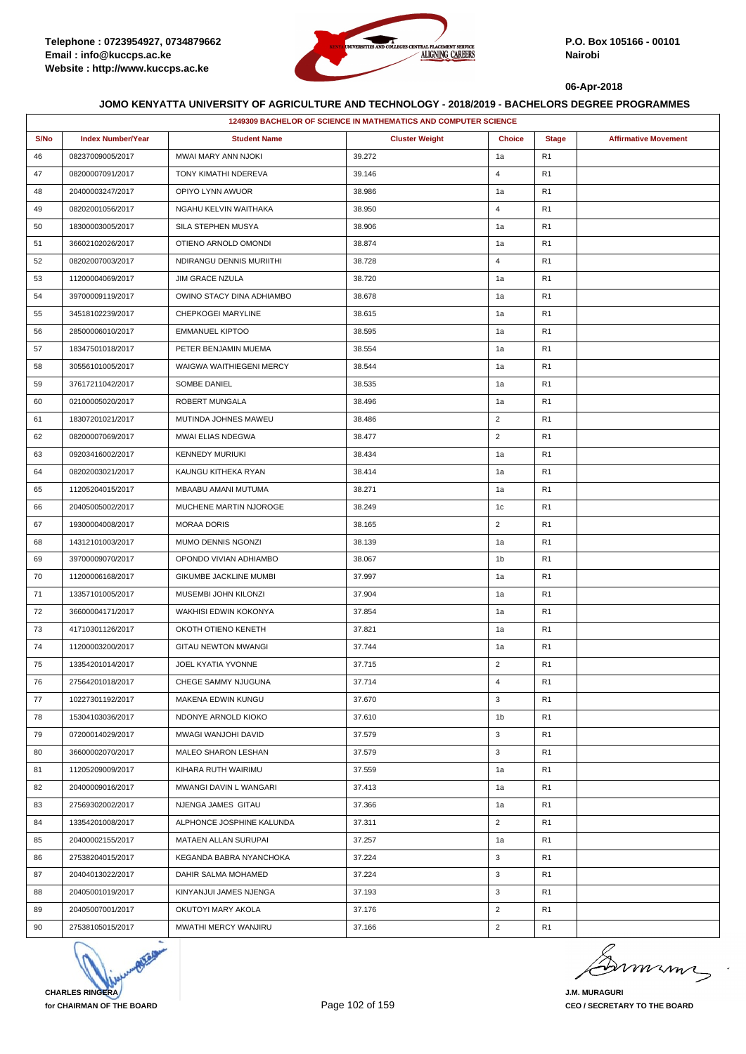

|      |                          |                               | 1249309 BACHELOR OF SCIENCE IN MATHEMATICS AND COMPUTER SCIENCE |                |                |                             |
|------|--------------------------|-------------------------------|-----------------------------------------------------------------|----------------|----------------|-----------------------------|
| S/No | <b>Index Number/Year</b> | <b>Student Name</b>           | <b>Cluster Weight</b>                                           | <b>Choice</b>  | <b>Stage</b>   | <b>Affirmative Movement</b> |
| 46   | 08237009005/2017         | MWAI MARY ANN NJOKI           | 39.272                                                          | 1a             | R <sub>1</sub> |                             |
| 47   | 08200007091/2017         | TONY KIMATHI NDEREVA          | 39.146                                                          | $\overline{4}$ | R <sub>1</sub> |                             |
| 48   | 20400003247/2017         | OPIYO LYNN AWUOR              | 38.986                                                          | 1a             | R <sub>1</sub> |                             |
| 49   | 08202001056/2017         | NGAHU KELVIN WAITHAKA         | 38.950                                                          | 4              | R <sub>1</sub> |                             |
| 50   | 18300003005/2017         | SILA STEPHEN MUSYA            | 38.906                                                          | 1a             | R <sub>1</sub> |                             |
| 51   | 36602102026/2017         | OTIENO ARNOLD OMONDI          | 38.874                                                          | 1a             | R <sub>1</sub> |                             |
| 52   | 08202007003/2017         | NDIRANGU DENNIS MURIITHI      | 38.728                                                          | $\overline{4}$ | R <sub>1</sub> |                             |
| 53   | 11200004069/2017         | JIM GRACE NZULA               | 38.720                                                          | 1a             | R <sub>1</sub> |                             |
| 54   | 39700009119/2017         | OWINO STACY DINA ADHIAMBO     | 38.678                                                          | 1a             | R <sub>1</sub> |                             |
| 55   | 34518102239/2017         | CHEPKOGEI MARYLINE            | 38.615                                                          | 1a             | R <sub>1</sub> |                             |
| 56   | 28500006010/2017         | <b>EMMANUEL KIPTOO</b>        | 38.595                                                          | 1a             | R <sub>1</sub> |                             |
| 57   | 18347501018/2017         | PETER BENJAMIN MUEMA          | 38.554                                                          | 1a             | R <sub>1</sub> |                             |
| 58   | 30556101005/2017         | WAIGWA WAITHIEGENI MERCY      | 38.544                                                          | 1a             | R <sub>1</sub> |                             |
| 59   | 37617211042/2017         | SOMBE DANIEL                  | 38.535                                                          | 1a             | R <sub>1</sub> |                             |
| 60   | 02100005020/2017         | ROBERT MUNGALA                | 38.496                                                          | 1a             | R <sub>1</sub> |                             |
| 61   | 18307201021/2017         | MUTINDA JOHNES MAWEU          | 38.486                                                          | $\overline{2}$ | R <sub>1</sub> |                             |
| 62   | 08200007069/2017         | MWAI ELIAS NDEGWA             | 38.477                                                          | $\overline{2}$ | R <sub>1</sub> |                             |
| 63   | 09203416002/2017         | <b>KENNEDY MURIUKI</b>        | 38.434                                                          | 1a             | R <sub>1</sub> |                             |
| 64   | 08202003021/2017         | KAUNGU KITHEKA RYAN           | 38.414                                                          | 1a             | R <sub>1</sub> |                             |
| 65   | 11205204015/2017         | MBAABU AMANI MUTUMA           | 38.271                                                          | 1a             | R <sub>1</sub> |                             |
| 66   | 20405005002/2017         | MUCHENE MARTIN NJOROGE        | 38.249                                                          | 1c             | R <sub>1</sub> |                             |
| 67   | 19300004008/2017         | <b>MORAA DORIS</b>            | 38.165                                                          | $\overline{2}$ | R <sub>1</sub> |                             |
| 68   | 14312101003/2017         | MUMO DENNIS NGONZI            | 38.139                                                          | 1a             | R <sub>1</sub> |                             |
| 69   | 39700009070/2017         | OPONDO VIVIAN ADHIAMBO        | 38.067                                                          | 1b             | R <sub>1</sub> |                             |
| 70   | 11200006168/2017         | <b>GIKUMBE JACKLINE MUMBI</b> | 37.997                                                          | 1a             | R <sub>1</sub> |                             |
| 71   | 13357101005/2017         | MUSEMBI JOHN KILONZI          | 37.904                                                          | 1a             | R <sub>1</sub> |                             |
| 72   | 36600004171/2017         | WAKHISI EDWIN KOKONYA         | 37.854                                                          | 1a             | R <sub>1</sub> |                             |
| 73   | 41710301126/2017         | OKOTH OTIENO KENETH           | 37.821                                                          | 1a             | R <sub>1</sub> |                             |
| 74   | 11200003200/2017         | <b>GITAU NEWTON MWANGI</b>    | 37.744                                                          | 1a             | R <sub>1</sub> |                             |
| 75   | 13354201014/2017         | JOEL KYATIA YVONNE            | 37.715                                                          | $\overline{2}$ | R <sub>1</sub> |                             |
| 76   | 27564201018/2017         | CHEGE SAMMY NJUGUNA           | 37.714                                                          | 4              | R <sub>1</sub> |                             |
| 77   | 10227301192/2017         | MAKENA EDWIN KUNGU            | 37.670                                                          | 3              | R <sub>1</sub> |                             |
| 78   | 15304103036/2017         | NDONYE ARNOLD KIOKO           | 37.610                                                          | 1b             | R <sub>1</sub> |                             |
| 79   | 07200014029/2017         | MWAGI WANJOHI DAVID           | 37.579                                                          | 3              | R <sub>1</sub> |                             |
| 80   | 36600002070/2017         | MALEO SHARON LESHAN           | 37.579                                                          | 3              | R <sub>1</sub> |                             |
| 81   | 11205209009/2017         | KIHARA RUTH WAIRIMU           | 37.559                                                          | 1a             | R <sub>1</sub> |                             |
| 82   | 20400009016/2017         | <b>MWANGI DAVIN L WANGARI</b> | 37.413                                                          | 1a             | R <sub>1</sub> |                             |
| 83   | 27569302002/2017         | NJENGA JAMES GITAU            | 37.366                                                          | 1a             | R <sub>1</sub> |                             |
| 84   | 13354201008/2017         | ALPHONCE JOSPHINE KALUNDA     | 37.311                                                          | $\overline{2}$ | R <sub>1</sub> |                             |
| 85   | 20400002155/2017         | MATAEN ALLAN SURUPAI          | 37.257                                                          | 1a             | R <sub>1</sub> |                             |
| 86   | 27538204015/2017         | KEGANDA BABRA NYANCHOKA       | 37.224                                                          | 3              | R <sub>1</sub> |                             |
| 87   | 20404013022/2017         | DAHIR SALMA MOHAMED           | 37.224                                                          | 3              | R <sub>1</sub> |                             |
| 88   | 20405001019/2017         | KINYANJUI JAMES NJENGA        | 37.193                                                          | 3              | R <sub>1</sub> |                             |
| 89   | 20405007001/2017         | OKUTOYI MARY AKOLA            | 37.176                                                          | $\overline{2}$ | R <sub>1</sub> |                             |
| 90   | 27538105015/2017         | MWATHI MERCY WANJIRU          | 37.166                                                          | $\overline{2}$ | R <sub>1</sub> |                             |



mumi

**J.M. MURAGURI CEO / SECRETARY TO THE BOARD**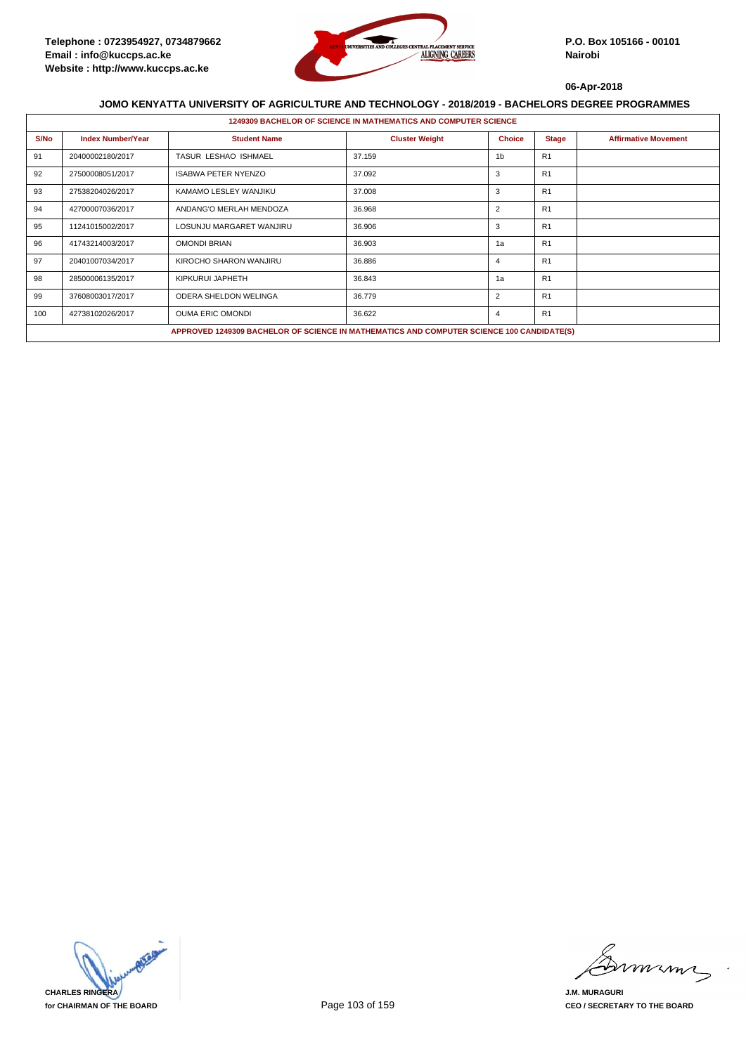

|      | <b>1249309 BACHELOR OF SCIENCE IN MATHEMATICS AND COMPUTER SCIENCE</b> |                                                                                           |                       |                |                |                             |  |  |  |
|------|------------------------------------------------------------------------|-------------------------------------------------------------------------------------------|-----------------------|----------------|----------------|-----------------------------|--|--|--|
| S/No | <b>Index Number/Year</b>                                               | <b>Student Name</b>                                                                       | <b>Cluster Weight</b> | <b>Choice</b>  | <b>Stage</b>   | <b>Affirmative Movement</b> |  |  |  |
| 91   | 20400002180/2017                                                       | <b>TASUR LESHAO ISHMAEL</b>                                                               | 37.159                | 1b             | R1             |                             |  |  |  |
| 92   | 27500008051/2017                                                       | <b>ISABWA PETER NYENZO</b>                                                                | 37.092                | 3              | R <sub>1</sub> |                             |  |  |  |
| 93   | 27538204026/2017                                                       | KAMAMO LESLEY WANJIKU                                                                     | 37.008                | 3              | R <sub>1</sub> |                             |  |  |  |
| 94   | 42700007036/2017                                                       | ANDANG'O MERLAH MENDOZA                                                                   | 36.968                | $\overline{2}$ | R <sub>1</sub> |                             |  |  |  |
| 95   | 11241015002/2017                                                       | LOSUNJU MARGARET WANJIRU                                                                  | 36.906                | 3              | R <sub>1</sub> |                             |  |  |  |
| 96   | 41743214003/2017                                                       | <b>OMONDI BRIAN</b>                                                                       | 36.903                | 1a             | R1             |                             |  |  |  |
| 97   | 20401007034/2017                                                       | KIROCHO SHARON WANJIRU                                                                    | 36.886                | 4              | R1             |                             |  |  |  |
| 98   | 28500006135/2017                                                       | KIPKURUI JAPHETH                                                                          | 36.843                | 1a             | R1             |                             |  |  |  |
| 99   | 37608003017/2017                                                       | ODERA SHELDON WELINGA                                                                     | 36.779                | $\overline{2}$ | R <sub>1</sub> |                             |  |  |  |
| 100  | 42738102026/2017                                                       | <b>OUMA ERIC OMONDI</b>                                                                   | 36.622                | 4              | R1             |                             |  |  |  |
|      |                                                                        | APPROVED 1249309 BACHELOR OF SCIENCE IN MATHEMATICS AND COMPUTER SCIENCE 100 CANDIDATE(S) |                       |                |                |                             |  |  |  |



mmmn

**J.M. MURAGURI CEO / SECRETARY TO THE BOARD**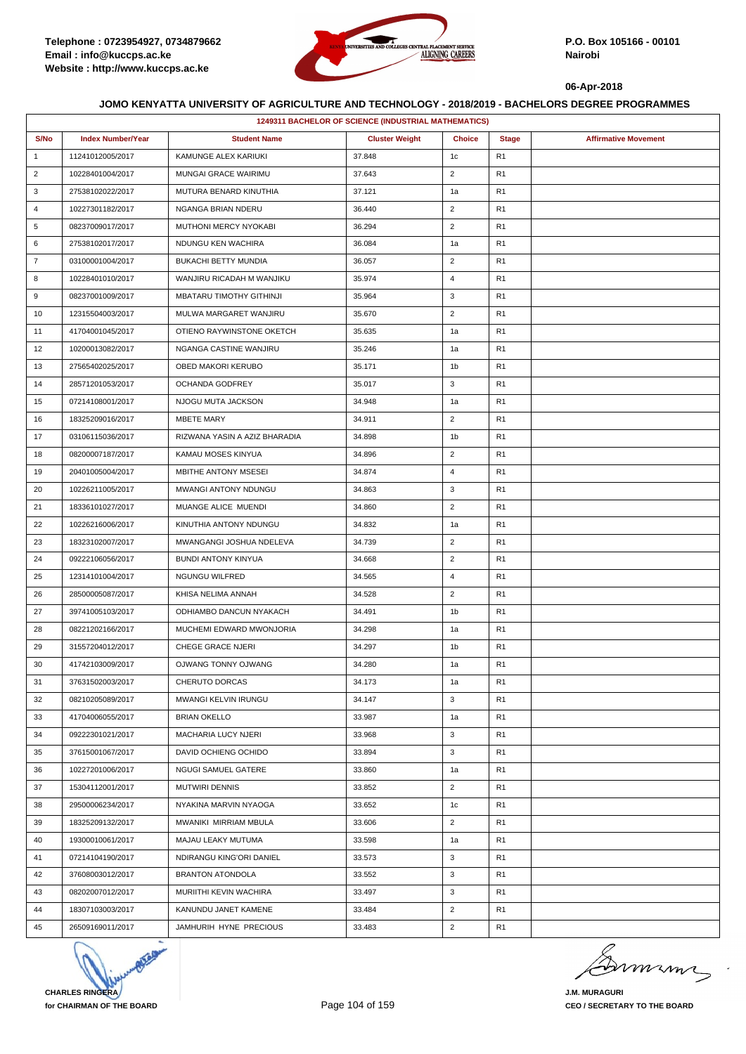

|                | 1249311 BACHELOR OF SCIENCE (INDUSTRIAL MATHEMATICS) |                               |                       |                |                |                             |  |  |  |
|----------------|------------------------------------------------------|-------------------------------|-----------------------|----------------|----------------|-----------------------------|--|--|--|
| S/No           | <b>Index Number/Year</b>                             | <b>Student Name</b>           | <b>Cluster Weight</b> | <b>Choice</b>  | <b>Stage</b>   | <b>Affirmative Movement</b> |  |  |  |
| $\mathbf{1}$   | 11241012005/2017                                     | KAMUNGE ALEX KARIUKI          | 37.848                | 1c             | R <sub>1</sub> |                             |  |  |  |
| $\overline{2}$ | 10228401004/2017                                     | MUNGAI GRACE WAIRIMU          | 37.643                | $\overline{2}$ | R <sub>1</sub> |                             |  |  |  |
| 3              | 27538102022/2017                                     | MUTURA BENARD KINUTHIA        | 37.121                | 1a             | R <sub>1</sub> |                             |  |  |  |
| $\overline{4}$ | 10227301182/2017                                     | NGANGA BRIAN NDERU            | 36.440                | $\overline{2}$ | R <sub>1</sub> |                             |  |  |  |
| 5              | 08237009017/2017                                     | MUTHONI MERCY NYOKABI         | 36.294                | $\overline{2}$ | R <sub>1</sub> |                             |  |  |  |
| 6              | 27538102017/2017                                     | NDUNGU KEN WACHIRA            | 36.084                | 1a             | R <sub>1</sub> |                             |  |  |  |
| $\overline{7}$ | 03100001004/2017                                     | <b>BUKACHI BETTY MUNDIA</b>   | 36.057                | $\overline{2}$ | R <sub>1</sub> |                             |  |  |  |
| 8              | 10228401010/2017                                     | WANJIRU RICADAH M WANJIKU     | 35.974                | 4              | R <sub>1</sub> |                             |  |  |  |
| 9              | 08237001009/2017                                     | MBATARU TIMOTHY GITHINJI      | 35.964                | 3              | R1             |                             |  |  |  |
| 10             | 12315504003/2017                                     | MULWA MARGARET WANJIRU        | 35.670                | $\overline{2}$ | R <sub>1</sub> |                             |  |  |  |
| 11             | 41704001045/2017                                     | OTIENO RAYWINSTONE OKETCH     | 35.635                | 1a             | R <sub>1</sub> |                             |  |  |  |
| 12             | 10200013082/2017                                     | NGANGA CASTINE WANJIRU        | 35.246                | 1a             | R <sub>1</sub> |                             |  |  |  |
| 13             | 27565402025/2017                                     | OBED MAKORI KERUBO            | 35.171                | 1b             | R <sub>1</sub> |                             |  |  |  |
| 14             | 28571201053/2017                                     | OCHANDA GODFREY               | 35.017                | 3              | R <sub>1</sub> |                             |  |  |  |
| 15             | 07214108001/2017                                     | NJOGU MUTA JACKSON            | 34.948                | 1a             | R1             |                             |  |  |  |
| 16             | 18325209016/2017                                     | <b>MBETE MARY</b>             | 34.911                | $\overline{2}$ | R <sub>1</sub> |                             |  |  |  |
| 17             | 03106115036/2017                                     | RIZWANA YASIN A AZIZ BHARADIA | 34.898                | 1b             | R <sub>1</sub> |                             |  |  |  |
| 18             | 08200007187/2017                                     | KAMAU MOSES KINYUA            | 34.896                | $\overline{2}$ | R1             |                             |  |  |  |
| 19             | 20401005004/2017                                     | MBITHE ANTONY MSESEI          | 34.874                | $\overline{4}$ | R <sub>1</sub> |                             |  |  |  |
| 20             | 10226211005/2017                                     | MWANGI ANTONY NDUNGU          | 34.863                | 3              | R <sub>1</sub> |                             |  |  |  |
| 21             | 18336101027/2017                                     | MUANGE ALICE MUENDI           | 34.860                | $\overline{2}$ | R1             |                             |  |  |  |
| 22             | 10226216006/2017                                     | KINUTHIA ANTONY NDUNGU        | 34.832                | 1a             | R <sub>1</sub> |                             |  |  |  |
| 23             | 18323102007/2017                                     | MWANGANGI JOSHUA NDELEVA      | 34.739                | $\overline{2}$ | R <sub>1</sub> |                             |  |  |  |
| 24             | 09222106056/2017                                     | <b>BUNDI ANTONY KINYUA</b>    | 34.668                | $\overline{2}$ | R1             |                             |  |  |  |
| 25             | 12314101004/2017                                     | NGUNGU WILFRED                | 34.565                | 4              | R <sub>1</sub> |                             |  |  |  |
| 26             | 28500005087/2017                                     | KHISA NELIMA ANNAH            | 34.528                | $\overline{2}$ | R <sub>1</sub> |                             |  |  |  |
| 27             | 39741005103/2017                                     | ODHIAMBO DANCUN NYAKACH       | 34.491                | 1b             | R <sub>1</sub> |                             |  |  |  |
| 28             | 08221202166/2017                                     | MUCHEMI EDWARD MWONJORIA      | 34.298                | 1a             | R <sub>1</sub> |                             |  |  |  |
| 29             | 31557204012/2017                                     | <b>CHEGE GRACE NJERI</b>      | 34.297                | 1b             | R <sub>1</sub> |                             |  |  |  |
| 30             | 41742103009/2017                                     | OJWANG TONNY OJWANG           | 34.280                | 1a             | R <sub>1</sub> |                             |  |  |  |
| 31             | 37631502003/2017                                     | CHERUTO DORCAS                | 34.173                | 1a             | R <sub>1</sub> |                             |  |  |  |
| 32             | 08210205089/2017                                     | MWANGI KELVIN IRUNGU          | 34.147                | 3              | R <sub>1</sub> |                             |  |  |  |
| 33             | 41704006055/2017                                     | <b>BRIAN OKELLO</b>           | 33.987                | 1a             | R1             |                             |  |  |  |
| 34             | 09222301021/2017                                     | MACHARIA LUCY NJERI           | 33.968                | 3              | R1             |                             |  |  |  |
| 35             | 37615001067/2017                                     | DAVID OCHIENG OCHIDO          | 33.894                | 3              | R <sub>1</sub> |                             |  |  |  |
| 36             | 10227201006/2017                                     | NGUGI SAMUEL GATERE           | 33.860                | 1a             | R1             |                             |  |  |  |
| 37             | 15304112001/2017                                     | <b>MUTWIRI DENNIS</b>         | 33.852                | $\overline{2}$ | R <sub>1</sub> |                             |  |  |  |
| 38             | 29500006234/2017                                     | NYAKINA MARVIN NYAOGA         | 33.652                | 1 <sub>c</sub> | R <sub>1</sub> |                             |  |  |  |
| 39             | 18325209132/2017                                     | MWANIKI MIRRIAM MBULA         | 33.606                | $\overline{2}$ | R1             |                             |  |  |  |
| 40             | 19300010061/2017                                     | MAJAU LEAKY MUTUMA            | 33.598                | 1a             | R1             |                             |  |  |  |
| 41             | 07214104190/2017                                     | NDIRANGU KING'ORI DANIEL      | 33.573                | 3              | R <sub>1</sub> |                             |  |  |  |
| 42             | 37608003012/2017                                     | <b>BRANTON ATONDOLA</b>       | 33.552                | 3              | R1             |                             |  |  |  |
| 43             | 08202007012/2017                                     | MURIITHI KEVIN WACHIRA        | 33.497                | 3              | R <sub>1</sub> |                             |  |  |  |
| 44             | 18307103003/2017                                     | KANUNDU JANET KAMENE          | 33.484                | $\overline{2}$ | R <sub>1</sub> |                             |  |  |  |
| 45             | 26509169011/2017                                     | JAMHURIH HYNE PRECIOUS        | 33.483                | $\overline{2}$ | R <sub>1</sub> |                             |  |  |  |



murme

**J.M. MURAGURI CEO / SECRETARY TO THE BOARD**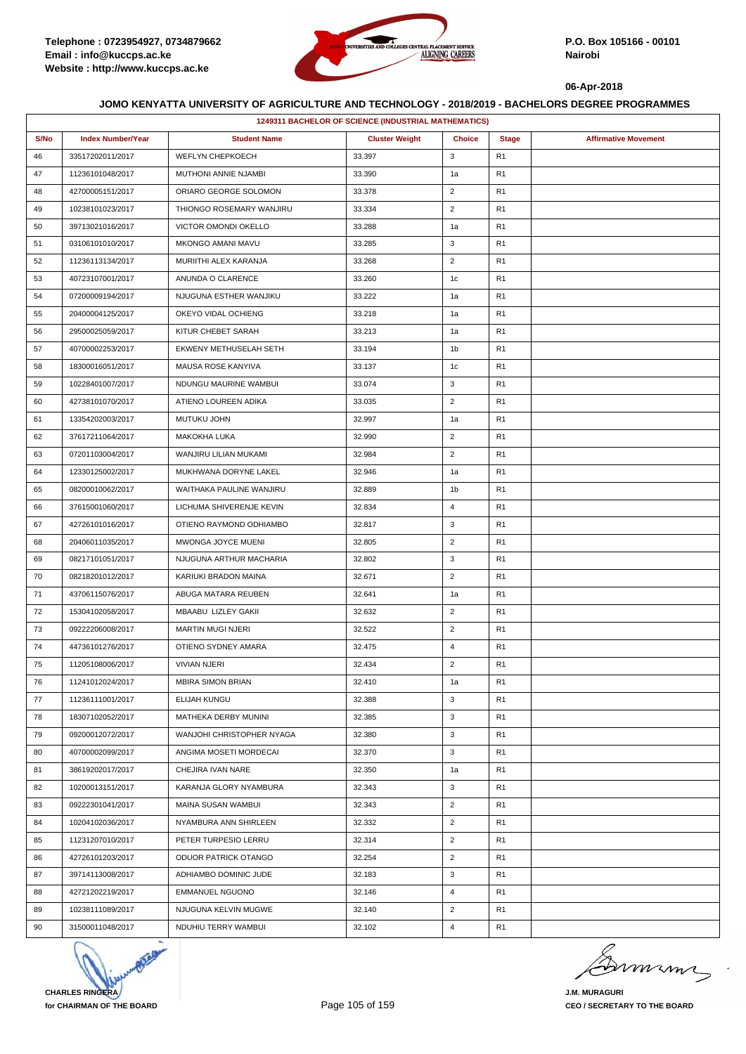

|      | 1249311 BACHELOR OF SCIENCE (INDUSTRIAL MATHEMATICS) |                           |                       |                |                |                             |  |  |  |
|------|------------------------------------------------------|---------------------------|-----------------------|----------------|----------------|-----------------------------|--|--|--|
| S/No | <b>Index Number/Year</b>                             | <b>Student Name</b>       | <b>Cluster Weight</b> | <b>Choice</b>  | <b>Stage</b>   | <b>Affirmative Movement</b> |  |  |  |
| 46   | 33517202011/2017                                     | <b>WEFLYN CHEPKOECH</b>   | 33.397                | 3              | R <sub>1</sub> |                             |  |  |  |
| 47   | 11236101048/2017                                     | MUTHONI ANNIE NJAMBI      | 33.390                | 1a             | R <sub>1</sub> |                             |  |  |  |
| 48   | 42700005151/2017                                     | ORIARO GEORGE SOLOMON     | 33.378                | $\overline{2}$ | R <sub>1</sub> |                             |  |  |  |
| 49   | 10238101023/2017                                     | THIONGO ROSEMARY WANJIRU  | 33.334                | $\overline{2}$ | R <sub>1</sub> |                             |  |  |  |
| 50   | 39713021016/2017                                     | VICTOR OMONDI OKELLO      | 33.288                | 1a             | R <sub>1</sub> |                             |  |  |  |
| 51   | 03106101010/2017                                     | <b>MKONGO AMANI MAVU</b>  | 33.285                | 3              | R1             |                             |  |  |  |
| 52   | 11236113134/2017                                     | MURIITHI ALEX KARANJA     | 33.268                | $\overline{2}$ | R <sub>1</sub> |                             |  |  |  |
| 53   | 40723107001/2017                                     | ANUNDA O CLARENCE         | 33.260                | 1c             | R <sub>1</sub> |                             |  |  |  |
| 54   | 07200009194/2017                                     | NJUGUNA ESTHER WANJIKU    | 33.222                | 1a             | R <sub>1</sub> |                             |  |  |  |
| 55   | 20400004125/2017                                     | OKEYO VIDAL OCHIENG       | 33.218                | 1a             | R <sub>1</sub> |                             |  |  |  |
| 56   | 29500025059/2017                                     | KITUR CHEBET SARAH        | 33.213                | 1a             | R <sub>1</sub> |                             |  |  |  |
| 57   | 40700002253/2017                                     | EKWENY METHUSELAH SETH    | 33.194                | 1b             | R <sub>1</sub> |                             |  |  |  |
| 58   | 18300016051/2017                                     | MAUSA ROSE KANYIVA        | 33.137                | 1c             | R <sub>1</sub> |                             |  |  |  |
| 59   | 10228401007/2017                                     | NDUNGU MAURINE WAMBUI     | 33.074                | 3              | R <sub>1</sub> |                             |  |  |  |
| 60   | 42738101070/2017                                     | ATIENO LOUREEN ADIKA      | 33.035                | $\overline{2}$ | R <sub>1</sub> |                             |  |  |  |
| 61   | 13354202003/2017                                     | MUTUKU JOHN               | 32.997                | 1a             | R <sub>1</sub> |                             |  |  |  |
| 62   | 37617211064/2017                                     | MAKOKHA LUKA              | 32.990                | $\overline{2}$ | R <sub>1</sub> |                             |  |  |  |
| 63   | 07201103004/2017                                     | WANJIRU LILIAN MUKAMI     | 32.984                | $\overline{2}$ | R1             |                             |  |  |  |
| 64   | 12330125002/2017                                     | MUKHWANA DORYNE LAKEL     | 32.946                | 1a             | R <sub>1</sub> |                             |  |  |  |
| 65   | 08200010062/2017                                     | WAITHAKA PAULINE WANJIRU  | 32.889                | 1b             | R <sub>1</sub> |                             |  |  |  |
| 66   | 37615001060/2017                                     | LICHUMA SHIVERENJE KEVIN  | 32.834                | $\overline{4}$ | R <sub>1</sub> |                             |  |  |  |
| 67   | 42726101016/2017                                     | OTIENO RAYMOND ODHIAMBO   | 32.817                | 3              | R <sub>1</sub> |                             |  |  |  |
| 68   | 20406011035/2017                                     | MWONGA JOYCE MUENI        | 32.805                | $\overline{2}$ | R <sub>1</sub> |                             |  |  |  |
| 69   | 08217101051/2017                                     | NJUGUNA ARTHUR MACHARIA   | 32.802                | 3              | R <sub>1</sub> |                             |  |  |  |
| 70   | 08218201012/2017                                     | KARIUKI BRADON MAINA      | 32.671                | $\overline{2}$ | R <sub>1</sub> |                             |  |  |  |
| 71   | 43706115076/2017                                     | ABUGA MATARA REUBEN       | 32.641                | 1a             | R <sub>1</sub> |                             |  |  |  |
| 72   | 15304102058/2017                                     | MBAABU LIZLEY GAKII       | 32.632                | $\overline{2}$ | R1             |                             |  |  |  |
| 73   | 09222206008/2017                                     | <b>MARTIN MUGI NJERI</b>  | 32.522                | $\overline{2}$ | R <sub>1</sub> |                             |  |  |  |
| 74   | 44736101276/2017                                     | OTIENO SYDNEY AMARA       | 32.475                | $\overline{4}$ | R <sub>1</sub> |                             |  |  |  |
| 75   | 11205108006/2017                                     | <b>VIVIAN NJERI</b>       | 32.434                | $\overline{2}$ | R <sub>1</sub> |                             |  |  |  |
| 76   | 11241012024/2017                                     | MBIRA SIMON BRIAN         | 32.410                | 1a             | R <sub>1</sub> |                             |  |  |  |
| 77   | 11236111001/2017                                     | ELIJAH KUNGU              | 32.388                | 3              | R <sub>1</sub> |                             |  |  |  |
| 78   | 18307102052/2017                                     | MATHEKA DERBY MUNINI      | 32.385                | 3              | R <sub>1</sub> |                             |  |  |  |
| 79   | 09200012072/2017                                     | WANJOHI CHRISTOPHER NYAGA | 32.380                | 3              | R1             |                             |  |  |  |
| 80   | 40700002099/2017                                     | ANGIMA MOSETI MORDECAI    | 32.370                | 3              | R1             |                             |  |  |  |
| 81   | 38619202017/2017                                     | CHEJIRA IVAN NARE         | 32.350                | 1a             | R <sub>1</sub> |                             |  |  |  |
| 82   | 10200013151/2017                                     | KARANJA GLORY NYAMBURA    | 32.343                | 3              | R1             |                             |  |  |  |
| 83   | 09222301041/2017                                     | MAINA SUSAN WAMBUI        | 32.343                | $\overline{2}$ | R <sub>1</sub> |                             |  |  |  |
| 84   | 10204102036/2017                                     | NYAMBURA ANN SHIRLEEN     | 32.332                | $\overline{c}$ | R <sub>1</sub> |                             |  |  |  |
| 85   | 11231207010/2017                                     | PETER TURPESIO LERRU      | 32.314                | $\overline{2}$ | R1             |                             |  |  |  |
| 86   | 42726101203/2017                                     | ODUOR PATRICK OTANGO      | 32.254                | $\overline{2}$ | R1             |                             |  |  |  |
| 87   | 39714113008/2017                                     | ADHIAMBO DOMINIC JUDE     | 32.183                | 3              | R <sub>1</sub> |                             |  |  |  |
| 88   | 42721202219/2017                                     | <b>EMMANUEL NGUONO</b>    | 32.146                | $\overline{4}$ | R1             |                             |  |  |  |
| 89   | 10238111089/2017                                     | NJUGUNA KELVIN MUGWE      | 32.140                | $\overline{2}$ | R1             |                             |  |  |  |
| 90   | 31500011048/2017                                     | NDUHIU TERRY WAMBUI       | 32.102                | 4              | R <sub>1</sub> |                             |  |  |  |



Dimimi

**J.M. MURAGURI CEO / SECRETARY TO THE BOARD**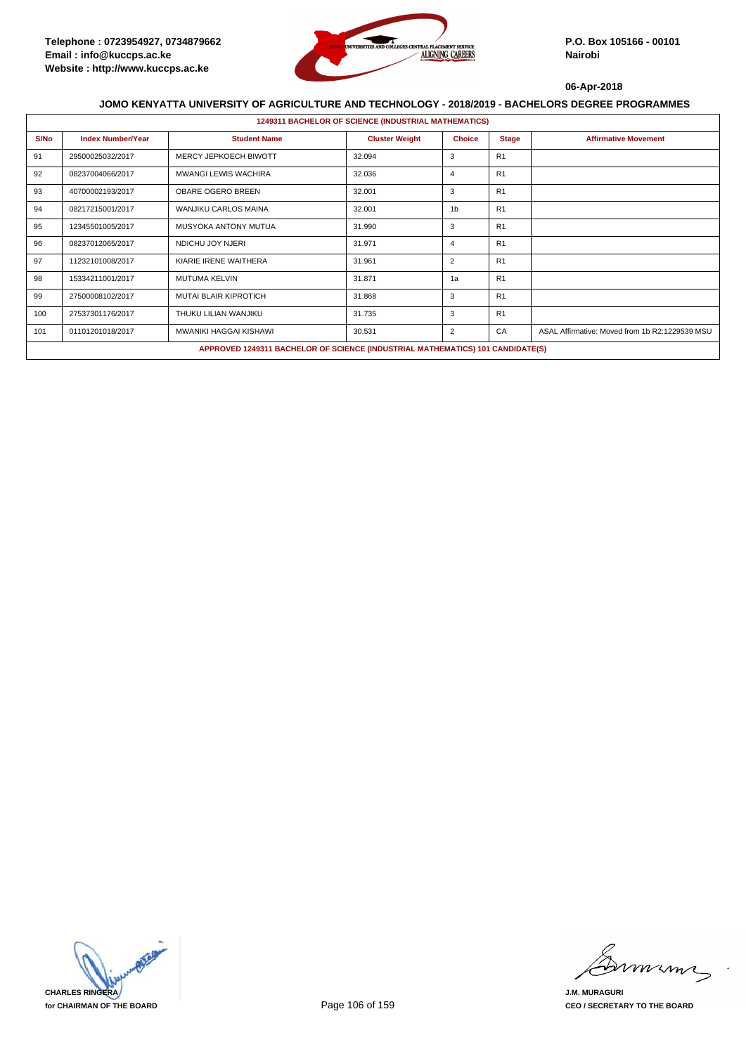

|      |                          |                                                                                | <b>1249311 BACHELOR OF SCIENCE (INDUSTRIAL MATHEMATICS)</b> |                |                |                                                |
|------|--------------------------|--------------------------------------------------------------------------------|-------------------------------------------------------------|----------------|----------------|------------------------------------------------|
| S/No | <b>Index Number/Year</b> | <b>Student Name</b>                                                            | <b>Cluster Weight</b>                                       | <b>Choice</b>  | <b>Stage</b>   | <b>Affirmative Movement</b>                    |
| 91   | 29500025032/2017         | MERCY JEPKOECH BIWOTT                                                          | 32.094                                                      | 3              | R <sub>1</sub> |                                                |
| 92   | 08237004066/2017         | <b>MWANGI LEWIS WACHIRA</b>                                                    | 32.036                                                      | $\overline{4}$ | R <sub>1</sub> |                                                |
| 93   | 40700002193/2017         | <b>OBARE OGERO BREEN</b>                                                       | 32.001                                                      | 3              | R <sub>1</sub> |                                                |
| 94   | 08217215001/2017         | WANJIKU CARLOS MAINA                                                           | 32.001                                                      | 1 <sub>b</sub> | R <sub>1</sub> |                                                |
| 95   | 12345501005/2017         | MUSYOKA ANTONY MUTUA                                                           | 31.990                                                      | 3              | R <sub>1</sub> |                                                |
| 96   | 08237012065/2017         | NDICHU JOY NJERI                                                               | 31.971                                                      | $\overline{4}$ | R <sub>1</sub> |                                                |
| 97   | 11232101008/2017         | KIARIE IRENE WAITHERA                                                          | 31.961                                                      | 2              | R <sub>1</sub> |                                                |
| 98   | 15334211001/2017         | MUTUMA KELVIN                                                                  | 31.871                                                      | 1a             | R <sub>1</sub> |                                                |
| 99   | 27500008102/2017         | <b>MUTAI BLAIR KIPROTICH</b>                                                   | 31.868                                                      | 3              | R <sub>1</sub> |                                                |
| 100  | 27537301176/2017         | THUKU LILIAN WANJIKU                                                           | 31.735                                                      | 3              | R <sub>1</sub> |                                                |
| 101  | 01101201018/2017         | MWANIKI HAGGAI KISHAWI                                                         | 30.531                                                      | $\overline{2}$ | CA             | ASAL Affirmative: Moved from 1b R2:1229539 MSU |
|      |                          | APPROVED 1249311 BACHELOR OF SCIENCE (INDUSTRIAL MATHEMATICS) 101 CANDIDATE(S) |                                                             |                |                |                                                |



mmmn

**J.M. MURAGURI CEO / SECRETARY TO THE BOARD**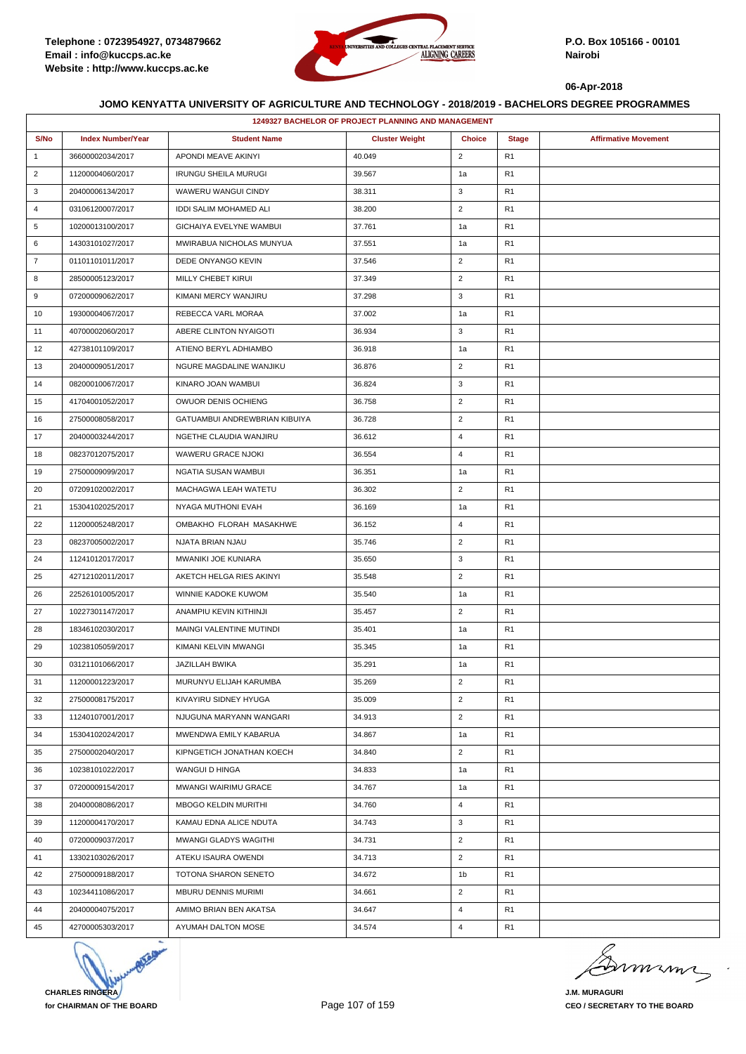

|                | <b>1249327 BACHELOR OF PROJECT PLANNING AND MANAGEMENT</b> |                               |                       |                |                |                             |  |  |
|----------------|------------------------------------------------------------|-------------------------------|-----------------------|----------------|----------------|-----------------------------|--|--|
| S/No           | <b>Index Number/Year</b>                                   | <b>Student Name</b>           | <b>Cluster Weight</b> | <b>Choice</b>  | <b>Stage</b>   | <b>Affirmative Movement</b> |  |  |
| $\mathbf{1}$   | 36600002034/2017                                           | APONDI MEAVE AKINYI           | 40.049                | $\overline{2}$ | R1             |                             |  |  |
| $\overline{2}$ | 11200004060/2017                                           | <b>IRUNGU SHEILA MURUGI</b>   | 39.567                | 1a             | R1             |                             |  |  |
| 3              | 20400006134/2017                                           | WAWERU WANGUI CINDY           | 38.311                | 3              | R <sub>1</sub> |                             |  |  |
| 4              | 03106120007/2017                                           | IDDI SALIM MOHAMED ALI        | 38.200                | $\overline{2}$ | R1             |                             |  |  |
| 5              | 10200013100/2017                                           | GICHAIYA EVELYNE WAMBUI       | 37.761                | 1a             | R <sub>1</sub> |                             |  |  |
| 6              | 14303101027/2017                                           | MWIRABUA NICHOLAS MUNYUA      | 37.551                | 1a             | R <sub>1</sub> |                             |  |  |
| $\overline{7}$ | 01101101011/2017                                           | DEDE ONYANGO KEVIN            | 37.546                | $\overline{2}$ | R1             |                             |  |  |
| 8              | 28500005123/2017                                           | MILLY CHEBET KIRUI            | 37.349                | $\overline{2}$ | R1             |                             |  |  |
| 9              | 07200009062/2017                                           | KIMANI MERCY WANJIRU          | 37.298                | 3              | R <sub>1</sub> |                             |  |  |
| 10             | 19300004067/2017                                           | REBECCA VARL MORAA            | 37.002                | 1a             | R1             |                             |  |  |
| 11             | 40700002060/2017                                           | ABERE CLINTON NYAIGOTI        | 36.934                | 3              | R <sub>1</sub> |                             |  |  |
| 12             | 42738101109/2017                                           | ATIENO BERYL ADHIAMBO         | 36.918                | 1a             | R <sub>1</sub> |                             |  |  |
| 13             | 20400009051/2017                                           | NGURE MAGDALINE WANJIKU       | 36.876                | $\overline{2}$ | R1             |                             |  |  |
| 14             | 08200010067/2017                                           | KINARO JOAN WAMBUI            | 36.824                | $\mathsf 3$    | R1             |                             |  |  |
| 15             | 41704001052/2017                                           | OWUOR DENIS OCHIENG           | 36.758                | $\overline{2}$ | R <sub>1</sub> |                             |  |  |
| 16             | 27500008058/2017                                           | GATUAMBUI ANDREWBRIAN KIBUIYA | 36.728                | $\overline{2}$ | R1             |                             |  |  |
| 17             | 20400003244/2017                                           | NGETHE CLAUDIA WANJIRU        | 36.612                | 4              | R <sub>1</sub> |                             |  |  |
| 18             | 08237012075/2017                                           | WAWERU GRACE NJOKI            | 36.554                | $\overline{4}$ | R <sub>1</sub> |                             |  |  |
| 19             | 27500009099/2017                                           | NGATIA SUSAN WAMBUI           | 36.351                | 1a             | R1             |                             |  |  |
| 20             | 07209102002/2017                                           | MACHAGWA LEAH WATETU          | 36.302                | $\overline{2}$ | R <sub>1</sub> |                             |  |  |
| 21             | 15304102025/2017                                           | NYAGA MUTHONI EVAH            | 36.169                | 1a             | R <sub>1</sub> |                             |  |  |
| 22             | 11200005248/2017                                           | OMBAKHO FLORAH MASAKHWE       | 36.152                | $\overline{4}$ | R1             |                             |  |  |
| 23             | 08237005002/2017                                           | NJATA BRIAN NJAU              | 35.746                | $\overline{2}$ | R <sub>1</sub> |                             |  |  |
| 24             | 11241012017/2017                                           | MWANIKI JOE KUNIARA           | 35.650                | 3              | R <sub>1</sub> |                             |  |  |
| 25             | 42712102011/2017                                           | AKETCH HELGA RIES AKINYI      | 35.548                | $\overline{2}$ | R1             |                             |  |  |
| 26             | 22526101005/2017                                           | WINNIE KADOKE KUWOM           | 35.540                | 1a             | R <sub>1</sub> |                             |  |  |
| 27             | 10227301147/2017                                           | ANAMPIU KEVIN KITHINJI        | 35.457                | $\overline{2}$ | R <sub>1</sub> |                             |  |  |
| 28             | 18346102030/2017                                           | MAINGI VALENTINE MUTINDI      | 35.401                | 1a             | R1             |                             |  |  |
| 29             | 10238105059/2017                                           | KIMANI KELVIN MWANGI          | 35.345                | 1a             | R <sub>1</sub> |                             |  |  |
| 30             | 03121101066/2017                                           | <b>JAZILLAH BWIKA</b>         | 35.291                | 1a             | R <sub>1</sub> |                             |  |  |
| 31             | 11200001223/2017                                           | MURUNYU ELIJAH KARUMBA        | 35.269                | $\overline{2}$ | R1             |                             |  |  |
| 32             | 27500008175/2017                                           | KIVAYIRU SIDNEY HYUGA         | 35.009                | $\overline{2}$ | R <sub>1</sub> |                             |  |  |
| 33             | 11240107001/2017                                           | NJUGUNA MARYANN WANGARI       | 34.913                | $\overline{2}$ | R1             |                             |  |  |
| 34             | 15304102024/2017                                           | MWENDWA EMILY KABARUA         | 34.867                | 1a             | R1             |                             |  |  |
| 35             | 27500002040/2017                                           | KIPNGETICH JONATHAN KOECH     | 34.840                | $\overline{2}$ | R <sub>1</sub> |                             |  |  |
| 36             | 10238101022/2017                                           | WANGUI D HINGA                | 34.833                | 1a             | R <sub>1</sub> |                             |  |  |
| 37             | 07200009154/2017                                           | <b>MWANGI WAIRIMU GRACE</b>   | 34.767                | 1a             | R1             |                             |  |  |
| 38             | 20400008086/2017                                           | MBOGO KELDIN MURITHI          | 34.760                | $\overline{4}$ | R <sub>1</sub> |                             |  |  |
| 39             | 11200004170/2017                                           | KAMAU EDNA ALICE NDUTA        | 34.743                | 3              | R <sub>1</sub> |                             |  |  |
| 40             | 07200009037/2017                                           | MWANGI GLADYS WAGITHI         | 34.731                | $\overline{2}$ | R1             |                             |  |  |
| 41             | 13302103026/2017                                           | ATEKU ISAURA OWENDI           | 34.713                | $\overline{2}$ | R <sub>1</sub> |                             |  |  |
| 42             | 27500009188/2017                                           | TOTONA SHARON SENETO          | 34.672                | 1b             | R <sub>1</sub> |                             |  |  |
| 43             | 10234411086/2017                                           | MBURU DENNIS MURIMI           | 34.661                | $\overline{2}$ | R1             |                             |  |  |
| 44             | 20400004075/2017                                           | AMIMO BRIAN BEN AKATSA        | 34.647                | $\overline{4}$ | R <sub>1</sub> |                             |  |  |
| 45             | 42700005303/2017                                           | AYUMAH DALTON MOSE            | 34.574                | $\overline{4}$ | R <sub>1</sub> |                             |  |  |



Dimimi

**J.M. MURAGURI CEO / SECRETARY TO THE BOARD**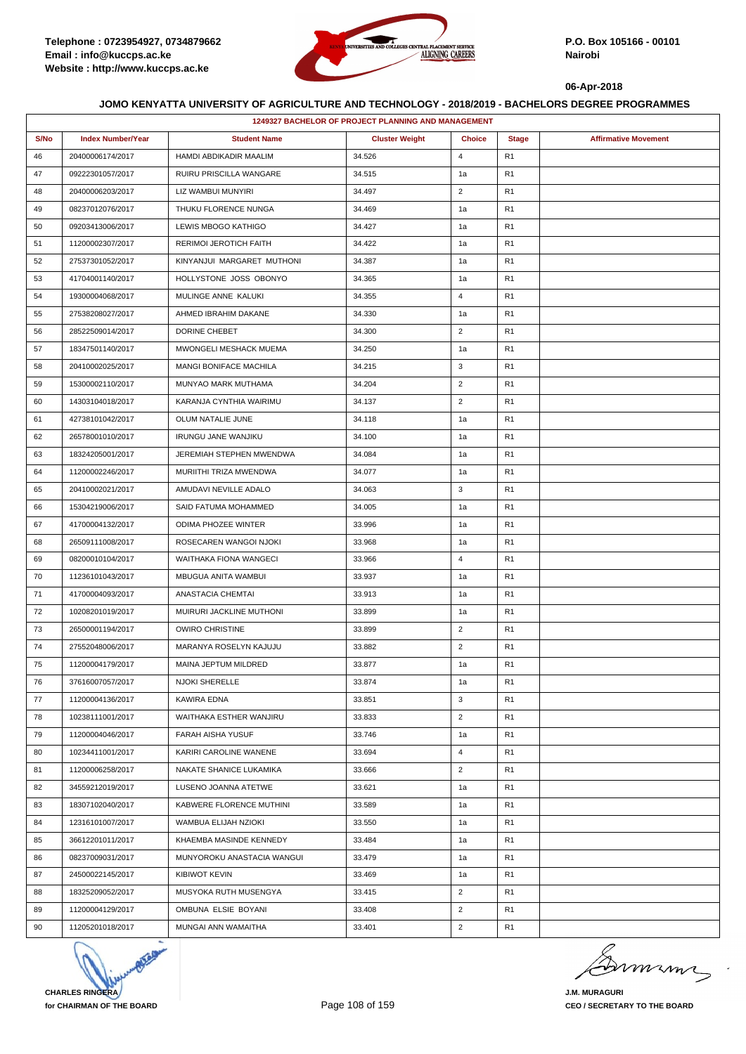

| S/No<br><b>Index Number/Year</b><br><b>Student Name</b><br><b>Cluster Weight</b><br><b>Choice</b><br><b>Stage</b><br><b>Affirmative Movement</b><br>34.526<br>$\overline{4}$<br>46<br>20400006174/2017<br>HAMDI ABDIKADIR MAALIM<br>R1<br>47<br>09222301057/2017<br>RUIRU PRISCILLA WANGARE<br>34.515<br>1a<br>R1<br>$\overline{2}$<br>20400006203/2017<br>R <sub>1</sub><br>48<br>LIZ WAMBUI MUNYIRI<br>34.497<br>49<br>08237012076/2017<br>THUKU FLORENCE NUNGA<br>34.469<br>1a<br>R1<br>50<br>09203413006/2017<br>LEWIS MBOGO KATHIGO<br>34.427<br>1a<br>R1<br>R <sub>1</sub><br>51<br>11200002307/2017<br>RERIMOI JEROTICH FAITH<br>34.422<br>1a<br>52<br>KINYANJUI MARGARET MUTHONI<br>34.387<br>R1<br>27537301052/2017<br>1a<br>53<br>41704001140/2017<br>HOLLYSTONE JOSS OBONYO<br>34.365<br>1a<br>R1<br>34.355<br>$\overline{4}$<br>54<br>19300004068/2017<br>MULINGE ANNE KALUKI<br>R1<br>55<br>27538208027/2017<br>AHMED IBRAHIM DAKANE<br>34.330<br>R1<br>1a<br>$\overline{2}$<br>R <sub>1</sub><br>56<br>28522509014/2017<br>DORINE CHEBET<br>34.300<br>57<br>MWONGELI MESHACK MUEMA<br>34.250<br>R <sub>1</sub><br>18347501140/2017<br>1a<br>3<br>20410002025/2017<br><b>MANGI BONIFACE MACHILA</b><br>34.215<br>R1<br>58<br>$\overline{2}$<br>59<br>15300002110/2017<br>MUNYAO MARK MUTHAMA<br>34.204<br>R1<br>$\overline{2}$<br>R <sub>1</sub><br>60<br>14303104018/2017<br>KARANJA CYNTHIA WAIRIMU<br>34.137<br>61<br>42738101042/2017<br>OLUM NATALIE JUNE<br>34.118<br>1a<br>R1<br>R <sub>1</sub><br>62<br>26578001010/2017<br><b>IRUNGU JANE WANJIKU</b><br>34.100<br>1a<br>34.084<br>R <sub>1</sub><br>63<br>18324205001/2017<br>JEREMIAH STEPHEN MWENDWA<br>1a<br>11200002246/2017<br>MURIITHI TRIZA MWENDWA<br>34.077<br>1a<br>R1<br>64<br>3<br>R <sub>1</sub><br>65<br>20410002021/2017<br>AMUDAVI NEVILLE ADALO<br>34.063<br>34.005<br>R <sub>1</sub><br>66<br>15304219006/2017<br>SAID FATUMA MOHAMMED<br>1a<br>ODIMA PHOZEE WINTER<br>67<br>41700004132/2017<br>33.996<br>R1<br>1a<br>R <sub>1</sub><br>68<br>26509111008/2017<br>ROSECAREN WANGOI NJOKI<br>33.968<br>1a<br>33.966<br>$\overline{4}$<br>R <sub>1</sub><br>69<br>08200010104/2017<br>WAITHAKA FIONA WANGECI<br>70<br>11236101043/2017<br>MBUGUA ANITA WAMBUI<br>33.937<br>1a<br>R1<br>33.913<br>R <sub>1</sub><br>71<br>41700004093/2017<br>ANASTACIA CHEMTAI<br>1a<br>72<br>33.899<br>R <sub>1</sub><br>10208201019/2017<br>MUIRURI JACKLINE MUTHONI<br>1a<br><b>OWIRO CHRISTINE</b><br>$\overline{2}$<br>73<br>26500001194/2017<br>33.899<br>R1<br>MARANYA ROSELYN KAJUJU<br>33.882<br>$\overline{2}$<br>R <sub>1</sub><br>74<br>27552048006/2017<br>MAINA JEPTUM MILDRED<br>R <sub>1</sub><br>75<br>11200004179/2017<br>33.877<br>1a<br>76<br>33.874<br>R1<br>37616007057/2017<br><b>NJOKI SHERELLE</b><br>1a<br>3<br>77<br>KAWIRA EDNA<br>33.851<br>R <sub>1</sub><br>11200004136/2017<br>$\overline{2}$<br>33.833<br>R <sub>1</sub><br>78<br>10238111001/2017<br>WAITHAKA ESTHER WANJIRU<br>79<br>11200004046/2017<br><b>FARAH AISHA YUSUF</b><br>33.746<br>1a<br>R1<br>80<br>33.694<br>$\overline{4}$<br>R <sub>1</sub><br>10234411001/2017<br>KARIRI CAROLINE WANENE<br>$\overline{2}$<br>R <sub>1</sub><br>81<br>11200006258/2017<br>NAKATE SHANICE LUKAMIKA<br>33.666<br>82<br>34559212019/2017<br>LUSENO JOANNA ATETWE<br>33.621<br>R1<br>1a<br>83<br>18307102040/2017<br>33.589<br>R <sub>1</sub><br>KABWERE FLORENCE MUTHINI<br>1a<br>R <sub>1</sub><br>84<br>12316101007/2017<br>WAMBUA ELIJAH NZIOKI<br>33.550<br>1a<br>85<br>36612201011/2017<br>KHAEMBA MASINDE KENNEDY<br>33.484<br>R1<br>1a<br>MUNYOROKU ANASTACIA WANGUI<br>33.479<br>R <sub>1</sub><br>86<br>08237009031/2017<br>1a<br>87<br>24500022145/2017<br><b>KIBIWOT KEVIN</b><br>33.469<br>1a<br>R1<br>$\overline{2}$<br>88<br>18325209052/2017<br>MUSYOKA RUTH MUSENGYA<br>33.415<br>R1<br>OMBUNA ELSIE BOYANI<br>33.408<br>$\overline{2}$<br>R <sub>1</sub><br>89<br>11200004129/2017<br>MUNGAI ANN WAMAITHA<br>33.401<br>$\overline{2}$<br>R <sub>1</sub><br>90<br>11205201018/2017 | <b>1249327 BACHELOR OF PROJECT PLANNING AND MANAGEMENT</b> |  |  |  |  |  |  |  |
|-------------------------------------------------------------------------------------------------------------------------------------------------------------------------------------------------------------------------------------------------------------------------------------------------------------------------------------------------------------------------------------------------------------------------------------------------------------------------------------------------------------------------------------------------------------------------------------------------------------------------------------------------------------------------------------------------------------------------------------------------------------------------------------------------------------------------------------------------------------------------------------------------------------------------------------------------------------------------------------------------------------------------------------------------------------------------------------------------------------------------------------------------------------------------------------------------------------------------------------------------------------------------------------------------------------------------------------------------------------------------------------------------------------------------------------------------------------------------------------------------------------------------------------------------------------------------------------------------------------------------------------------------------------------------------------------------------------------------------------------------------------------------------------------------------------------------------------------------------------------------------------------------------------------------------------------------------------------------------------------------------------------------------------------------------------------------------------------------------------------------------------------------------------------------------------------------------------------------------------------------------------------------------------------------------------------------------------------------------------------------------------------------------------------------------------------------------------------------------------------------------------------------------------------------------------------------------------------------------------------------------------------------------------------------------------------------------------------------------------------------------------------------------------------------------------------------------------------------------------------------------------------------------------------------------------------------------------------------------------------------------------------------------------------------------------------------------------------------------------------------------------------------------------------------------------------------------------------------------------------------------------------------------------------------------------------------------------------------------------------------------------------------------------------------------------------------------------------------------------------------------------------------------------------------------------------------------------------------------------------------------------------------------------------------------------------------------------------------------------------------------------------------------------------------------------------------------------------------------------------------------------------------------------------------------------------------------------------------------------------------------------------------------------------------------------|------------------------------------------------------------|--|--|--|--|--|--|--|
|                                                                                                                                                                                                                                                                                                                                                                                                                                                                                                                                                                                                                                                                                                                                                                                                                                                                                                                                                                                                                                                                                                                                                                                                                                                                                                                                                                                                                                                                                                                                                                                                                                                                                                                                                                                                                                                                                                                                                                                                                                                                                                                                                                                                                                                                                                                                                                                                                                                                                                                                                                                                                                                                                                                                                                                                                                                                                                                                                                                                                                                                                                                                                                                                                                                                                                                                                                                                                                                                                                                                                                                                                                                                                                                                                                                                                                                                                                                                                                                                                                                             |                                                            |  |  |  |  |  |  |  |
|                                                                                                                                                                                                                                                                                                                                                                                                                                                                                                                                                                                                                                                                                                                                                                                                                                                                                                                                                                                                                                                                                                                                                                                                                                                                                                                                                                                                                                                                                                                                                                                                                                                                                                                                                                                                                                                                                                                                                                                                                                                                                                                                                                                                                                                                                                                                                                                                                                                                                                                                                                                                                                                                                                                                                                                                                                                                                                                                                                                                                                                                                                                                                                                                                                                                                                                                                                                                                                                                                                                                                                                                                                                                                                                                                                                                                                                                                                                                                                                                                                                             |                                                            |  |  |  |  |  |  |  |
|                                                                                                                                                                                                                                                                                                                                                                                                                                                                                                                                                                                                                                                                                                                                                                                                                                                                                                                                                                                                                                                                                                                                                                                                                                                                                                                                                                                                                                                                                                                                                                                                                                                                                                                                                                                                                                                                                                                                                                                                                                                                                                                                                                                                                                                                                                                                                                                                                                                                                                                                                                                                                                                                                                                                                                                                                                                                                                                                                                                                                                                                                                                                                                                                                                                                                                                                                                                                                                                                                                                                                                                                                                                                                                                                                                                                                                                                                                                                                                                                                                                             |                                                            |  |  |  |  |  |  |  |
|                                                                                                                                                                                                                                                                                                                                                                                                                                                                                                                                                                                                                                                                                                                                                                                                                                                                                                                                                                                                                                                                                                                                                                                                                                                                                                                                                                                                                                                                                                                                                                                                                                                                                                                                                                                                                                                                                                                                                                                                                                                                                                                                                                                                                                                                                                                                                                                                                                                                                                                                                                                                                                                                                                                                                                                                                                                                                                                                                                                                                                                                                                                                                                                                                                                                                                                                                                                                                                                                                                                                                                                                                                                                                                                                                                                                                                                                                                                                                                                                                                                             |                                                            |  |  |  |  |  |  |  |
|                                                                                                                                                                                                                                                                                                                                                                                                                                                                                                                                                                                                                                                                                                                                                                                                                                                                                                                                                                                                                                                                                                                                                                                                                                                                                                                                                                                                                                                                                                                                                                                                                                                                                                                                                                                                                                                                                                                                                                                                                                                                                                                                                                                                                                                                                                                                                                                                                                                                                                                                                                                                                                                                                                                                                                                                                                                                                                                                                                                                                                                                                                                                                                                                                                                                                                                                                                                                                                                                                                                                                                                                                                                                                                                                                                                                                                                                                                                                                                                                                                                             |                                                            |  |  |  |  |  |  |  |
|                                                                                                                                                                                                                                                                                                                                                                                                                                                                                                                                                                                                                                                                                                                                                                                                                                                                                                                                                                                                                                                                                                                                                                                                                                                                                                                                                                                                                                                                                                                                                                                                                                                                                                                                                                                                                                                                                                                                                                                                                                                                                                                                                                                                                                                                                                                                                                                                                                                                                                                                                                                                                                                                                                                                                                                                                                                                                                                                                                                                                                                                                                                                                                                                                                                                                                                                                                                                                                                                                                                                                                                                                                                                                                                                                                                                                                                                                                                                                                                                                                                             |                                                            |  |  |  |  |  |  |  |
|                                                                                                                                                                                                                                                                                                                                                                                                                                                                                                                                                                                                                                                                                                                                                                                                                                                                                                                                                                                                                                                                                                                                                                                                                                                                                                                                                                                                                                                                                                                                                                                                                                                                                                                                                                                                                                                                                                                                                                                                                                                                                                                                                                                                                                                                                                                                                                                                                                                                                                                                                                                                                                                                                                                                                                                                                                                                                                                                                                                                                                                                                                                                                                                                                                                                                                                                                                                                                                                                                                                                                                                                                                                                                                                                                                                                                                                                                                                                                                                                                                                             |                                                            |  |  |  |  |  |  |  |
|                                                                                                                                                                                                                                                                                                                                                                                                                                                                                                                                                                                                                                                                                                                                                                                                                                                                                                                                                                                                                                                                                                                                                                                                                                                                                                                                                                                                                                                                                                                                                                                                                                                                                                                                                                                                                                                                                                                                                                                                                                                                                                                                                                                                                                                                                                                                                                                                                                                                                                                                                                                                                                                                                                                                                                                                                                                                                                                                                                                                                                                                                                                                                                                                                                                                                                                                                                                                                                                                                                                                                                                                                                                                                                                                                                                                                                                                                                                                                                                                                                                             |                                                            |  |  |  |  |  |  |  |
|                                                                                                                                                                                                                                                                                                                                                                                                                                                                                                                                                                                                                                                                                                                                                                                                                                                                                                                                                                                                                                                                                                                                                                                                                                                                                                                                                                                                                                                                                                                                                                                                                                                                                                                                                                                                                                                                                                                                                                                                                                                                                                                                                                                                                                                                                                                                                                                                                                                                                                                                                                                                                                                                                                                                                                                                                                                                                                                                                                                                                                                                                                                                                                                                                                                                                                                                                                                                                                                                                                                                                                                                                                                                                                                                                                                                                                                                                                                                                                                                                                                             |                                                            |  |  |  |  |  |  |  |
|                                                                                                                                                                                                                                                                                                                                                                                                                                                                                                                                                                                                                                                                                                                                                                                                                                                                                                                                                                                                                                                                                                                                                                                                                                                                                                                                                                                                                                                                                                                                                                                                                                                                                                                                                                                                                                                                                                                                                                                                                                                                                                                                                                                                                                                                                                                                                                                                                                                                                                                                                                                                                                                                                                                                                                                                                                                                                                                                                                                                                                                                                                                                                                                                                                                                                                                                                                                                                                                                                                                                                                                                                                                                                                                                                                                                                                                                                                                                                                                                                                                             |                                                            |  |  |  |  |  |  |  |
|                                                                                                                                                                                                                                                                                                                                                                                                                                                                                                                                                                                                                                                                                                                                                                                                                                                                                                                                                                                                                                                                                                                                                                                                                                                                                                                                                                                                                                                                                                                                                                                                                                                                                                                                                                                                                                                                                                                                                                                                                                                                                                                                                                                                                                                                                                                                                                                                                                                                                                                                                                                                                                                                                                                                                                                                                                                                                                                                                                                                                                                                                                                                                                                                                                                                                                                                                                                                                                                                                                                                                                                                                                                                                                                                                                                                                                                                                                                                                                                                                                                             |                                                            |  |  |  |  |  |  |  |
|                                                                                                                                                                                                                                                                                                                                                                                                                                                                                                                                                                                                                                                                                                                                                                                                                                                                                                                                                                                                                                                                                                                                                                                                                                                                                                                                                                                                                                                                                                                                                                                                                                                                                                                                                                                                                                                                                                                                                                                                                                                                                                                                                                                                                                                                                                                                                                                                                                                                                                                                                                                                                                                                                                                                                                                                                                                                                                                                                                                                                                                                                                                                                                                                                                                                                                                                                                                                                                                                                                                                                                                                                                                                                                                                                                                                                                                                                                                                                                                                                                                             |                                                            |  |  |  |  |  |  |  |
|                                                                                                                                                                                                                                                                                                                                                                                                                                                                                                                                                                                                                                                                                                                                                                                                                                                                                                                                                                                                                                                                                                                                                                                                                                                                                                                                                                                                                                                                                                                                                                                                                                                                                                                                                                                                                                                                                                                                                                                                                                                                                                                                                                                                                                                                                                                                                                                                                                                                                                                                                                                                                                                                                                                                                                                                                                                                                                                                                                                                                                                                                                                                                                                                                                                                                                                                                                                                                                                                                                                                                                                                                                                                                                                                                                                                                                                                                                                                                                                                                                                             |                                                            |  |  |  |  |  |  |  |
|                                                                                                                                                                                                                                                                                                                                                                                                                                                                                                                                                                                                                                                                                                                                                                                                                                                                                                                                                                                                                                                                                                                                                                                                                                                                                                                                                                                                                                                                                                                                                                                                                                                                                                                                                                                                                                                                                                                                                                                                                                                                                                                                                                                                                                                                                                                                                                                                                                                                                                                                                                                                                                                                                                                                                                                                                                                                                                                                                                                                                                                                                                                                                                                                                                                                                                                                                                                                                                                                                                                                                                                                                                                                                                                                                                                                                                                                                                                                                                                                                                                             |                                                            |  |  |  |  |  |  |  |
|                                                                                                                                                                                                                                                                                                                                                                                                                                                                                                                                                                                                                                                                                                                                                                                                                                                                                                                                                                                                                                                                                                                                                                                                                                                                                                                                                                                                                                                                                                                                                                                                                                                                                                                                                                                                                                                                                                                                                                                                                                                                                                                                                                                                                                                                                                                                                                                                                                                                                                                                                                                                                                                                                                                                                                                                                                                                                                                                                                                                                                                                                                                                                                                                                                                                                                                                                                                                                                                                                                                                                                                                                                                                                                                                                                                                                                                                                                                                                                                                                                                             |                                                            |  |  |  |  |  |  |  |
|                                                                                                                                                                                                                                                                                                                                                                                                                                                                                                                                                                                                                                                                                                                                                                                                                                                                                                                                                                                                                                                                                                                                                                                                                                                                                                                                                                                                                                                                                                                                                                                                                                                                                                                                                                                                                                                                                                                                                                                                                                                                                                                                                                                                                                                                                                                                                                                                                                                                                                                                                                                                                                                                                                                                                                                                                                                                                                                                                                                                                                                                                                                                                                                                                                                                                                                                                                                                                                                                                                                                                                                                                                                                                                                                                                                                                                                                                                                                                                                                                                                             |                                                            |  |  |  |  |  |  |  |
|                                                                                                                                                                                                                                                                                                                                                                                                                                                                                                                                                                                                                                                                                                                                                                                                                                                                                                                                                                                                                                                                                                                                                                                                                                                                                                                                                                                                                                                                                                                                                                                                                                                                                                                                                                                                                                                                                                                                                                                                                                                                                                                                                                                                                                                                                                                                                                                                                                                                                                                                                                                                                                                                                                                                                                                                                                                                                                                                                                                                                                                                                                                                                                                                                                                                                                                                                                                                                                                                                                                                                                                                                                                                                                                                                                                                                                                                                                                                                                                                                                                             |                                                            |  |  |  |  |  |  |  |
|                                                                                                                                                                                                                                                                                                                                                                                                                                                                                                                                                                                                                                                                                                                                                                                                                                                                                                                                                                                                                                                                                                                                                                                                                                                                                                                                                                                                                                                                                                                                                                                                                                                                                                                                                                                                                                                                                                                                                                                                                                                                                                                                                                                                                                                                                                                                                                                                                                                                                                                                                                                                                                                                                                                                                                                                                                                                                                                                                                                                                                                                                                                                                                                                                                                                                                                                                                                                                                                                                                                                                                                                                                                                                                                                                                                                                                                                                                                                                                                                                                                             |                                                            |  |  |  |  |  |  |  |
|                                                                                                                                                                                                                                                                                                                                                                                                                                                                                                                                                                                                                                                                                                                                                                                                                                                                                                                                                                                                                                                                                                                                                                                                                                                                                                                                                                                                                                                                                                                                                                                                                                                                                                                                                                                                                                                                                                                                                                                                                                                                                                                                                                                                                                                                                                                                                                                                                                                                                                                                                                                                                                                                                                                                                                                                                                                                                                                                                                                                                                                                                                                                                                                                                                                                                                                                                                                                                                                                                                                                                                                                                                                                                                                                                                                                                                                                                                                                                                                                                                                             |                                                            |  |  |  |  |  |  |  |
|                                                                                                                                                                                                                                                                                                                                                                                                                                                                                                                                                                                                                                                                                                                                                                                                                                                                                                                                                                                                                                                                                                                                                                                                                                                                                                                                                                                                                                                                                                                                                                                                                                                                                                                                                                                                                                                                                                                                                                                                                                                                                                                                                                                                                                                                                                                                                                                                                                                                                                                                                                                                                                                                                                                                                                                                                                                                                                                                                                                                                                                                                                                                                                                                                                                                                                                                                                                                                                                                                                                                                                                                                                                                                                                                                                                                                                                                                                                                                                                                                                                             |                                                            |  |  |  |  |  |  |  |
|                                                                                                                                                                                                                                                                                                                                                                                                                                                                                                                                                                                                                                                                                                                                                                                                                                                                                                                                                                                                                                                                                                                                                                                                                                                                                                                                                                                                                                                                                                                                                                                                                                                                                                                                                                                                                                                                                                                                                                                                                                                                                                                                                                                                                                                                                                                                                                                                                                                                                                                                                                                                                                                                                                                                                                                                                                                                                                                                                                                                                                                                                                                                                                                                                                                                                                                                                                                                                                                                                                                                                                                                                                                                                                                                                                                                                                                                                                                                                                                                                                                             |                                                            |  |  |  |  |  |  |  |
|                                                                                                                                                                                                                                                                                                                                                                                                                                                                                                                                                                                                                                                                                                                                                                                                                                                                                                                                                                                                                                                                                                                                                                                                                                                                                                                                                                                                                                                                                                                                                                                                                                                                                                                                                                                                                                                                                                                                                                                                                                                                                                                                                                                                                                                                                                                                                                                                                                                                                                                                                                                                                                                                                                                                                                                                                                                                                                                                                                                                                                                                                                                                                                                                                                                                                                                                                                                                                                                                                                                                                                                                                                                                                                                                                                                                                                                                                                                                                                                                                                                             |                                                            |  |  |  |  |  |  |  |
|                                                                                                                                                                                                                                                                                                                                                                                                                                                                                                                                                                                                                                                                                                                                                                                                                                                                                                                                                                                                                                                                                                                                                                                                                                                                                                                                                                                                                                                                                                                                                                                                                                                                                                                                                                                                                                                                                                                                                                                                                                                                                                                                                                                                                                                                                                                                                                                                                                                                                                                                                                                                                                                                                                                                                                                                                                                                                                                                                                                                                                                                                                                                                                                                                                                                                                                                                                                                                                                                                                                                                                                                                                                                                                                                                                                                                                                                                                                                                                                                                                                             |                                                            |  |  |  |  |  |  |  |
|                                                                                                                                                                                                                                                                                                                                                                                                                                                                                                                                                                                                                                                                                                                                                                                                                                                                                                                                                                                                                                                                                                                                                                                                                                                                                                                                                                                                                                                                                                                                                                                                                                                                                                                                                                                                                                                                                                                                                                                                                                                                                                                                                                                                                                                                                                                                                                                                                                                                                                                                                                                                                                                                                                                                                                                                                                                                                                                                                                                                                                                                                                                                                                                                                                                                                                                                                                                                                                                                                                                                                                                                                                                                                                                                                                                                                                                                                                                                                                                                                                                             |                                                            |  |  |  |  |  |  |  |
|                                                                                                                                                                                                                                                                                                                                                                                                                                                                                                                                                                                                                                                                                                                                                                                                                                                                                                                                                                                                                                                                                                                                                                                                                                                                                                                                                                                                                                                                                                                                                                                                                                                                                                                                                                                                                                                                                                                                                                                                                                                                                                                                                                                                                                                                                                                                                                                                                                                                                                                                                                                                                                                                                                                                                                                                                                                                                                                                                                                                                                                                                                                                                                                                                                                                                                                                                                                                                                                                                                                                                                                                                                                                                                                                                                                                                                                                                                                                                                                                                                                             |                                                            |  |  |  |  |  |  |  |
|                                                                                                                                                                                                                                                                                                                                                                                                                                                                                                                                                                                                                                                                                                                                                                                                                                                                                                                                                                                                                                                                                                                                                                                                                                                                                                                                                                                                                                                                                                                                                                                                                                                                                                                                                                                                                                                                                                                                                                                                                                                                                                                                                                                                                                                                                                                                                                                                                                                                                                                                                                                                                                                                                                                                                                                                                                                                                                                                                                                                                                                                                                                                                                                                                                                                                                                                                                                                                                                                                                                                                                                                                                                                                                                                                                                                                                                                                                                                                                                                                                                             |                                                            |  |  |  |  |  |  |  |
|                                                                                                                                                                                                                                                                                                                                                                                                                                                                                                                                                                                                                                                                                                                                                                                                                                                                                                                                                                                                                                                                                                                                                                                                                                                                                                                                                                                                                                                                                                                                                                                                                                                                                                                                                                                                                                                                                                                                                                                                                                                                                                                                                                                                                                                                                                                                                                                                                                                                                                                                                                                                                                                                                                                                                                                                                                                                                                                                                                                                                                                                                                                                                                                                                                                                                                                                                                                                                                                                                                                                                                                                                                                                                                                                                                                                                                                                                                                                                                                                                                                             |                                                            |  |  |  |  |  |  |  |
|                                                                                                                                                                                                                                                                                                                                                                                                                                                                                                                                                                                                                                                                                                                                                                                                                                                                                                                                                                                                                                                                                                                                                                                                                                                                                                                                                                                                                                                                                                                                                                                                                                                                                                                                                                                                                                                                                                                                                                                                                                                                                                                                                                                                                                                                                                                                                                                                                                                                                                                                                                                                                                                                                                                                                                                                                                                                                                                                                                                                                                                                                                                                                                                                                                                                                                                                                                                                                                                                                                                                                                                                                                                                                                                                                                                                                                                                                                                                                                                                                                                             |                                                            |  |  |  |  |  |  |  |
|                                                                                                                                                                                                                                                                                                                                                                                                                                                                                                                                                                                                                                                                                                                                                                                                                                                                                                                                                                                                                                                                                                                                                                                                                                                                                                                                                                                                                                                                                                                                                                                                                                                                                                                                                                                                                                                                                                                                                                                                                                                                                                                                                                                                                                                                                                                                                                                                                                                                                                                                                                                                                                                                                                                                                                                                                                                                                                                                                                                                                                                                                                                                                                                                                                                                                                                                                                                                                                                                                                                                                                                                                                                                                                                                                                                                                                                                                                                                                                                                                                                             |                                                            |  |  |  |  |  |  |  |
|                                                                                                                                                                                                                                                                                                                                                                                                                                                                                                                                                                                                                                                                                                                                                                                                                                                                                                                                                                                                                                                                                                                                                                                                                                                                                                                                                                                                                                                                                                                                                                                                                                                                                                                                                                                                                                                                                                                                                                                                                                                                                                                                                                                                                                                                                                                                                                                                                                                                                                                                                                                                                                                                                                                                                                                                                                                                                                                                                                                                                                                                                                                                                                                                                                                                                                                                                                                                                                                                                                                                                                                                                                                                                                                                                                                                                                                                                                                                                                                                                                                             |                                                            |  |  |  |  |  |  |  |
|                                                                                                                                                                                                                                                                                                                                                                                                                                                                                                                                                                                                                                                                                                                                                                                                                                                                                                                                                                                                                                                                                                                                                                                                                                                                                                                                                                                                                                                                                                                                                                                                                                                                                                                                                                                                                                                                                                                                                                                                                                                                                                                                                                                                                                                                                                                                                                                                                                                                                                                                                                                                                                                                                                                                                                                                                                                                                                                                                                                                                                                                                                                                                                                                                                                                                                                                                                                                                                                                                                                                                                                                                                                                                                                                                                                                                                                                                                                                                                                                                                                             |                                                            |  |  |  |  |  |  |  |
|                                                                                                                                                                                                                                                                                                                                                                                                                                                                                                                                                                                                                                                                                                                                                                                                                                                                                                                                                                                                                                                                                                                                                                                                                                                                                                                                                                                                                                                                                                                                                                                                                                                                                                                                                                                                                                                                                                                                                                                                                                                                                                                                                                                                                                                                                                                                                                                                                                                                                                                                                                                                                                                                                                                                                                                                                                                                                                                                                                                                                                                                                                                                                                                                                                                                                                                                                                                                                                                                                                                                                                                                                                                                                                                                                                                                                                                                                                                                                                                                                                                             |                                                            |  |  |  |  |  |  |  |
|                                                                                                                                                                                                                                                                                                                                                                                                                                                                                                                                                                                                                                                                                                                                                                                                                                                                                                                                                                                                                                                                                                                                                                                                                                                                                                                                                                                                                                                                                                                                                                                                                                                                                                                                                                                                                                                                                                                                                                                                                                                                                                                                                                                                                                                                                                                                                                                                                                                                                                                                                                                                                                                                                                                                                                                                                                                                                                                                                                                                                                                                                                                                                                                                                                                                                                                                                                                                                                                                                                                                                                                                                                                                                                                                                                                                                                                                                                                                                                                                                                                             |                                                            |  |  |  |  |  |  |  |
|                                                                                                                                                                                                                                                                                                                                                                                                                                                                                                                                                                                                                                                                                                                                                                                                                                                                                                                                                                                                                                                                                                                                                                                                                                                                                                                                                                                                                                                                                                                                                                                                                                                                                                                                                                                                                                                                                                                                                                                                                                                                                                                                                                                                                                                                                                                                                                                                                                                                                                                                                                                                                                                                                                                                                                                                                                                                                                                                                                                                                                                                                                                                                                                                                                                                                                                                                                                                                                                                                                                                                                                                                                                                                                                                                                                                                                                                                                                                                                                                                                                             |                                                            |  |  |  |  |  |  |  |
|                                                                                                                                                                                                                                                                                                                                                                                                                                                                                                                                                                                                                                                                                                                                                                                                                                                                                                                                                                                                                                                                                                                                                                                                                                                                                                                                                                                                                                                                                                                                                                                                                                                                                                                                                                                                                                                                                                                                                                                                                                                                                                                                                                                                                                                                                                                                                                                                                                                                                                                                                                                                                                                                                                                                                                                                                                                                                                                                                                                                                                                                                                                                                                                                                                                                                                                                                                                                                                                                                                                                                                                                                                                                                                                                                                                                                                                                                                                                                                                                                                                             |                                                            |  |  |  |  |  |  |  |
|                                                                                                                                                                                                                                                                                                                                                                                                                                                                                                                                                                                                                                                                                                                                                                                                                                                                                                                                                                                                                                                                                                                                                                                                                                                                                                                                                                                                                                                                                                                                                                                                                                                                                                                                                                                                                                                                                                                                                                                                                                                                                                                                                                                                                                                                                                                                                                                                                                                                                                                                                                                                                                                                                                                                                                                                                                                                                                                                                                                                                                                                                                                                                                                                                                                                                                                                                                                                                                                                                                                                                                                                                                                                                                                                                                                                                                                                                                                                                                                                                                                             |                                                            |  |  |  |  |  |  |  |
|                                                                                                                                                                                                                                                                                                                                                                                                                                                                                                                                                                                                                                                                                                                                                                                                                                                                                                                                                                                                                                                                                                                                                                                                                                                                                                                                                                                                                                                                                                                                                                                                                                                                                                                                                                                                                                                                                                                                                                                                                                                                                                                                                                                                                                                                                                                                                                                                                                                                                                                                                                                                                                                                                                                                                                                                                                                                                                                                                                                                                                                                                                                                                                                                                                                                                                                                                                                                                                                                                                                                                                                                                                                                                                                                                                                                                                                                                                                                                                                                                                                             |                                                            |  |  |  |  |  |  |  |
|                                                                                                                                                                                                                                                                                                                                                                                                                                                                                                                                                                                                                                                                                                                                                                                                                                                                                                                                                                                                                                                                                                                                                                                                                                                                                                                                                                                                                                                                                                                                                                                                                                                                                                                                                                                                                                                                                                                                                                                                                                                                                                                                                                                                                                                                                                                                                                                                                                                                                                                                                                                                                                                                                                                                                                                                                                                                                                                                                                                                                                                                                                                                                                                                                                                                                                                                                                                                                                                                                                                                                                                                                                                                                                                                                                                                                                                                                                                                                                                                                                                             |                                                            |  |  |  |  |  |  |  |
|                                                                                                                                                                                                                                                                                                                                                                                                                                                                                                                                                                                                                                                                                                                                                                                                                                                                                                                                                                                                                                                                                                                                                                                                                                                                                                                                                                                                                                                                                                                                                                                                                                                                                                                                                                                                                                                                                                                                                                                                                                                                                                                                                                                                                                                                                                                                                                                                                                                                                                                                                                                                                                                                                                                                                                                                                                                                                                                                                                                                                                                                                                                                                                                                                                                                                                                                                                                                                                                                                                                                                                                                                                                                                                                                                                                                                                                                                                                                                                                                                                                             |                                                            |  |  |  |  |  |  |  |
|                                                                                                                                                                                                                                                                                                                                                                                                                                                                                                                                                                                                                                                                                                                                                                                                                                                                                                                                                                                                                                                                                                                                                                                                                                                                                                                                                                                                                                                                                                                                                                                                                                                                                                                                                                                                                                                                                                                                                                                                                                                                                                                                                                                                                                                                                                                                                                                                                                                                                                                                                                                                                                                                                                                                                                                                                                                                                                                                                                                                                                                                                                                                                                                                                                                                                                                                                                                                                                                                                                                                                                                                                                                                                                                                                                                                                                                                                                                                                                                                                                                             |                                                            |  |  |  |  |  |  |  |
|                                                                                                                                                                                                                                                                                                                                                                                                                                                                                                                                                                                                                                                                                                                                                                                                                                                                                                                                                                                                                                                                                                                                                                                                                                                                                                                                                                                                                                                                                                                                                                                                                                                                                                                                                                                                                                                                                                                                                                                                                                                                                                                                                                                                                                                                                                                                                                                                                                                                                                                                                                                                                                                                                                                                                                                                                                                                                                                                                                                                                                                                                                                                                                                                                                                                                                                                                                                                                                                                                                                                                                                                                                                                                                                                                                                                                                                                                                                                                                                                                                                             |                                                            |  |  |  |  |  |  |  |
|                                                                                                                                                                                                                                                                                                                                                                                                                                                                                                                                                                                                                                                                                                                                                                                                                                                                                                                                                                                                                                                                                                                                                                                                                                                                                                                                                                                                                                                                                                                                                                                                                                                                                                                                                                                                                                                                                                                                                                                                                                                                                                                                                                                                                                                                                                                                                                                                                                                                                                                                                                                                                                                                                                                                                                                                                                                                                                                                                                                                                                                                                                                                                                                                                                                                                                                                                                                                                                                                                                                                                                                                                                                                                                                                                                                                                                                                                                                                                                                                                                                             |                                                            |  |  |  |  |  |  |  |
|                                                                                                                                                                                                                                                                                                                                                                                                                                                                                                                                                                                                                                                                                                                                                                                                                                                                                                                                                                                                                                                                                                                                                                                                                                                                                                                                                                                                                                                                                                                                                                                                                                                                                                                                                                                                                                                                                                                                                                                                                                                                                                                                                                                                                                                                                                                                                                                                                                                                                                                                                                                                                                                                                                                                                                                                                                                                                                                                                                                                                                                                                                                                                                                                                                                                                                                                                                                                                                                                                                                                                                                                                                                                                                                                                                                                                                                                                                                                                                                                                                                             |                                                            |  |  |  |  |  |  |  |
|                                                                                                                                                                                                                                                                                                                                                                                                                                                                                                                                                                                                                                                                                                                                                                                                                                                                                                                                                                                                                                                                                                                                                                                                                                                                                                                                                                                                                                                                                                                                                                                                                                                                                                                                                                                                                                                                                                                                                                                                                                                                                                                                                                                                                                                                                                                                                                                                                                                                                                                                                                                                                                                                                                                                                                                                                                                                                                                                                                                                                                                                                                                                                                                                                                                                                                                                                                                                                                                                                                                                                                                                                                                                                                                                                                                                                                                                                                                                                                                                                                                             |                                                            |  |  |  |  |  |  |  |
|                                                                                                                                                                                                                                                                                                                                                                                                                                                                                                                                                                                                                                                                                                                                                                                                                                                                                                                                                                                                                                                                                                                                                                                                                                                                                                                                                                                                                                                                                                                                                                                                                                                                                                                                                                                                                                                                                                                                                                                                                                                                                                                                                                                                                                                                                                                                                                                                                                                                                                                                                                                                                                                                                                                                                                                                                                                                                                                                                                                                                                                                                                                                                                                                                                                                                                                                                                                                                                                                                                                                                                                                                                                                                                                                                                                                                                                                                                                                                                                                                                                             |                                                            |  |  |  |  |  |  |  |
|                                                                                                                                                                                                                                                                                                                                                                                                                                                                                                                                                                                                                                                                                                                                                                                                                                                                                                                                                                                                                                                                                                                                                                                                                                                                                                                                                                                                                                                                                                                                                                                                                                                                                                                                                                                                                                                                                                                                                                                                                                                                                                                                                                                                                                                                                                                                                                                                                                                                                                                                                                                                                                                                                                                                                                                                                                                                                                                                                                                                                                                                                                                                                                                                                                                                                                                                                                                                                                                                                                                                                                                                                                                                                                                                                                                                                                                                                                                                                                                                                                                             |                                                            |  |  |  |  |  |  |  |



Dermann

**J.M. MURAGURI CEO / SECRETARY TO THE BOARD**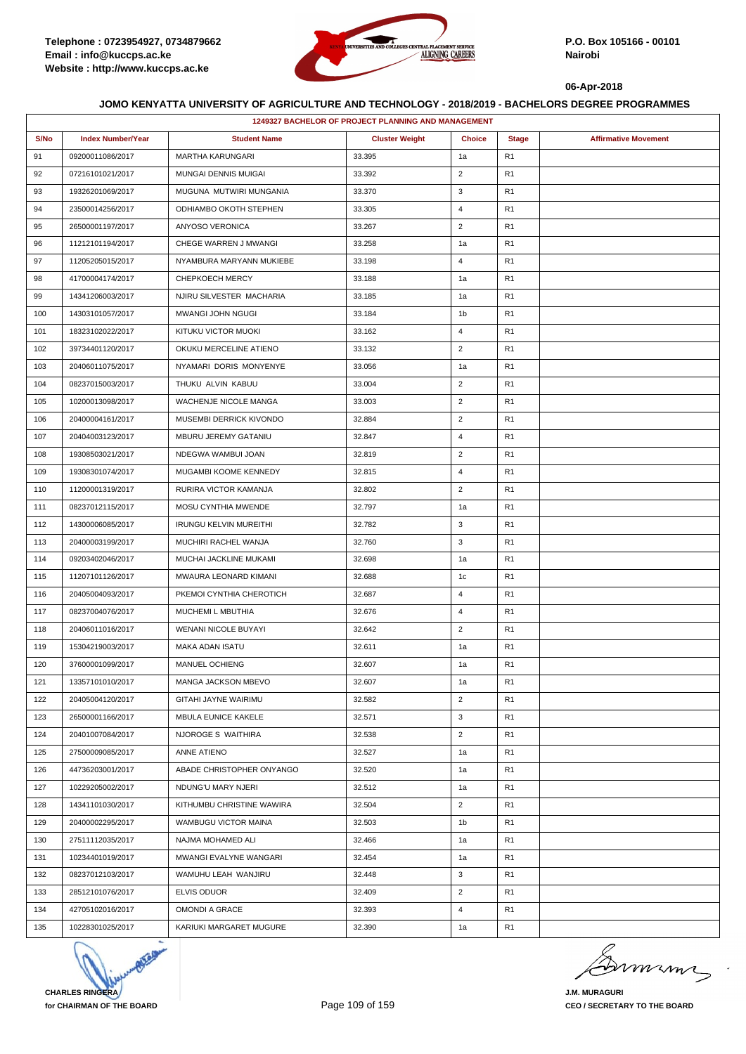

|      | 1249327 BACHELOR OF PROJECT PLANNING AND MANAGEMENT |                               |                       |                |                |                             |  |  |
|------|-----------------------------------------------------|-------------------------------|-----------------------|----------------|----------------|-----------------------------|--|--|
| S/No | <b>Index Number/Year</b>                            | <b>Student Name</b>           | <b>Cluster Weight</b> | <b>Choice</b>  | <b>Stage</b>   | <b>Affirmative Movement</b> |  |  |
| 91   | 09200011086/2017                                    | <b>MARTHA KARUNGARI</b>       | 33.395                | 1a             | R <sub>1</sub> |                             |  |  |
| 92   | 07216101021/2017                                    | MUNGAI DENNIS MUIGAI          | 33.392                | $\overline{2}$ | R <sub>1</sub> |                             |  |  |
| 93   | 19326201069/2017                                    | MUGUNA MUTWIRI MUNGANIA       | 33.370                | 3              | R1             |                             |  |  |
| 94   | 23500014256/2017                                    | ODHIAMBO OKOTH STEPHEN        | 33.305                | $\overline{4}$ | R <sub>1</sub> |                             |  |  |
| 95   | 26500001197/2017                                    | ANYOSO VERONICA               | 33.267                | $\overline{2}$ | R <sub>1</sub> |                             |  |  |
| 96   | 11212101194/2017                                    | CHEGE WARREN J MWANGI         | 33.258                | 1a             | R1             |                             |  |  |
| 97   | 11205205015/2017                                    | NYAMBURA MARYANN MUKIEBE      | 33.198                | $\overline{4}$ | R1             |                             |  |  |
| 98   | 41700004174/2017                                    | CHEPKOECH MERCY               | 33.188                | 1a             | R <sub>1</sub> |                             |  |  |
| 99   | 14341206003/2017                                    | NJIRU SILVESTER MACHARIA      | 33.185                | 1a             | R1             |                             |  |  |
| 100  | 14303101057/2017                                    | MWANGI JOHN NGUGI             | 33.184                | 1b             | R1             |                             |  |  |
| 101  | 18323102022/2017                                    | KITUKU VICTOR MUOKI           | 33.162                | $\overline{4}$ | R <sub>1</sub> |                             |  |  |
| 102  | 39734401120/2017                                    | OKUKU MERCELINE ATIENO        | 33.132                | $\overline{2}$ | R1             |                             |  |  |
| 103  | 20406011075/2017                                    | NYAMARI DORIS MONYENYE        | 33.056                | 1a             | R1             |                             |  |  |
| 104  | 08237015003/2017                                    | THUKU ALVIN KABUU             | 33.004                | $\overline{2}$ | R <sub>1</sub> |                             |  |  |
| 105  | 10200013098/2017                                    | WACHENJE NICOLE MANGA         | 33.003                | $\overline{2}$ | R1             |                             |  |  |
| 106  | 20400004161/2017                                    | MUSEMBI DERRICK KIVONDO       | 32.884                | $\overline{2}$ | R1             |                             |  |  |
| 107  | 20404003123/2017                                    | MBURU JEREMY GATANIU          | 32.847                | 4              | R <sub>1</sub> |                             |  |  |
| 108  | 19308503021/2017                                    | NDEGWA WAMBUI JOAN            | 32.819                | $\overline{2}$ | R1             |                             |  |  |
| 109  | 19308301074/2017                                    | MUGAMBI KOOME KENNEDY         | 32.815                | $\overline{4}$ | R1             |                             |  |  |
| 110  | 11200001319/2017                                    | RURIRA VICTOR KAMANJA         | 32.802                | $\overline{2}$ | R1             |                             |  |  |
| 111  | 08237012115/2017                                    | MOSU CYNTHIA MWENDE           | 32.797                | 1a             | R1             |                             |  |  |
| 112  | 14300006085/2017                                    | <b>IRUNGU KELVIN MUREITHI</b> | 32.782                | 3              | R <sub>1</sub> |                             |  |  |
| 113  | 20400003199/2017                                    | MUCHIRI RACHEL WANJA          | 32.760                | 3              | R <sub>1</sub> |                             |  |  |
| 114  | 09203402046/2017                                    | MUCHAI JACKLINE MUKAMI        | 32.698                | 1a             | R1             |                             |  |  |
| 115  | 11207101126/2017                                    | MWAURA LEONARD KIMANI         | 32.688                | 1c             | R1             |                             |  |  |
| 116  | 20405004093/2017                                    | PKEMOI CYNTHIA CHEROTICH      | 32.687                | 4              | R1             |                             |  |  |
| 117  | 08237004076/2017                                    | MUCHEMI L MBUTHIA             | 32.676                | 4              | R1             |                             |  |  |
| 118  | 20406011016/2017                                    | WENANI NICOLE BUYAYI          | 32.642                | $\overline{2}$ | R1             |                             |  |  |
| 119  | 15304219003/2017                                    | MAKA ADAN ISATU               | 32.611                | 1a             | R <sub>1</sub> |                             |  |  |
| 120  | 37600001099/2017                                    | <b>MANUEL OCHIENG</b>         | 32.607                | 1a             | R1             |                             |  |  |
| 121  | 13357101010/2017                                    | MANGA JACKSON MBEVO           | 32.607                | 1a             | R1             |                             |  |  |
| 122  | 20405004120/2017                                    | GITAHI JAYNE WAIRIMU          | 32.582                | $\overline{2}$ | R <sub>1</sub> |                             |  |  |
| 123  | 26500001166/2017                                    | <b>MBULA EUNICE KAKELE</b>    | 32.571                | 3              | R1             |                             |  |  |
| 124  | 20401007084/2017                                    | NJOROGE S WAITHIRA            | 32.538                | $\overline{2}$ | R <sub>1</sub> |                             |  |  |
| 125  | 27500009085/2017                                    | ANNE ATIENO                   | 32.527                | 1a             | R1             |                             |  |  |
| 126  | 44736203001/2017                                    | ABADE CHRISTOPHER ONYANGO     | 32.520                | 1a             | R1             |                             |  |  |
| 127  | 10229205002/2017                                    | NDUNG'U MARY NJERI            | 32.512                | 1a             | R <sub>1</sub> |                             |  |  |
| 128  | 14341101030/2017                                    | KITHUMBU CHRISTINE WAWIRA     | 32.504                | $\overline{2}$ | R <sub>1</sub> |                             |  |  |
| 129  | 20400002295/2017                                    | WAMBUGU VICTOR MAINA          | 32.503                | 1b             | R1             |                             |  |  |
| 130  | 27511112035/2017                                    | NAJMA MOHAMED ALI             | 32.466                | 1a             | R <sub>1</sub> |                             |  |  |
| 131  | 10234401019/2017                                    | MWANGI EVALYNE WANGARI        | 32.454                | 1a             | R1             |                             |  |  |
| 132  | 08237012103/2017                                    | WAMUHU LEAH WANJIRU           | 32.448                | 3              | R1             |                             |  |  |
| 133  | 28512101076/2017                                    | ELVIS ODUOR                   | 32.409                | $\overline{2}$ | R1             |                             |  |  |
| 134  | 42705102016/2017                                    | <b>OMONDI A GRACE</b>         | 32.393                | 4              | R <sub>1</sub> |                             |  |  |
| 135  | 10228301025/2017                                    | KARIUKI MARGARET MUGURE       | 32.390                | 1a             | R1             |                             |  |  |



Dermann

**J.M. MURAGURI CEO / SECRETARY TO THE BOARD**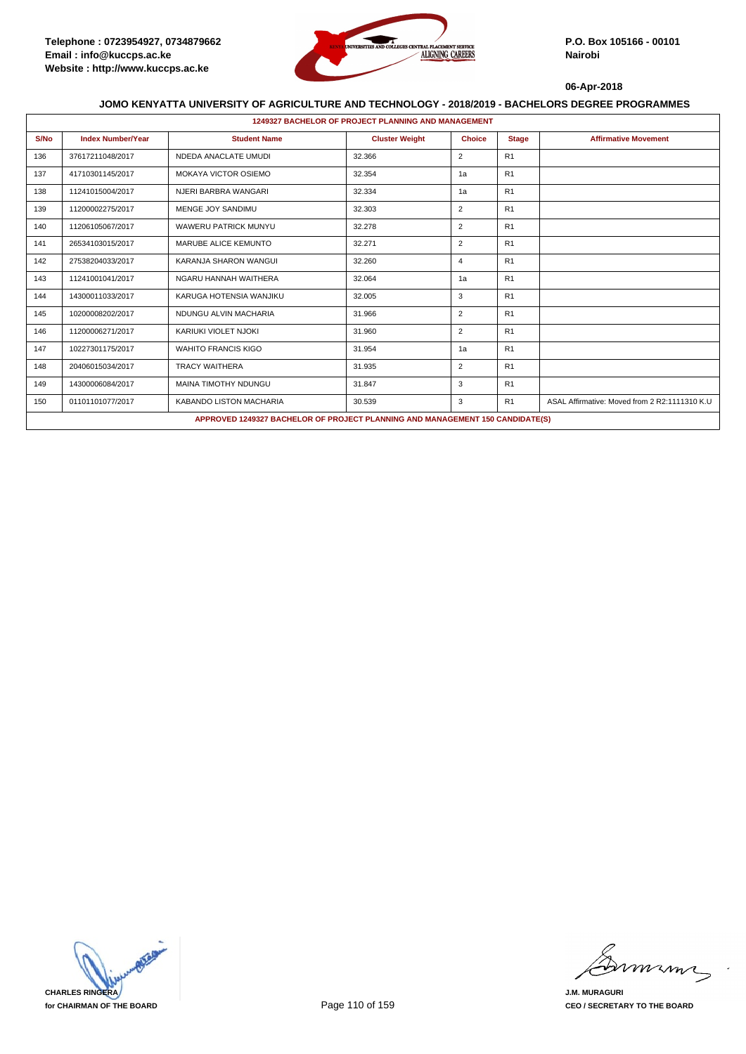

|      | <b>1249327 BACHELOR OF PROJECT PLANNING AND MANAGEMENT</b> |                                                                                      |                       |                |                |                                               |  |  |  |
|------|------------------------------------------------------------|--------------------------------------------------------------------------------------|-----------------------|----------------|----------------|-----------------------------------------------|--|--|--|
| S/No | <b>Index Number/Year</b>                                   | <b>Student Name</b>                                                                  | <b>Cluster Weight</b> | <b>Choice</b>  | <b>Stage</b>   | <b>Affirmative Movement</b>                   |  |  |  |
| 136  | 37617211048/2017                                           | NDEDA ANACLATE UMUDI                                                                 | 32.366                | $\overline{2}$ | R <sub>1</sub> |                                               |  |  |  |
| 137  | 41710301145/2017                                           | <b>MOKAYA VICTOR OSIEMO</b>                                                          | 32.354                | 1a             | R1             |                                               |  |  |  |
| 138  | 11241015004/2017                                           | NJERI BARBRA WANGARI                                                                 | 32.334                | 1a             | R <sub>1</sub> |                                               |  |  |  |
| 139  | 11200002275/2017                                           | MENGE JOY SANDIMU                                                                    | 32.303                | $\overline{2}$ | R1             |                                               |  |  |  |
| 140  | 11206105067/2017                                           | <b>WAWERU PATRICK MUNYU</b>                                                          | 32.278                | $\overline{2}$ | R <sub>1</sub> |                                               |  |  |  |
| 141  | 26534103015/2017                                           | MARUBE ALICE KEMUNTO                                                                 | 32.271                | $\overline{2}$ | R <sub>1</sub> |                                               |  |  |  |
| 142  | 27538204033/2017                                           | KARANJA SHARON WANGUI                                                                | 32.260                | $\overline{4}$ | R <sub>1</sub> |                                               |  |  |  |
| 143  | 11241001041/2017                                           | NGARU HANNAH WAITHERA                                                                | 32.064                | 1a             | R <sub>1</sub> |                                               |  |  |  |
| 144  | 14300011033/2017                                           | KARUGA HOTENSIA WANJIKU                                                              | 32.005                | 3              | R1             |                                               |  |  |  |
| 145  | 10200008202/2017                                           | NDUNGU ALVIN MACHARIA                                                                | 31.966                | $\overline{2}$ | R <sub>1</sub> |                                               |  |  |  |
| 146  | 11200006271/2017                                           | KARIUKI VIOLET NJOKI                                                                 | 31.960                | $\overline{2}$ | R1             |                                               |  |  |  |
| 147  | 10227301175/2017                                           | <b>WAHITO FRANCIS KIGO</b>                                                           | 31.954                | 1a             | R <sub>1</sub> |                                               |  |  |  |
| 148  | 20406015034/2017                                           | <b>TRACY WAITHERA</b>                                                                | 31.935                | $\overline{2}$ | R1             |                                               |  |  |  |
| 149  | 14300006084/2017                                           | <b>MAINA TIMOTHY NDUNGU</b>                                                          | 31.847                | 3              | R <sub>1</sub> |                                               |  |  |  |
| 150  | 01101101077/2017                                           | KABANDO LISTON MACHARIA                                                              | 30.539                | 3              | R <sub>1</sub> | ASAL Affirmative: Moved from 2 R2:1111310 K.U |  |  |  |
|      |                                                            | <b>APPROVED 1249327 BACHELOR OF PROJECT PLANNING AND MANAGEMENT 150 CANDIDATE(S)</b> |                       |                |                |                                               |  |  |  |



murma

**J.M. MURAGURI CEO / SECRETARY TO THE BOARD**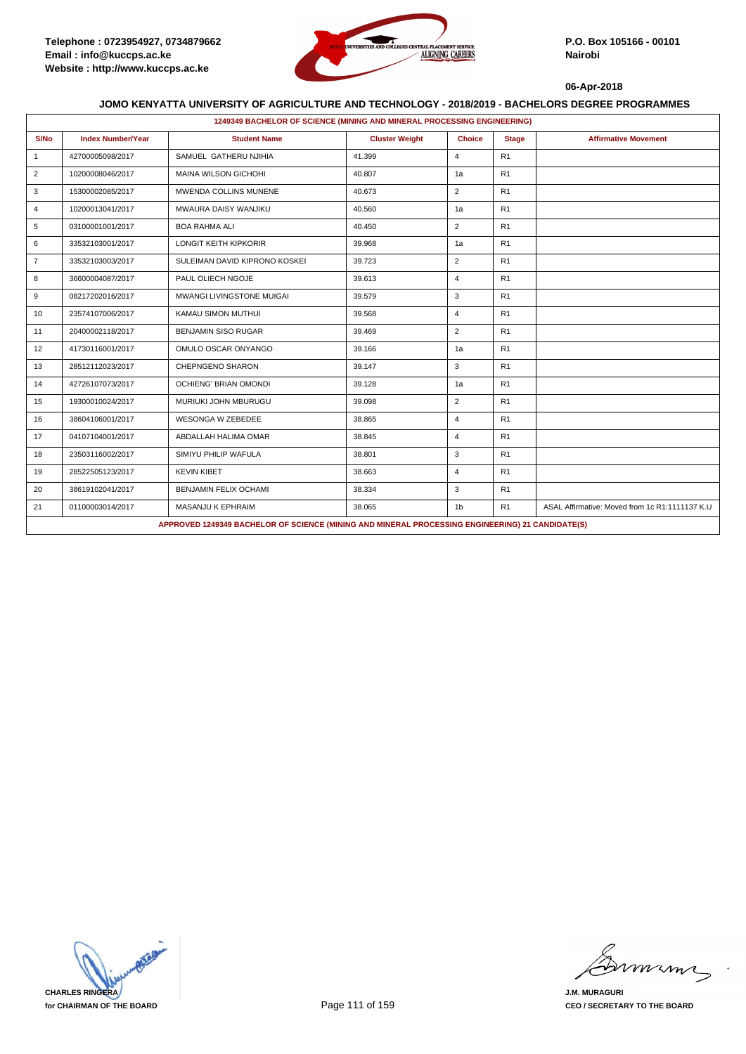

| 1249349 BACHELOR OF SCIENCE (MINING AND MINERAL PROCESSING ENGINEERING) |                          |                                                                                                  |                       |                |              |                                                |  |  |
|-------------------------------------------------------------------------|--------------------------|--------------------------------------------------------------------------------------------------|-----------------------|----------------|--------------|------------------------------------------------|--|--|
| S/No                                                                    | <b>Index Number/Year</b> | <b>Student Name</b>                                                                              | <b>Cluster Weight</b> | <b>Choice</b>  | <b>Stage</b> | <b>Affirmative Movement</b>                    |  |  |
| $\mathbf{1}$                                                            | 42700005098/2017         | SAMUEL GATHERU NJIHIA                                                                            | 41.399                | $\overline{4}$ | R1           |                                                |  |  |
| $\overline{2}$                                                          | 10200008046/2017         | <b>MAINA WILSON GICHOHI</b>                                                                      | 40.807                | 1a             | R1           |                                                |  |  |
| 3                                                                       | 15300002085/2017         | MWENDA COLLINS MUNENE                                                                            | 40.673                | $\overline{2}$ | R1           |                                                |  |  |
| $\overline{4}$                                                          | 10200013041/2017         | MWAURA DAISY WANJIKU                                                                             | 40.560                | 1a             | R1           |                                                |  |  |
| 5                                                                       | 03100001001/2017         | <b>BOA RAHMA ALI</b>                                                                             | 40.450                | 2              | R1           |                                                |  |  |
| 6                                                                       | 33532103001/2017         | <b>LONGIT KEITH KIPKORIR</b>                                                                     | 39.968                | 1a             | R1           |                                                |  |  |
| $\overline{7}$                                                          | 33532103003/2017         | SULEIMAN DAVID KIPRONO KOSKEI                                                                    | 39.723                | 2              | R1           |                                                |  |  |
| 8                                                                       | 36600004087/2017         | PAUL OLIECH NGOJE                                                                                | 39.613                | $\overline{4}$ | R1           |                                                |  |  |
| 9                                                                       | 08217202016/2017         | <b>MWANGI LIVINGSTONE MUIGAI</b>                                                                 | 39.579                | 3              | R1           |                                                |  |  |
| 10                                                                      | 23574107006/2017         | KAMAU SIMON MUTHUI                                                                               | 39.568                | $\overline{4}$ | R1           |                                                |  |  |
| 11                                                                      | 20400002118/2017         | <b>BENJAMIN SISO RUGAR</b>                                                                       | 39.469                | 2              | R1           |                                                |  |  |
| 12                                                                      | 41730116001/2017         | OMULO OSCAR ONYANGO                                                                              | 39.166                | 1a             | R1           |                                                |  |  |
| 13                                                                      | 28512112023/2017         | CHEPNGENO SHARON                                                                                 | 39.147                | 3              | R1           |                                                |  |  |
| 14                                                                      | 42726107073/2017         | <b>OCHIENG' BRIAN OMONDI</b>                                                                     | 39.128                | 1a             | R1           |                                                |  |  |
| 15                                                                      | 19300010024/2017         | MURIUKI JOHN MBURUGU                                                                             | 39.098                | $\overline{2}$ | R1           |                                                |  |  |
| 16                                                                      | 38604106001/2017         | <b>WESONGA W ZEBEDEE</b>                                                                         | 38.865                | 4              | R1           |                                                |  |  |
| 17                                                                      | 04107104001/2017         | ABDALLAH HALIMA OMAR                                                                             | 38.845                | $\overline{4}$ | R1           |                                                |  |  |
| 18                                                                      | 23503116002/2017         | SIMIYU PHILIP WAFULA                                                                             | 38.801                | 3              | R1           |                                                |  |  |
| 19                                                                      | 28522505123/2017         | <b>KEVIN KIBET</b>                                                                               | 38.663                | $\overline{4}$ | R1           |                                                |  |  |
| 20                                                                      | 38619102041/2017         | BENJAMIN FELIX OCHAMI                                                                            | 38.334                | 3              | R1           |                                                |  |  |
| 21                                                                      | 01100003014/2017         | MASANJU K EPHRAIM                                                                                | 38.065                | 1 <sub>b</sub> | R1           | ASAL Affirmative: Moved from 1c R1:1111137 K.U |  |  |
|                                                                         |                          | APPROVED 1249349 BACHELOR OF SCIENCE (MINING AND MINERAL PROCESSING ENGINEERING) 21 CANDIDATE(S) |                       |                |              |                                                |  |  |



mmmn

**J.M. MURAGURI CEO / SECRETARY TO THE BOARD**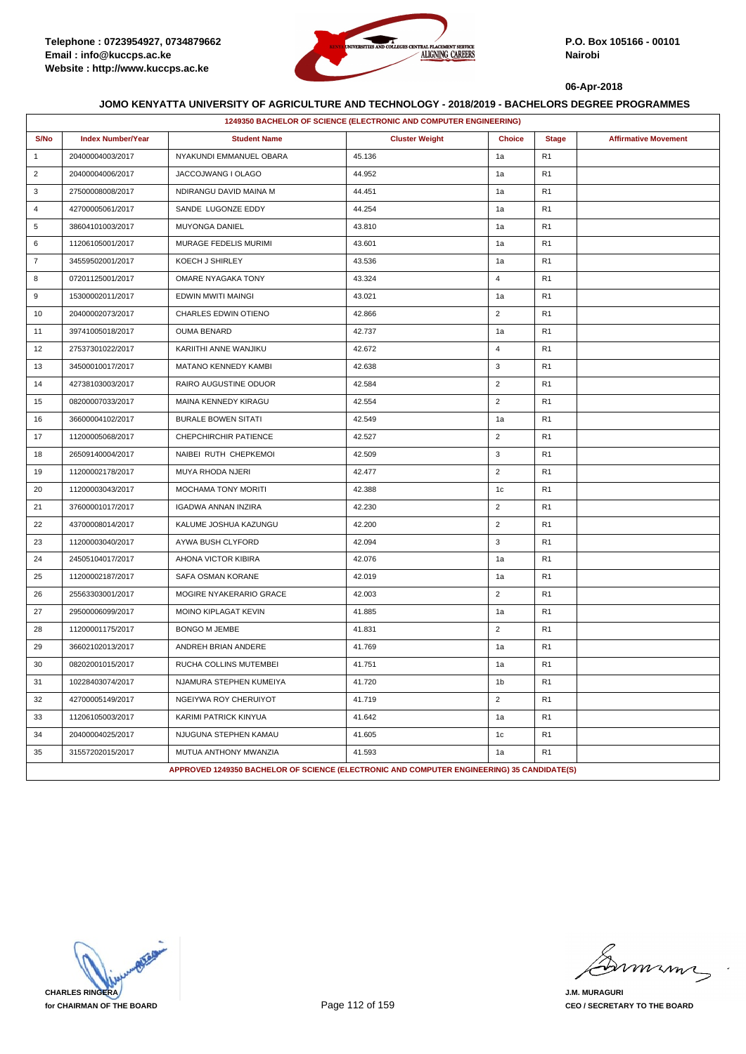

|                | 1249350 BACHELOR OF SCIENCE (ELECTRONIC AND COMPUTER ENGINEERING) |                                                                                            |                       |                |                |                             |  |  |
|----------------|-------------------------------------------------------------------|--------------------------------------------------------------------------------------------|-----------------------|----------------|----------------|-----------------------------|--|--|
| S/No           | <b>Index Number/Year</b>                                          | <b>Student Name</b>                                                                        | <b>Cluster Weight</b> | <b>Choice</b>  | <b>Stage</b>   | <b>Affirmative Movement</b> |  |  |
| $\mathbf{1}$   | 20400004003/2017                                                  | NYAKUNDI EMMANUEL OBARA                                                                    | 45.136                | 1a             | R <sub>1</sub> |                             |  |  |
| $\overline{2}$ | 20400004006/2017                                                  | JACCOJWANG I OLAGO                                                                         | 44.952                | 1a             | R <sub>1</sub> |                             |  |  |
| 3              | 27500008008/2017                                                  | NDIRANGU DAVID MAINA M                                                                     | 44.451                | 1a             | R <sub>1</sub> |                             |  |  |
| $\overline{4}$ | 42700005061/2017                                                  | SANDE LUGONZE EDDY                                                                         | 44.254                | 1a             | R <sub>1</sub> |                             |  |  |
| 5              | 38604101003/2017                                                  | <b>MUYONGA DANIEL</b>                                                                      | 43.810                | 1a             | R <sub>1</sub> |                             |  |  |
| 6              | 11206105001/2017                                                  | MURAGE FEDELIS MURIMI                                                                      | 43.601                | 1a             | R <sub>1</sub> |                             |  |  |
| $\overline{7}$ | 34559502001/2017                                                  | KOECH J SHIRLEY                                                                            | 43.536                | 1a             | R <sub>1</sub> |                             |  |  |
| 8              | 07201125001/2017                                                  | OMARE NYAGAKA TONY                                                                         | 43.324                | $\overline{4}$ | R <sub>1</sub> |                             |  |  |
| 9              | 15300002011/2017                                                  | EDWIN MWITI MAINGI                                                                         | 43.021                | 1a             | R <sub>1</sub> |                             |  |  |
| 10             | 20400002073/2017                                                  | CHARLES EDWIN OTIENO                                                                       | 42.866                | $\overline{2}$ | R <sub>1</sub> |                             |  |  |
| 11             | 39741005018/2017                                                  | <b>OUMA BENARD</b>                                                                         | 42.737                | 1a             | R <sub>1</sub> |                             |  |  |
| 12             | 27537301022/2017                                                  | KARIITHI ANNE WANJIKU                                                                      | 42.672                | $\overline{4}$ | R <sub>1</sub> |                             |  |  |
| 13             | 34500010017/2017                                                  | MATANO KENNEDY KAMBI                                                                       | 42.638                | 3              | R <sub>1</sub> |                             |  |  |
| 14             | 42738103003/2017                                                  | RAIRO AUGUSTINE ODUOR                                                                      | 42.584                | $\overline{2}$ | R <sub>1</sub> |                             |  |  |
| 15             | 08200007033/2017                                                  | MAINA KENNEDY KIRAGU                                                                       | 42.554                | $\overline{2}$ | R <sub>1</sub> |                             |  |  |
| 16             | 36600004102/2017                                                  | <b>BURALE BOWEN SITATI</b>                                                                 | 42.549                | 1a             | R <sub>1</sub> |                             |  |  |
| 17             | 11200005068/2017                                                  | CHEPCHIRCHIR PATIENCE                                                                      | 42.527                | $\overline{2}$ | R <sub>1</sub> |                             |  |  |
| 18             | 26509140004/2017                                                  | NAIBEI RUTH CHEPKEMOI                                                                      | 42.509                | 3              | R <sub>1</sub> |                             |  |  |
| 19             | 11200002178/2017                                                  | MUYA RHODA NJERI                                                                           | 42.477                | $\overline{2}$ | R <sub>1</sub> |                             |  |  |
| 20             | 11200003043/2017                                                  | <b>MOCHAMA TONY MORITI</b>                                                                 | 42.388                | 1 <sub>c</sub> | R <sub>1</sub> |                             |  |  |
| 21             | 37600001017/2017                                                  | IGADWA ANNAN INZIRA                                                                        | 42.230                | $\overline{2}$ | R <sub>1</sub> |                             |  |  |
| 22             | 43700008014/2017                                                  | KALUME JOSHUA KAZUNGU                                                                      | 42.200                | $\overline{2}$ | R <sub>1</sub> |                             |  |  |
| 23             | 11200003040/2017                                                  | AYWA BUSH CLYFORD                                                                          | 42.094                | 3              | R <sub>1</sub> |                             |  |  |
| 24             | 24505104017/2017                                                  | AHONA VICTOR KIBIRA                                                                        | 42.076                | 1a             | R <sub>1</sub> |                             |  |  |
| 25             | 11200002187/2017                                                  | SAFA OSMAN KORANE                                                                          | 42.019                | 1a             | R <sub>1</sub> |                             |  |  |
| 26             | 25563303001/2017                                                  | MOGIRE NYAKERARIO GRACE                                                                    | 42.003                | $\overline{2}$ | R <sub>1</sub> |                             |  |  |
| 27             | 29500006099/2017                                                  | MOINO KIPLAGAT KEVIN                                                                       | 41.885                | 1a             | R <sub>1</sub> |                             |  |  |
| 28             | 11200001175/2017                                                  | <b>BONGO M JEMBE</b>                                                                       | 41.831                | $\overline{2}$ | R <sub>1</sub> |                             |  |  |
| 29             | 36602102013/2017                                                  | ANDREH BRIAN ANDERE                                                                        | 41.769                | 1a             | R <sub>1</sub> |                             |  |  |
| 30             | 08202001015/2017                                                  | RUCHA COLLINS MUTEMBEI                                                                     | 41.751                | 1a             | R <sub>1</sub> |                             |  |  |
| 31             | 10228403074/2017                                                  | NJAMURA STEPHEN KUMEIYA                                                                    | 41.720                | 1 <sub>b</sub> | R <sub>1</sub> |                             |  |  |
| 32             | 42700005149/2017                                                  | NGEIYWA ROY CHERUIYOT                                                                      | 41.719                | $\overline{2}$ | R <sub>1</sub> |                             |  |  |
| 33             | 11206105003/2017                                                  | KARIMI PATRICK KINYUA                                                                      | 41.642                | 1a             | R <sub>1</sub> |                             |  |  |
| 34             | 20400004025/2017                                                  | NJUGUNA STEPHEN KAMAU                                                                      | 41.605                | 1c             | R <sub>1</sub> |                             |  |  |
| 35             | 31557202015/2017                                                  | MUTUA ANTHONY MWANZIA                                                                      | 41.593                | 1a             | R <sub>1</sub> |                             |  |  |
|                |                                                                   | APPROVED 1249350 BACHELOR OF SCIENCE (ELECTRONIC AND COMPUTER ENGINEERING) 35 CANDIDATE(S) |                       |                |                |                             |  |  |

**CHARLES RINGERA for CHAIRMAN OF THE BOARD**

miming

**J.M. MURAGURI CEO / SECRETARY TO THE BOARD**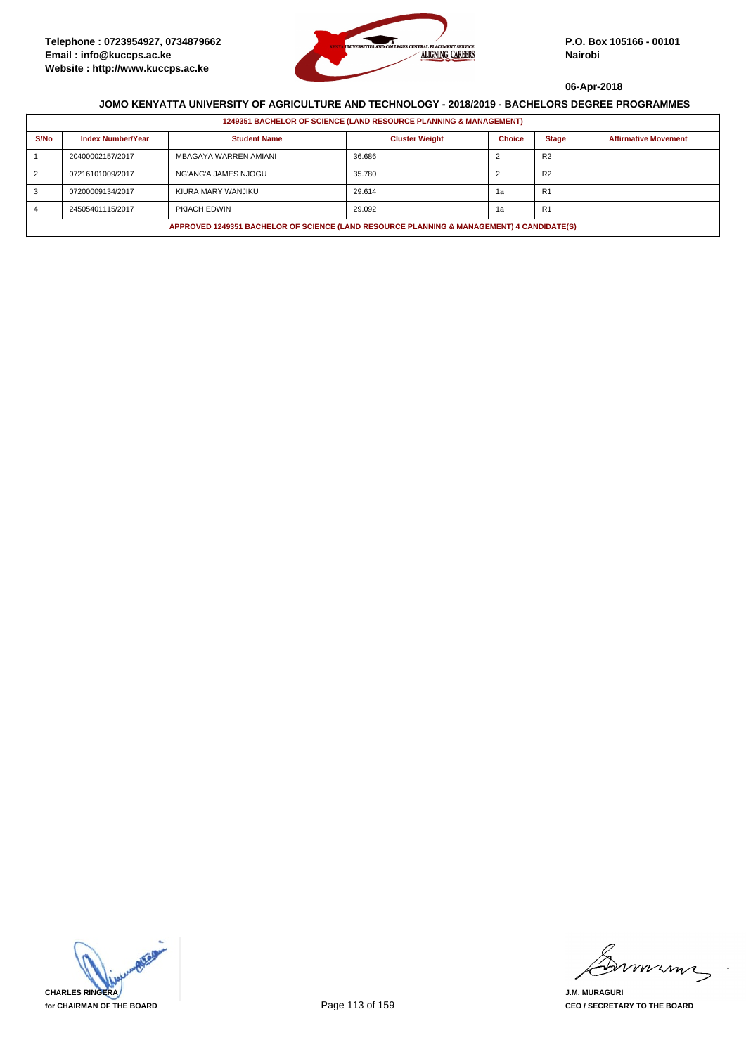

|                                                                                           | 1249351 BACHELOR OF SCIENCE (LAND RESOURCE PLANNING & MANAGEMENT) |                       |                       |               |                |                             |  |  |  |
|-------------------------------------------------------------------------------------------|-------------------------------------------------------------------|-----------------------|-----------------------|---------------|----------------|-----------------------------|--|--|--|
| S/No                                                                                      | <b>Index Number/Year</b>                                          | <b>Student Name</b>   | <b>Cluster Weight</b> | <b>Choice</b> | <b>Stage</b>   | <b>Affirmative Movement</b> |  |  |  |
|                                                                                           | 20400002157/2017                                                  | MBAGAYA WARREN AMIANI | 36.686                |               | R <sub>2</sub> |                             |  |  |  |
|                                                                                           | 07216101009/2017                                                  | NG'ANG'A JAMES NJOGU  | 35.780                |               | R <sub>2</sub> |                             |  |  |  |
|                                                                                           | 07200009134/2017                                                  | KIURA MARY WANJIKU    | 29.614                | 1а            | R1             |                             |  |  |  |
|                                                                                           | 24505401115/2017                                                  | PKIACH EDWIN          | 29.092                | 1a            | <b>R1</b>      |                             |  |  |  |
| APPROVED 1249351 BACHELOR OF SCIENCE (LAND RESOURCE PLANNING & MANAGEMENT) 4 CANDIDATE(S) |                                                                   |                       |                       |               |                |                             |  |  |  |



murma

**J.M. MURAGURI CEO / SECRETARY TO THE BOARD**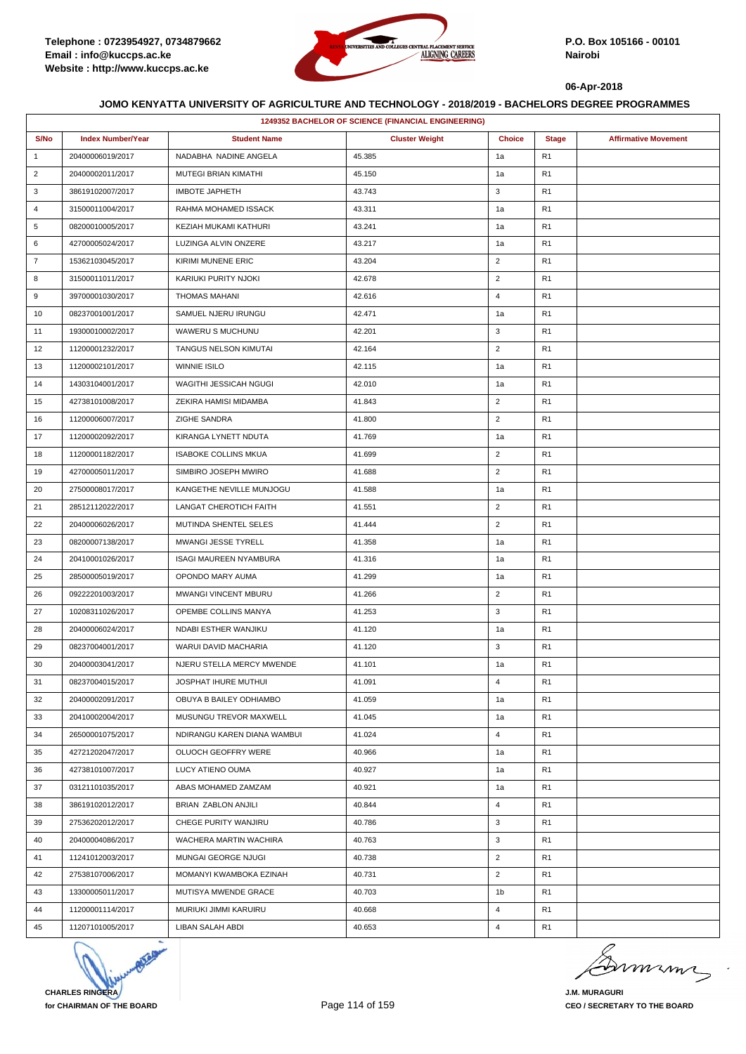

| 1249352 BACHELOR OF SCIENCE (FINANCIAL ENGINEERING) |                          |                               |                       |                |                |                             |  |
|-----------------------------------------------------|--------------------------|-------------------------------|-----------------------|----------------|----------------|-----------------------------|--|
| S/No                                                | <b>Index Number/Year</b> | <b>Student Name</b>           | <b>Cluster Weight</b> | <b>Choice</b>  | <b>Stage</b>   | <b>Affirmative Movement</b> |  |
| $\mathbf{1}$                                        | 20400006019/2017         | NADABHA NADINE ANGELA         | 45.385                | 1a             | R <sub>1</sub> |                             |  |
| $\overline{2}$                                      | 20400002011/2017         | MUTEGI BRIAN KIMATHI          | 45.150                | 1a             | R <sub>1</sub> |                             |  |
| 3                                                   | 38619102007/2017         | <b>IMBOTE JAPHETH</b>         | 43.743                | 3              | R <sub>1</sub> |                             |  |
| 4                                                   | 31500011004/2017         | RAHMA MOHAMED ISSACK          | 43.311                | 1a             | R <sub>1</sub> |                             |  |
| 5                                                   | 08200010005/2017         | KEZIAH MUKAMI KATHURI         | 43.241                | 1a             | R <sub>1</sub> |                             |  |
| 6                                                   | 42700005024/2017         | LUZINGA ALVIN ONZERE          | 43.217                | 1a             | R <sub>1</sub> |                             |  |
| $\overline{7}$                                      | 15362103045/2017         | KIRIMI MUNENE ERIC            | 43.204                | $\overline{2}$ | R <sub>1</sub> |                             |  |
| 8                                                   | 31500011011/2017         | KARIUKI PURITY NJOKI          | 42.678                | $\overline{2}$ | R <sub>1</sub> |                             |  |
| 9                                                   | 39700001030/2017         | <b>THOMAS MAHANI</b>          | 42.616                | $\overline{4}$ | R <sub>1</sub> |                             |  |
| 10                                                  | 08237001001/2017         | SAMUEL NJERU IRUNGU           | 42.471                | 1a             | R <sub>1</sub> |                             |  |
| 11                                                  | 19300010002/2017         | WAWERU S MUCHUNU              | 42.201                | 3              | R <sub>1</sub> |                             |  |
| 12                                                  | 11200001232/2017         | TANGUS NELSON KIMUTAI         | 42.164                | $\overline{2}$ | R <sub>1</sub> |                             |  |
| 13                                                  | 11200002101/2017         | <b>WINNIE ISILO</b>           | 42.115                | 1a             | R <sub>1</sub> |                             |  |
| 14                                                  | 14303104001/2017         | WAGITHI JESSICAH NGUGI        | 42.010                | 1a             | R <sub>1</sub> |                             |  |
| 15                                                  | 42738101008/2017         | ZEKIRA HAMISI MIDAMBA         | 41.843                | $\overline{2}$ | R <sub>1</sub> |                             |  |
| 16                                                  | 11200006007/2017         | ZIGHE SANDRA                  | 41.800                | $\overline{2}$ | R <sub>1</sub> |                             |  |
| 17                                                  | 11200002092/2017         | KIRANGA LYNETT NDUTA          | 41.769                | 1a             | R <sub>1</sub> |                             |  |
| 18                                                  | 11200001182/2017         | <b>ISABOKE COLLINS MKUA</b>   | 41.699                | $\overline{2}$ | R <sub>1</sub> |                             |  |
| 19                                                  | 42700005011/2017         | SIMBIRO JOSEPH MWIRO          | 41.688                | $\overline{2}$ | R <sub>1</sub> |                             |  |
| 20                                                  | 27500008017/2017         | KANGETHE NEVILLE MUNJOGU      | 41.588                | 1a             | R <sub>1</sub> |                             |  |
| 21                                                  | 28512112022/2017         | LANGAT CHEROTICH FAITH        | 41.551                | $\overline{2}$ | R <sub>1</sub> |                             |  |
| 22                                                  | 20400006026/2017         | MUTINDA SHENTEL SELES         | 41.444                | $\overline{2}$ | R <sub>1</sub> |                             |  |
| 23                                                  | 08200007138/2017         | MWANGI JESSE TYRELL           | 41.358                | 1a             | R <sub>1</sub> |                             |  |
| 24                                                  | 20410001026/2017         | <b>ISAGI MAUREEN NYAMBURA</b> | 41.316                | 1a             | R <sub>1</sub> |                             |  |
| 25                                                  | 28500005019/2017         | OPONDO MARY AUMA              | 41.299                | 1a             | R <sub>1</sub> |                             |  |
| 26                                                  | 09222201003/2017         | MWANGI VINCENT MBURU          | 41.266                | $\overline{2}$ | R <sub>1</sub> |                             |  |
| 27                                                  | 10208311026/2017         | OPEMBE COLLINS MANYA          | 41.253                | 3              | R <sub>1</sub> |                             |  |
| 28                                                  | 20400006024/2017         | NDABI ESTHER WANJIKU          | 41.120                | 1a             | R <sub>1</sub> |                             |  |
| 29                                                  | 08237004001/2017         | <b>WARUI DAVID MACHARIA</b>   | 41.120                | 3              | R <sub>1</sub> |                             |  |
| 30                                                  | 20400003041/2017         | NJERU STELLA MERCY MWENDE     | 41.101                | 1a             | R <sub>1</sub> |                             |  |
| 31                                                  | 08237004015/2017         | JOSPHAT IHURE MUTHUI          | 41.091                | $\overline{4}$ | R <sub>1</sub> |                             |  |
| 32                                                  | 20400002091/2017         | OBUYA B BAILEY ODHIAMBO       | 41.059                | 1a             | R <sub>1</sub> |                             |  |
| 33                                                  | 20410002004/2017         | MUSUNGU TREVOR MAXWELL        | 41.045                | 1a             | R <sub>1</sub> |                             |  |
| 34                                                  | 26500001075/2017         | NDIRANGU KAREN DIANA WAMBUI   | 41.024                | $\overline{4}$ | R <sub>1</sub> |                             |  |
| 35                                                  | 42721202047/2017         | OLUOCH GEOFFRY WERE           | 40.966                | 1a             | R <sub>1</sub> |                             |  |
| 36                                                  | 42738101007/2017         | LUCY ATIENO OUMA              | 40.927                | 1a             | R <sub>1</sub> |                             |  |
| 37                                                  | 03121101035/2017         | ABAS MOHAMED ZAMZAM           | 40.921                | 1a             | R <sub>1</sub> |                             |  |
| 38                                                  | 38619102012/2017         | BRIAN ZABLON ANJILI           | 40.844                | $\overline{4}$ | R <sub>1</sub> |                             |  |
| 39                                                  | 27536202012/2017         | CHEGE PURITY WANJIRU          | 40.786                | 3              | R <sub>1</sub> |                             |  |
| 40                                                  | 20400004086/2017         | WACHERA MARTIN WACHIRA        | 40.763                | 3              | R <sub>1</sub> |                             |  |
| 41                                                  | 11241012003/2017         | MUNGAI GEORGE NJUGI           | 40.738                | $\overline{2}$ | R <sub>1</sub> |                             |  |
| 42                                                  | 27538107006/2017         | MOMANYI KWAMBOKA EZINAH       | 40.731                | $\overline{2}$ | R <sub>1</sub> |                             |  |
| 43                                                  | 13300005011/2017         | MUTISYA MWENDE GRACE          | 40.703                | 1b             | R <sub>1</sub> |                             |  |
| 44                                                  | 11200001114/2017         | MURIUKI JIMMI KARUIRU         | 40.668                | 4              | R <sub>1</sub> |                             |  |
| 45                                                  | 11207101005/2017         | LIBAN SALAH ABDI              | 40.653                | $\overline{4}$ | R <sub>1</sub> |                             |  |



minn

**J.M. MURAGURI CEO / SECRETARY TO THE BOARD**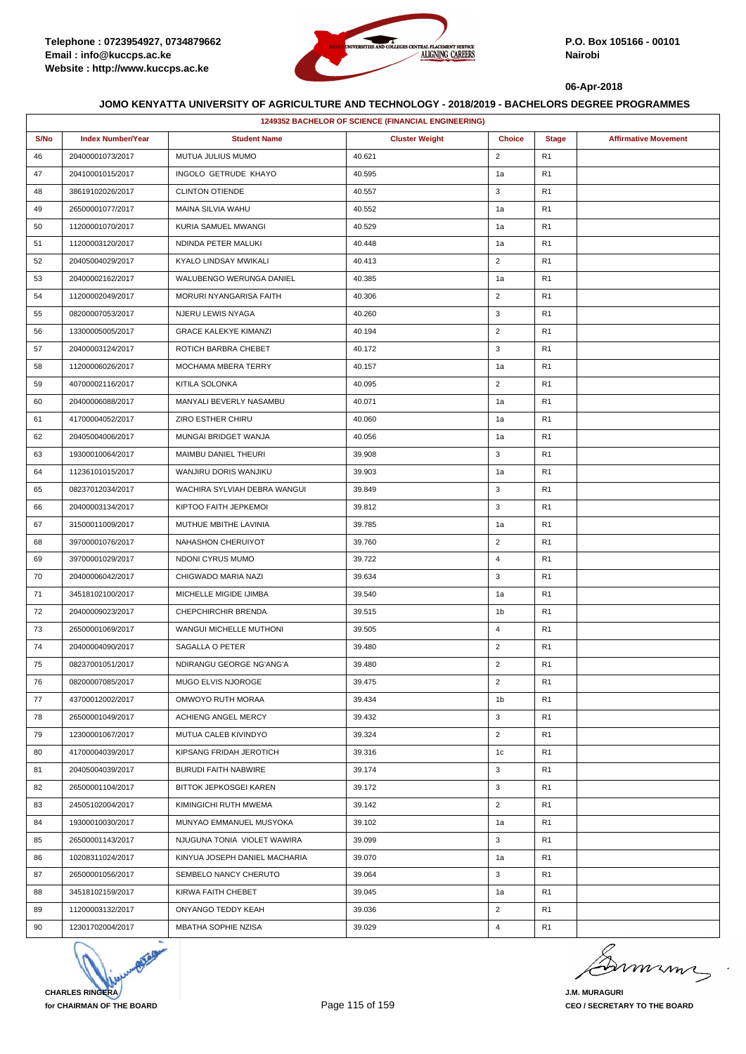

|      | 1249352 BACHELOR OF SCIENCE (FINANCIAL ENGINEERING) |                               |                       |                |                |                             |  |  |
|------|-----------------------------------------------------|-------------------------------|-----------------------|----------------|----------------|-----------------------------|--|--|
| S/No | <b>Index Number/Year</b>                            | <b>Student Name</b>           | <b>Cluster Weight</b> | <b>Choice</b>  | <b>Stage</b>   | <b>Affirmative Movement</b> |  |  |
| 46   | 20400001073/2017                                    | MUTUA JULIUS MUMO             | 40.621                | $\overline{2}$ | R <sub>1</sub> |                             |  |  |
| 47   | 20410001015/2017                                    | INGOLO GETRUDE KHAYO          | 40.595                | 1a             | R <sub>1</sub> |                             |  |  |
| 48   | 38619102026/2017                                    | <b>CLINTON OTIENDE</b>        | 40.557                | 3              | R <sub>1</sub> |                             |  |  |
| 49   | 26500001077/2017                                    | MAINA SILVIA WAHU             | 40.552                | 1a             | R <sub>1</sub> |                             |  |  |
| 50   | 11200001070/2017                                    | KURIA SAMUEL MWANGI           | 40.529                | 1a             | R <sub>1</sub> |                             |  |  |
| 51   | 11200003120/2017                                    | NDINDA PETER MALUKI           | 40.448                | 1a             | R <sub>1</sub> |                             |  |  |
| 52   | 20405004029/2017                                    | KYALO LINDSAY MWIKALI         | 40.413                | $\overline{2}$ | R <sub>1</sub> |                             |  |  |
| 53   | 20400002162/2017                                    | WALUBENGO WERUNGA DANIEL      | 40.385                | 1a             | R <sub>1</sub> |                             |  |  |
| 54   | 11200002049/2017                                    | MORURI NYANGARISA FAITH       | 40.306                | $\overline{2}$ | R <sub>1</sub> |                             |  |  |
| 55   | 08200007053/2017                                    | NJERU LEWIS NYAGA             | 40.260                | 3              | R <sub>1</sub> |                             |  |  |
| 56   | 13300005005/2017                                    | <b>GRACE KALEKYE KIMANZI</b>  | 40.194                | $\overline{2}$ | R <sub>1</sub> |                             |  |  |
| 57   | 20400003124/2017                                    | ROTICH BARBRA CHEBET          | 40.172                | 3              | R <sub>1</sub> |                             |  |  |
| 58   | 11200006026/2017                                    | MOCHAMA MBERA TERRY           | 40.157                | 1a             | R <sub>1</sub> |                             |  |  |
| 59   | 40700002116/2017                                    | KITILA SOLONKA                | 40.095                | $\overline{2}$ | R <sub>1</sub> |                             |  |  |
| 60   | 20400006088/2017                                    | MANYALI BEVERLY NASAMBU       | 40.071                | 1a             | R <sub>1</sub> |                             |  |  |
| 61   | 41700004052/2017                                    | ZIRO ESTHER CHIRU             | 40.060                | 1a             | R <sub>1</sub> |                             |  |  |
| 62   | 20405004006/2017                                    | MUNGAI BRIDGET WANJA          | 40.056                | 1a             | R <sub>1</sub> |                             |  |  |
| 63   | 19300010064/2017                                    | MAIMBU DANIEL THEURI          | 39.908                | 3              | R <sub>1</sub> |                             |  |  |
| 64   | 11236101015/2017                                    | WANJIRU DORIS WANJIKU         | 39.903                | 1a             | R <sub>1</sub> |                             |  |  |
| 65   | 08237012034/2017                                    | WACHIRA SYLVIAH DEBRA WANGUI  | 39.849                | 3              | R <sub>1</sub> |                             |  |  |
| 66   | 20400003134/2017                                    | KIPTOO FAITH JEPKEMOI         | 39.812                | 3              | R <sub>1</sub> |                             |  |  |
| 67   | 31500011009/2017                                    | MUTHUE MBITHE LAVINIA         | 39.785                | 1a             | R <sub>1</sub> |                             |  |  |
| 68   | 39700001076/2017                                    | NAHASHON CHERUIYOT            | 39.760                | $\overline{2}$ | R <sub>1</sub> |                             |  |  |
| 69   | 39700001029/2017                                    | NDONI CYRUS MUMO              | 39.722                | $\overline{4}$ | R <sub>1</sub> |                             |  |  |
| 70   | 20400006042/2017                                    | CHIGWADO MARIA NAZI           | 39.634                | 3              | R <sub>1</sub> |                             |  |  |
| 71   | 34518102100/2017                                    | MICHELLE MIGIDE IJIMBA        | 39.540                | 1a             | R <sub>1</sub> |                             |  |  |
| 72   | 20400009023/2017                                    | CHEPCHIRCHIR BRENDA           | 39.515                | 1 <sub>b</sub> | R <sub>1</sub> |                             |  |  |
| 73   | 26500001069/2017                                    | WANGUI MICHELLE MUTHONI       | 39.505                | $\overline{4}$ | R <sub>1</sub> |                             |  |  |
| 74   | 20400004090/2017                                    | SAGALLA O PETER               | 39.480                | $\overline{2}$ | R <sub>1</sub> |                             |  |  |
| 75   | 08237001051/2017                                    | NDIRANGU GEORGE NG'ANG'A      | 39.480                | $\overline{2}$ | R <sub>1</sub> |                             |  |  |
| 76   | 08200007085/2017                                    | MUGO ELVIS NJOROGE            | 39.475                | $\overline{2}$ | R <sub>1</sub> |                             |  |  |
| 77   | 43700012002/2017                                    | OMWOYO RUTH MORAA             | 39.434                | 1 <sub>b</sub> | R <sub>1</sub> |                             |  |  |
| 78   | 26500001049/2017                                    | ACHIENG ANGEL MERCY           | 39.432                | 3              | R <sub>1</sub> |                             |  |  |
| 79   | 12300001067/2017                                    | MUTUA CALEB KIVINDYO          | 39.324                | $\overline{2}$ | R <sub>1</sub> |                             |  |  |
| 80   | 41700004039/2017                                    | KIPSANG FRIDAH JEROTICH       | 39.316                | 1c             | R <sub>1</sub> |                             |  |  |
| 81   | 20405004039/2017                                    | <b>BURUDI FAITH NABWIRE</b>   | 39.174                | 3              | R <sub>1</sub> |                             |  |  |
| 82   | 26500001104/2017                                    | <b>BITTOK JEPKOSGEI KAREN</b> | 39.172                | 3              | R <sub>1</sub> |                             |  |  |
| 83   | 24505102004/2017                                    | KIMINGICHI RUTH MWEMA         | 39.142                | $\overline{2}$ | R <sub>1</sub> |                             |  |  |
| 84   | 19300010030/2017                                    | MUNYAO EMMANUEL MUSYOKA       | 39.102                | 1a             | R <sub>1</sub> |                             |  |  |
| 85   | 26500001143/2017                                    | NJUGUNA TONIA VIOLET WAWIRA   | 39.099                | 3              | R <sub>1</sub> |                             |  |  |
| 86   | 10208311024/2017                                    | KINYUA JOSEPH DANIEL MACHARIA | 39.070                | 1a             | R <sub>1</sub> |                             |  |  |
| 87   | 26500001056/2017                                    | SEMBELO NANCY CHERUTO         | 39.064                | 3              | R <sub>1</sub> |                             |  |  |
| 88   | 34518102159/2017                                    | KIRWA FAITH CHEBET            | 39.045                | 1a             | R <sub>1</sub> |                             |  |  |
| 89   | 11200003132/2017                                    | ONYANGO TEDDY KEAH            | 39.036                | $\overline{2}$ | R <sub>1</sub> |                             |  |  |
| 90   | 12301702004/2017                                    | MBATHA SOPHIE NZISA           | 39.029                | $\overline{4}$ | R <sub>1</sub> |                             |  |  |



murma

**J.M. MURAGURI CEO / SECRETARY TO THE BOARD**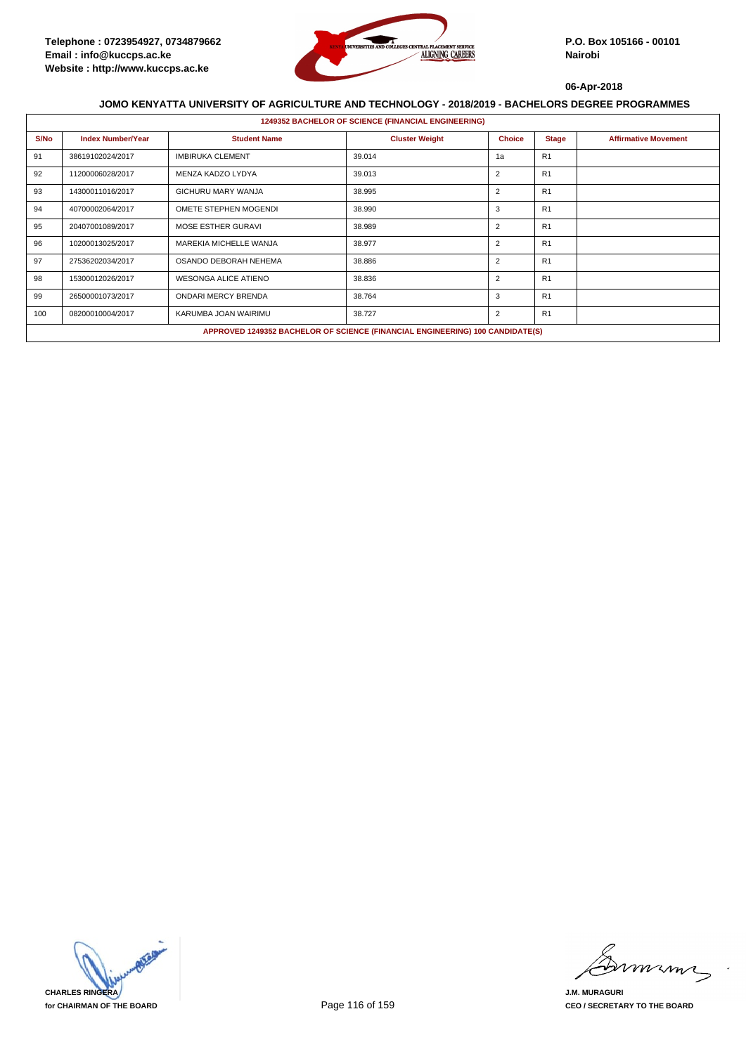

|      | <b>1249352 BACHELOR OF SCIENCE (FINANCIAL ENGINEERING)</b> |                             |                                                                               |                |                |                             |  |  |  |
|------|------------------------------------------------------------|-----------------------------|-------------------------------------------------------------------------------|----------------|----------------|-----------------------------|--|--|--|
| S/No | <b>Index Number/Year</b>                                   | <b>Student Name</b>         | <b>Cluster Weight</b>                                                         | <b>Choice</b>  | <b>Stage</b>   | <b>Affirmative Movement</b> |  |  |  |
| 91   | 38619102024/2017                                           | <b>IMBIRUKA CLEMENT</b>     | 39.014                                                                        | 1a             | R <sub>1</sub> |                             |  |  |  |
| 92   | 11200006028/2017                                           | MENZA KADZO LYDYA           | 39.013                                                                        | $\overline{2}$ | R <sub>1</sub> |                             |  |  |  |
| 93   | 14300011016/2017                                           | GICHURU MARY WANJA          | 38.995                                                                        | $\overline{2}$ | R <sub>1</sub> |                             |  |  |  |
| 94   | 40700002064/2017                                           | OMETE STEPHEN MOGENDI       | 38.990                                                                        | 3              | R <sub>1</sub> |                             |  |  |  |
| 95   | 20407001089/2017                                           | MOSE ESTHER GURAVI          | 38.989                                                                        | $\overline{2}$ | R <sub>1</sub> |                             |  |  |  |
| 96   | 10200013025/2017                                           | MAREKIA MICHELLE WANJA      | 38.977                                                                        | $\overline{2}$ | R1             |                             |  |  |  |
| 97   | 27536202034/2017                                           | OSANDO DEBORAH NEHEMA       | 38.886                                                                        | $\overline{2}$ | R1             |                             |  |  |  |
| 98   | 15300012026/2017                                           | <b>WESONGA ALICE ATIENO</b> | 38.836                                                                        | 2              | R1             |                             |  |  |  |
| 99   | 26500001073/2017                                           | <b>ONDARI MERCY BRENDA</b>  | 38.764                                                                        | 3              | R1             |                             |  |  |  |
| 100  | 08200010004/2017                                           | KARUMBA JOAN WAIRIMU        | 38.727                                                                        | $\overline{2}$ | R1             |                             |  |  |  |
|      |                                                            |                             | APPROVED 1249352 BACHELOR OF SCIENCE (FINANCIAL ENGINEERING) 100 CANDIDATE(S) |                |                |                             |  |  |  |



mmmn

**J.M. MURAGURI CEO / SECRETARY TO THE BOARD**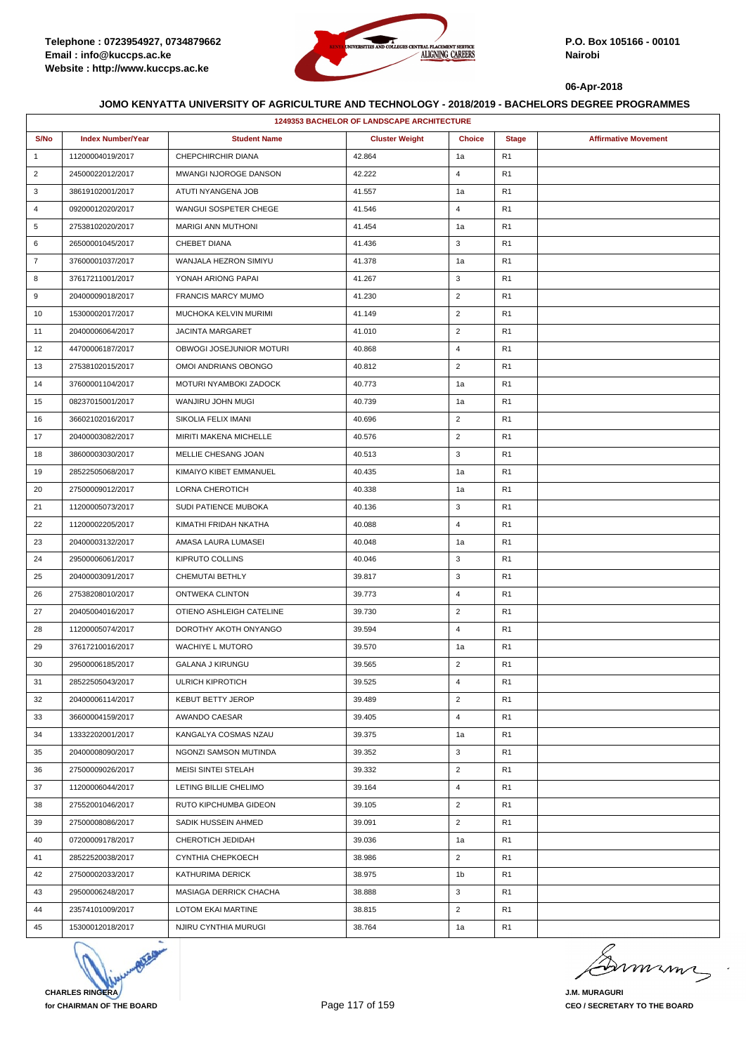

|                | <b>1249353 BACHELOR OF LANDSCAPE ARCHITECTURE</b> |                           |                       |                |                |                             |  |  |
|----------------|---------------------------------------------------|---------------------------|-----------------------|----------------|----------------|-----------------------------|--|--|
| S/No           | <b>Index Number/Year</b>                          | <b>Student Name</b>       | <b>Cluster Weight</b> | <b>Choice</b>  | <b>Stage</b>   | <b>Affirmative Movement</b> |  |  |
| $\mathbf{1}$   | 11200004019/2017                                  | CHEPCHIRCHIR DIANA        | 42.864                | 1a             | R <sub>1</sub> |                             |  |  |
| $\overline{2}$ | 24500022012/2017                                  | MWANGI NJOROGE DANSON     | 42.222                | $\overline{4}$ | R <sub>1</sub> |                             |  |  |
| 3              | 38619102001/2017                                  | ATUTI NYANGENA JOB        | 41.557                | 1a             | R <sub>1</sub> |                             |  |  |
| 4              | 09200012020/2017                                  | WANGUI SOSPETER CHEGE     | 41.546                | 4              | R <sub>1</sub> |                             |  |  |
| 5              | 27538102020/2017                                  | <b>MARIGI ANN MUTHONI</b> | 41.454                | 1a             | R <sub>1</sub> |                             |  |  |
| 6              | 26500001045/2017                                  | CHEBET DIANA              | 41.436                | 3              | R <sub>1</sub> |                             |  |  |
| $\overline{7}$ | 37600001037/2017                                  | WANJALA HEZRON SIMIYU     | 41.378                | 1a             | R <sub>1</sub> |                             |  |  |
| 8              | 37617211001/2017                                  | YONAH ARIONG PAPAI        | 41.267                | 3              | R <sub>1</sub> |                             |  |  |
| 9              | 20400009018/2017                                  | <b>FRANCIS MARCY MUMO</b> | 41.230                | $\overline{2}$ | R <sub>1</sub> |                             |  |  |
| 10             | 15300002017/2017                                  | MUCHOKA KELVIN MURIMI     | 41.149                | $\overline{2}$ | R <sub>1</sub> |                             |  |  |
| 11             | 20400006064/2017                                  | <b>JACINTA MARGARET</b>   | 41.010                | $\overline{2}$ | R <sub>1</sub> |                             |  |  |
| 12             | 44700006187/2017                                  | OBWOGI JOSEJUNIOR MOTURI  | 40.868                | $\overline{4}$ | R <sub>1</sub> |                             |  |  |
| 13             | 27538102015/2017                                  | OMOI ANDRIANS OBONGO      | 40.812                | $\overline{2}$ | R <sub>1</sub> |                             |  |  |
| 14             | 37600001104/2017                                  | MOTURI NYAMBOKI ZADOCK    | 40.773                | 1a             | R <sub>1</sub> |                             |  |  |
| 15             | 08237015001/2017                                  | WANJIRU JOHN MUGI         | 40.739                | 1a             | R <sub>1</sub> |                             |  |  |
| 16             | 36602102016/2017                                  | SIKOLIA FELIX IMANI       | 40.696                | $\overline{2}$ | R <sub>1</sub> |                             |  |  |
| 17             | 20400003082/2017                                  | MIRITI MAKENA MICHELLE    | 40.576                | $\overline{2}$ | R <sub>1</sub> |                             |  |  |
| 18             | 38600003030/2017                                  | MELLIE CHESANG JOAN       | 40.513                | 3              | R <sub>1</sub> |                             |  |  |
| 19             | 28522505068/2017                                  | KIMAIYO KIBET EMMANUEL    | 40.435                | 1a             | R <sub>1</sub> |                             |  |  |
| 20             | 27500009012/2017                                  | LORNA CHEROTICH           | 40.338                | 1a             | R <sub>1</sub> |                             |  |  |
| 21             | 11200005073/2017                                  | SUDI PATIENCE MUBOKA      | 40.136                | 3              | R <sub>1</sub> |                             |  |  |
| 22             | 11200002205/2017                                  | KIMATHI FRIDAH NKATHA     | 40.088                | 4              | R <sub>1</sub> |                             |  |  |
| 23             | 20400003132/2017                                  | AMASA LAURA LUMASEI       | 40.048                | 1a             | R <sub>1</sub> |                             |  |  |
| 24             | 29500006061/2017                                  | KIPRUTO COLLINS           | 40.046                | 3              | R <sub>1</sub> |                             |  |  |
| 25             | 20400003091/2017                                  | CHEMUTAI BETHLY           | 39.817                | 3              | R <sub>1</sub> |                             |  |  |
| 26             | 27538208010/2017                                  | ONTWEKA CLINTON           | 39.773                | $\overline{4}$ | R1             |                             |  |  |
| 27             | 20405004016/2017                                  | OTIENO ASHLEIGH CATELINE  | 39.730                | $\overline{2}$ | R <sub>1</sub> |                             |  |  |
| 28             | 11200005074/2017                                  | DOROTHY AKOTH ONYANGO     | 39.594                | $\overline{4}$ | R <sub>1</sub> |                             |  |  |
| 29             | 37617210016/2017                                  | <b>WACHIYE L MUTORO</b>   | 39.570                | 1a             | R <sub>1</sub> |                             |  |  |
| 30             | 29500006185/2017                                  | <b>GALANA J KIRUNGU</b>   | 39.565                | $\overline{2}$ | R <sub>1</sub> |                             |  |  |
| 31             | 28522505043/2017                                  | ULRICH KIPROTICH          | 39.525                | 4              | R <sub>1</sub> |                             |  |  |
| 32             | 20400006114/2017                                  | <b>KEBUT BETTY JEROP</b>  | 39.489                | $\overline{2}$ | R <sub>1</sub> |                             |  |  |
| 33             | 36600004159/2017                                  | AWANDO CAESAR             | 39.405                | 4              | R <sub>1</sub> |                             |  |  |
| 34             | 13332202001/2017                                  | KANGALYA COSMAS NZAU      | 39.375                | 1a             | R <sub>1</sub> |                             |  |  |
| 35             | 20400008090/2017                                  | NGONZI SAMSON MUTINDA     | 39.352                | 3              | R1             |                             |  |  |
| 36             | 27500009026/2017                                  | MEISI SINTEI STELAH       | 39.332                | $\overline{2}$ | R <sub>1</sub> |                             |  |  |
| 37             | 11200006044/2017                                  | LETING BILLIE CHELIMO     | 39.164                | $\overline{4}$ | R <sub>1</sub> |                             |  |  |
| 38             | 27552001046/2017                                  | RUTO KIPCHUMBA GIDEON     | 39.105                | $\overline{2}$ | R <sub>1</sub> |                             |  |  |
| 39             | 27500008086/2017                                  | SADIK HUSSEIN AHMED       | 39.091                | $\overline{2}$ | R <sub>1</sub> |                             |  |  |
| 40             | 07200009178/2017                                  | CHEROTICH JEDIDAH         | 39.036                | 1a             | R <sub>1</sub> |                             |  |  |
| 41             | 28522520038/2017                                  | CYNTHIA CHEPKOECH         | 38.986                | $\overline{2}$ | R <sub>1</sub> |                             |  |  |
| 42             | 27500002033/2017                                  | KATHURIMA DERICK          | 38.975                | 1 <sub>b</sub> | R <sub>1</sub> |                             |  |  |
| 43             | 29500006248/2017                                  | MASIAGA DERRICK CHACHA    | 38.888                | 3              | R <sub>1</sub> |                             |  |  |
| 44             | 23574101009/2017                                  | <b>LOTOM EKAI MARTINE</b> | 38.815                | $\overline{2}$ | R <sub>1</sub> |                             |  |  |
| 45             | 15300012018/2017                                  | NJIRU CYNTHIA MURUGI      | 38.764                | 1a             | R <sub>1</sub> |                             |  |  |



murma

**J.M. MURAGURI CEO / SECRETARY TO THE BOARD**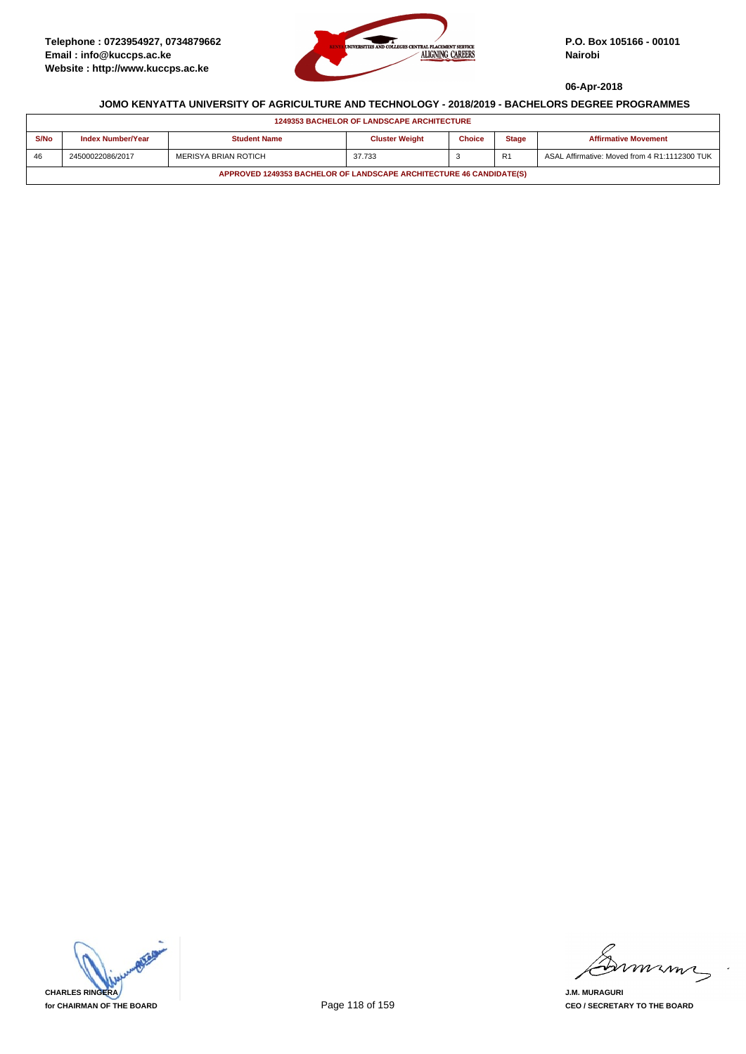

| <b>1249353 BACHELOR OF LANDSCAPE ARCHITECTURE</b>                   |                          |                      |                       |               |                |                                               |  |  |
|---------------------------------------------------------------------|--------------------------|----------------------|-----------------------|---------------|----------------|-----------------------------------------------|--|--|
| S/No                                                                | <b>Index Number/Year</b> | <b>Student Name</b>  | <b>Cluster Weight</b> | <b>Choice</b> | <b>Stage</b>   | <b>Affirmative Movement</b>                   |  |  |
| 46                                                                  | 24500022086/2017         | MERISYA BRIAN ROTICH | 37.733                |               | R <sub>1</sub> | ASAL Affirmative: Moved from 4 R1:1112300 TUK |  |  |
| APPROVED 1249353 BACHELOR OF LANDSCAPE ARCHITECTURE 46 CANDIDATE(S) |                          |                      |                       |               |                |                                               |  |  |



murme

**J.M. MURAGURI CEO / SECRETARY TO THE BOARD**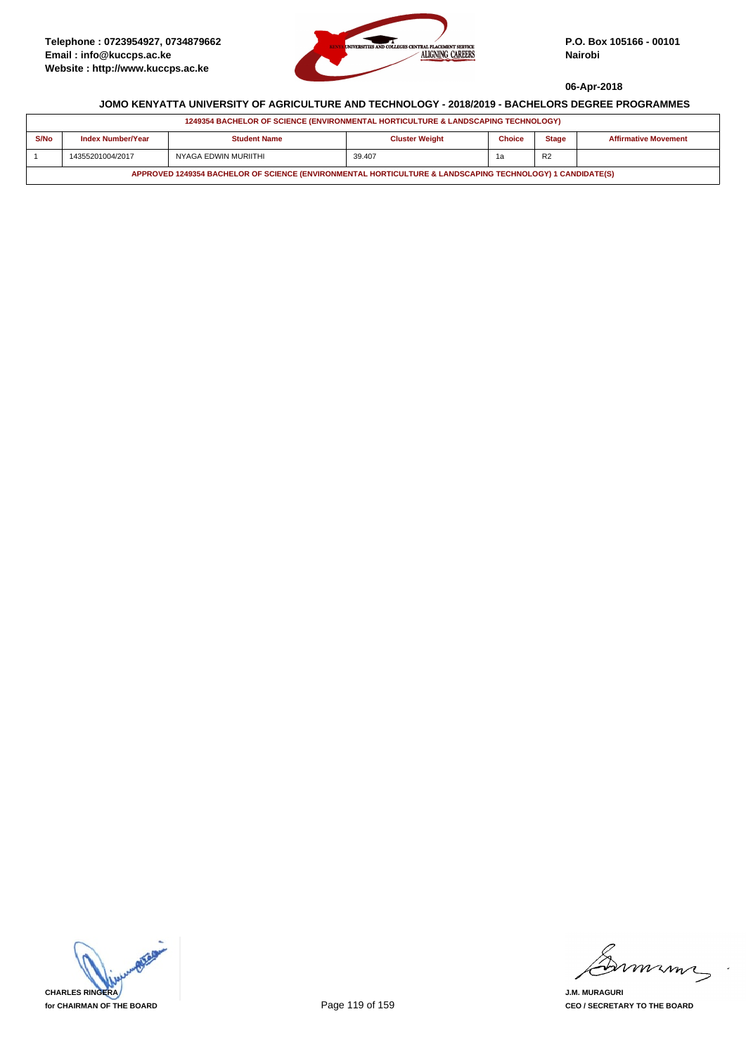

| 1249354 BACHELOR OF SCIENCE (ENVIRONMENTAL HORTICULTURE & LANDSCAPING TECHNOLOGY)                         |                   |                      |                       |               |                |                             |  |  |
|-----------------------------------------------------------------------------------------------------------|-------------------|----------------------|-----------------------|---------------|----------------|-----------------------------|--|--|
| S/No                                                                                                      | Index Number/Year | <b>Student Name</b>  | <b>Cluster Weight</b> | <b>Choice</b> | <b>Stage</b>   | <b>Affirmative Movement</b> |  |  |
|                                                                                                           | 14355201004/2017  | NYAGA EDWIN MURIITHI | 39.407                |               | R <sub>2</sub> |                             |  |  |
| APPROVED 1249354 BACHELOR OF SCIENCE (ENVIRONMENTAL HORTICULTURE & LANDSCAPING TECHNOLOGY) 1 CANDIDATE(S) |                   |                      |                       |               |                |                             |  |  |



mmmm

**J.M. MURAGURI CEO / SECRETARY TO THE BOARD**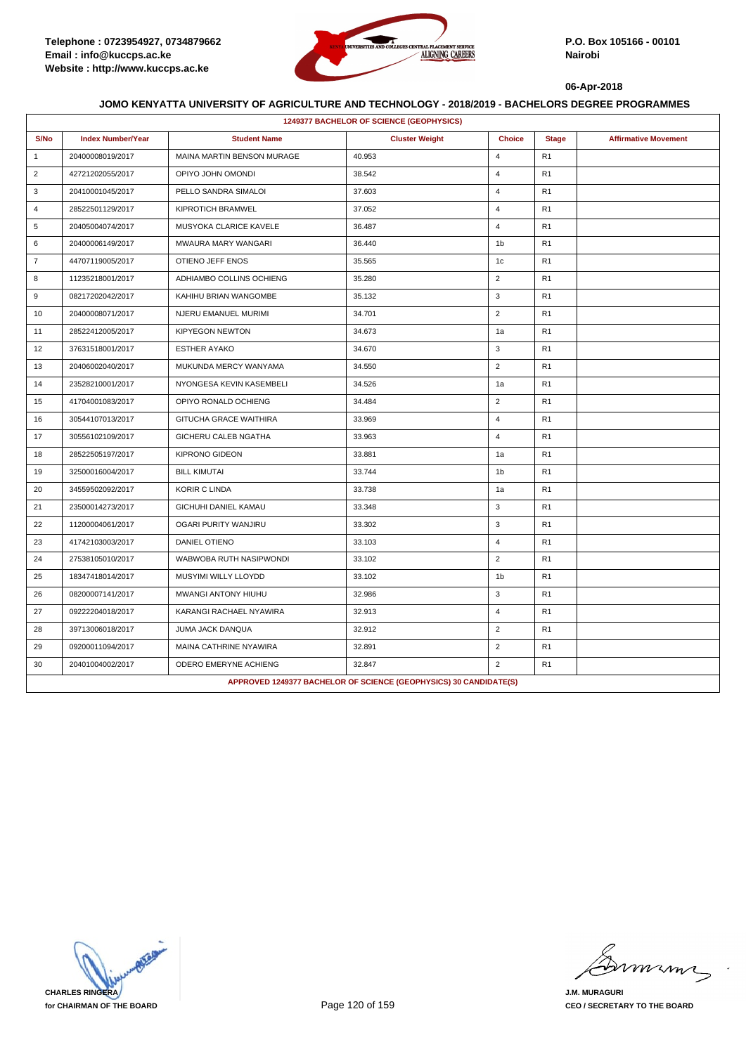

|                | 1249377 BACHELOR OF SCIENCE (GEOPHYSICS) |                            |                                                                   |                |                |                             |  |  |  |
|----------------|------------------------------------------|----------------------------|-------------------------------------------------------------------|----------------|----------------|-----------------------------|--|--|--|
| S/No           | <b>Index Number/Year</b>                 | <b>Student Name</b>        | <b>Cluster Weight</b>                                             | <b>Choice</b>  | <b>Stage</b>   | <b>Affirmative Movement</b> |  |  |  |
| $\mathbf{1}$   | 20400008019/2017                         | MAINA MARTIN BENSON MURAGE | 40.953                                                            | $\overline{4}$ | R <sub>1</sub> |                             |  |  |  |
| $\overline{2}$ | 42721202055/2017                         | OPIYO JOHN OMONDI          | 38.542                                                            | $\overline{4}$ | R <sub>1</sub> |                             |  |  |  |
| 3              | 20410001045/2017                         | PELLO SANDRA SIMALOI       | 37.603                                                            | $\overline{4}$ | R <sub>1</sub> |                             |  |  |  |
| $\overline{4}$ | 28522501129/2017                         | KIPROTICH BRAMWEL          | 37.052                                                            | $\overline{4}$ | R1             |                             |  |  |  |
| 5              | 20405004074/2017                         | MUSYOKA CLARICE KAVELE     | 36.487                                                            | $\overline{4}$ | R <sub>1</sub> |                             |  |  |  |
| 6              | 20400006149/2017                         | MWAURA MARY WANGARI        | 36.440                                                            | 1 <sub>b</sub> | R <sub>1</sub> |                             |  |  |  |
| $\overline{7}$ | 44707119005/2017                         | OTIENO JEFF ENOS           | 35.565                                                            | 1 <sub>c</sub> | R <sub>1</sub> |                             |  |  |  |
| 8              | 11235218001/2017                         | ADHIAMBO COLLINS OCHIENG   | 35.280                                                            | $\overline{2}$ | R <sub>1</sub> |                             |  |  |  |
| 9              | 08217202042/2017                         | KAHIHU BRIAN WANGOMBE      | 35.132                                                            | 3              | R <sub>1</sub> |                             |  |  |  |
| 10             | 20400008071/2017                         | NJERU EMANUEL MURIMI       | 34.701                                                            | $\overline{2}$ | R <sub>1</sub> |                             |  |  |  |
| 11             | 28522412005/2017                         | <b>KIPYEGON NEWTON</b>     | 34.673                                                            | 1a             | R1             |                             |  |  |  |
| 12             | 37631518001/2017                         | <b>ESTHER AYAKO</b>        | 34.670                                                            | 3              | R <sub>1</sub> |                             |  |  |  |
| 13             | 20406002040/2017                         | MUKUNDA MERCY WANYAMA      | 34.550                                                            | $\overline{2}$ | R <sub>1</sub> |                             |  |  |  |
| 14             | 23528210001/2017                         | NYONGESA KEVIN KASEMBELI   | 34.526                                                            | 1a             | R1             |                             |  |  |  |
| 15             | 41704001083/2017                         | OPIYO RONALD OCHIENG       | 34.484                                                            | $\overline{2}$ | R <sub>1</sub> |                             |  |  |  |
| 16             | 30544107013/2017                         | GITUCHA GRACE WAITHIRA     | 33.969                                                            | $\overline{4}$ | R <sub>1</sub> |                             |  |  |  |
| 17             | 30556102109/2017                         | GICHERU CALEB NGATHA       | 33.963                                                            | $\overline{4}$ | R <sub>1</sub> |                             |  |  |  |
| 18             | 28522505197/2017                         | <b>KIPRONO GIDEON</b>      | 33.881                                                            | 1a             | R <sub>1</sub> |                             |  |  |  |
| 19             | 32500016004/2017                         | <b>BILL KIMUTAI</b>        | 33.744                                                            | 1 <sub>b</sub> | R <sub>1</sub> |                             |  |  |  |
| 20             | 34559502092/2017                         | <b>KORIR C LINDA</b>       | 33.738                                                            | 1a             | R <sub>1</sub> |                             |  |  |  |
| 21             | 23500014273/2017                         | GICHUHI DANIEL KAMAU       | 33.348                                                            | 3              | R <sub>1</sub> |                             |  |  |  |
| 22             | 11200004061/2017                         | OGARI PURITY WANJIRU       | 33.302                                                            | 3              | R <sub>1</sub> |                             |  |  |  |
| 23             | 41742103003/2017                         | DANIEL OTIENO              | 33.103                                                            | $\overline{4}$ | R <sub>1</sub> |                             |  |  |  |
| 24             | 27538105010/2017                         | WABWOBA RUTH NASIPWONDI    | 33.102                                                            | $\overline{2}$ | R <sub>1</sub> |                             |  |  |  |
| 25             | 18347418014/2017                         | MUSYIMI WILLY LLOYDD       | 33.102                                                            | 1 <sub>b</sub> | R1             |                             |  |  |  |
| 26             | 08200007141/2017                         | MWANGI ANTONY HIUHU        | 32.986                                                            | 3              | R <sub>1</sub> |                             |  |  |  |
| 27             | 09222204018/2017                         | KARANGI RACHAEL NYAWIRA    | 32.913                                                            | $\overline{4}$ | R <sub>1</sub> |                             |  |  |  |
| 28             | 39713006018/2017                         | JUMA JACK DANQUA           | 32.912                                                            | $\overline{2}$ | R1             |                             |  |  |  |
| 29             | 09200011094/2017                         | MAINA CATHRINE NYAWIRA     | 32.891                                                            | $\overline{2}$ | R <sub>1</sub> |                             |  |  |  |
| 30             | 20401004002/2017                         | ODERO EMERYNE ACHIENG      | 32.847                                                            | $\overline{2}$ | R <sub>1</sub> |                             |  |  |  |
|                |                                          |                            | APPROVED 1249377 BACHELOR OF SCIENCE (GEOPHYSICS) 30 CANDIDATE(S) |                |                |                             |  |  |  |

**CHARLES RINGERA for CHAIRMAN OF THE BOARD**

miming

**J.M. MURAGURI CEO / SECRETARY TO THE BOARD**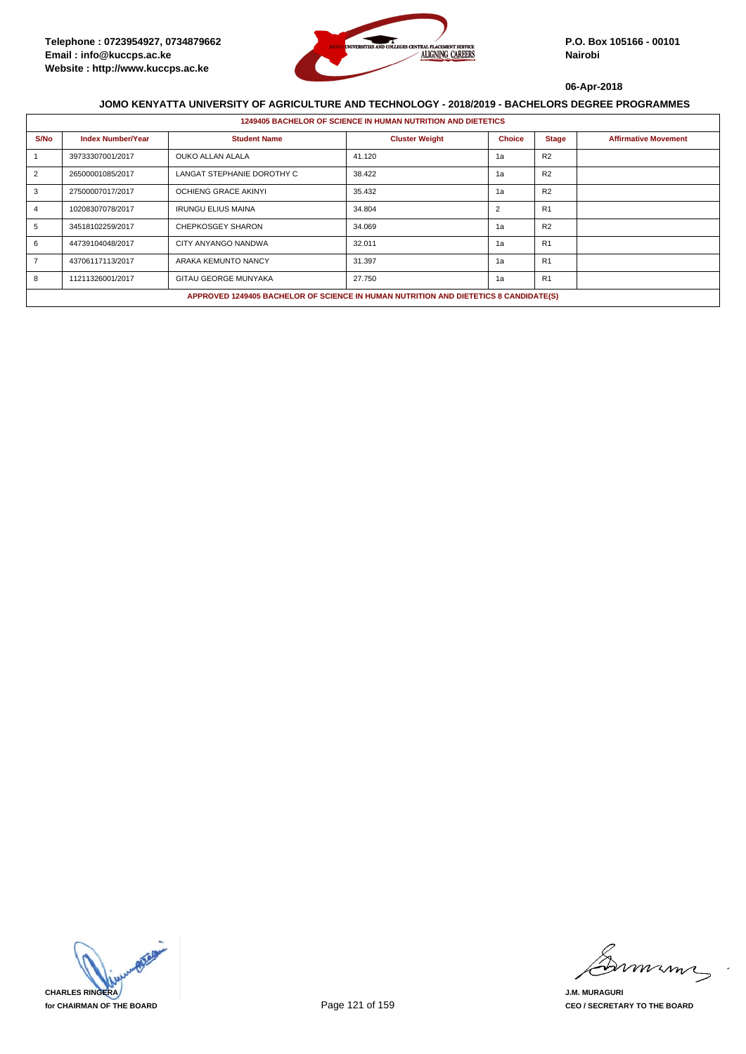

|      | <b>1249405 BACHELOR OF SCIENCE IN HUMAN NUTRITION AND DIETETICS</b> |                                                                                      |                       |                |                |                             |  |  |  |
|------|---------------------------------------------------------------------|--------------------------------------------------------------------------------------|-----------------------|----------------|----------------|-----------------------------|--|--|--|
| S/No | <b>Index Number/Year</b>                                            | <b>Student Name</b>                                                                  | <b>Cluster Weight</b> | <b>Choice</b>  | <b>Stage</b>   | <b>Affirmative Movement</b> |  |  |  |
|      | 39733307001/2017                                                    | OUKO ALLAN ALALA                                                                     | 41.120                | 1a             | R <sub>2</sub> |                             |  |  |  |
| 2    | 26500001085/2017                                                    | LANGAT STEPHANIE DOROTHY C                                                           | 38.422                | 1a             | R <sub>2</sub> |                             |  |  |  |
| 3    | 27500007017/2017                                                    | <b>OCHIENG GRACE AKINYI</b>                                                          | 35.432                | 1a             | R <sub>2</sub> |                             |  |  |  |
|      | 10208307078/2017                                                    | <b>IRUNGU ELIUS MAINA</b>                                                            | 34.804                | $\overline{2}$ | R1             |                             |  |  |  |
| 5    | 34518102259/2017                                                    | <b>CHEPKOSGEY SHARON</b>                                                             | 34.069                | 1a             | R <sub>2</sub> |                             |  |  |  |
| 6    | 44739104048/2017                                                    | CITY ANYANGO NANDWA                                                                  | 32.011                | 1a             | R1             |                             |  |  |  |
|      | 43706117113/2017                                                    | ARAKA KEMUNTO NANCY                                                                  | 31.397                | 1a             | R <sub>1</sub> |                             |  |  |  |
| 8    | 11211326001/2017                                                    | <b>GITAU GEORGE MUNYAKA</b>                                                          | 27.750                | 1a             | R1             |                             |  |  |  |
|      |                                                                     | APPROVED 1249405 BACHELOR OF SCIENCE IN HUMAN NUTRITION AND DIETETICS 8 CANDIDATE(S) |                       |                |                |                             |  |  |  |



minn

**J.M. MURAGURI CEO / SECRETARY TO THE BOARD**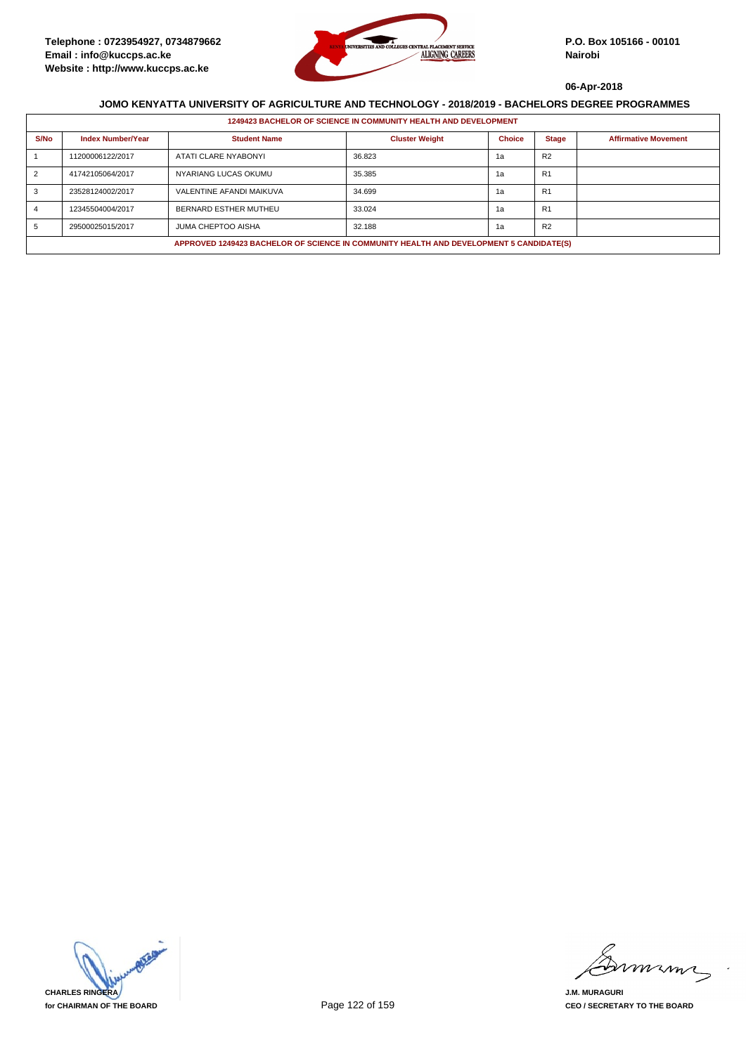

|                                                                                         | 1249423 BACHELOR OF SCIENCE IN COMMUNITY HEALTH AND DEVELOPMENT |                           |                       |               |                |                             |  |  |  |
|-----------------------------------------------------------------------------------------|-----------------------------------------------------------------|---------------------------|-----------------------|---------------|----------------|-----------------------------|--|--|--|
| S/No                                                                                    | <b>Index Number/Year</b>                                        | <b>Student Name</b>       | <b>Cluster Weight</b> | <b>Choice</b> | <b>Stage</b>   | <b>Affirmative Movement</b> |  |  |  |
|                                                                                         | 11200006122/2017                                                | ATATI CLARE NYABONYI      | 36.823                | 1а            | R <sub>2</sub> |                             |  |  |  |
|                                                                                         | 41742105064/2017                                                | NYARIANG LUCAS OKUMU      | 35.385                | 1а            | R1             |                             |  |  |  |
|                                                                                         | 23528124002/2017                                                | VALENTINE AFANDI MAIKUVA  | 34.699                | 1a            | R <sub>1</sub> |                             |  |  |  |
|                                                                                         | 12345504004/2017                                                | BERNARD ESTHER MUTHEU     | 33.024                | 1а            | R <sub>1</sub> |                             |  |  |  |
|                                                                                         | 29500025015/2017                                                | <b>JUMA CHEPTOO AISHA</b> | 32.188                | 1а            | R <sub>2</sub> |                             |  |  |  |
| APPROVED 1249423 BACHELOR OF SCIENCE IN COMMUNITY HEALTH AND DEVELOPMENT 5 CANDIDATE(S) |                                                                 |                           |                       |               |                |                             |  |  |  |



mmmn

**J.M. MURAGURI CEO / SECRETARY TO THE BOARD**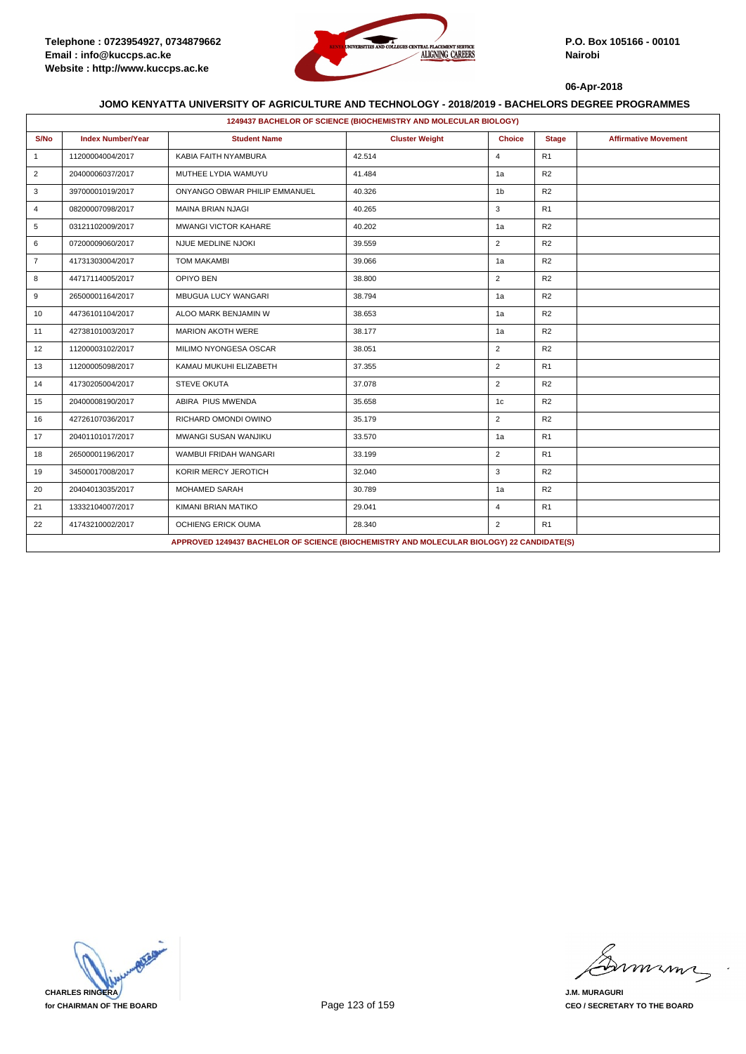

|                | 1249437 BACHELOR OF SCIENCE (BIOCHEMISTRY AND MOLECULAR BIOLOGY) |                                                                                           |                       |                |                |                             |  |  |  |
|----------------|------------------------------------------------------------------|-------------------------------------------------------------------------------------------|-----------------------|----------------|----------------|-----------------------------|--|--|--|
| S/No           | <b>Index Number/Year</b>                                         | <b>Student Name</b>                                                                       | <b>Cluster Weight</b> | <b>Choice</b>  | <b>Stage</b>   | <b>Affirmative Movement</b> |  |  |  |
| $\mathbf{1}$   | 11200004004/2017                                                 | KABIA FAITH NYAMBURA                                                                      | 42.514                | $\overline{4}$ | R <sub>1</sub> |                             |  |  |  |
| $\overline{2}$ | 20400006037/2017                                                 | MUTHEE LYDIA WAMUYU                                                                       | 41.484                | 1a             | R2             |                             |  |  |  |
| 3              | 39700001019/2017                                                 | ONYANGO OBWAR PHILIP EMMANUEL                                                             | 40.326                | 1 <sub>b</sub> | R2             |                             |  |  |  |
| $\overline{4}$ | 08200007098/2017                                                 | <b>MAINA BRIAN NJAGI</b>                                                                  | 40.265                | 3              | R1             |                             |  |  |  |
| 5              | 03121102009/2017                                                 | <b>MWANGI VICTOR KAHARE</b>                                                               | 40.202                | 1a             | R2             |                             |  |  |  |
| 6              | 07200009060/2017                                                 | NJUE MEDLINE NJOKI                                                                        | 39.559                | $\overline{2}$ | R2             |                             |  |  |  |
| $\overline{7}$ | 41731303004/2017                                                 | <b>TOM MAKAMBI</b>                                                                        | 39.066                | 1a             | R <sub>2</sub> |                             |  |  |  |
| 8              | 44717114005/2017                                                 | OPIYO BEN                                                                                 | 38.800                | $\overline{2}$ | R2             |                             |  |  |  |
| 9              | 26500001164/2017                                                 | MBUGUA LUCY WANGARI                                                                       | 38.794                | 1a             | R2             |                             |  |  |  |
| 10             | 44736101104/2017                                                 | ALOO MARK BENJAMIN W                                                                      | 38.653                | 1a             | R2             |                             |  |  |  |
| 11             | 42738101003/2017                                                 | <b>MARION AKOTH WERE</b>                                                                  | 38.177                | 1a             | R2             |                             |  |  |  |
| 12             | 11200003102/2017                                                 | MILIMO NYONGESA OSCAR                                                                     | 38.051                | $\overline{2}$ | R2             |                             |  |  |  |
| 13             | 11200005098/2017                                                 | KAMAU MUKUHI ELIZABETH                                                                    | 37.355                | $\overline{2}$ | R1             |                             |  |  |  |
| 14             | 41730205004/2017                                                 | <b>STEVE OKUTA</b>                                                                        | 37.078                | $\overline{2}$ | R <sub>2</sub> |                             |  |  |  |
| 15             | 20400008190/2017                                                 | ABIRA PIUS MWENDA                                                                         | 35.658                | 1c             | R <sub>2</sub> |                             |  |  |  |
| 16             | 42726107036/2017                                                 | RICHARD OMONDI OWINO                                                                      | 35.179                | $\overline{2}$ | R2             |                             |  |  |  |
| 17             | 20401101017/2017                                                 | MWANGI SUSAN WANJIKU                                                                      | 33.570                | 1a             | R <sub>1</sub> |                             |  |  |  |
| 18             | 26500001196/2017                                                 | WAMBUI FRIDAH WANGARI                                                                     | 33.199                | $\overline{2}$ | R <sub>1</sub> |                             |  |  |  |
| 19             | 34500017008/2017                                                 | KORIR MERCY JEROTICH                                                                      | 32.040                | 3              | R <sub>2</sub> |                             |  |  |  |
| 20             | 20404013035/2017                                                 | <b>MOHAMED SARAH</b>                                                                      | 30.789                | 1a             | R <sub>2</sub> |                             |  |  |  |
| 21             | 13332104007/2017                                                 | KIMANI BRIAN MATIKO                                                                       | 29.041                | $\overline{4}$ | R <sub>1</sub> |                             |  |  |  |
| 22             | 41743210002/2017                                                 | OCHIENG ERICK OUMA                                                                        | 28.340                | $\overline{2}$ | R <sub>1</sub> |                             |  |  |  |
|                |                                                                  | APPROVED 1249437 BACHELOR OF SCIENCE (BIOCHEMISTRY AND MOLECULAR BIOLOGY) 22 CANDIDATE(S) |                       |                |                |                             |  |  |  |

**CHARLES RINGERA for CHAIRMAN OF THE BOARD**

mmmn

**J.M. MURAGURI CEO / SECRETARY TO THE BOARD**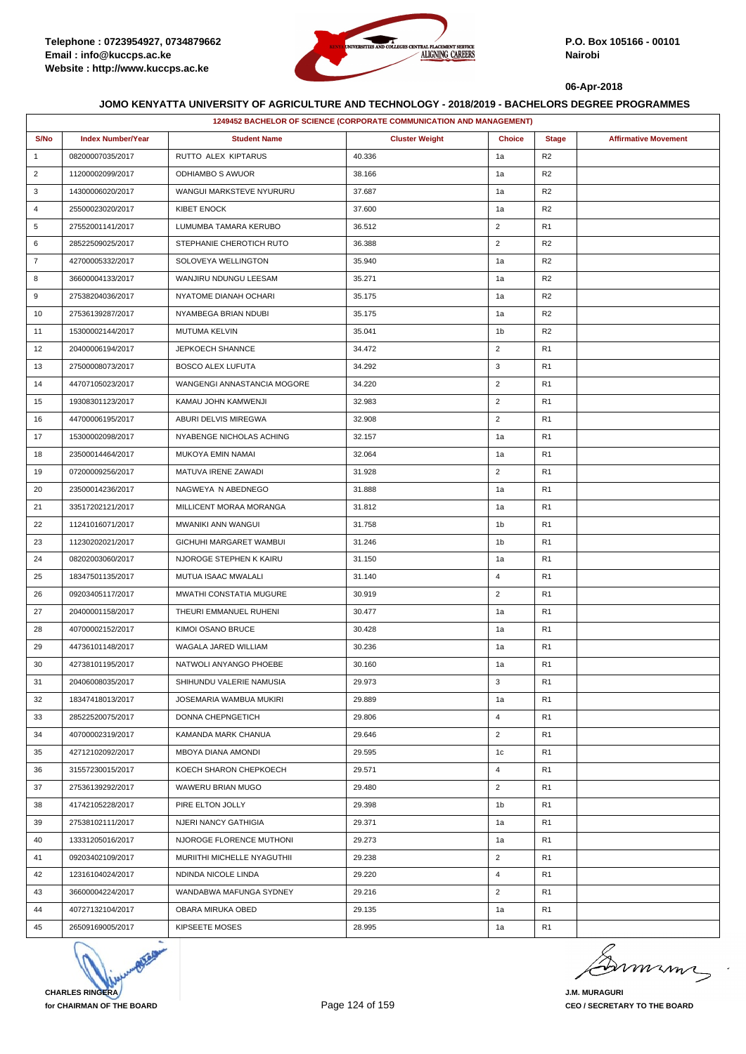

|                | 1249452 BACHELOR OF SCIENCE (CORPORATE COMMUNICATION AND MANAGEMENT) |                             |                       |                |                |                             |  |  |
|----------------|----------------------------------------------------------------------|-----------------------------|-----------------------|----------------|----------------|-----------------------------|--|--|
| S/No           | <b>Index Number/Year</b>                                             | <b>Student Name</b>         | <b>Cluster Weight</b> | <b>Choice</b>  | <b>Stage</b>   | <b>Affirmative Movement</b> |  |  |
| $\mathbf{1}$   | 08200007035/2017                                                     | RUTTO ALEX KIPTARUS         | 40.336                | 1a             | R2             |                             |  |  |
| $\overline{2}$ | 11200002099/2017                                                     | ODHIAMBO S AWUOR            | 38.166                | 1a             | R2             |                             |  |  |
| 3              | 14300006020/2017                                                     | WANGUI MARKSTEVE NYURURU    | 37.687                | 1a             | R <sub>2</sub> |                             |  |  |
| 4              | 25500023020/2017                                                     | <b>KIBET ENOCK</b>          | 37.600                | 1a             | R <sub>2</sub> |                             |  |  |
| 5              | 27552001141/2017                                                     | LUMUMBA TAMARA KERUBO       | 36.512                | $\overline{2}$ | R1             |                             |  |  |
| 6              | 28522509025/2017                                                     | STEPHANIE CHEROTICH RUTO    | 36.388                | $\overline{2}$ | R2             |                             |  |  |
| $\overline{7}$ | 42700005332/2017                                                     | SOLOVEYA WELLINGTON         | 35.940                | 1a             | R <sub>2</sub> |                             |  |  |
| 8              | 36600004133/2017                                                     | WANJIRU NDUNGU LEESAM       | 35.271                | 1a             | R <sub>2</sub> |                             |  |  |
| 9              | 27538204036/2017                                                     | NYATOME DIANAH OCHARI       | 35.175                | 1a             | R <sub>2</sub> |                             |  |  |
| 10             | 27536139287/2017                                                     | NYAMBEGA BRIAN NDUBI        | 35.175                | 1a             | R <sub>2</sub> |                             |  |  |
| 11             | 15300002144/2017                                                     | MUTUMA KELVIN               | 35.041                | 1 <sub>b</sub> | R <sub>2</sub> |                             |  |  |
| 12             | 20400006194/2017                                                     | JEPKOECH SHANNCE            | 34.472                | $\overline{2}$ | R1             |                             |  |  |
| 13             | 27500008073/2017                                                     | <b>BOSCO ALEX LUFUTA</b>    | 34.292                | 3              | R1             |                             |  |  |
| 14             | 44707105023/2017                                                     | WANGENGI ANNASTANCIA MOGORE | 34.220                | $\overline{2}$ | R1             |                             |  |  |
| 15             | 19308301123/2017                                                     | KAMAU JOHN KAMWENJI         | 32.983                | $\overline{2}$ | R1             |                             |  |  |
| 16             | 44700006195/2017                                                     | ABURI DELVIS MIREGWA        | 32.908                | $\overline{2}$ | R1             |                             |  |  |
| 17             | 15300002098/2017                                                     | NYABENGE NICHOLAS ACHING    | 32.157                | 1a             | R1             |                             |  |  |
| 18             | 23500014464/2017                                                     | MUKOYA EMIN NAMAI           | 32.064                | 1a             | R <sub>1</sub> |                             |  |  |
| 19             | 07200009256/2017                                                     | MATUVA IRENE ZAWADI         | 31.928                | $\overline{2}$ | R <sub>1</sub> |                             |  |  |
| 20             | 23500014236/2017                                                     | NAGWEYA N ABEDNEGO          | 31.888                | 1a             | R1             |                             |  |  |
| 21             | 33517202121/2017                                                     | MILLICENT MORAA MORANGA     | 31.812                | 1a             | R1             |                             |  |  |
| 22             | 11241016071/2017                                                     | MWANIKI ANN WANGUI          | 31.758                | 1b             | R <sub>1</sub> |                             |  |  |
| 23             | 11230202021/2017                                                     | GICHUHI MARGARET WAMBUI     | 31.246                | 1 <sub>b</sub> | R1             |                             |  |  |
| 24             | 08202003060/2017                                                     | NJOROGE STEPHEN K KAIRU     | 31.150                | 1a             | R1             |                             |  |  |
| 25             | 18347501135/2017                                                     | MUTUA ISAAC MWALALI         | 31.140                | $\overline{4}$ | R1             |                             |  |  |
| 26             | 09203405117/2017                                                     | MWATHI CONSTATIA MUGURE     | 30.919                | $\overline{2}$ | R1             |                             |  |  |
| 27             | 20400001158/2017                                                     | THEURI EMMANUEL RUHENI      | 30.477                | 1a             | R1             |                             |  |  |
| 28             | 40700002152/2017                                                     | KIMOI OSANO BRUCE           | 30.428                | 1a             | R1             |                             |  |  |
| 29             | 44736101148/2017                                                     | WAGALA JARED WILLIAM        | 30.236                | 1a             | R1             |                             |  |  |
| 30             | 42738101195/2017                                                     | NATWOLI ANYANGO PHOEBE      | 30.160                | 1a             | R <sub>1</sub> |                             |  |  |
| 31             | 20406008035/2017                                                     | SHIHUNDU VALERIE NAMUSIA    | 29.973                | 3              | R <sub>1</sub> |                             |  |  |
| 32             | 18347418013/2017                                                     | JOSEMARIA WAMBUA MUKIRI     | 29.889                | 1a             | R <sub>1</sub> |                             |  |  |
| 33             | 28522520075/2017                                                     | DONNA CHEPNGETICH           | 29.806                | 4              | R <sub>1</sub> |                             |  |  |
| 34             | 40700002319/2017                                                     | KAMANDA MARK CHANUA         | 29.646                | $\overline{2}$ | R1             |                             |  |  |
| 35             | 42712102092/2017                                                     | MBOYA DIANA AMONDI          | 29.595                | 1c             | R1             |                             |  |  |
| 36             | 31557230015/2017                                                     | KOECH SHARON CHEPKOECH      | 29.571                | 4              | R1             |                             |  |  |
| 37             | 27536139292/2017                                                     | WAWERU BRIAN MUGO           | 29.480                | $\overline{2}$ | R1             |                             |  |  |
| 38             | 41742105228/2017                                                     | PIRE ELTON JOLLY            | 29.398                | 1b             | R1             |                             |  |  |
| 39             | 27538102111/2017                                                     | NJERI NANCY GATHIGIA        | 29.371                | 1a             | R <sub>1</sub> |                             |  |  |
| 40             | 13331205016/2017                                                     | NJOROGE FLORENCE MUTHONI    | 29.273                | 1a             | R <sub>1</sub> |                             |  |  |
| 41             | 09203402109/2017                                                     | MURIITHI MICHELLE NYAGUTHII | 29.238                | $\overline{2}$ | R <sub>1</sub> |                             |  |  |
| 42             | 12316104024/2017                                                     | NDINDA NICOLE LINDA         | 29.220                | 4              | R1             |                             |  |  |
| 43             | 36600004224/2017                                                     | WANDABWA MAFUNGA SYDNEY     | 29.216                | $\overline{2}$ | R1             |                             |  |  |
| 44             | 40727132104/2017                                                     | OBARA MIRUKA OBED           | 29.135                | 1a             | R1             |                             |  |  |
| 45             | 26509169005/2017                                                     | KIPSEETE MOSES              | 28.995                | 1a             | R <sub>1</sub> |                             |  |  |



murma

**J.M. MURAGURI CEO / SECRETARY TO THE BOARD**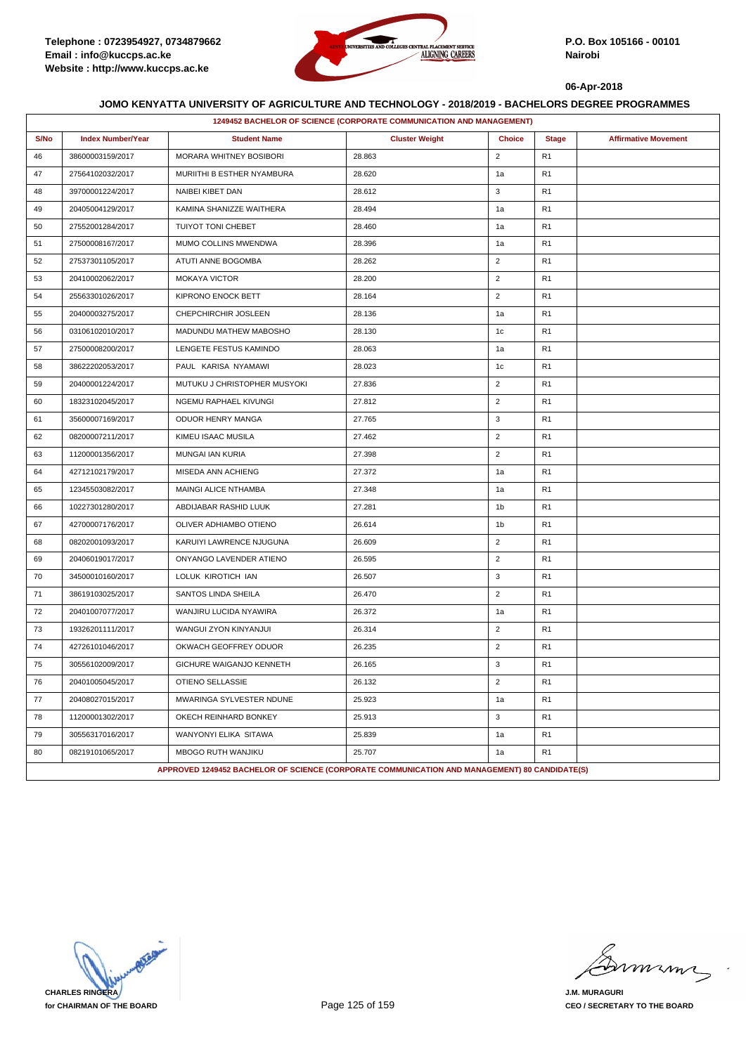

|      | 1249452 BACHELOR OF SCIENCE (CORPORATE COMMUNICATION AND MANAGEMENT) |                                                                                               |                       |                |                |                             |  |  |
|------|----------------------------------------------------------------------|-----------------------------------------------------------------------------------------------|-----------------------|----------------|----------------|-----------------------------|--|--|
| S/No | <b>Index Number/Year</b>                                             | <b>Student Name</b>                                                                           | <b>Cluster Weight</b> | <b>Choice</b>  | <b>Stage</b>   | <b>Affirmative Movement</b> |  |  |
| 46   | 38600003159/2017                                                     | <b>MORARA WHITNEY BOSIBORI</b>                                                                | 28.863                | $\overline{2}$ | R <sub>1</sub> |                             |  |  |
| 47   | 27564102032/2017                                                     | MURIITHI B ESTHER NYAMBURA                                                                    | 28.620                | 1a             | R <sub>1</sub> |                             |  |  |
| 48   | 39700001224/2017                                                     | NAIBEI KIBET DAN                                                                              | 28.612                | 3              | R <sub>1</sub> |                             |  |  |
| 49   | 20405004129/2017                                                     | KAMINA SHANIZZE WAITHERA                                                                      | 28.494                | 1a             | R <sub>1</sub> |                             |  |  |
| 50   | 27552001284/2017                                                     | TUIYOT TONI CHEBET                                                                            | 28.460                | 1a             | R <sub>1</sub> |                             |  |  |
| 51   | 27500008167/2017                                                     | MUMO COLLINS MWENDWA                                                                          | 28.396                | 1a             | R <sub>1</sub> |                             |  |  |
| 52   | 27537301105/2017                                                     | ATUTI ANNE BOGOMBA                                                                            | 28.262                | $\overline{2}$ | R <sub>1</sub> |                             |  |  |
| 53   | 20410002062/2017                                                     | <b>MOKAYA VICTOR</b>                                                                          | 28.200                | $\overline{2}$ | R <sub>1</sub> |                             |  |  |
| 54   | 25563301026/2017                                                     | KIPRONO ENOCK BETT                                                                            | 28.164                | $\overline{2}$ | R <sub>1</sub> |                             |  |  |
| 55   | 20400003275/2017                                                     | CHEPCHIRCHIR JOSLEEN                                                                          | 28.136                | 1a             | R <sub>1</sub> |                             |  |  |
| 56   | 03106102010/2017                                                     | MADUNDU MATHEW MABOSHO                                                                        | 28.130                | 1c             | R <sub>1</sub> |                             |  |  |
| 57   | 27500008200/2017                                                     | LENGETE FESTUS KAMINDO                                                                        | 28.063                | 1a             | R <sub>1</sub> |                             |  |  |
| 58   | 38622202053/2017                                                     | PAUL KARISA NYAMAWI                                                                           | 28.023                | 1c             | R <sub>1</sub> |                             |  |  |
| 59   | 20400001224/2017                                                     | MUTUKU J CHRISTOPHER MUSYOKI                                                                  | 27.836                | $\overline{2}$ | R <sub>1</sub> |                             |  |  |
| 60   | 18323102045/2017                                                     | NGEMU RAPHAEL KIVUNGI                                                                         | 27.812                | $\overline{2}$ | R <sub>1</sub> |                             |  |  |
| 61   | 35600007169/2017                                                     | ODUOR HENRY MANGA                                                                             | 27.765                | 3              | R <sub>1</sub> |                             |  |  |
| 62   | 08200007211/2017                                                     | KIMEU ISAAC MUSILA                                                                            | 27.462                | $\overline{2}$ | R <sub>1</sub> |                             |  |  |
| 63   | 11200001356/2017                                                     | MUNGAI IAN KURIA                                                                              | 27.398                | $\overline{2}$ | R <sub>1</sub> |                             |  |  |
| 64   | 42712102179/2017                                                     | MISEDA ANN ACHIENG                                                                            | 27.372                | 1a             | R <sub>1</sub> |                             |  |  |
| 65   | 12345503082/2017                                                     | MAINGI ALICE NTHAMBA                                                                          | 27.348                | 1a             | R <sub>1</sub> |                             |  |  |
| 66   | 10227301280/2017                                                     | ABDIJABAR RASHID LUUK                                                                         | 27.281                | 1b             | R <sub>1</sub> |                             |  |  |
| 67   | 42700007176/2017                                                     | OLIVER ADHIAMBO OTIENO                                                                        | 26.614                | 1b             | R <sub>1</sub> |                             |  |  |
| 68   | 08202001093/2017                                                     | KARUIYI LAWRENCE NJUGUNA                                                                      | 26.609                | $\overline{2}$ | R <sub>1</sub> |                             |  |  |
| 69   | 20406019017/2017                                                     | ONYANGO LAVENDER ATIENO                                                                       | 26.595                | $\overline{2}$ | R <sub>1</sub> |                             |  |  |
| 70   | 34500010160/2017                                                     | LOLUK KIROTICH IAN                                                                            | 26.507                | 3              | R <sub>1</sub> |                             |  |  |
| 71   | 38619103025/2017                                                     | SANTOS LINDA SHEILA                                                                           | 26.470                | $\overline{2}$ | R <sub>1</sub> |                             |  |  |
| 72   | 20401007077/2017                                                     | WANJIRU LUCIDA NYAWIRA                                                                        | 26.372                | 1a             | R <sub>1</sub> |                             |  |  |
| 73   | 19326201111/2017                                                     | WANGUI ZYON KINYANJUI                                                                         | 26.314                | $\overline{2}$ | R <sub>1</sub> |                             |  |  |
| 74   | 42726101046/2017                                                     | OKWACH GEOFFREY ODUOR                                                                         | 26.235                | $\overline{2}$ | R <sub>1</sub> |                             |  |  |
| 75   | 30556102009/2017                                                     | GICHURE WAIGANJO KENNETH                                                                      | 26.165                | 3              | R <sub>1</sub> |                             |  |  |
| 76   | 20401005045/2017                                                     | OTIENO SELLASSIE                                                                              | 26.132                | $\mathbf 2$    | R <sub>1</sub> |                             |  |  |
| 77   | 20408027015/2017                                                     | MWARINGA SYLVESTER NDUNE                                                                      | 25.923                | 1a             | R <sub>1</sub> |                             |  |  |
| 78   | 11200001302/2017                                                     | OKECH REINHARD BONKEY                                                                         | 25.913                | 3              | R <sub>1</sub> |                             |  |  |
| 79   | 30556317016/2017                                                     | WANYONYI ELIKA SITAWA                                                                         | 25.839                | 1a             | R <sub>1</sub> |                             |  |  |
| 80   | 08219101065/2017                                                     | MBOGO RUTH WANJIKU                                                                            | 25.707                | 1a             | R <sub>1</sub> |                             |  |  |
|      |                                                                      | APPROVED 1249452 BACHELOR OF SCIENCE (CORPORATE COMMUNICATION AND MANAGEMENT) 80 CANDIDATE(S) |                       |                |                |                             |  |  |

**CHARLES RINGERA for CHAIRMAN OF THE BOARD**

mmmn

**J.M. MURAGURI CEO / SECRETARY TO THE BOARD**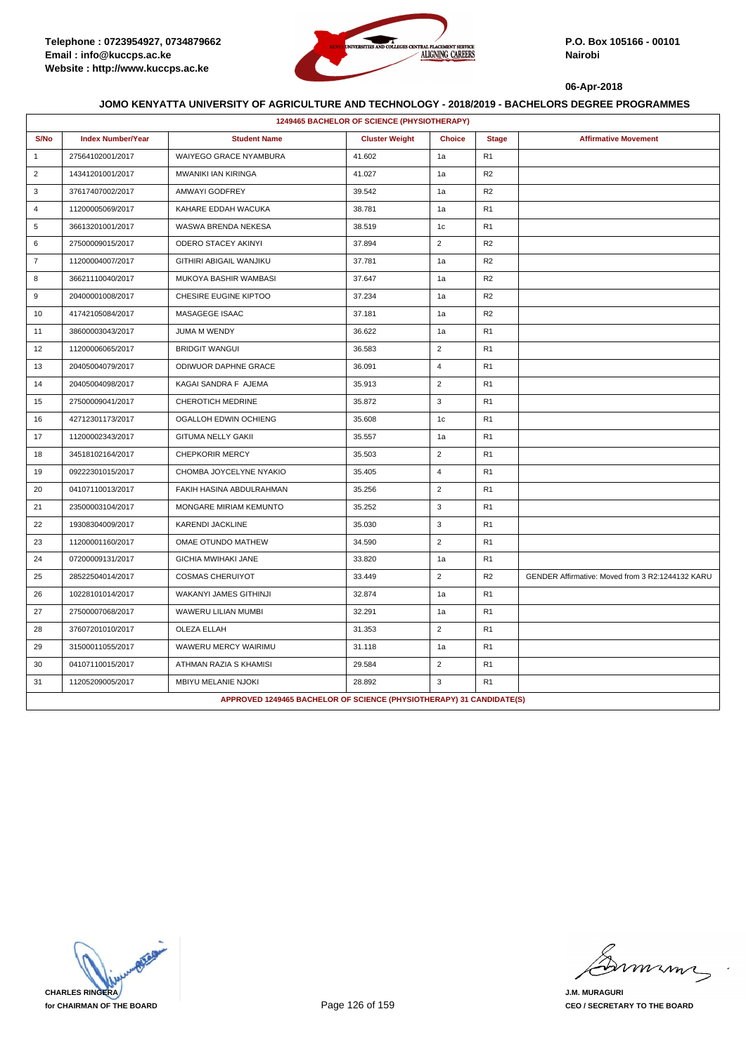

|                | 1249465 BACHELOR OF SCIENCE (PHYSIOTHERAPY) |                                                                      |                       |                |                |                                                  |  |  |  |
|----------------|---------------------------------------------|----------------------------------------------------------------------|-----------------------|----------------|----------------|--------------------------------------------------|--|--|--|
| S/No           | <b>Index Number/Year</b>                    | <b>Student Name</b>                                                  | <b>Cluster Weight</b> | <b>Choice</b>  | <b>Stage</b>   | <b>Affirmative Movement</b>                      |  |  |  |
| $\mathbf{1}$   | 27564102001/2017                            | WAIYEGO GRACE NYAMBURA                                               | 41.602                | 1a             | R <sub>1</sub> |                                                  |  |  |  |
| 2              | 14341201001/2017                            | <b>MWANIKI IAN KIRINGA</b>                                           | 41.027                | 1a             | R2             |                                                  |  |  |  |
| 3              | 37617407002/2017                            | AMWAYI GODFREY                                                       | 39.542                | 1a             | R2             |                                                  |  |  |  |
| $\overline{4}$ | 11200005069/2017                            | KAHARE EDDAH WACUKA                                                  | 38.781                | 1a             | R <sub>1</sub> |                                                  |  |  |  |
| 5              | 36613201001/2017                            | WASWA BRENDA NEKESA                                                  | 38.519                | 1c             | R <sub>1</sub> |                                                  |  |  |  |
| 6              | 27500009015/2017                            | ODERO STACEY AKINYI                                                  | 37.894                | $\overline{2}$ | R <sub>2</sub> |                                                  |  |  |  |
| $\overline{7}$ | 11200004007/2017                            | GITHIRI ABIGAIL WANJIKU                                              | 37.781                | 1a             | R <sub>2</sub> |                                                  |  |  |  |
| 8              | 36621110040/2017                            | MUKOYA BASHIR WAMBASI                                                | 37.647                | 1a             | R <sub>2</sub> |                                                  |  |  |  |
| 9              | 20400001008/2017                            | CHESIRE EUGINE KIPTOO                                                | 37.234                | 1a             | R <sub>2</sub> |                                                  |  |  |  |
| 10             | 41742105084/2017                            | <b>MASAGEGE ISAAC</b>                                                | 37.181                | 1a             | R <sub>2</sub> |                                                  |  |  |  |
| 11             | 38600003043/2017                            | JUMA M WENDY                                                         | 36.622                | 1a             | R <sub>1</sub> |                                                  |  |  |  |
| 12             | 11200006065/2017                            | <b>BRIDGIT WANGUI</b>                                                | 36.583                | 2              | R <sub>1</sub> |                                                  |  |  |  |
| 13             | 20405004079/2017                            | ODIWUOR DAPHNE GRACE                                                 | 36.091                | 4              | R <sub>1</sub> |                                                  |  |  |  |
| 14             | 20405004098/2017                            | KAGAI SANDRA F AJEMA                                                 | 35.913                | $\overline{2}$ | R <sub>1</sub> |                                                  |  |  |  |
| 15             | 27500009041/2017                            | CHEROTICH MEDRINE                                                    | 35.872                | 3              | R1             |                                                  |  |  |  |
| 16             | 42712301173/2017                            | OGALLOH EDWIN OCHIENG                                                | 35.608                | 1c             | R <sub>1</sub> |                                                  |  |  |  |
| 17             | 11200002343/2017                            | <b>GITUMA NELLY GAKII</b>                                            | 35.557                | 1a             | R <sub>1</sub> |                                                  |  |  |  |
| 18             | 34518102164/2017                            | <b>CHEPKORIR MERCY</b>                                               | 35.503                | $\overline{2}$ | R <sub>1</sub> |                                                  |  |  |  |
| 19             | 09222301015/2017                            | CHOMBA JOYCELYNE NYAKIO                                              | 35.405                | $\overline{4}$ | R <sub>1</sub> |                                                  |  |  |  |
| 20             | 04107110013/2017                            | FAKIH HASINA ABDULRAHMAN                                             | 35.256                | $\sqrt{2}$     | R <sub>1</sub> |                                                  |  |  |  |
| 21             | 23500003104/2017                            | MONGARE MIRIAM KEMUNTO                                               | 35.252                | 3              | R <sub>1</sub> |                                                  |  |  |  |
| 22             | 19308304009/2017                            | <b>KARENDI JACKLINE</b>                                              | 35.030                | 3              | R <sub>1</sub> |                                                  |  |  |  |
| 23             | 11200001160/2017                            | OMAE OTUNDO MATHEW                                                   | 34.590                | $\overline{2}$ | R <sub>1</sub> |                                                  |  |  |  |
| 24             | 07200009131/2017                            | <b>GICHIA MWIHAKI JANE</b>                                           | 33.820                | 1a             | R <sub>1</sub> |                                                  |  |  |  |
| 25             | 28522504014/2017                            | <b>COSMAS CHERUIYOT</b>                                              | 33.449                | $\overline{2}$ | R <sub>2</sub> | GENDER Affirmative: Moved from 3 R2:1244132 KARU |  |  |  |
| 26             | 10228101014/2017                            | WAKANYI JAMES GITHINJI                                               | 32.874                | 1a             | R1             |                                                  |  |  |  |
| 27             | 27500007068/2017                            | WAWERU LILIAN MUMBI                                                  | 32.291                | 1a             | R <sub>1</sub> |                                                  |  |  |  |
| 28             | 37607201010/2017                            | <b>OLEZA ELLAH</b>                                                   | 31.353                | $\overline{2}$ | R <sub>1</sub> |                                                  |  |  |  |
| 29             | 31500011055/2017                            | WAWERU MERCY WAIRIMU                                                 | 31.118                | 1a             | R <sub>1</sub> |                                                  |  |  |  |
| 30             | 04107110015/2017                            | ATHMAN RAZIA S KHAMISI                                               | 29.584                | $\overline{2}$ | R <sub>1</sub> |                                                  |  |  |  |
| 31             | 11205209005/2017                            | MBIYU MELANIE NJOKI                                                  | 28.892                | 3              | R1             |                                                  |  |  |  |
|                |                                             | APPROVED 1249465 BACHELOR OF SCIENCE (PHYSIOTHERAPY) 31 CANDIDATE(S) |                       |                |                |                                                  |  |  |  |

**CHARLES RINGERA for CHAIRMAN OF THE BOARD**

minn

**J.M. MURAGURI CEO / SECRETARY TO THE BOARD**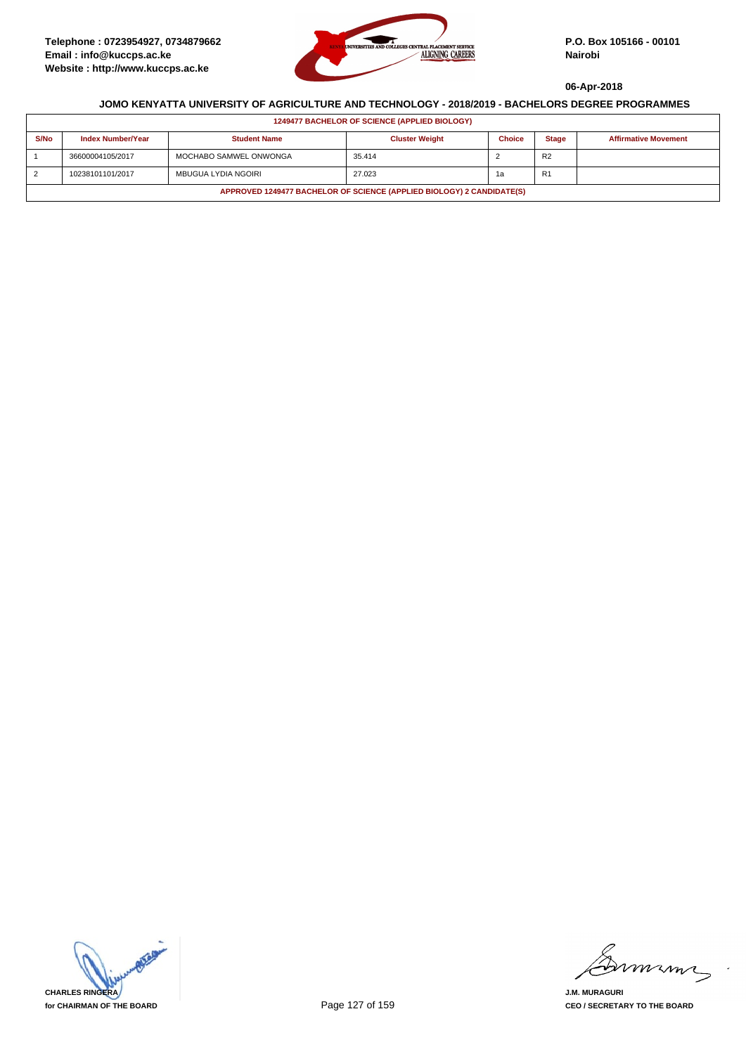

| <b>1249477 BACHELOR OF SCIENCE (APPLIED BIOLOGY)</b>                  |                          |                        |                       |               |                |                             |  |  |
|-----------------------------------------------------------------------|--------------------------|------------------------|-----------------------|---------------|----------------|-----------------------------|--|--|
| S/No                                                                  | <b>Index Number/Year</b> | <b>Student Name</b>    | <b>Cluster Weight</b> | <b>Choice</b> | <b>Stage</b>   | <b>Affirmative Movement</b> |  |  |
|                                                                       | 36600004105/2017         | MOCHABO SAMWEL ONWONGA | 35.414                |               | R <sub>2</sub> |                             |  |  |
| 2                                                                     | 10238101101/2017         | MBUGUA LYDIA NGOIRI    | 27.023                | 1а            | R <sub>1</sub> |                             |  |  |
| APPROVED 1249477 BACHELOR OF SCIENCE (APPLIED BIOLOGY) 2 CANDIDATE(S) |                          |                        |                       |               |                |                             |  |  |



mmmn

**J.M. MURAGURI CEO / SECRETARY TO THE BOARD**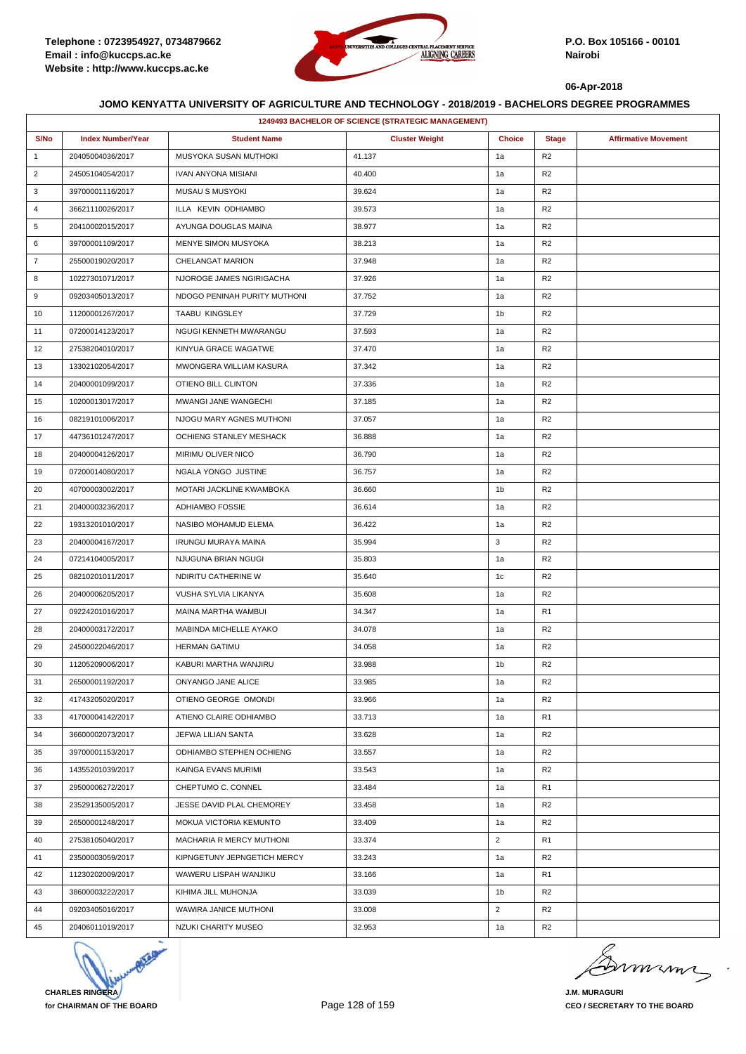

|                | <b>1249493 BACHELOR OF SCIENCE (STRATEGIC MANAGEMENT)</b> |                              |                       |                |                |                             |  |  |
|----------------|-----------------------------------------------------------|------------------------------|-----------------------|----------------|----------------|-----------------------------|--|--|
| S/No           | <b>Index Number/Year</b>                                  | <b>Student Name</b>          | <b>Cluster Weight</b> | <b>Choice</b>  | <b>Stage</b>   | <b>Affirmative Movement</b> |  |  |
| $\mathbf{1}$   | 20405004036/2017                                          | MUSYOKA SUSAN MUTHOKI        | 41.137                | 1a             | R <sub>2</sub> |                             |  |  |
| $\overline{2}$ | 24505104054/2017                                          | <b>IVAN ANYONA MISIANI</b>   | 40.400                | 1a             | R <sub>2</sub> |                             |  |  |
| 3              | 39700001116/2017                                          | <b>MUSAU S MUSYOKI</b>       | 39.624                | 1a             | R <sub>2</sub> |                             |  |  |
| 4              | 36621110026/2017                                          | ILLA KEVIN ODHIAMBO          | 39.573                | 1a             | R <sub>2</sub> |                             |  |  |
| 5              | 20410002015/2017                                          | AYUNGA DOUGLAS MAINA         | 38.977                | 1a             | R <sub>2</sub> |                             |  |  |
| 6              | 39700001109/2017                                          | MENYE SIMON MUSYOKA          | 38.213                | 1a             | R <sub>2</sub> |                             |  |  |
| $\overline{7}$ | 25500019020/2017                                          | CHELANGAT MARION             | 37.948                | 1a             | R <sub>2</sub> |                             |  |  |
| 8              | 10227301071/2017                                          | NJOROGE JAMES NGIRIGACHA     | 37.926                | 1a             | R <sub>2</sub> |                             |  |  |
| 9              | 09203405013/2017                                          | NDOGO PENINAH PURITY MUTHONI | 37.752                | 1a             | R <sub>2</sub> |                             |  |  |
| 10             | 11200001267/2017                                          | TAABU KINGSLEY               | 37.729                | 1b             | R <sub>2</sub> |                             |  |  |
| 11             | 07200014123/2017                                          | NGUGI KENNETH MWARANGU       | 37.593                | 1a             | R <sub>2</sub> |                             |  |  |
| 12             | 27538204010/2017                                          | KINYUA GRACE WAGATWE         | 37.470                | 1a             | R <sub>2</sub> |                             |  |  |
| 13             | 13302102054/2017                                          | MWONGERA WILLIAM KASURA      | 37.342                | 1a             | R <sub>2</sub> |                             |  |  |
| 14             | 20400001099/2017                                          | OTIENO BILL CLINTON          | 37.336                | 1a             | R <sub>2</sub> |                             |  |  |
| 15             | 10200013017/2017                                          | MWANGI JANE WANGECHI         | 37.185                | 1a             | R <sub>2</sub> |                             |  |  |
| 16             | 08219101006/2017                                          | NJOGU MARY AGNES MUTHONI     | 37.057                | 1a             | R <sub>2</sub> |                             |  |  |
| 17             | 44736101247/2017                                          | OCHIENG STANLEY MESHACK      | 36.888                | 1a             | R <sub>2</sub> |                             |  |  |
| 18             | 20400004126/2017                                          | MIRIMU OLIVER NICO           | 36.790                | 1a             | R <sub>2</sub> |                             |  |  |
| 19             | 07200014080/2017                                          | NGALA YONGO JUSTINE          | 36.757                | 1a             | R <sub>2</sub> |                             |  |  |
| 20             | 40700003002/2017                                          | MOTARI JACKLINE KWAMBOKA     | 36.660                | 1b             | R <sub>2</sub> |                             |  |  |
| 21             | 20400003236/2017                                          | ADHIAMBO FOSSIE              | 36.614                | 1a             | R <sub>2</sub> |                             |  |  |
| 22             | 19313201010/2017                                          | NASIBO MOHAMUD ELEMA         | 36.422                | 1a             | R <sub>2</sub> |                             |  |  |
| 23             | 20400004167/2017                                          | <b>IRUNGU MURAYA MAINA</b>   | 35.994                | 3              | R <sub>2</sub> |                             |  |  |
| 24             | 07214104005/2017                                          | NJUGUNA BRIAN NGUGI          | 35.803                | 1a             | R <sub>2</sub> |                             |  |  |
| 25             | 08210201011/2017                                          | NDIRITU CATHERINE W          | 35.640                | 1c             | R <sub>2</sub> |                             |  |  |
| 26             | 20400006205/2017                                          | VUSHA SYLVIA LIKANYA         | 35.608                | 1a             | R <sub>2</sub> |                             |  |  |
| 27             | 09224201016/2017                                          | MAINA MARTHA WAMBUI          | 34.347                | 1a             | R <sub>1</sub> |                             |  |  |
| 28             | 20400003172/2017                                          | MABINDA MICHELLE AYAKO       | 34.078                | 1a             | R <sub>2</sub> |                             |  |  |
| 29             | 24500022046/2017                                          | <b>HERMAN GATIMU</b>         | 34.058                | 1a             | R <sub>2</sub> |                             |  |  |
| 30             | 11205209006/2017                                          | KABURI MARTHA WANJIRU        | 33.988                | 1b             | R <sub>2</sub> |                             |  |  |
| 31             | 26500001192/2017                                          | ONYANGO JANE ALICE           | 33.985                | 1a             | R <sub>2</sub> |                             |  |  |
| 32             | 41743205020/2017                                          | OTIENO GEORGE OMONDI         | 33.966                | 1a             | R <sub>2</sub> |                             |  |  |
| 33             | 41700004142/2017                                          | ATIENO CLAIRE ODHIAMBO       | 33.713                | 1a             | R <sub>1</sub> |                             |  |  |
| 34             | 36600002073/2017                                          | JEFWA LILIAN SANTA           | 33.628                | 1a             | R <sub>2</sub> |                             |  |  |
| 35             | 39700001153/2017                                          | ODHIAMBO STEPHEN OCHIENG     | 33.557                | 1a             | R <sub>2</sub> |                             |  |  |
| 36             | 14355201039/2017                                          | KAINGA EVANS MURIMI          | 33.543                | 1a             | R <sub>2</sub> |                             |  |  |
| 37             | 29500006272/2017                                          | CHEPTUMO C. CONNEL           | 33.484                | 1a             | R <sub>1</sub> |                             |  |  |
| 38             | 23529135005/2017                                          | JESSE DAVID PLAL CHEMOREY    | 33.458                | 1a             | R <sub>2</sub> |                             |  |  |
| 39             | 26500001248/2017                                          | MOKUA VICTORIA KEMUNTO       | 33.409                | 1a             | R <sub>2</sub> |                             |  |  |
| 40             | 27538105040/2017                                          | MACHARIA R MERCY MUTHONI     | 33.374                | $\overline{2}$ | R <sub>1</sub> |                             |  |  |
| 41             | 23500003059/2017                                          | KIPNGETUNY JEPNGETICH MERCY  | 33.243                | 1a             | R <sub>2</sub> |                             |  |  |
| 42             | 11230202009/2017                                          | WAWERU LISPAH WANJIKU        | 33.166                | 1a             | R <sub>1</sub> |                             |  |  |
| 43             | 38600003222/2017                                          | KIHIMA JILL MUHONJA          | 33.039                | 1b             | R <sub>2</sub> |                             |  |  |
| 44             | 09203405016/2017                                          | WAWIRA JANICE MUTHONI        | 33.008                | $\overline{2}$ | R <sub>2</sub> |                             |  |  |
| 45             | 20406011019/2017                                          | NZUKI CHARITY MUSEO          | 32.953                | 1a             | R <sub>2</sub> |                             |  |  |



murma

**J.M. MURAGURI CEO / SECRETARY TO THE BOARD**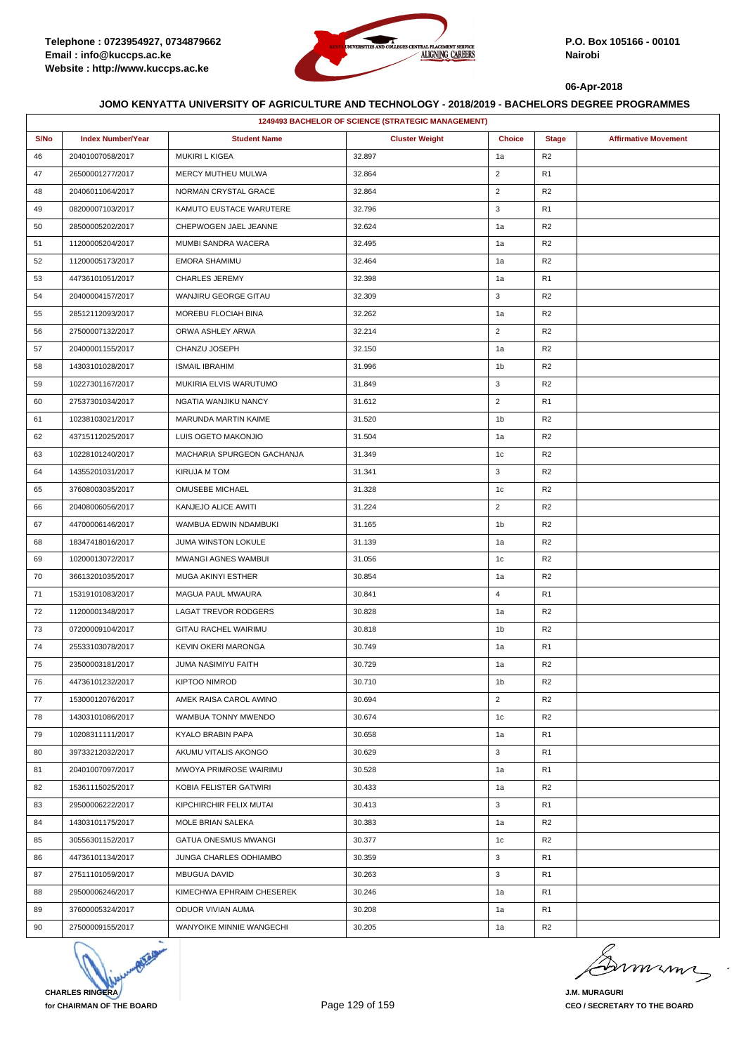

|      | 1249493 BACHELOR OF SCIENCE (STRATEGIC MANAGEMENT) |                            |                       |                |                |                             |  |  |
|------|----------------------------------------------------|----------------------------|-----------------------|----------------|----------------|-----------------------------|--|--|
| S/No | <b>Index Number/Year</b>                           | <b>Student Name</b>        | <b>Cluster Weight</b> | <b>Choice</b>  | <b>Stage</b>   | <b>Affirmative Movement</b> |  |  |
| 46   | 20401007058/2017                                   | MUKIRI L KIGEA             | 32.897                | 1a             | R <sub>2</sub> |                             |  |  |
| 47   | 26500001277/2017                                   | MERCY MUTHEU MULWA         | 32.864                | $\overline{2}$ | R <sub>1</sub> |                             |  |  |
| 48   | 20406011064/2017                                   | NORMAN CRYSTAL GRACE       | 32.864                | $\overline{2}$ | R <sub>2</sub> |                             |  |  |
| 49   | 08200007103/2017                                   | KAMUTO EUSTACE WARUTERE    | 32.796                | 3              | R <sub>1</sub> |                             |  |  |
| 50   | 28500005202/2017                                   | CHEPWOGEN JAEL JEANNE      | 32.624                | 1a             | R <sub>2</sub> |                             |  |  |
| 51   | 11200005204/2017                                   | MUMBI SANDRA WACERA        | 32.495                | 1a             | R <sub>2</sub> |                             |  |  |
| 52   | 11200005173/2017                                   | EMORA SHAMIMU              | 32.464                | 1a             | R <sub>2</sub> |                             |  |  |
| 53   | 44736101051/2017                                   | <b>CHARLES JEREMY</b>      | 32.398                | 1a             | R <sub>1</sub> |                             |  |  |
| 54   | 20400004157/2017                                   | WANJIRU GEORGE GITAU       | 32.309                | 3              | R <sub>2</sub> |                             |  |  |
| 55   | 28512112093/2017                                   | MOREBU FLOCIAH BINA        | 32.262                | 1a             | R <sub>2</sub> |                             |  |  |
| 56   | 27500007132/2017                                   | ORWA ASHLEY ARWA           | 32.214                | $\overline{2}$ | R <sub>2</sub> |                             |  |  |
| 57   | 20400001155/2017                                   | CHANZU JOSEPH              | 32.150                | 1a             | R <sub>2</sub> |                             |  |  |
| 58   | 14303101028/2017                                   | <b>ISMAIL IBRAHIM</b>      | 31.996                | 1b             | R <sub>2</sub> |                             |  |  |
| 59   | 10227301167/2017                                   | MUKIRIA ELVIS WARUTUMO     | 31.849                | 3              | R <sub>2</sub> |                             |  |  |
| 60   | 27537301034/2017                                   | NGATIA WANJIKU NANCY       | 31.612                | $\overline{2}$ | R <sub>1</sub> |                             |  |  |
| 61   | 10238103021/2017                                   | MARUNDA MARTIN KAIME       | 31.520                | 1b             | R <sub>2</sub> |                             |  |  |
| 62   | 43715112025/2017                                   | LUIS OGETO MAKONJIO        | 31.504                | 1a             | R <sub>2</sub> |                             |  |  |
| 63   | 10228101240/2017                                   | MACHARIA SPURGEON GACHANJA | 31.349                | 1c             | R <sub>2</sub> |                             |  |  |
| 64   | 14355201031/2017                                   | KIRUJA M TOM               | 31.341                | 3              | R <sub>2</sub> |                             |  |  |
| 65   | 37608003035/2017                                   | <b>OMUSEBE MICHAEL</b>     | 31.328                | 1c             | R <sub>2</sub> |                             |  |  |
| 66   | 20408006056/2017                                   | KANJEJO ALICE AWITI        | 31.224                | $\overline{2}$ | R <sub>2</sub> |                             |  |  |
| 67   | 44700006146/2017                                   | WAMBUA EDWIN NDAMBUKI      | 31.165                | 1b             | R <sub>2</sub> |                             |  |  |
| 68   | 18347418016/2017                                   | JUMA WINSTON LOKULE        | 31.139                | 1a             | R <sub>2</sub> |                             |  |  |
| 69   | 10200013072/2017                                   | MWANGI AGNES WAMBUI        | 31.056                | 1c             | R <sub>2</sub> |                             |  |  |
| 70   | 36613201035/2017                                   | MUGA AKINYI ESTHER         | 30.854                | 1a             | R <sub>2</sub> |                             |  |  |
| 71   | 15319101083/2017                                   | MAGUA PAUL MWAURA          | 30.841                | 4              | R <sub>1</sub> |                             |  |  |
| 72   | 11200001348/2017                                   | LAGAT TREVOR RODGERS       | 30.828                | 1a             | R <sub>2</sub> |                             |  |  |
| 73   | 07200009104/2017                                   | GITAU RACHEL WAIRIMU       | 30.818                | 1b             | R <sub>2</sub> |                             |  |  |
| 74   | 25533103078/2017                                   | <b>KEVIN OKERI MARONGA</b> | 30.749                | 1a             | R <sub>1</sub> |                             |  |  |
| 75   | 23500003181/2017                                   | JUMA NASIMIYU FAITH        | 30.729                | 1a             | R <sub>2</sub> |                             |  |  |
| 76   | 44736101232/2017                                   | <b>KIPTOO NIMROD</b>       | 30.710                | 1b             | R <sub>2</sub> |                             |  |  |
| 77   | 15300012076/2017                                   | AMEK RAISA CAROL AWINO     | 30.694                | $\overline{2}$ | R <sub>2</sub> |                             |  |  |
| 78   | 14303101086/2017                                   | WAMBUA TONNY MWENDO        | 30.674                | 1c             | R <sub>2</sub> |                             |  |  |
| 79   | 10208311111/2017                                   | KYALO BRABIN PAPA          | 30.658                | 1a             | R <sub>1</sub> |                             |  |  |
| 80   | 39733212032/2017                                   | AKUMU VITALIS AKONGO       | 30.629                | 3              | R <sub>1</sub> |                             |  |  |
| 81   | 20401007097/2017                                   | MWOYA PRIMROSE WAIRIMU     | 30.528                | 1a             | R <sub>1</sub> |                             |  |  |
| 82   | 15361115025/2017                                   | KOBIA FELISTER GATWIRI     | 30.433                | 1a             | R <sub>2</sub> |                             |  |  |
| 83   | 29500006222/2017                                   | KIPCHIRCHIR FELIX MUTAI    | 30.413                | 3              | R <sub>1</sub> |                             |  |  |
| 84   | 14303101175/2017                                   | MOLE BRIAN SALEKA          | 30.383                | 1a             | R <sub>2</sub> |                             |  |  |
| 85   | 30556301152/2017                                   | GATUA ONESMUS MWANGI       | 30.377                | 1c             | R <sub>2</sub> |                             |  |  |
| 86   | 44736101134/2017                                   | JUNGA CHARLES ODHIAMBO     | 30.359                | 3              | R <sub>1</sub> |                             |  |  |
| 87   | 27511101059/2017                                   | <b>MBUGUA DAVID</b>        | 30.263                | 3              | R <sub>1</sub> |                             |  |  |
| 88   | 29500006246/2017                                   | KIMECHWA EPHRAIM CHESEREK  | 30.246                | 1a             | R <sub>1</sub> |                             |  |  |
| 89   | 37600005324/2017                                   | ODUOR VIVIAN AUMA          | 30.208                | 1a             | R <sub>1</sub> |                             |  |  |
| 90   | 27500009155/2017                                   | WANYOIKE MINNIE WANGECHI   | 30.205                | 1a             | R <sub>2</sub> |                             |  |  |



murma

**J.M. MURAGURI CEO / SECRETARY TO THE BOARD**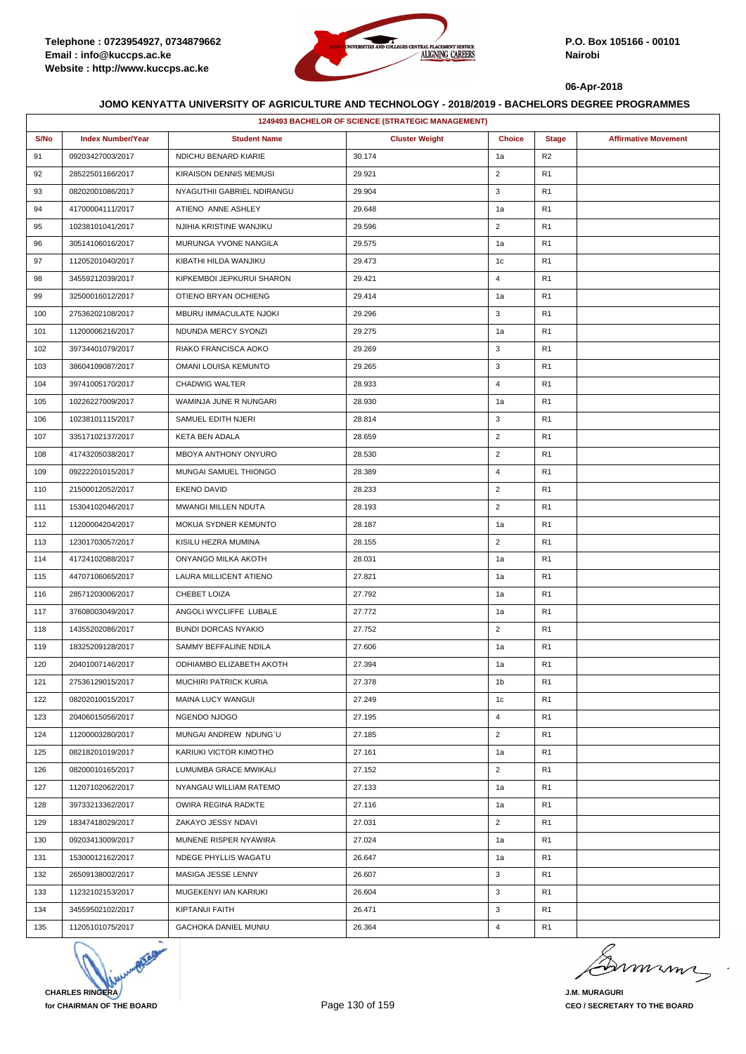

|      | <b>1249493 BACHELOR OF SCIENCE (STRATEGIC MANAGEMENT)</b> |                              |                       |                |                |                             |  |  |
|------|-----------------------------------------------------------|------------------------------|-----------------------|----------------|----------------|-----------------------------|--|--|
| S/No | <b>Index Number/Year</b>                                  | <b>Student Name</b>          | <b>Cluster Weight</b> | <b>Choice</b>  | <b>Stage</b>   | <b>Affirmative Movement</b> |  |  |
| 91   | 09203427003/2017                                          | NDICHU BENARD KIARIE         | 30.174                | 1a             | R <sub>2</sub> |                             |  |  |
| 92   | 28522501166/2017                                          | KIRAISON DENNIS MEMUSI       | 29.921                | $\overline{2}$ | R <sub>1</sub> |                             |  |  |
| 93   | 08202001086/2017                                          | NYAGUTHII GABRIEL NDIRANGU   | 29.904                | 3              | R <sub>1</sub> |                             |  |  |
| 94   | 41700004111/2017                                          | ATIENO ANNE ASHLEY           | 29.648                | 1a             | R <sub>1</sub> |                             |  |  |
| 95   | 10238101041/2017                                          | NJIHIA KRISTINE WANJIKU      | 29.596                | $\overline{2}$ | R <sub>1</sub> |                             |  |  |
| 96   | 30514106016/2017                                          | MURUNGA YVONE NANGILA        | 29.575                | 1a             | R <sub>1</sub> |                             |  |  |
| 97   | 11205201040/2017                                          | KIBATHI HILDA WANJIKU        | 29.473                | 1 <sub>c</sub> | R <sub>1</sub> |                             |  |  |
| 98   | 34559212039/2017                                          | KIPKEMBOI JEPKURUI SHARON    | 29.421                | $\overline{4}$ | R <sub>1</sub> |                             |  |  |
| 99   | 32500016012/2017                                          | OTIENO BRYAN OCHIENG         | 29.414                | 1a             | R <sub>1</sub> |                             |  |  |
| 100  | 27536202108/2017                                          | MBURU IMMACULATE NJOKI       | 29.296                | 3              | R <sub>1</sub> |                             |  |  |
| 101  | 11200006216/2017                                          | NDUNDA MERCY SYONZI          | 29.275                | 1a             | R <sub>1</sub> |                             |  |  |
| 102  | 39734401079/2017                                          | RIAKO FRANCISCA AOKO         | 29.269                | 3              | R1             |                             |  |  |
| 103  | 38604109087/2017                                          | OMANI LOUISA KEMUNTO         | 29.265                | 3              | R <sub>1</sub> |                             |  |  |
| 104  | 39741005170/2017                                          | <b>CHADWIG WALTER</b>        | 28.933                | $\overline{4}$ | R <sub>1</sub> |                             |  |  |
| 105  | 10226227009/2017                                          | WAMINJA JUNE R NUNGARI       | 28.930                | 1a             | R <sub>1</sub> |                             |  |  |
| 106  | 10238101115/2017                                          | SAMUEL EDITH NJERI           | 28.814                | 3              | R <sub>1</sub> |                             |  |  |
| 107  | 33517102137/2017                                          | KETA BEN ADALA               | 28.659                | $\overline{2}$ | R <sub>1</sub> |                             |  |  |
| 108  | 41743205038/2017                                          | MBOYA ANTHONY ONYURO         | 28.530                | $\overline{2}$ | R1             |                             |  |  |
| 109  | 09222201015/2017                                          | MUNGAI SAMUEL THIONGO        | 28.389                | $\overline{4}$ | R <sub>1</sub> |                             |  |  |
| 110  | 21500012052/2017                                          | <b>EKENO DAVID</b>           | 28.233                | $\overline{2}$ | R <sub>1</sub> |                             |  |  |
| 111  | 15304102046/2017                                          | MWANGI MILLEN NDUTA          | 28.193                | $\overline{2}$ | R <sub>1</sub> |                             |  |  |
| 112  | 11200004204/2017                                          | MOKUA SYDNER KEMUNTO         | 28.187                | 1a             | R <sub>1</sub> |                             |  |  |
| 113  | 12301703057/2017                                          | KISILU HEZRA MUMINA          | 28.155                | $\overline{2}$ | R <sub>1</sub> |                             |  |  |
| 114  | 41724102088/2017                                          | ONYANGO MILKA AKOTH          | 28.031                | 1a             | R <sub>1</sub> |                             |  |  |
| 115  | 44707106065/2017                                          | LAURA MILLICENT ATIENO       | 27.821                | 1a             | R <sub>1</sub> |                             |  |  |
| 116  | 28571203006/2017                                          | CHEBET LOIZA                 | 27.792                | 1a             | R <sub>1</sub> |                             |  |  |
| 117  | 37608003049/2017                                          | ANGOLI WYCLIFFE LUBALE       | 27.772                | 1a             | R <sub>1</sub> |                             |  |  |
| 118  | 14355202086/2017                                          | <b>BUNDI DORCAS NYAKIO</b>   | 27.752                | $\overline{2}$ | R <sub>1</sub> |                             |  |  |
| 119  | 18325209128/2017                                          | SAMMY BEFFALINE NDILA        | 27.606                | 1a             | R <sub>1</sub> |                             |  |  |
| 120  | 20401007146/2017                                          | ODHIAMBO ELIZABETH AKOTH     | 27.394                | 1a             | R <sub>1</sub> |                             |  |  |
| 121  | 27536129015/2017                                          | <b>MUCHIRI PATRICK KURIA</b> | 27.378                | 1b             | R <sub>1</sub> |                             |  |  |
| 122  | 08202010015/2017                                          | MAINA LUCY WANGUI            | 27.249                | 1c             | R <sub>1</sub> |                             |  |  |
| 123  | 20406015056/2017                                          | NGENDO NJOGO                 | 27.195                | $\overline{4}$ | R <sub>1</sub> |                             |  |  |
| 124  | 11200003280/2017                                          | MUNGAI ANDREW NDUNG'U        | 27.185                | $\overline{2}$ | R <sub>1</sub> |                             |  |  |
| 125  | 08218201019/2017                                          | KARIUKI VICTOR KIMOTHO       | 27.161                | 1a             | R <sub>1</sub> |                             |  |  |
| 126  | 08200010165/2017                                          | LUMUMBA GRACE MWIKALI        | 27.152                | $\overline{2}$ | R <sub>1</sub> |                             |  |  |
| 127  | 11207102062/2017                                          | NYANGAU WILLIAM RATEMO       | 27.133                | 1a             | R <sub>1</sub> |                             |  |  |
| 128  | 39733213362/2017                                          | OWIRA REGINA RADKTE          | 27.116                | 1a             | R <sub>1</sub> |                             |  |  |
| 129  | 18347418029/2017                                          | ZAKAYO JESSY NDAVI           | 27.031                | $\overline{2}$ | R <sub>1</sub> |                             |  |  |
| 130  | 09203413009/2017                                          | MUNENE RISPER NYAWIRA        | 27.024                | 1a             | R <sub>1</sub> |                             |  |  |
| 131  | 15300012162/2017                                          | NDEGE PHYLLIS WAGATU         | 26.647                | 1a             | R <sub>1</sub> |                             |  |  |
| 132  | 26509138002/2017                                          | MASIGA JESSE LENNY           | 26.607                | 3              | R <sub>1</sub> |                             |  |  |
| 133  | 11232102153/2017                                          | MUGEKENYI IAN KARIUKI        | 26.604                | 3              | R <sub>1</sub> |                             |  |  |
| 134  | 34559502102/2017                                          | <b>KIPTANUI FAITH</b>        | 26.471                | 3              | R <sub>1</sub> |                             |  |  |
| 135  | 11205101075/2017                                          | GACHOKA DANIEL MUNIU         | 26.364                | $\overline{4}$ | R <sub>1</sub> |                             |  |  |



murma

**J.M. MURAGURI CEO / SECRETARY TO THE BOARD**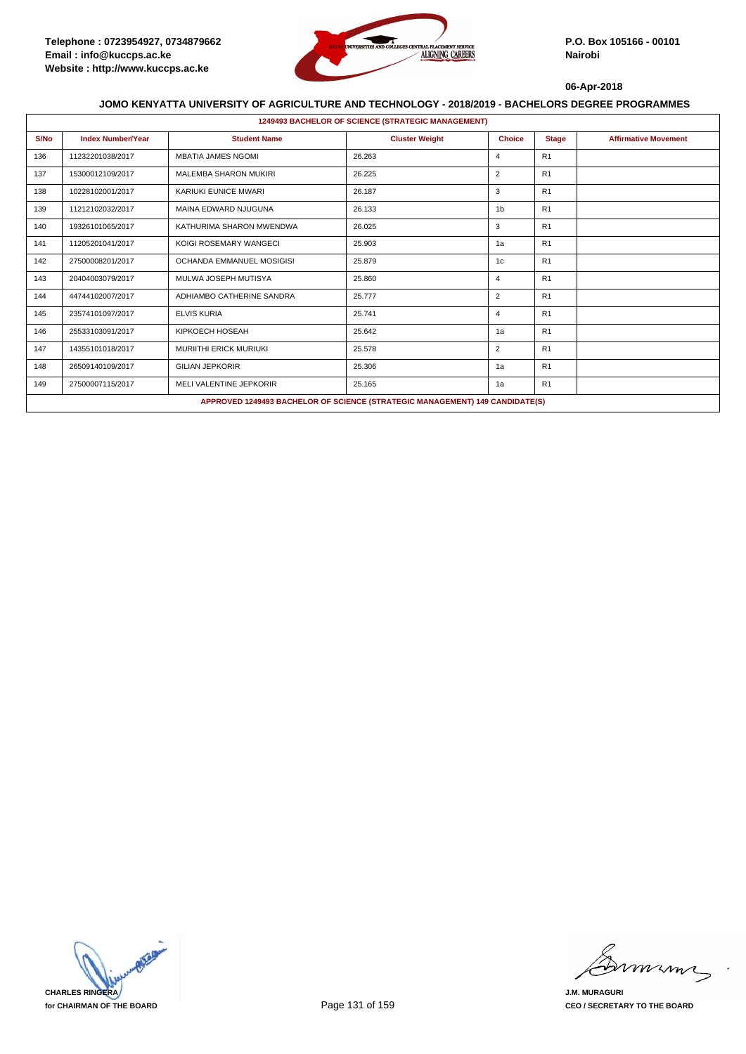

|      | <b>1249493 BACHELOR OF SCIENCE (STRATEGIC MANAGEMENT)</b> |                                |                                                                              |                |              |                             |  |  |  |
|------|-----------------------------------------------------------|--------------------------------|------------------------------------------------------------------------------|----------------|--------------|-----------------------------|--|--|--|
| S/No | <b>Index Number/Year</b>                                  | <b>Student Name</b>            | <b>Cluster Weight</b>                                                        | <b>Choice</b>  | <b>Stage</b> | <b>Affirmative Movement</b> |  |  |  |
| 136  | 11232201038/2017                                          | <b>MBATIA JAMES NGOMI</b>      | 26.263                                                                       | $\overline{4}$ | R1           |                             |  |  |  |
| 137  | 15300012109/2017                                          | <b>MALEMBA SHARON MUKIRI</b>   | 26.225                                                                       | $\overline{2}$ | R1           |                             |  |  |  |
| 138  | 10228102001/2017                                          | KARIUKI EUNICE MWARI           | 26.187                                                                       | 3              | R1           |                             |  |  |  |
| 139  | 11212102032/2017                                          | MAINA EDWARD NJUGUNA           | 26.133                                                                       | 1 <sub>b</sub> | R1           |                             |  |  |  |
| 140  | 19326101065/2017                                          | KATHURIMA SHARON MWENDWA       | 26.025                                                                       | 3              | R1           |                             |  |  |  |
| 141  | 11205201041/2017                                          | KOIGI ROSEMARY WANGECI         | 25.903                                                                       | 1a             | R1           |                             |  |  |  |
| 142  | 27500008201/2017                                          | OCHANDA EMMANUEL MOSIGISI      | 25.879                                                                       | 1c             | R1           |                             |  |  |  |
| 143  | 20404003079/2017                                          | MULWA JOSEPH MUTISYA           | 25.860                                                                       | $\overline{4}$ | R1           |                             |  |  |  |
| 144  | 44744102007/2017                                          | ADHIAMBO CATHERINE SANDRA      | 25.777                                                                       | $\overline{2}$ | R1           |                             |  |  |  |
| 145  | 23574101097/2017                                          | <b>ELVIS KURIA</b>             | 25.741                                                                       | $\overline{4}$ | R1           |                             |  |  |  |
| 146  | 25533103091/2017                                          | KIPKOECH HOSEAH                | 25.642                                                                       | 1a             | R1           |                             |  |  |  |
| 147  | 14355101018/2017                                          | <b>MURIITHI ERICK MURIUKI</b>  | 25.578                                                                       | $\overline{2}$ | R1           |                             |  |  |  |
| 148  | 26509140109/2017                                          | <b>GILIAN JEPKORIR</b>         | 25.306                                                                       | 1a             | R1           |                             |  |  |  |
| 149  | 27500007115/2017                                          | <b>MELI VALENTINE JEPKORIR</b> | 25.165                                                                       | 1a             | R1           |                             |  |  |  |
|      |                                                           |                                | APPROVED 1249493 BACHELOR OF SCIENCE (STRATEGIC MANAGEMENT) 149 CANDIDATE(S) |                |              |                             |  |  |  |



mmmn

**J.M. MURAGURI CEO / SECRETARY TO THE BOARD**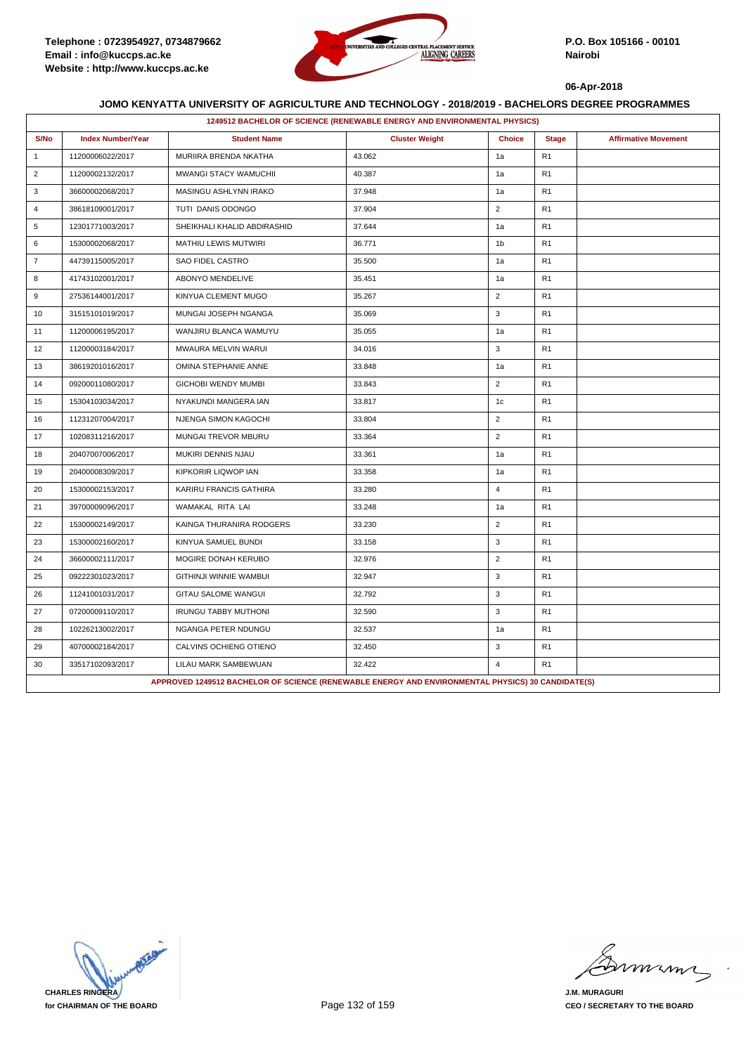

|                | 1249512 BACHELOR OF SCIENCE (RENEWABLE ENERGY AND ENVIRONMENTAL PHYSICS) |                                                                                                   |                       |                |                |                             |  |  |
|----------------|--------------------------------------------------------------------------|---------------------------------------------------------------------------------------------------|-----------------------|----------------|----------------|-----------------------------|--|--|
| S/No           | <b>Index Number/Year</b>                                                 | <b>Student Name</b>                                                                               | <b>Cluster Weight</b> | <b>Choice</b>  | <b>Stage</b>   | <b>Affirmative Movement</b> |  |  |
| $\mathbf{1}$   | 11200006022/2017                                                         | MURIIRA BRENDA NKATHA                                                                             | 43.062                | 1a             | R <sub>1</sub> |                             |  |  |
| $\overline{2}$ | 11200002132/2017                                                         | MWANGI STACY WAMUCHII                                                                             | 40.387                | 1a             | R <sub>1</sub> |                             |  |  |
| 3              | 36600002068/2017                                                         | MASINGU ASHLYNN IRAKO                                                                             | 37.948                | 1a             | R <sub>1</sub> |                             |  |  |
| $\overline{4}$ | 38618109001/2017                                                         | TUTI DANIS ODONGO                                                                                 | 37.904                | $\overline{2}$ | R <sub>1</sub> |                             |  |  |
| 5              | 12301771003/2017                                                         | SHEIKHALI KHALID ABDIRASHID                                                                       | 37.644                | 1a             | R <sub>1</sub> |                             |  |  |
| 6              | 15300002068/2017                                                         | MATHIU LEWIS MUTWIRI                                                                              | 36.771                | 1 <sub>b</sub> | R <sub>1</sub> |                             |  |  |
| $\overline{7}$ | 44739115005/2017                                                         | SAO FIDEL CASTRO                                                                                  | 35.500                | 1a             | R <sub>1</sub> |                             |  |  |
| 8              | 41743102001/2017                                                         | ABONYO MENDELIVE                                                                                  | 35.451                | 1a             | R <sub>1</sub> |                             |  |  |
| 9              | 27536144001/2017                                                         | KINYUA CLEMENT MUGO                                                                               | 35.267                | $\overline{2}$ | R <sub>1</sub> |                             |  |  |
| 10             | 31515101019/2017                                                         | MUNGAI JOSEPH NGANGA                                                                              | 35.069                | 3              | R1             |                             |  |  |
| 11             | 11200006195/2017                                                         | WANJIRU BLANCA WAMUYU                                                                             | 35.055                | 1a             | R <sub>1</sub> |                             |  |  |
| 12             | 11200003184/2017                                                         | MWAURA MELVIN WARUI                                                                               | 34.016                | 3              | R <sub>1</sub> |                             |  |  |
| 13             | 38619201016/2017                                                         | OMINA STEPHANIE ANNE                                                                              | 33.848                | 1a             | R <sub>1</sub> |                             |  |  |
| 14             | 09200011080/2017                                                         | <b>GICHOBI WENDY MUMBI</b>                                                                        | 33.843                | $\overline{2}$ | R <sub>1</sub> |                             |  |  |
| 15             | 15304103034/2017                                                         | NYAKUNDI MANGERA IAN                                                                              | 33.817                | 1c             | R <sub>1</sub> |                             |  |  |
| 16             | 11231207004/2017                                                         | NJENGA SIMON KAGOCHI                                                                              | 33.804                | $\overline{2}$ | R <sub>1</sub> |                             |  |  |
| 17             | 10208311216/2017                                                         | MUNGAI TREVOR MBURU                                                                               | 33.364                | $\overline{2}$ | R <sub>1</sub> |                             |  |  |
| 18             | 20407007006/2017                                                         | MUKIRI DENNIS NJAU                                                                                | 33.361                | 1a             | R <sub>1</sub> |                             |  |  |
| 19             | 20400008309/2017                                                         | KIPKORIR LIQWOP IAN                                                                               | 33.358                | 1a             | R <sub>1</sub> |                             |  |  |
| 20             | 15300002153/2017                                                         | KARIRU FRANCIS GATHIRA                                                                            | 33.280                | $\overline{4}$ | R <sub>1</sub> |                             |  |  |
| 21             | 39700009096/2017                                                         | WAMAKAL RITA LAI                                                                                  | 33.248                | 1a             | R <sub>1</sub> |                             |  |  |
| 22             | 15300002149/2017                                                         | KAINGA THURANIRA RODGERS                                                                          | 33.230                | $\overline{2}$ | R <sub>1</sub> |                             |  |  |
| 23             | 15300002160/2017                                                         | KINYUA SAMUEL BUNDI                                                                               | 33.158                | 3              | R <sub>1</sub> |                             |  |  |
| 24             | 36600002111/2017                                                         | MOGIRE DONAH KERUBO                                                                               | 32.976                | $\overline{2}$ | R <sub>1</sub> |                             |  |  |
| 25             | 09222301023/2017                                                         | GITHINJI WINNIE WAMBUI                                                                            | 32.947                | 3              | R <sub>1</sub> |                             |  |  |
| 26             | 11241001031/2017                                                         | GITAU SALOME WANGUI                                                                               | 32.792                | 3              | R <sub>1</sub> |                             |  |  |
| 27             | 07200009110/2017                                                         | <b>IRUNGU TABBY MUTHONI</b>                                                                       | 32.590                | 3              | R <sub>1</sub> |                             |  |  |
| 28             | 10226213002/2017                                                         | NGANGA PETER NDUNGU                                                                               | 32.537                | 1a             | R <sub>1</sub> |                             |  |  |
| 29             | 40700002184/2017                                                         | CALVINS OCHIENG OTIENO                                                                            | 32.450                | 3              | R <sub>1</sub> |                             |  |  |
| 30             | 33517102093/2017                                                         | LILAU MARK SAMBEWUAN                                                                              | 32.422                | $\overline{4}$ | R <sub>1</sub> |                             |  |  |
|                |                                                                          | APPROVED 1249512 BACHELOR OF SCIENCE (RENEWABLE ENERGY AND ENVIRONMENTAL PHYSICS) 30 CANDIDATE(S) |                       |                |                |                             |  |  |

**CHARLES RINGERA for CHAIRMAN OF THE BOARD**

miming

**J.M. MURAGURI CEO / SECRETARY TO THE BOARD**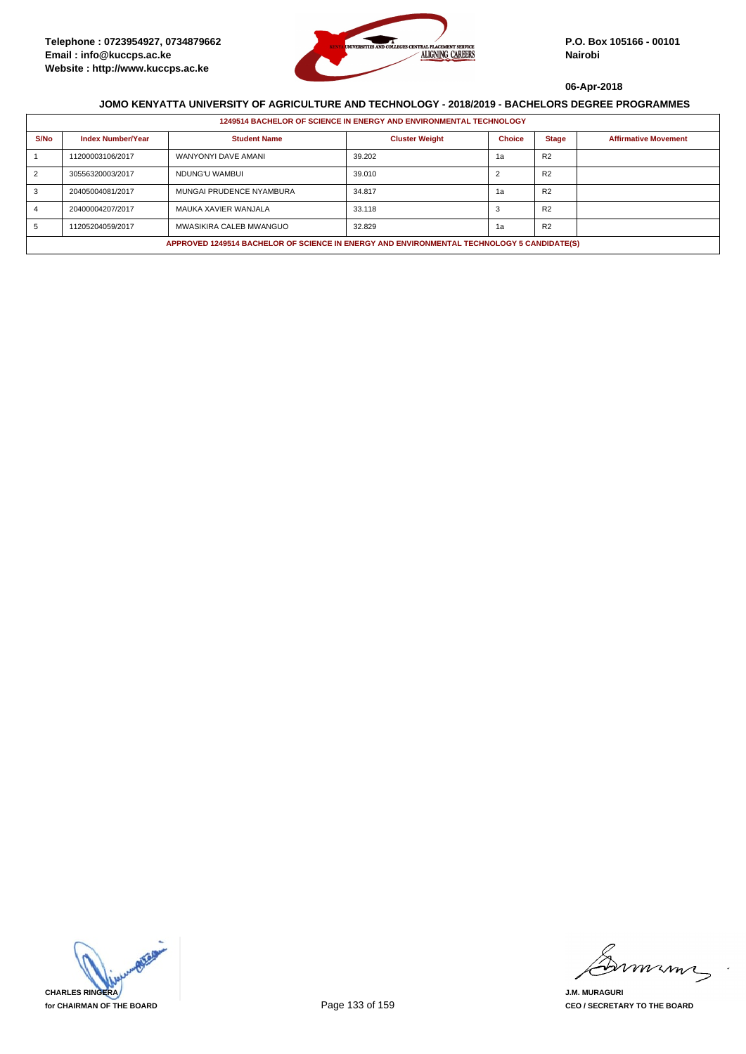

|      | 1249514 BACHELOR OF SCIENCE IN ENERGY AND ENVIRONMENTAL TECHNOLOGY                         |                          |                       |               |                |                             |  |  |  |
|------|--------------------------------------------------------------------------------------------|--------------------------|-----------------------|---------------|----------------|-----------------------------|--|--|--|
| S/No | <b>Index Number/Year</b>                                                                   | <b>Student Name</b>      | <b>Cluster Weight</b> | <b>Choice</b> | <b>Stage</b>   | <b>Affirmative Movement</b> |  |  |  |
|      | 11200003106/2017                                                                           | WANYONYI DAVE AMANI      | 39.202                | 1a            | R <sub>2</sub> |                             |  |  |  |
|      | 30556320003/2017                                                                           | NDUNG'U WAMBUI           | 39.010                |               | R <sub>2</sub> |                             |  |  |  |
|      | 20405004081/2017                                                                           | MUNGAI PRUDENCE NYAMBURA | 34.817                | 1a            | R <sub>2</sub> |                             |  |  |  |
|      | 20400004207/2017                                                                           | MAUKA XAVIER WANJALA     | 33.118                |               | R <sub>2</sub> |                             |  |  |  |
|      | 11205204059/2017                                                                           | MWASIKIRA CALEB MWANGUO  | 32.829                | 1a            | R <sub>2</sub> |                             |  |  |  |
|      | APPROVED 1249514 BACHELOR OF SCIENCE IN ENERGY AND ENVIRONMENTAL TECHNOLOGY 5 CANDIDATE(S) |                          |                       |               |                |                             |  |  |  |



mmmn

**J.M. MURAGURI CEO / SECRETARY TO THE BOARD**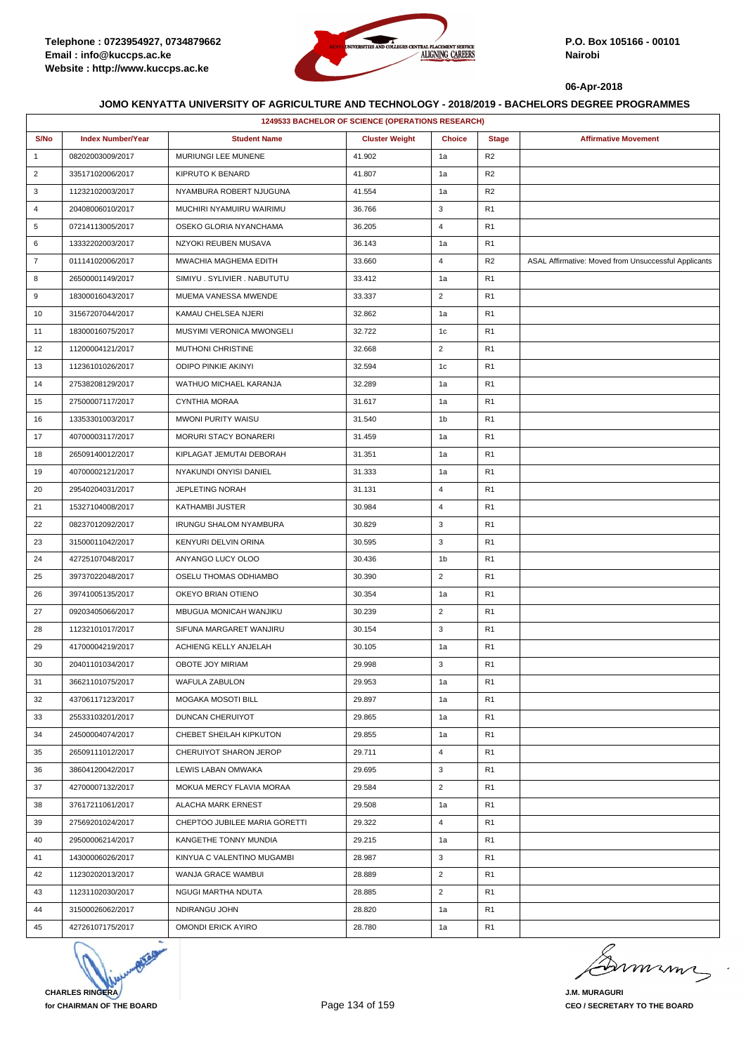

|                | 1249533 BACHELOR OF SCIENCE (OPERATIONS RESEARCH) |                               |                       |                |                |                                                      |  |
|----------------|---------------------------------------------------|-------------------------------|-----------------------|----------------|----------------|------------------------------------------------------|--|
| S/No           | <b>Index Number/Year</b>                          | <b>Student Name</b>           | <b>Cluster Weight</b> | <b>Choice</b>  | <b>Stage</b>   | <b>Affirmative Movement</b>                          |  |
| $\mathbf{1}$   | 08202003009/2017                                  | MURIUNGI LEE MUNENE           | 41.902                | 1a             | R <sub>2</sub> |                                                      |  |
| $\overline{2}$ | 33517102006/2017                                  | KIPRUTO K BENARD              | 41.807                | 1a             | R2             |                                                      |  |
| 3              | 11232102003/2017                                  | NYAMBURA ROBERT NJUGUNA       | 41.554                | 1a             | R <sub>2</sub> |                                                      |  |
| 4              | 20408006010/2017                                  | MUCHIRI NYAMUIRU WAIRIMU      | 36.766                | 3              | R <sub>1</sub> |                                                      |  |
| 5              | 07214113005/2017                                  | OSEKO GLORIA NYANCHAMA        | 36.205                | $\overline{4}$ | R <sub>1</sub> |                                                      |  |
| 6              | 13332202003/2017                                  | NZYOKI REUBEN MUSAVA          | 36.143                | 1a             | R1             |                                                      |  |
| $\overline{7}$ | 01114102006/2017                                  | MWACHIA MAGHEMA EDITH         | 33.660                | $\overline{4}$ | R2             | ASAL Affirmative: Moved from Unsuccessful Applicants |  |
| 8              | 26500001149/2017                                  | SIMIYU. SYLIVIER. NABUTUTU    | 33.412                | 1a             | R <sub>1</sub> |                                                      |  |
| 9              | 18300016043/2017                                  | MUEMA VANESSA MWENDE          | 33.337                | $\overline{2}$ | R <sub>1</sub> |                                                      |  |
| 10             | 31567207044/2017                                  | KAMAU CHELSEA NJERI           | 32.862                | 1a             | R <sub>1</sub> |                                                      |  |
| 11             | 18300016075/2017                                  | MUSYIMI VERONICA MWONGELI     | 32.722                | 1c             | R <sub>1</sub> |                                                      |  |
| 12             | 11200004121/2017                                  | <b>MUTHONI CHRISTINE</b>      | 32.668                | $\overline{2}$ | R1             |                                                      |  |
| 13             | 11236101026/2017                                  | <b>ODIPO PINKIE AKINYI</b>    | 32.594                | 1 <sub>c</sub> | R <sub>1</sub> |                                                      |  |
| 14             | 27538208129/2017                                  | WATHUO MICHAEL KARANJA        | 32.289                | 1a             | R <sub>1</sub> |                                                      |  |
| 15             | 27500007117/2017                                  | CYNTHIA MORAA                 | 31.617                | 1a             | R <sub>1</sub> |                                                      |  |
| 16             | 13353301003/2017                                  | MWONI PURITY WAISU            | 31.540                | 1b             | R <sub>1</sub> |                                                      |  |
| 17             | 40700003117/2017                                  | <b>MORURI STACY BONARERI</b>  | 31.459                | 1a             | R <sub>1</sub> |                                                      |  |
| 18             | 26509140012/2017                                  | KIPLAGAT JEMUTAI DEBORAH      | 31.351                | 1a             | R <sub>1</sub> |                                                      |  |
| 19             | 40700002121/2017                                  | NYAKUNDI ONYISI DANIEL        | 31.333                | 1a             | R <sub>1</sub> |                                                      |  |
| 20             | 29540204031/2017                                  | <b>JEPLETING NORAH</b>        | 31.131                | $\overline{4}$ | R <sub>1</sub> |                                                      |  |
| 21             | 15327104008/2017                                  | KATHAMBI JUSTER               | 30.984                | $\overline{4}$ | R <sub>1</sub> |                                                      |  |
| 22             | 08237012092/2017                                  | <b>IRUNGU SHALOM NYAMBURA</b> | 30.829                | 3              | R <sub>1</sub> |                                                      |  |
| 23             | 31500011042/2017                                  | KENYURI DELVIN ORINA          | 30.595                | 3              | R <sub>1</sub> |                                                      |  |
| 24             | 42725107048/2017                                  | ANYANGO LUCY OLOO             | 30.436                | 1 <sub>b</sub> | R1             |                                                      |  |
| 25             | 39737022048/2017                                  | OSELU THOMAS ODHIAMBO         | 30.390                | $\overline{2}$ | R <sub>1</sub> |                                                      |  |
| 26             | 39741005135/2017                                  | OKEYO BRIAN OTIENO            | 30.354                | 1a             | R <sub>1</sub> |                                                      |  |
| 27             | 09203405066/2017                                  | MBUGUA MONICAH WANJIKU        | 30.239                | $\overline{2}$ | R <sub>1</sub> |                                                      |  |
| 28             | 11232101017/2017                                  | SIFUNA MARGARET WANJIRU       | 30.154                | 3              | R <sub>1</sub> |                                                      |  |
| 29             | 41700004219/2017                                  | ACHIENG KELLY ANJELAH         | 30.105                | 1a             | R <sub>1</sub> |                                                      |  |
| 30             | 20401101034/2017                                  | OBOTE JOY MIRIAM              | 29.998                | 3              | R <sub>1</sub> |                                                      |  |
| 31             | 36621101075/2017                                  | <b>WAFULA ZABULON</b>         | 29.953                | 1a             | R1             |                                                      |  |
| 32             | 43706117123/2017                                  | MOGAKA MOSOTI BILL            | 29.897                | 1a             | R <sub>1</sub> |                                                      |  |
| 33             | 25533103201/2017                                  | DUNCAN CHERUIYOT              | 29.865                | 1a             | R1             |                                                      |  |
| 34             | 24500004074/2017                                  | CHEBET SHEILAH KIPKUTON       | 29.855                | 1a             | R1             |                                                      |  |
| 35             | 26509111012/2017                                  | CHERUIYOT SHARON JEROP        | 29.711                | $\overline{4}$ | R <sub>1</sub> |                                                      |  |
| 36             | 38604120042/2017                                  | LEWIS LABAN OMWAKA            | 29.695                | 3              | R1             |                                                      |  |
| 37             | 42700007132/2017                                  | MOKUA MERCY FLAVIA MORAA      | 29.584                | $\overline{2}$ | R <sub>1</sub> |                                                      |  |
| 38             | 37617211061/2017                                  | ALACHA MARK ERNEST            | 29.508                | 1a             | R <sub>1</sub> |                                                      |  |
| 39             | 27569201024/2017                                  | CHEPTOO JUBILEE MARIA GORETTI | 29.322                | $\overline{4}$ | R1             |                                                      |  |
| 40             | 29500006214/2017                                  | KANGETHE TONNY MUNDIA         | 29.215                | 1a             | R <sub>1</sub> |                                                      |  |
| 41             | 14300006026/2017                                  | KINYUA C VALENTINO MUGAMBI    | 28.987                | 3              | R <sub>1</sub> |                                                      |  |
| 42             | 11230202013/2017                                  | WANJA GRACE WAMBUI            | 28.889                | $\overline{2}$ | R1             |                                                      |  |
| 43             | 11231102030/2017                                  | NGUGI MARTHA NDUTA            | 28.885                | $\overline{2}$ | R <sub>1</sub> |                                                      |  |
| 44             | 31500026062/2017                                  | NDIRANGU JOHN                 | 28.820                | 1a             | R <sub>1</sub> |                                                      |  |
| 45             | 42726107175/2017                                  | <b>OMONDI ERICK AYIRO</b>     | 28.780                | 1a             | R1             |                                                      |  |



mumi

**J.M. MURAGURI CEO / SECRETARY TO THE BOARD**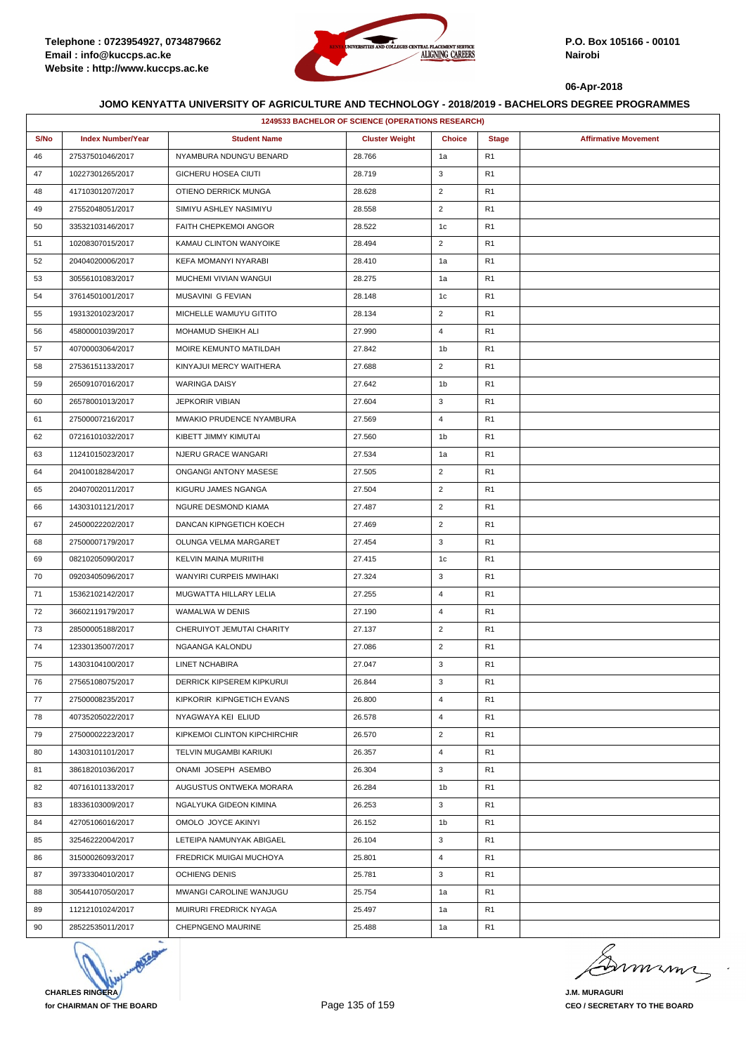

|      | 1249533 BACHELOR OF SCIENCE (OPERATIONS RESEARCH) |                              |                       |                |                |                             |  |  |
|------|---------------------------------------------------|------------------------------|-----------------------|----------------|----------------|-----------------------------|--|--|
| S/No | <b>Index Number/Year</b>                          | <b>Student Name</b>          | <b>Cluster Weight</b> | <b>Choice</b>  | <b>Stage</b>   | <b>Affirmative Movement</b> |  |  |
| 46   | 27537501046/2017                                  | NYAMBURA NDUNG'U BENARD      | 28.766                | 1a             | R <sub>1</sub> |                             |  |  |
| 47   | 10227301265/2017                                  | GICHERU HOSEA CIUTI          | 28.719                | 3              | R <sub>1</sub> |                             |  |  |
| 48   | 41710301207/2017                                  | OTIENO DERRICK MUNGA         | 28.628                | $\overline{2}$ | R <sub>1</sub> |                             |  |  |
| 49   | 27552048051/2017                                  | SIMIYU ASHLEY NASIMIYU       | 28.558                | $\overline{2}$ | R <sub>1</sub> |                             |  |  |
| 50   | 33532103146/2017                                  | FAITH CHEPKEMOI ANGOR        | 28.522                | 1c             | R <sub>1</sub> |                             |  |  |
| 51   | 10208307015/2017                                  | KAMAU CLINTON WANYOIKE       | 28.494                | $\overline{2}$ | R <sub>1</sub> |                             |  |  |
| 52   | 20404020006/2017                                  | KEFA MOMANYI NYARABI         | 28.410                | 1a             | R <sub>1</sub> |                             |  |  |
| 53   | 30556101083/2017                                  | MUCHEMI VIVIAN WANGUI        | 28.275                | 1a             | R <sub>1</sub> |                             |  |  |
| 54   | 37614501001/2017                                  | MUSAVINI G FEVIAN            | 28.148                | 1c             | R <sub>1</sub> |                             |  |  |
| 55   | 19313201023/2017                                  | MICHELLE WAMUYU GITITO       | 28.134                | $\overline{2}$ | R <sub>1</sub> |                             |  |  |
| 56   | 45800001039/2017                                  | MOHAMUD SHEIKH ALI           | 27.990                | $\overline{4}$ | R <sub>1</sub> |                             |  |  |
| 57   | 40700003064/2017                                  | MOIRE KEMUNTO MATILDAH       | 27.842                | 1 <sub>b</sub> | R <sub>1</sub> |                             |  |  |
| 58   | 27536151133/2017                                  | KINYAJUI MERCY WAITHERA      | 27.688                | $\overline{2}$ | R <sub>1</sub> |                             |  |  |
| 59   | 26509107016/2017                                  | <b>WARINGA DAISY</b>         | 27.642                | 1b             | R <sub>1</sub> |                             |  |  |
| 60   | 26578001013/2017                                  | <b>JEPKORIR VIBIAN</b>       | 27.604                | 3              | R <sub>1</sub> |                             |  |  |
| 61   | 27500007216/2017                                  | MWAKIO PRUDENCE NYAMBURA     | 27.569                | 4              | R <sub>1</sub> |                             |  |  |
| 62   | 07216101032/2017                                  | KIBETT JIMMY KIMUTAI         | 27.560                | 1b             | R <sub>1</sub> |                             |  |  |
| 63   | 11241015023/2017                                  | NJERU GRACE WANGARI          | 27.534                | 1a             | R <sub>1</sub> |                             |  |  |
| 64   | 20410018284/2017                                  | ONGANGI ANTONY MASESE        | 27.505                | $\overline{2}$ | R <sub>1</sub> |                             |  |  |
| 65   | 20407002011/2017                                  | KIGURU JAMES NGANGA          | 27.504                | $\overline{2}$ | R <sub>1</sub> |                             |  |  |
| 66   | 14303101121/2017                                  | NGURE DESMOND KIAMA          | 27.487                | $\overline{2}$ | R <sub>1</sub> |                             |  |  |
| 67   | 24500022202/2017                                  | DANCAN KIPNGETICH KOECH      | 27.469                | $\overline{2}$ | R <sub>1</sub> |                             |  |  |
| 68   | 27500007179/2017                                  | OLUNGA VELMA MARGARET        | 27.454                | 3              | R <sub>1</sub> |                             |  |  |
| 69   | 08210205090/2017                                  | KELVIN MAINA MURIITHI        | 27.415                | 1c             | R <sub>1</sub> |                             |  |  |
| 70   | 09203405096/2017                                  | WANYIRI CURPEIS MWIHAKI      | 27.324                | 3              | R <sub>1</sub> |                             |  |  |
| 71   | 15362102142/2017                                  | MUGWATTA HILLARY LELIA       | 27.255                | 4              | R <sub>1</sub> |                             |  |  |
| 72   | 36602119179/2017                                  | WAMALWA W DENIS              | 27.190                | $\overline{4}$ | R <sub>1</sub> |                             |  |  |
| 73   | 28500005188/2017                                  | CHERUIYOT JEMUTAI CHARITY    | 27.137                | $\overline{2}$ | R <sub>1</sub> |                             |  |  |
| 74   | 12330135007/2017                                  | NGAANGA KALONDU              | 27.086                | $\overline{2}$ | R <sub>1</sub> |                             |  |  |
| 75   | 14303104100/2017                                  | LINET NCHABIRA               | 27.047                | 3              | R <sub>1</sub> |                             |  |  |
| 76   | 27565108075/2017                                  | DERRICK KIPSEREM KIPKURUI    | 26.844                | 3              | R <sub>1</sub> |                             |  |  |
| 77   | 27500008235/2017                                  | KIPKORIR KIPNGETICH EVANS    | 26.800                | 4              | R <sub>1</sub> |                             |  |  |
| 78   | 40735205022/2017                                  | NYAGWAYA KEI ELIUD           | 26.578                | 4              | R <sub>1</sub> |                             |  |  |
| 79   | 27500002223/2017                                  | KIPKEMOI CLINTON KIPCHIRCHIR | 26.570                | $\overline{2}$ | R1             |                             |  |  |
| 80   | 14303101101/2017                                  | TELVIN MUGAMBI KARIUKI       | 26.357                | 4              | R <sub>1</sub> |                             |  |  |
| 81   | 38618201036/2017                                  | ONAMI JOSEPH ASEMBO          | 26.304                | 3              | R <sub>1</sub> |                             |  |  |
| 82   | 40716101133/2017                                  | AUGUSTUS ONTWEKA MORARA      | 26.284                | 1b             | R <sub>1</sub> |                             |  |  |
| 83   | 18336103009/2017                                  | NGALYUKA GIDEON KIMINA       | 26.253                | 3              | R <sub>1</sub> |                             |  |  |
| 84   | 42705106016/2017                                  | OMOLO JOYCE AKINYI           | 26.152                | 1b             | R <sub>1</sub> |                             |  |  |
| 85   | 32546222004/2017                                  | LETEIPA NAMUNYAK ABIGAEL     | 26.104                | 3              | R <sub>1</sub> |                             |  |  |
| 86   | 31500026093/2017                                  | FREDRICK MUIGAI MUCHOYA      | 25.801                | 4              | R <sub>1</sub> |                             |  |  |
| 87   | 39733304010/2017                                  | <b>OCHIENG DENIS</b>         | 25.781                | 3              | R <sub>1</sub> |                             |  |  |
| 88   | 30544107050/2017                                  | MWANGI CAROLINE WANJUGU      | 25.754                | 1a             | R <sub>1</sub> |                             |  |  |
| 89   | 11212101024/2017                                  | MUIRURI FREDRICK NYAGA       | 25.497                | 1a             | R <sub>1</sub> |                             |  |  |
| 90   | 28522535011/2017                                  | CHEPNGENO MAURINE            | 25.488                | 1a             | R <sub>1</sub> |                             |  |  |



murma

**J.M. MURAGURI CEO / SECRETARY TO THE BOARD**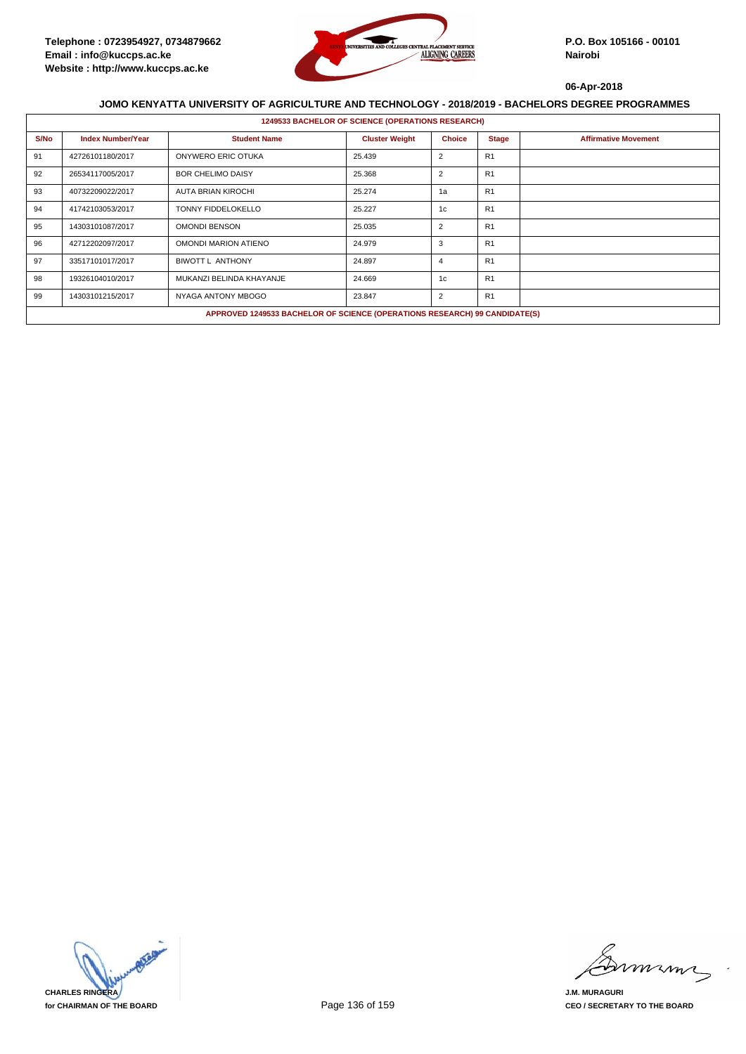

|      | <b>1249533 BACHELOR OF SCIENCE (OPERATIONS RESEARCH)</b> |                                                                            |                       |                |                |                             |  |  |  |
|------|----------------------------------------------------------|----------------------------------------------------------------------------|-----------------------|----------------|----------------|-----------------------------|--|--|--|
| S/No | <b>Index Number/Year</b>                                 | <b>Student Name</b>                                                        | <b>Cluster Weight</b> | <b>Choice</b>  | <b>Stage</b>   | <b>Affirmative Movement</b> |  |  |  |
| 91   | 42726101180/2017                                         | ONYWERO ERIC OTUKA                                                         | 25.439                | $\overline{2}$ | R <sub>1</sub> |                             |  |  |  |
| 92   | 26534117005/2017                                         | <b>BOR CHELIMO DAISY</b>                                                   | 25.368                | $\overline{2}$ | R <sub>1</sub> |                             |  |  |  |
| 93   | 40732209022/2017                                         | <b>AUTA BRIAN KIROCHI</b>                                                  | 25.274                | 1a             | R <sub>1</sub> |                             |  |  |  |
| 94   | 41742103053/2017                                         | <b>TONNY FIDDELOKELLO</b>                                                  | 25.227                | 1c             | R <sub>1</sub> |                             |  |  |  |
| 95   | 14303101087/2017                                         | <b>OMONDI BENSON</b>                                                       | 25.035                | $\overline{2}$ | R <sub>1</sub> |                             |  |  |  |
| 96   | 42712202097/2017                                         | <b>OMONDI MARION ATIENO</b>                                                | 24.979                | 3              | R <sub>1</sub> |                             |  |  |  |
| 97   | 33517101017/2017                                         | <b>BIWOTT L ANTHONY</b>                                                    | 24.897                | $\overline{4}$ | R <sub>1</sub> |                             |  |  |  |
| 98   | 19326104010/2017                                         | MUKANZI BELINDA KHAYANJE                                                   | 24.669                | 1c             | R <sub>1</sub> |                             |  |  |  |
| 99   | 14303101215/2017                                         | NYAGA ANTONY MBOGO                                                         | 23.847                | $\overline{2}$ | R <sub>1</sub> |                             |  |  |  |
|      |                                                          | APPROVED 1249533 BACHELOR OF SCIENCE (OPERATIONS RESEARCH) 99 CANDIDATE(S) |                       |                |                |                             |  |  |  |



mmmm

**J.M. MURAGURI CEO / SECRETARY TO THE BOARD**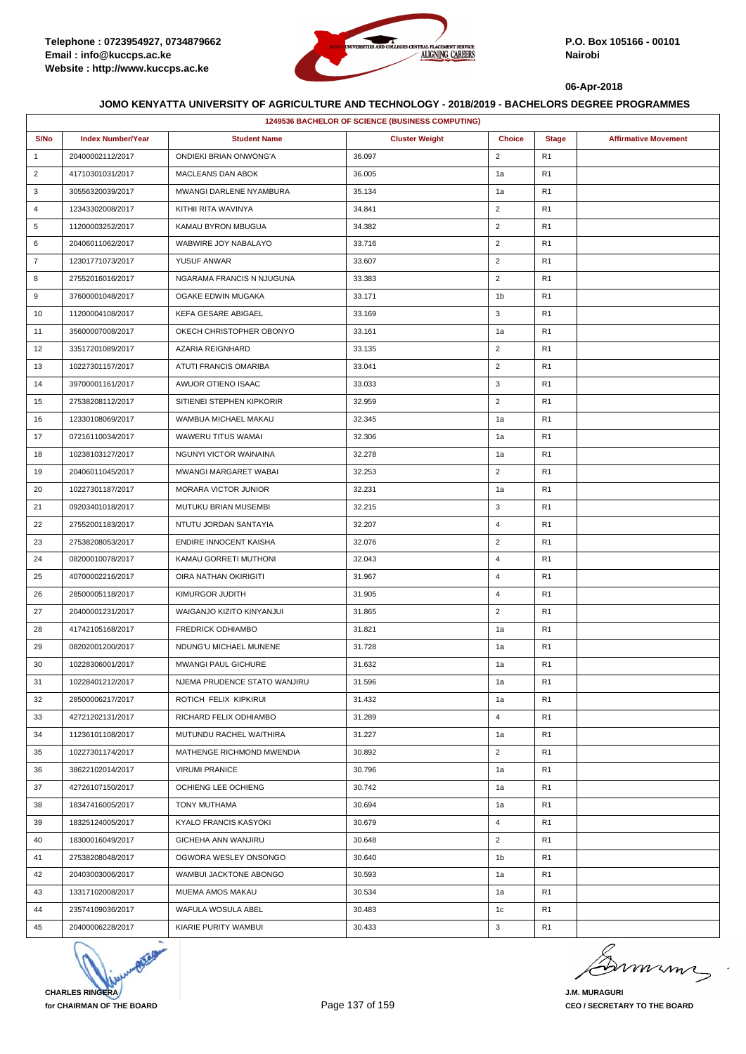

| 1249536 BACHELOR OF SCIENCE (BUSINESS COMPUTING) |                          |                               |                       |                |                |                             |  |
|--------------------------------------------------|--------------------------|-------------------------------|-----------------------|----------------|----------------|-----------------------------|--|
| S/No                                             | <b>Index Number/Year</b> | <b>Student Name</b>           | <b>Cluster Weight</b> | <b>Choice</b>  | <b>Stage</b>   | <b>Affirmative Movement</b> |  |
| $\mathbf{1}$                                     | 20400002112/2017         | ONDIEKI BRIAN ONWONG'A        | 36.097                | $\overline{2}$ | R <sub>1</sub> |                             |  |
| $\overline{2}$                                   | 41710301031/2017         | MACLEANS DAN ABOK             | 36.005                | 1a             | R <sub>1</sub> |                             |  |
| 3                                                | 30556320039/2017         | MWANGI DARLENE NYAMBURA       | 35.134                | 1a             | R <sub>1</sub> |                             |  |
| 4                                                | 12343302008/2017         | KITHII RITA WAVINYA           | 34.841                | $\overline{2}$ | R <sub>1</sub> |                             |  |
| 5                                                | 11200003252/2017         | KAMAU BYRON MBUGUA            | 34.382                | $\overline{2}$ | R <sub>1</sub> |                             |  |
| 6                                                | 20406011062/2017         | WABWIRE JOY NABALAYO          | 33.716                | $\overline{2}$ | R <sub>1</sub> |                             |  |
| $\overline{7}$                                   | 12301771073/2017         | YUSUF ANWAR                   | 33.607                | $\overline{2}$ | R <sub>1</sub> |                             |  |
| 8                                                | 27552016016/2017         | NGARAMA FRANCIS N NJUGUNA     | 33.383                | $\overline{2}$ | R <sub>1</sub> |                             |  |
| 9                                                | 37600001048/2017         | OGAKE EDWIN MUGAKA            | 33.171                | 1b             | R1             |                             |  |
| 10                                               | 11200004108/2017         | KEFA GESARE ABIGAEL           | 33.169                | 3              | R <sub>1</sub> |                             |  |
| 11                                               | 35600007008/2017         | OKECH CHRISTOPHER OBONYO      | 33.161                | 1a             | R <sub>1</sub> |                             |  |
| 12                                               | 33517201089/2017         | AZARIA REIGNHARD              | 33.135                | $\overline{2}$ | R <sub>1</sub> |                             |  |
| 13                                               | 10227301157/2017         | ATUTI FRANCIS OMARIBA         | 33.041                | $\overline{2}$ | R <sub>1</sub> |                             |  |
| 14                                               | 39700001161/2017         | AWUOR OTIENO ISAAC            | 33.033                | 3              | R <sub>1</sub> |                             |  |
| 15                                               | 27538208112/2017         | SITIENEI STEPHEN KIPKORIR     | 32.959                | $\overline{2}$ | R1             |                             |  |
| 16                                               | 12330108069/2017         | WAMBUA MICHAEL MAKAU          | 32.345                | 1a             | R <sub>1</sub> |                             |  |
| 17                                               | 07216110034/2017         | WAWERU TITUS WAMAI            | 32.306                | 1a             | R <sub>1</sub> |                             |  |
| 18                                               | 10238103127/2017         | <b>NGUNYI VICTOR WAINAINA</b> | 32.278                | 1a             | R1             |                             |  |
| 19                                               | 20406011045/2017         | MWANGI MARGARET WABAI         | 32.253                | $\overline{2}$ | R <sub>1</sub> |                             |  |
| 20                                               | 10227301187/2017         | MORARA VICTOR JUNIOR          | 32.231                | 1a             | R <sub>1</sub> |                             |  |
| 21                                               | 09203401018/2017         | MUTUKU BRIAN MUSEMBI          | 32.215                | 3              | R <sub>1</sub> |                             |  |
| 22                                               | 27552001183/2017         | NTUTU JORDAN SANTAYIA         | 32.207                | 4              | R <sub>1</sub> |                             |  |
| 23                                               | 27538208053/2017         | ENDIRE INNOCENT KAISHA        | 32.076                | $\overline{2}$ | R <sub>1</sub> |                             |  |
| 24                                               | 08200010078/2017         | KAMAU GORRETI MUTHONI         | 32.043                | $\overline{4}$ | R1             |                             |  |
| 25                                               | 40700002216/2017         | OIRA NATHAN OKIRIGITI         | 31.967                | $\overline{4}$ | R <sub>1</sub> |                             |  |
| 26                                               | 28500005118/2017         | KIMURGOR JUDITH               | 31.905                | $\overline{4}$ | R <sub>1</sub> |                             |  |
| 27                                               | 20400001231/2017         | WAIGANJO KIZITO KINYANJUI     | 31.865                | $\overline{2}$ | R <sub>1</sub> |                             |  |
| 28                                               | 41742105168/2017         | <b>FREDRICK ODHIAMBO</b>      | 31.821                | 1a             | R <sub>1</sub> |                             |  |
| 29                                               | 08202001200/2017         | NDUNG'U MICHAEL MUNENE        | 31.728                | 1a             | R <sub>1</sub> |                             |  |
| 30                                               | 10228306001/2017         | <b>MWANGI PAUL GICHURE</b>    | 31.632                | 1a             | R <sub>1</sub> |                             |  |
| 31                                               | 10228401212/2017         | NJEMA PRUDENCE STATO WANJIRU  | 31.596                | 1a             | R <sub>1</sub> |                             |  |
| 32                                               | 28500006217/2017         | ROTICH FELIX KIPKIRUI         | 31.432                | 1a             | R <sub>1</sub> |                             |  |
| 33                                               | 42721202131/2017         | RICHARD FELIX ODHIAMBO        | 31.289                | $\overline{4}$ | R1             |                             |  |
| 34                                               | 11236101108/2017         | MUTUNDU RACHEL WAITHIRA       | 31.227                | 1a             | R <sub>1</sub> |                             |  |
| 35                                               | 10227301174/2017         | MATHENGE RICHMOND MWENDIA     | 30.892                | $\overline{2}$ | R <sub>1</sub> |                             |  |
| 36                                               | 38622102014/2017         | <b>VIRUMI PRANICE</b>         | 30.796                | 1a             | R1             |                             |  |
| 37                                               | 42726107150/2017         | OCHIENG LEE OCHIENG           | 30.742                | 1a             | R <sub>1</sub> |                             |  |
| 38                                               | 18347416005/2017         | TONY MUTHAMA                  | 30.694                | 1a             | R <sub>1</sub> |                             |  |
| 39                                               | 18325124005/2017         | KYALO FRANCIS KASYOKI         | 30.679                | $\overline{4}$ | R1             |                             |  |
| 40                                               | 18300016049/2017         | GICHEHA ANN WANJIRU           | 30.648                | $\overline{2}$ | R1             |                             |  |
| 41                                               | 27538208048/2017         | OGWORA WESLEY ONSONGO         | 30.640                | 1 <sub>b</sub> | R <sub>1</sub> |                             |  |
| 42                                               | 20403003006/2017         | WAMBUI JACKTONE ABONGO        | 30.593                | 1a             | R <sub>1</sub> |                             |  |
| 43                                               | 13317102008/2017         | MUEMA AMOS MAKAU              | 30.534                | 1a             | R <sub>1</sub> |                             |  |
| 44                                               | 23574109036/2017         | WAFULA WOSULA ABEL            | 30.483                | 1c             | R <sub>1</sub> |                             |  |
| 45                                               | 20400006228/2017         | KIARIE PURITY WAMBUI          | 30.433                | 3              | R <sub>1</sub> |                             |  |



minn

**J.M. MURAGURI CEO / SECRETARY TO THE BOARD**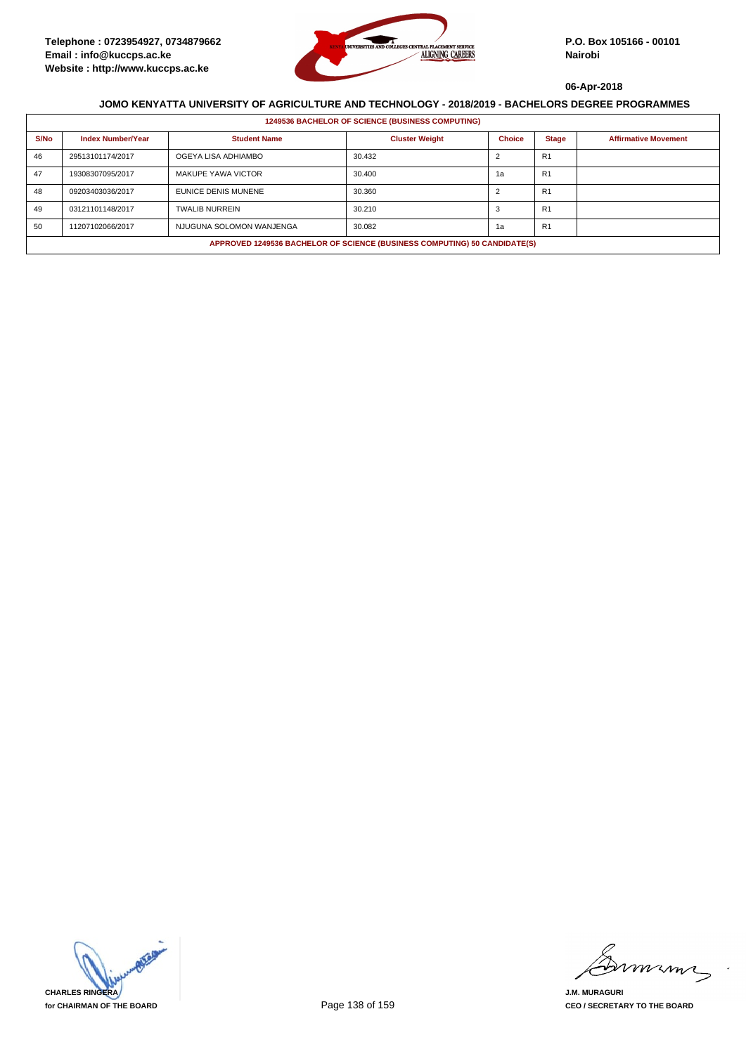

|      | <b>1249536 BACHELOR OF SCIENCE (BUSINESS COMPUTING)</b>                   |                           |                       |               |                |                             |  |  |
|------|---------------------------------------------------------------------------|---------------------------|-----------------------|---------------|----------------|-----------------------------|--|--|
| S/No | <b>Index Number/Year</b>                                                  | <b>Student Name</b>       | <b>Cluster Weight</b> | <b>Choice</b> | <b>Stage</b>   | <b>Affirmative Movement</b> |  |  |
| 46   | 29513101174/2017                                                          | OGEYA LISA ADHIAMBO       | 30.432                |               | R <sub>1</sub> |                             |  |  |
| 47   | 19308307095/2017                                                          | <b>MAKUPE YAWA VICTOR</b> | 30.400                | 1a            | R <sub>1</sub> |                             |  |  |
| 48   | 09203403036/2017                                                          | EUNICE DENIS MUNENE       | 30.360                |               | R <sub>1</sub> |                             |  |  |
| 49   | 03121101148/2017                                                          | <b>TWALIB NURREIN</b>     | 30.210                |               | R <sub>1</sub> |                             |  |  |
| 50   | 11207102066/2017                                                          | NJUGUNA SOLOMON WANJENGA  | 30.082                | 1a            | R <sub>1</sub> |                             |  |  |
|      | APPROVED 1249536 BACHELOR OF SCIENCE (BUSINESS COMPUTING) 50 CANDIDATE(S) |                           |                       |               |                |                             |  |  |



mmmn

**J.M. MURAGURI CEO / SECRETARY TO THE BOARD**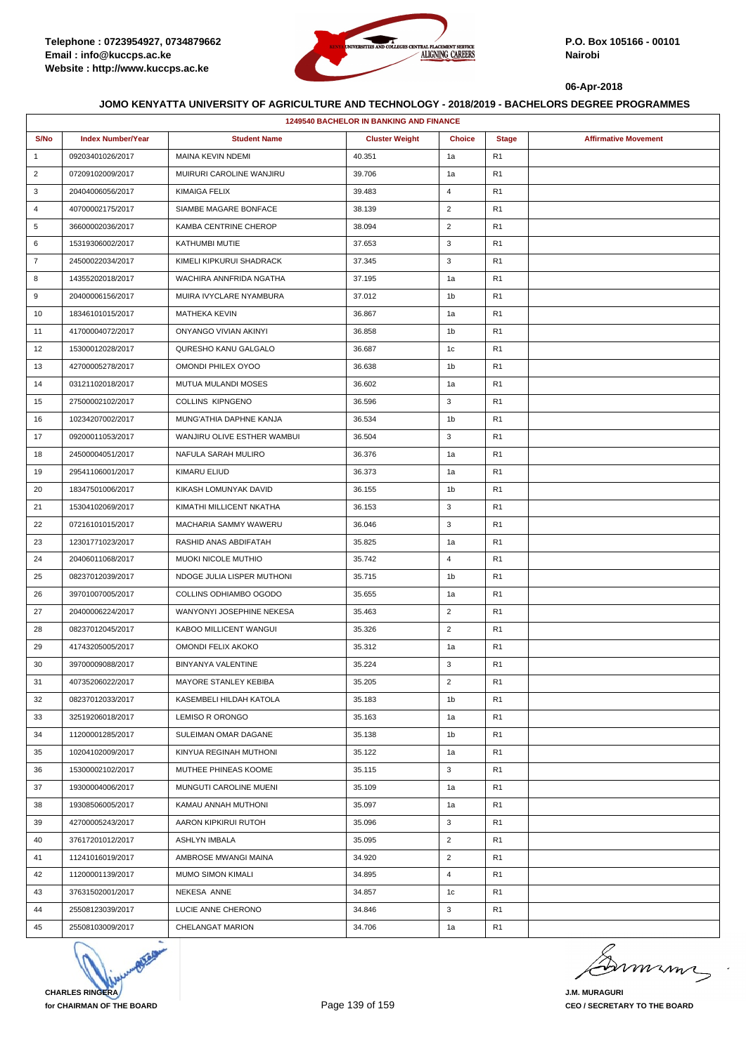

|                | <b>1249540 BACHELOR IN BANKING AND FINANCE</b> |                             |                       |                |                |                             |  |  |
|----------------|------------------------------------------------|-----------------------------|-----------------------|----------------|----------------|-----------------------------|--|--|
| S/No           | <b>Index Number/Year</b>                       | <b>Student Name</b>         | <b>Cluster Weight</b> | <b>Choice</b>  | <b>Stage</b>   | <b>Affirmative Movement</b> |  |  |
| $\mathbf{1}$   | 09203401026/2017                               | <b>MAINA KEVIN NDEMI</b>    | 40.351                | 1a             | R1             |                             |  |  |
| $\overline{2}$ | 07209102009/2017                               | MUIRURI CAROLINE WANJIRU    | 39.706                | 1a             | R <sub>1</sub> |                             |  |  |
| 3              | 20404006056/2017                               | KIMAIGA FELIX               | 39.483                | $\overline{4}$ | R <sub>1</sub> |                             |  |  |
| 4              | 40700002175/2017                               | SIAMBE MAGARE BONFACE       | 38.139                | $\overline{2}$ | R <sub>1</sub> |                             |  |  |
| 5              | 36600002036/2017                               | KAMBA CENTRINE CHEROP       | 38.094                | $\overline{2}$ | R <sub>1</sub> |                             |  |  |
| 6              | 15319306002/2017                               | KATHUMBI MUTIE              | 37.653                | 3              | R <sub>1</sub> |                             |  |  |
| $\overline{7}$ | 24500022034/2017                               | KIMELI KIPKURUI SHADRACK    | 37.345                | 3              | R <sub>1</sub> |                             |  |  |
| 8              | 14355202018/2017                               | WACHIRA ANNFRIDA NGATHA     | 37.195                | 1a             | R <sub>1</sub> |                             |  |  |
| 9              | 20400006156/2017                               | MUIRA IVYCLARE NYAMBURA     | 37.012                | 1b             | R <sub>1</sub> |                             |  |  |
| 10             | 18346101015/2017                               | <b>MATHEKA KEVIN</b>        | 36.867                | 1a             | R <sub>1</sub> |                             |  |  |
| 11             | 41700004072/2017                               | ONYANGO VIVIAN AKINYI       | 36.858                | 1 <sub>b</sub> | R <sub>1</sub> |                             |  |  |
| 12             | 15300012028/2017                               | QURESHO KANU GALGALO        | 36.687                | 1 <sub>c</sub> | R <sub>1</sub> |                             |  |  |
| 13             | 42700005278/2017                               | OMONDI PHILEX OYOO          | 36.638                | 1b             | R1             |                             |  |  |
| 14             | 03121102018/2017                               | MUTUA MULANDI MOSES         | 36.602                | 1a             | R <sub>1</sub> |                             |  |  |
| 15             | 27500002102/2017                               | <b>COLLINS KIPNGENO</b>     | 36.596                | 3              | R <sub>1</sub> |                             |  |  |
| 16             | 10234207002/2017                               | MUNG'ATHIA DAPHNE KANJA     | 36.534                | 1b             | R <sub>1</sub> |                             |  |  |
| 17             | 09200011053/2017                               | WANJIRU OLIVE ESTHER WAMBUI | 36.504                | 3              | R <sub>1</sub> |                             |  |  |
| 18             | 24500004051/2017                               | NAFULA SARAH MULIRO         | 36.376                | 1a             | R <sub>1</sub> |                             |  |  |
| 19             | 29541106001/2017                               | KIMARU ELIUD                | 36.373                | 1a             | R <sub>1</sub> |                             |  |  |
| 20             | 18347501006/2017                               | KIKASH LOMUNYAK DAVID       | 36.155                | 1 <sub>b</sub> | R <sub>1</sub> |                             |  |  |
| 21             | 15304102069/2017                               | KIMATHI MILLICENT NKATHA    | 36.153                | 3              | R <sub>1</sub> |                             |  |  |
| 22             | 07216101015/2017                               | MACHARIA SAMMY WAWERU       | 36.046                | 3              | R1             |                             |  |  |
| 23             | 12301771023/2017                               | RASHID ANAS ABDIFATAH       | 35.825                | 1a             | R <sub>1</sub> |                             |  |  |
| 24             | 20406011068/2017                               | <b>MUOKI NICOLE MUTHIO</b>  | 35.742                | $\overline{4}$ | R <sub>1</sub> |                             |  |  |
| 25             | 08237012039/2017                               | NDOGE JULIA LISPER MUTHONI  | 35.715                | 1b             | R <sub>1</sub> |                             |  |  |
| 26             | 39701007005/2017                               | COLLINS ODHIAMBO OGODO      | 35.655                | 1a             | R <sub>1</sub> |                             |  |  |
| 27             | 20400006224/2017                               | WANYONYI JOSEPHINE NEKESA   | 35.463                | $\overline{2}$ | R <sub>1</sub> |                             |  |  |
| 28             | 08237012045/2017                               | KABOO MILLICENT WANGUI      | 35.326                | $\overline{2}$ | R <sub>1</sub> |                             |  |  |
| 29             | 41743205005/2017                               | OMONDI FELIX AKOKO          | 35.312                | 1a             | R <sub>1</sub> |                             |  |  |
| 30             | 39700009088/2017                               | BINYANYA VALENTINE          | 35.224                | 3              | R <sub>1</sub> |                             |  |  |
| 31             | 40735206022/2017                               | MAYORE STANLEY KEBIBA       | 35.205                | $\overline{2}$ | R <sub>1</sub> |                             |  |  |
| 32             | 08237012033/2017                               | KASEMBELI HILDAH KATOLA     | 35.183                | 1 <sub>b</sub> | R <sub>1</sub> |                             |  |  |
| 33             | 32519206018/2017                               | LEMISO R ORONGO             | 35.163                | 1a             | R <sub>1</sub> |                             |  |  |
| 34             | 11200001285/2017                               | SULEIMAN OMAR DAGANE        | 35.138                | 1b             | R1             |                             |  |  |
| 35             | 10204102009/2017                               | KINYUA REGINAH MUTHONI      | 35.122                | 1a             | R <sub>1</sub> |                             |  |  |
| 36             | 15300002102/2017                               | MUTHEE PHINEAS KOOME        | 35.115                | 3              | R <sub>1</sub> |                             |  |  |
| 37             | 19300004006/2017                               | MUNGUTI CAROLINE MUENI      | 35.109                | 1a             | R <sub>1</sub> |                             |  |  |
| 38             | 19308506005/2017                               | KAMAU ANNAH MUTHONI         | 35.097                | 1a             | R <sub>1</sub> |                             |  |  |
| 39             | 42700005243/2017                               | AARON KIPKIRUI RUTOH        | 35.096                | 3              | R <sub>1</sub> |                             |  |  |
| 40             | 37617201012/2017                               | ASHLYN IMBALA               | 35.095                | $\overline{2}$ | R1             |                             |  |  |
| 41             | 11241016019/2017                               | AMBROSE MWANGI MAINA        | 34.920                | $\overline{2}$ | R <sub>1</sub> |                             |  |  |
| 42             | 11200001139/2017                               | <b>MUMO SIMON KIMALI</b>    | 34.895                | $\overline{4}$ | R <sub>1</sub> |                             |  |  |
| 43             | 37631502001/2017                               | NEKESA ANNE                 | 34.857                | 1c             | R <sub>1</sub> |                             |  |  |
| 44             | 25508123039/2017                               | LUCIE ANNE CHERONO          | 34.846                | 3              | R <sub>1</sub> |                             |  |  |
| 45             | 25508103009/2017                               | CHELANGAT MARION            | 34.706                | 1a             | R <sub>1</sub> |                             |  |  |



minn

**J.M. MURAGURI CEO / SECRETARY TO THE BOARD**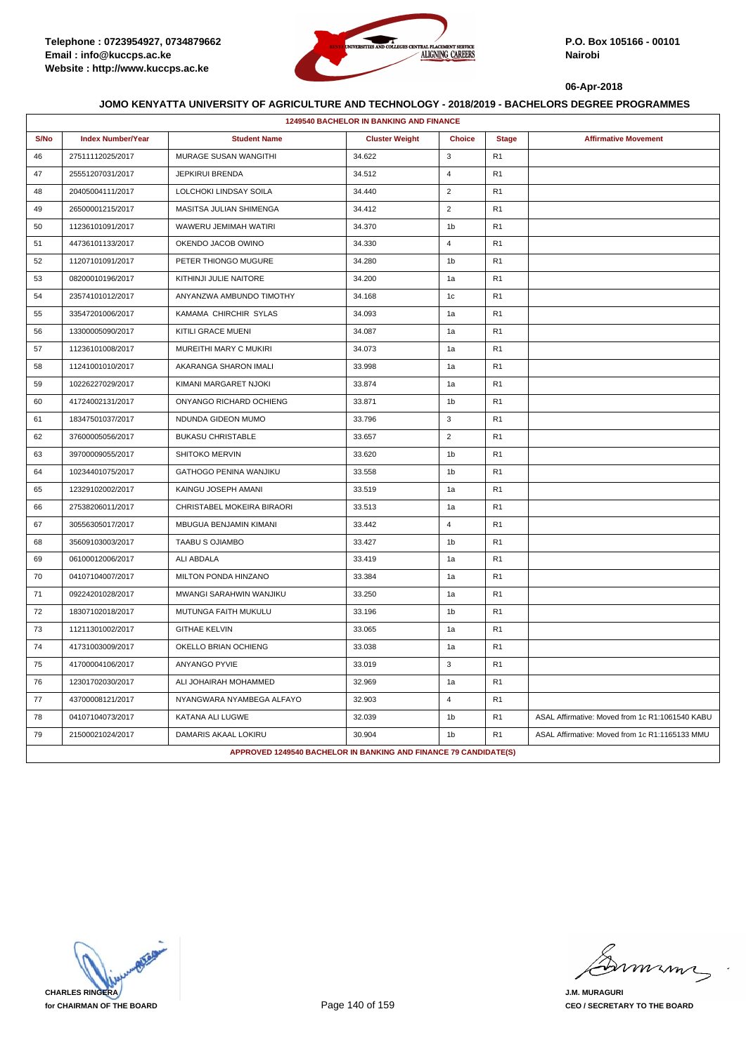

|      | 1249540 BACHELOR IN BANKING AND FINANCE |                                                                  |                       |                |                |                                                 |  |  |
|------|-----------------------------------------|------------------------------------------------------------------|-----------------------|----------------|----------------|-------------------------------------------------|--|--|
| S/No | <b>Index Number/Year</b>                | <b>Student Name</b>                                              | <b>Cluster Weight</b> | <b>Choice</b>  | <b>Stage</b>   | <b>Affirmative Movement</b>                     |  |  |
| 46   | 27511112025/2017                        | MURAGE SUSAN WANGITHI                                            | 34.622                | 3              | R <sub>1</sub> |                                                 |  |  |
| 47   | 25551207031/2017                        | JEPKIRUI BRENDA                                                  | 34.512                | $\overline{4}$ | R <sub>1</sub> |                                                 |  |  |
| 48   | 20405004111/2017                        | LOLCHOKI LINDSAY SOILA                                           | 34.440                | $\overline{2}$ | R <sub>1</sub> |                                                 |  |  |
| 49   | 26500001215/2017                        | MASITSA JULIAN SHIMENGA                                          | 34.412                | $\overline{2}$ | R <sub>1</sub> |                                                 |  |  |
| 50   | 11236101091/2017                        | WAWERU JEMIMAH WATIRI                                            | 34.370                | 1 <sub>b</sub> | R <sub>1</sub> |                                                 |  |  |
| 51   | 44736101133/2017                        | OKENDO JACOB OWINO                                               | 34.330                | $\overline{4}$ | R <sub>1</sub> |                                                 |  |  |
| 52   | 11207101091/2017                        | PETER THIONGO MUGURE                                             | 34.280                | 1 <sub>b</sub> | R <sub>1</sub> |                                                 |  |  |
| 53   | 08200010196/2017                        | KITHINJI JULIE NAITORE                                           | 34.200                | 1a             | R <sub>1</sub> |                                                 |  |  |
| 54   | 23574101012/2017                        | ANYANZWA AMBUNDO TIMOTHY                                         | 34.168                | 1 <sub>c</sub> | R <sub>1</sub> |                                                 |  |  |
| 55   | 33547201006/2017                        | KAMAMA CHIRCHIR SYLAS                                            | 34.093                | 1a             | R <sub>1</sub> |                                                 |  |  |
| 56   | 13300005090/2017                        | KITILI GRACE MUENI                                               | 34.087                | 1a             | R <sub>1</sub> |                                                 |  |  |
| 57   | 11236101008/2017                        | MUREITHI MARY C MUKIRI                                           | 34.073                | 1a             | R <sub>1</sub> |                                                 |  |  |
| 58   | 11241001010/2017                        | AKARANGA SHARON IMALI                                            | 33.998                | 1a             | R <sub>1</sub> |                                                 |  |  |
| 59   | 10226227029/2017                        | KIMANI MARGARET NJOKI                                            | 33.874                | 1a             | R <sub>1</sub> |                                                 |  |  |
| 60   | 41724002131/2017                        | ONYANGO RICHARD OCHIENG                                          | 33.871                | 1 <sub>b</sub> | R <sub>1</sub> |                                                 |  |  |
| 61   | 18347501037/2017                        | NDUNDA GIDEON MUMO                                               | 33.796                | $\mathbf{3}$   | R <sub>1</sub> |                                                 |  |  |
| 62   | 37600005056/2017                        | <b>BUKASU CHRISTABLE</b>                                         | 33.657                | $\overline{2}$ | R <sub>1</sub> |                                                 |  |  |
| 63   | 39700009055/2017                        | SHITOKO MERVIN                                                   | 33.620                | 1 <sub>b</sub> | R <sub>1</sub> |                                                 |  |  |
| 64   | 10234401075/2017                        | GATHOGO PENINA WANJIKU                                           | 33.558                | 1b             | R <sub>1</sub> |                                                 |  |  |
| 65   | 12329102002/2017                        | KAINGU JOSEPH AMANI                                              | 33.519                | 1a             | R <sub>1</sub> |                                                 |  |  |
| 66   | 27538206011/2017                        | CHRISTABEL MOKEIRA BIRAORI                                       | 33.513                | 1a             | R <sub>1</sub> |                                                 |  |  |
| 67   | 30556305017/2017                        | MBUGUA BENJAMIN KIMANI                                           | 33.442                | $\overline{4}$ | R <sub>1</sub> |                                                 |  |  |
| 68   | 35609103003/2017                        | <b>TAABU S OJIAMBO</b>                                           | 33.427                | 1 <sub>b</sub> | R <sub>1</sub> |                                                 |  |  |
| 69   | 06100012006/2017                        | ALI ABDALA                                                       | 33.419                | 1a             | R <sub>1</sub> |                                                 |  |  |
| 70   | 04107104007/2017                        | MILTON PONDA HINZANO                                             | 33.384                | 1a             | R <sub>1</sub> |                                                 |  |  |
| 71   | 09224201028/2017                        | MWANGI SARAHWIN WANJIKU                                          | 33.250                | 1a             | R <sub>1</sub> |                                                 |  |  |
| 72   | 18307102018/2017                        | MUTUNGA FAITH MUKULU                                             | 33.196                | 1 <sub>b</sub> | R <sub>1</sub> |                                                 |  |  |
| 73   | 11211301002/2017                        | <b>GITHAE KELVIN</b>                                             | 33.065                | 1a             | R <sub>1</sub> |                                                 |  |  |
| 74   | 41731003009/2017                        | OKELLO BRIAN OCHIENG                                             | 33.038                | 1a             | R <sub>1</sub> |                                                 |  |  |
| 75   | 41700004106/2017                        | <b>ANYANGO PYVIE</b>                                             | 33.019                | 3              | R <sub>1</sub> |                                                 |  |  |
| 76   | 12301702030/2017                        | ALI JOHAIRAH MOHAMMED                                            | 32.969                | 1a             | R <sub>1</sub> |                                                 |  |  |
| 77   | 43700008121/2017                        | NYANGWARA NYAMBEGA ALFAYO                                        | 32.903                | $\overline{4}$ | R <sub>1</sub> |                                                 |  |  |
| 78   | 04107104073/2017                        | KATANA ALI LUGWE                                                 | 32.039                | 1 <sub>b</sub> | R <sub>1</sub> | ASAL Affirmative: Moved from 1c R1:1061540 KABU |  |  |
| 79   | 21500021024/2017                        | DAMARIS AKAAL LOKIRU                                             | 30.904                | 1 <sub>b</sub> | R <sub>1</sub> | ASAL Affirmative: Moved from 1c R1:1165133 MMU  |  |  |
|      |                                         | APPROVED 1249540 BACHELOR IN BANKING AND FINANCE 79 CANDIDATE(S) |                       |                |                |                                                 |  |  |

**CHARLES RINGERA for CHAIRMAN OF THE BOARD**

murma

**J.M. MURAGURI CEO / SECRETARY TO THE BOARD**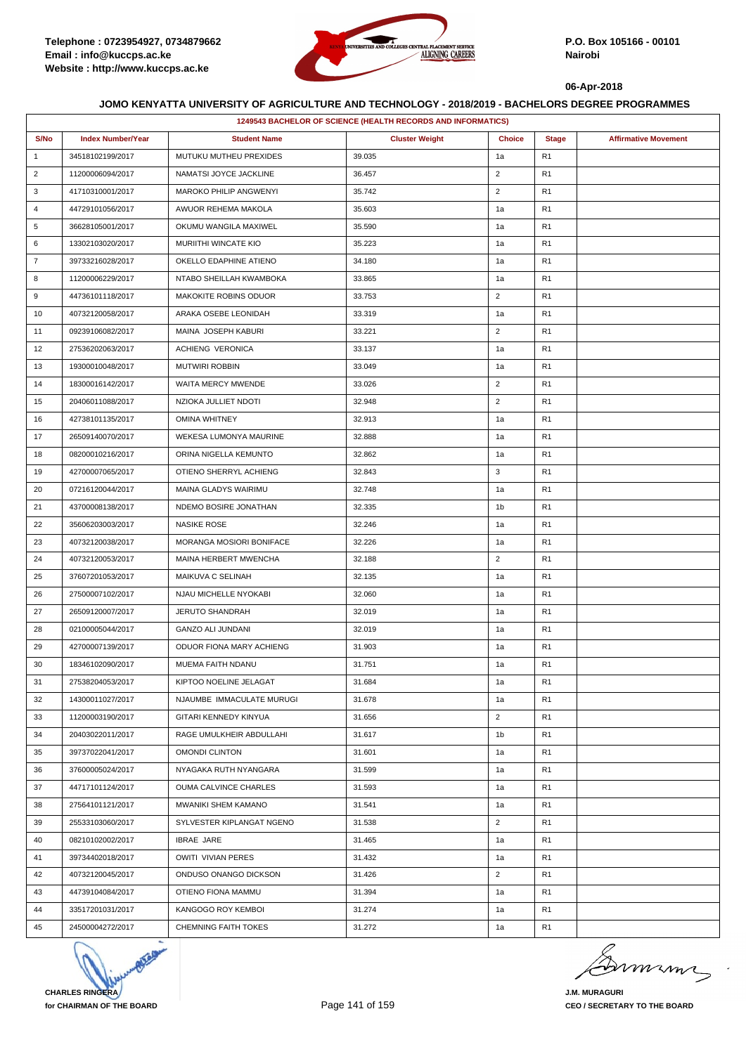

|                | 1249543 BACHELOR OF SCIENCE (HEALTH RECORDS AND INFORMATICS) |                             |                       |                |                |                             |  |  |
|----------------|--------------------------------------------------------------|-----------------------------|-----------------------|----------------|----------------|-----------------------------|--|--|
| S/No           | <b>Index Number/Year</b>                                     | <b>Student Name</b>         | <b>Cluster Weight</b> | <b>Choice</b>  | <b>Stage</b>   | <b>Affirmative Movement</b> |  |  |
| $\mathbf{1}$   | 34518102199/2017                                             | MUTUKU MUTHEU PREXIDES      | 39.035                | 1a             | R1             |                             |  |  |
| $\overline{2}$ | 11200006094/2017                                             | NAMATSI JOYCE JACKLINE      | 36.457                | $\overline{2}$ | R1             |                             |  |  |
| 3              | 41710310001/2017                                             | MAROKO PHILIP ANGWENYI      | 35.742                | $\overline{2}$ | R1             |                             |  |  |
| 4              | 44729101056/2017                                             | AWUOR REHEMA MAKOLA         | 35.603                | 1a             | R1             |                             |  |  |
| 5              | 36628105001/2017                                             | OKUMU WANGILA MAXIWEL       | 35.590                | 1a             | R <sub>1</sub> |                             |  |  |
| 6              | 13302103020/2017                                             | MURIITHI WINCATE KIO        | 35.223                | 1a             | R1             |                             |  |  |
| $\overline{7}$ | 39733216028/2017                                             | OKELLO EDAPHINE ATIENO      | 34.180                | 1a             | R1             |                             |  |  |
| 8              | 11200006229/2017                                             | NTABO SHEILLAH KWAMBOKA     | 33.865                | 1a             | R1             |                             |  |  |
| 9              | 44736101118/2017                                             | MAKOKITE ROBINS ODUOR       | 33.753                | $\overline{2}$ | R1             |                             |  |  |
| 10             | 40732120058/2017                                             | ARAKA OSEBE LEONIDAH        | 33.319                | 1a             | R1             |                             |  |  |
| 11             | 09239106082/2017                                             | MAINA JOSEPH KABURI         | 33.221                | $\overline{2}$ | R <sub>1</sub> |                             |  |  |
| 12             | 27536202063/2017                                             | ACHIENG VERONICA            | 33.137                | 1a             | R1             |                             |  |  |
| 13             | 19300010048/2017                                             | <b>MUTWIRI ROBBIN</b>       | 33.049                | 1a             | R1             |                             |  |  |
| 14             | 18300016142/2017                                             | WAITA MERCY MWENDE          | 33.026                | $\overline{2}$ | R1             |                             |  |  |
| 15             | 20406011088/2017                                             | NZIOKA JULLIET NDOTI        | 32.948                | $\overline{2}$ | R1             |                             |  |  |
| 16             | 42738101135/2017                                             | OMINA WHITNEY               | 32.913                | 1a             | R1             |                             |  |  |
| 17             | 26509140070/2017                                             | WEKESA LUMONYA MAURINE      | 32.888                | 1a             | R <sub>1</sub> |                             |  |  |
| 18             | 08200010216/2017                                             | ORINA NIGELLA KEMUNTO       | 32.862                | 1a             | R1             |                             |  |  |
| 19             | 42700007065/2017                                             | OTIENO SHERRYL ACHIENG      | 32.843                | 3              | R1             |                             |  |  |
| 20             | 07216120044/2017                                             | MAINA GLADYS WAIRIMU        | 32.748                | 1a             | R1             |                             |  |  |
| 21             | 43700008138/2017                                             | NDEMO BOSIRE JONATHAN       | 32.335                | 1b             | R1             |                             |  |  |
| 22             | 35606203003/2017                                             | <b>NASIKE ROSE</b>          | 32.246                | 1a             | R1             |                             |  |  |
| 23             | 40732120038/2017                                             | MORANGA MOSIORI BONIFACE    | 32.226                | 1a             | R <sub>1</sub> |                             |  |  |
| 24             | 40732120053/2017                                             | MAINA HERBERT MWENCHA       | 32.188                | $\overline{2}$ | R1             |                             |  |  |
| 25             | 37607201053/2017                                             | MAIKUVA C SELINAH           | 32.135                | 1a             | R1             |                             |  |  |
| 26             | 27500007102/2017                                             | NJAU MICHELLE NYOKABI       | 32.060                | 1a             | R <sub>1</sub> |                             |  |  |
| 27             | 26509120007/2017                                             | JERUTO SHANDRAH             | 32.019                | 1a             | R1             |                             |  |  |
| 28             | 02100005044/2017                                             | <b>GANZO ALI JUNDANI</b>    | 32.019                | 1a             | R1             |                             |  |  |
| 29             | 42700007139/2017                                             | ODUOR FIONA MARY ACHIENG    | 31.903                | 1a             | R <sub>1</sub> |                             |  |  |
| 30             | 18346102090/2017                                             | MUEMA FAITH NDANU           | 31.751                | 1a             | R1             |                             |  |  |
| 31             | 27538204053/2017                                             | KIPTOO NOELINE JELAGAT      | 31.684                | 1a             | R <sub>1</sub> |                             |  |  |
| 32             | 14300011027/2017                                             | NJAUMBE IMMACULATE MURUGI   | 31.678                | 1a             | R <sub>1</sub> |                             |  |  |
| 33             | 11200003190/2017                                             | GITARI KENNEDY KINYUA       | 31.656                | $\overline{2}$ | R1             |                             |  |  |
| 34             | 20403022011/2017                                             | RAGE UMULKHEIR ABDULLAHI    | 31.617                | 1 <sub>b</sub> | R1             |                             |  |  |
| 35             | 39737022041/2017                                             | OMONDI CLINTON              | 31.601                | 1a             | R <sub>1</sub> |                             |  |  |
| 36             | 37600005024/2017                                             | NYAGAKA RUTH NYANGARA       | 31.599                | 1a             | R1             |                             |  |  |
| 37             | 44717101124/2017                                             | OUMA CALVINCE CHARLES       | 31.593                | 1a             | R1             |                             |  |  |
| 38             | 27564101121/2017                                             | MWANIKI SHEM KAMANO         | 31.541                | 1a             | R <sub>1</sub> |                             |  |  |
| 39             | 25533103060/2017                                             | SYLVESTER KIPLANGAT NGENO   | 31.538                | $\overline{2}$ | R1             |                             |  |  |
| 40             | 08210102002/2017                                             | <b>IBRAE JARE</b>           | 31.465                | 1a             | R1             |                             |  |  |
| 41             | 39734402018/2017                                             | <b>OWITI VIVIAN PERES</b>   | 31.432                | 1a             | R <sub>1</sub> |                             |  |  |
| 42             | 40732120045/2017                                             | ONDUSO ONANGO DICKSON       | 31.426                | $\overline{2}$ | R1             |                             |  |  |
| 43             | 44739104084/2017                                             | OTIENO FIONA MAMMU          | 31.394                | 1a             | R1             |                             |  |  |
| 44             | 33517201031/2017                                             | KANGOGO ROY KEMBOI          | 31.274                | 1a             | R1             |                             |  |  |
| 45             | 24500004272/2017                                             | <b>CHEMNING FAITH TOKES</b> | 31.272                | 1a             | R1             |                             |  |  |



murme

**J.M. MURAGURI CEO / SECRETARY TO THE BOARD**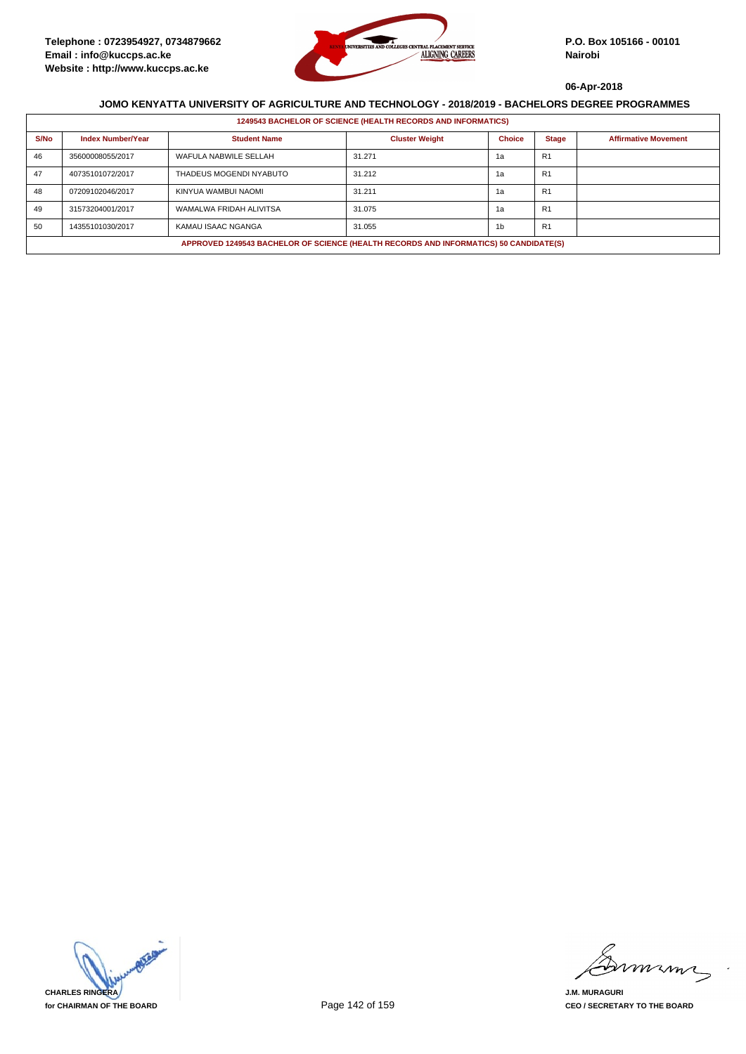

|      | <b>1249543 BACHELOR OF SCIENCE (HEALTH RECORDS AND INFORMATICS)</b>                   |                         |                       |               |                |                             |  |  |  |
|------|---------------------------------------------------------------------------------------|-------------------------|-----------------------|---------------|----------------|-----------------------------|--|--|--|
| S/No | <b>Index Number/Year</b>                                                              | <b>Student Name</b>     | <b>Cluster Weight</b> | <b>Choice</b> | <b>Stage</b>   | <b>Affirmative Movement</b> |  |  |  |
| 46   | 35600008055/2017                                                                      | WAFULA NABWILE SELLAH   | 31.271                | 1a            | R <sub>1</sub> |                             |  |  |  |
| 47   | 40735101072/2017                                                                      | THADEUS MOGENDI NYABUTO | 31.212                | 1а            | R <sub>1</sub> |                             |  |  |  |
| 48   | 07209102046/2017                                                                      | KINYUA WAMBUI NAOMI     | 31.211                | 1a            | R <sub>1</sub> |                             |  |  |  |
| 49   | 31573204001/2017                                                                      | WAMALWA FRIDAH ALIVITSA | 31.075                | 1a            | R <sub>1</sub> |                             |  |  |  |
| 50   | 14355101030/2017                                                                      | KAMAU ISAAC NGANGA      | 31.055                | 1b            | R <sub>1</sub> |                             |  |  |  |
|      | APPROVED 1249543 BACHELOR OF SCIENCE (HEALTH RECORDS AND INFORMATICS) 50 CANDIDATE(S) |                         |                       |               |                |                             |  |  |  |



mmmn

**J.M. MURAGURI CEO / SECRETARY TO THE BOARD**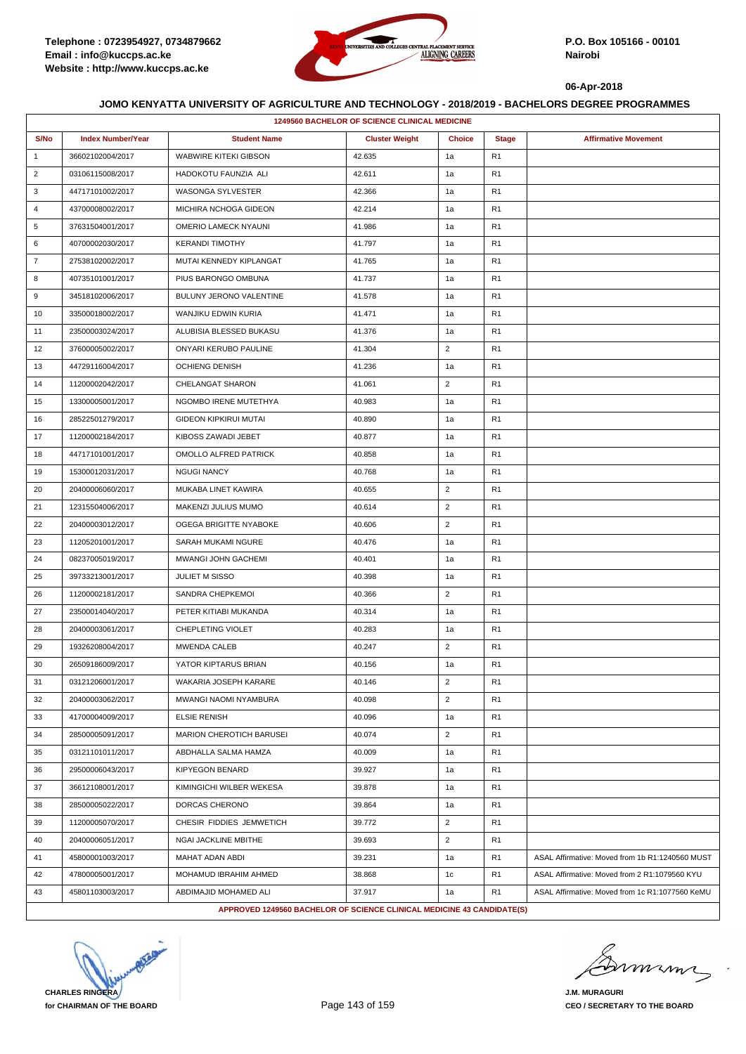

|                | 1249560 BACHELOR OF SCIENCE CLINICAL MEDICINE |                                                                        |                       |                |                |                                                 |  |  |
|----------------|-----------------------------------------------|------------------------------------------------------------------------|-----------------------|----------------|----------------|-------------------------------------------------|--|--|
| S/No           | <b>Index Number/Year</b>                      | <b>Student Name</b>                                                    | <b>Cluster Weight</b> | <b>Choice</b>  | <b>Stage</b>   | <b>Affirmative Movement</b>                     |  |  |
| $\mathbf{1}$   | 36602102004/2017                              | <b>WABWIRE KITEKI GIBSON</b>                                           | 42.635                | 1a             | R1             |                                                 |  |  |
| $\overline{2}$ | 03106115008/2017                              | HADOKOTU FAUNZIA ALI                                                   | 42.611                | 1a             | R <sub>1</sub> |                                                 |  |  |
| 3              | 44717101002/2017                              | WASONGA SYLVESTER                                                      | 42.366                | 1a             | R <sub>1</sub> |                                                 |  |  |
| 4              | 43700008002/2017                              | MICHIRA NCHOGA GIDEON                                                  | 42.214                | 1a             | R1             |                                                 |  |  |
| 5              | 37631504001/2017                              | <b>OMERIO LAMECK NYAUNI</b>                                            | 41.986                | 1a             | R1             |                                                 |  |  |
| 6              | 40700002030/2017                              | <b>KERANDI TIMOTHY</b>                                                 | 41.797                | 1a             | R <sub>1</sub> |                                                 |  |  |
| $\overline{7}$ | 27538102002/2017                              | MUTAI KENNEDY KIPLANGAT                                                | 41.765                | 1a             | R1             |                                                 |  |  |
| 8              | 40735101001/2017                              | PIUS BARONGO OMBUNA                                                    | 41.737                | 1a             | R1             |                                                 |  |  |
| 9              | 34518102006/2017                              | BULUNY JERONO VALENTINE                                                | 41.578                | 1a             | R <sub>1</sub> |                                                 |  |  |
| 10             | 33500018002/2017                              | WANJIKU EDWIN KURIA                                                    | 41.471                | 1a             | R1             |                                                 |  |  |
| 11             | 23500003024/2017                              | ALUBISIA BLESSED BUKASU                                                | 41.376                | 1a             | R <sub>1</sub> |                                                 |  |  |
| 12             | 37600005002/2017                              | ONYARI KERUBO PAULINE                                                  | 41.304                | $\overline{2}$ | R <sub>1</sub> |                                                 |  |  |
| 13             | 44729116004/2017                              | <b>OCHIENG DENISH</b>                                                  | 41.236                | 1a             | R1             |                                                 |  |  |
| 14             | 11200002042/2017                              | CHELANGAT SHARON                                                       | 41.061                | $\overline{2}$ | R1             |                                                 |  |  |
| 15             | 13300005001/2017                              | NGOMBO IRENE MUTETHYA                                                  | 40.983                | 1a             | R <sub>1</sub> |                                                 |  |  |
| 16             | 28522501279/2017                              | <b>GIDEON KIPKIRUI MUTAI</b>                                           | 40.890                | 1a             | R1             |                                                 |  |  |
| 17             | 11200002184/2017                              | KIBOSS ZAWADI JEBET                                                    | 40.877                | 1a             | R <sub>1</sub> |                                                 |  |  |
| 18             | 44717101001/2017                              | OMOLLO ALFRED PATRICK                                                  | 40.858                | 1a             | R <sub>1</sub> |                                                 |  |  |
| 19             | 15300012031/2017                              | <b>NGUGI NANCY</b>                                                     | 40.768                | 1a             | R <sub>1</sub> |                                                 |  |  |
| 20             | 20400006060/2017                              | MUKABA LINET KAWIRA                                                    | 40.655                | $\overline{2}$ | R <sub>1</sub> |                                                 |  |  |
| 21             | 12315504006/2017                              | MAKENZI JULIUS MUMO                                                    | 40.614                | $\overline{2}$ | R <sub>1</sub> |                                                 |  |  |
| 22             | 20400003012/2017                              | OGEGA BRIGITTE NYABOKE                                                 | 40.606                | $\overline{2}$ | R <sub>1</sub> |                                                 |  |  |
| 23             | 11205201001/2017                              | SARAH MUKAMI NGURE                                                     | 40.476                | 1a             | R <sub>1</sub> |                                                 |  |  |
| 24             | 08237005019/2017                              | MWANGI JOHN GACHEMI                                                    | 40.401                | 1a             | R <sub>1</sub> |                                                 |  |  |
| 25             | 39733213001/2017                              | <b>JULIET M SISSO</b>                                                  | 40.398                | 1a             | R <sub>1</sub> |                                                 |  |  |
| 26             | 11200002181/2017                              | SANDRA CHEPKEMOI                                                       | 40.366                | $\overline{2}$ | R <sub>1</sub> |                                                 |  |  |
| 27             | 23500014040/2017                              | PETER KITIABI MUKANDA                                                  | 40.314                | 1a             | R <sub>1</sub> |                                                 |  |  |
| 28             | 20400003061/2017                              | CHEPLETING VIOLET                                                      | 40.283                | 1a             | R <sub>1</sub> |                                                 |  |  |
| 29             | 19326208004/2017                              | <b>MWENDA CALEB</b>                                                    | 40.247                | $\overline{2}$ | R <sub>1</sub> |                                                 |  |  |
| 30             | 26509186009/2017                              | YATOR KIPTARUS BRIAN                                                   | 40.156                | 1a             | R <sub>1</sub> |                                                 |  |  |
| 31             | 03121206001/2017                              | WAKARIA JOSEPH KARARE                                                  | 40.146                | $\overline{2}$ | R <sub>1</sub> |                                                 |  |  |
| 32             | 20400003062/2017                              | MWANGI NAOMI NYAMBURA                                                  | 40.098                | $\overline{2}$ | R1             |                                                 |  |  |
| 33             | 41700004009/2017                              | <b>ELSIE RENISH</b>                                                    | 40.096                | 1a             | R <sub>1</sub> |                                                 |  |  |
| 34             | 28500005091/2017                              | MARION CHEROTICH BARUSEI                                               | 40.074                | $\overline{2}$ | R1             |                                                 |  |  |
| 35             | 03121101011/2017                              | ABDHALLA SALMA HAMZA                                                   | 40.009                | 1a             | R <sub>1</sub> |                                                 |  |  |
| 36             | 29500006043/2017                              | <b>KIPYEGON BENARD</b>                                                 | 39.927                | 1a             | R <sub>1</sub> |                                                 |  |  |
| 37             | 36612108001/2017                              | KIMINGICHI WILBER WEKESA                                               | 39.878                | 1a             | R <sub>1</sub> |                                                 |  |  |
| 38             | 28500005022/2017                              | DORCAS CHERONO                                                         | 39.864                | 1a             | R <sub>1</sub> |                                                 |  |  |
| 39             | 11200005070/2017                              | CHESIR FIDDIES JEMWETICH                                               | 39.772                | $\overline{2}$ | R <sub>1</sub> |                                                 |  |  |
| 40             | 20400006051/2017                              | NGAI JACKLINE MBITHE                                                   | 39.693                | $\overline{2}$ | R1             |                                                 |  |  |
| 41             | 45800001003/2017                              | MAHAT ADAN ABDI                                                        | 39.231                | 1a             | R <sub>1</sub> | ASAL Affirmative: Moved from 1b R1:1240560 MUST |  |  |
| 42             | 47800005001/2017                              | MOHAMUD IBRAHIM AHMED                                                  | 38.868                | 1c             | R <sub>1</sub> | ASAL Affirmative: Moved from 2 R1:1079560 KYU   |  |  |
| 43             | 45801103003/2017                              | ABDIMAJID MOHAMED ALI                                                  | 37.917                | 1a             | R <sub>1</sub> | ASAL Affirmative: Moved from 1c R1:1077560 KeMU |  |  |
|                |                                               | APPROVED 1249560 BACHELOR OF SCIENCE CLINICAL MEDICINE 43 CANDIDATE(S) |                       |                |                |                                                 |  |  |

**CHARLES RINGERA for CHAIRMAN OF THE BOARD**

musm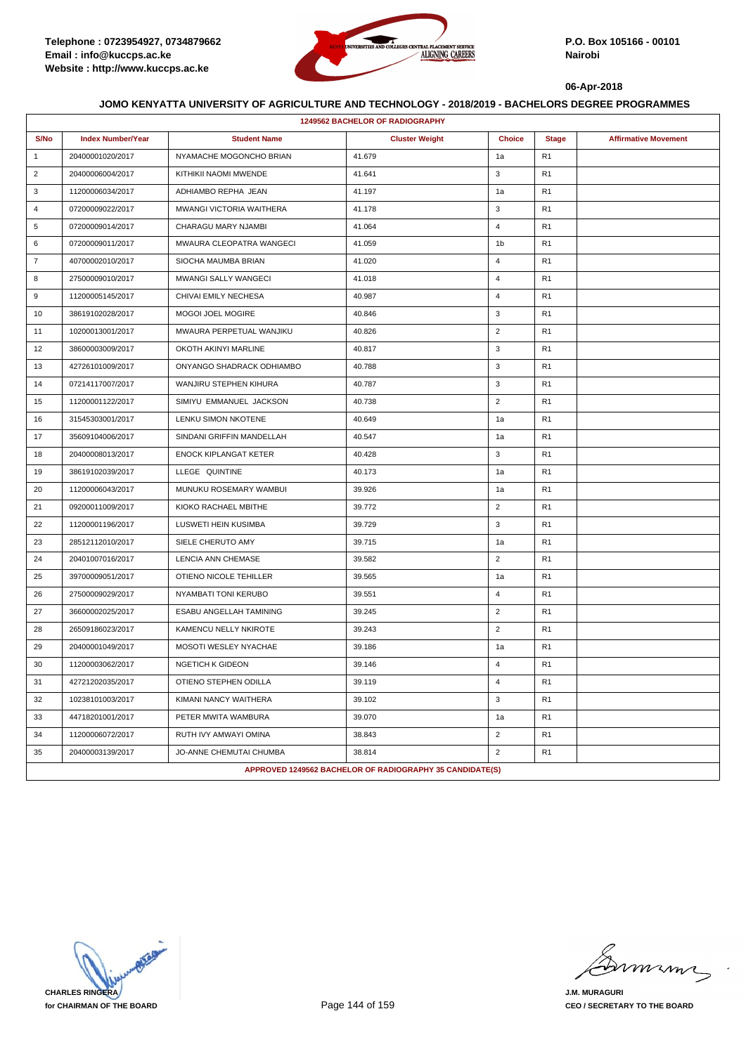

|                | <b>1249562 BACHELOR OF RADIOGRAPHY</b> |                              |                                                          |                |                |                             |  |  |
|----------------|----------------------------------------|------------------------------|----------------------------------------------------------|----------------|----------------|-----------------------------|--|--|
| S/No           | <b>Index Number/Year</b>               | <b>Student Name</b>          | <b>Cluster Weight</b>                                    | <b>Choice</b>  | <b>Stage</b>   | <b>Affirmative Movement</b> |  |  |
| $\mathbf{1}$   | 20400001020/2017                       | NYAMACHE MOGONCHO BRIAN      | 41.679                                                   | 1a             | R <sub>1</sub> |                             |  |  |
| $\overline{2}$ | 20400006004/2017                       | KITHIKII NAOMI MWENDE        | 41.641                                                   | 3              | R <sub>1</sub> |                             |  |  |
| 3              | 11200006034/2017                       | ADHIAMBO REPHA JEAN          | 41.197                                                   | 1a             | R <sub>1</sub> |                             |  |  |
| 4              | 07200009022/2017                       | MWANGI VICTORIA WAITHERA     | 41.178                                                   | 3              | R <sub>1</sub> |                             |  |  |
| 5              | 07200009014/2017                       | CHARAGU MARY NJAMBI          | 41.064                                                   | $\overline{4}$ | R <sub>1</sub> |                             |  |  |
| 6              | 07200009011/2017                       | MWAURA CLEOPATRA WANGECI     | 41.059                                                   | 1 <sub>b</sub> | R <sub>1</sub> |                             |  |  |
| $\overline{7}$ | 40700002010/2017                       | SIOCHA MAUMBA BRIAN          | 41.020                                                   | $\overline{4}$ | R <sub>1</sub> |                             |  |  |
| 8              | 27500009010/2017                       | <b>MWANGI SALLY WANGECI</b>  | 41.018                                                   | $\overline{4}$ | R <sub>1</sub> |                             |  |  |
| 9              | 11200005145/2017                       | CHIVAI EMILY NECHESA         | 40.987                                                   | $\overline{4}$ | R <sub>1</sub> |                             |  |  |
| 10             | 38619102028/2017                       | MOGOI JOEL MOGIRE            | 40.846                                                   | 3              | R <sub>1</sub> |                             |  |  |
| 11             | 10200013001/2017                       | MWAURA PERPETUAL WANJIKU     | 40.826                                                   | $\overline{2}$ | R <sub>1</sub> |                             |  |  |
| 12             | 38600003009/2017                       | OKOTH AKINYI MARLINE         | 40.817                                                   | 3              | R <sub>1</sub> |                             |  |  |
| 13             | 42726101009/2017                       | ONYANGO SHADRACK ODHIAMBO    | 40.788                                                   | 3              | R <sub>1</sub> |                             |  |  |
| 14             | 07214117007/2017                       | WANJIRU STEPHEN KIHURA       | 40.787                                                   | 3              | R <sub>1</sub> |                             |  |  |
| 15             | 11200001122/2017                       | SIMIYU EMMANUEL JACKSON      | 40.738                                                   | $\overline{2}$ | R <sub>1</sub> |                             |  |  |
| 16             | 31545303001/2017                       | LENKU SIMON NKOTENE          | 40.649                                                   | 1a             | R <sub>1</sub> |                             |  |  |
| 17             | 35609104006/2017                       | SINDANI GRIFFIN MANDELLAH    | 40.547                                                   | 1a             | R <sub>1</sub> |                             |  |  |
| 18             | 20400008013/2017                       | <b>ENOCK KIPLANGAT KETER</b> | 40.428                                                   | 3              | R <sub>1</sub> |                             |  |  |
| 19             | 38619102039/2017                       | LLEGE QUINTINE               | 40.173                                                   | 1a             | R <sub>1</sub> |                             |  |  |
| 20             | 11200006043/2017                       | MUNUKU ROSEMARY WAMBUI       | 39.926                                                   | 1a             | R <sub>1</sub> |                             |  |  |
| 21             | 09200011009/2017                       | KIOKO RACHAEL MBITHE         | 39.772                                                   | $\overline{2}$ | R <sub>1</sub> |                             |  |  |
| 22             | 11200001196/2017                       | LUSWETI HEIN KUSIMBA         | 39.729                                                   | 3              | R <sub>1</sub> |                             |  |  |
| 23             | 28512112010/2017                       | SIELE CHERUTO AMY            | 39.715                                                   | 1a             | R <sub>1</sub> |                             |  |  |
| 24             | 20401007016/2017                       | LENCIA ANN CHEMASE           | 39.582                                                   | $\overline{2}$ | R <sub>1</sub> |                             |  |  |
| 25             | 39700009051/2017                       | OTIENO NICOLE TEHILLER       | 39.565                                                   | 1a             | R <sub>1</sub> |                             |  |  |
| 26             | 27500009029/2017                       | NYAMBATI TONI KERUBO         | 39.551                                                   | $\overline{4}$ | R <sub>1</sub> |                             |  |  |
| 27             | 36600002025/2017                       | ESABU ANGELLAH TAMINING      | 39.245                                                   | $\overline{2}$ | R <sub>1</sub> |                             |  |  |
| 28             | 26509186023/2017                       | KAMENCU NELLY NKIROTE        | 39.243                                                   | $\overline{2}$ | R <sub>1</sub> |                             |  |  |
| 29             | 20400001049/2017                       | MOSOTI WESLEY NYACHAE        | 39.186                                                   | 1a             | R <sub>1</sub> |                             |  |  |
| 30             | 11200003062/2017                       | <b>NGETICH K GIDEON</b>      | 39.146                                                   | $\overline{4}$ | R <sub>1</sub> |                             |  |  |
| 31             | 42721202035/2017                       | OTIENO STEPHEN ODILLA        | 39.119                                                   | 4              | R <sub>1</sub> |                             |  |  |
| 32             | 10238101003/2017                       | KIMANI NANCY WAITHERA        | 39.102                                                   | 3              | R <sub>1</sub> |                             |  |  |
| 33             | 44718201001/2017                       | PETER MWITA WAMBURA          | 39.070                                                   | 1a             | R <sub>1</sub> |                             |  |  |
| 34             | 11200006072/2017                       | RUTH IVY AMWAYI OMINA        | 38.843                                                   | $\overline{2}$ | R <sub>1</sub> |                             |  |  |
| 35             | 20400003139/2017                       | JO-ANNE CHEMUTAI CHUMBA      | 38.814                                                   | $\overline{2}$ | R <sub>1</sub> |                             |  |  |
|                |                                        |                              | APPROVED 1249562 BACHELOR OF RADIOGRAPHY 35 CANDIDATE(S) |                |                |                             |  |  |

**CHARLES RINGERA for CHAIRMAN OF THE BOARD**

miming

**J.M. MURAGURI CEO / SECRETARY TO THE BOARD**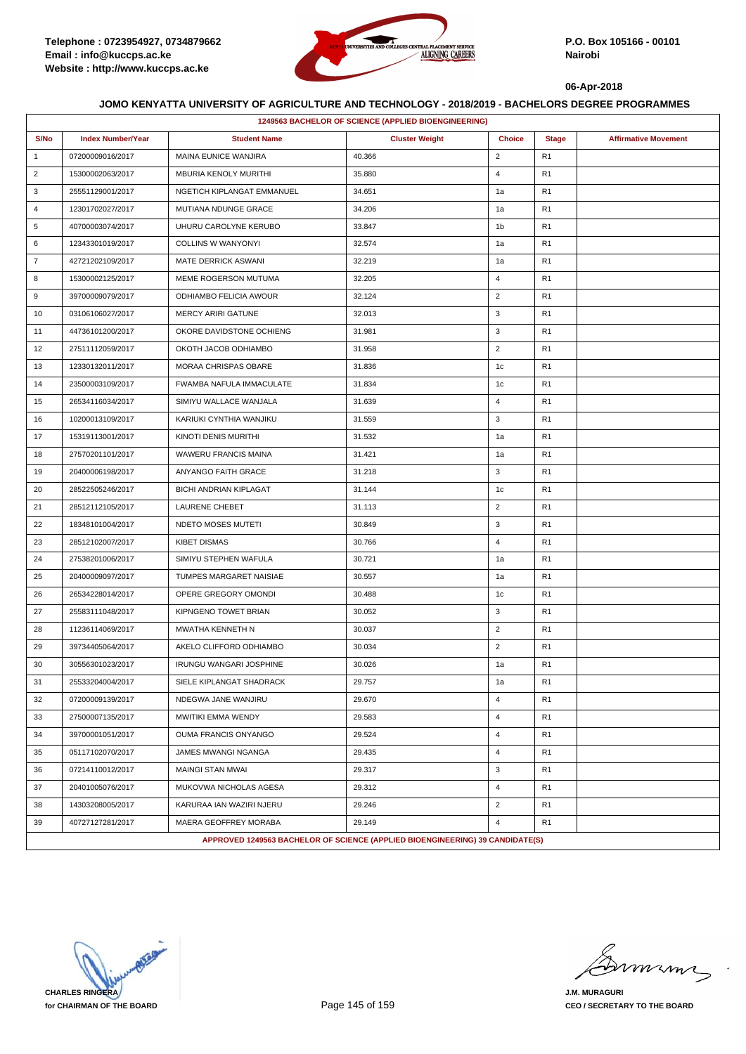

|                | 1249563 BACHELOR OF SCIENCE (APPLIED BIOENGINEERING) |                                |                                                                               |                |                |                             |  |  |
|----------------|------------------------------------------------------|--------------------------------|-------------------------------------------------------------------------------|----------------|----------------|-----------------------------|--|--|
| S/No           | <b>Index Number/Year</b>                             | <b>Student Name</b>            | <b>Cluster Weight</b>                                                         | <b>Choice</b>  | <b>Stage</b>   | <b>Affirmative Movement</b> |  |  |
| $\mathbf{1}$   | 07200009016/2017                                     | MAINA EUNICE WANJIRA           | 40.366                                                                        | $\overline{2}$ | R <sub>1</sub> |                             |  |  |
| $\overline{2}$ | 15300002063/2017                                     | <b>MBURIA KENOLY MURITHI</b>   | 35.880                                                                        | $\overline{4}$ | R <sub>1</sub> |                             |  |  |
| 3              | 25551129001/2017                                     | NGETICH KIPLANGAT EMMANUEL     | 34.651                                                                        | 1a             | R <sub>1</sub> |                             |  |  |
| 4              | 12301702027/2017                                     | MUTIANA NDUNGE GRACE           | 34.206                                                                        | 1a             | R <sub>1</sub> |                             |  |  |
| 5              | 40700003074/2017                                     | UHURU CAROLYNE KERUBO          | 33.847                                                                        | 1b             | R <sub>1</sub> |                             |  |  |
| 6              | 12343301019/2017                                     | <b>COLLINS W WANYONYI</b>      | 32.574                                                                        | 1a             | R <sub>1</sub> |                             |  |  |
| $\overline{7}$ | 42721202109/2017                                     | MATE DERRICK ASWANI            | 32.219                                                                        | 1a             | R <sub>1</sub> |                             |  |  |
| 8              | 15300002125/2017                                     | MEME ROGERSON MUTUMA           | 32.205                                                                        | $\overline{4}$ | R <sub>1</sub> |                             |  |  |
| 9              | 39700009079/2017                                     | ODHIAMBO FELICIA AWOUR         | 32.124                                                                        | $\overline{2}$ | R <sub>1</sub> |                             |  |  |
| 10             | 03106106027/2017                                     | <b>MERCY ARIRI GATUNE</b>      | 32.013                                                                        | 3              | R <sub>1</sub> |                             |  |  |
| 11             | 44736101200/2017                                     | OKORE DAVIDSTONE OCHIENG       | 31.981                                                                        | 3              | R <sub>1</sub> |                             |  |  |
| 12             | 27511112059/2017                                     | OKOTH JACOB ODHIAMBO           | 31.958                                                                        | $\overline{2}$ | R <sub>1</sub> |                             |  |  |
| 13             | 12330132011/2017                                     | MORAA CHRISPAS OBARE           | 31.836                                                                        | 1c             | R <sub>1</sub> |                             |  |  |
| 14             | 23500003109/2017                                     | FWAMBA NAFULA IMMACULATE       | 31.834                                                                        | 1c             | R <sub>1</sub> |                             |  |  |
| 15             | 26534116034/2017                                     | SIMIYU WALLACE WANJALA         | 31.639                                                                        | $\overline{4}$ | R <sub>1</sub> |                             |  |  |
| 16             | 10200013109/2017                                     | KARIUKI CYNTHIA WANJIKU        | 31.559                                                                        | 3              | R <sub>1</sub> |                             |  |  |
| 17             | 15319113001/2017                                     | KINOTI DENIS MURITHI           | 31.532                                                                        | 1a             | R <sub>1</sub> |                             |  |  |
| 18             | 27570201101/2017                                     | WAWERU FRANCIS MAINA           | 31.421                                                                        | 1a             | R <sub>1</sub> |                             |  |  |
| 19             | 20400006198/2017                                     | ANYANGO FAITH GRACE            | 31.218                                                                        | 3              | R <sub>1</sub> |                             |  |  |
| 20             | 28522505246/2017                                     | <b>BICHI ANDRIAN KIPLAGAT</b>  | 31.144                                                                        | 1c             | R <sub>1</sub> |                             |  |  |
| 21             | 28512112105/2017                                     | <b>LAURENE CHEBET</b>          | 31.113                                                                        | $\overline{2}$ | R <sub>1</sub> |                             |  |  |
| 22             | 18348101004/2017                                     | NDETO MOSES MUTETI             | 30.849                                                                        | 3              | R <sub>1</sub> |                             |  |  |
| 23             | 28512102007/2017                                     | <b>KIBET DISMAS</b>            | 30.766                                                                        | $\overline{4}$ | R <sub>1</sub> |                             |  |  |
| 24             | 27538201006/2017                                     | SIMIYU STEPHEN WAFULA          | 30.721                                                                        | 1a             | R <sub>1</sub> |                             |  |  |
| 25             | 20400009097/2017                                     | TUMPES MARGARET NAISIAE        | 30.557                                                                        | 1a             | R <sub>1</sub> |                             |  |  |
| 26             | 26534228014/2017                                     | OPERE GREGORY OMONDI           | 30.488                                                                        | 1c             | R <sub>1</sub> |                             |  |  |
| 27             | 25583111048/2017                                     | KIPNGENO TOWET BRIAN           | 30.052                                                                        | 3              | R <sub>1</sub> |                             |  |  |
| 28             | 11236114069/2017                                     | MWATHA KENNETH N               | 30.037                                                                        | $\overline{2}$ | R <sub>1</sub> |                             |  |  |
| 29             | 39734405064/2017                                     | AKELO CLIFFORD ODHIAMBO        | 30.034                                                                        | $\overline{2}$ | R <sub>1</sub> |                             |  |  |
| 30             | 30556301023/2017                                     | <b>IRUNGU WANGARI JOSPHINE</b> | 30.026                                                                        | 1a             | R <sub>1</sub> |                             |  |  |
| 31             | 25533204004/2017                                     | SIELE KIPLANGAT SHADRACK       | 29.757                                                                        | 1a             | R <sub>1</sub> |                             |  |  |
| 32             | 07200009139/2017                                     | NDEGWA JANE WANJIRU            | 29.670                                                                        | $\overline{4}$ | R <sub>1</sub> |                             |  |  |
| 33             | 27500007135/2017                                     | MWITIKI EMMA WENDY             | 29.583                                                                        | $\overline{4}$ | R <sub>1</sub> |                             |  |  |
| 34             | 39700001051/2017                                     | OUMA FRANCIS ONYANGO           | 29.524                                                                        | $\overline{4}$ | R <sub>1</sub> |                             |  |  |
| 35             | 05117102070/2017                                     | JAMES MWANGI NGANGA            | 29.435                                                                        | $\overline{4}$ | R <sub>1</sub> |                             |  |  |
| 36             | 07214110012/2017                                     | MAINGI STAN MWAI               | 29.317                                                                        | 3              | R <sub>1</sub> |                             |  |  |
| 37             | 20401005076/2017                                     | MUKOVWA NICHOLAS AGESA         | 29.312                                                                        | $\overline{4}$ | R <sub>1</sub> |                             |  |  |
| 38             | 14303208005/2017                                     | KARURAA IAN WAZIRI NJERU       | 29.246                                                                        | $\overline{2}$ | R <sub>1</sub> |                             |  |  |
| 39             | 40727127281/2017                                     | MAERA GEOFFREY MORABA          | 29.149                                                                        | $\overline{4}$ | R <sub>1</sub> |                             |  |  |
|                |                                                      |                                | APPROVED 1249563 BACHELOR OF SCIENCE (APPLIED BIOENGINEERING) 39 CANDIDATE(S) |                |                |                             |  |  |

**CHARLES RINGERA for CHAIRMAN OF THE BOARD**

mimi

**J.M. MURAGURI CEO / SECRETARY TO THE BOARD**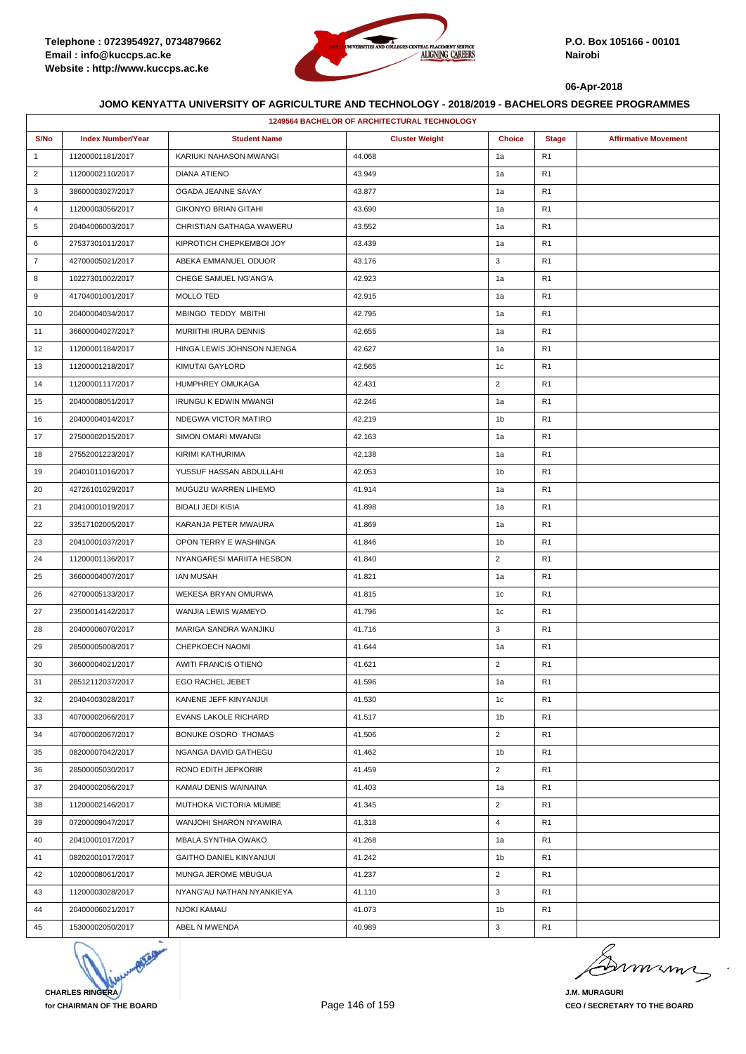

| <b>1249564 BACHELOR OF ARCHITECTURAL TECHNOLOGY</b> |                          |                              |                       |                |                |                             |  |
|-----------------------------------------------------|--------------------------|------------------------------|-----------------------|----------------|----------------|-----------------------------|--|
| S/No                                                | <b>Index Number/Year</b> | <b>Student Name</b>          | <b>Cluster Weight</b> | <b>Choice</b>  | <b>Stage</b>   | <b>Affirmative Movement</b> |  |
| $\mathbf{1}$                                        | 11200001181/2017         | KARIUKI NAHASON MWANGI       | 44.068                | 1a             | R <sub>1</sub> |                             |  |
| $\overline{2}$                                      | 11200002110/2017         | DIANA ATIENO                 | 43.949                | 1a             | R <sub>1</sub> |                             |  |
| 3                                                   | 38600003027/2017         | OGADA JEANNE SAVAY           | 43.877                | 1a             | R <sub>1</sub> |                             |  |
| $\overline{4}$                                      | 11200003056/2017         | <b>GIKONYO BRIAN GITAHI</b>  | 43.690                | 1a             | R <sub>1</sub> |                             |  |
| 5                                                   | 20404006003/2017         | CHRISTIAN GATHAGA WAWERU     | 43.552                | 1a             | R <sub>1</sub> |                             |  |
| 6                                                   | 27537301011/2017         | KIPROTICH CHEPKEMBOI JOY     | 43.439                | 1a             | R <sub>1</sub> |                             |  |
| $\overline{7}$                                      | 42700005021/2017         | ABEKA EMMANUEL ODUOR         | 43.176                | 3              | R <sub>1</sub> |                             |  |
| 8                                                   | 10227301002/2017         | CHEGE SAMUEL NG'ANG'A        | 42.923                | 1a             | R <sub>1</sub> |                             |  |
| 9                                                   | 41704001001/2017         | MOLLO TED                    | 42.915                | 1a             | R <sub>1</sub> |                             |  |
| 10                                                  | 20400004034/2017         | MBINGO TEDDY MBITHI          | 42.795                | 1a             | R <sub>1</sub> |                             |  |
| 11                                                  | 36600004027/2017         | MURIITHI IRURA DENNIS        | 42.655                | 1a             | R <sub>1</sub> |                             |  |
| 12                                                  | 11200001184/2017         | HINGA LEWIS JOHNSON NJENGA   | 42.627                | 1a             | R <sub>1</sub> |                             |  |
| 13                                                  | 11200001218/2017         | KIMUTAI GAYLORD              | 42.565                | 1c             | R <sub>1</sub> |                             |  |
| 14                                                  | 11200001117/2017         | HUMPHREY OMUKAGA             | 42.431                | $\overline{2}$ | R <sub>1</sub> |                             |  |
| 15                                                  | 20400008051/2017         | <b>IRUNGU K EDWIN MWANGI</b> | 42.246                | 1a             | R <sub>1</sub> |                             |  |
| 16                                                  | 20400004014/2017         | NDEGWA VICTOR MATIRO         | 42.219                | 1b             | R <sub>1</sub> |                             |  |
| 17                                                  | 27500002015/2017         | SIMON OMARI MWANGI           | 42.163                | 1a             | R <sub>1</sub> |                             |  |
| 18                                                  | 27552001223/2017         | KIRIMI KATHURIMA             | 42.138                | 1a             | R <sub>1</sub> |                             |  |
| 19                                                  | 20401011016/2017         | YUSSUF HASSAN ABDULLAHI      | 42.053                | 1 <sub>b</sub> | R <sub>1</sub> |                             |  |
| 20                                                  | 42726101029/2017         | MUGUZU WARREN LIHEMO         | 41.914                | 1a             | R <sub>1</sub> |                             |  |
| 21                                                  | 20410001019/2017         | <b>BIDALI JEDI KISIA</b>     | 41.898                | 1a             | R <sub>1</sub> |                             |  |
| 22                                                  | 33517102005/2017         | KARANJA PETER MWAURA         | 41.869                | 1a             | R <sub>1</sub> |                             |  |
| 23                                                  | 20410001037/2017         | OPON TERRY E WASHINGA        | 41.846                | 1b             | R <sub>1</sub> |                             |  |
| 24                                                  | 11200001136/2017         | NYANGARESI MARIITA HESBON    | 41.840                | $\overline{2}$ | R <sub>1</sub> |                             |  |
| 25                                                  | 36600004007/2017         | <b>IAN MUSAH</b>             | 41.821                | 1a             | R <sub>1</sub> |                             |  |
| 26                                                  | 42700005133/2017         | WEKESA BRYAN OMURWA          | 41.815                | 1c             | R <sub>1</sub> |                             |  |
| 27                                                  | 23500014142/2017         | WANJIA LEWIS WAMEYO          | 41.796                | 1 <sub>c</sub> | R <sub>1</sub> |                             |  |
| 28                                                  | 20400006070/2017         | MARIGA SANDRA WANJIKU        | 41.716                | 3              | R <sub>1</sub> |                             |  |
| 29                                                  | 28500005008/2017         | CHEPKOECH NAOMI              | 41.644                | 1a             | R <sub>1</sub> |                             |  |
| 30                                                  | 36600004021/2017         | <b>AWITI FRANCIS OTIENO</b>  | 41.621                | $\overline{2}$ | R <sub>1</sub> |                             |  |
| 31                                                  | 28512112037/2017         | <b>EGO RACHEL JEBET</b>      | 41.596                | 1a             | R <sub>1</sub> |                             |  |
| 32                                                  | 20404003028/2017         | KANENE JEFF KINYANJUI        | 41.530                | 1c             | R1             |                             |  |
| 33                                                  | 40700002066/2017         | EVANS LAKOLE RICHARD         | 41.517                | 1 <sub>b</sub> | R <sub>1</sub> |                             |  |
| 34                                                  | 40700002067/2017         | BONUKE OSORO THOMAS          | 41.506                | $\overline{2}$ | R <sub>1</sub> |                             |  |
| 35                                                  | 08200007042/2017         | NGANGA DAVID GATHEGU         | 41.462                | 1b             | R <sub>1</sub> |                             |  |
| 36                                                  | 28500005030/2017         | RONO EDITH JEPKORIR          | 41.459                | $\overline{2}$ | R <sub>1</sub> |                             |  |
| 37                                                  | 20400002056/2017         | KAMAU DENIS WAINAINA         | 41.403                | 1a             | R <sub>1</sub> |                             |  |
| 38                                                  | 11200002146/2017         | MUTHOKA VICTORIA MUMBE       | 41.345                | $\overline{2}$ | R <sub>1</sub> |                             |  |
| 39                                                  | 07200009047/2017         | WANJOHI SHARON NYAWIRA       | 41.318                | $\overline{4}$ | R <sub>1</sub> |                             |  |
| 40                                                  | 20410001017/2017         | MBALA SYNTHIA OWAKO          | 41.268                | 1a             | R <sub>1</sub> |                             |  |
| 41                                                  | 08202001017/2017         | GAITHO DANIEL KINYANJUI      | 41.242                | 1b             | R <sub>1</sub> |                             |  |
| 42                                                  | 10200008061/2017         | MUNGA JEROME MBUGUA          | 41.237                | $\overline{2}$ | R <sub>1</sub> |                             |  |
| 43                                                  | 11200003028/2017         | NYANG'AU NATHAN NYANKIEYA    | 41.110                | 3              | R <sub>1</sub> |                             |  |
| 44                                                  | 20400006021/2017         | NJOKI KAMAU                  | 41.073                | 1b             | R <sub>1</sub> |                             |  |
| 45                                                  | 15300002050/2017         | ABEL N MWENDA                | 40.989                | 3              | R <sub>1</sub> |                             |  |



murma

**J.M. MURAGURI CEO / SECRETARY TO THE BOARD**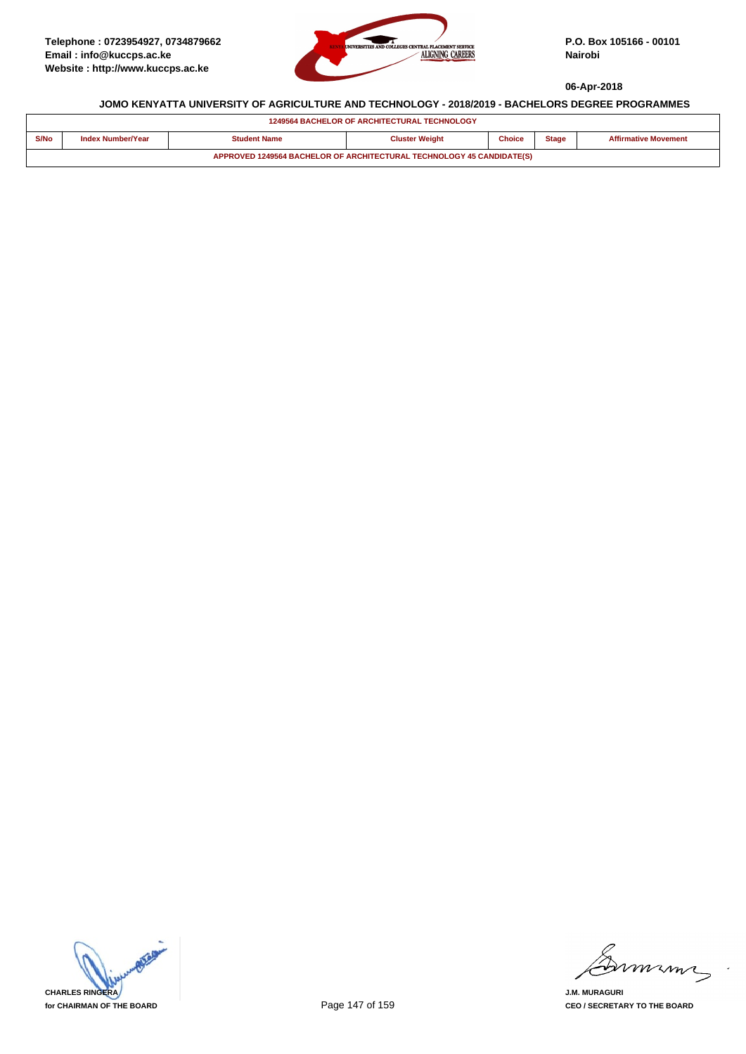

| <b>1249564 BACHELOR OF ARCHITECTURAL TECHNOLOGY</b>                   |                          |                     |                       |               |              |                             |  |  |
|-----------------------------------------------------------------------|--------------------------|---------------------|-----------------------|---------------|--------------|-----------------------------|--|--|
| S/No                                                                  | <b>Index Number/Year</b> | <b>Student Name</b> | <b>Cluster Weight</b> | <b>Choice</b> | <b>Stage</b> | <b>Affirmative Movement</b> |  |  |
| APPROVED 1249564 BACHELOR OF ARCHITECTURAL TECHNOLOGY 45 CANDIDATE(S) |                          |                     |                       |               |              |                             |  |  |



mmmn

**J.M. MURAGURI CEO / SECRETARY TO THE BOARD**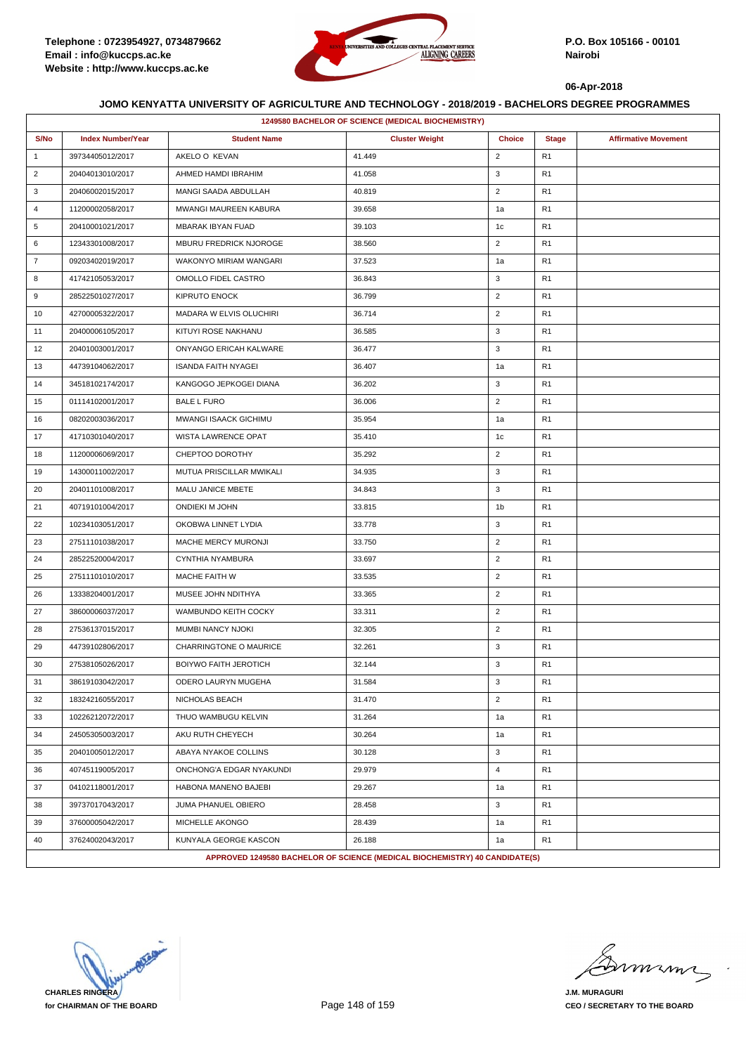

|                | 1249580 BACHELOR OF SCIENCE (MEDICAL BIOCHEMISTRY) |                              |                                                                             |                |                |                             |  |  |
|----------------|----------------------------------------------------|------------------------------|-----------------------------------------------------------------------------|----------------|----------------|-----------------------------|--|--|
| S/No           | <b>Index Number/Year</b>                           | <b>Student Name</b>          | <b>Cluster Weight</b>                                                       | <b>Choice</b>  | <b>Stage</b>   | <b>Affirmative Movement</b> |  |  |
| $\mathbf{1}$   | 39734405012/2017                                   | AKELO O KEVAN                | 41.449                                                                      | $\overline{2}$ | R <sub>1</sub> |                             |  |  |
| $\overline{2}$ | 20404013010/2017                                   | AHMED HAMDI IBRAHIM          | 41.058                                                                      | 3              | R <sub>1</sub> |                             |  |  |
| 3              | 20406002015/2017                                   | MANGI SAADA ABDULLAH         | 40.819                                                                      | $\overline{2}$ | R <sub>1</sub> |                             |  |  |
| $\overline{4}$ | 11200002058/2017                                   | MWANGI MAUREEN KABURA        | 39.658                                                                      | 1a             | R1             |                             |  |  |
| 5              | 20410001021/2017                                   | <b>MBARAK IBYAN FUAD</b>     | 39.103                                                                      | 1c             | R <sub>1</sub> |                             |  |  |
| 6              | 12343301008/2017                                   | MBURU FREDRICK NJOROGE       | 38.560                                                                      | $\overline{2}$ | R <sub>1</sub> |                             |  |  |
| $\overline{7}$ | 09203402019/2017                                   | WAKONYO MIRIAM WANGARI       | 37.523                                                                      | 1a             | R1             |                             |  |  |
| 8              | 41742105053/2017                                   | OMOLLO FIDEL CASTRO          | 36.843                                                                      | 3              | R <sub>1</sub> |                             |  |  |
| 9              | 28522501027/2017                                   | KIPRUTO ENOCK                | 36.799                                                                      | $\overline{2}$ | R <sub>1</sub> |                             |  |  |
| 10             | 42700005322/2017                                   | MADARA W ELVIS OLUCHIRI      | 36.714                                                                      | $\overline{2}$ | R1             |                             |  |  |
| 11             | 20400006105/2017                                   | KITUYI ROSE NAKHANU          | 36.585                                                                      | 3              | R <sub>1</sub> |                             |  |  |
| 12             | 20401003001/2017                                   | ONYANGO ERICAH KALWARE       | 36.477                                                                      | 3              | R <sub>1</sub> |                             |  |  |
| 13             | 44739104062/2017                                   | <b>ISANDA FAITH NYAGEI</b>   | 36.407                                                                      | 1a             | R1             |                             |  |  |
| 14             | 34518102174/2017                                   | KANGOGO JEPKOGEI DIANA       | 36.202                                                                      | 3              | R <sub>1</sub> |                             |  |  |
| 15             | 01114102001/2017                                   | <b>BALE L FURO</b>           | 36.006                                                                      | $\overline{2}$ | R <sub>1</sub> |                             |  |  |
| 16             | 08202003036/2017                                   | MWANGI ISAACK GICHIMU        | 35.954                                                                      | 1a             | R <sub>1</sub> |                             |  |  |
| 17             | 41710301040/2017                                   | <b>WISTA LAWRENCE OPAT</b>   | 35.410                                                                      | 1c             | R <sub>1</sub> |                             |  |  |
| 18             | 11200006069/2017                                   | CHEPTOO DOROTHY              | 35.292                                                                      | $\overline{2}$ | R <sub>1</sub> |                             |  |  |
| 19             | 14300011002/2017                                   | MUTUA PRISCILLAR MWIKALI     | 34.935                                                                      | 3              | R1             |                             |  |  |
| 20             | 20401101008/2017                                   | MALU JANICE MBETE            | 34.843                                                                      | 3              | R <sub>1</sub> |                             |  |  |
| 21             | 40719101004/2017                                   | ONDIEKI M JOHN               | 33.815                                                                      | 1 <sub>b</sub> | R <sub>1</sub> |                             |  |  |
| 22             | 10234103051/2017                                   | OKOBWA LINNET LYDIA          | 33.778                                                                      | 3              | R <sub>1</sub> |                             |  |  |
| 23             | 27511101038/2017                                   | MACHE MERCY MURONJI          | 33.750                                                                      | $\overline{2}$ | R <sub>1</sub> |                             |  |  |
| 24             | 28522520004/2017                                   | CYNTHIA NYAMBURA             | 33.697                                                                      | $\overline{2}$ | R <sub>1</sub> |                             |  |  |
| 25             | 27511101010/2017                                   | MACHE FAITH W                | 33.535                                                                      | $\overline{2}$ | R1             |                             |  |  |
| 26             | 13338204001/2017                                   | MUSEE JOHN NDITHYA           | 33.365                                                                      | $\overline{2}$ | R <sub>1</sub> |                             |  |  |
| 27             | 38600006037/2017                                   | WAMBUNDO KEITH COCKY         | 33.311                                                                      | $\overline{2}$ | R <sub>1</sub> |                             |  |  |
| 28             | 27536137015/2017                                   | MUMBI NANCY NJOKI            | 32.305                                                                      | $\overline{2}$ | R1             |                             |  |  |
| 29             | 44739102806/2017                                   | CHARRINGTONE O MAURICE       | 32.261                                                                      | 3              | R <sub>1</sub> |                             |  |  |
| 30             | 27538105026/2017                                   | <b>BOIYWO FAITH JEROTICH</b> | 32.144                                                                      | 3              | R <sub>1</sub> |                             |  |  |
| 31             | 38619103042/2017                                   | ODERO LAURYN MUGEHA          | 31.584                                                                      | 3              | R <sub>1</sub> |                             |  |  |
| 32             | 18324216055/2017                                   | NICHOLAS BEACH               | 31.470                                                                      | $\overline{2}$ | R <sub>1</sub> |                             |  |  |
| 33             | 10226212072/2017                                   | THUO WAMBUGU KELVIN          | 31.264                                                                      | 1a             | R1             |                             |  |  |
| 34             | 24505305003/2017                                   | AKU RUTH CHEYECH             | 30.264                                                                      | 1a             | R <sub>1</sub> |                             |  |  |
| 35             | 20401005012/2017                                   | ABAYA NYAKOE COLLINS         | 30.128                                                                      | 3              | R1             |                             |  |  |
| 36             | 40745119005/2017                                   | ONCHONG'A EDGAR NYAKUNDI     | 29.979                                                                      | $\overline{4}$ | R1             |                             |  |  |
| 37             | 04102118001/2017                                   | HABONA MANENO BAJEBI         | 29.267                                                                      | 1a             | R <sub>1</sub> |                             |  |  |
| 38             | 39737017043/2017                                   | JUMA PHANUEL OBIERO          | 28.458                                                                      | 3              | R <sub>1</sub> |                             |  |  |
| 39             | 37600005042/2017                                   | MICHELLE AKONGO              | 28.439                                                                      | 1a             | R <sub>1</sub> |                             |  |  |
| 40             | 37624002043/2017                                   | KUNYALA GEORGE KASCON        | 26.188                                                                      | 1a             | R <sub>1</sub> |                             |  |  |
|                |                                                    |                              | APPROVED 1249580 BACHELOR OF SCIENCE (MEDICAL BIOCHEMISTRY) 40 CANDIDATE(S) |                |                |                             |  |  |

**CHARLES RINGERA for CHAIRMAN OF THE BOARD**

murma

**J.M. MURAGURI CEO / SECRETARY TO THE BOARD**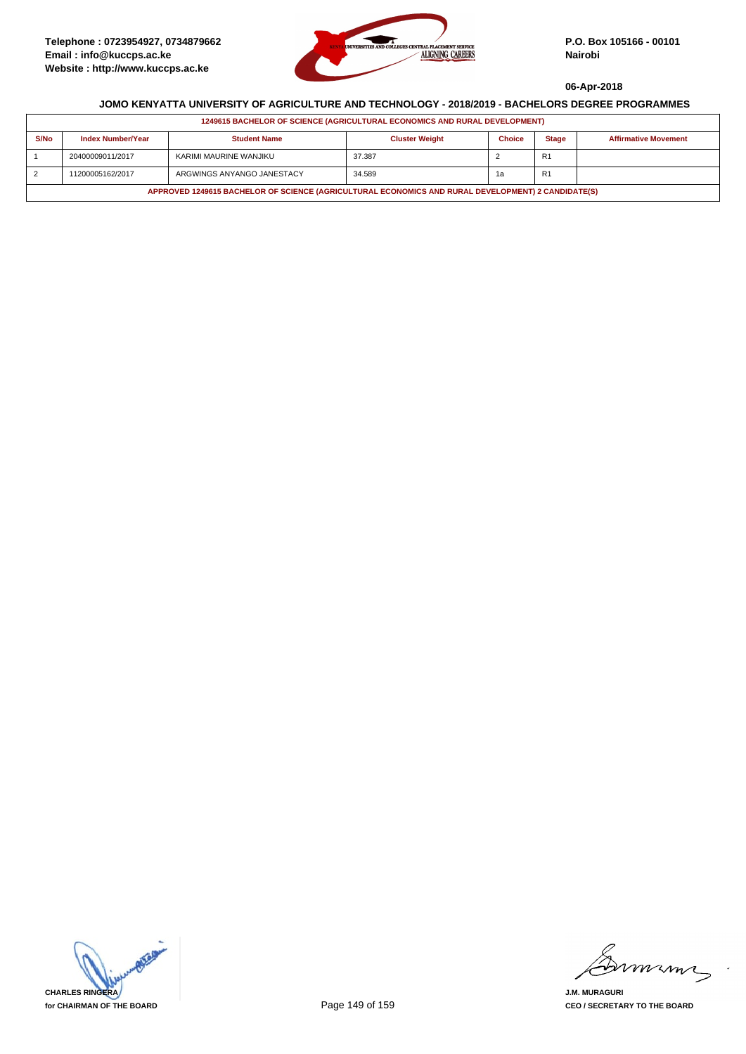

| 1249615 BACHELOR OF SCIENCE (AGRICULTURAL ECONOMICS AND RURAL DEVELOPMENT)                         |                          |                            |                       |               |                |                             |  |  |
|----------------------------------------------------------------------------------------------------|--------------------------|----------------------------|-----------------------|---------------|----------------|-----------------------------|--|--|
| S/No                                                                                               | <b>Index Number/Year</b> | <b>Student Name</b>        | <b>Cluster Weight</b> | <b>Choice</b> | <b>Stage</b>   | <b>Affirmative Movement</b> |  |  |
|                                                                                                    | 20400009011/2017         | KARIMI MAURINE WANJIKU     | 37.387                |               | R <sub>1</sub> |                             |  |  |
| $\overline{2}$                                                                                     | 11200005162/2017         | ARGWINGS ANYANGO JANESTACY | 34.589                | 1а            | R <sub>1</sub> |                             |  |  |
| APPROVED 1249615 BACHELOR OF SCIENCE (AGRICULTURAL ECONOMICS AND RURAL DEVELOPMENT) 2 CANDIDATE(S) |                          |                            |                       |               |                |                             |  |  |

**CHARLES RINGERA for CHAIRMAN OF THE BOARD**

mmmn

**J.M. MURAGURI CEO / SECRETARY TO THE BOARD**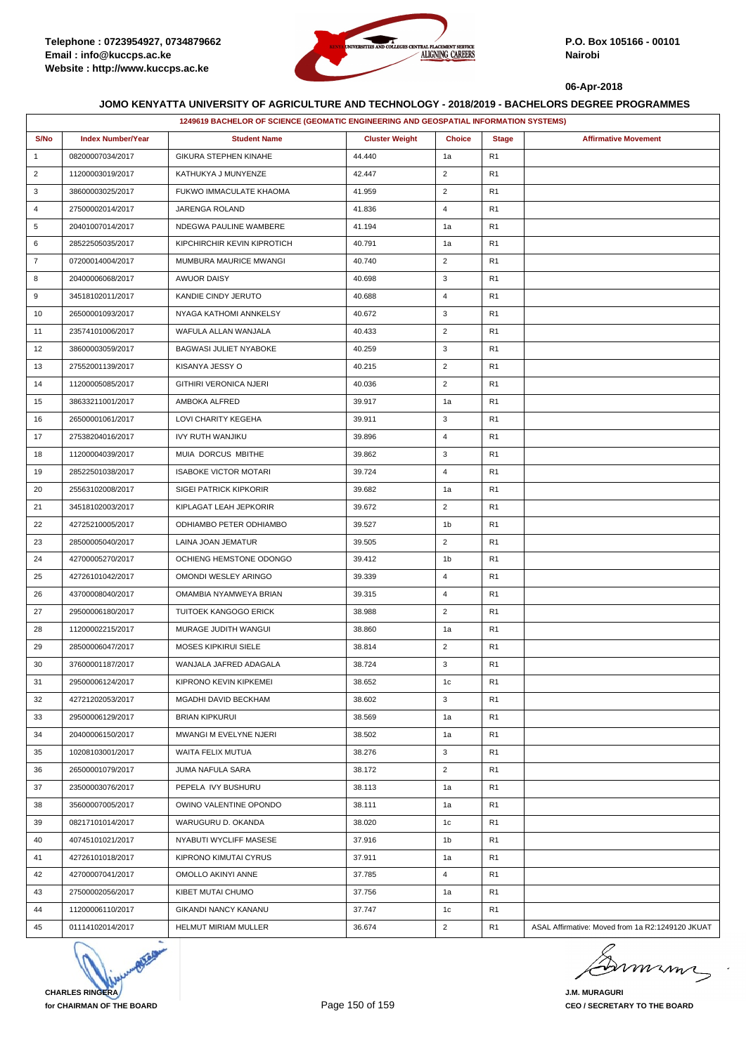

|                |                          | 1249619 BACHELOR OF SCIENCE (GEOMATIC ENGINEERING AND GEOSPATIAL INFORMATION SYSTEMS) |                       |                |                |                                                  |
|----------------|--------------------------|---------------------------------------------------------------------------------------|-----------------------|----------------|----------------|--------------------------------------------------|
| S/No           | <b>Index Number/Year</b> | <b>Student Name</b>                                                                   | <b>Cluster Weight</b> | <b>Choice</b>  | <b>Stage</b>   | <b>Affirmative Movement</b>                      |
| $\mathbf{1}$   | 08200007034/2017         | GIKURA STEPHEN KINAHE                                                                 | 44.440                | 1a             | R <sub>1</sub> |                                                  |
| 2              | 11200003019/2017         | KATHUKYA J MUNYENZE                                                                   | 42.447                | $\overline{2}$ | R <sub>1</sub> |                                                  |
| 3              | 38600003025/2017         | FUKWO IMMACULATE KHAOMA                                                               | 41.959                | $\overline{2}$ | R <sub>1</sub> |                                                  |
| 4              | 27500002014/2017         | JARENGA ROLAND                                                                        | 41.836                | $\overline{4}$ | R <sub>1</sub> |                                                  |
| 5              | 20401007014/2017         | NDEGWA PAULINE WAMBERE                                                                | 41.194                | 1a             | R <sub>1</sub> |                                                  |
| 6              | 28522505035/2017         | KIPCHIRCHIR KEVIN KIPROTICH                                                           | 40.791                | 1a             | R <sub>1</sub> |                                                  |
| $\overline{7}$ | 07200014004/2017         | MUMBURA MAURICE MWANGI                                                                | 40.740                | $\overline{2}$ | R <sub>1</sub> |                                                  |
| 8              | 20400006068/2017         | <b>AWUOR DAISY</b>                                                                    | 40.698                | 3              | R1             |                                                  |
| 9              | 34518102011/2017         | KANDIE CINDY JERUTO                                                                   | 40.688                | $\overline{4}$ | R <sub>1</sub> |                                                  |
| 10             | 26500001093/2017         | NYAGA KATHOMI ANNKELSY                                                                | 40.672                | 3              | R <sub>1</sub> |                                                  |
| 11             | 23574101006/2017         | WAFULA ALLAN WANJALA                                                                  | 40.433                | $\overline{2}$ | R <sub>1</sub> |                                                  |
| 12             | 38600003059/2017         | BAGWASI JULIET NYABOKE                                                                | 40.259                | 3              | R <sub>1</sub> |                                                  |
| 13             | 27552001139/2017         | KISANYA JESSY O                                                                       | 40.215                | $\overline{2}$ | R <sub>1</sub> |                                                  |
| 14             | 11200005085/2017         | <b>GITHIRI VERONICA NJERI</b>                                                         | 40.036                | $\overline{2}$ | R <sub>1</sub> |                                                  |
| 15             | 38633211001/2017         | AMBOKA ALFRED                                                                         | 39.917                | 1a             | R <sub>1</sub> |                                                  |
| 16             | 26500001061/2017         | LOVI CHARITY KEGEHA                                                                   | 39.911                | 3              | R <sub>1</sub> |                                                  |
| 17             | 27538204016/2017         | IVY RUTH WANJIKU                                                                      | 39.896                | $\overline{4}$ | R <sub>1</sub> |                                                  |
| 18             | 11200004039/2017         | MUIA DORCUS MBITHE                                                                    | 39.862                | 3              | R <sub>1</sub> |                                                  |
| 19             | 28522501038/2017         | <b>ISABOKE VICTOR MOTARI</b>                                                          | 39.724                | $\overline{4}$ | R <sub>1</sub> |                                                  |
| 20             | 25563102008/2017         | <b>SIGEI PATRICK KIPKORIR</b>                                                         | 39.682                | 1a             | R1             |                                                  |
| 21             | 34518102003/2017         | KIPLAGAT LEAH JEPKORIR                                                                | 39.672                | $\overline{2}$ | R <sub>1</sub> |                                                  |
| 22             | 42725210005/2017         | ODHIAMBO PETER ODHIAMBO                                                               | 39.527                | 1b             | R <sub>1</sub> |                                                  |
| 23             | 28500005040/2017         | LAINA JOAN JEMATUR                                                                    | 39.505                | $\overline{2}$ | R <sub>1</sub> |                                                  |
| 24             | 42700005270/2017         | OCHIENG HEMSTONE ODONGO                                                               | 39.412                | 1b             | R <sub>1</sub> |                                                  |
| 25             | 42726101042/2017         | OMONDI WESLEY ARINGO                                                                  | 39.339                | $\overline{4}$ | R <sub>1</sub> |                                                  |
| 26             | 43700008040/2017         | OMAMBIA NYAMWEYA BRIAN                                                                | 39.315                | $\overline{4}$ | R1             |                                                  |
| 27             | 29500006180/2017         | TUITOEK KANGOGO ERICK                                                                 | 38.988                | $\overline{2}$ | R <sub>1</sub> |                                                  |
| 28             | 11200002215/2017         | MURAGE JUDITH WANGUI                                                                  | 38.860                | 1a             | R <sub>1</sub> |                                                  |
| 29             | 28500006047/2017         | <b>MOSES KIPKIRUI SIELE</b>                                                           | 38.814                | $\overline{2}$ | R1             |                                                  |
| 30             | 37600001187/2017         | WANJALA JAFRED ADAGALA                                                                | 38.724                | 3              | R <sub>1</sub> |                                                  |
| 31             | 29500006124/2017         | KIPRONO KEVIN KIPKEMEI                                                                | 38.652                | 1 <sub>c</sub> | R1             |                                                  |
| 32             | 42721202053/2017         | MGADHI DAVID BECKHAM                                                                  | 38.602                | 3              | R <sub>1</sub> |                                                  |
| 33             | 29500006129/2017         | <b>BRIAN KIPKURUI</b>                                                                 | 38.569                | 1a             | R <sub>1</sub> |                                                  |
| 34             | 20400006150/2017         | MWANGI M EVELYNE NJERI                                                                | 38.502                | 1a             | R <sub>1</sub> |                                                  |
| 35             | 10208103001/2017         | WAITA FELIX MUTUA                                                                     | 38.276                | 3              | R1             |                                                  |
| 36             | 26500001079/2017         | JUMA NAFULA SARA                                                                      | 38.172                | $\overline{2}$ | R <sub>1</sub> |                                                  |
| 37             | 23500003076/2017         | PEPELA IVY BUSHURU                                                                    | 38.113                | 1a             | R <sub>1</sub> |                                                  |
| 38             | 35600007005/2017         | OWINO VALENTINE OPONDO                                                                | 38.111                | 1a             | R <sub>1</sub> |                                                  |
| 39             | 08217101014/2017         | WARUGURU D. OKANDA                                                                    | 38.020                | 1c             | R <sub>1</sub> |                                                  |
| 40             | 40745101021/2017         | NYABUTI WYCLIFF MASESE                                                                | 37.916                | 1b             | R <sub>1</sub> |                                                  |
| 41             | 42726101018/2017         | KIPRONO KIMUTAI CYRUS                                                                 | 37.911                | 1a             | R1             |                                                  |
| 42             | 42700007041/2017         | OMOLLO AKINYI ANNE                                                                    | 37.785                | $\overline{4}$ | R <sub>1</sub> |                                                  |
| 43             | 27500002056/2017         | KIBET MUTAI CHUMO                                                                     | 37.756                | 1a             | R <sub>1</sub> |                                                  |
| 44             | 11200006110/2017         | <b>GIKANDI NANCY KANANU</b>                                                           | 37.747                | 1 <sub>c</sub> | R <sub>1</sub> |                                                  |
| 45             | 01114102014/2017         | HELMUT MIRIAM MULLER                                                                  | 36.674                | $\overline{2}$ | R <sub>1</sub> | ASAL Affirmative: Moved from 1a R2:1249120 JKUAT |



Dimimi  $\overline{ }$ 

**J.M. MURAGURI CEO / SECRETARY TO THE BOARD**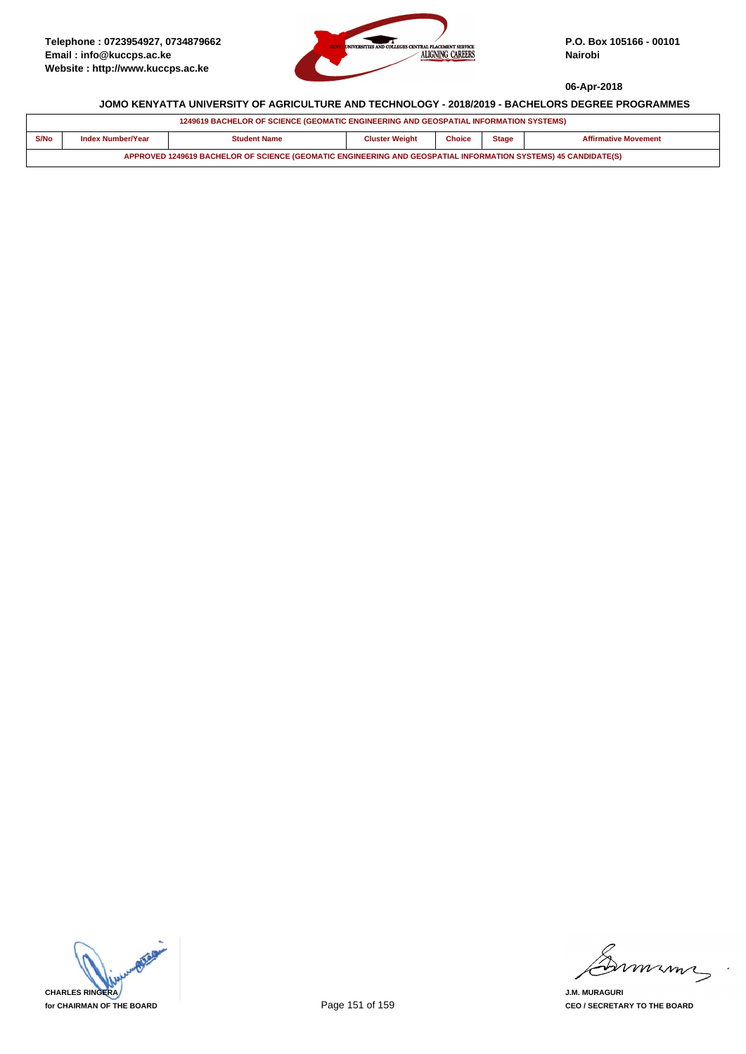

|                                                                                                                | 1249619 BACHELOR OF SCIENCE (GEOMATIC ENGINEERING AND GEOSPATIAL INFORMATION SYSTEMS)                                             |  |  |  |  |  |  |  |  |
|----------------------------------------------------------------------------------------------------------------|-----------------------------------------------------------------------------------------------------------------------------------|--|--|--|--|--|--|--|--|
| S/No                                                                                                           | <b>Cluster Weight</b><br><b>Choice</b><br>Index Number/Year<br><b>Student Name</b><br><b>Affirmative Movement</b><br><b>Stage</b> |  |  |  |  |  |  |  |  |
| APPROVED 1249619 BACHELOR OF SCIENCE (GEOMATIC ENGINEERING AND GEOSPATIAL INFORMATION SYSTEMS) 45 CANDIDATE(S) |                                                                                                                                   |  |  |  |  |  |  |  |  |



mmmn

**J.M. MURAGURI CEO / SECRETARY TO THE BOARD**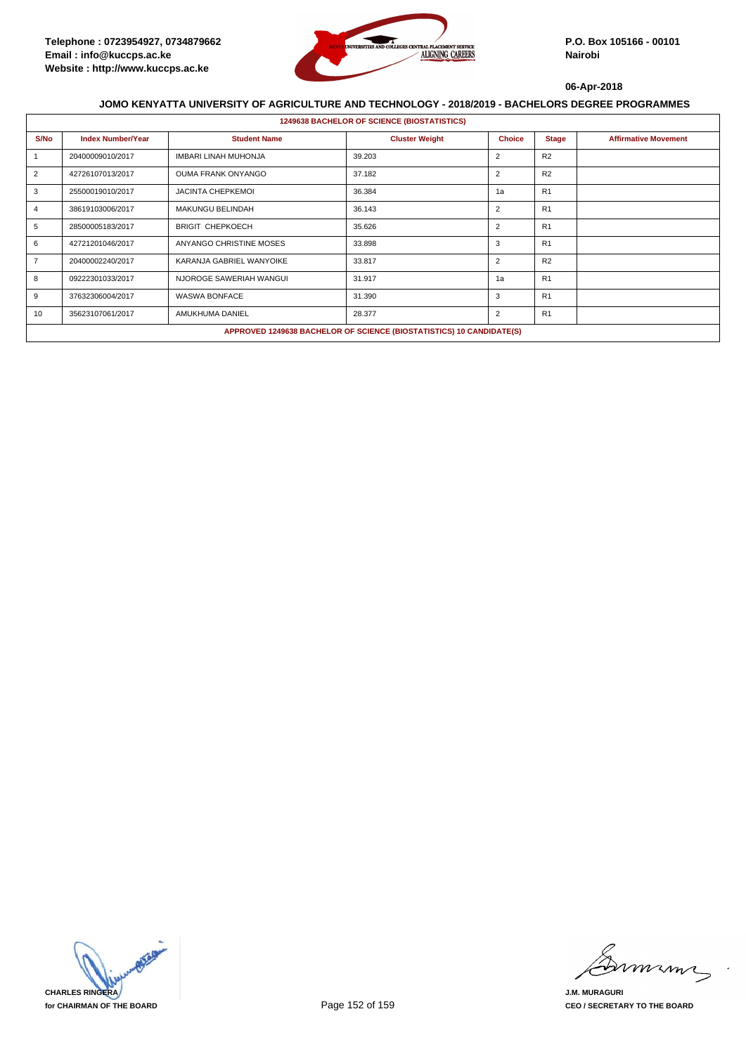

|                | <b>1249638 BACHELOR OF SCIENCE (BIOSTATISTICS)</b> |                           |                                                                      |                |                |                             |  |  |  |
|----------------|----------------------------------------------------|---------------------------|----------------------------------------------------------------------|----------------|----------------|-----------------------------|--|--|--|
| S/No           | <b>Index Number/Year</b>                           | <b>Student Name</b>       | <b>Cluster Weight</b>                                                | <b>Choice</b>  | <b>Stage</b>   | <b>Affirmative Movement</b> |  |  |  |
|                | 20400009010/2017                                   | IMBARI LINAH MUHONJA      | 39.203                                                               | $\overline{2}$ | R2             |                             |  |  |  |
| 2              | 42726107013/2017                                   | <b>OUMA FRANK ONYANGO</b> | 37.182                                                               | $\overline{2}$ | R <sub>2</sub> |                             |  |  |  |
| 3              | 25500019010/2017                                   | <b>JACINTA CHEPKEMOL</b>  | 36.384                                                               | 1a             | R <sub>1</sub> |                             |  |  |  |
|                | 38619103006/2017                                   | <b>MAKUNGU BELINDAH</b>   | 36.143                                                               | $\overline{2}$ | R1             |                             |  |  |  |
| 5              | 28500005183/2017                                   | <b>BRIGIT CHEPKOECH</b>   | 35.626                                                               | $\overline{2}$ | R1             |                             |  |  |  |
| 6              | 42721201046/2017                                   | ANYANGO CHRISTINE MOSES   | 33.898                                                               | 3              | R1             |                             |  |  |  |
| $\overline{7}$ | 20400002240/2017                                   | KARANJA GABRIEL WANYOIKE  | 33.817                                                               | $\overline{2}$ | R <sub>2</sub> |                             |  |  |  |
| 8              | 09222301033/2017                                   | NJOROGE SAWERIAH WANGUI   | 31.917                                                               | 1a             | R1             |                             |  |  |  |
| 9              | 37632306004/2017                                   | <b>WASWA BONFACE</b>      | 31.390                                                               | 3              | R1             |                             |  |  |  |
| 10             | 35623107061/2017                                   | AMUKHUMA DANIEL           | 28.377                                                               | $\overline{2}$ | R1             |                             |  |  |  |
|                |                                                    |                           | APPROVED 1249638 BACHELOR OF SCIENCE (BIOSTATISTICS) 10 CANDIDATE(S) |                |                |                             |  |  |  |



mmmn

**J.M. MURAGURI CEO / SECRETARY TO THE BOARD**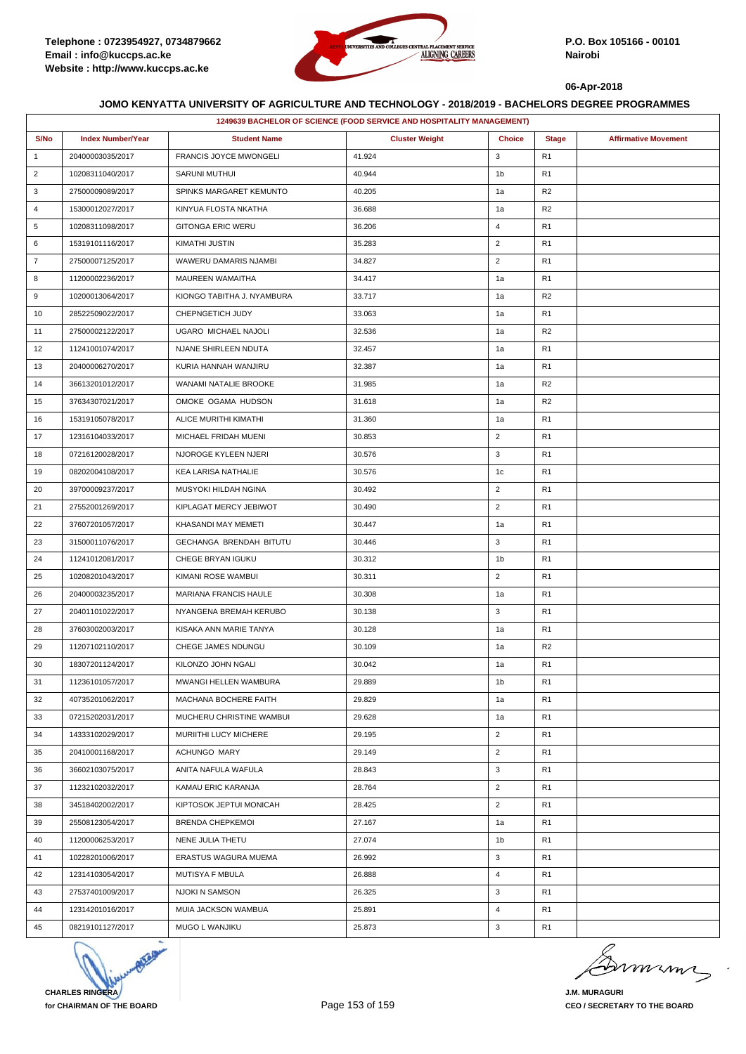

|                | 1249639 BACHELOR OF SCIENCE (FOOD SERVICE AND HOSPITALITY MANAGEMENT) |                               |                       |                |                |                             |  |  |
|----------------|-----------------------------------------------------------------------|-------------------------------|-----------------------|----------------|----------------|-----------------------------|--|--|
| S/No           | <b>Index Number/Year</b>                                              | <b>Student Name</b>           | <b>Cluster Weight</b> | <b>Choice</b>  | <b>Stage</b>   | <b>Affirmative Movement</b> |  |  |
| $\mathbf{1}$   | 20400003035/2017                                                      | <b>FRANCIS JOYCE MWONGELI</b> | 41.924                | 3              | R1             |                             |  |  |
| $\overline{2}$ | 10208311040/2017                                                      | SARUNI MUTHUI                 | 40.944                | 1 <sub>b</sub> | R1             |                             |  |  |
| 3              | 27500009089/2017                                                      | SPINKS MARGARET KEMUNTO       | 40.205                | 1a             | R2             |                             |  |  |
| 4              | 15300012027/2017                                                      | KINYUA FLOSTA NKATHA          | 36.688                | 1a             | R <sub>2</sub> |                             |  |  |
| 5              | 10208311098/2017                                                      | <b>GITONGA ERIC WERU</b>      | 36.206                | $\overline{4}$ | R1             |                             |  |  |
| 6              | 15319101116/2017                                                      | KIMATHI JUSTIN                | 35.283                | $\overline{2}$ | R1             |                             |  |  |
| $\overline{7}$ | 27500007125/2017                                                      | WAWERU DAMARIS NJAMBI         | 34.827                | $\overline{2}$ | R <sub>1</sub> |                             |  |  |
| 8              | 11200002236/2017                                                      | MAUREEN WAMAITHA              | 34.417                | 1a             | R1             |                             |  |  |
| 9              | 10200013064/2017                                                      | KIONGO TABITHA J. NYAMBURA    | 33.717                | 1a             | R <sub>2</sub> |                             |  |  |
| 10             | 28522509022/2017                                                      | CHEPNGETICH JUDY              | 33.063                | 1a             | R <sub>1</sub> |                             |  |  |
| 11             | 27500002122/2017                                                      | UGARO MICHAEL NAJOLI          | 32.536                | 1a             | R <sub>2</sub> |                             |  |  |
| 12             | 11241001074/2017                                                      | NJANE SHIRLEEN NDUTA          | 32.457                | 1a             | R <sub>1</sub> |                             |  |  |
| 13             | 20400006270/2017                                                      | KURIA HANNAH WANJIRU          | 32.387                | 1a             | R <sub>1</sub> |                             |  |  |
| 14             | 36613201012/2017                                                      | WANAMI NATALIE BROOKE         | 31.985                | 1a             | R2             |                             |  |  |
| 15             | 37634307021/2017                                                      | OMOKE OGAMA HUDSON            | 31.618                | 1a             | R2             |                             |  |  |
| 16             | 15319105078/2017                                                      | ALICE MURITHI KIMATHI         | 31.360                | 1a             | R <sub>1</sub> |                             |  |  |
| 17             | 12316104033/2017                                                      | MICHAEL FRIDAH MUENI          | 30.853                | $\overline{2}$ | R1             |                             |  |  |
| 18             | 07216120028/2017                                                      | NJOROGE KYLEEN NJERI          | 30.576                | 3              | R <sub>1</sub> |                             |  |  |
| 19             | 08202004108/2017                                                      | KEA LARISA NATHALIE           | 30.576                | 1c             | R <sub>1</sub> |                             |  |  |
| 20             | 39700009237/2017                                                      | MUSYOKI HILDAH NGINA          | 30.492                | $\overline{2}$ | R1             |                             |  |  |
| 21             | 27552001269/2017                                                      | KIPLAGAT MERCY JEBIWOT        | 30.490                | $\overline{2}$ | R <sub>1</sub> |                             |  |  |
| 22             | 37607201057/2017                                                      | KHASANDI MAY MEMETI           | 30.447                | 1a             | R <sub>1</sub> |                             |  |  |
| 23             | 31500011076/2017                                                      | GECHANGA BRENDAH BITUTU       | 30.446                | 3              | R1             |                             |  |  |
| 24             | 11241012081/2017                                                      | CHEGE BRYAN IGUKU             | 30.312                | 1b             | R <sub>1</sub> |                             |  |  |
| 25             | 10208201043/2017                                                      | KIMANI ROSE WAMBUI            | 30.311                | $\overline{2}$ | R <sub>1</sub> |                             |  |  |
| 26             | 20400003235/2017                                                      | MARIANA FRANCIS HAULE         | 30.308                | 1a             | R1             |                             |  |  |
| 27             | 20401101022/2017                                                      | NYANGENA BREMAH KERUBO        | 30.138                | 3              | R <sub>1</sub> |                             |  |  |
| 28             | 37603002003/2017                                                      | KISAKA ANN MARIE TANYA        | 30.128                | 1a             | R <sub>1</sub> |                             |  |  |
| 29             | 11207102110/2017                                                      | CHEGE JAMES NDUNGU            | 30.109                | 1a             | R <sub>2</sub> |                             |  |  |
| 30             | 18307201124/2017                                                      | KILONZO JOHN NGALI            | 30.042                | 1a             | R <sub>1</sub> |                             |  |  |
| 31             | 11236101057/2017                                                      | MWANGI HELLEN WAMBURA         | 29.889                | 1 <sub>b</sub> | R <sub>1</sub> |                             |  |  |
| 32             | 40735201062/2017                                                      | MACHANA BOCHERE FAITH         | 29.829                | 1a             | R1             |                             |  |  |
| 33             | 07215202031/2017                                                      | MUCHERU CHRISTINE WAMBUI      | 29.628                | 1a             | R1             |                             |  |  |
| 34             | 14333102029/2017                                                      | MURIITHI LUCY MICHERE         | 29.195                | $\overline{2}$ | R1             |                             |  |  |
| 35             | 20410001168/2017                                                      | ACHUNGO MARY                  | 29.149                | $\overline{2}$ | R1             |                             |  |  |
| 36             | 36602103075/2017                                                      | ANITA NAFULA WAFULA           | 28.843                | 3              | R <sub>1</sub> |                             |  |  |
| 37             | 11232102032/2017                                                      | KAMAU ERIC KARANJA            | 28.764                | $\overline{2}$ | R1             |                             |  |  |
| 38             | 34518402002/2017                                                      | KIPTOSOK JEPTUI MONICAH       | 28.425                | $\overline{2}$ | R1             |                             |  |  |
| 39             | 25508123054/2017                                                      | <b>BRENDA CHEPKEMOI</b>       | 27.167                | 1a             | R <sub>1</sub> |                             |  |  |
| 40             | 11200006253/2017                                                      | NENE JULIA THETU              | 27.074                | 1b             | R <sub>1</sub> |                             |  |  |
| 41             | 10228201006/2017                                                      | ERASTUS WAGURA MUEMA          | 26.992                | 3              | R <sub>1</sub> |                             |  |  |
| 42             | 12314103054/2017                                                      | MUTISYA F MBULA               | 26.888                | 4              | R <sub>1</sub> |                             |  |  |
| 43             | 27537401009/2017                                                      | NJOKI N SAMSON                | 26.325                | 3              | R1             |                             |  |  |
| 44             | 12314201016/2017                                                      | MUIA JACKSON WAMBUA           | 25.891                | $\overline{4}$ | R1             |                             |  |  |
| 45             | 08219101127/2017                                                      | MUGO L WANJIKU                | 25.873                | 3              | R <sub>1</sub> |                             |  |  |



murma

**J.M. MURAGURI CEO / SECRETARY TO THE BOARD**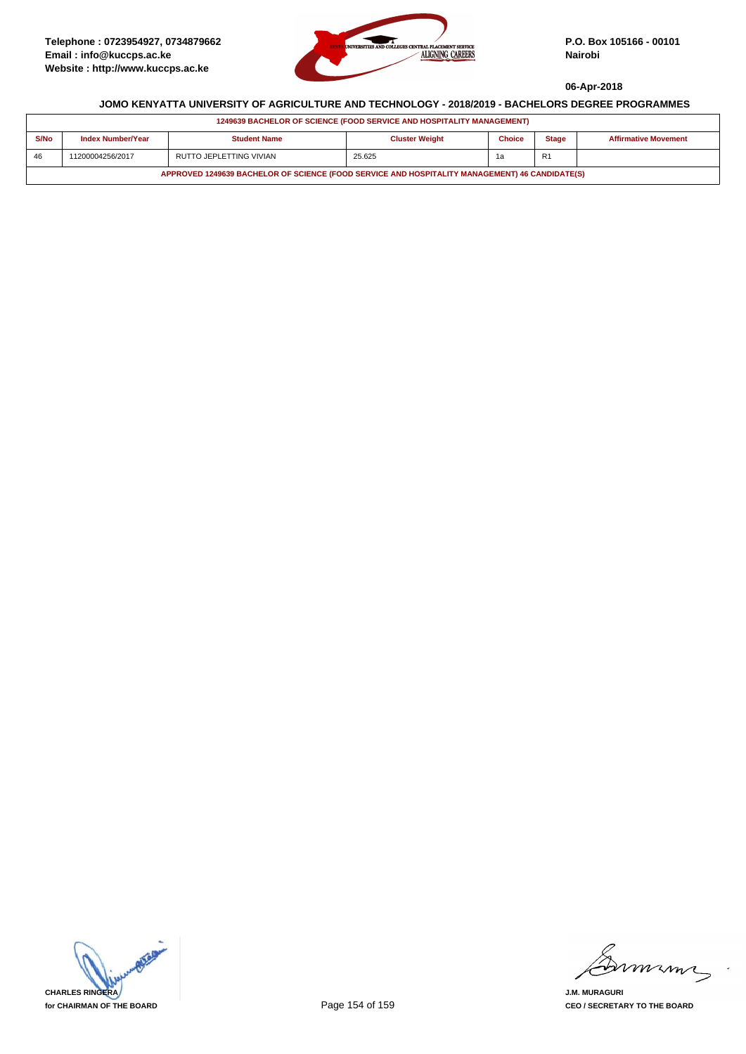

| 1249639 BACHELOR OF SCIENCE (FOOD SERVICE AND HOSPITALITY MANAGEMENT)                          |                   |                         |                       |               |                |                             |  |  |
|------------------------------------------------------------------------------------------------|-------------------|-------------------------|-----------------------|---------------|----------------|-----------------------------|--|--|
| S/No                                                                                           | Index Number/Year | <b>Student Name</b>     | <b>Cluster Weight</b> | <b>Choice</b> | <b>Stage</b>   | <b>Affirmative Movement</b> |  |  |
| 46                                                                                             | 11200004256/2017  | RUTTO JEPLETTING VIVIAN | 25.625                | 1a            | R <sub>1</sub> |                             |  |  |
| APPROVED 1249639 BACHELOR OF SCIENCE (FOOD SERVICE AND HOSPITALITY MANAGEMENT) 46 CANDIDATE(S) |                   |                         |                       |               |                |                             |  |  |



mmmn

**J.M. MURAGURI CEO / SECRETARY TO THE BOARD**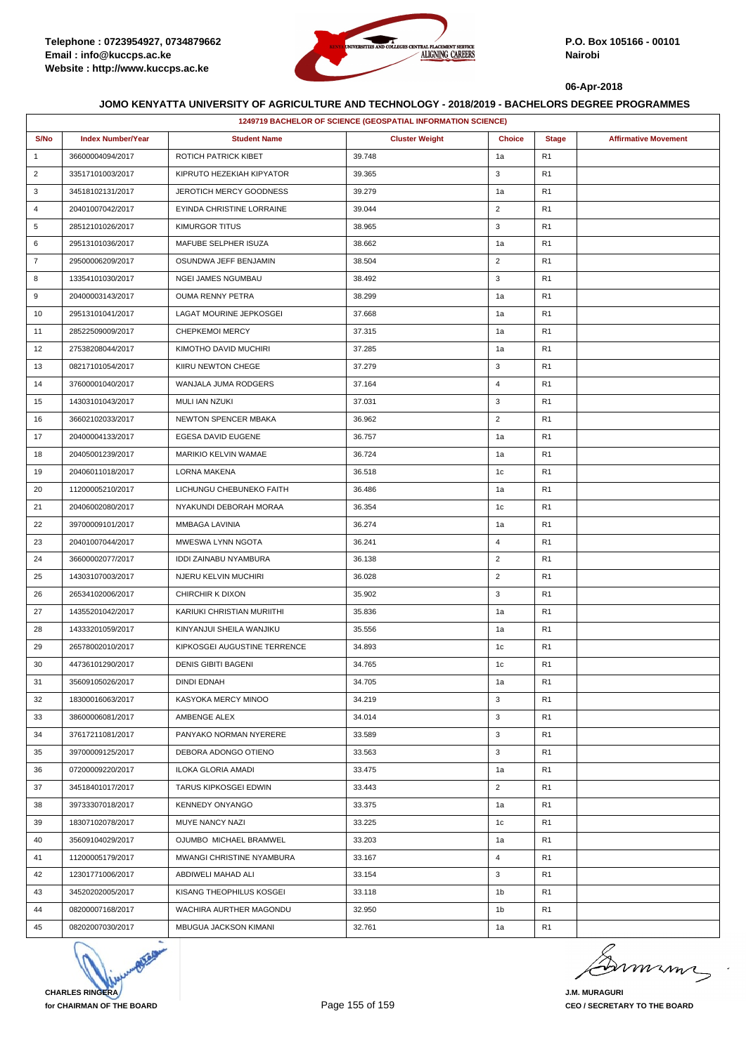

|                | 1249719 BACHELOR OF SCIENCE (GEOSPATIAL INFORMATION SCIENCE) |                              |                       |                |                |                             |  |  |
|----------------|--------------------------------------------------------------|------------------------------|-----------------------|----------------|----------------|-----------------------------|--|--|
| S/No           | <b>Index Number/Year</b>                                     | <b>Student Name</b>          | <b>Cluster Weight</b> | <b>Choice</b>  | <b>Stage</b>   | <b>Affirmative Movement</b> |  |  |
| $\mathbf{1}$   | 36600004094/2017                                             | ROTICH PATRICK KIBET         | 39.748                | 1a             | R <sub>1</sub> |                             |  |  |
| $\overline{2}$ | 33517101003/2017                                             | KIPRUTO HEZEKIAH KIPYATOR    | 39.365                | 3              | R <sub>1</sub> |                             |  |  |
| 3              | 34518102131/2017                                             | JEROTICH MERCY GOODNESS      | 39.279                | 1a             | R <sub>1</sub> |                             |  |  |
| $\overline{4}$ | 20401007042/2017                                             | EYINDA CHRISTINE LORRAINE    | 39.044                | $\overline{2}$ | R <sub>1</sub> |                             |  |  |
| 5              | 28512101026/2017                                             | KIMURGOR TITUS               | 38.965                | 3              | R <sub>1</sub> |                             |  |  |
| 6              | 29513101036/2017                                             | MAFUBE SELPHER ISUZA         | 38.662                | 1a             | R <sub>1</sub> |                             |  |  |
| $\overline{7}$ | 29500006209/2017                                             | OSUNDWA JEFF BENJAMIN        | 38.504                | $\overline{2}$ | R <sub>1</sub> |                             |  |  |
| 8              | 13354101030/2017                                             | NGEI JAMES NGUMBAU           | 38.492                | 3              | R <sub>1</sub> |                             |  |  |
| 9              | 20400003143/2017                                             | <b>OUMA RENNY PETRA</b>      | 38.299                | 1a             | R <sub>1</sub> |                             |  |  |
| 10             | 29513101041/2017                                             | LAGAT MOURINE JEPKOSGEI      | 37.668                | 1a             | R <sub>1</sub> |                             |  |  |
| 11             | 28522509009/2017                                             | CHEPKEMOI MERCY              | 37.315                | 1a             | R <sub>1</sub> |                             |  |  |
| 12             | 27538208044/2017                                             | KIMOTHO DAVID MUCHIRI        | 37.285                | 1a             | R <sub>1</sub> |                             |  |  |
| 13             | 08217101054/2017                                             | KIIRU NEWTON CHEGE           | 37.279                | 3              | R <sub>1</sub> |                             |  |  |
| 14             | 37600001040/2017                                             | WANJALA JUMA RODGERS         | 37.164                | $\overline{4}$ | R <sub>1</sub> |                             |  |  |
| 15             | 14303101043/2017                                             | MULI IAN NZUKI               | 37.031                | 3              | R <sub>1</sub> |                             |  |  |
| 16             | 36602102033/2017                                             | NEWTON SPENCER MBAKA         | 36.962                | $\overline{2}$ | R <sub>1</sub> |                             |  |  |
| 17             | 20400004133/2017                                             | EGESA DAVID EUGENE           | 36.757                | 1a             | R <sub>1</sub> |                             |  |  |
| 18             | 20405001239/2017                                             | MARIKIO KELVIN WAMAE         | 36.724                | 1a             | R <sub>1</sub> |                             |  |  |
| 19             | 20406011018/2017                                             | LORNA MAKENA                 | 36.518                | 1c             | R <sub>1</sub> |                             |  |  |
| 20             | 11200005210/2017                                             | LICHUNGU CHEBUNEKO FAITH     | 36.486                | 1a             | R <sub>1</sub> |                             |  |  |
| 21             | 20406002080/2017                                             | NYAKUNDI DEBORAH MORAA       | 36.354                | 1c             | R <sub>1</sub> |                             |  |  |
| 22             | 39700009101/2017                                             | MMBAGA LAVINIA               | 36.274                | 1a             | R <sub>1</sub> |                             |  |  |
| 23             | 20401007044/2017                                             | MWESWA LYNN NGOTA            | 36.241                | $\overline{4}$ | R <sub>1</sub> |                             |  |  |
| 24             | 36600002077/2017                                             | IDDI ZAINABU NYAMBURA        | 36.138                | $\overline{2}$ | R <sub>1</sub> |                             |  |  |
| 25             | 14303107003/2017                                             | NJERU KELVIN MUCHIRI         | 36.028                | $\overline{2}$ | R <sub>1</sub> |                             |  |  |
| 26             | 26534102006/2017                                             | CHIRCHIR K DIXON             | 35.902                | 3              | R <sub>1</sub> |                             |  |  |
| 27             | 14355201042/2017                                             | KARIUKI CHRISTIAN MURIITHI   | 35.836                | 1a             | R <sub>1</sub> |                             |  |  |
| 28             | 14333201059/2017                                             | KINYANJUI SHEILA WANJIKU     | 35.556                | 1a             | R <sub>1</sub> |                             |  |  |
| 29             | 26578002010/2017                                             | KIPKOSGEI AUGUSTINE TERRENCE | 34.893                | 1c             | R <sub>1</sub> |                             |  |  |
| 30             | 44736101290/2017                                             | <b>DENIS GIBITI BAGENI</b>   | 34.765                | 1c             | R <sub>1</sub> |                             |  |  |
| 31             | 35609105026/2017                                             | <b>DINDI EDNAH</b>           | 34.705                | 1a             | R <sub>1</sub> |                             |  |  |
| 32             | 18300016063/2017                                             | KASYOKA MERCY MINOO          | 34.219                | 3              | R <sub>1</sub> |                             |  |  |
| 33             | 38600006081/2017                                             | AMBENGE ALEX                 | 34.014                | 3              | R <sub>1</sub> |                             |  |  |
| 34             | 37617211081/2017                                             | PANYAKO NORMAN NYERERE       | 33.589                | 3              | R <sub>1</sub> |                             |  |  |
| 35             | 39700009125/2017                                             | DEBORA ADONGO OTIENO         | 33.563                | 3              | R <sub>1</sub> |                             |  |  |
| 36             | 07200009220/2017                                             | ILOKA GLORIA AMADI           | 33.475                | 1a             | R <sub>1</sub> |                             |  |  |
| 37             | 34518401017/2017                                             | TARUS KIPKOSGEI EDWIN        | 33.443                | $\overline{2}$ | R <sub>1</sub> |                             |  |  |
| 38             | 39733307018/2017                                             | <b>KENNEDY ONYANGO</b>       | 33.375                | 1a             | R <sub>1</sub> |                             |  |  |
| 39             | 18307102078/2017                                             | <b>MUYE NANCY NAZI</b>       | 33.225                | 1c             | R <sub>1</sub> |                             |  |  |
| 40             | 35609104029/2017                                             | OJUMBO MICHAEL BRAMWEL       | 33.203                | 1a             | R <sub>1</sub> |                             |  |  |
| 41             | 11200005179/2017                                             | MWANGI CHRISTINE NYAMBURA    | 33.167                | $\overline{4}$ | R <sub>1</sub> |                             |  |  |
| 42             | 12301771006/2017                                             | ABDIWELI MAHAD ALI           | 33.154                | 3              | R <sub>1</sub> |                             |  |  |
| 43             | 34520202005/2017                                             | KISANG THEOPHILUS KOSGEI     | 33.118                | 1b             | R <sub>1</sub> |                             |  |  |
| 44             | 08200007168/2017                                             | WACHIRA AURTHER MAGONDU      | 32.950                | 1b             | R <sub>1</sub> |                             |  |  |
| 45             | 08202007030/2017                                             | MBUGUA JACKSON KIMANI        | 32.761                | 1a             | R <sub>1</sub> |                             |  |  |



Dumimi

**J.M. MURAGURI CEO / SECRETARY TO THE BOARD**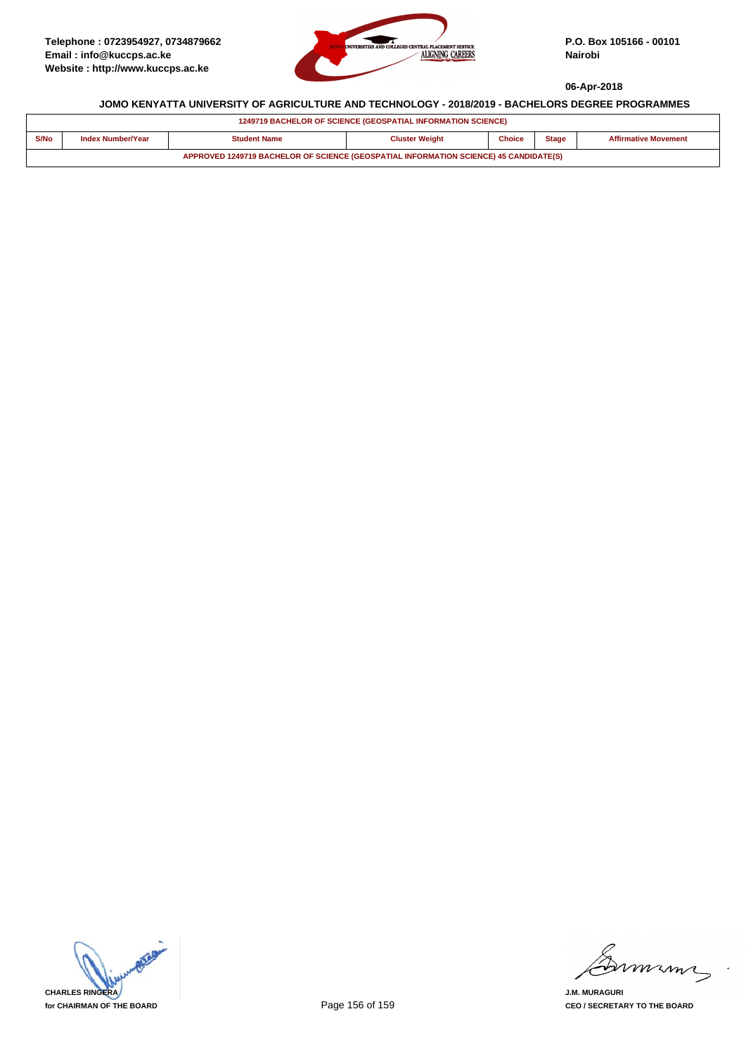

| <b>1249719 BACHELOR OF SCIENCE (GEOSPATIAL INFORMATION SCIENCE)</b>                   |                          |              |                       |               |              |                             |  |  |
|---------------------------------------------------------------------------------------|--------------------------|--------------|-----------------------|---------------|--------------|-----------------------------|--|--|
| S/No                                                                                  | <b>Index Number/Year</b> | Student Name | <b>Cluster Weight</b> | <b>Choice</b> | <b>Stage</b> | <b>Affirmative Movement</b> |  |  |
| APPROVED 1249719 BACHELOR OF SCIENCE (GEOSPATIAL INFORMATION SCIENCE) 45 CANDIDATE(S) |                          |              |                       |               |              |                             |  |  |

**CHARLES RINGERA for CHAIRMAN OF THE BOARD**

minn

**J.M. MURAGURI CEO / SECRETARY TO THE BOARD**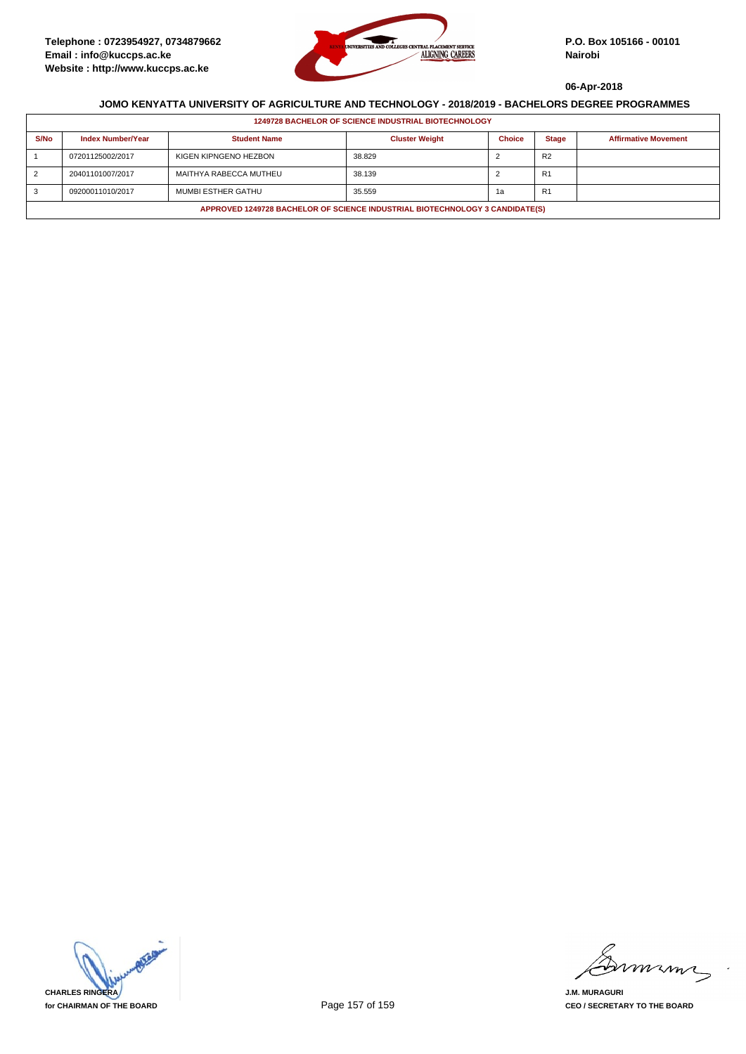

| <b>1249728 BACHELOR OF SCIENCE INDUSTRIAL BIOTECHNOLOGY</b>                  |                          |                        |                       |               |                |                             |
|------------------------------------------------------------------------------|--------------------------|------------------------|-----------------------|---------------|----------------|-----------------------------|
| S/No                                                                         | <b>Index Number/Year</b> | <b>Student Name</b>    | <b>Cluster Weight</b> | <b>Choice</b> | <b>Stage</b>   | <b>Affirmative Movement</b> |
|                                                                              | 07201125002/2017         | KIGEN KIPNGENO HEZBON  | 38.829                |               | R <sub>2</sub> |                             |
|                                                                              | 20401101007/2017         | MAITHYA RABECCA MUTHEU | 38.139                |               | R <sub>1</sub> |                             |
|                                                                              | 09200011010/2017         | MUMBI ESTHER GATHU     | 35.559                | 1a            | R <sub>1</sub> |                             |
| APPROVED 1249728 BACHELOR OF SCIENCE INDUSTRIAL BIOTECHNOLOGY 3 CANDIDATE(S) |                          |                        |                       |               |                |                             |



mmmn

**J.M. MURAGURI CEO / SECRETARY TO THE BOARD**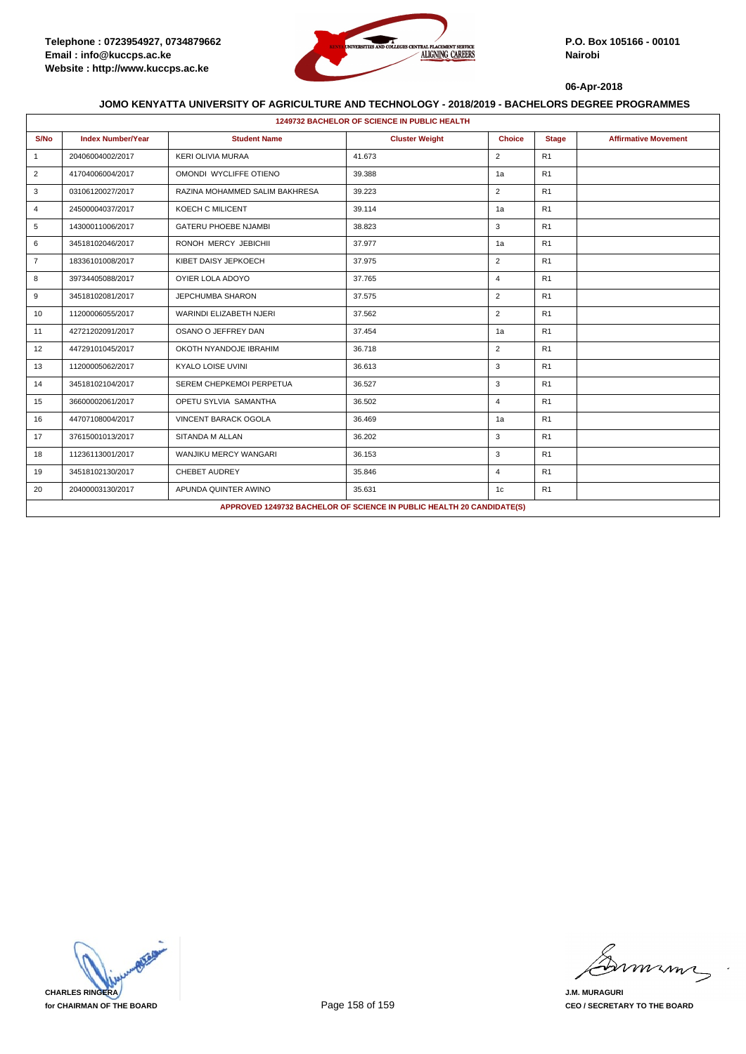

| <b>1249732 BACHELOR OF SCIENCE IN PUBLIC HEALTH</b>                   |                          |                                |                       |                |                |                             |  |
|-----------------------------------------------------------------------|--------------------------|--------------------------------|-----------------------|----------------|----------------|-----------------------------|--|
| S/No                                                                  | <b>Index Number/Year</b> | <b>Student Name</b>            | <b>Cluster Weight</b> | <b>Choice</b>  | <b>Stage</b>   | <b>Affirmative Movement</b> |  |
| $\mathbf{1}$                                                          | 20406004002/2017         | <b>KERI OLIVIA MURAA</b>       | 41.673                | $\overline{2}$ | R1             |                             |  |
| $\overline{2}$                                                        | 41704006004/2017         | OMONDI WYCLIFFE OTIENO         | 39.388                | 1a             | R1             |                             |  |
| 3                                                                     | 03106120027/2017         | RAZINA MOHAMMED SALIM BAKHRESA | 39.223                | $\overline{2}$ | R1             |                             |  |
| 4                                                                     | 24500004037/2017         | KOECH C MILICENT               | 39.114                | 1a             | R1             |                             |  |
| 5                                                                     | 14300011006/2017         | <b>GATERU PHOEBE NJAMBI</b>    | 38.823                | 3              | R1             |                             |  |
| 6                                                                     | 34518102046/2017         | RONOH MERCY JEBICHII           | 37.977                | 1a             | R1             |                             |  |
| $\overline{7}$                                                        | 18336101008/2017         | KIBET DAISY JEPKOECH           | 37.975                | $\overline{2}$ | R1             |                             |  |
| 8                                                                     | 39734405088/2017         | OYIER LOLA ADOYO               | 37.765                | $\overline{4}$ | R1             |                             |  |
| 9                                                                     | 34518102081/2017         | <b>JEPCHUMBA SHARON</b>        | 37.575                | $\overline{2}$ | R1             |                             |  |
| 10                                                                    | 11200006055/2017         | WARINDI ELIZABETH NJERI        | 37.562                | $\overline{2}$ | R1             |                             |  |
| 11                                                                    | 42721202091/2017         | OSANO O JEFFREY DAN            | 37.454                | 1a             | R1             |                             |  |
| 12                                                                    | 44729101045/2017         | OKOTH NYANDOJE IBRAHIM         | 36.718                | $\overline{2}$ | R1             |                             |  |
| 13                                                                    | 11200005062/2017         | KYALO LOISE UVINI              | 36.613                | 3              | R1             |                             |  |
| 14                                                                    | 34518102104/2017         | SEREM CHEPKEMOI PERPETUA       | 36.527                | 3              | R1             |                             |  |
| 15                                                                    | 36600002061/2017         | OPETU SYLVIA SAMANTHA          | 36.502                | $\overline{4}$ | R1             |                             |  |
| 16                                                                    | 44707108004/2017         | <b>VINCENT BARACK OGOLA</b>    | 36.469                | 1a             | R1             |                             |  |
| 17                                                                    | 37615001013/2017         | SITANDA M ALLAN                | 36.202                | 3              | R <sub>1</sub> |                             |  |
| 18                                                                    | 11236113001/2017         | WANJIKU MERCY WANGARI          | 36.153                | 3              | R1             |                             |  |
| 19                                                                    | 34518102130/2017         | CHEBET AUDREY                  | 35.846                | $\overline{4}$ | R1             |                             |  |
| 20                                                                    | 20400003130/2017         | APUNDA QUINTER AWINO           | 35.631                | 1c             | R1             |                             |  |
| APPROVED 1249732 BACHELOR OF SCIENCE IN PUBLIC HEALTH 20 CANDIDATE(S) |                          |                                |                       |                |                |                             |  |



mmmn

**J.M. MURAGURI CEO / SECRETARY TO THE BOARD**